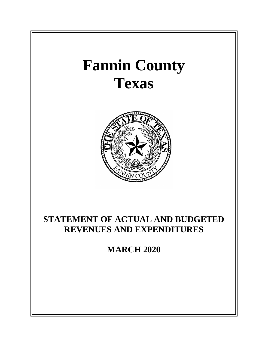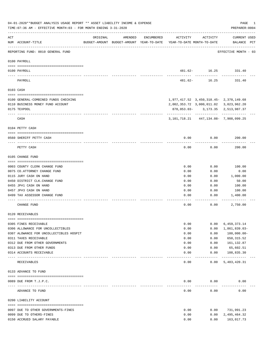|     | 04-01-2020**BUDGET ANALYSIS USAGE REPORT ** ASSET LIABILITY INCOME & EXPENSE<br>TIME: 07:36 AM - EFFECTIVE MONTH: 03 - FOR MONTH ENDING 3-31-2020 |                                                                                 |         |            |              |                                                | PAGE<br>PREPARER: 0004        | 1 |
|-----|---------------------------------------------------------------------------------------------------------------------------------------------------|---------------------------------------------------------------------------------|---------|------------|--------------|------------------------------------------------|-------------------------------|---|
| ACT | NUM ACCOUNT-TITLE                                                                                                                                 | ORIGINAL<br>BUDGET-AMOUNT BUDGET-AMOUNT YEAR-TO-DATE YEAR-TO-DATE MONTH-TO-DATE | AMENDED | ENCUMBERED | ACTIVITY     | ACTIVITY                                       | CURRENT USED<br>BALANCE PCT   |   |
|     | REPORTING FUND: 0010 GENERAL FUND                                                                                                                 |                                                                                 |         |            |              |                                                | EFFECTIVE MONTH - 03          |   |
|     | 0100 PAYROLL                                                                                                                                      |                                                                                 |         |            |              |                                                |                               |   |
|     | 0100 PAYROLL                                                                                                                                      |                                                                                 |         |            |              | 481.62- 16.25                                  | 331.40                        |   |
|     | ---- ----<br>------------------------- -------<br>PAYROLL                                                                                         |                                                                                 |         |            | 481.62-      | 16.25                                          | 331.40                        |   |
|     | 0103 CASH                                                                                                                                         |                                                                                 |         |            |              |                                                |                               |   |
|     | 0100 GENERAL-COMBINED FUNDS CHECKING                                                                                                              |                                                                                 |         |            |              |                                                |                               |   |
|     | 0110 BUSINESS MONEY FUND ACCOUNT                                                                                                                  |                                                                                 |         |            |              | 2,002,353.72 3,000,011.02 3,023,962.20         |                               |   |
|     | 0175 TEXPOOL                                                                                                                                      |                                                                                 |         |            |              | 878,053.03- 3,173.35 2,513,987.37              |                               |   |
|     | CASH                                                                                                                                              |                                                                                 |         |            |              | 3, 101, 718. 21 447, 134. 08 - 7, 908, 099. 25 |                               |   |
|     | 0104 PETTY CASH                                                                                                                                   |                                                                                 |         |            |              |                                                |                               |   |
|     | 0560 SHERIFF PETTY CASH                                                                                                                           |                                                                                 |         |            | 0.00         | 0.00                                           | 200.00                        |   |
|     | PETTY CASH                                                                                                                                        |                                                                                 |         |            | 0.00         | 0.00                                           | 200.00                        |   |
|     | 0105 CHANGE FUND                                                                                                                                  |                                                                                 |         |            |              |                                                |                               |   |
|     |                                                                                                                                                   |                                                                                 |         |            |              |                                                |                               |   |
|     | 0003 COUNTY CLERK CHANGE FUND                                                                                                                     |                                                                                 |         |            | 0.00         | 0.00                                           | 100.00                        |   |
|     | 0075 CO. ATTORNEY CHANGE FUND<br>0115 JURY CASH ON HAND                                                                                           |                                                                                 |         |            | 0.00<br>0.00 | 0.00<br>0.00                                   | 0.00<br>1,000.00              |   |
|     | 0450 DISTRICT CLK. CHANGE FUND                                                                                                                    |                                                                                 |         |            | 0.00         | 0.00                                           | 50.00                         |   |
|     | 0455 JP#1 CASH ON HAND                                                                                                                            |                                                                                 |         |            | 0.00         | 0.00                                           | 100.00                        |   |
|     | 0457 JP#3 CASH ON HAND                                                                                                                            |                                                                                 |         |            | 0.00         | 0.00                                           | 100.00                        |   |
|     | 0499 TAX ASSESSOR CHANGE FUND                                                                                                                     |                                                                                 |         |            | 0.00         | 0.00                                           | 1,400.00                      |   |
|     | CHANGE FUND                                                                                                                                       |                                                                                 |         |            | 0.00         | 0.00                                           | 2,750.00                      |   |
|     | 0120 RECEIVABLES                                                                                                                                  |                                                                                 |         |            |              |                                                |                               |   |
|     |                                                                                                                                                   |                                                                                 |         |            |              |                                                |                               |   |
|     | 0305 FINES RECEIVABLE<br>0306 ALLOWANCE FOR UNCOLLECTIBLES                                                                                        |                                                                                 |         |            | 0.00<br>0.00 | 0.00<br>0.00                                   | 6,459,373.14<br>1,861,839.03- |   |
|     | 0307 ALOWANCE FOR UNCOLLECTIBLES HOSPIT                                                                                                           |                                                                                 |         |            | 0.00         | 0.00                                           | $100,000.00 -$                |   |
|     | 0311 TAXES RECEIVABLE                                                                                                                             |                                                                                 |         |            | 0.00         | 0.00                                           | 650, 315.52                   |   |
|     | 0312 DUE FROM OTHER GOVERNMENTS                                                                                                                   |                                                                                 |         |            | 0.00         | 0.00                                           | 161,132.87                    |   |
|     | 0313 DUE FROM OTHER FUNDS                                                                                                                         |                                                                                 |         |            | 0.00         | 0.00                                           | 65,602.51                     |   |
|     | 0314 ACCOUNTS RECEIVABLE<br>---- --------------------                                                                                             | -------------- -------------                                                    |         |            | 0.00         | 0.00<br>----------                             | 108,835.30<br>-------------   |   |
|     | RECEIVABLES                                                                                                                                       |                                                                                 |         |            | 0.00         | 0.00                                           | 5,483,420.31                  |   |
|     | 0133 ADVANCE TO FUND                                                                                                                              |                                                                                 |         |            |              |                                                |                               |   |
|     | 0089 DUE FROM T.J.P.C.                                                                                                                            |                                                                                 |         |            | 0.00         | 0.00                                           | 0.00                          |   |
|     | ADVANCE TO FUND                                                                                                                                   |                                                                                 |         |            | 0.00         | 0.00                                           | 0.00                          |   |
|     | 0200 LIABILITY ACCOUNT                                                                                                                            |                                                                                 |         |            |              |                                                |                               |   |
|     |                                                                                                                                                   |                                                                                 |         |            |              |                                                |                               |   |
|     | 0097 DUE TO OTHER GOVERNMENTS-FINES                                                                                                               |                                                                                 |         |            | 0.00         | 0.00                                           | 731,991.23                    |   |
|     | 0099 DUE TO OTHERS-FINES                                                                                                                          |                                                                                 |         |            | 0.00         | 0.00                                           | 2,495,464.32                  |   |
|     | 0150 ACCRUED SALARY PAYABLE                                                                                                                       |                                                                                 |         |            | 0.00         | 0.00                                           | 163,017.73                    |   |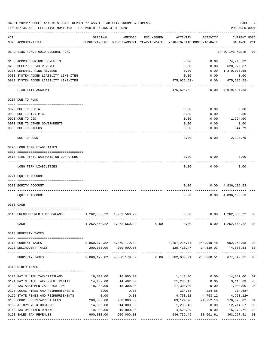|     | 04-01-2020**BUDGET ANALYSIS USAGE REPORT ** ASSET LIABILITY INCOME & EXPENSE<br>TIME: 07:36 AM - EFFECTIVE MONTH: 03 - FOR MONTH ENDING 3-31-2020 |                                 |                                                              |            |                                        |                            | PAGE<br>PREPARER: 0004             | 2           |
|-----|---------------------------------------------------------------------------------------------------------------------------------------------------|---------------------------------|--------------------------------------------------------------|------------|----------------------------------------|----------------------------|------------------------------------|-------------|
| ACT | NUM ACCOUNT-TITLE                                                                                                                                 | ORIGINAL                        | AMENDED<br>BUDGET-AMOUNT BUDGET-AMOUNT YEAR-TO-DATE          | ENCUMBERED | ACTIVITY<br>YEAR-TO-DATE MONTH-TO-DATE | ACTIVITY                   | CURRENT USED<br>BALANCE PCT        |             |
|     | REPORTING FUND: 0010 GENERAL FUND                                                                                                                 |                                 |                                                              |            |                                        |                            | EFFECTIVE MONTH - 03               |             |
|     | 0155 ACCRUED FRINGE BENEFITS                                                                                                                      |                                 |                                                              |            | 0.00                                   | 0.00                       | 74,745.32                          |             |
|     | 0200 DEFERRED TAX REVENUE                                                                                                                         |                                 |                                                              |            | 0.00                                   | 0.00                       | 620,022.87                         |             |
|     | 0205 DEFERRED FINE REVENUE                                                                                                                        |                                 |                                                              |            | 0.00                                   |                            | $0.00 \quad 1,370,078.58$          |             |
|     | 0900 SYSTEM ADDED LIABILITY LINE-ITEM                                                                                                             |                                 |                                                              |            | 0.00                                   | 0.00                       | 0.00                               |             |
|     | 0910 SYSTEM ADDED LIABILITY LINE-ITEM                                                                                                             |                                 |                                                              |            | 475,625.52-                            | . <u>.</u> .               | $0.00$ $475,625.52$ -              |             |
|     | LIABILITY ACCOUNT                                                                                                                                 |                                 |                                                              |            | 475,625.52-                            |                            | $0.00 \quad 4,979,694.53$          |             |
|     | 0207 DUE TO FUND                                                                                                                                  |                                 |                                                              |            |                                        |                            |                                    |             |
|     | 0070 DUE TO R.O.W.                                                                                                                                |                                 |                                                              |            | 0.00                                   | 0.00                       | 0.00                               |             |
|     | 0089 DUE TO T.J.P.C.                                                                                                                              |                                 |                                                              |            | 0.00                                   | 0.00                       | 0.00                               |             |
|     | 0090 DUE TO CJD                                                                                                                                   |                                 |                                                              |            | 0.00                                   | 0.00                       | 1,794.00                           |             |
|     | 0970 DUE TO OTHER GOVERNMENTS                                                                                                                     |                                 |                                                              |            | 0.00                                   | 0.00                       | 0.00                               |             |
|     | 0990 DUE TO OTHERS                                                                                                                                |                                 |                                                              |            | 0.00                                   | 0.00                       | 344.79                             |             |
|     | DUE TO FUND                                                                                                                                       |                                 |                                                              |            | 0.00                                   | 0.00                       | 2,138.79                           |             |
|     | 0225 LONG TERM LIABILITIES                                                                                                                        |                                 |                                                              |            |                                        |                            |                                    |             |
|     | 0510 TIME PYMT. WARRANTS ON COMPUTERS                                                                                                             |                                 |                                                              |            | 0.00                                   | 0.00                       | 0.00                               |             |
|     | LONG TERM LIABILITIES                                                                                                                             |                                 |                                                              |            | 0.00                                   | 0.00                       | 0.00                               |             |
|     | 0271 EQUITY ACCOUNT                                                                                                                               |                                 |                                                              |            |                                        |                            |                                    |             |
|     | 0200 EQUITY ACCOUNT                                                                                                                               |                                 |                                                              |            | 0.00                                   |                            | $0.00 \quad 4,836,105.53$          |             |
|     | EQUITY ACCOUNT                                                                                                                                    |                                 |                                                              |            | 0.00                                   |                            | $0.00 \quad 4,836,105.53$          |             |
|     | 0300 CASH                                                                                                                                         |                                 |                                                              |            |                                        |                            |                                    |             |
|     |                                                                                                                                                   |                                 |                                                              |            |                                        |                            |                                    |             |
|     | 0110 UNENCUMBERED FUND BALANCE                                                                                                                    | 1, 262, 560. 22 1, 262, 560. 22 |                                                              |            | 0.00                                   |                            | $0.00 \quad 1,262,560.22 \quad 00$ |             |
|     | CASH                                                                                                                                              |                                 | 1, 262, 560. 22 1, 262, 560. 22                              | 0.00       | 0.00                                   | 0.00                       | 1,262,560.22                       | 00          |
|     | 0310 PROPERTY TAXES                                                                                                                               |                                 |                                                              |            |                                        |                            |                                    |             |
|     | 0110 CURRENT TAXES                                                                                                                                |                                 | 8,860,179.82 8,860,179.82                                    |            |                                        | 8, 257, 216.74 240, 919.48 | 602,963.08                         | 93          |
|     | 0120 DELINQUENT TAXES                                                                                                                             |                                 | 200,000.00 200,000.00                                        |            |                                        | 125, 413. 47 14, 319. 03   | 74,586.53                          | 63          |
|     | PROPERTY TAXES                                                                                                                                    | ---------------                 | -------------<br>9,060,179.82 9,060,179.82 0.00 8,382,630.21 |            |                                        | 255,238.51                 | 677,549.61 93                      | $---$       |
|     | 0318 OTHER TAXES                                                                                                                                  |                                 |                                                              |            |                                        |                            |                                    |             |
|     |                                                                                                                                                   |                                 |                                                              |            |                                        |                            |                                    |             |
|     | 0120 PAY N LIEU TAX/GRASSLAND<br>0121 PAY N LIEU TAX/UPPER TRINITY                                                                                | 16,000.00<br>14,402.00          | 16,000.00<br>14,402.00                                       |            | 1,143.00<br>11,286.17                  | 0.00<br>0.00               | 14,857.00<br>3, 115.83             | 07<br>78    |
|     | 0122 TAX ABATEMENT/APPLICATION                                                                                                                    | 18,300.00                       | 18,300.00                                                    |            | 17,300.00                              | 0.00                       | 1,000.00                           | 95          |
|     | 0128 LOCAL FINES AND REIMBURSEMENTS                                                                                                               | 0.00                            | 0.00                                                         |            | 214.68                                 | 214.68                     | 214.68+                            |             |
|     | 0129 STATE FINES AND REIMBURSEMENTS                                                                                                               | 0.00                            | 0.00                                                         |            | 4,753.12                               | 4,753.12                   | $4,753.12+$                        |             |
|     | 0130 COURT COSTS/ARREST FEES                                                                                                                      | 260,000.00                      | 260,000.00                                                   |            | 89,124.98                              | 24,752.13                  | 170,875.02                         | 34          |
|     | 0132 ATTORNEYS & DOCTORS                                                                                                                          | 14,000.00                       | 14,000.00                                                    |            | 1,285.43                               | 0.00                       | 12,714.57                          | 09          |
|     | 0140 TAX ON MIXED DRINKS                                                                                                                          | 19,900.00                       | 19,900.00                                                    |            | 4,520.29                               | 0.00                       | 15,379.71                          | 23          |
|     | 0160 SALES TAX REVENUES                                                                                                                           | 900,000.00                      | 900,000.00<br>-------------                                  |            | 536,732.49<br>--------------           | 80,661.61                  | 363, 267.51<br>-------------       | 60<br>$---$ |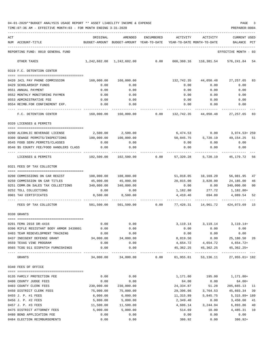| 04-01-2020**BUDGET ANALYSIS USAGE REPORT ** ASSET LIABILITY INCOME & EXPENSE |  |  |  | PAGE |  |
|------------------------------------------------------------------------------|--|--|--|------|--|
|                                                                              |  |  |  |      |  |

|     | TIME: 07:36 AM - EFFECTIVE MONTH: 03 - FOR MONTH ENDING 3-31-2020      |            |                    |            |           |                                                                                 | PREPARER: 0004                                                         |
|-----|------------------------------------------------------------------------|------------|--------------------|------------|-----------|---------------------------------------------------------------------------------|------------------------------------------------------------------------|
| ACT | NUM ACCOUNT-TITLE                                                      | ORIGINAL   | AMENDED            | ENCUMBERED | ACTIVITY  | ACTIVITY<br>BUDGET-AMOUNT BUDGET-AMOUNT YEAR-TO-DATE YEAR-TO-DATE MONTH-TO-DATE | <b>CURRENT USED</b><br>BALANCE PCT                                     |
|     |                                                                        |            |                    |            |           |                                                                                 |                                                                        |
|     | REPORTING FUND: 0010 GENERAL FUND                                      |            |                    |            |           |                                                                                 | EFFECTIVE MONTH - 03                                                   |
|     | OTHER TAXES                                                            |            |                    |            |           |                                                                                 | $1,242,602.00$ $1,242,602.00$ 0.00 666,360.16 110,381.54 576,241.84 54 |
|     | 0319 F.C. DETENTION CENTER                                             |            |                    |            |           |                                                                                 |                                                                        |
|     | 0420 JAIL PAY PHONE COMMISSION                                         | 160,000.00 | 160,000.00         |            |           |                                                                                 | 132,742.35 44,050.48 27,257.65<br>83                                   |
|     | 0429 SCHOLARSHIP FUNDS                                                 | 0.00       | 0.00               |            | 0.00      | 0.00                                                                            | 0.00                                                                   |
|     | 0551 ANNUAL PAYMENT                                                    | 0.00       | 0.00               |            | 0.00      | 0.00                                                                            | 0.00                                                                   |
|     | 0552 MONTHLY MONITORING PAYMEN                                         | 0.00       | 0.00               |            | 0.00      | 0.00                                                                            | 0.00                                                                   |
|     | 0553 ADMINISTRATIVE FEE                                                | 0.00       | 0.00               |            |           | 0.00 0.00                                                                       | 0.00                                                                   |
|     | 0554 REIMB.FOR CONFINEMENT EXP.                                        | 0.00       | 0.00               |            |           | $0.00$ 0.00 0.00                                                                |                                                                        |
|     | F.C. DETENTION CENTER                                                  |            |                    |            |           |                                                                                 | 160,000.00 160,000.00 0.00 132,742.35 44,050.48 27,257.65 83           |
|     | 0320 LICENSES & PERMITS                                                |            |                    |            |           |                                                                                 |                                                                        |
|     | 0200 ALCOHLIC BEVERAGE LICENSE                                         |            | 2,500.00 2,500.00  |            |           |                                                                                 | 6,474.53 0.00 3,974.53+259                                             |
|     | 0300 SEWAGE PERMITS/INSPECTIONS 100,000.00                             |            | 100,000.00         |            |           |                                                                                 | 50,845.75 5,720.19 49,154.25<br>51                                     |
|     | 0545 FOOD SERV. PERMITS/CLASSES                                        | 0.00       | 0.00               |            | 0.00      | 0.00                                                                            | 0.00                                                                   |
|     | 0546 \$5 COUNTY FEE/FOOD HANDLERS CLASS                                | 0.00       | 0.00               |            | 0.00      | 0.00                                                                            | 0.00                                                                   |
|     | LICENSES & PERMITS                                                     |            |                    |            |           |                                                                                 | 102,500.00 102,500.00 0.00 57,320.28 5,720.19 45,179.72 56             |
|     | 0321 FEES OF TAX COLLECTOR                                             |            |                    |            |           |                                                                                 |                                                                        |
|     |                                                                        |            |                    |            |           |                                                                                 |                                                                        |
|     | 0200 COMMISSIONS ON CAR REGIST                                         |            |                    |            |           | 51,018.05  10,169.20  56,981.95                                                 | 47                                                                     |
|     | 0250 COMMISSION ON CAR TITLES                                          | 45,000.00  | 45,000.00          |            | 0.00      | 20,815.00 3,820.00 24,185.00                                                    | 46<br>$0.00$ 340,000.00<br>00                                          |
|     | 0251 COMM.ON SALES TAX COLLECTIONS 340,000.00<br>0252 TOLL COLLECTIONS | 0.00       | 340,000.00<br>0.00 |            |           | 1,182.80 277.72                                                                 | 1,182.80+                                                              |
|     | 0901 TAX CERTIFICATES                                                  | 8,500.00   | 8,500.00           |            | 4,410.46  | 694.80                                                                          | 4,089.54<br>52                                                         |
|     | FEES OF TAX COLLECTOR                                                  |            |                    |            |           |                                                                                 | 501,500.00 501,500.00 0.00 77,426.31 14,961.72 424,073.69 15           |
|     | 0330 GRANTS                                                            |            |                    |            |           |                                                                                 |                                                                        |
|     |                                                                        |            |                    |            |           |                                                                                 |                                                                        |
|     | 0201 FEMA 2018 DR-4416                                                 | 0.00       | 0.00               |            | 3,119.14  | 3,119.14                                                                        | $3,119.14+$                                                            |
|     | 0396 RIFLE RESISTANT BODY ARMOR 3439801                                | 0.00       | 0.00               |            | 0.00      | 0.00                                                                            | 0.00                                                                   |
|     | 0403 TEAM REDEVELOPMENT TRAINING                                       | 0.00       | 0.00               |            | 0.00      | 0.00                                                                            | 0.00                                                                   |
|     | 0437 INDIGENT DEFENSE GRANT                                            | 34,000.00  | 34,000.00          |            | 8,819.50  | 0.00                                                                            | 25,180.50 26                                                           |
|     | 0559 TEXAS VINE PROGRAM                                                | 0.00       | 0.00               |            | 4,654.72  | 4,654.72                                                                        | 4,654.72+                                                              |
|     | 0565 TCOG 911 DISPATCH FURNISHINGS                                     | 0.00       | 0.00<br>.          |            | 45,362.25 | 45,362.25                                                                       | $45,362.25+$                                                           |
|     | GRANTS                                                                 | 34,000.00  | 34,000.00          | 0.00       | 61,955.61 | 53,136.11                                                                       | 27,955.61+ 182                                                         |
|     | 0340 FEES OF OFFICE                                                    |            |                    |            |           |                                                                                 |                                                                        |
|     | 0135 FAMILY PROTECTION FEE                                             | 0.00       | 0.00               |            | 1,171.80  | 195.00                                                                          | 1,171.80+                                                              |
|     | 0400 COUNTY JUDGE FEES                                                 | 0.00       | 0.00               |            | 64.00     | 0.00                                                                            | $64.00+$                                                               |
|     | 0403 COUNTY CLERK FEES                                                 | 230,000.00 | 230,000.00         |            | 24,334.87 | 51.28                                                                           | 205,665.13 11                                                          |
|     | 0450 DISTRICT CLERK FEES                                               | 75,000.00  | 75,000.00          |            | 29,396.66 | 3,764.53                                                                        | 45,603.34<br>39                                                        |
|     | 0455 J. P. #1 FEES                                                     | 6,000.00   | 6,000.00           |            | 11,315.89 | 5,845.75                                                                        | 5,315.89+ 189                                                          |
|     | 0456 J. P. #2 FEES                                                     | 5,800.00   | 5,800.00           |            | 2,349.40  | 0.00                                                                            | 3,450.60<br>41                                                         |
|     | 0457 J. P. #3 FEES                                                     | 11,500.00  | 11,500.00          |            | 4,606.14  | 3,244.94                                                                        | 6,893.86<br>40                                                         |
|     | 0475 DISTRICT ATTORNEY FEES                                            | 5,000.00   | 5,000.00           |            | 514.69    | 10.00                                                                           | 4,485.31<br>10                                                         |
|     | 0480 BOND APPLICATION FEE                                              | 0.00       | 0.00               |            | 0.00      | 0.00                                                                            | 0.00                                                                   |
|     | 0484 ELECTION REIMBURSEMENTS                                           | 0.00       | 0.00               |            | 386.92    | 0.00                                                                            | $386.92+$                                                              |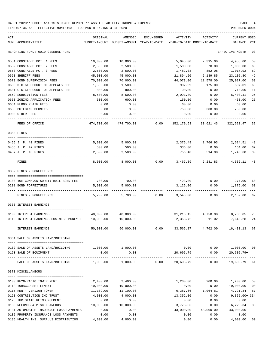| ACT | NUM ACCOUNT-TITLE                                                                         | ORIGINAL<br>BUDGET-AMOUNT | AMENDED<br>BUDGET-AMOUNT | <b>ENCUMBERED</b><br>YEAR-TO-DATE | ACTIVITY        | ACTIVITY<br>YEAR-TO-DATE MONTH-TO-DATE | <b>CURRENT USED</b><br>BALANCE | PCT      |
|-----|-------------------------------------------------------------------------------------------|---------------------------|--------------------------|-----------------------------------|-----------------|----------------------------------------|--------------------------------|----------|
|     | REPORTING FUND: 0010 GENERAL FUND                                                         |                           |                          |                                   |                 |                                        | EFFECTIVE MONTH                | - 03     |
|     |                                                                                           |                           |                          |                                   |                 |                                        |                                |          |
|     | 0551 CONSTABLE PCT. 1 FEES                                                                | 10,000.00                 | 10,000.00                |                                   | 5,045.00        | 2,395.00                               | 4,955.00                       | 50       |
|     | 0552 CONSTABLE PCT. 2 FEES                                                                | 2,500.00                  | 2,500.00                 |                                   | 1,500.00        | 70.00                                  | 1,000.00                       | 60       |
|     | 0553 CONSTABLE PCT. 3 FEES                                                                | 2,500.00                  | 2,500.00                 |                                   | 1,482.08        | 852.08                                 | 1,017.92                       | 59       |
|     | 0560 SHERIFF FEES                                                                         | 45,000.00                 | 45,000.00                |                                   | 21,894.20       | 2,139.85                               | 23,105.80                      | 49       |
|     | 0573 BOND SUPERVISION FEES                                                                | 70,000.00                 | 70,000.00                |                                   | 44,073.00       | 11,578.00                              | 25,927.00                      | 63       |
|     | 0600 D.C.6TH COURT OF APPEALS FEE                                                         | 1,500.00                  | 1,500.00                 |                                   | 902.99          | 175.00                                 | 597.01                         | 60       |
|     | 0601 C.C.6TH COURT OF APPEALS FEE                                                         | 800.00                    | 800.00                   |                                   | 90.00           | 0.00                                   | 710.00                         | 11       |
|     | 0652 SUBDIVISION FEES<br>0653 ZONING APPLICATION FEES                                     | 8,500.00                  | 8,500.00<br>600.00       |                                   | 2,091.89        | 0.00                                   | 6,408.11<br>450.00             | 25<br>25 |
|     | 0654 FLOOD PLAIN FEES                                                                     | 600.00                    | 0.00                     |                                   | 150.00<br>60.00 | 0.00<br>0.00                           | $60.00+$                       |          |
|     | 0655 BUILDING PERMITS                                                                     | 0.00<br>0.00              | 0.00                     |                                   | 750.00          | 300.00                                 | 750.00+                        |          |
|     | 0900 OTHER FEES                                                                           | 0.00                      | 0.00                     |                                   | 0.00            | 0.00                                   | 0.00                           |          |
|     |                                                                                           |                           |                          |                                   |                 |                                        |                                |          |
|     | FEES OF OFFICE                                                                            | 474,700.00                | 474,700.00               | 0.00                              | 152,179.53      | 30,621.43                              | 322,520.47                     | 32       |
|     | 0350 FINES                                                                                |                           |                          |                                   |                 |                                        |                                |          |
|     |                                                                                           |                           |                          |                                   |                 |                                        |                                |          |
|     | 0455 J. P. #1 FINES                                                                       | 5,000.00                  | 5,000.00                 |                                   |                 | 2,375.49 1,766.93 2,624.51             |                                | 48       |
|     | 0456 J. P. #2 FINES                                                                       | 500.00                    | 500.00                   |                                   | 336.00          | 0.00                                   | 164.00                         | 67       |
|     | 0457 J. P. #3 FINES                                                                       | 2,500.00                  | 2,500.00                 |                                   | 756.40          | 514.90                                 | 1,743.60                       | 30       |
|     | FINES                                                                                     | 8,000.00                  | 8,000.00                 | 0.00                              | 3,467.89        | 2,281.83                               | 4,532.11                       | 43       |
|     | 0352 FINES & FORFEITURES                                                                  |                           |                          |                                   |                 |                                        |                                |          |
|     |                                                                                           |                           |                          |                                   |                 |                                        |                                |          |
|     | 0100 10% COMM.ON SURETY BAIL BOND FEE                                                     | 700.00                    | 700.00                   |                                   | 423.00          | 0.00                                   | 277.00                         | 60       |
|     | 0201 BOND FORFEITURES                                                                     | 5,000.00                  | 5,000.00                 |                                   | 3,125.00        | 0.00                                   | 1,875.00                       | 63       |
|     | FINES & FORFEITURES                                                                       | 5,700.00                  | 5,700.00                 | 0.00                              | 3,548.00        | 0.00                                   | 2,152.00                       | 62       |
|     | 0360 INTEREST EARNINGS                                                                    |                           |                          |                                   |                 |                                        |                                |          |
|     | -------------------------------------<br>0100 INTEREST EARNINGS                           | 40,000.00                 | 40,000.00                |                                   | 31,213.15       | 4,750.98                               | 8,786.85                       | 78       |
|     | 0110 INTEREST EARNINGS BUSINESS MONEY F                                                   | 10,000.00                 | 10,000.00                |                                   | 2,353.72        | 11.02                                  | 7,646.28                       | 24       |
|     |                                                                                           |                           |                          |                                   |                 |                                        |                                |          |
|     | INTEREST EARNINGS                                                                         | 50,000.00                 | 50,000.00                | 0.00                              |                 | 33,566.87 4,762.00 16,433.13 67        |                                |          |
|     | 0364 SALE OF ASSETS LAND/BUILDING                                                         |                           |                          |                                   |                 |                                        |                                |          |
|     | 0162 SALE OF ASSETS LAND/BUILDING                                                         | 1,000.00 1,000.00         |                          |                                   |                 | $0.00$ $0.00$ $1,000.00$ $00$          |                                |          |
|     | 0163 SALE OF EQUIPMENT                                                                    | 0.00                      | 0.00                     |                                   |                 | 20,605.79 0.00 20,605.79+              |                                |          |
|     | SALE OF ASSETS LAND/BUILDING $1,000.00$ $1,000.00$ $0.00$ $20,605.79$ 0.00 $19,605.79+61$ |                           |                          |                                   | ______________  |                                        |                                |          |
|     |                                                                                           |                           |                          |                                   |                 |                                        |                                |          |
|     | 0370 MISCELLANEOUS                                                                        |                           |                          |                                   |                 |                                        |                                |          |
|     | 0100 KFYN-RADIO TOWER RENT                                                                | 2,400.00                  | 2,400.00                 |                                   | 1,200.00        | 200.00                                 | 1,200.00                       | 50       |
|     | 0112 TOBACCO SETTLEMENT                                                                   | 19,000.00                 | 19,000.00                |                                   | 0.00            | 0.00                                   | 19,000.00 00                   |          |
|     | 0115 RENT- VERIZON TOWER                                                                  | 11,109.00                 | 11,109.00                |                                   | 6,387.66        | 1,064.61                               | 4,721.34                       | 57       |
|     | 0120 CONTRIBUTION IHC TRUST                                                               | 4,000.00                  | 4,000.00                 |                                   | 13,352.00       | 0.00                                   | $9,352.00+334$                 |          |
|     | 0125 IHC STATE REIMBURSEMENT                                                              | 0.00                      | 0.00                     |                                   | 0.00            | 0.00                                   | 0.00                           |          |
|     | 0130 REFUNDS & MISCELLANEOUS                                                              | 10,000.00                 | 10,000.00                |                                   | 3,773.66        | 0.00                                   | 6,226.34 38                    |          |
|     | 0131 AUTOMOBILE INSURANCE LOSS PAYMENTS                                                   | 0.00                      | 0.00                     |                                   | 43,000.00       | 43,000.00                              | $43,000.00+$                   |          |
|     | 0132 PROPERTY INSURANCE LOSS PAYMENTS                                                     | 0.00                      | 0.00                     |                                   | 0.00            | 0.00                                   | 0.00                           |          |
|     | 0135 HEALTH INS. SURPLUS DISTRIBUTION                                                     | 4,000.00                  | 4,000.00                 |                                   | 0.00            | 0.00                                   | 4,000.00 00                    |          |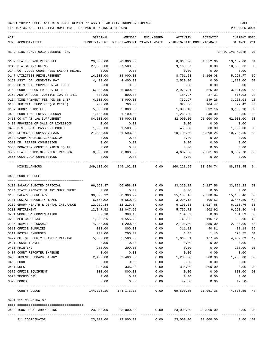| ACT<br>NUM ACCOUNT-TITLE                                             | ORIGINAL             | AMENDED<br>BUDGET-AMOUNT BUDGET-AMOUNT YEAR-TO-DATE | ENCUMBERED    | ACTIVITY          | ACTIVITY<br>YEAR-TO-DATE MONTH-TO-DATE | CURRENT USED<br>BALANCE | PCT    |
|----------------------------------------------------------------------|----------------------|-----------------------------------------------------|---------------|-------------------|----------------------------------------|-------------------------|--------|
| REPORTING FUND: 0010 GENERAL FUND                                    |                      |                                                     |               |                   |                                        | EFFECTIVE MONTH - 03    |        |
| 0139 STATE JUROR REIMB.FEE                                           | 20,000.00            | 20,000.00                                           |               | 6,868.00          | 4,352.00                               | 13,132.00               | -34    |
| 0143 D.A.SALARY REIMB.                                               | 27,500.00            | 27,500.00                                           |               | 9,166.67          | 0.00                                   | 18,333.33               | 33     |
| 0144 CO. JUDGE COURT FEES SALARY REIMB.                              | 0.00                 | 0.00                                                |               | 0.00              | 0.00                                   | 0.00                    |        |
| 0147 UTILITIES REIMBURSEMENT                                         | 14,000.00            | 14,000.00                                           |               | 8,701.23          | 1,166.08                               | 5,298.77                | 62     |
| 0151 ASST. DA LONGEVITY PAY                                          | 4,400.00             | 4,400.00                                            |               | 2,520.00          | 0.00                                   | 1,880.00                | 57     |
| 0152 HB 9 D.A. SUPPLEMENTAL FUNDS                                    | 0.00                 | 0.00                                                |               | 0.00              | 0.00                                   | 0.00                    |        |
| 0162 COURT REPORTER SERVICE FEE                                      | 6,000.00             | 6,000.00                                            |               | 2,978.91          | 525.00                                 | 3,021.09                | 50     |
| 0163 ADM.OF COURT JUSTICE 10% SB 1417                                | 800.00               | 800.00                                              |               | 184.97            | 37.31                                  | 615.03                  | 23     |
| 0164 TIME PAYMENT FEE 40% SB 1417                                    | 4,000.00             | 4,000.00                                            |               | 739.97            | 149.26                                 | 3,260.03                | 18     |
| 0166 JUDICIAL SUPP.FEE(60 CENTS)                                     | 700.00               | 700.00                                              |               | 320.58            | 104.47                                 | 379.42                  | 46     |
| 0167 JUROR REIMB.FEE                                                 | 5,000.00             | 5,000.00                                            |               | 1,896.10          | 692.16                                 | 3,103.90                | 38     |
| 0408 COUNTY WELLNESS PROGRAM                                         | 1,100.00             | 1,100.00                                            |               | 1,260.00          | 840.00                                 | 160.00+ 115             |        |
| 0410 CO CT AT LAW SUPPLEMENT                                         | 84,000.00            | 84,000.00                                           |               | 42,000.00         | 21,000.00                              | 42,000.00               | 50     |
| 0432 PROCEEDS OF SALE OF LIVESTOCK                                   | 0.00                 | 0.00                                                |               | 0.00              | 0.00                                   | 0.00                    |        |
| 0450 DIST. CLK. PASSPORT PHOTO                                       | 1,500.00             | 1,500.00                                            |               | 450.00            | 80.00                                  | 1,050.00                | 30     |
| 0453 REIMB.CEC ODYSSEY SAAS                                          | 21,593.00            | 21,593.00                                           |               | 10,796.50         | 5,398.25                               | 10,796.50               | 50     |
| 0509 CANDY MACHINE COMMISSION                                        | 0.00                 | 0.00                                                |               | 0.00              | 0.00                                   | 0.00                    |        |
| 0510 DR. PEPPER COMMISSION                                           | 0.00                 | 0.00                                                |               | 0.00              | 0.00                                   | 0.00                    |        |
| 0553 DONATION CONST.3 RADIO EQUIP.                                   | 0.00                 | 0.00                                                |               | 0.00              | 0.00                                   | 0.00                    |        |
| 0562 STATE REIMB.OFFENDER TRANSPORT                                  | 8,000.00             | 8,000.00                                            |               | 4,632.30          | 2,331.60                               | 3,367.70                | 58     |
| 0565 COCA-COLA COMMISSIONS<br>---- ---------------                   | 0.00<br>------------ | 0.00                                                |               | 0.00              | 0.00                                   | 0.00                    |        |
| MISCELLANEOUS                                                        | 249,102.00           | 249,102.00                                          | 0.00          |                   | 160,228.55 80,940.74                   | 88,873.45               | 64     |
| 0400 COUNTY JUDGE                                                    |                      |                                                     |               |                   |                                        |                         |        |
|                                                                      |                      |                                                     | 0.00          |                   |                                        |                         |        |
| 0101 SALARY ELECTED OFFICIAL<br>0104 STATE PROBATE SALARY SUPPLEMENT | 66,658.37<br>0.00    | 66,658.37<br>0.00                                   | 0.00          | 33,329.14<br>0.00 | 5,127.56<br>0.00                       | 33,329.23<br>0.00       | 50     |
| 0105 SALARY SECRETARY                                                | 30,300.92            | 30,300.92                                           | 0.00          | 15,150.46         | 2,330.84                               | 15,150.46               | 50     |
| 0201 SOCIAL SECURITY TAXES                                           | 6,650.02             | 6,650.02                                            | 0.00          | 3,204.13          | 496.52                                 | 3,445.89                | 48     |
| 0202 GROUP HEALTH & DENTAL INSURANCE                                 | 12,219.84            | 12,219.84                                           | 0.00          | 6,106.08          | 1,017.68                               | 6,113.76                | 50     |
| 0203 RETIREMENT                                                      | 12,047.52            | 12,047.52                                           | 0.00          | 5,755.72          | 902.92                                 | 6,291.80                | 48     |
| 0204 WORKERS' COMPENSATION                                           | 309.18               | 309.18                                              | 0.00          | 154.59            | 0.00                                   | 154.59                  | 50     |
| 0205 MEDICARE TAX                                                    | 1,555.25             | 1,555.25                                            | 0.00          | 749.35            | 116.12                                 | 805.90                  | 48     |
| 0225 TRAVEL ALLOWANCE                                                | 4,200.00             | 4,200.00                                            | 0.00          | 2,100.00          | 350.00                                 | 2,100.00                | 50     |
| 0310 OFFICE SUPPLIES                                                 | 800.00               | 800.00                                              | 0.00          | 311.82            | 40.81                                  | 488.18 39               |        |
| 0311 POSTAL EXPENSES                                                 | 200.00               | 200.00                                              | 0.00          | 1.45              | 1.45                                   | 198.55                  | 01     |
| 0427 OUT OF COUNTY TRAVEL/TRAINING                                   | 5,500.00             | 5,500.00                                            | 0.00          | 1,060.31          | 177.46                                 | 4,439.69                | 19     |
| 0431 LOCAL TRAVEL                                                    | 0.00                 | 0.00                                                | 0.00          | 0.00              | 0.00                                   | 0.00                    |        |
| 0435 PRINTING                                                        | 200.00               | 200.00                                              | 0.00          | 0.00              | 0.00                                   | 200.00                  | 00     |
| 0437 COURT REPORTER EXPENSE                                          | 0.00                 | 0.00                                                | 0.00          | 0.00              | 0.00                                   | 0.00                    |        |
| 0468 JUVENILE BOARD SALARY                                           | 2,400.00             | 2,400.00                                            | 0.00          | 1,200.00          | 200.00                                 | 1,200.00                | 50     |
| 0480 BOND                                                            | 0.00                 | 0.00                                                | 0.00          | 0.00              | 0.00                                   | 0.00                    |        |
| 0481 DUES                                                            | 335.00               | 335.00                                              | 0.00          | 335.00            | 300.00                                 | 0.00 100                |        |
| 0572 OFFICE EQUIPMENT                                                | 800.00               | 800.00                                              | 0.00          | 0.00              | 0.00                                   | 800.00                  | $00\,$ |
| 0574 TECHNOLOGY                                                      | 0.00                 | 0.00                                                | 0.00          | 0.00              | 0.00                                   | 0.00                    |        |
| 0590 BOOKS                                                           | 0.00<br>------------ | 0.00<br>---------                                   | 0.00<br>----- | 42.50             | 0.00                                   | $42.50 -$               |        |
| COUNTY JUDGE                                                         |                      | 144, 176. 10 144, 176. 10                           | 0.00          | 69,500.55         | 11,061.36                              | 74,675.55 48            |        |
| 0401 911 COORDINATOR                                                 |                      |                                                     |               |                   |                                        |                         |        |
| 0403 TCOG RURAL ADDRESSING                                           | 23,000.00            | 23,000.00                                           | 0.00          | 23,000.00         | 23,000.00                              | 0.00 100                |        |
| 911 COORDINATOR                                                      | 23,000.00            | 23,000.00                                           |               |                   | $0.00$ 23,000.00 23,000.00             | 0.00 100                |        |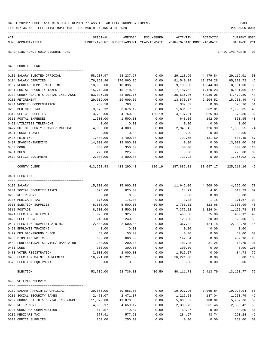|     | TIME: 07:36 AM - EFFECTIVE MONTH: 03 - FOR MONTH ENDING 3-31-2020 |                                                                                 |                                                            |                      |                       |                       | PREPARER: 0004                     |                |
|-----|-------------------------------------------------------------------|---------------------------------------------------------------------------------|------------------------------------------------------------|----------------------|-----------------------|-----------------------|------------------------------------|----------------|
| ACT | NUM ACCOUNT-TITLE                                                 | ORIGINAL<br>BUDGET-AMOUNT BUDGET-AMOUNT YEAR-TO-DATE YEAR-TO-DATE MONTH-TO-DATE | AMENDED                                                    | ENCUMBERED           | ACTIVITY              | ACTIVITY              | <b>CURRENT USED</b><br>BALANCE PCT |                |
|     | REPORTING FUND: 0010 GENERAL FUND                                 |                                                                                 |                                                            |                      |                       |                       | EFFECTIVE MONTH - 03               |                |
|     | 0403 COUNTY CLERK                                                 |                                                                                 |                                                            |                      |                       |                       |                                    |                |
|     |                                                                   |                                                                                 |                                                            |                      |                       |                       |                                    |                |
|     | 0101 SALARY ELECTED OFFICIAL<br>0104 SALARY DEPUTIES              | 58,237.97<br>176,860.96                                                         | 58,237.97<br>176,860.96                                    | 0.00                 | 29,118.96             | 4,479.84              | 29,119.01                          | 50<br>46       |
|     | 0107 REGULAR-TEMP. PART-TIME                                      | 18,096.00                                                                       | 18,096.00                                                  | 0.00<br>0.00         | 81,540.24<br>9,105.00 | 12,874.28<br>1,344.00 | 95,320.72<br>8,991.00              | 50             |
|     | 0201 SOCIAL SECURITY TAXES                                        | 15,718.58                                                                       | 15,718.58                                                  | 0.00                 | 7,187.52              | 1,120.23              | 8,531.06                           | 46             |
|     | 0202 GROUP HEALTH & DENTAL INSURANCE                              | 83,096.16                                                                       | 83,096.16                                                  | 0.00                 | 35,616.36             | 5,936.06              | 47,479.80                          | 43             |
|     | 0203 RETIREMENT                                                   | 29,609.06                                                                       | 29,609.06                                                  | 0.00                 | 13,878.57             | 2,204.52              | 15,730.49                          | 47             |
|     | 0204 WORKERS COMPENSATION                                         | 760.58                                                                          | 760.58                                                     | 0.00                 | 387.32                | 0.00                  | 373.26                             | 51             |
|     | 0205 MEDICARE TAX                                                 | 3,676.12                                                                        | 3,676.12                                                   | 0.00                 | 1,681.07              | 262.01                | 1,995.05                           | 46             |
|     | 0310 OFFICE SUPPLIES                                              | 3,760.00                                                                        | 4,760.00                                                   | 186.19               | 4,197.01              | 825.83                | 376.80                             | 92             |
|     | 0311 POSTAL EXPENSES                                              | 1,500.00                                                                        | 1,500.00                                                   | 0.00                 | 648.05                | 192.00                | 851.95                             | 43             |
|     | 0420 UTILITIES TELEPHONE                                          | 0.00                                                                            | 0.00                                                       | 0.00                 | 0.00                  | 0.00                  | 0.00                               |                |
|     | 0427 OUT OF COUNTY TRAVEL/TRAINING                                | 4,000.00                                                                        | 4,000.00                                                   | 0.00                 | 2,949.45              | 726.90                | 1,050.55                           | 74             |
|     | 0431 LOCAL TRAVEL                                                 | 0.00                                                                            | 0.00                                                       | 0.00                 | 0.00                  | 0.00                  | 0.00                               |                |
|     | 0435 PRINTING                                                     | 1,400.00                                                                        | 1,400.00                                                   | 0.00                 | 792.55                | 131.50                | 607.45                             | 57             |
|     | 0437 IMAGING/INDEXING                                             | 14,000.00                                                                       | 13,000.00                                                  | 0.00                 | 0.00                  | 0.00                  | 13,000.00                          | 00             |
|     | 0480 BOND                                                         | 350.00                                                                          | 350.00                                                     | 0.00                 | 50.00                 | 0.00                  | 300.00                             | 14             |
|     | 0481 DUES                                                         | 225.00                                                                          | 225.00                                                     | 0.00                 | 0.00                  | 0.00                  | 225.00                             | 0 <sub>0</sub> |
|     | 0572 OFFICE EQUIPMENT                                             | 2,000.00                                                                        | 2,000.00                                                   | 0.00                 | 733.98                | 0.00<br>------------  | 1,266.02<br>------------           | 37<br>$- - -$  |
|     | COUNTY CLERK                                                      |                                                                                 | 413, 290.43 413, 290.43 186.19 187, 886.08                 |                      |                       | 30,097.17             | 225,218.16                         | 46             |
|     | 0404 ELECTION                                                     |                                                                                 |                                                            |                      |                       |                       |                                    |                |
|     |                                                                   |                                                                                 |                                                            |                      |                       |                       |                                    |                |
|     | 0109 SALARY                                                       | 15,900.00                                                                       | 15,900.00                                                  | 0.00                 | 11,645.00             | 4,508.00              | 4,255.00                           | 73             |
|     | 0201 SOCIAL SECURITY TAXES                                        | 625.00                                                                          | 625.00                                                     | 0.00                 | 14.21                 | 4.91                  | 610.79                             | 02             |
|     | 0203 RETIREMENT                                                   | 0.00                                                                            | 0.00                                                       | 0.00                 | 0.00                  | 0.00                  | 0.00                               |                |
|     | 0205 MEDICARE TAX                                                 | 175.00                                                                          | 175.00                                                     | 0.00                 | 3.33                  | 1.15                  | 171.67                             | 02             |
|     | 0310 ELECTION SUPPLIES                                            | 5,500.00                                                                        | 5,500.00                                                   | 430.50               | 1,763.51              | 323.68                | 3,305.99                           | 40             |
|     | 0311 POSTAGE                                                      | 8,500.00                                                                        | 8,500.00                                                   | 0.00                 | 7,377.22              | 1,324.04              | 1,122.78                           | 87             |
|     | 0421 ELECTION INTERNET                                            | 925.00                                                                          | 925.00                                                     | 0.00                 | 455.88                | 75.98                 | 469.12                             | 49             |
|     | 0423 CELL PHONE                                                   | 240.00                                                                          | 240.00                                                     | 0.00                 | 120.00                | 20.00                 | 120.00                             | 50             |
|     | 0427 ELECTION TRAVEL/TRAINING                                     | 2,500.00                                                                        | 2,500.00                                                   | 0.00                 | 367.22                | 124.78                | 2,132.78                           | - 15           |
|     | 0428 EMPLOYEE TRAINING                                            | 0.00                                                                            | 0.00                                                       | 0.00                 | 0.00                  | 0.00                  | 0.00                               |                |
|     | 0429 DPS BACKGROUND CHECK                                         | 50.00                                                                           | 50.00                                                      | 0.00                 | 0.00                  | 0.00                  | 50.00                              | 0 <sub>0</sub> |
|     | 0430 BIDS AND NOTICES                                             | 600.00                                                                          | 600.00                                                     | 0.00                 | 147.84                | 0.00                  | 452.16                             | 25             |
|     | 0442 PROFESSIONAL SERVICE/TRANSLATOR                              | 200.00                                                                          | 200.00                                                     | 0.00                 | 181.25                | 31.25                 | 18.75                              | 91             |
|     | 0481 DUES                                                         | 300.00                                                                          | 300.00                                                     | 0.00                 | 300.00                | 0.00                  | $0.00$ 100                         |                |
|     | 0483 VOTER REGISTRATION                                           | 2,000.00                                                                        | 2,000.00                                                   | 0.00                 | 1,515.27              | 0.00                  | 484.73                             | 76             |
|     | 0485 ELECTION MAINT. AGREEMENT                                    | 16,221.00<br>0.00                                                               | 16,221.00<br>0.00                                          | 0.00                 | 16,221.00<br>0.00     | 0.00                  | 0.00 100<br>0.00                   |                |
|     | 0573 ELECTION EQUIPMENT                                           |                                                                                 | ------------                                               | 0.00<br>------------ |                       | 0.00                  |                                    |                |
|     | ELECTION                                                          |                                                                                 | 53,736.00 53,736.00 430.50 40,111.73 6,413.79 13,193.77 75 |                      |                       |                       |                                    |                |
|     | 0405 VETERANS'SERVICE                                             |                                                                                 |                                                            |                      |                       |                       |                                    |                |
|     | 0102 SALARY APPOINTED OFFICIAL                                    | 39,856.00                                                                       | 39,856.00                                                  | 0.00                 | 19,927.96             | 3,065.84              | 19,928.04                          | 50             |
|     | 0201 SOCIAL SECURITY TAXES                                        | 2,471.07                                                                        | 2,471.07                                                   | 0.00                 | 1,217.28              | 187.04                | 1,253.79                           | 49             |
|     | 0202 GROUP HEALTH & DENTAL INSURANCE                              | 11,870.88                                                                       | 11,870.88                                                  | 0.00                 | 5,933.52              | 988.92                | 5,937.36                           | 50             |
|     | 0203 RETIREMENT                                                   | 4,659.17                                                                        | 4,659.17                                                   | 0.00                 | 2,308.75              | 361.46                | 2,350.42                           | 50             |
|     | 0204 WORKERS' COMPENSATION                                        | 119.57                                                                          | 119.57                                                     | 0.00                 | 60.97                 | 0.00                  | 58.60                              | 51             |
|     | 0205 MEDICARE TAX                                                 | 577.91                                                                          | 577.91                                                     | 0.00                 | 284.67                | 43.74                 | 293.24                             | 49             |
|     | 0310 OFFICE SUPPLIES                                              | 250.00                                                                          | 250.00                                                     | 0.00                 | 0.00                  | 0.00                  | 250.00                             | 0 <sub>0</sub> |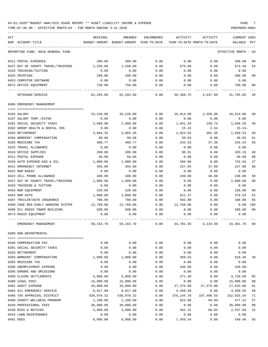TIME:07:36 AM - EFFECTIVE MONTH:03 - FOR MONTH ENDING 3-31-2020

| ACT                                | ORIGINAL   | AMENDED                                  | <b>ENCUMBERED</b> | ACTIVITY                   | ACTIVITY   | <b>CURRENT USED</b>  |                |
|------------------------------------|------------|------------------------------------------|-------------------|----------------------------|------------|----------------------|----------------|
| NUM ACCOUNT-TITLE                  |            | BUDGET-AMOUNT BUDGET-AMOUNT YEAR-TO-DATE |                   | YEAR-TO-DATE MONTH-TO-DATE |            | BALANCE PCT          |                |
|                                    |            |                                          |                   |                            |            |                      |                |
| REPORTING FUND: 0010 GENERAL FUND  |            |                                          |                   |                            |            | EFFECTIVE MONTH - 03 |                |
| 0311 POSTAL EXPENSES               | 200.00     | 200.00                                   | 0.00              | 0.00                       | 0.00       | 200.00               | 00             |
| 0427 OUT OF COUNTY TRAVEL/TRAINING | 1,250.00   | 1,250.00                                 | 0.00              | 675.60                     | 0.00       | 574.40               | 54             |
| 0428 TRAINING/TUITION              | 0.00       | 0.00                                     | 0.00              | 0.00                       | 0.00       | 0.00                 |                |
| 0435 PRINTING                      | 200.00     | 200.00                                   | 0.00              | 0.00                       | 0.00       | 200.00               | 0 <sub>0</sub> |
| 0453 COMPUTER SOFTWARE             | 0.00       | 0.00                                     | 0.00              | 0.00                       | 0.00       | 0.00                 |                |
| 0572 OFFICE EQUIPMENT              | 750.00     | 750.00                                   | 0.00              | 0.00                       | 0.00       | 750.00               | 00             |
| VETERANS ' SERVICE                 | 62,204.60  | 62,204.60                                | 0.00              | 30,408.75                  | 4,647.00   | 31,795.85            | 49             |
| 0406 EMERGENCY MANAGEMENT          |            |                                          |                   |                            |            |                      |                |
|                                    |            |                                          |                   |                            |            |                      |                |
| 0103 SALARY                        | 33,228.00  | 33,228.00                                | 0.00              | 16,614.00                  | 2,556.00   | 16,614.00            | 50             |
| 0107 SALARY TEMP./EXTRA            | 0.00       | 0.00                                     | 0.00              | 0.00                       | 0.00       | 0.00                 |                |
| 0201 SOCIAL SECURITY TAXES         | 2,089.90   | 2,089.90                                 | 0.00              | 1,041.34                   | 159.74     | 1,048.56             | 50             |
| 0202 GROUP HEALTH & DENTAL INS     | 0.00       | 0.00                                     | 0.00              | 15.24                      | 2.54       | 15.24-               |                |
| 0203 RETIREMENT                    | 3,884.35   | 3,884.35                                 | 0.00              | 1,924.82                   | 301.36     | 1,959.53             | 50             |
| 0204 WORKERS' COMPENSATION         | 99.68      | 99.68                                    | 0.00              | 50.83                      | 0.00       | 48.85                | 51             |
| 0205 MEDICARE TAX                  | 488.77     | 488.77                                   | 0.00              | 243.53                     | 37.36      | 245.24               | 50             |
| 0225 TRAVEL ALLOWANCE              | 0.00       | 0.00                                     | 0.00              | 0.00                       | 0.00       | 0.00                 |                |
| 0310 OFFICE SUPPLIES               | 200.00     | 200.00                                   | 0.00              | 96.81                      | 0.00       | 103.19               | 48             |
| 0311 POSTAL EXPENSE                | 50.00      | 50.00                                    | 0.00              | 0.00                       | 0.00       | 50.00                | 0 <sub>0</sub> |
| 0330 AUTO EXPENSE-GAS & OIL        | 1,000.00   | 1,000.00                                 | 0.00              | 266.06                     | 0.00       | 733.94               | 27             |
| 0421 EMERGENCY INTERNET            | 455.00     | 455.00                                   | 0.00              | 227.94                     | 37.99      | 227.06               | 50             |
| 0422 R&M RADIO                     | 0.00       | 0.00                                     | 0.00              | 0.00                       | 0.00       | 0.00                 |                |
|                                    |            |                                          |                   |                            |            |                      |                |
| 0423 CELL PHONE ALLOWANCE          | 480.00     | 480.00                                   | 0.00              | 240.00                     | 40.00      | 240.00               | 50             |
| 0427 OUT OF COUNTY TRAVEL/TRAINING | 1,000.00   | 1,000.00                                 | 0.00              | 0.00                       | 0.00       | 1,000.00             | 0 <sub>0</sub> |
| 0428 TRAINING & TUITION            | 0.00       | 0.00                                     | 0.00              | 0.00                       | 0.00       | 0.00                 |                |
| 0453 R&M EQUIPMENT                 | 220.00     | 220.00                                   | 0.00              | 0.00                       | 0.00       | 220.00               | 0 <sub>0</sub> |
| 0454 R&M AUTO                      | 1,000.00   | 1,000.00                                 | 0.00              | 621.37                     | 0.00       | 378.63               | 62             |
| 0487 TRAILER/AUTO INSURANCE        | 700.00     | 700.00                                   | 0.00              | 592.00                     | 0.00       | 108.00               | 85             |
| 0489 CODE RED EARLY WARNING SYSTEM | 12,768.00  | 12,768.00                                | 0.00              | 12,768.00                  | 0.00       | 0.00                 | 100            |
| 0490 911 RADIO TOWER BUILDING      | 500.00     | 500.00                                   | 0.00              | 0.00                       | 0.00       | 500.00               | 0 <sub>0</sub> |
| 0573 RADIO EQUIPMENT               | 0.00       | 0.00                                     | 0.00              | 0.00                       | 0.00       | 0.00                 |                |
| EMERGENCY MANAGEMENT               | 58,163.70  | 58,163.70                                | 0.00              | 34,701.94                  | 3,134.99   | 23,461.76            | 60             |
| 0409 NON-DEPARTMENTAL              |            |                                          |                   |                            |            |                      |                |
|                                    |            |                                          |                   |                            |            |                      |                |
| 0100 COMPENSATION PAY              | 0.00       | 0.00                                     | 0.00              | 0.00                       | 0.00       | 0.00                 |                |
| 0201 SOCIAL SECURITY TAXES         | 0.00       | 0.00                                     | 0.00              | 0.00                       | 0.00       | 0.00                 |                |
| 0203 RETIREMENT                    | 0.00       | 0.00                                     | 0.00              | 0.00                       | 0.00       | 0.00                 |                |
| 0204 WORKERS' COMPENSATION         | 1,000.00   | 1,000.00                                 | 0.00              | 389.54                     | 0.00       | 610.46               | 39             |
| 0205 MEDICARE TAX                  | 0.00       | 0.00                                     | 0.00              | 0.00                       | 0.00       | 0.00                 |                |
| 0206 UNEMPLOYMENT EXPENSE          | 0.00       | 0.00                                     | 0.00              | 436.00                     | 0.00       | $436.00 -$           |                |
| 0395 ERRORS AND OMISSIONS          | 0.00       | 0.00                                     | 0.00              | 0.00                       | 0.00       | 0.00                 |                |
| 0399 CLAIMS SETTLEMENTS            | 5,000.00   | 5,000.00                                 | 0.00              | 271.40                     | 0.00       | 4,728.60             | 05             |
| 0400 LEGAL FEES                    | 15,000.00  | 15,000.00                                | 0.00              | 0.00                       | 0.00       | 15,000.00            | 00             |
| 0401 AUDIT EXPENSE                 | 45,000.00  | 45,000.00                                | 0.00              | 27,375.00                  | 27,375.00  | 17,625.00            | 61             |
| 0404 911 EMERGENCY SERVICE         | 8,917.00   | 8,917.00                                 | 0.00              | 4,458.50                   | 0.00       | 4,458.50             | 50             |
| 0406 TAX APPRAISAL DISTRICT        | 530,970.32 | 530,970.32                               | 0.00              | 378, 144.78                | 107,496.55 | 152,825.54           | 71             |
| 0408 COUNTY WELLNESS PROGRAM       | 1,100.00   | 1,100.00                                 | 0.00              | 622.88                     | $94.85 -$  | 477.12               | 57             |
| 0426 PROFESSIONAL FEES             | 30,000.00  | 30,000.00                                | 0.00              | 0.00                       | 0.00       | 30,000.00            | 00             |
| 0430 BIDS & NOTICES                | 3,000.00   | 3,000.00                                 | 0.00              | 462.31                     | 66.04      | 2,537.69             | 15             |
| 0444 LAWN MAINTENANCE              | 0.00       | 0.00                                     | 0.00              | 0.00                       | 0.00       | 0.00                 |                |
|                                    |            |                                          |                   |                            |            |                      |                |

0481 DUES 8,000.00 8,000.00 0.00 7,459.54 0.00 540.46 93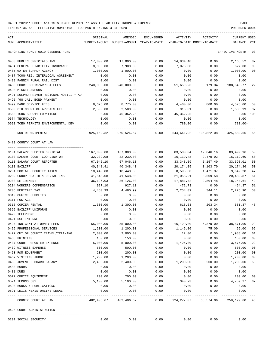| ACT                                     |            |                                                     |               | ACTIVITY                   |                        | <b>CURRENT USED</b>  |                |
|-----------------------------------------|------------|-----------------------------------------------------|---------------|----------------------------|------------------------|----------------------|----------------|
| NUM ACCOUNT-TITLE                       | ORIGINAL   | AMENDED<br>BUDGET-AMOUNT BUDGET-AMOUNT YEAR-TO-DATE | ENCUMBERED    | YEAR-TO-DATE MONTH-TO-DATE | ACTIVITY               | BALANCE              | $_{\rm PCT}$   |
| REPORTING FUND: 0010 GENERAL FUND       |            |                                                     |               |                            |                        | EFFECTIVE MONTH - 03 |                |
| 0483 PUBLIC OFFICIALS INS.              | 17,000.00  | 17,000.00                                           | 0.00          | 14,834.48                  | 0.00                   | 2,165.52             | 87             |
| 0484 GENERAL LIABILITY INSURANCE        | 8,000.00   | 7,900.00                                            | 0.00          | 7,073.00                   | 0.00                   | 827.00               | 90             |
| 0485 WATER SUPPLY AGENCY                | 1,000.00   | 1,000.00                                            | 0.00          | 0.00                       | 0.00                   | 1,000.00             | 0 <sub>0</sub> |
| 0487 TCOG-REG. INTERLOCAL AGREEMENT     | 0.00       | 0.00                                                | 0.00          | 0.00                       | 0.00                   | 0.00                 |                |
| 0488 FANNIN RURAL RAIL DIST             | 0.00       | 0.00                                                | 0.00          | 0.00                       | 0.00                   | 0.00                 |                |
| 0489 COURT COSTS/ARREST FEES            | 240,000.00 | 240,000.00                                          | 0.00          | 51,659.23                  | 179.34                 | 188,340.77           | 22             |
| 0490 MISCELLANEOUS                      | 0.00       | 0.00                                                | 0.00          | 0.00                       | 0.00                   | 0.00                 |                |
| 0491 SULPHUR RIVER REGIONAL MOBILITY AU | 0.00       | 0.00                                                | 0.00          | 0.00                       | 0.00                   | 0.00                 |                |
| 0495 '98 JAIL BOND PAYMENT              | 0.00       | 0.00                                                | 0.00          | 0.00                       | 0.00                   | 0.00                 |                |
| 0499 BANK SERVICE FEES                  | 8,675.00   | 8,775.00                                            | 0.00          | 4,400.00                   | 800.00                 | 4,375.00             | 50             |
| 0500 6TH COURT OF APPEALS FEE           | 2,500.00   | 2,500.00                                            | 0.00          | 913.01                     | 0.00                   | 1,586.99             | 37             |
| 0560 TCOG SO 911 FURNITURE              | 0.00       | 45,362.25                                           | 0.00          | 45,362.25                  | 0.00                   | $0.00$ 100           |                |
| 0574 TECHNOLOGY                         | 0.00       | 0.00                                                | 0.00          | 0.00                       | 0.00                   | 0.00                 |                |
| 0590 TCEQ PERMITS ENVIRONMENTAL DEV     | 0.00       | 0.00                                                | 0.00          | 780.00                     | 0.00                   | 780.00-              |                |
| NON-DEPARTMENTAL                        |            | 925,162.32 970,524.57                               | 0.00          |                            | 544,641.92 135,822.08  | 425,882.65           | 56             |
| 0410 COUNTY COURT AT LAW                |            |                                                     |               |                            |                        |                      |                |
| 0101 SALARY ELECTED OFFICIAL            | 167,000.00 | 167,000.00                                          | 0.00          | 83,500.04                  | 12,846.16              | 83,499.96            | 50             |
| 0103 SALARY COURT COORDINATOR           | 32,239.08  | 32,239.08                                           | 0.00          | 16,119.48                  | 2,479.92               | 16,119.60            | 50             |
| 0110 SALARY COURT REPORTER              | 67,046.10  | 67,046.10                                           | 0.00          | 33,348.09                  | 5,157.40               | 33,698.01            | 50             |
| 0130 BAILIFF                            | 40,348.41  | 40,348.41                                           | 0.00          | 20,174.05                  | 3,103.70               | 20, 174.36           | 50             |
| 0201 SOCIAL SECURITY TAXES              | 18,440.88  | 18,440.88                                           | 0.00          | 8,598.60                   | 1,471.37               | 9,842.28             | 47             |
| 0202 GROUP HEALTH & DENTAL INS          | 41,548.08  | 41,548.08                                           | 0.00          | 21,058.21                  | 3,509.58               | 20,489.87            | 51             |
| 0203 RETIREMENT                         | 36,126.03  | 36,126.03                                           | 0.00          | 17,881.42                  | 2,804.48               | 18,244.61            | 49             |
| 0204 WORKERS COMPENSATION               | 927.10     | 927.10                                              | 0.00          | 472.73                     | 0.00                   | 454.37               | 51             |
| 0205 MEDICARE TAX                       | 4,480.99   | 4,480.99                                            | 0.00          | 2,254.09                   | 344.11                 | 2,226.90             | 50             |
| 0310 OFFICE SUPPLIES                    | 0.00       | 0.00                                                | 0.00          | 0.00                       | 0.00                   | 0.00                 |                |
| 0311 POSTAGE                            | 0.00       | 0.00                                                | 0.00          | 0.00                       | 0.00                   | 0.00                 |                |
| 0315 COPIER RENTAL                      | 1,300.00   | 1,300.00                                            | 0.00          | 618.63                     | 203.34                 | 681.37               | 48             |
| 0395 BAILIFF UNIFORMS                   | 0.00       | 0.00                                                | 0.00          | 0.00                       | 0.00                   | 0.00                 |                |
| 0420 TELEPHONE                          | 0.00       | 0.00                                                | 0.00          | 0.00                       | 0.00                   | 0.00                 |                |
| 0421 DSL INTERNET                       | 0.00       | 0.00                                                | 0.00          | 0.00                       | 0.00                   | 0.00                 |                |
| 0424 INDIGENT ATTORNEY FEES             | 55,000.00  | 55,000.00                                           | 0.00          | 16,129.00                  | 6,379.00               | 38,871.00            | 29             |
| 0425 PROFESSIONAL SERVICES              | 1,200.00   | 1,200.00                                            | 0.00          | 1,145.00                   | 75.00                  | 55.00                | 95             |
| 0427 OUT OF COUNTY TRAVEL/TRAINING      | 2,000.00   | 2,000.00                                            | 0.00          | 12.00                      | 0.00                   | 1,988.00             | 01             |
| 0435 PRINTING                           | 150.00     | 150.00                                              | 0.00          | 0.00                       | 0.00                   | 150.00               | 0 <sub>0</sub> |
| 0437 COURT REPORTER EXPENSE             | 5,000.00   | 5,000.00                                            | 0.00          | 1,425.00                   | 0.00                   | 3,575.00             | 29             |
| 0439 WITNESS EXPENSE                    | 500.00     | 500.00                                              | 0.00          | 0.00                       | 0.00                   | 500.00               | 0 <sub>0</sub> |
| 0453 R&M EQUIPMENT                      | 200.00     | 200.00                                              | 0.00          | 0.00                       | 0.00                   | 200.00               | 0 <sub>0</sub> |
| 0467 VISITING JUDGE                     | 1,200.00   | 1,200.00                                            | 0.00          | 0.00                       | 0.00                   | 1,200.00             | 0 <sub>0</sub> |
| 0468 JUVENILE BOARD SALARY              | 2,400.00   | 2,400.00                                            | 0.00          | 1,200.00                   | 200.00                 | 1,200.00             | 50             |
| 0480 BONDS                              | 0.00       | 0.00                                                | 0.00          | 0.00                       | 0.00                   | 0.00                 |                |
| 0481 DUES                               | 0.00       | 0.00                                                | 0.00          | 0.00                       | 0.00                   | 0.00                 |                |
| 0572 OFFICE EQUIPMENT                   | 200.00     | 200.00                                              | 0.00          | 0.00                       | 0.00                   | 200.00               | 0 <sub>0</sub> |
| 0574 TECHNOLOGY                         | 5,100.00   | 5,100.00                                            | 0.00          | 340.73                     | 0.00                   | 4,759.27             | 07             |
| 0590 BOOKS & PUBLICATIONS               | 0.00       | 0.00                                                | 0.00          | 0.00                       | 0.00                   | 0.00                 |                |
| 0591 LEXIS NEXIS ONLINE LEGAL           | 0.00       | 0.00                                                | 0.00<br>----- | 0.00                       | 0.00                   | 0.00                 |                |
| COUNTY COURT AT LAW                     | 482,406.67 | 482,406.67                                          | 0.00          |                            | 224, 277.07 38, 574.06 | 258,129.60           | 46             |
| 0425 COURT ADMINISTRATION               |            |                                                     |               |                            |                        |                      |                |
| 0201 SOCIAL SECURITY                    | 0.00       | 0.00                                                | 0.00          | 0.00                       | 0.00                   | 0.00                 |                |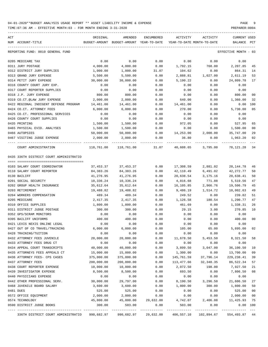| ACT | NUM ACCOUNT-TITLE                       | ORIGINAL   | AMENDED<br>BUDGET-AMOUNT BUDGET-AMOUNT YEAR-TO-DATE | ENCUMBERED           | ACTIVITY<br>YEAR-TO-DATE MONTH-TO-DATE      | ACTIVITY   | CURRENT USED<br>BALANCE | PCT          |
|-----|-----------------------------------------|------------|-----------------------------------------------------|----------------------|---------------------------------------------|------------|-------------------------|--------------|
|     | REPORTING FUND: 0010 GENERAL FUND       |            |                                                     |                      |                                             |            | EFFECTIVE MONTH - 03    |              |
|     | 0205 MEDICARE TAX                       | 0.00       | 0.00                                                | 0.00                 | 0.00                                        | 0.00       | 0.00                    |              |
|     | 0311 JURY POSTAGE                       | 4,000.00   | 4,000.00                                            | 0.00                 | 1,792.15                                    | 768.00     | 2,207.85                | 45           |
|     | 0312 DISTRICT JURY SUPPLIES             | 1,000.00   | 1,000.00                                            | 31.07                | 104.62                                      | 0.00       | 864.31                  | 14           |
|     | 0313 GRAND JURY EXPENSE                 | 5,500.00   | 5,500.00                                            | 0.00                 | 2,888.81                                    | 1,027.00   | 2,611.19                | 53           |
|     | 0314 PETIT JURY EXPENSE                 | 30,000.00  | 30,000.00                                           | 0.00                 | 5,190.22                                    | 0.00       | 24,809.78               | 17           |
|     | 0316 COUNTY COURT JURY EXP.             | 0.00       | 0.00                                                | 0.00                 | 0.00                                        | 0.00       | 0.00                    |              |
|     | 0317 COURT REPORTER SUPPLIES            | 0.00       | 0.00                                                | 0.00                 | 0.00                                        | 0.00       | 0.00                    |              |
|     | 0318 J.P. JURY EXPENSE                  | 800.00     | 800.00                                              | 0.00                 | 0.00                                        | 0.00       | 800.00                  | 00           |
|     | 0319 CO.CT.@LAW JURY EXPENSE            | 2,000.00   | 2,000.00                                            | 0.00                 | 640.00                                      | 0.00       | 1,360.00                | 32           |
|     | 0422 REGIONAL INDIGENT DEFENSE PROGRAM  | 14,461.00  | 14,461.00                                           | 0.00                 | 14,461.00                                   | 0.00       | $0.00$ 100              |              |
|     | 0424 CO.CT. ATTORNEY FEES               | 6,000.00   | 6,000.00                                            | 0.00                 | 270.00                                      | 0.00       | 5,730.00                | 05           |
|     | 0425 CO.CT. PROFESSIONAL SERVICES       | 0.00       | 0.00                                                | 0.00                 | 0.00                                        | 0.00       | 0.00                    |              |
|     | 0426 COUNTY COURT SUPPLIES              | 0.00       | 0.00                                                | 0.00                 | 0.00                                        | 0.00       | 0.00                    |              |
|     | 0435 PRINTING                           | 1,500.00   | 1,500.00                                            | 0.00                 | 972.05                                      | 0.00       | 527.95                  | 65           |
|     | 0465 PHYSICAL EVID. ANALYSES            | 1,500.00   | 1,500.00                                            | 0.00                 | 0.00                                        | 0.00       | 1,500.00                | 00           |
|     | 0466 AUTOPSIES                          | 50,000.00  | 50,000.00                                           | 0.00                 | 14,253.00                                   | 2,000.00   | 35,747.00               | 29           |
|     | 0467 VISITING JUDGE EXPENSE             | 2,000.00   | 2,000.00                                            | 0.00                 | 36.80                                       | 0.00       | 1,963.20                | 02           |
|     | COURT ADMINISTRATION                    | 118,761.00 |                                                     |                      | $118,761.00$ $31.07$ $40,608.65$ $3,795.00$ |            | 78,121.28               | 34           |
|     | 0435 336TH DISTRICT COURT ADMINISTRATIO |            |                                                     |                      |                                             |            |                         |              |
|     |                                         |            |                                                     |                      |                                             |            |                         |              |
|     | 0103 SALARY COURT COORDINATOR           | 37,453.37  | 37,453.37                                           | 0.00                 | 17,308.59                                   | 2,881.02   | 20,144.78               | 46           |
|     | 0110 SALARY COURT REPORTER              | 84,383.26  | 84,383.26                                           | 0.00                 | 42,110.49                                   | 6,491.02   | 42,272.77               | 50           |
|     | 0130 BAILIFF                            | 41,276.95  | 41,276.95                                           | 0.00                 | 20,638.54                                   | 3,175.16   | 20,638.41               | 50           |
|     | 0201 SOCIAL SECURITY                    | 10,336.24  | 10,336.24                                           | 0.00                 | 4,816.68                                    | 771.88     | 5,519.56                | 47           |
|     | 0202 GROUP HEALTH INSURANCE             | 35,612.64  | 35,612.64                                           | 0.00                 | 16,105.85                                   | 2,966.76   | 19,506.79               | 45           |
|     | 0203 RETIREMENT                         | 19,488.82  | 19,488.82                                           | 0.00                 | 9,486.19                                    | 1,514.72   | 10,002.63               | 49           |
|     | 0204 WORKERS COMPENSATION               | 489.34     | 489.34                                              | 0.00                 | 249.52                                      | 0.00       | 239.82                  | 51           |
|     | 0205 MEDICARE                           | 2,417.35   | 2,417.35                                            | 0.00                 | 1,126.58                                    | 180.54     | 1,290.77                | 47           |
|     | 0310 OFFICE SUPPLIES                    | 1,800.00   | 1,800.00                                            | 0.00                 | 461.69                                      | 0.00       | 1,338.31                | 26           |
|     | 0311 DISTRICT JUDGE POSTAGE             | 300.00     | 300.00                                              | 0.00                 | 29.15                                       | 3.00       | 270.85                  | 10           |
|     | 0352 GPS/SCRAM MONITORS                 | 0.00       | 0.00                                                | 0.00                 | 0.00                                        | 0.00       | 0.00                    |              |
|     | 0395 BAILIFF UNIFORMS                   | 400.00     | 400.00                                              | 0.00                 | 0.00                                        | 0.00       | 400.00                  | 00           |
|     | 0421 LEXIS NEXIS ONLINE LEGAL           | 0.00       | 0.00                                                | 0.00                 | 0.00                                        | 0.00       | 0.00                    |              |
|     | 0427 OUT OF CO TRAVEL/TRAINING          | 6,000.00   | 6,000.00                                            | 0.00                 | 105.00                                      | 65.00      | 5,895.00                | 02           |
|     | 0428 TRAINING/TUITION                   | 0.00       | 0.00                                                | 0.00                 | 0.00                                        | 0.00       | 0.00                    |              |
|     | 0432 ATTORNEY FEES JUVENILE             | 20,000.00  | 20,000.00                                           | 0.00                 | 11,678.50                                   | 5,453.50   | 8,321.50                | 58           |
|     | 0433 ATTORNEY FEES DRUG CT              | 0.00       | 0.00                                                | 0.00                 | 0.00                                        | 0.00       | 0.00                    |              |
|     | 0434 APPEAL COURT TRANSCRIPTS           | 40,000.00  | 40,000.00                                           | 0.00                 | 3,899.50                                    | 3,047.00   | 36,100.50               | 10           |
|     | 0435 ATTORNEYS FEES APPEALS CT          | 15,000.00  | 15,000.00                                           | 0.00                 | 1,300.00                                    | 0.00       | 13,700.00               | 09           |
|     | 0436 ATTORNEY FEES- CPS CASES           | 375,000.00 | 375,000.00                                          | 0.00                 | 145,761.59                                  | 37,796.14  | 229, 238.41             | 39           |
|     | 0437 ATTORNEY FEES                      | 200,000.00 | 200,000.00                                          | 0.00                 | 113,477.66                                  | 32, 348.35 | 86,522.34               | 57           |
|     | 0438 COURT REPORTER EXPENSE             | 10,000.00  | 10,000.00                                           | 0.00                 | 2,072.50                                    | 198.00     | 7,927.50                | 21           |
|     | 0439 INVESTIGATOR EXPENSE               | 8,500.00   | 8,500.00                                            | 0.00                 | 693.50                                      | 0.00       | 7,806.50                | 08           |
|     | 0440 PHYSICIANS EXPENSE                 | 0.00       | 0.00                                                | 0.00                 | 0.00                                        | 0.00       | 0.00                    |              |
|     | 0442 OTHER PROFESSIONAL SERV.           | 30,000.00  | 29,797.00                                           | 0.00                 | 8,190.50                                    | 3,296.50   | 21,606.50               | 27           |
|     | 0468 JUVENILE BOARD SALARY              | 3,600.00   | 3,600.00                                            | 0.00                 | 1,800.00                                    | 300.00     | 1,800.00                | 50           |
|     | 0481 DUES                               | 525.00     | 525.00                                              | 0.00                 | 0.00                                        | 0.00       | 525.00                  | 00           |
|     | 0572 OFFICE EQUIPMENT                   | 2,000.00   | 2,000.00                                            | 0.00                 | 0.00                                        | 0.00       | 2,000.00                | 00           |
|     | 0574 TECHNOLOGY                         | 45,800.00  | 45,800.00                                           | 29,632.00            | 4,742.07                                    | 2,406.08   | 11,425.93               | 75           |
|     | 0590 DISTRICT JUDGE BOOKS               | 300.00     | 503.00                                              | 0.00<br>. <u>.</u>   | 503.00                                      | 0.00       | 0.00                    | 100<br>$---$ |
|     | 336TH DISTRICT COURT ADMINISTRATIO      | 990,682.97 |                                                     | 990,682.97 29,632.00 | 406,557.10 102,894.67                       |            | 554,493.87 44           |              |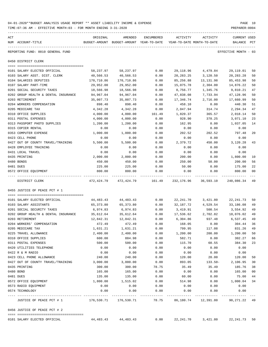| ACT |                                                                                    | ORIGINAL   | AMENDED                                  | ENCUMBERED             | ACTIVITY                   | ACTIVITY             | CURRENT USED            |      |
|-----|------------------------------------------------------------------------------------|------------|------------------------------------------|------------------------|----------------------------|----------------------|-------------------------|------|
|     | NUM ACCOUNT-TITLE                                                                  |            | BUDGET-AMOUNT BUDGET-AMOUNT YEAR-TO-DATE |                        | YEAR-TO-DATE MONTH-TO-DATE |                      | BALANCE                 | PCT  |
|     | REPORTING FUND: 0010 GENERAL FUND                                                  |            |                                          |                        |                            |                      | EFFECTIVE MONTH - 03    |      |
|     | 0450 DISTRICT CLERK                                                                |            |                                          |                        |                            |                      |                         |      |
|     | 0101 SALARY ELECTED OFFICIAL                                                       | 58,237.97  | 58,237.97                                | 0.00                   | 29,118.96                  | 4,479.84             | 29,119.01               | 50   |
|     | 0103 SALARY ASST. DIST. CLERK                                                      | 40,566.53  | 40,566.53                                | 0.00                   | 20,283.25                  | 3,120.50             | 20,283.28               |      |
|     | 0104 SALARIES DEPUTIES                                                             | 170,710.86 | 170,710.86                               | 0.00                   | 85,256.88                  | 13,131.98            | 85,453.98               |      |
|     | 0107 SALARY PART-TIME                                                              | 29,952.00  | 29,952.00                                | 0.00                   | 15,075.78                  | 2,304.00             | 14,876.22               |      |
|     | 0201 SOCIAL SECURITY TAXES                                                         | 18,566.98  | 18,566.98                                | 0.00                   | 8,756.77                   | 1,345.76             | 9,810.21                |      |
|     | 0202 GROUP HEALTH & DENTAL INSURANCE                                               | 94,967.04  | 94,967.04                                | 0.00                   | 47,838.08                  | 7,733.94             | 47,128.96               |      |
|     | 0203 RETIREMENT                                                                    | 35,007.73  | 35,007.73                                | 0.00                   | 17,346.74                  | 2,716.00             | 17,660.99               | 50   |
|     | 0204 WORKERS COMPENSATION                                                          | 898.40     | 898.40                                   | 0.00                   | 458.10                     | 0.00                 | 440.30                  | 51   |
|     | 0205 MEDICARE TAX                                                                  | 4,342.28   | 4,342.28                                 | 0.00                   | 2,047.94                   | 314.74               | 2,294.34                | 47   |
|     | 0310 OFFICE SUPPLIES                                                               | 4,000.00   | 4,000.00                                 | 161.49                 | 1,820.37                   | 365.57               | 2,018.14                | 50   |
|     | 0311 POSTAL EXPENSES                                                               | 4,000.00   | 4,000.00                                 | 0.00                   | 928.90                     | 378.25               | 3,071.10                | 23   |
|     | 0313 PASSPORT PHOTO SUPPLIES                                                       | 1,200.00   | 1,200.00                                 | 0.00                   | 162.95                     | 0.00                 | 1,037.05                | 14   |
|     | 0315 COPIER RENTAL                                                                 | 0.00       | 0.00                                     | 0.00                   | 0.00                       | 0.00                 | 0.00                    |      |
|     | 0353 COMPUTER EXPENSE                                                              | 1,000.00   | 1,000.00                                 | 0.00                   | 202.52                     | 202.52               | 797.48                  | 20   |
|     | 0423 CELL PHONE                                                                    | 0.00       | 0.00                                     | 0.00                   | 0.00                       | 0.00                 | 0.00                    |      |
|     | 0427 OUT OF COUNTY TRAVEL/TRAINING                                                 | 5,500.00   | 5,500.00                                 | 0.00                   | 2,379.72                   | 450.00               | 3,120.28                | 43   |
|     | 0428 EMPLOYEE TRAINING                                                             | 0.00       | 0.00                                     | 0.00                   | 0.00                       | 0.00                 | 0.00                    |      |
|     | 0431 LOCAL TRAVEL                                                                  | 0.00       | 0.00                                     | 0.00                   | 0.00                       | 0.00                 | 0.00                    |      |
|     | 0435 PRINTING                                                                      | 2,000.00   | 2,000.00                                 | 0.00                   | 200.00                     | 0.00                 | 1,800.00                | 10   |
|     | 0480 BONDS                                                                         | 450.00     | 450.00                                   | 0.00                   | 250.00                     | 50.00                | 200.00                  | 56   |
|     | 0481 DUES                                                                          | 225.00     | 225.00                                   | 0.00                   | 50.00                      | 0.00                 | 175.00                  | 22   |
|     | 0572 OFFICE EQUIPMENT<br>--------------------- --------------<br>---- ------------ | 800.00     | 800.00<br>--------------                 | 0.00<br>-------------- | 0.00                       | 0.00                 | 800.00<br>------------- | 00   |
|     | DISTRICT CLERK                                                                     |            | 472,424.79 472,424.79 161.49             |                        |                            | 232,176.96 36,593.10 | 240,086.34              | - 49 |
|     | 0455 JUSTICE OF PEACE PCT # 1                                                      |            |                                          |                        |                            |                      |                         |      |
|     | 0101 SALARY ELECTED OFFICIAL                                                       |            | 44, 483, 43 44, 483, 43                  | 0.00                   |                            | 22,241.70 3,421.80   | 22,241.73               | 50   |
|     | 0103 SALARY ASSISTANTS                                                             | 65,373.80  | 65,373.80                                | 0.00                   | 32,187.72                  | 4,529.54             | 33,186.08               | 49   |
|     | 0201 SOCIAL SECURITY TAXES                                                         | 6,974.83   | 6,974.83                                 | 0.00                   | 3,419.91                   | 500.54               | 3,554.92                | 49   |
|     | 0202 GROUP HEALTH & DENTAL INSURANCE                                               | 35,612.64  | 35,612.64                                | 0.00                   | 17,536.62                  | 2,702.82             | 18,076.02               | 49   |
|     | 0203 RETIREMENT                                                                    | 12,842.31  | 12,842.31                                | 0.00                   | 6,304.86                   | 937.48               | 6,537.45                | 49   |
|     | 0204 WORKERS' COMPENSATION                                                         | 472.49     | 472.49                                   | 0.00                   | 168.05                     | 0.00                 | 304.44                  | 36   |
|     | 0205 MEDICARE TAX                                                                  | 1,631.21   | 1,631.21                                 | 0.00                   | 799.95                     | 117.08               | 831.26                  | 49   |
|     | 0225 TRAVEL ALLOWANCE                                                              | 2,400.00   | 2,400.00                                 | 0.00                   | 1,200.00                   | 200.00               | 1,200.00                | 50   |
|     | 0310 OFFICE SUPPLIES                                                               | 600.00     | 884.98                                   | 0.00                   | 582.71                     | 0.00                 | 302.27                  | 66   |
|     | 0311 POSTAL EXPENSES                                                               | 500.00     | 500.00                                   | 0.00                   | 115.70                     | 60.55                | 384.30                  | 23   |
|     | 0420 UTILITIES TELEPHONE                                                           | 0.00       | 0.00                                     | 0.00                   | 0.00                       | 0.00                 | 0.00                    |      |
|     | 0422 R & M RADIO                                                                   | 0.00       | 0.00                                     | 0.00                   | 0.00                       | 0.00                 | 0.00                    |      |
|     | 0423 CELL PHONE ALLOWANCE                                                          | 240.00     | 240.00                                   | 0.00                   | 120.00                     | 20.00                | 120.00                  | 50   |
|     | 0427 OUT OF COUNTY TRAVEL/TRAINING                                                 | 3,000.00   | 3,000.00                                 | 0.00                   | 893.05                     | $133.50-$            | 2,106.95                | 30   |
|     | 0435 PRINTING                                                                      | 300.00     | 300.00                                   | 78.75                  | 35.49                      | 35.49                | 185.76                  | 38   |
|     | 0480 BOND                                                                          | 165.00     | 165.00                                   | 0.00                   | 0.00                       | 0.00                 | 165.00                  | 00   |
|     | 0481 DUES                                                                          | 135.00     | 135.00                                   | 0.00                   | 60.00                      | 0.00                 | 75.00                   | 44   |
|     | 0572 OFFICE EQUIPMENT                                                              | 1,800.00   | 1,515.02                                 | 0.00                   | 514.98                     | 0.00                 | 1,000.04                | 34   |
|     | 0573 RADIO EQUIPMENT                                                               | 0.00       | 0.00                                     | 0.00                   | 0.00                       | 0.00                 | 0.00                    |      |
|     | 0574 TECHNOLOGY                                                                    | 0.00       | 0.00                                     | 0.00<br>$- - - - - -$  | 0.00                       | 0.00                 | 0.00                    |      |
|     | JUSTICE OF PEACE PCT # 1                                                           | 176,530.71 | 176,530.71                               | 78.75                  | 86,180.74                  | 12,391.80            | 90,271.22               | 49   |

0101 SALARY ELECTED OFFICIAL  $44,483.43$   $44,483.43$   $0.00$   $22,241.70$   $3,421.80$   $22,241.73$  50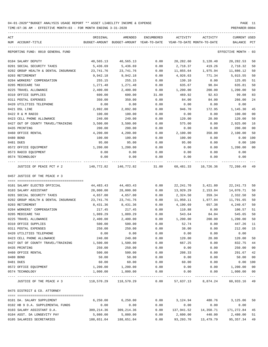TIME:07:36 AM - EFFECTIVE MONTH:03 - FOR MONTH ENDING 3-31-2020

| ACT<br>NUM ACCOUNT-TITLE                            | ORIGINAL                 | AMENDED<br>BUDGET-AMOUNT BUDGET-AMOUNT YEAR-TO-DATE | ENCUMBERED | ACTIVITY   | ACTIVITY<br>YEAR-TO-DATE MONTH-TO-DATE | CURRENT USED<br>BALANCE | PCT            |
|-----------------------------------------------------|--------------------------|-----------------------------------------------------|------------|------------|----------------------------------------|-------------------------|----------------|
| REPORTING FUND: 0010 GENERAL FUND                   |                          |                                                     |            |            |                                        | EFFECTIVE MONTH - 03    |                |
| 0104 SALARY DEPUTY                                  | 40,565.13                | 40,565.13                                           | 0.00       | 20,282.60  | 3,120.40                               | 20,282.53               | 50             |
| 0201 SOCIAL SECURITY TAXES                          | 5,436.69                 | 5,436.69                                            | 0.00       | 2,718.37   | 419.26                                 | 2,718.32                | 50             |
| 0202 GROUP HEALTH & DENTAL INSURANCE                | 23,741.76                | 23,741.76                                           | 0.00       | 11,855.64  | 1,975.94                               | 11,886.12               | 50             |
| 0203 RETIREMENT                                     | 9,942.18                 | 9,942.18                                            | 0.00       | 4,926.63   | 771.34                                 | 5,015.55                | 50             |
| 0204 WORKERS' COMPENSATION                          | 255.15                   | 255.15                                              | 0.00       | 130.10     | 0.00                                   | 125.05                  | 51             |
| 0205 MEDICARE TAX                                   | 1,271.48                 | 1,271.48                                            | 0.00       | 635.67     | 98.04                                  | 635.81                  | 50             |
| 0225 TRAVEL ALLOWANCE                               | 2,400.00                 | 2,400.00                                            | 0.00       | 1,200.00   | 200.00                                 | 1,200.00                | 50             |
| 0310 OFFICE SUPPLIES                                | 600.00                   | 600.00                                              | 31.00      | 469.92     | 92.63                                  | 99.08                   | 83             |
| 0311 POSTAL EXPENSES                                | 350.00                   | 350.00                                              | 0.00       | 84.00      | 84.00                                  | 266.00                  | 24             |
| 0420 UTILITIES TELEPHONE                            | 0.00                     | 0.00                                                | 0.00       | 0.00       | 0.00                                   | 0.00                    |                |
| 0421 DSL LINE                                       | 2,092.00                 | 2,092.00                                            | 0.00       | 946.70     | 172.95                                 | 1,145.30                | 45             |
| 0422 R & M RADIO                                    | 100.00                   | 100.00                                              | 0.00       | 0.00       | 0.00                                   | 100.00                  | 0 <sub>0</sub> |
| 0423 CELL PHONE ALLOWANCE                           | 240.00                   | 240.00                                              | 0.00       | 120.00     | 20.00                                  | 120.00                  | 50             |
| 0427 OUT OF COUNTY TRAVEL/TRAINING                  | 3,500.00                 | 3,500.00                                            | 0.00       | 575.00     | 0.00                                   | 2,925.00                | 16             |
| 0435 PRINTING                                       | 200.00                   | 200.00                                              | 0.00       | 0.00       | 0.00                                   | 200.00                  | 0 <sub>0</sub> |
| 0460 OFFICE RENTAL                                  | 4,200.00                 | 4,200.00                                            | 0.00       | 2,100.00   | 350.00                                 | 2,100.00                | 50             |
| 0480 BOND                                           | 100.00                   | 100.00                                              | 0.00       | 100.00     | 0.00                                   | 0.00                    | 100            |
| 0481 DUES                                           | 95.00                    | 95.00                                               | 0.00       | 95.00      | 0.00                                   | 0.00                    | 100            |
| 0572 OFFICE EQUIPMENT                               | 1,200.00                 | 1,200.00                                            | 0.00       | 0.00       | 0.00                                   | 1,200.00                | 0 <sup>0</sup> |
| 0573 RADIO EQUIPMENT                                | 0.00                     | 0.00                                                | 0.00       | 0.00       | 0.00                                   | 0.00                    |                |
| 0574 TECHNOLOGY                                     | 0.00                     | 0.00                                                | 0.00       | 0.00       | 0.00                                   | 0.00                    |                |
| ---- ------------------<br>JUSTICE OF PEACE PCT # 2 | ----------<br>140,772.82 | 140,772.82                                          | 31.00      | ---------- | 68,481.33 10,726.36                    | 72,260.49               | 49             |
| 0457 JUSTICE OF THE PEACE # 3                       |                          |                                                     |            |            |                                        |                         |                |
|                                                     |                          |                                                     |            |            |                                        |                         |                |
| 0101 SALARY ELECTED OFFICIAL                        | 44,483.43                | 44,483.43                                           | 0.00       | 22,241.70  | 3,421.80                               | 22, 241.73              | 50             |
| 0103 SALARY ASSISTANT                               | 28,000.00                | 28,000.00                                           | 0.00       | 13,929.29  | 2,153.84                               | 14,070.71               | 50             |
| 0201 SOCIAL SECURITY TAXES                          | 4,657.00                 | 4,657.00                                            | 0.00       | 2,324.50   | 359.34                                 | 2,332.50                | 50             |
| 0202 GROUP HEALTH & DENTAL INSURANCE                | 23,741.76                | 23,741.76                                           | 0.00       | 11,950.11  | 1,977.84                               | 11,791.65               | 50             |
| 0203 RETIREMENT                                     | 8,431.36                 | 8,431.36                                            | 0.00       | 4,190.69   | 657.38                                 | 4,240.67                | 50             |
| 0204 WORKERS' COMPENSATION                          | 217.45                   | 217.45                                              | 0.00       | 110.88     | 0.00                                   | 106.57                  | 51             |
| 0205 MEDICARE TAX                                   | 1,089.29                 | 1,089.29                                            | 0.00       | 543.64     | 84.04                                  | 545.65                  | 50             |
| 0225 TRAVEL ALLOWANCE                               | 2,400.00                 | 2,400.00                                            | 0.00       | 1,200.00   | 200.00                                 | 1,200.00                | 50             |
| 0310 OFFICE SUPPLIES                                | 500.00                   | 500.00                                              | 0.00       | 52.74      | 0.00                                   | 447.26                  | 11             |
| 0311 POSTAL EXPENSES                                | 250.00                   | 250.00                                              | 0.00       | 38.00      | 0.00                                   | 212.00                  | 15             |
| 0420 UTILITIES TELEPHONE                            | 0.00                     | 0.00                                                | 0.00       | 0.00       | 0.00                                   | 0.00                    |                |
| 0423 CELL PHONE ALLOWANCE                           | 240.00                   | 240.00                                              | 0.00       | 120.00     | 20.00                                  | 120.00                  | 50             |
| 0427 OUT OF COUNTY TRAVEL/TRAINING                  | 1,500.00                 | 1,500.00                                            | 0.00       | 667.25     | 0.00                                   | 832.75                  | 44             |
| 0435 PRINTING                                       | 250.00                   | 250.00                                              | 0.00       | 0.00       | 0.00                                   | 250.00                  | 0 <sub>0</sub> |
| 0460 OFFICE RENTAL                                  | 500.00                   | 500.00                                              | 0.00       | 208.33     | 0.00                                   | 291.67                  | 42             |
| 0480 BOND                                           | 50.00                    | 50.00                                               | 0.00       | 0.00       | 0.00                                   | 50.00                   | 0 <sub>0</sub> |
| 0481 DUES                                           | 60.00                    | 60.00                                               | 0.00       | 60.00      | 0.00                                   | $0.00$ 100              |                |
| 0572 OFFICE EQUIPMENT                               | 1,200.00                 | 1,200.00                                            | 0.00       | 0.00       | 0.00                                   | 1,200.00                | 0 <sub>0</sub> |
| 0574 TECHNOLOGY                                     | 1,000.00                 | 1,000.00                                            | 0.00       | 0.00       | 0.00                                   | 1,000.00                | 0 <sub>0</sub> |
| JUSTICE OF THE PEACE # 3                            |                          |                                                     |            |            | $0.00$ 57,637.13 8,874.24              | 60,933.16 49            | $---$          |
|                                                     |                          |                                                     |            |            |                                        |                         |                |
| 0475 DISTRICT & CO. ATTORNEY                        |                          |                                                     |            |            |                                        |                         |                |
| 0101 DA. SALARY SUPPLEMENT                          | 6,250.00                 | 6, 250.00                                           |            |            | $0.00$ $3,124.94$ $480.76$ $3,125.06$  |                         | 50             |
| 0102 HB 9 D.A. SUPPLEMENTAL FUNDS                   | 0.00                     | 0.00                                                | 0.00       | 0.00       | 0.00                                   | 0.00                    |                |
| 0103 SALARY ASSISTANT D.A.                          | 309,214.36               | 309,214.36                                          | 0.00       |            | 137,941.52 14,350.71                   | 171,272.84              | 45             |
| 0104 ASST. DA LONGEVITY PAY                         | 5,080.00                 | 5,080.00                                            | 0.00       |            | 2,600.00 440.00                        | 2,480.00                | 51             |

0105 SALARIES SECRETARIES 188,651.04 188,651.04 0.00 93,293.70 13,479.79 95,357.34 49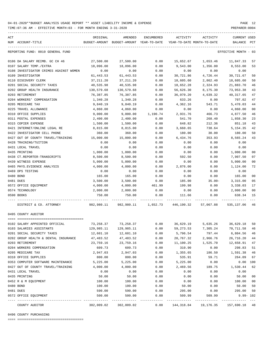TIME:07:36 AM - EFFECTIVE MONTH:03 - FOR MONTH ENDING 3-31-2020

| ACT<br>NUM ACCOUNT-TITLE                                                 | ORIGINAL           | AMENDED<br>BUDGET-AMOUNT BUDGET-AMOUNT YEAR-TO-DATE YEAR-TO-DATE MONTH-TO-DATE | ENCUMBERED   | ACTIVITY             | ACTIVITY                                    | CURRENT USED<br>BALANCE PCT |                |
|--------------------------------------------------------------------------|--------------------|--------------------------------------------------------------------------------|--------------|----------------------|---------------------------------------------|-----------------------------|----------------|
| REPORTING FUND: 0010 GENERAL FUND                                        |                    |                                                                                |              |                      |                                             | EFFECTIVE MONTH - 03        |                |
| 0106 DA SALARY REIMB. GC CH 46                                           | 27,500.00          | 27,500.00                                                                      | 0.00         |                      |                                             |                             | 57             |
| 0107 SALARY TEMP./EXTRA                                                  | 18,096.00          | 18,096.00                                                                      | 0.00         | 9,543.00             | 1,356.00                                    | 8,553.00                    | 53             |
| 0108 INVESTIGATOR CRIMES AGAINST WOMEN                                   | 0.00               | 0.00                                                                           | 0.00         | 0.00                 | 0.00                                        | 0.00                        |                |
| 0109 INVESTIGATOR                                                        | 61,443.53          | 61,443.53                                                                      | 0.00         | 30,721.86            | 4,726.44                                    | 30,721.67                   | 50             |
| 0110 DISCOVERY CLERK                                                     | 37, 211.20         | 37, 211.20                                                                     | 0.00         | 18,605.60            | 2,862.40                                    | 18,605.60                   | 50             |
| 0201 SOCIAL SECURITY TAXES                                               | 40,535.98          | 40,535.98                                                                      | 0.00         | 18,652.28            | 2,324.93                                    | 21,883.70                   | 46             |
| 0202 GROUP HEALTH INSURANCE                                              | 130,579.68         | 130,579.68                                                                     | 0.00         | 56,626.30            | 8,175.30                                    | 73,953.38                   | 43             |
| 0203 RETIREMENT                                                          | 76,387.85          | 76,387.85                                                                      | 0.00         | 36,070.20            | 4,639.32                                    | 40, 317.65                  | 47             |
| 0204 WORKERS' COMPENSATION                                               | 1,340.28           | 1,340.28                                                                       | 0.00         | 633.26               | 0.00                                        | 707.02                      | 47             |
| 0205 MEDICARE TAX                                                        | 9,840.19           | 9,840.19                                                                       | 0.00         | 4,362.16             | 543.71                                      | 5,478.03                    | 44             |
| 0225 TRAVEL ALLOWANCE                                                    | 4,860.00           | 4,860.00                                                                       | 0.00         | 0.00                 | 0.00                                        | 4,860.00                    | 0 <sub>0</sub> |
| 0310 OFFICE SUPPLIES                                                     | 9,000.00           | 9,000.00                                                                       | 1,190.74     | 2,931.76             | 466.73                                      | 4,877.50                    | 46             |
| 0311 POSTAL EXPENSES                                                     | 2,400.00           | 2,400.00                                                                       | 0.00         | 541.70               | 268.40                                      | 1,858.30                    | 23             |
| 0315 COPIER EXPENSE                                                      | 1,500.00           | 1,500.00                                                                       | 0.00         | 648.82               | 212.36                                      | 851.18                      | 43             |
| 0421 INTERNET/ONLINE LEGAL RE                                            | 8,815.00           | 8,815.00                                                                       | 0.00         | 3,660.65             | 738.64                                      | 5, 154.35                   | 42             |
| 0422 INVESTIGATOR CELL PHONE                                             | 360.00             | 360.00                                                                         | 0.00         | 180.00               | 30.00                                       | 180.00                      | 50             |
| 0427 OUT OF COUNTY TRAVEL/TRAINING                                       | 15,000.00          | 15,000.00                                                                      | 0.00         | 6,434.76             | 353.93                                      | 8,565.24                    | 43             |
| 0428 TRAINING/TUITION                                                    | 0.00               | 0.00                                                                           | 0.00         | 0.00                 | 0.00                                        | 0.00                        |                |
| 0431 LOCAL TRAVEL                                                        | 0.00               | 0.00                                                                           | 0.00         | 0.00                 | 0.00                                        | 0.00                        |                |
| 0435 PRINTING                                                            | 1,000.00           | 1,000.00                                                                       | 0.00         | 0.00                 | 0.00                                        | 1,000.00                    | 0 <sub>0</sub> |
| 0438 CT.REPORTER-TRANSCRIPTS                                             | 8,500.00           | 8,500.00                                                                       | 0.00         | 592.50               | 0.00                                        | 7,907.50                    | 07             |
| 0439 WITNESS EXPENSE                                                     | 5,000.00           | 5,000.00                                                                       | 0.00         | 0.00                 | 0.00                                        | 5,000.00                    | 0 <sub>0</sub> |
| 0465 PHYS. EVIDENCE ANALYSIS                                             | 4,000.00           | 4,000.00                                                                       | 0.00         | 2,876.00             | 0.00                                        | 1,124.00                    | 72             |
| 0469 DPS TESTING                                                         | 0.00               | 0.00                                                                           | 0.00         | 0.00                 | 0.00                                        | 0.00                        |                |
| 0480 BOND                                                                | 165.00             | 165.00                                                                         | 0.00         | 0.00                 | 0.00                                        | 165.00                      | 0 <sub>0</sub> |
| 0481 DUES                                                                | 3,500.00           | 3,500.00                                                                       | 0.00         | 185.00               | $35.00 -$                                   | 3,315.00                    | 05             |
| 0572 OFFICE EQUIPMENT                                                    | 4,000.00           | 4,000.00                                                                       | 461.99       | 199.98               | 0.00                                        | 3,338.03                    | 17             |
| 0574 TECHNOLOGY                                                          | 2,000.00           | 2,000.00                                                                       | 0.00         | 0.00                 | 0.00                                        | 2,000.00                    | 0 <sub>0</sub> |
| 0590 BOOKS                                                               | 750.00             | 750.00                                                                         | 0.00         | 111.66               | 0.00                                        | 638.34                      | 15<br>$---$    |
| DISTRICT & CO. ATTORNEY                                                  |                    | 982,980.11 982,980.11 1,652.73 446,190.32 57,067.88 535,137.06 46              |              |                      |                                             |                             |                |
| 0495 COUNTY AUDITOR                                                      |                    |                                                                                |              |                      |                                             |                             |                |
|                                                                          |                    |                                                                                |              |                      |                                             |                             |                |
| 0102 SALARY APPOINTED OFFICIAL                                           |                    | 73, 258.37 73, 258.37                                                          | 0.00         |                      | 36,629.19 5,635.26 36,629.18                |                             | 50             |
| 0103 SALARIES ASSISTANTS                                                 | 129,985.11         | 129,985.11                                                                     | 0.00         | 59,273.53            | 7,305.24                                    | 70,711.58 46                |                |
| 0201 SOCIAL SECURITY TAXES                                               | 12,601.10          | 12,601.10                                                                      | 0.00         | 5,796.54             | 797.44                                      | 6,804.56                    | 46             |
| 0202 GROUP HEALTH & DENTAL INSURANCE                                     | 47,483.52          | 47,483.52                                                                      | 0.00         | 20,767.32            | 2,966.76                                    | 26,716.20                   | 44             |
| 0203 RETIREMENT                                                          | 23,759.16          | 23,759.16<br>609.73                                                            | 0.00         | 11,100.25            | 1,525.70                                    | 12,658.91                   | 47             |
| 0204 WORKERS COMPENSATION<br>0205 MEDICARE TAX                           | 609.73             |                                                                                | 0.00<br>0.00 | 310.90               | 0.00                                        | 298.83                      | 51             |
| 0310 OFFICE SUPPLIES                                                     | 2,947.03<br>800.00 | 2,947.03<br>800.00                                                             |              | 1,355.65<br>535.91   | 186.50<br>59.71                             | 1,591.38<br>264.09          | 46<br>67       |
|                                                                          | 5,225.00           |                                                                                | 0.00<br>0.00 |                      |                                             | 0.00 100                    |                |
| 0353 COMPUTER SOFTWARE MAINTENANCE<br>0427 OUT OF COUNTY TRAVEL/TRAINING | 4,000.00           | 5,225.00<br>4,000.00                                                           | 0.00         | 5,225.00<br>2,469.56 | 0.00<br>189.75                              | 1,530.44                    | 62             |
| 0431 LOCAL TRAVEL                                                        | 0.00               | 0.00                                                                           | 0.00         | 0.00                 | 0.00                                        | 0.00                        |                |
| 0435 PRINTING                                                            | 50.00              | 50.00                                                                          | 0.00         | 0.00                 | 0.00                                        | 50.00                       | 0 <sub>0</sub> |
| 0452 R & M EQUIPMENT                                                     | 100.00             | 100.00                                                                         | 0.00         | 0.00                 | 0.00                                        | 100.00                      | 0 <sub>0</sub> |
| 0480 BOND                                                                | 100.00             | 100.00                                                                         | 0.00         | 50.00                | 0.00                                        | 50.00                       | 50             |
| 0481 DUES                                                                | 590.00             | 590.00                                                                         | 0.00         | 295.00               | 0.00                                        | 295.00                      | 50             |
| 0572 OFFICE EQUIPMENT                                                    | 500.00             | 500.00                                                                         | 0.00         | 509.99               | 509.99                                      | $9.99 - 102$                |                |
| COUNTY AUDITOR                                                           | 302,009.02         | 302,009.02                                                                     | 0.00         |                      | 144, 318.84   19, 176.35   157, 690.18   48 |                             |                |

0496 COUNTY PURCHASING

==== ===================================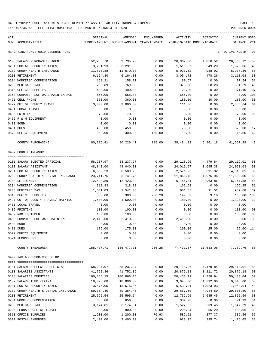TIME:07:36 AM - EFFECTIVE MONTH:03 - FOR MONTH ENDING 3-31-2020

| ACT<br>NUM ACCOUNT-TITLE                                   | ORIGINAL         | AMENDED<br>BUDGET-AMOUNT BUDGET-AMOUNT YEAR-TO-DATE | ENCUMBERED   | ACTIVITY<br>YEAR-TO-DATE MONTH-TO-DATE | ACTIVITY           | <b>CURRENT USED</b><br>BALANCE PCT |                |
|------------------------------------------------------------|------------------|-----------------------------------------------------|--------------|----------------------------------------|--------------------|------------------------------------|----------------|
| REPORTING FUND: 0010 GENERAL FUND                          |                  |                                                     |              |                                        |                    | EFFECTIVE MONTH - 03               |                |
|                                                            |                  |                                                     |              |                                        |                    |                                    |                |
| 0103 SALARY PURCHASING AGENT                               | 52,735.70        | 52,735.70                                           | 0.00         | 26,367.38                              | 4,056.52           | 26,368.32                          | 50             |
| 0201 SOCIAL SECURITY TAXES                                 | 3,291.93         | 3,291.93                                            | 0.00         | 1,618.87                               | 249.20             | 1,673.06                           | 49             |
| 0202 GROUP HEALTH INSURANCE                                | 11,870.88        | 11,870.88                                           | 0.00         | 5,933.52                               | 988.92             | 5,937.36                           | 50             |
| 0203 RETIREMENT                                            | 6,164.80         | 6,164.80                                            | 0.00         | 3,054.72                               | 478.26             | 3,110.08                           | 50             |
| 0204 WORKERS' COMPENSATION                                 | 158.21           | 158.21                                              | 0.00         | 80.67                                  | 0.00               | 77.54                              | 51             |
| 0205 MEDICARE TAX                                          | 769.89           | 769.89                                              | 0.00         | 378.60                                 | 58.28              | 391.29                             | 49             |
| 0310 OFFICE SUPPLIES                                       | 400.00           | 400.00                                              | 0.00         | 28.90                                  | 0.00               | 371.10                             | 07             |
| 0353 COMPUTER SOFTWARE MAINTENANCE<br>0421 CELL PHONE      | 655.00<br>360.00 | 655.00<br>360.00                                    | 0.00<br>0.00 | 655.00<br>180.00                       | 0.00<br>30.00      | 0.00<br>180.00                     | 100<br>50      |
| 0427 OUT OF COUNTY TRAVEL                                  | 3,000.00         | 3,000.00                                            | 0.00         | 111.36                                 |                    |                                    | 0 <sub>4</sub> |
| 0431 LOCAL TRAVEL                                          | 0.00             | 0.00                                                | 0.00         | 0.00                                   | 0.00<br>0.00       | 2,888.64<br>0.00                   |                |
| 0435 PRINTING                                              | 70.00            | 70.00                                               | 0.00         | 0.00                                   | 0.00               | 70.00                              | 0 <sub>0</sub> |
| 0452 R & M EQUIPMENT                                       | 0.00             | 0.00                                                | 0.00         | 0.00                                   | 0.00               | 0.00                               |                |
| 0480 BOND                                                  | 0.00             | 0.00                                                | 0.00         | 0.00                                   | 0.00               | 0.00                               |                |
| 0481 DUES                                                  | 450.00           | 450.00                                              | 0.00         | 75.00                                  | 0.00               | 375.00                             | 17             |
| 0572 OFFICE EQUIPMENT                                      | 300.00           | 300.00                                              | 185.00       | 0.00                                   | 0.00               | 115.00                             | 62             |
| COUNTY PURCHASING                                          | 80,226.41        | 80,226.41 185.00                                    |              |                                        | 38,484.02 5,861.18 | 41,557.39                          | 48             |
| 0497 COUNTY TREASURER                                      |                  |                                                     |              |                                        |                    |                                    |                |
|                                                            |                  |                                                     |              |                                        |                    |                                    |                |
| 0101 SALARY ELECTED OFFICIAL                               | 58,237.97        | 58,237.97                                           | 0.00         | 29,118.96                              | 4,479.84           | 29,119.01                          | 50             |
| 0103 SALARY ASSISTANT                                      | 48,040.00        | 48,040.00                                           | 0.00         | 24,019.97                              | 3,695.38           | 24,020.03                          | 50             |
| 0201 SOCIAL SECURITY TAXES                                 | 6,589.23         | 6,589.23                                            | 0.00         | 2,571.22                               | 391.32             | 4,018.01                           | 39             |
| 0202 GROUP HEALTH & DENTAL INSURANCE                       | 23,741.76        | 23,741.76                                           | 0.00         | 11,861.76                              | 1,976.96           | 11,880.00                          | 50             |
| 0203 RETIREMENT                                            | 12,423.89        | 12,423.89                                           | 0.00         | 6,156.31                               | 963.86             | 6,267.58                           | 50             |
| 0204 WORKERS' COMPENSATION                                 | 318.83           | 318.83                                              | 0.00         | 162.58                                 | 0.00               | 156.25                             | 51             |
| 0205 MEDICARE TAX                                          | 1,541.03         | 1,541.03                                            | 0.00         | 601.35                                 | 91.52              | 939.68                             | 39             |
| 0310 OFFICE SUPPLIES<br>0427 OUT OF COUNTY TRAVEL/TRAINING | 300.00           | 300.00                                              | 256.28       | 149.52                                 | 9.18               | 105.80- 135                        | 12             |
| 0431 LOCAL TRAVEL                                          | 1,500.00<br>0.00 | 1,500.00<br>0.00                                    | 0.00<br>0.00 | 180.00<br>0.00                         | 0.00<br>0.00       | 1,320.00<br>0.00                   |                |
| 0435 PRINTING                                              | 100.00           | 100.00                                              | 0.00         | 0.00                                   | 0.00               | 100.00                             | 0 <sub>0</sub> |
| 0452 R&M EQUIPMENT                                         | 100.00           | 100.00                                              | 0.00         | 0.00                                   | 0.00               | 100.00                             | 0 <sub>0</sub> |
| 0453 COMPUTER SOFTWARE MAINTEN                             | 2,410.00         | 2,410.00                                            | 0.00         | 2,410.00                               | 0.00               | 0.00                               | 100            |
| 0480 BOND                                                  | 0.00             | 0.00                                                | 0.00         | 0.00                                   | 0.00               | 0.00                               |                |
| 0481 DUES                                                  | 175.00           | 175.00                                              | 0.00         | 200.00                                 | 25.00              | 25.00- 114                         |                |
| 0572 OFFICE EQUIPMENT                                      | 0.00             | 0.00                                                | 0.00         | 0.00                                   | 0.00               | 0.00                               |                |
| 0574 TECHNOLOGY                                            | 0.00             | 0.00                                                | 0.00         | 0.00                                   | 0.00               | 0.00                               |                |
| COUNTY TREASURER                                           | 155,477.71       | 155,477.71                                          | 256.28       | 77,431.67                              | 11,633.06          | 77,789.76                          | 50             |
| 0499 TAX ASSESSOR-COLLECTOR                                |                  |                                                     |              |                                        |                    |                                    |                |
|                                                            |                  |                                                     |              |                                        |                    |                                    |                |
| 0101 SALARIES ELECTED OFFICIAL                             | 58,237.97        | 58,237.97                                           | 0.00         | 29,118.96                              | 4,479.84           | 29,119.01                          | 50             |
| 0103 SALARIES ASSISTANTS                                   | 41,752.36        | 41,752.36                                           | 0.00         | 20,876.18                              | 3,211.72           | 20,876.18                          | 50             |
| 0104 SALARIES DEPUTIES                                     | 100,866.15       | 100,866.15                                          | 0.00         | 50,433.11                              | 7,758.94           | 50,433.04                          | 50             |
| 0107 SALARY TEMP./EXTRA                                    | 18,096.00        | 18,096.00                                           | 0.00         | 9,048.00                               | 1,392.00           | 9,048.00                           | 50             |
| 0201 SOCIAL SECURITY TAXES                                 | 13,575.05        | 13,575.05                                           | 0.00         | 6,532.01                               | 1,023.93           | 7,043.04                           | 48             |
| 0202 GROUP HEALTH & DENTAL INSURANCE                       | 59,354.40        | 59,354.40                                           | 0.00         | 29,667.60                              | 4,944.60           | 29,686.80                          | 50             |
| 0203 RETIREMENT                                            | 25,595.54        | 25,595.54                                           | 0.00         | 12,732.95                              | 2,035.45           | 12,862.59                          | 50             |
| 0204 WORKERS COMPENSATION                                  | 656.86           | 656.86                                              | 0.00         | 334.93                                 | 0.00               | 321.93                             | 51             |
| 0205 MEDICARE TAX                                          | 3,174.81         | 3,174.81                                            | 0.00         | 1,527.52                               | 239.45             | 1,647.29                           | 48             |
| 0225 LEONARD OFFICE TRAVEL                                 | 900.00           | 900.00                                              | 0.00         | 296.94                                 | 55.20              | 603.06                             | 33             |
| 0310 OFFICE SUPPLIES                                       | 1,200.00         | 1,200.00                                            | 70.93        | 589.51                                 | 277.37             | 539.56                             | 55             |

0311 POSTAL EXPENSES 2,400.00 2,400.00 0.00 923.95 395.74 1,476.05 38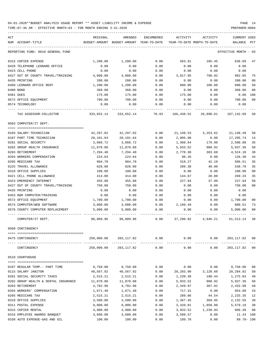TIME:07:36 AM - EFFECTIVE MONTH:03 - FOR MONTH ENDING 3-31-2020

| ACT | NUM ACCOUNT-TITLE                                                  | ORIGINAL              | AMENDED<br>BUDGET-AMOUNT BUDGET-AMOUNT YEAR-TO-DATE YEAR-TO-DATE MONTH-TO-DATE | ENCUMBERED   | ACTIVITY             | ACTIVITY                      | CURRENT USED<br>BALANCE PCT |                |
|-----|--------------------------------------------------------------------|-----------------------|--------------------------------------------------------------------------------|--------------|----------------------|-------------------------------|-----------------------------|----------------|
|     |                                                                    |                       |                                                                                |              |                      |                               |                             |                |
|     | REPORTING FUND: 0010 GENERAL FUND                                  |                       |                                                                                |              |                      |                               | EFFECTIVE MONTH - 03        |                |
|     | 0315 COPIER EXPENSE                                                | 1,200.00              | 1,200.00                                                                       | 0.00         | 563.91               | 185.45                        | 636.09                      | 47             |
|     | 0420 TELEPHONE LEONARD OFFICE                                      | 0.00                  | 0.00                                                                           | 0.00         | 0.00                 | 0.00                          | 0.00                        |                |
|     | 0423 CELL PHONE                                                    | 0.00                  | 0.00                                                                           | 0.00         | 0.00                 | 0.00                          | 0.00                        |                |
|     | 0427 OUT OF COUNTY TRAVEL/TRAINING                                 | 4,000.00              | 4,000.00                                                                       | 0.00         | 3,017.95             | 790.92                        | 982.05                      | 75             |
|     | 0435 PRINTING                                                      | 200.00                | 200.00                                                                         | 0.00         | 0.00                 | 0.00                          | 200.00                      | 0 <sub>0</sub> |
|     | 0460 LEONARD OFFICE RENT                                           | 1,200.00              | 1,200.00                                                                       | 0.00         | 600.00               | 100.00                        | 600.00                      | 50             |
|     | 0480 BOND                                                          | 368.00                | 368.00                                                                         | 0.00         | 0.00                 | 0.00                          | 368.00                      | 00             |
|     | 0481 DUES                                                          | 175.00                | 175.00                                                                         | 0.00         | 175.00               | 0.00                          | 0.00                        | 100            |
|     | 0572 OFFICE EQUIPMENT                                              | 700.00                | 700.00                                                                         | 0.00         | 0.00                 | 0.00                          | 700.00                      | 0 <sub>0</sub> |
|     | 0574 TECHNOLOGY                                                    | 0.00                  | 0.00                                                                           | 0.00         | 0.00                 | 0.00                          | 0.00                        |                |
|     | TAX ASSESSOR-COLLECTOR                                             |                       | 333,652.14 333,652.14 70.93                                                    |              | 166,438.52           | 26,890.61                     | 167,142.69                  | 50             |
|     | 0503 COMPUTER/IT DEPT.                                             |                       |                                                                                |              |                      |                               |                             |                |
|     | 0103 SALARY-TECHNICIAN                                             | 42,297.02             | 42,297.02                                                                      | 0.00         | 21,148.53            | 3,253.62                      | 21,148.49                   | 50             |
|     | 0107 PART TIME TECHNICIAN                                          | 20,101.64             | 20,101.64                                                                      | 0.00         | 2,805.90             | 0.00                          | 17,295.74                   | 14             |
|     | 0201 SOCIAL SECURITY                                               | 3,868.72              | 3,868.72                                                                       | 0.00         | 1,360.64             | 179.98                        | 2,508.08                    | 35             |
|     | 0202 GROUP HEALTH INSURANCE                                        | 11,870.88             | 11,870.88                                                                      | 0.00         | 5,933.52             | 988.92                        | 5,937.36                    | 50             |
|     | 0203 RETIREMENT                                                    | 7,294.40              | 7,294.40                                                                       | 0.00         | 2,770.30             | 383.60                        | 4,524.10                    | 38             |
|     | 0204 WORKERS COMPENSATION                                          | 224.64                | 224.64                                                                         | 0.00         | 98.26                | 0.00                          | 126.38                      | 44             |
|     | 0205 MEDICARE TAX                                                  | 904.78                | 904.78                                                                         | 0.00         | 318.27               | 42.10                         | 586.51                      | 35             |
|     | 0225 TRAVEL ALLOWANCE                                              | 828.00                | 828.00                                                                         | 0.00         | 289.30               | 40.00                         | 538.70                      | 35             |
|     | 0310 OFFICE SUPPLIES                                               | 100.00                | 100.00                                                                         | 0.00         | 0.00                 | 0.00                          | 100.00                      | 0 <sub>0</sub> |
|     | 0421 CELL PHONE ALLOWANCE                                          | 414.00                | 414.00                                                                         | 0.00         | 144.67               | 20.00                         | 269.33                      | 35             |
|     | 0423 EMERGENCY INTERNET                                            | 455.88                | 455.88                                                                         | 0.00         | 227.94               | 37.99                         | 227.94                      | 50             |
|     | 0427 OUT OF COUNTY TRAVEL/TRAINING                                 | 750.00                | 750.00                                                                         | 0.00         | 0.00                 | 0.00                          | 750.00                      | 0 <sub>0</sub> |
|     | 0435 PRINTING                                                      | 0.00                  | 0.00                                                                           | 0.00         | 0.00                 | 0.00                          | 0.00                        |                |
|     | 0453 R&M COMPUTER/TRAINING                                         | 0.00                  | 0.00                                                                           | 0.00         | 0.00                 | 0.00                          | 0.00                        |                |
|     | 0572 OFFICE EQUIPMENT                                              | 1,700.00              | 1,700.00                                                                       | 0.00         | 0.00                 | 0.00                          | 1,700.00                    | 00             |
|     | 0574 COMPUTER/WEB SOFTWARE                                         | 3,000.00              | 3,000.00                                                                       | 0.00         | 2,199.49             | 0.00                          | 800.51                      | 73             |
|     | 0576 COUNTY COMPUTER REPLACEMENT                                   | 5,000.00              | 5,000.00                                                                       | 0.00         | 0.00                 | 0.00                          | 5,000.00                    | 0 <sub>0</sub> |
|     | COMPUTER/IT DEPT.                                                  | 98,809.96             | 98,809.96                                                                      | 0.00         | 37,296.82            | 4,946.21                      | 61,513.14                   | 38             |
|     | 0509 CONTINGENCY                                                   |                       |                                                                                |              |                      |                               |                             |                |
|     | 0475 CONTINGENCY                                                   |                       | 250,000.00 203,117.82 0.00                                                     |              |                      | $0.00$ $0.00$ $203,117.82$ 00 |                             |                |
|     | CONTINGENCY                                                        |                       | 250,000.00 203,117.82 0.00                                                     |              | 0.00                 | 0.00                          | 203,117.82 00               |                |
|     | 0510 COURTHOUSE                                                    |                       |                                                                                |              |                      |                               |                             |                |
|     |                                                                    |                       |                                                                                |              |                      |                               |                             |                |
|     | 0107 REGULAR TEMP.- PART TIME                                      | 9,750.00              | 9,750.00                                                                       | 0.00         | 0.00                 | 0.00                          | 9,750.00                    | 00             |
|     | 0115 SALARY JANITOR                                                | 40,567.92<br>2,515.21 | 40,567.92                                                                      | 0.00         | 20,283.90            | 3,120.60<br>190.44            | 20,284.02                   | 50<br>49       |
|     | 0201 SOCIAL SECURITY TAXES<br>0202 GROUP HEALTH & DENTAL INSURANCE | 11,870.88             | 2,515.21<br>11,870.88                                                          | 0.00<br>0.00 | 1,239.38<br>5,933.52 | 988.92                        | 1,275.83<br>5,937.36        | 50             |
|     | 0203 RETIREMENT                                                    | 4,782.96              | 4,782.96                                                                       | 0.00         | 2,349.97             | 367.92                        | 2,432.99                    | 49             |
|     | 0204 WORKERS' COMPENSATION                                         | 1,671.40              | 1,671.40                                                                       | 0.00         | 717.31               | 0.00                          | 954.09                      | 43             |
|     | 0205 MEDICARE TAX                                                  | 2,515.21              | 2,515.21                                                                       | 0.00         | 289.86               | 44.54                         | 2,225.35                    | 12             |
|     | 0310 OFFICE SUPPLIES                                               | 3,500.00              | 3,500.00                                                                       | 0.00         | 1,367.45             | 369.95                        | 2,132.55                    | 39             |
|     | 0311 POSTAL EXPENSE                                                | 9,000.00              | 9,000.00                                                                       | 0.00         | 3,420.81             | 1,858.90                      | 5,579.19                    | 38             |
|     | 0315 COPIER RENTAL                                                 | 4,900.00              | 4,900.00                                                                       | 0.00         | 3,933.52             | 1,239.94                      | 966.48                      | 80             |
|     |                                                                    |                       |                                                                                |              |                      |                               |                             |                |

0316 EMPLOYEE AWARDS BANQUET 3,600.00 3,600.00 0.00 3,588.57 0.00 11.43 100 0330 AUTO EXPENSE-GAS AND OIL 100.00 100.00 0.00 189.78 0.00 89.78- 190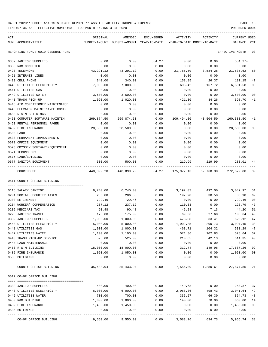| 04-01-2020**BUDGET ANALYSIS USAGE REPORT ** ASSET LIABILITY INCOME & EXPENSE |  | PAGE |  |
|------------------------------------------------------------------------------|--|------|--|
|                                                                              |  |      |  |

TIME:07:36 AM - EFFECTIVE MONTH:03 - FOR MONTH ENDING 3-31-2020

| ACT<br>NUM ACCOUNT-TITLE                            | ORIGINAL                 | AMENDED<br>BUDGET-AMOUNT BUDGET-AMOUNT YEAR-TO-DATE | ENCUMBERED | ACTIVITY<br>YEAR-TO-DATE MONTH-TO-DATE | ACTIVITY                        | CURRENT USED<br>BALANCE | PCT            |
|-----------------------------------------------------|--------------------------|-----------------------------------------------------|------------|----------------------------------------|---------------------------------|-------------------------|----------------|
| REPORTING FUND: 0010 GENERAL FUND                   |                          |                                                     |            |                                        |                                 | EFFECTIVE MONTH - 03    |                |
| 0332 JANITOR SUPPLIES                               | 0.00                     | 0.00                                                | 554.27     | 0.00                                   | 0.00                            | $554.27 -$              |                |
| 0353 R&M COMPUTER                                   | 0.00                     | 0.00                                                | 0.00       | 0.00                                   | 0.00                            | 0.00                    |                |
| 0420 TELEPHONE                                      | 43,291.12                | 43, 291. 12                                         | 0.00       | 21,755.50                              | 3,584.25                        | 21,535.62               | 50             |
| 0421 INTERNET LINES                                 | 0.00                     | 0.00                                                | 0.00       | 0.00                                   | 0.00                            | 0.00                    |                |
| 0423 CELL PHONE                                     | 340.00                   | 340.00                                              | 0.00       | 158.85                                 | 26.37                           | 181.15                  | 47             |
| 0440 UTILITIES ELECTRICITY                          | 7,000.00                 | 7,000.00                                            | 0.00       | 608.42                                 | 167.72                          | 6,391.58                | 09             |
| 0441 UTILITIES GAS                                  | 0.00                     | 0.00                                                | 0.00       | 0.00                                   | 0.00                            | 0.00                    |                |
| 0442 UTILITIES WATER                                | 3,600.00                 | 3,600.00                                            | 0.00       | 0.00                                   | 0.00                            | 3,600.00                | 0 <sub>0</sub> |
| 0443 TRASH PICK-UP                                  | 1,020.00                 | 1,020.00                                            | 0.00       | 421.30                                 | 84.26                           | 598.70                  | 41             |
| 0445 AIR CONDITIONER MAINTENANCE                    | 0.00                     | 0.00                                                | 0.00       | 0.00                                   | 0.00                            | 0.00                    |                |
| 0446 ELEVATOR MAINTENANCE CONTR                     | 0.00                     | 0.00                                                | 0.00       | 0.00                                   | 0.00                            | 0.00                    |                |
| 0450 R & M BUILDINGS                                | 0.00                     | 0.00                                                | 0.00       | 0.00                                   | 0.00                            | 0.00                    |                |
| 0453 COMPUTER SOFTWARE MAINTEN                      | 269,874.50               | 269,874.50                                          | 0.00       | 109,494.00                             | 40,504.50                       | 160,380.50              | 41             |
| 0463 RENTAL PERSONNEL PAGER                         | 0.00                     | 0.00                                                | 0.00       | 0.00                                   | 0.00                            | 0.00                    |                |
| 0482 FIRE INSURANCE                                 | 28,500.00                | 28,500.00                                           | 0.00       | 0.00                                   | 0.00                            | 28,500.00               | 0 <sub>0</sub> |
| 0500 LAND                                           | 0.00                     | 0.00                                                | 0.00       | 0.00                                   | 0.00                            | 0.00                    |                |
| 0530 PERMANENT IMPROVEMENTS                         | 0.00                     | 0.00                                                | 0.00       | 0.00                                   | 0.00                            | 0.00                    |                |
| 0572 OFFICE EQUIPMENT                               | 0.00                     | 0.00                                                | 0.00       | 0.00                                   | 0.00                            | 0.00                    |                |
| 0573 ODYSSEY SOFTWARE/EQUIPMENT                     | 0.00                     | 0.00                                                | 0.00       | 0.00                                   | 0.00                            | 0.00                    |                |
| 0574 TECHNOLOGY                                     | 0.00                     | 0.00                                                | 0.00       | 0.00                                   | 0.00                            | 0.00                    |                |
| 0575 LAND/BUILDING                                  | 0.00                     | 0.00                                                | 0.00       | 0.00                                   | 0.00                            | 0.00                    |                |
| 0577 JANITOR EQUIPMENT<br>---- -------------------- | 500.00<br>______________ | 500.00                                              | 0.00       | 219.99                                 | 219.99                          | 280.01                  | 44             |
| COURTHOUSE                                          | 448,899.20               | 448,899.20                                          | 554.27     |                                        | 175,972.13 52,768.30 272,372.80 |                         | 39             |
| 0511 COUNTY OFFICE BUILDING                         |                          |                                                     |            |                                        |                                 |                         |                |
|                                                     |                          |                                                     |            |                                        |                                 |                         |                |
| 0115 SALARY JANITOR                                 | 6, 240.00                | 6,240.00                                            | 0.00       | 3,192.03                               | 492.00                          | 3,047.97                | 51             |
| 0201 SOCIAL SECURITY TAXES                          | 286.88                   | 286.88                                              | 0.00       | 197.90                                 | 30.50                           | 88.98                   | 69             |
| 0203 RETIREMENT                                     | 729.46                   | 729.46                                              | 0.00       | 0.00                                   | 0.00                            | 729.46                  | 0 <sub>0</sub> |
| 0204 WORKER' COMPENSATION                           | 237.12                   | 237.12                                              | 0.00       | 110.33                                 | 0.00                            | 126.79                  | 47             |
| 0205 MEDICARE TAX                                   | 90.48                    | 90.48                                               | 0.00       | 46.28                                  | 7.13                            | 44.20                   | 51             |
| 0225 JANITOR TRAVEL                                 | 175.00                   | 175.00                                              | 0.00       | 69.36                                  | 27.60                           | 105.64                  | 40             |
| 0332 JANITOR SUPPLIES                               | 1,000.00                 | 1,000.00                                            | 0.00       | 473.88                                 | 33.41                           | 526.12                  | 47             |
| 0440 UTILITIES ELECTRICITY                          | 5,000.00                 | 5,000.00                                            | 0.00       | 1,902.85                               | 290.73                          | 3,097.15                | 38             |
| 0441 UTILITIES GAS                                  | 1,000.00                 | 1,000.00                                            | 0.00       | 468.71                                 | 104.32                          | 531.29                  | 47             |
| 0442 UTILITIES WATER                                | 1,100.00                 | 1,100.00                                            | 0.00       | 571.36                                 | 102.83                          | 528.64                  | 52             |
| 0443 TRASH PICK-UP SERVICE                          | 525.00                   | 525.00                                              | 0.00       | 210.65                                 | 42.13                           | 314.35                  | 40             |
| 0444 LAWN MAINTENANCE                               | 0.00                     | 0.00                                                | 0.00       | 0.00                                   | 0.00                            | 0.00                    |                |
| 0450 R & M BUILDING                                 | 18,000.00                | 18,000.00                                           | 0.00       | 312.74                                 | 149.96                          | 17,687.26               | 02             |
| 0482 FIRE INSURANCE                                 | 1,050.00                 | 1,050.00                                            | 0.00       | 0.00                                   | 0.00                            | 1,050.00                | 0 <sub>0</sub> |
| 0535 BUILDINGS                                      | 0.00                     | 0.00                                                | 0.00       | 0.00                                   | 0.00                            | 0.00                    |                |
| COUNTY OFFICE BUILDING                              |                          | 35, 433.94 35, 433.94                               | 0.00       |                                        | 7,556.09 1,280.61               | 27,877.85 21            |                |
| 0512 CO-OP OFFICE BUILDING                          |                          |                                                     |            |                                        |                                 |                         |                |
| 0332 JANITOR SUPPLIES                               | 400.00                   | 400.00                                              | 0.00       | 149.63                                 | 0.00                            | 250.37                  | 37             |
| 0440 UTILITIES ELECTRICITY                          | 6,000.00                 | 6,000.00                                            | 0.00       | 2,958.36                               | 498.43                          | 3,041.64                | 49             |
| 0442 UTILITIES WATER                                | 700.00                   | 700.00                                              | 0.00       | 335.27                                 | 66.30                           | 364.73                  | 48             |
| 0450 R&M BUILDING                                   | 1,000.00                 | 1,000.00                                            | 0.00       | 140.00                                 | 70.00                           | 860.00                  | 14             |
| 0482 FIRE INSURANCE                                 | 1,450.00                 | 1,450.00                                            | 0.00       | 0.00                                   | 0.00                            | 1,450.00                | 0 <sub>0</sub> |
| 0535 BUILDINGS                                      | 0.00                     | 0.00                                                | 0.00       | 0.00                                   | 0.00                            | 0.00                    |                |
|                                                     |                          |                                                     |            |                                        |                                 |                         |                |

CO-OP OFFICE BUILDING 9,550.00 9,550.00 0.00 3,583.26 634.73 5,966.74 38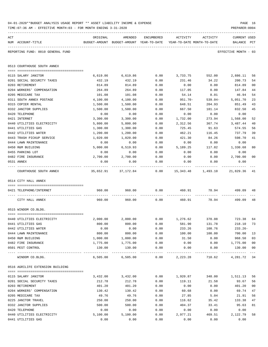|     | TIME: 07:36 AM - EFFECTIVE MONTH: 03 - FOR MONTH ENDING 3-31-2020 |                |                                                                                |              |                         |                                     | PREPARER: 0004                     |                |
|-----|-------------------------------------------------------------------|----------------|--------------------------------------------------------------------------------|--------------|-------------------------|-------------------------------------|------------------------------------|----------------|
| ACT | NUM ACCOUNT-TITLE                                                 | ORIGINAL       | AMENDED<br>BUDGET-AMOUNT BUDGET-AMOUNT YEAR-TO-DATE YEAR-TO-DATE MONTH-TO-DATE | ENCUMBERED   | ACTIVITY                | ACTIVITY                            | <b>CURRENT USED</b><br>BALANCE PCT |                |
|     | REPORTING FUND: 0010 GENERAL FUND                                 |                |                                                                                |              |                         |                                     | EFFECTIVE MONTH - 03               |                |
|     | 0513 COURTHOUSE SOUTH ANNEX                                       |                |                                                                                |              |                         |                                     |                                    |                |
|     | 0115 SALARY JANITOR                                               | 6,619.86       | 6,619.86                                                                       | 0.00         |                         | 3,733.75 552.00 2,886.11            |                                    | 56             |
|     | 0201 SOCIAL SECURITY TAXES                                        | 432.19         | 432.19                                                                         | 0.00         | 231.46                  | 34.22                               | 200.73                             | 54             |
|     | 0203 RETIREMENT                                                   | 814.89         | 814.89                                                                         | 0.00         | 0.00                    | 0.00                                | 814.89                             | 0 <sub>0</sub> |
|     | 0204 WORKERS' COMPENSATION                                        | 264.89         | 264.89                                                                         | 0.00         | 117.05                  | 0.00                                | 147.84                             | 44             |
|     | 0205 MEDICARE TAX                                                 | 101.08         | 101.08                                                                         | 0.00         | 54.14                   | 8.01                                | 46.94                              | 54             |
|     | 0311 SOUTH ANNEX POSTAGE                                          | 4,100.00       | 4,100.00                                                                       | 0.00         | 951.70-                 | $539.04-$                           | 5,051.70                           | 23             |
|     | 0315 COPIER RENTAL                                                | 1,500.00       | 1,500.00                                                                       | 0.00         | 648.51                  | 204.93                              | 851.49                             | 43             |
|     | 0332 JANITOR SUPPLIES                                             | 1,500.00       | 1,500.00                                                                       | 0.00         | 667.50                  | 181.14                              | 832.50                             | 45             |
|     | 0420 TELEPHONE                                                    | 0.00           | 0.00                                                                           | 0.00         | 0.00                    | 0.00                                | 0.00                               |                |
|     | 0421 INTERNET                                                     | 3,300.00       | 3,300.00                                                                       | 0.00         | 1,732.00                | 273.94                              | 1,568.00                           | 52             |
|     | 0440 UTILITIES ELECTRICITY                                        | 5,800.00       | 5,800.00                                                                       | 0.00         | 2,312.56                | 367.74                              | 3,487.44                           | 40             |
|     | 0441 UTILITIES GAS                                                | 1,300.00       | 1,300.00                                                                       | 0.00         | 725.45                  | 91.63                               | 574.55                             | 56             |
|     | 0442 UTILITIES WATER                                              | 1,200.00       | 1,200.00                                                                       | 0.00         | 462.21                  | 116.45                              | 737.79                             | 39             |
|     | 0443 TRASH PICKUP SERVICE                                         | 1,020.00       | 1,020.00                                                                       | 0.00         | 421.30                  | 84.26                               | 598.70                             | 41             |
|     | 0444 LAWN MAINTENANCE                                             | 0.00           | 0.00                                                                           | 0.00         | 0.00                    | 0.00                                | 0.00                               |                |
|     | 0450 R&M BUILDING                                                 | 5,000.00       | 6,519.93                                                                       | 0.00         | 5,189.25                | 117.82                              | 1,330.68                           | 80             |
|     | 0455 PARKING LOT                                                  | 0.00           | 0.00                                                                           | 0.00         | 0.00                    | 0.00                                | 0.00                               |                |
|     | 0482 FIRE INSURANCE                                               | 2,700.00       | 2,700.00                                                                       | 0.00         | 0.00                    | 0.00                                | 2,700.00                           | 0 <sub>0</sub> |
|     | 0531 ANNEX                                                        | 0.00           | 0.00                                                                           | 0.00         | 0.00                    | 0.00                                | 0.00                               |                |
|     | COURTHOUSE SOUTH ANNEX                                            |                | 35,652.91 37,172.84                                                            |              |                         | $0.00$ 15,343.48 1,493.10 21,829.36 |                                    | 41             |
|     | 0514 CITY HALL ANNEX                                              |                |                                                                                |              |                         |                                     |                                    |                |
|     | 0421 TELEPHONE/INTERNET                                           | 960.00         | 960.00                                                                         | 0.00         | 460.91                  | 78.94                               | 499.09                             | 48             |
|     | CITY HALL ANNEX                                                   | 960.00         |                                                                                | 960.00 0.00  |                         | 460.91 78.94                        | 499.09                             | 48             |
|     | 0515 WINDOM CO.BLDG.                                              |                |                                                                                |              |                         |                                     |                                    |                |
|     |                                                                   |                |                                                                                |              |                         | $0.00$ 1,276.62 370.08              | 723.38                             |                |
|     | 0440 UTILITIES ELECTRICITY<br>0441 UTILITIES GAS                  |                | 2,000.00 2,000.00<br>800.00                                                    | 0.00         | 581.90                  | 131.78                              | 218.10                             | 64<br>73       |
|     | 0442 UTILITIES WATER                                              | 800.00<br>0.00 | 0.00                                                                           | 0.00         | 233.26                  | 108.76                              | $233.26-$                          |                |
|     | 0444 LAWN MAINTENANCE                                             | 800.00         | 800.00                                                                         | 0.00         | 100.00                  | 100.00                              | 700.00                             | 13             |
|     | 0450 R&M BUILDING                                                 | 1,000.00       | 1,000.00                                                                       | 0.00         | 31.50                   | 0.00                                | 968.50                             | 03             |
|     | 0482 FIRE INSURANCE                                               | 1,775.00       | 1,775.00                                                                       | 0.00         | 0.00                    | 0.00                                | 1,775.00                           | 0 <sub>0</sub> |
|     | 0501 PEST CONTROL                                                 | 130.00         | 130.00                                                                         | 0.00         | 0.00                    | 0.00                                | 130.00                             | 0 <sub>0</sub> |
|     | WINDOM CO.BLDG.                                                   | 6,505.00       | 6,505.00                                                                       | 0.00         | -----------<br>2,223.28 | ------------<br>710.62              | ----------<br>4,281.72             | $---$<br>34    |
|     | 0516 AGRILIFE EXTENSION BUILDING                                  |                |                                                                                |              |                         |                                     |                                    |                |
|     |                                                                   |                |                                                                                |              |                         |                                     |                                    |                |
|     | 0115 SALARY JANITOR                                               | 3,432.00       | 3,432.00                                                                       | 0.00         | 1,920.87                | 348.00                              | 1,511.13                           | 56             |
|     | 0201 SOCIAL SECURITY TAXES                                        | 212.78         | 212.78                                                                         | 0.00         | 119.11                  | 21.58                               | 93.67                              | 56             |
|     | 0203 RETIREMENT                                                   | 401.20         | 401.20                                                                         | 0.00         | 0.00                    | 0.00                                | 401.20                             | 0 <sub>0</sub> |
|     | 0204 WORKERS' COMPENSATION                                        | 130.42         | 130.42                                                                         | 0.00         | 60.68                   | 0.00                                | 69.74                              | 47             |
|     | 0205 MEDICARE TAX                                                 | 49.76          | 49.76                                                                          | 0.00         | 27.85                   | 5.04                                | 21.91                              | 56             |
|     | 0225 JANITOR TRAVEL                                               | 250.00         | 250.00                                                                         | 0.00         | 116.62                  | 35.42                               | 133.38                             | 47             |
|     | 0332 JANITOR SUPPLIES<br>0420 TELEPHONE                           | 500.00<br>0.00 | 500.00<br>0.00                                                                 | 0.00<br>0.00 | 404.37<br>0.00          | 33.41<br>0.00                       | 95.63<br>0.00                      | 81             |
|     | 0440 UTILITIES ELECTRICITY                                        | 5,100.00       | 5,100.00                                                                       | 0.00         | 2,977.21                | 469.51                              | 2,122.79                           | 58             |
|     | 0441 UTILITIES GAS                                                | 0.00           | 0.00                                                                           | 0.00         | 0.00                    | 0.00                                | 0.00                               |                |
|     |                                                                   |                |                                                                                |              |                         |                                     |                                    |                |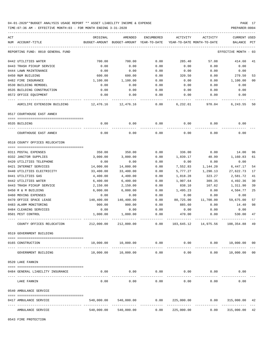TIME:07:36 AM - EFFECTIVE MONTH:03 - FOR MONTH ENDING 3-31-2020

| ACT |                                   | ORIGINAL   | AMENDED                                      | ENCUMBERED    | ACTIVITY                     | ACTIVITY                   | CURRENT USED                |                |
|-----|-----------------------------------|------------|----------------------------------------------|---------------|------------------------------|----------------------------|-----------------------------|----------------|
|     | NUM ACCOUNT-TITLE                 |            | BUDGET-AMOUNT BUDGET-AMOUNT YEAR-TO-DATE     |               |                              | YEAR-TO-DATE MONTH-TO-DATE | BALANCE PCT                 |                |
|     | REPORTING FUND: 0010 GENERAL FUND |            |                                              |               |                              |                            | EFFECTIVE MONTH - 03        |                |
|     | 0442 UTILITIES WATER              | 700.00     | 700.00                                       | 0.00          | 285.40                       | 57.08                      | 414.60                      | 41             |
|     | 0443 TRASH PICKUP SERVICE         | 0.00       | 0.00                                         | 0.00          | 0.00                         | 0.00                       | 0.00                        |                |
|     | 0444 LAWN MAINTENANCE             | 0.00       | 0.00                                         | 0.00          | 0.00                         | 0.00                       | 0.00                        |                |
|     | 0450 R&M BUILDING                 | 600.00     | 600.00                                       | 0.00          | 320.50                       | 0.00                       | 279.50                      | 53             |
|     | 0482 FIRE INSURANCE               | 1,100.00   | 1,100.00                                     | 0.00          | 0.00                         | 0.00                       | 1,100.00                    | 0 <sub>0</sub> |
|     | 0530 BUILDING REMODEL             | 0.00       | 0.00                                         | 0.00          | 0.00                         | 0.00                       | 0.00                        |                |
|     | 0535 BUILDING CONSTRUCTION        | 0.00       | 0.00                                         | 0.00          | 0.00                         | 0.00                       | 0.00                        |                |
|     | 0572 OFFICE EQUIPMENT             | 0.00       | 0.00                                         | 0.00          | 0.00                         | 0.00                       | 0.00                        |                |
|     | AGRILIFE EXTENSION BUILDING       | 12,476.16  | 12,476.16                                    | 0.00          | 6,232.61                     | 970.04                     | 6,243.55                    | 50             |
|     | 0517 COURTHOUSE EAST ANNEX        |            |                                              |               |                              |                            |                             |                |
|     | 0535 BUILDING                     | 0.00       | 0.00                                         | 0.00          | 0.00                         | 0.00                       | 0.00                        |                |
|     | COURTHOUSE EAST ANNEX             | 0.00       | 0.00                                         | 0.00          | 0.00                         | 0.00                       | 0.00                        |                |
|     | 0518 COUNTY OFFICES RELOCATION    |            |                                              |               |                              |                            |                             |                |
|     | 0311 POSTAL EXPENSES              | 350.00     | 350.00                                       | 0.00          | 336.00                       | 0.00                       | 14.00                       | 96             |
|     | 0332 JANITOR SUPPLIES             | 3,000.00   | 3,000.00                                     | 0.00          | 1,839.17                     | 40.99                      | 1,160.83                    | 61             |
|     | 0420 UTILITIES TELEPHONE          | 0.00       | 0.00                                         | 0.00          | 0.00                         | 0.00                       | 0.00                        |                |
|     | 0421 INTERNET SERVICES            | 14,000.00  | 14,000.00                                    | 0.00          | 7,552.83                     | 1,144.20                   | 6,447.17                    | 54             |
|     | 0440 UTILITIES ELECTRICITY        | 33,400.00  | 33,400.00                                    | 0.00          | 5,777.27                     | 1,290.13                   | 27,622.73                   | 17             |
|     | 0441 UTILITIES GAS                | 4,400.00   | 4,400.00                                     | 0.00          | 1,818.28                     | 323.27                     | 2,581.72                    | 41             |
|     | 0442 UTILITIES WATER              | 6,400.00   | 6,400.00                                     | 0.00          | 1,907.64                     | 309.35                     | 4,492.36                    | 30             |
|     | 0443 TRASH PICKUP SERVICE         | 2,150.00   | 2,150.00                                     | 0.00          | 838.10                       | 167.62                     | 1,311.90                    | 39             |
|     | 0450 R & M BUILDING               | 6,000.00   | 6,000.00                                     | 0.00          | 1,495.23                     | 0.00                       | 4,504.77                    | 25             |
|     | 0460 MOVING EXPENSES              | 0.00       | 0.00                                         | 0.00          | 0.00                         | 0.00                       | 0.00                        |                |
|     | 0470 OFFICE SPACE LEASE           | 140,400.00 | 140,400.00                                   | 0.00          | 80,725.00                    | 11,700.00                  | 59,675.00                   | 57             |
|     | 0483 ALARM MONITORING             | 900.00     | 900.00                                       | 0.00          | 885.60                       | 0.00                       | 14.40                       | 98             |
|     | 0484 CLEANING SERVICES            | 0.00       | 0.00                                         | 0.00          | 0.00                         | 0.00                       | 0.00                        |                |
|     | 0501 PEST CONTROL                 | 1,000.00   | 1,000.00                                     | 0.00          | 470.00                       | 0.00                       | 530.00                      | 47             |
|     | COUNTY OFFICES RELOCATION         | 212,000.00 | 212,000.00                                   | -----<br>0.00 |                              | 103,645.12    14,975.56    | 108,354.88                  | 49             |
|     | 0519 GOVERNMENT BUILDING          |            |                                              |               |                              |                            |                             |                |
|     | 0165 CONSTRUCTION                 |            | $10,000.00$ $10,000.00$ $0.00$ $0.00$ $0.00$ |               |                              |                            | $0.00$ $10,000.00$          | 0 <sup>0</sup> |
|     | GOVERNMENT BUILDING               | 10,000.00  | 10,000.00                                    | 0.00          | 0.00                         | 0.00                       | 10,000.00                   | 0 <sub>0</sub> |
|     | 0520 LAKE FANNIN                  |            |                                              |               |                              |                            |                             |                |
|     |                                   |            |                                              |               |                              |                            |                             |                |
|     | 0484 GENERAL LIABILITY INSURANCE  | 0.00       | 0.00                                         | 0.00          | 0.00<br>-------------        | 0.00                       | 0.00                        |                |
|     | LAKE FANNIN                       | 0.00       | 0.00                                         | 0.00          | 0.00                         | 0.00                       | 0.00                        |                |
|     | 0540 AMBULANCE SERVICE            |            |                                              |               |                              |                            |                             |                |
|     | 0417 AMBULANCE SERVICE            | 540,000.00 | 540,000.00                                   | 0.00          | 225,000.00<br>-------------- | 0.00<br>-------------      | 315,000.00<br>------------- | 42             |
|     | AMBULANCE SERVICE                 | 540,000.00 | 540,000.00                                   | 0.00          | 225,000.00                   | 0.00                       | 315,000.00                  | 42             |

0543 FIRE PROTECTION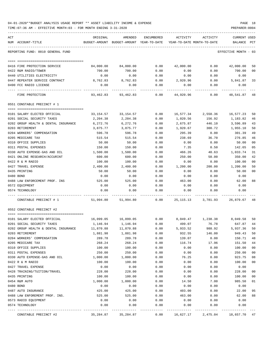|     | TIME:07:36 AM - EFFECTIVE MONTH:03 - FOR MONTH ENDING 3-31-2020 |                       |                                                                     |              |              |                                    | PREPARER: 0004          |                |
|-----|-----------------------------------------------------------------|-----------------------|---------------------------------------------------------------------|--------------|--------------|------------------------------------|-------------------------|----------------|
| ACT |                                                                 | ORIGINAL              | AMENDED                                                             | ENCUMBERED   | ACTIVITY     | ACTIVITY                           | CURRENT USED            |                |
|     | NUM ACCOUNT-TITLE                                               |                       | BUDGET-AMOUNT BUDGET-AMOUNT YEAR-TO-DATE YEAR-TO-DATE MONTH-TO-DATE |              |              |                                    | BALANCE PCT             |                |
|     | REPORTING FUND: 0010 GENERAL FUND                               |                       |                                                                     |              |              |                                    | EFFECTIVE MONTH - 03    |                |
|     | 0416 FIRE PROTECTION SERVICE                                    | 84,000.00             | 84,000.00                                                           | 0.00         | 42,000.00    | 0.00                               | 42,000.00               | 50             |
|     | 0422 R&M RADIO/TOWER                                            | 700.00                | 700.00                                                              | 0.00         | 0.00         | 0.00                               | 700.00                  | 0 <sub>0</sub> |
|     | 0440 UTILITIES ELECTRICITY                                      | 0.00                  | 0.00                                                                | 0.00         | 0.00         | 0.00                               | 0.00                    |                |
|     | 0447 REPEATER SERVICE CONTRACT                                  | 8,762.83              | 8,762.83                                                            | 0.00         | 2,920.96     | 0.00                               | 5,841.87                | 33             |
|     | 0490 FCC RADIO LICENSE                                          | 0.00                  | 0.00                                                                | 0.00         | 0.00         | 0.00                               | 0.00                    |                |
|     | FIRE PROTECTION                                                 | 93,462.83             | 93,462.83                                                           | 0.00         | 44,920.96    | 0.00                               | ----------<br>48,541.87 | -48            |
|     | 0551 CONSTABLE PRECINCT # 1                                     |                       |                                                                     |              |              |                                    |                         |                |
|     |                                                                 |                       |                                                                     |              |              |                                    |                         |                |
|     | 0101 SALARY ELECTED OFFICIAL                                    | 33,154.57             | 33,154.57                                                           | 0.00         | 16,577.34    | 2,550.36                           | 16,577.23               | 50             |
|     | 0201 SOCIAL SECURITY TAXES                                      | 2,204.38              | 2,204.38                                                            | 0.00         | 1,020.56     | 156.92                             | 1,183.82                | 46             |
|     | 0202 GROUP HEALTH & DENTAL INSURANCE                            | 6,272.76              | 6,272.76                                                            | 0.00         | 2,675.87     | 446.10                             | 3,596.89                | 43             |
|     | 0203 RETIREMENT                                                 | 3,875.77              | 3,875.77                                                            | 0.00         | 1,920.67     | 300.72                             | 1,955.10                | 50             |
|     | 0204 WORKERS' COMPENSATION                                      | 596.78                | 596.78                                                              | 0.00         | 295.39       | 0.00                               | 301.39                  | 49             |
|     | 0205 MEDICARE TAX                                               | 515.54                | 515.54                                                              | 0.00         | 238.69       | 36.70                              | 276.85                  | 46             |
|     | 0310 OFFICE SUPPLIES                                            | 50.00                 | 50.00                                                               | 0.00         | 0.00         | 0.00                               | 50.00                   | 0 <sub>0</sub> |
|     | 0311 POSTAL EXPENSES                                            | 150.00                | 150.00                                                              | 0.00         | 7.35         | 0.50                               | 142.65                  | 05             |
|     | 0330 AUTO EXPENSE-GAS AND OIL                                   | 1,500.00              | 1,500.00                                                            | 0.00         | 466.26       | 40.63                              | 1,033.74                | 31             |
|     | 0421 ONLINE RESEARCH/ACCURINT                                   | 600.00                | 600.00                                                              | 0.00         | 250.00       | 50.00                              | 350.00                  | 42             |
|     | 0422 R & M RADIO                                                | 100.00                | 100.00                                                              | 0.00         | 0.00         | 0.00                               | 100.00                  | 0 <sub>0</sub> |
|     | 0427 TRAVEL EXPENSE                                             | 2,400.00              | 2,400.00                                                            | 0.00         | 1,200.00     | 200.00                             | 1,200.00                | 50             |
|     | 0435 PRINTING                                                   | 50.00                 | 50.00                                                               | 0.00         | 0.00         | 0.00                               | 50.00                   | 0 <sub>0</sub> |
|     | 0480 BOND                                                       | 0.00                  | 0.00                                                                | 0.00         | 0.00         | 0.00                               | 0.00                    |                |
|     | 0488 LAW ENFORCEMENT PROF. INS                                  | 525.00                | 525.00                                                              | 0.00         | 463.00       | 0.00                               | 62.00                   | 88             |
|     | 0572 EQUIPMENT<br>0574 TECHNOLOGY                               | 0.00<br>0.00          | 0.00<br>0.00                                                        | 0.00<br>0.00 | 0.00<br>0.00 | 0.00<br>0.00                       | 0.00<br>0.00            |                |
|     | CONSTABLE PRECINCT # 1                                          | 51,994.80             | 51,994.80                                                           | 0.00         |              | 25, 115. 13 3, 781. 93 26, 879. 67 |                         | 48             |
|     | 0552 CONSTABLE PRECINCT #2                                      |                       |                                                                     |              |              |                                    |                         |                |
|     | 0101 SALARY ELECTED OFFICIAL                                    | 16,099.05             | 16,099.05                                                           | 0.00         |              | 8,049.47 1,238.38 8,049.58         |                         | 50             |
|     | 0201 SOCIAL SECURITY TAXES                                      | 1,146.94              | 1,146.94                                                            | 0.00         | 499.07       | 76.78                              | 647.87                  |                |
|     | 0202 GROUP HEALTH & DENTAL INSURANCE                            | 11,870.88             | 11,870.88                                                           | 0.00         | 5,933.52     | 988.92                             | 5,937.36                | 50             |
|     | 0203 RETIREMENT                                                 | 1,881.98              | 1,881.98                                                            | 0.00         | 932.55       | 146.00                             | 949.43                  | 50             |
|     | 0204 WORKERS' COMPENSATION                                      | 289.78                | 289.78                                                              | 0.00         | 139.07       | 0.00                               | 150.71                  | 48             |
|     | 0205 MEDICARE TAX                                               | 268.24                | 268.24                                                              | 0.00         | 116.74       | 17.96                              | 151.50                  | 44             |
|     | 0310 OFFICE SUPPLIES                                            | 100.00                | 100.00                                                              | 0.00         | 0.00         | 0.00                               | 100.00                  | 0 <sub>0</sub> |
|     | 0311 POSTAL EXPENSES                                            | 250.00                | 250.00                                                              | 0.00         | 0.00         | 0.00                               | 250.00                  | 0 <sub>0</sub> |
|     | 0330 AUTO EXPENSE-GAS AND OIL                                   | 1,000.00              | 1,000.00                                                            | 0.00         | 76.25        | 0.00                               | 923.75                  | 08             |
|     | 0422 R & M RADIO                                                | 100.00                | 100.00                                                              | 0.00         | 0.00         | 0.00                               | 100.00                  | 0 <sub>0</sub> |
|     | 0427 TRAVEL EXPENSE                                             | 0.00                  | 0.00                                                                | 0.00         | 0.00         | 0.00                               | 0.00                    |                |
|     | 0428 TRAINING/TUITION/TRAVEL                                    | 228.00                | 228.00                                                              | 0.00         | 0.00         | 0.00                               | 228.00                  | 0 <sub>0</sub> |
|     | 0435 PRINTING                                                   | 100.00                | 100.00                                                              | 0.00         | 0.00         | 0.00                               | 100.00                  | 0 <sub>0</sub> |
|     | 0454 R&M AUTO                                                   | 1,000.00              | 1,000.00                                                            | 0.00         | 14.50        | 7.00                               | 985.50                  | 01             |
|     | 0480 BOND                                                       | 0.00                  | 0.00                                                                | 0.00         | 0.00         | 0.00                               | 0.00                    |                |
|     | 0487 AUTO INSURANCE                                             | 425.00                | 425.00                                                              | 0.00         | 403.00       | 0.00                               | 22.00                   | 95             |
|     | 0488 LAW ENFOREMENT PROF. INS.                                  | 525.00                | 525.00                                                              | 0.00         | 463.00       | 0.00                               | 62.00                   | 88             |
|     | 0573 RADIO EQUIPMENT                                            | 0.00                  | 0.00                                                                | 0.00         | 0.00         | 0.00                               | 0.00                    |                |
|     | 0574 TECHNOLOGY                                                 | 0.00                  | 0.00                                                                | 0.00         | 0.00         | 0.00                               | 0.00                    |                |
|     | CONSTABLE PRECINCT #2                                           | 35, 284.87 35, 284.87 |                                                                     | 0.00         |              | 16,627.17    2,475.04    18,657.70 |                         | 47             |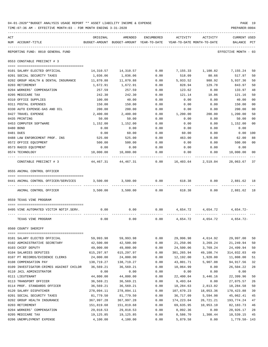| 04-01-2020**BUDGET ANALYSIS USAGE REPORT ** ASSET LIABILITY INCOME & EXPENSE | PAGE 19        |
|------------------------------------------------------------------------------|----------------|
| TIME:07:36 AM - EFFECTIVE MONTH:03 - FOR MONTH ENDING 3-31-2020              | PREPARER: 0004 |

| ACT |                                         | ORIGINAL   | AMENDED                                  | ENCUMBERED | ACTIVITY                   | ACTIVITY                         | CURRENT USED         |                |
|-----|-----------------------------------------|------------|------------------------------------------|------------|----------------------------|----------------------------------|----------------------|----------------|
|     | NUM ACCOUNT-TITLE                       |            | BUDGET-AMOUNT BUDGET-AMOUNT YEAR-TO-DATE |            | YEAR-TO-DATE MONTH-TO-DATE |                                  | BALANCE              | PCT            |
|     | REPORTING FUND: 0010 GENERAL FUND       |            |                                          |            |                            |                                  | EFFECTIVE MONTH - 03 |                |
|     | 0553 CONSTABLE PRECINCT # 3             |            |                                          |            |                            |                                  |                      |                |
|     | 0101 SALARY ELECTED OFFICIAL            |            | 14,310.57 14,310.57                      | 0.00       |                            | 7,155.33 1,100.82                | 7,155.24             | 50             |
|     | 0201 SOCIAL SECURITY TAXES              | 1,036.06   | 1,036.06                                 | 0.00       | 518.09                     | 80.66                            | 517.97               | 50             |
|     | 0202 GROUP HEALTH & DENTAL INSURANCE    | 11,870.88  | 11,870.88                                | 0.00       | 5,933.52                   | 988.92                           | 5,937.36             | 50             |
|     | 0203 RETIREMENT                         | 1,672.91   | 1,672.91                                 | 0.00       | 828.94                     | 129.78                           | 843.97               | 50             |
|     | 0204 WORKERS' COMPENSATION              | 257.59     | 257.59                                   | 0.00       | 123.62                     | 0.00                             | 133.97               | 48             |
|     | 0205 MEDICARE TAX                       | 242.30     | 242.30                                   | 0.00       | 121.14                     | 18.86                            | 121.16               | 50             |
|     | 0310 OFFICE SUPPLIES                    | 100.00     | 40.00                                    | 0.00       | 0.00                       | 0.00                             | 40.00                | 00             |
|     | 0311 POSTAL EXPENSES                    | 150.00     | 150.00                                   | 0.00       | 0.00                       | 0.00                             | 150.00               | 00             |
|     | 0330 AUTO EXPENSE-GAS AND OIL           | 200.00     | 200.00                                   | 0.00       | 0.00                       | 0.00                             | 200.00               | 00             |
|     | 0427 TRAVEL EXPENSE                     | 2,400.00   | 2,400.00                                 | 0.00       | 1,200.00                   | 200.00                           | 1,200.00             | 50             |
|     | 0435 PRINTING                           | 50.00      | 50.00                                    | 0.00       | 0.00                       | 0.00                             | 50.00                | 00             |
|     | 0453 COMPUTER SOFTWARE                  | 1,152.00   | 1,152.00                                 | 0.00       | 0.00                       | 0.00                             | 1,152.00             | 00             |
|     | 0480 BOND                               | 0.00       | 0.00                                     | 0.00       | 0.00                       | 0.00                             | 0.00                 |                |
|     | 0481 DUES                               | 0.00       | 60.00                                    | 0.00       | 60.00                      | 0.00                             | 0.00                 | 100            |
|     | 0488 LAW ENFORCEMENT PROF. INS          | 525.00     | 525.00                                   | 0.00       | 463.00                     | 0.00                             | 62.00                | 88             |
|     | 0572 OFFICE EQUIPMENT                   | 500.00     | 500.00                                   | 0.00       | 0.00                       | 0.00                             | 500.00               | 0 <sub>0</sub> |
|     | 0573 RADIO EQUIPMENT                    | 0.00       | 0.00                                     | 0.00       | 0.00                       | 0.00                             | 0.00                 |                |
|     | 0574 TECHNOLOGY                         | 10,000.00  | 10,000.00                                | 0.00       | 0.00                       | 0.00                             | 10,000.00            | 00             |
|     | CONSTABLE PRECINCT # 3                  | 44,467.31  | 44,467.31                                | 0.00       |                            | 16,403.64 2,519.04               | 28,063.67            | - 37           |
|     | 0555 ANIMAL CONTROL OFFICER             |            |                                          |            |                            |                                  |                      |                |
|     |                                         |            |                                          |            |                            |                                  |                      |                |
|     | 0441 ANIMAL CONTROL OFFICER/SERVICES    | 3,500.00   | 3,500.00                                 | 0.00       | 618.38                     | 0.00                             | 2,881.62 18          |                |
|     | ANIMAL CONTROL OFFICER                  |            | 3,500.00 3,500.00                        | 0.00       |                            | 618.38<br>0.00                   | 2,881.62 18          |                |
|     | 0559 TEXAS VINE PROGRAM                 |            |                                          |            |                            |                                  |                      |                |
|     | 0495 VINE AUTOMATED VICTIM NOTIF.SERV.  | 0.00       | 0.00                                     | 0.00       |                            | 4,654.72 4,654.72                | 4,654.72-            |                |
|     | TEXAS VINE PROGRAM                      | 0.00       | 0.00                                     | 0.00       |                            | $4,654.72$ $4,654.72$ $4,654.72$ |                      |                |
|     | 0560 COUNTY SHERIFF                     |            |                                          |            |                            |                                  |                      |                |
|     |                                         |            |                                          |            |                            |                                  |                      |                |
|     | 0101 SALARY ELECTED OFFICIAL            | 59,993.98  | 59,993.98                                | 0.00       | 29,996.98                  | 4,614.92                         | 29,997.00            | 50             |
|     | 0102 ADMINISTRATIVE SECRETARY           | 42,500.00  | 42,500.00                                | 0.00       | 21,250.06                  | 3,269.24                         | 21,249.94            | 50             |
|     | 0103 CHIEF DEPUTY                       | 49,000.00  | 49,000.00                                | 0.00       | 24,500.06                  | 3,769.24                         | 24,499.94            | 50             |
|     | 0104 SALARIES DEPUTIES                  | 615,297.97 | 615,297.97                               | 0.00       | 301,265.94                 | 49,108.74                        | 314,032.03           | 49             |
|     | 0107 PT RECORDS/EVIDENCE CLERKS         | 24,000.00  | 24,000.00                                | 0.00       | 12,192.00                  | 1,920.00                         | 11,808.00            | 51             |
|     | 0108 COMPENSATION PAY                   | 138,719.27 | 138,719.27                               | 0.00       | 43,801.71                  | 5,907.08                         | 94, 917.56           | 32             |
|     | 0109 INVESTIGATOR-CRIMES AGAINST CHILDR | 36,569.21  | 36,569.21                                | 0.00       | 10,064.99                  | 0.00                             | 26,504.22            | 28             |
|     | 0110 JAIL ADMINISTRATOR                 | 0.00       | 0.00                                     | 0.00       | 0.00                       | 0.00                             | 0.00                 |                |
|     | 0111 LIEUTENANT                         | 44,800.00  | 44,800.00                                | 0.00       | 22,400.04                  | 3,446.16                         | 22,399.96            | 50             |
|     | 0113 TRANSPORT OFFICER                  | 36,569.21  | 36,569.21                                | 0.00       | 9,493.64                   | 0.00                             | 27,075.57            | 26             |
|     | 0114 PROF. STANDARDS OFFICER            | 36,569.21  | 36,569.21                                | 0.00       | 18,284.63                  | 2,813.02                         | 18,284.58            | 50             |
|     | 0120 SALARY DISPATCHER                  | 278,094.11 | 278,094.11                               | 0.00       | 107,670.23                 | 18,053.36                        | 170,423.88           | 39             |
|     | 0201 SOCIAL SECURITY TAXES              | 81,779.50  | 81,779.50                                | 0.00       | 36,717.09                  | 5,594.98                         | 45,062.41            | 45             |
|     | 0202 GROUP HEALTH INSURANCE             | 367,997.28 | 367,997.28                               | 0.00       | 174,223.04                 | 26,721.21                        | 193,774.24           | 47             |
|     | 0203 RETIREMENT                         | 151,819.68 | 151,819.68                               | 0.00       | 69,635.95                  | 10,953.10                        | 82, 183. 73          | 46             |
|     | 0204 WORKERS' COMPENSATION              | 29,018.53  | 29,018.53                                | 0.00       | 8,092.36                   | 0.00                             | 20,926.17            | 28             |
|     | 0205 MEDICARE TAX                       | 19,125.85  | 19,125.85                                | 0.00       | 8,586.70                   | 1,308.44                         | 10,539.15            | 45             |

0206 UNEMPLOYMENT EXPENSE 4,100.00 4,100.00 0.00 5,879.58 0.00 1,779.58- 143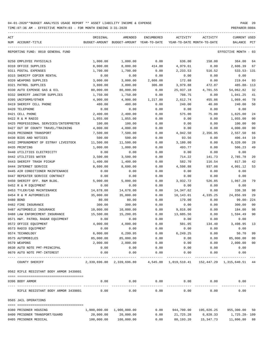| ACT       | NUM ACCOUNT-TITLE                       | ORIGINAL<br>BUDGET-AMOUNT | AMENDED<br>BUDGET-AMOUNT YEAR-TO-DATE                                      | ENCUMBERED          | ACTIVITY<br>YEAR-TO-DATE MONTH-TO-DATE | ACTIVITY           | <b>CURRENT USED</b><br>BALANCE | $_{\rm PCT}$ |
|-----------|-----------------------------------------|---------------------------|----------------------------------------------------------------------------|---------------------|----------------------------------------|--------------------|--------------------------------|--------------|
|           |                                         |                           |                                                                            |                     |                                        |                    |                                |              |
|           | REPORTING FUND: 0010 GENERAL FUND       |                           |                                                                            |                     |                                        |                    | EFFECTIVE MONTH - 03           |              |
|           | 0250 EMPLOYEE PHYSICALS                 | 1,000.00                  | 1,000.00                                                                   | 0.00                | 636.00                                 | 158.00             | 364.00                         | 64           |
|           | 0310 OFFICE SUPPLIES                    | 8,000.00                  | 8,000.00                                                                   | 414.00              | 4,979.61                               | 0.00               | 2,606.39                       | 67           |
|           | 0311 POSTAL EXPENSES                    | 1,700.00                  | 1,700.00                                                                   | 0.00                | 2,233.53                               | 516.52             | $533.53 - 131$                 |              |
|           | 0315 SHERIFF COPIER RENTAL              | 0.00                      | 0.00                                                                       | 0.00                | 0.00                                   | 0.00               | 0.00                           |              |
|           | 0320 WEAPONS SUPPLIES                   | 3,000.00                  | 3,000.00                                                                   | 2,608.08            | 172.88                                 | 0.00               | 219.04                         | 93           |
|           | 0321 PATROL SUPPLIES                    | 3,800.00                  | 3,800.00                                                                   | 306.00              | 3,979.88                               | 472.07             | 485.88- 113                    |              |
|           | 0330 AUTO EXPENSE GAS & OIL             | 80,000.00                 | 80,000.00                                                                  | 0.00                | 25,937.18                              | 4,701.55           | 54,062.82                      | 32           |
|           | 0332 SHERIFF JANITOR SUPPLIES           | 1,750.00                  | 1,750.00                                                                   | 0.00                | 708.75                                 | 0.00               | 1,041.25                       | 41           |
|           | 0395 UNIFORMS/OTHER                     | 4,900.00                  | 4,900.00                                                                   | 1,217.80            | 2,612.74                               | 455.86             | 1,069.46                       | 78           |
|           | 0419 SHERIFF CELL PHONE                 | 480.00                    | 480.00                                                                     | 0.00                | 240.00                                 | 40.00              | 240.00                         | 50           |
|           | 0420 TELEPHONE                          | 0.00                      | 0.00                                                                       | 0.00                | 0.00                                   | 0.00               | 0.00                           |              |
|           | 0421 CELL PHONE                         | 2,400.00                  | 2,400.00                                                                   | 0.00                | 575.00                                 | 75.00              | 1,825.00                       | 24           |
|           | 0422 R & M RADIO                        | 1,055.00                  | 1,055.00                                                                   | 0.00                | 0.00                                   | 0.00               | 1,055.00                       | 00           |
|           | 0425 PROFESSIONAL SERVICES/INTERPRETER  | 100.00                    | 100.00                                                                     | 0.00                | 0.00                                   | 0.00               | 100.00                         | 00           |
|           | 0427 OUT OF COUNTY TRAVEL/TRAINING      | 4,000.00                  | 4,000.00                                                                   | 0.00                | 0.00                                   | 0.00               | 4,000.00                       | 00           |
|           | 0428 PRISONER TRANSPORT                 | 7,500.00                  | 7,500.00                                                                   | 0.00                | 4,942.50                               | 2,356.95           | 2,557.50                       | 66           |
|           | 0430 BIDS AND NOTICES                   | 500.00                    | 500.00                                                                     | 0.00                | 93.56                                  | 0.00               | 406.44                         | 19           |
|           | 0432 IMPOUNDMENT OF ESTRAY LIVESTOCK    | 11,500.00                 | 11,500.00                                                                  | 0.00                | 3,180.00                               | 0.00               | 8,320.00                       | 28           |
|           | 0435 PRINTING                           | 1,000.00                  | 1,000.00                                                                   | 0.00                | 493.77                                 | 0.00               | 506.23                         | 49           |
|           | 0440 UTILITIES ELECTRICITY              | 0.00                      | 0.00                                                                       | 0.00                | 0.00                                   | 0.00               | 0.00                           |              |
|           | 0442 UTILITIES WATER                    | 3,500.00                  | 3,500.00                                                                   | 0.00                | 714.22                                 | 141.73             | 2,785.78                       | 20           |
|           | 0443 SHERIFF TRASH PICKUP               | 1,400.00                  | 1,400.00                                                                   | 0.00                | 582.70                                 | 116.54             | 817.30                         | 42           |
|           | 0444 INTERNET SERVICE                   | 8,600.00                  | 8,600.00                                                                   | 0.00                | 4,598.88                               | 937.08             | 4,001.12                       | 53           |
|           | 0445 AIR CONDITIONER MAINTENANCE        | 0.00                      | 0.00                                                                       | 0.00                | 0.00                                   | 0.00               | 0.00                           |              |
|           | 0447 REPEATER SERVICE CONTRACT          | 0.00                      | 0.00                                                                       | 0.00                | 0.00                                   | 0.00               | 0.00                           |              |
|           | 0450 SHERIFF OFF. R&M BLDG.             | 5,000.00                  | 5,000.00                                                                   | 0.00                | 3,932.72                               | 526.85             | 1,067.28                       | 79           |
|           | 0452 R & M EQUIPMENT                    | 0.00                      | 0.00                                                                       | 0.00                | 0.00                                   | 0.00               | 0.00                           |              |
|           | 0453 TYLER/CAD MAINTENANCE              | 14,678.00                 | 14,678.00                                                                  | 0.00                | 14,347.62                              | 0.00               | 330.38                         | 98           |
|           | 0454 R & M AUTOMOBILES                  | 35,000.00                 | 35,000.00                                                                  | 0.00                | 10,143.01                              | 4,335.25           | 24,856.99                      | 29           |
| 0480 BOND |                                         | 80.00                     | 80.00                                                                      | 0.00                | 179.00                                 | 0.00               | 99.00- 224                     |              |
|           | 0482 FIRE INSURANCE                     | 300.00                    | 300.00                                                                     | 0.00                | 0.00                                   | 0.00               | 300.00                         | 00           |
|           | 0487 AUTOMOBILE INSURANCE               | 10,000.00                 | 10,000.00                                                                  | 0.00                | 9,816.00                               | 0.00               | 184.00                         | 98           |
|           | 0488 LAW ENFORCEMENT INSURANCE          | 15,500.00                 | 15,200.05                                                                  | 0.00                | 13,605.56                              | 0.00               | 1,594.49                       | 90           |
|           | 0571 HWY. PATROL RADAR EQUIPMENT        | 0.00                      | 0.00                                                                       | 0.00                | 0.00                                   | 0.00               | 0.00                           |              |
|           | 0572 OFFICE EQUIPMENT                   | 4,000.00                  | 4,000.00                                                                   | 0.00                | 501.05                                 | 134.40             | 3,498.95                       | 13           |
|           | 0573 RADIO EQUIPMENT                    | 0.00                      | 0.00                                                                       | 0.00                | 0.00                                   | 0.00               | 0.00                           |              |
|           | 0574 TECHNOLOGY                         | 6,000.00                  | 6,299.95                                                                   | 0.00                | 6,249.25                               | 0.00               | 50.70                          | 99           |
|           | 0575 AUTOMOBILES                        | 85,000.00                 | 85,000.00                                                                  | 0.00                | 0.00                                   | 0.00               | 85,000.00                      | 00           |
|           | 0579 WEAPONS                            | 2,000.00                  | 2,000.00                                                                   | 0.00                | 0.00                                   | 0.00               | 2,000.00                       | $00\,$       |
|           | 0630 AUTO NOTE PMT-PRINCIPAL            | 0.00                      | 0.00                                                                       | 0.00                | 0.00                                   | 0.00               | 0.00                           |              |
|           | 0670 AUTO NOTE PMT-INTEREST             | 0.00                      | 0.00                                                                       | 0.00                | 0.00                                   | 0.00               | 0.00                           |              |
|           | COUNTY SHERIFF                          |                           | 2,339,696.80 2,339,696.80 4,545.88 1,019,510.41 152,447.29 1,315,640.51 44 |                     |                                        |                    |                                |              |
|           | 0562 RIFLE RESISTANT BODY ARMOR 3439801 |                           |                                                                            |                     |                                        |                    |                                |              |
|           |                                         |                           |                                                                            |                     |                                        |                    |                                |              |
|           | 0396 BODY ARMOR                         | 0.00                      | 0.00<br>-----------                                                        | 0.00<br>----------- | 0.00<br>-----------                    | 0.00<br>---------- | 0.00                           |              |
|           | RIFLE RESISTANT BODY ARMOR 3439801      | 0.00                      | 0.00                                                                       | 0.00                | 0.00                                   | 0.00               | 0.00                           |              |
|           | 0565 JAIL OPERATIONS                    |                           |                                                                            |                     |                                        |                    |                                |              |
|           | 0380 PRISONER HOUSING                   |                           | 1,900,000.00 1,900,000.00                                                  | 0.00                | 944,700.00                             | 195,026.25         | 955,300.00 50                  |              |
|           | 0400 PRISONER TRANSPORT/GUARD           | 20,000.00                 | 20,000.00                                                                  | 0.00                | 21,725.28                              | 6,828.33           | 1,725.28- 109                  |              |
|           | 0405 PRISONER MEDICAL                   | 100,000.00                | 100,000.00                                                                 | 0.00                | 88,193.20                              |                    | 15,347.73   11,806.80   88     |              |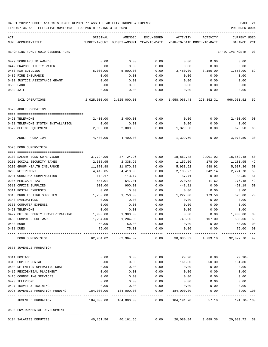TIME:07:36 AM - EFFECTIVE MONTH:03 - FOR MONTH ENDING 3-31-2020 ----------------------------------------------------------------------------------------------------------------------------------- ACT ORIGINAL AMENDED ENCUMBERED ACTIVITY ACTIVITY CURRENT USED

| NUM ACCOUNT-TITLE                    | BUDGET-AMOUNT | BUDGET-AMOUNT YEAR-TO-DATE     |      |                | YEAR-TO-DATE MONTH-TO-DATE             | BALANCE PCT                       |    |
|--------------------------------------|---------------|--------------------------------|------|----------------|----------------------------------------|-----------------------------------|----|
| REPORTING FUND: 0010 GENERAL FUND    |               |                                |      |                |                                        | EFFECTIVE MONTH - 03              |    |
| 0429 SCHOLARSHIP AWARDS              | 0.00          | 0.00                           | 0.00 | 0.00           | 0.00                                   | 0.00                              |    |
| 0442 CR4200 UTILITY WATER            | 0.00          | 0.00                           | 0.00 | 0.00           | 0.00                                   | 0.00                              |    |
| 0450 R&M BUILDING                    | 5,000.00      | 5,000.00                       | 0.00 | 3,450.00       | 3,150.00                               | 1,550.00                          | 69 |
| 0482 FIRE INSURANCE                  | 0.00          | 0.00                           | 0.00 | 0.00           | 0.00                                   | 0.00                              |    |
| 0491 JUSTICE ASSISTANCE GRANT        | 0.00          | 0.00                           | 0.00 | 0.00           | 0.00                                   | 0.00                              |    |
| 0500 LAND                            | 0.00          | 0.00                           | 0.00 | 0.00           | 0.00                                   | 0.00                              |    |
| 0532 JAIL                            | 0.00          | 0.00                           | 0.00 | 0.00           | 0.00                                   | 0.00                              |    |
| JAIL OPERATIONS                      |               | 2,025,000.00 2,025,000.00 0.00 |      | 1,058,068.48   |                                        | 220,352.31 966,931.52             | 52 |
| 0570 ADULT PROBATION                 |               |                                |      |                |                                        |                                   |    |
| 0420 TELEPHONE                       | 2,400.00      | 2,400.00                       | 0.00 | 0.00           |                                        | $0.00$ 2,400.00                   | 00 |
| 0421 TELEPHONE SYSTEM INSTALLATION   | 0.00          | 0.00                           | 0.00 | 0.00           | 0.00                                   | 0.00                              |    |
| 0572 OFFICE EQUIPMENT                | 2,000.00      | 2,000.00                       | 0.00 | 1,329.50       | 0.00                                   | 670.50                            | 66 |
| ---- ------------<br>ADULT PROBATION | 4,400.00      | 4,400.00                       | 0.00 | 1,329.50       | 0.00                                   | 3,070.50                          | 30 |
| 0573 BOND SUPERVISION                |               |                                |      |                |                                        |                                   |    |
| 0103 SALARY-BOND SUPERVISOR          | 37,724.96     | 37,724.96                      | 0.00 |                | 18,862.48 2,901.92                     | 18,862.48                         | 50 |
| 0201 SOCIAL SECURITY TAXES           | 2,338.95      | 2,338.95                       | 0.00 | 1,157.00       | 178.00                                 | 1,181.95                          | 49 |
| 0202 GROUP HEALTH INSURANCE          | 11,870.88     | 11,870.88                      | 0.00 | 5,933.52       | 988.92                                 | 5,937.36                          | 50 |
| 0203 RETIREMENT                      | 4,410.05      | 4,410.05                       | 0.00 | 2,185.27       | 342.14                                 | 2,224.78                          | 50 |
| 0204 WORKERS' COMPENSATION           | 113.17        | 113.17                         | 0.00 | 57.71          | 0.00                                   | 55.46                             | 51 |
| 0205 MEDICARE TAX                    | 547.01        |                                | 0.00 | 270.53         | 41.62                                  | 276.48                            | 49 |
| 0310 OFFICE SUPPLIES                 | 900.00        | 547.01<br>900.00               | 0.00 |                | 0.00                                   | 451.19                            | 50 |
|                                      |               |                                |      | 448.81<br>0.00 |                                        |                                   |    |
| 0311 POSTAL EXPENSES                 | 0.00          | 0.00                           | 0.00 |                | 0.00                                   | 0.00                              |    |
| 0313 DRUG TESTING SUPPLIES           | 1,750.00      | 1,750.00                       | 0.00 | 1,222.00       | 179.50                                 | 528.00                            | 70 |
| 0340 EVALUATIONS                     | 0.00          | 0.00                           | 0.00 | 0.00           | 0.00                                   | 0.00                              |    |
| 0353 COMPUTER EXPENSE                | 0.00          | 0.00                           | 0.00 | 0.00           | 0.00                                   | 0.00                              |    |
| 0420 TELEPHONE                       | 0.00          | 0.00                           | 0.00 | 0.00           | 0.00                                   | 0.00                              |    |
| 0427 OUT OF COUNTY TRAVEL/TRAINING   | 1,900.00      | 1,900.00                       | 0.00 | 0.00           | 0.00                                   | 1,900.00                          | 00 |
| 0453 COMPUTER SOFTWARE               | 1,284.00      | 1,284.00                       | 0.00 | 749.00         | 107.00                                 | 535.00                            | 58 |
| 0480 BOND                            | 50.00         | 50.00                          | 0.00 | 0.00           | 0.00                                   | 50.00                             | 00 |
| 0481 DUES                            | 75.00         | 75.00                          | 0.00 | 0.00           | 0.00                                   | 75.00                             | 00 |
| BOND SUPERVISION                     | 62,964.02     | 62,964.02                      | 0.00 | 30,886.32      | 4,739.10                               | 32,077.70                         |    |
| 0575 JUVENILE PROBATION              |               |                                |      |                |                                        |                                   |    |
| 0311 POSTAGE                         | 0.00          | 0.00                           | 0.00 | 29.90          | 6.80                                   | 29.90-                            |    |
| 0315 COPIER RENTAL                   | 0.00          | 0.00                           | 0.00 | 161.80         | 50.30                                  | $161.80 -$                        |    |
| 0408 DETENTION OPERATING COST        | 0.00          | 0.00                           | 0.00 | 0.00           | 0.00                                   | 0.00                              |    |
| 0415 RESIDENTIAL PLACEMENT           | 0.00          | 0.00                           | 0.00 | 0.00           | 0.00                                   | 0.00                              |    |
| 0416 COUNSELING SERVICES             | 0.00          | 0.00                           | 0.00 | 0.00           | 0.00                                   | 0.00                              |    |
| 0420 TELEPHONE                       | 0.00          | 0.00                           | 0.00 | 0.00           | 0.00                                   | 0.00                              |    |
| 0427 TRAVEL & TRAINING               | 0.00          | 0.00                           | 0.00 | 0.00           | 0.00                                   | 0.00                              |    |
| 0995 JUVENILE PROBATION FUNDING      | 184,000.00    | 184,000.00                     | 0.00 | 184,000.00     | 0.00                                   | 0.00 100                          |    |
| JUVENILE PROBATION                   |               | 184,000.00  184,000.00  0.00   |      | 184,191.70     | 57.10                                  | ------------------<br>191.70- 100 |    |
| 0590 ENVIRONMENTAL DEVELOPMENT       |               |                                |      |                |                                        |                                   |    |
| 0104 SALARIES DEPUTIES               |               | 40,161.56 40,161.56            |      |                | $0.00$ 20,080.84 3,089.36 20,080.72 50 |                                   |    |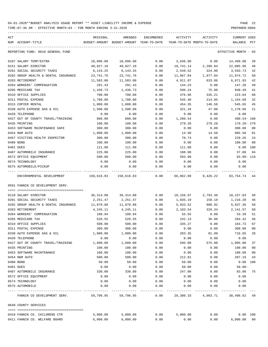| ACT                                           | ORIGINAL         | AMENDED                                  | ENCUMBERED   | ACTIVITY     | ACTIVITY                   | CURRENT USED          |              |
|-----------------------------------------------|------------------|------------------------------------------|--------------|--------------|----------------------------|-----------------------|--------------|
| NUM ACCOUNT-TITLE                             |                  | BUDGET-AMOUNT BUDGET-AMOUNT YEAR-TO-DATE |              |              | YEAR-TO-DATE MONTH-TO-DATE | BALANCE               | PCT          |
| REPORTING FUND: 0010 GENERAL FUND             |                  |                                          |              |              |                            | EFFECTIVE MONTH - 03  |              |
| 0107 SALARY TEMP/EXTRA                        | 18,096.00        | 18,096.00                                | 0.00         | 3,636.00     | 0.00                       | 14,460.00             | 20           |
| 0151 SALARY DIRECTOR                          | 40,827.10        | 40,827.10                                | 0.00         | 18,741.14    | 2,286.84                   | 22,085.96             | 46           |
| 0201 SOCIAL SECURITY TAXES                    | 6,143.25         | 6,143.25                                 | 0.00         | 2,549.52     | 324.90                     | 3,593.73              | 42           |
| 0202 GROUP HEALTH & DENTAL INSURANCE          | 23,741.76        | 23,741.76                                | 0.00         | 11,867.04    | 1,977.84                   | 11,874.72             | 50           |
| 0203 RETIREMENT                               | 11,583.00        | 11,583.00                                | 0.00         | 4,911.07     | 633.86                     | 6,671.93              | 42           |
| 0204 WORKERS' COMPENSATION                    | 291.43           | 291.43                                   | 0.00         | 144.23       | 0.00                       | 147.20                | 49           |
| 0205 MEDICARE TAX                             | 1,436.73         | 1,436.73                                 | 0.00         | 596.24       | 75.98                      | 840.49                | 41           |
| 0310 OFFICE SUPPLIES                          | 700.00           | 700.00                                   | 0.00         | 476.96       | 335.21                     | 223.04                | 68           |
| 0311 POSTAL EXPENSE                           | 1,700.00         | 1,700.00                                 | 0.00         | 545.40       | 214.95                     | 1,154.60              | 32           |
| 0315 COPIER RENTAL                            | 1,000.00         | 1,000.00                                 | 0.00         | 454.35       | 146.58                     | 545.65                | 45           |
| 0330 AUTO EXPENSE GAS & OIL                   | 1,500.00         | 1,500.00                                 | 0.00         | 321.34       | 47.00                      | 1,178.66              | 21           |
| 0420 TELEPHONE                                | 0.00             | 0.00                                     | 0.00         | 0.00         | 0.00                       | 0.00                  |              |
| 0427 OUT OF COUNTY TRAVEL/TRAINING            | 800.00           | 800.00                                   | 0.00         | 1,280.54     | 0.00                       | $480.54 - 160$        |              |
| 0435 PRINTING                                 | 100.00           | 100.00                                   | 0.00         | 279.20       | 279.20                     | 179.20-279            |              |
| 0453 SOFTWARE MAINTENANCE SAFE                | 300.00           | 300.00                                   | 0.00         | 0.00         | 0.00                       | 300.00                | 00           |
| 0454 R&M AUTO                                 | 1,000.00         | 1,000.00                                 | 0.00         | 14.50        | 14.50                      | 985.50                | 01           |
| 0467 VISITING HEALTH INSPECTOR                | 300.00           | 300.00                                   | 0.00         | 70.74        | 0.00                       | 229.26                | 24           |
| 0480 BOND                                     | 100.00           | 100.00                                   | 0.00         | 0.00         | 0.00                       | 100.00                | 00           |
| 0481 DUES                                     | 111.00           | 111.00                                   | 0.00         | 111.00       | 0.00                       | $0.00$ 100            |              |
| 0487 AUTOMOBILE INSURANCE                     | 225.00           | 225.00                                   | 0.00         | 188.00       | 0.00                       | 37.00                 | 84           |
| 0572 OFFICE EQUIPMENT                         | 500.00           | 500.00                                   | 0.00         | 593.98       | 0.00                       | $93.98 - 119$         |              |
| 0574 TECHNOLOGY                               | 0.00             | 0.00                                     | 0.00         | 0.00         | 0.00                       | 0.00                  |              |
| 0575 AUTOMOBILE/PICKUP                        | 0.00             | 0.00                                     | 0.00         | 0.00         | 0.00                       | 0.00                  |              |
| ENVIRONMENTAL DEVELOPMENT                     | 150,616.83       | 150,616.83                               | 0.00         | 66,862.09    | 9,426.22                   | 83,754.74 44          |              |
| 0591 FANNIN CO DEVELOPMENT SERV.              |                  |                                          |              |              |                            |                       |              |
|                                               |                  |                                          |              |              |                            |                       |              |
| 0110 SALARY DIRECTOR                          | 36,314.00        | 36,314.00                                | 0.00         | 18,156.97    | 2,793.38                   | 18,157.03             | 50           |
| 0201 SOCIAL SECURITY TAXES                    | 2,251.47         | 2,251.47                                 | 0.00         | 1,035.19     | 158.10                     | 1,216.28              | 46           |
| 0202 GROUP HEALTH & DENTAL INSURANCE          | 11,870.88        | 11,870.88                                | 0.00         | 5,933.52     | 988.92                     | 5,937.36              | 50           |
| 0203 RETIREMENT                               | 4,245.11         | 4,245.11                                 | 0.00         | 2,103.54     | 329.34                     | 2,141.57              | 50           |
| 0204 WORKERS' COMPENSATION                    | 108.94           | 108.94                                   | 0.00         | 55.55        | 0.00                       | 53.39                 | 51           |
| 0205 MEDICARE TAX                             | 526.55           | 526.55                                   | 0.00         | 242.13       | 36.98                      | 284.42                | 46           |
| 0310 OFFICE SUPPLIES                          | 500.00           | 500.00                                   | 0.00         | 335.27       | 0.00                       | 164.73<br>300.00      | 67           |
| 0311 POSTAL EXPENSE                           | 300.00           | 300.00                                   | 0.00         | 0.00         | 0.00                       |                       | 00           |
| 0330 AUTO EXPENSE GAS & OIL<br>0420 TELEPHONE | 1,000.00         | 1,000.00                                 | 0.00         | 283.35       | 81.99                      | 716.65                | 28           |
|                                               | 0.00             | 0.00                                     | 0.00         | 0.00         | 0.00                       | 0.00                  |              |
| 0427 OUT OF COUNTY TRAVEL/TRAINING            | 1,600.00         | 1,600.00                                 | 0.00         | 595.00       | 575.00                     | 1,005.00              | 37<br>$00\,$ |
| 0435 PRINTING                                 | 100.00<br>100.00 | 100.00<br>100.00                         | 0.00<br>0.00 | 0.00<br>0.00 | 0.00<br>0.00               | 100.00<br>100.00      | $00\,$       |
| 0453 SOFTWARE MAINTENANCE<br>0454 R&M AUTO    |                  |                                          |              |              |                            | 287.19                |              |
|                                               | 500.00           | 500.00                                   | 0.00         | 212.81       | 0.00                       |                       | 43           |
| 0480 BOND                                     | 50.00            | 50.00                                    | 0.00         | 50.00        | 0.00                       | $0.00$ 100            |              |
| 0481 DUES                                     | 0.00             | 0.00                                     | 0.00         | 50.00        | 0.00                       | $50.00 -$             | 75           |
| 0487 AUTOMOBILE INSURANCE                     | 330.00           | 330.00                                   | 0.00         | 247.00       | 0.00                       | 83.00                 |              |
| 0572 OFFICE EQUIPMENT<br>0574 TECHNOLOGY      | 0.00<br>0.00     | 0.00<br>0.00                             | 0.00<br>0.00 | 0.00<br>0.00 | 0.00<br>0.00               | 0.00<br>0.00          |              |
| 0575 AUTOMOBILE                               | 0.00             | 0.00                                     | 0.00         | 0.00         | 0.00                       | 0.00                  |              |
| FANNIN CO DEVELOPMENT SERV.                   | 59,796.95        | 59,796.95                                | 0.00         | 29,300.33    |                            | 4,963.71 30,496.62 49 |              |
| 0640 COUNTY SERVICES                          |                  |                                          |              |              |                            |                       |              |
| 0410 FANNIN CO. CHILDRENS CTR                 | 5,000.00         | 5,000.00                                 | 0.00         | 5,000.00     | 0.00                       | 0.00 100              |              |
| 0411 FANNIN CO. WELFARE BOARD                 | 6,000.00         | 6,000.00                                 | 0.00         | 0.00         | 0.00                       | 6,000.00000           |              |
|                                               |                  |                                          |              |              |                            |                       |              |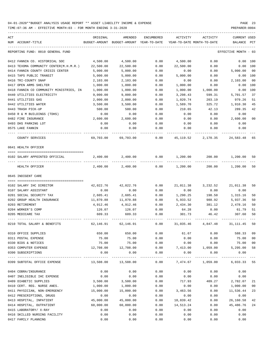| ACT |                                         | ORIGINAL  | AMENDED                                  | ENCUMBERED | ACTIVITY  | ACTIVITY                                                           | <b>CURRENT USED</b>  |                |
|-----|-----------------------------------------|-----------|------------------------------------------|------------|-----------|--------------------------------------------------------------------|----------------------|----------------|
|     | NUM ACCOUNT-TITLE                       |           | BUDGET-AMOUNT BUDGET-AMOUNT YEAR-TO-DATE |            |           | YEAR-TO-DATE MONTH-TO-DATE                                         | BALANCE              | PCT            |
|     | REPORTING FUND: 0010 GENERAL FUND       |           |                                          |            |           |                                                                    | EFFECTIVE MONTH - 03 |                |
|     | 0412 FANNIN CO. HISTORICAL SOC          | 4,500.00  | 4,500.00                                 | 0.00       | 4,500.00  | 0.00                                                               | 0.00 100             |                |
|     | 0413 TEXOMA COMMUNITY CENTER(M.H.M.R.)  | 22,500.00 | 22,500.00                                | 0.00       | 22,500.00 | 0.00                                                               | $0.00$ 100           |                |
|     | 0414 FANNIN COUNTY CRISIS CENTER        | 5,000.00  | 5,000.00                                 | 0.00       | 0.00      | 0.00                                                               | 5,000.00             | 0 <sub>0</sub> |
|     | 0415 TAPS PUBLIC TRANSIT                | 5,000.00  | 5,000.00                                 | 0.00       | 5,000.00  | 0.00                                                               | 0.00 100             |                |
|     | 0416 TRI-COUNTY SNAP                    | 2,103.00  | 2,103.00                                 | 0.00       | 0.00      | 0.00                                                               | 2,103.00             | 0 <sub>0</sub> |
|     | 0417 OPEN ARMS SHELTER                  | 1,000.00  | 1,000.00                                 | 0.00       | 1,000.00  | 0.00                                                               | 0.00                 | 100            |
|     | 0418 FANNIN CO COMMUNITY MINISTRIES, IN | 1,000.00  | 1,000.00                                 | 0.00       | 1,000.00  | 1,000.00                                                           | 0.00                 | 100            |
|     | 0440 UTILITIES ELECTRICITY              | 9,000.00  | 9,000.00                                 | 0.00       | 3,298.43  | 599.31                                                             | 5,701.57             | 37             |
|     | 0441 UTILITIES GAS                      | 2,000.00  | 2,000.00                                 | 0.00       | 1,020.74  | 203.19                                                             | 979.26               | 51             |
|     | 0442 UTILITIES WATER                    | 3,500.00  | 3,500.00                                 | 0.00       | 1,589.70  | 325.72                                                             | 1,910.30             | 45             |
|     | 0443 TRASH PICK-UP                      | 500.00    | 500.00                                   | 0.00       | 210.65    | 42.13                                                              | 289.35               | 42             |
|     | 0450 R & M BUILDINGS (TDHS)             | 0.00      | 0.00                                     | 0.00       | 0.00      | 0.00                                                               | 0.00                 |                |
|     | 0482 FIRE INSURANCE                     | 2,600.00  | 2,600.00                                 | 0.00       | 0.00      | 0.00                                                               | 2,600.00             | 0 <sup>0</sup> |
|     | 0493 DHS PARKING LOT                    | 0.00      | 0.00                                     | 0.00       | 0.00      | 0.00                                                               | 0.00                 |                |
|     | 0575 LAKE FANNIN                        | 0.00      | 0.00                                     | 0.00       | 0.00      | 0.00                                                               | 0.00                 |                |
|     | COUNTY SERVICES                         | 69,703.00 | 69,703.00                                | 0.00       | 45,119.52 | 2,170.35                                                           | 24,583.48            | 65             |
|     | 0641 HEALTH OFFICER                     |           |                                          |            |           |                                                                    |                      |                |
|     | 0102 SALARY APPOINTED OFFICIAL          | 2,400.00  | 2,400.00                                 | 0.00       | 1,200.00  | 200.00                                                             | 1,200.00             | 50             |
|     | HEALTH OFFICER                          | 2,400.00  | 2,400.00                                 | 0.00       | 1,200.00  | 200.00                                                             | 1,200.00             | 50             |
|     | 0645 INDIGENT CARE                      |           |                                          |            |           |                                                                    |                      |                |
|     |                                         |           |                                          |            |           |                                                                    |                      |                |
|     | 0102 SALARY IHC DIRECTOR                | 42,022.76 | 42,022.76                                | 0.00       |           | 21,011.38 3,232.52                                                 | 21,011.38            | 50             |
|     | 0107 SALARY ASSISTANT                   | 0.00      | 0.00                                     | 0.00       | 0.00      | 0.00                                                               | 0.00                 |                |
|     | 0201 SOCIAL SECURITY TAX                | 2,605.41  | 2,605.41                                 | 0.00       | 1,290.25  | 198.50                                                             | 1,315.16             | 50             |
|     | 0202 GROUP HEALTH INSURANCE             | 11,870.88 | 11,870.88                                | 0.00       | 5,933.52  | 988.92                                                             | 5,937.36             | 50             |
|     | 0203 RETIREMENT                         | 4,912.46  | 4,912.46                                 | 0.00       | 2,434.30  | 381.12                                                             | 2,478.16             | 50             |
|     | 0204 WORKER'S COMP                      | 126.07    | 126.07                                   | 0.00       | 64.28     | 0.00                                                               | 61.79                | 51             |
|     | 0205 MEDICARE TAX                       | 609.33    | 609.33                                   | 0.00       | 301.73    | 46.42                                                              | 307.60               | 50             |
|     | 0210 TOTAL SALARY & BENEFITS            | 62,146.91 | 62,146.91                                | 0.00       | 31,035.46 | 4,847.48                                                           | 31, 111.45           | 50             |
|     | 0310 OFFICE SUPPLIES                    | 650.00    | 650.00                                   | 0.00       | 61.67     | 0.00                                                               | 588.33               | 09             |
|     | 0311 POSTAL EXPENSE                     | 75.00     | 75.00                                    | 0.00       | 0.00      | 0.00                                                               | 75.00                | 00             |
|     | 0330 BIDS & NOTICES                     | 75.00     | 75.00                                    | 0.00       | 0.00      | 0.00                                                               | 75.00                | 0 <sub>0</sub> |
|     | 0353 COMPUTER EXPENSE                   | 12,708.00 | 12,708.00                                |            |           | $0.00$ $7,413.00$ $1,059.00$                                       | 5,295.00             | 58             |
|     | 0390 SUBSCRIPTIONS                      | 0.00      | 0.00                                     | 0.00       | 0.00      | 0.00                                                               | 0.00                 |                |
|     | 0399 SUBTOTAL OFFICE EXPENSE            |           |                                          |            |           | $13,508.00$ $13,508.00$ $0.00$ $7,474.67$ $1,059.00$ $6,033.33$ 55 |                      |                |
|     | 0404 COBRA/INSURANCE                    | 0.00      | 0.00                                     | 0.00       | 0.00      | 0.00                                                               | 0.00                 |                |
|     | 0407 INELIGIBLE IHC EXPENSE             | 0.00      | 0.00                                     | 0.00       | 0.00      | 0.00                                                               | 0.00                 |                |
|     | 0409 DIABETIC SUPPLIES                  | 3,500.00  | 3,500.00                                 | 0.00       | 717.93    | 409.27                                                             | 2,782.07             | 21             |
|     | 0410 CERT. REG. NURSE ANES.             | 1,000.00  | 1,000.00                                 | 0.00       | 0.00      | 0.00                                                               | 1,000.00             | 0 <sub>0</sub> |
|     | 0411 PHYSICIAN, NON-EMERGENCY           | 15,000.00 | 15,000.00                                | 0.00       | 3,463.56  | 0.00                                                               | 11,536.44            | 23             |
|     | 0412 PRESCRIPTIONS, DRUGS               | 0.00      | 0.00                                     | 0.00       | 0.00      | 0.00                                                               | 0.00                 |                |
|     | 0413 HOSPITAL, INPATIENT                | 45,000.00 | 45,000.00                                | 0.00       | 18,839.42 | 0.00                                                               | 26,160.58            | 42             |
|     | 0414 HOSPITAL, OUTPATIENT               | 60,000.00 | 60,000.00                                | 0.00       | 14,513.24 | 0.00                                                               | 45,486.76            | 24             |
|     | 0415 LABORATORY/ X-RAY                  | 0.00      | 0.00                                     | 0.00       | 0.00      | 0.00                                                               | 0.00                 |                |
|     | 0416 SKILLED NURSING FACILITY           | 0.00      | 0.00                                     | 0.00       | 0.00      | 0.00                                                               | 0.00                 |                |
|     | 0417 FAMILY PLANNING                    | 0.00      | 0.00                                     | 0.00       | 0.00      | 0.00                                                               | 0.00                 |                |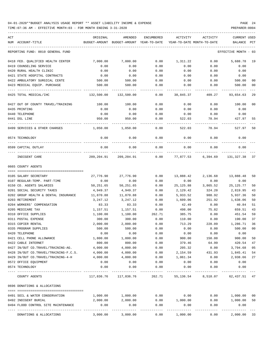| ACT |                                                             | ORIGINAL             | AMENDED                    | <b>ENCUMBERED</b> | ACTIVITY                   | ACTIVITY           | <b>CURRENT USED</b>  |          |
|-----|-------------------------------------------------------------|----------------------|----------------------------|-------------------|----------------------------|--------------------|----------------------|----------|
|     | NUM ACCOUNT-TITLE                                           | BUDGET-AMOUNT        | BUDGET-AMOUNT YEAR-TO-DATE |                   | YEAR-TO-DATE MONTH-TO-DATE |                    | BALANCE              | PCT      |
|     | REPORTING FUND: 0010 GENERAL FUND                           |                      |                            |                   |                            |                    | EFFECTIVE MONTH - 03 |          |
|     | 0418 FED. QUALIFIED HEALTH CENTER                           | 7,000.00             | 7,000.00                   | 0.00              | 1,311.22                   | 0.00               | 5,688.78             | 19       |
|     | 0419 COUNSELING SERVICE                                     | 0.00                 | 0.00                       | 0.00              | 0.00                       | 0.00               | 0.00                 |          |
|     | 0420 RURAL HEALTH CLINIC                                    | 0.00                 | 0.00                       | 0.00              | 0.00                       | 0.00               | 0.00                 |          |
|     | 0421 STATE HOSPITAL CONTRACTS                               | 0.00                 | 0.00                       | 0.00              | 0.00                       | 0.00               | 0.00                 |          |
|     | 0422 AMBULATORY SURGICAL CENTE                              | 500.00               | 500.00                     | 0.00              | 0.00                       | 0.00               | 500.00               | 00       |
|     | 0423 MEDICAL EQUIP. PURCHASE                                | 500.00               | 500.00                     | 0.00              | 0.00                       | 0.00               | 500.00               | 00       |
|     | 0425 TOTAL MEDICAL/IHC                                      | 132,500.00           | 132,500.00                 | 0.00              | 38,845.37                  | 409.27             | 93,654.63            | 29       |
|     | 0427 OUT OF COUNTY TRAVEL/TRAINING                          | 100.00               | 100.00                     | 0.00              | 0.00                       | 0.00               | 100.00               | 00       |
|     | 0435 PRINTING                                               | 0.00                 | 0.00                       | 0.00              | 0.00                       | 0.00               | 0.00                 |          |
|     | 0440 TELEPHONE                                              | 0.00                 | 0.00                       | 0.00              | 0.00                       | 0.00               | 0.00                 |          |
|     | 0441 DSL LINE                                               | 950.00               | 950.00                     | 0.00              | 522.03                     | 78.94              | 427.97               | 55       |
|     | 0499 SERVICES & OTHER CHARGES                               | 1,050.00             | 1,050.00                   | 0.00              | 522.03                     | 78.94              | 527.97               | 50       |
|     | 0574 TECHNOLOGY                                             | 0.00                 | 0.00                       | 0.00              | 0.00                       | 0.00               | 0.00                 |          |
|     | 0599 CAPITAL OUTLAY                                         | 0.00                 | 0.00                       | 0.00              | 0.00                       | 0.00               | 0.00                 |          |
|     | INDIGENT CARE                                               |                      | 209, 204.91 209, 204.91    | 0.00              |                            | 77,877.53 6,394.69 | 131,327.38           | 37       |
|     | 0665 COUNTY AGENTS                                          |                      |                            |                   |                            |                    |                      |          |
|     |                                                             |                      |                            |                   |                            |                    |                      |          |
|     | 0105 SALARY SECRETARY                                       | 27,776.90            | 27,776.90                  | 0.00              | 13,888.42                  | 2,136.68           | 13,888.48            | 50       |
|     | 0107 REGULAR-TEMP. PART-TIME<br>0150 CO. AGENTS SALARIES    | 0.00<br>50,251.65    | 0.00<br>50,251.65          | 0.00<br>0.00      | 0.00<br>25, 125.88         | 0.00<br>3,865.52   | 0.00<br>25, 125. 77  | 50       |
|     | 0201 SOCIAL SECURITY TAXES                                  | 4,949.37             | 4,949.37                   | 0.00              | 2,129.42                   | 324.20             | 2,819.95             | 43       |
|     | 0202 GROUP HEALTH & DENTAL INSURANCE                        | 11,870.88            | 11,870.88                  | 0.00              | 5,933.52                   | 988.92             | 5,937.36             | 50       |
|     | 0203 RETIREMENT                                             | 3,247.12             | 3,247.12                   | 0.00              | 1,609.06                   | 251.92             | 1,638.06             | 50       |
|     | 0204 WORKERS' COMPENSATION                                  | 83.33                | 83.33                      | 0.00              | 42.49                      | 0.00               | 40.84                | 51       |
|     | 0205 MEDICARE TAX                                           | 1,157.51             | 1,157.51                   | 0.00              | 498.00                     | 75.82              | 659.51               | 43       |
|     | 0310 OFFICE SUPPLIES                                        | 1,100.00             | 1,100.00                   | 262.71            | 385.75                     | 0.00               | 451.54               | 59       |
|     | 0311 POSTAL EXPENSE                                         | 300.00               | 300.00                     | 0.00              | 110.00                     | 0.00               | 190.00               | 37       |
|     | 0315 COPIER RENTAL                                          | 2,000.00             | 2,000.00                   | 0.00              | 713.29                     | 228.09             | 1,286.71             | 36       |
|     | 0335 PROGRAM SUPPLIES                                       | 500.00               | 500.00                     | 0.00              | 0.00                       | 0.00               | 500.00               | 00       |
|     | 0420 TELEPHONE                                              | 0.00                 | 0.00                       | 0.00              | 0.00                       | 0.00               | 0.00                 |          |
|     | 0421 CELL PHONE ALLOWANCE                                   | 1,800.00             | 1,800.00                   | 0.00              | 900.00                     | 150.00             | 900.00               | 50       |
|     | 0422 CABLE INTERNET                                         | 800.00               | 800.00                     | 0.00              | 379.46                     | 64.99              | 420.54               | 47       |
|     | 0427 IN/OUT CO.TRAVEL/TRAINING-AG.                          | 4,000.00             | 4,000.00                   | 0.00              | 205.32                     | 0.00               | 3,794.68             | 05       |
|     | 0428 IN/OUT CO.TRAVEL/TRAINING-F.C.S.                       | 4,000.00             | 4,000.00                   | 0.00              | 2,154.59                   | 431.93             | 1,845.41             | 54       |
|     | 0429 IN/OUT CO.TRAVEL/TRAINING-4-H                          | 4,000.00             | 4,000.00                   | 0.00              | 1,061.34                   | 0.00               | 2,938.66             | 27       |
|     | 0572 OFFICE EQUIPMENT                                       | 0.00                 | 0.00                       | 0.00              | 0.00                       | 0.00               | 0.00                 |          |
|     | 0574 TECHNOLOGY                                             | 0.00                 | 0.00                       | 0.00              | 0.00                       | 0.00               | 0.00                 |          |
|     | COUNTY AGENTS                                               |                      | 117,836.76 117,836.76      | 262.71            | 55,136.54                  | 8,518.07           | 62,437.51 47         |          |
|     | 0696 DONATIONS & ALLOCATIONS                                |                      |                            |                   |                            |                    |                      |          |
|     |                                                             |                      |                            |                   |                            |                    |                      |          |
|     | 0491 SOIL & WATER CONSERVATION                              | 1,000.00<br>2,000.00 | 1,000.00<br>2,000.00       | 0.00<br>0.00      | 0.00<br>1,000.00           | 0.00<br>0.00       | 1,000.00             | 00<br>50 |
|     | 0492 INDIGENT BURIAL<br>0494 FLOOD CONTROL SITE MAINTENANCE | 0.00                 | 0.00                       | 0.00              | 0.00                       | 0.00               | 1,000.00<br>0.00     |          |
|     |                                                             | -------------        |                            | ---------         |                            |                    | ---------            |          |
|     | DONATIONS & ALLOCATIONS                                     | 3,000.00             | 3,000.00                   | 0.00              | 1,000.00                   | 0.00               | 2,000.00 33          |          |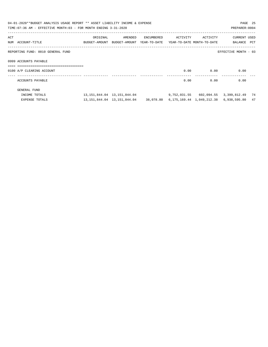|     | 04-01-2020**BUDGET ANALYSIS USAGE REPORT ** ASSET LIABILITY INCOME & EXPENSE<br>TIME: 07:36 AM - EFFECTIVE MONTH: 03 - FOR MONTH ENDING 3-31-2020 |          |                                                                                   |            |                   |      | PAGE 25<br>PREPARER: 0004               |    |
|-----|---------------------------------------------------------------------------------------------------------------------------------------------------|----------|-----------------------------------------------------------------------------------|------------|-------------------|------|-----------------------------------------|----|
| ACT | NUM ACCOUNT-TITLE                                                                                                                                 | ORIGINAL | AMENDED<br>BUDGET-AMOUNT BUDGET-AMOUNT YEAR-TO-DATE YEAR-TO-DATE MONTH-TO-DATE    | ENCUMBERED | ACTIVITY ACTIVITY |      | CURRENT USED<br>BALANCE PCT             |    |
|     | REPORTING FUND: 0010 GENERAL FUND                                                                                                                 |          |                                                                                   |            |                   |      | EFFECTIVE MONTH - 03                    |    |
|     | 0999 ACCOUNTS PAYABLE<br>===================================                                                                                      |          |                                                                                   |            |                   |      |                                         |    |
|     | 0100 A/P CLEARING ACCOUNT                                                                                                                         |          |                                                                                   |            | 0.00              | 0.00 | 0.00                                    |    |
|     | ACCOUNTS PAYABLE                                                                                                                                  |          |                                                                                   |            | 0.00              | 0.00 | 0.00                                    |    |
|     | GENERAL FUND                                                                                                                                      |          |                                                                                   |            |                   |      |                                         |    |
|     | INCOME TOTALS                                                                                                                                     |          | 13, 151, 844, 04    13, 151, 844, 04                                              |            |                   |      | 9,752,031.55 602,094.55 3,399,812.49 74 |    |
|     | <b>EXPENSE TOTALS</b>                                                                                                                             |          | 13, 151, 844, 04  13, 151, 844, 04  38, 078, 80  6, 175, 169, 44  1, 049, 212, 38 |            |                   |      | 6,938,595.80                            | 47 |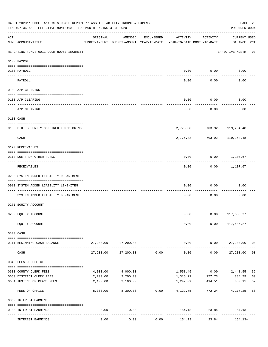|                    | 04-01-2020**BUDGET ANALYSIS USAGE REPORT ** ASSET LIABILITY INCOME & EXPENSE<br>TIME: 07:36 AM - EFFECTIVE MONTH: 03 - FOR MONTH ENDING 3-31-2020 |           |                                                     |            |                          |                                        | PREPARER: 0004                     | PAGE 26        |
|--------------------|---------------------------------------------------------------------------------------------------------------------------------------------------|-----------|-----------------------------------------------------|------------|--------------------------|----------------------------------------|------------------------------------|----------------|
| $\mathop{\rm ACT}$ | NUM ACCOUNT-TITLE                                                                                                                                 | ORIGINAL  | AMENDED<br>BUDGET-AMOUNT BUDGET-AMOUNT YEAR-TO-DATE | ENCUMBERED | ACTIVITY                 | ACTIVITY<br>YEAR-TO-DATE MONTH-TO-DATE | <b>CURRENT USED</b><br>BALANCE PCT |                |
|                    | REPORTING FUND: 0011 COURTHOUSE SECURITY                                                                                                          |           |                                                     |            |                          |                                        | EFFECTIVE MONTH - 03               |                |
|                    | 0100 PAYROLL                                                                                                                                      |           |                                                     |            |                          |                                        |                                    |                |
|                    | 0100 PAYROLL                                                                                                                                      |           |                                                     |            |                          | $0.00$ 0.00                            | 0.00                               |                |
|                    | PAYROLL                                                                                                                                           |           |                                                     |            | 0.00                     | 0.00                                   | 0.00                               |                |
|                    | 0102 A/P CLEARING                                                                                                                                 |           |                                                     |            |                          |                                        |                                    |                |
|                    | 0100 A/P CLEARING                                                                                                                                 |           |                                                     |            | 0.00                     | 0.00                                   | 0.00                               |                |
|                    | A/P CLEARING                                                                                                                                      |           |                                                     |            | 0.00                     | 0.00                                   | 0.00                               |                |
|                    | 0103 CASH                                                                                                                                         |           |                                                     |            |                          |                                        |                                    |                |
|                    | 0100 C.H. SECURITY-COMBINED FUNDS CKING                                                                                                           |           |                                                     |            |                          |                                        | 2,776.88 703.92- 119,254.48        |                |
|                    | CASH                                                                                                                                              |           |                                                     |            | 2,776.88                 | ----------                             | ---------<br>703.92- 119,254.48    |                |
|                    | 0120 RECEIVABLES                                                                                                                                  |           |                                                     |            |                          |                                        |                                    |                |
|                    | 0313 DUE FROM OTHER FUNDS                                                                                                                         |           |                                                     |            | 0.00                     |                                        | $0.00$ 1,107.67                    |                |
|                    | RECEIVABLES                                                                                                                                       |           |                                                     |            | 0.00                     |                                        | $0.00$ 1,107.67                    |                |
|                    | 0200 SYSTEM ADDED LIABILITY DEPARTMENT                                                                                                            |           |                                                     |            |                          |                                        |                                    |                |
|                    | 0910 SYSTEM ADDED LIABILITY LINE-ITEM                                                                                                             |           |                                                     |            | 0.00                     | 0.00                                   | 0.00                               |                |
|                    |                                                                                                                                                   |           |                                                     |            |                          |                                        |                                    |                |
|                    | SYSTEM ADDED LIABILITY DEPARTMENT                                                                                                                 |           |                                                     |            | 0.00                     | 0.00                                   | 0.00                               |                |
|                    | 0271 EQUITY ACCOUNT                                                                                                                               |           |                                                     |            |                          |                                        |                                    |                |
|                    | 0200 EQUITY ACCOUNT                                                                                                                               |           |                                                     |            |                          |                                        | $0.00$ $0.00$ $117,585.27$         |                |
|                    | EQUITY ACCOUNT                                                                                                                                    |           |                                                     |            | 0.00                     |                                        | $0.00$ 117,585.27                  |                |
|                    | 0300 CASH                                                                                                                                         |           |                                                     |            |                          |                                        |                                    |                |
|                    | 0111 BEGINNING CASH BALANCE                                                                                                                       |           | 27,200.00 27,200.00                                 |            | 0.00                     | 0.00                                   | 27,200.00 00                       |                |
|                    | CASH                                                                                                                                              | 27,200.00 | 27,200.00                                           | 0.00       | ------------<br>0.00     | ----------                             | 0.00<br>27,200.00                  | 0 <sub>0</sub> |
|                    | 0340 FEES OF OFFICE                                                                                                                               |           |                                                     |            |                          |                                        |                                    |                |
|                    | 0600 COUNTY CLERK FEES                                                                                                                            | 4,000.00  | 4,000.00                                            |            |                          |                                        | 1,558.45 0.00 2,441.55             | 39             |
|                    | 0650 DISTRICT CLERK FEES                                                                                                                          | 2,200.00  | 2,200.00                                            |            | 1,315.21                 | 277.73                                 | 884.79                             | 60             |
|                    | 0651 JUSTICE OF PEACE FEES                                                                                                                        | 2,100.00  | 2,100.00                                            |            | 1,249.09<br>. <u>.</u> . | 494.51<br>-----------                  | 850.91                             | 59             |
|                    | FEES OF OFFICE                                                                                                                                    | 8,300.00  | 8,300.00                                            | 0.00       | 4,122.75                 |                                        | 772.24 4,177.25                    | 50             |
|                    | 0360 INTEREST EARNINGS                                                                                                                            |           |                                                     |            |                          |                                        |                                    |                |
|                    | 0100 INTEREST EARNINGS                                                                                                                            | 0.00      | 0.00                                                |            |                          | ------------                           | 154.13 23.84 154.13+               |                |
|                    | INTEREST EARNINGS                                                                                                                                 | 0.00      | 0.00                                                | 0.00       | 154.13                   | 23.84                                  | 154.13+                            |                |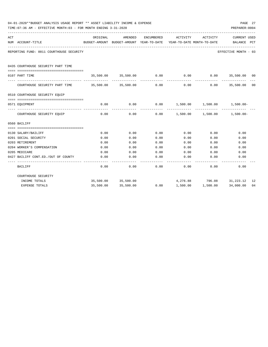|     | 04-01-2020**BUDGET ANALYSIS USAGE REPORT ** ASSET LIABILITY INCOME & EXPENSE<br>TIME: 07:36 AM - EFFECTIVE MONTH: 03 - FOR MONTH ENDING 3-31-2020 |              |                                                     |              |                                                            |                              | PREPARER: 0004          | PAGE 27 |
|-----|---------------------------------------------------------------------------------------------------------------------------------------------------|--------------|-----------------------------------------------------|--------------|------------------------------------------------------------|------------------------------|-------------------------|---------|
| ACT | NUM ACCOUNT-TITLE                                                                                                                                 | ORIGINAL     | AMENDED<br>BUDGET-AMOUNT BUDGET-AMOUNT YEAR-TO-DATE | ENCUMBERED   | ACTIVITY<br>YEAR-TO-DATE MONTH-TO-DATE                     | ACTIVITY                     | CURRENT USED<br>BALANCE | PCT     |
|     | REPORTING FUND: 0011 COURTHOUSE SECURITY                                                                                                          |              |                                                     |              |                                                            |                              | EFFECTIVE MONTH - 03    |         |
|     | 0435 COURTHOUSE SECURITY PART TIME                                                                                                                |              |                                                     |              |                                                            |                              |                         |         |
|     | 0107 PART TIME                                                                                                                                    |              |                                                     |              | $35,500.00$ $35,500.00$ $0.00$ 0.00 0.00 0.00 35,500.00 00 |                              |                         |         |
|     | COURTHOUSE SECURITY PART TIME 35,500.00 35,500.00                                                                                                 |              |                                                     | 0.00         | 0.00                                                       | 0.00                         | 35,500.00 00            |         |
|     | 0510 COURTHOUSE SECURITY EQUIP                                                                                                                    |              |                                                     |              |                                                            |                              |                         |         |
|     | 0571 EQUIPMENT                                                                                                                                    | 0.00         | 0.00                                                | 0.00         | $1,500.00$ $1,500.00$ $1,500.00$                           |                              |                         |         |
|     | COURTHOUSE SECURITY EQUIP                                                                                                                         | 0.00         | 0.00                                                | 0.00         | $1,500.00$ $1,500.00$ $1,500.00$                           |                              |                         |         |
|     | 0560 BAILIFF                                                                                                                                      |              |                                                     |              |                                                            |                              |                         |         |
|     |                                                                                                                                                   |              |                                                     |              |                                                            |                              |                         |         |
|     | 0130 SALARY/BAILIFF                                                                                                                               | 0.00         | 0.00                                                | 0.00         | 0.00                                                       | 0.00                         | 0.00                    |         |
|     | 0201 SOCIAL SECURITY                                                                                                                              | 0.00         | 0.00                                                | 0.00         | 0.00                                                       | 0.00                         | 0.00                    |         |
|     | 0203 RETIREMENT<br>0204 WORKER'S COMPENSATION                                                                                                     | 0.00<br>0.00 | 0.00<br>0.00                                        | 0.00<br>0.00 | 0.00<br>0.00                                               | 0.00<br>0.00                 | 0.00<br>0.00            |         |
|     | 0205 MEDICARE                                                                                                                                     | 0.00         | 0.00                                                | 0.00         | 0.00                                                       | 0.00                         | 0.00                    |         |
|     | 0427 BAILIFF CONT.ED./OUT OF COUNTY                                                                                                               | 0.00         | 0.00                                                | 0.00         | 0.00                                                       | 0.00                         | 0.00                    |         |
|     | BAILIFF                                                                                                                                           | 0.00         | 0.00                                                | 0.00         | 0.00                                                       | 0.00                         | 0.00                    |         |
|     | COURTHOUSE SECURITY                                                                                                                               |              |                                                     |              |                                                            |                              |                         |         |
|     | INCOME TOTALS                                                                                                                                     |              | 35,500.00 35,500.00                                 |              |                                                            | 4,276.88 796.08 31,223.12 12 |                         |         |
|     | EXPENSE TOTALS                                                                                                                                    | 35,500.00    | 35,500.00                                           | 0.00         |                                                            | 1,500.00 1,500.00            | 34,000.00               | 04      |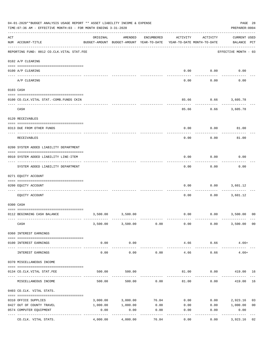|                    | 04-01-2020**BUDGET ANALYSIS USAGE REPORT ** ASSET LIABILITY INCOME & EXPENSE<br>TIME: 07:36 AM - EFFECTIVE MONTH: 03 - FOR MONTH ENDING 3-31-2020 |                     |                                                     |            |          |                                        | PAGE 28<br>PREPARER: 0004                  |
|--------------------|---------------------------------------------------------------------------------------------------------------------------------------------------|---------------------|-----------------------------------------------------|------------|----------|----------------------------------------|--------------------------------------------|
| $\mathop{\rm ACT}$ | NUM ACCOUNT-TITLE                                                                                                                                 | ORIGINAL            | AMENDED<br>BUDGET-AMOUNT BUDGET-AMOUNT YEAR-TO-DATE | ENCUMBERED | ACTIVITY | ACTIVITY<br>YEAR-TO-DATE MONTH-TO-DATE | <b>CURRENT USED</b><br>BALANCE PCT         |
|                    | REPORTING FUND: 0012 CO.CLK.VITAL STAT.FEE                                                                                                        |                     |                                                     |            |          |                                        | EFFECTIVE MONTH - 03                       |
|                    | 0102 A/P CLEARING                                                                                                                                 |                     |                                                     |            |          |                                        |                                            |
|                    | 0100 A/P CLEARING                                                                                                                                 |                     |                                                     |            | 0.00     | 0.00                                   | 0.00                                       |
|                    | ---- ----------<br>A/P CLEARING                                                                                                                   |                     |                                                     |            | 0.00     | 0.00                                   | 0.00                                       |
|                    | 0103 CASH                                                                                                                                         |                     |                                                     |            |          |                                        |                                            |
|                    | 0100 CO.CLK.VITAL STAT.-COMB.FUNDS CKIN                                                                                                           |                     |                                                     |            | 85.66    |                                        | $0.66$ 3,605.78                            |
|                    | CASH                                                                                                                                              |                     |                                                     |            | 85.66    |                                        | $0.66$ 3,605.78                            |
|                    | 0120 RECEIVABLES                                                                                                                                  |                     |                                                     |            |          |                                        |                                            |
|                    |                                                                                                                                                   |                     |                                                     |            |          |                                        |                                            |
|                    | 0313 DUE FROM OTHER FUNDS                                                                                                                         |                     |                                                     |            | 0.00     | 0.00                                   | 81.00                                      |
|                    | RECEIVABLES                                                                                                                                       |                     |                                                     |            | 0.00     | 0.00                                   | 81.00                                      |
|                    | 0200 SYSTEM ADDED LIABILITY DEPARTMENT                                                                                                            |                     |                                                     |            |          |                                        |                                            |
|                    | 0910 SYSTEM ADDED LIABILITY LINE-ITEM                                                                                                             |                     |                                                     |            | 0.00     | 0.00                                   | 0.00                                       |
|                    | SYSTEM ADDED LIABILITY DEPARTMENT                                                                                                                 |                     |                                                     |            | 0.00     | 0.00                                   | 0.00                                       |
|                    | 0271 EQUITY ACCOUNT                                                                                                                               |                     |                                                     |            |          |                                        |                                            |
|                    | 0200 EQUITY ACCOUNT                                                                                                                               |                     |                                                     |            | 0.00     | 0.00                                   | 3,601.12                                   |
|                    | EQUITY ACCOUNT                                                                                                                                    |                     |                                                     |            | 0.00     | 0.00                                   | 3,601.12                                   |
|                    | 0300 CASH                                                                                                                                         |                     |                                                     |            |          |                                        |                                            |
|                    | 0112 BEGINNING CASH BALANCE                                                                                                                       |                     | 3,500.00 3,500.00                                   |            |          |                                        | $0.00$ $0.00$ $3,500.00$<br>0 <sup>0</sup> |
|                    |                                                                                                                                                   |                     |                                                     |            |          |                                        |                                            |
|                    | CASH                                                                                                                                              |                     | 3,500.00 3,500.00                                   | 0.00       | 0.00     | 0.00                                   | 3,500.00 00                                |
|                    | 0360 INTEREST EARNINGS                                                                                                                            |                     |                                                     |            |          |                                        |                                            |
|                    | 0100 INTEREST EARNINGS                                                                                                                            | 0.00                | 0.00                                                |            | 4.66     | 0.66                                   | $4.66+$                                    |
|                    | INTEREST EARNINGS                                                                                                                                 | -----------<br>0.00 | . <u>.</u> .<br>0.00                                | 0.00       | 4.66     | ----------<br>0.66                     | $4.66+$                                    |
|                    | 0370 MISCELLANEOUS INCOME                                                                                                                         |                     |                                                     |            |          |                                        |                                            |
|                    |                                                                                                                                                   | 500.00              | 500.00                                              |            |          |                                        | 81.00   0.00   419.00   16                 |
|                    | 0134 CO.CLK.VITAL STAT.FEE                                                                                                                        |                     |                                                     |            |          |                                        |                                            |
|                    | MISCELLANEOUS INCOME                                                                                                                              | 500.00              | 500.00                                              | 0.00       | 81.00    | 0.00                                   | 16<br>419.00                               |
|                    | 0403 CO.CLK. VITAL STATS.                                                                                                                         |                     |                                                     |            |          |                                        |                                            |
|                    | 0310 OFFICE SUPPLIES                                                                                                                              | 3,000.00            | 3,000.00                                            | 76.84      | 0.00     |                                        | $0.00$ 2,923.16<br>03                      |
|                    | 0427 OUT OF COUNTY TRAVEL                                                                                                                         | 1,000.00            | 1,000.00                                            | 0.00       | 0.00     |                                        | $0.00$ 1,000.00<br>0 <sub>0</sub>          |
|                    | 0574 COMPUTER EQUIPMENT                                                                                                                           | 0.00                | 0.00<br>----------                                  | 0.00       | 0.00     | 0.00                                   | 0.00<br>----------                         |
|                    | CO.CLK. VITAL STATS.                                                                                                                              | 4,000.00            | 4,000.00                                            | 76.84      | 0.00     | 0.00                                   | 3,923.16 02                                |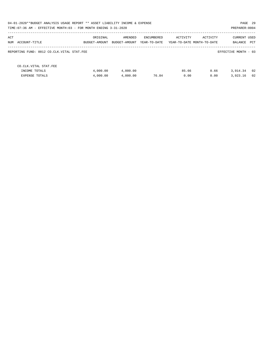|                                            |                      |                                                                                    |                                                                                              |              | PAGE 29<br>PREPARER: 0004              |
|--------------------------------------------|----------------------|------------------------------------------------------------------------------------|----------------------------------------------------------------------------------------------|--------------|----------------------------------------|
| ORIGINAL                                   | AMENDED              | ENCUMBERED                                                                         |                                                                                              | ACTIVITY     | <b>CURRENT USED</b><br>PCT<br>BALANCE  |
| REPORTING FUND: 0012 CO.CLK.VITAL STAT.FEE |                      |                                                                                    |                                                                                              |              | EFFECTIVE MONTH - 03                   |
|                                            |                      |                                                                                    |                                                                                              |              |                                        |
| 4,000.00<br>4,000.00                       | 4,000.00<br>4,000.00 | 76.84                                                                              | 85.66<br>0.00                                                                                | 0.66<br>0.00 | 02<br>3,914.34<br>02<br>3,923.16       |
|                                            | BUDGET-AMOUNT        | TIME: 07:36 AM - EFFECTIVE MONTH: 03 - FOR MONTH ENDING 3-31-2020<br>BUDGET-AMOUNT | 04-01-2020**BUDGET ANALYSIS USAGE REPORT ** ASSET LIABILITY INCOME & EXPENSE<br>YEAR-TO-DATE |              | ACTIVITY<br>YEAR-TO-DATE MONTH-TO-DATE |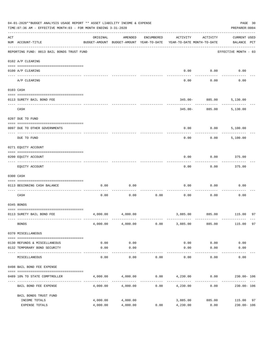|     | 04-01-2020**BUDGET ANALYSIS USAGE REPORT ** ASSET LIABILITY INCOME & EXPENSE<br>TIME: 07:36 AM - EFFECTIVE MONTH: 03 - FOR MONTH ENDING 3-31-2020 |                                                      |                      |            |                                         |                     | PAGE 30<br>PREPARER: 0004          |    |
|-----|---------------------------------------------------------------------------------------------------------------------------------------------------|------------------------------------------------------|----------------------|------------|-----------------------------------------|---------------------|------------------------------------|----|
| ACT | NUM ACCOUNT-TITLE                                                                                                                                 | ORIGINAL<br>BUDGET-AMOUNT BUDGET-AMOUNT YEAR-TO-DATE | AMENDED              | ENCUMBERED | ACTIVITY<br>YEAR-TO-DATE MONTH-TO-DATE  | ACTIVITY            | <b>CURRENT USED</b><br>BALANCE PCT |    |
|     | REPORTING FUND: 0013 BAIL BONDS TRUST FUND                                                                                                        |                                                      |                      |            |                                         |                     | EFFECTIVE MONTH - 03               |    |
|     | 0102 A/P CLEARING                                                                                                                                 |                                                      |                      |            |                                         |                     |                                    |    |
|     | 0100 A/P CLEARING<br>---- ----------<br>-------------------- -------                                                                              |                                                      |                      |            | 0.00                                    | 0.00                | 0.00                               |    |
|     | A/P CLEARING                                                                                                                                      |                                                      |                      |            | 0.00                                    | 0.00                | 0.00                               |    |
|     | 0103 CASH                                                                                                                                         |                                                      |                      |            |                                         |                     |                                    |    |
|     | 0113 SURETY BAIL BOND FEE                                                                                                                         |                                                      |                      |            |                                         | $345.00 - 885.00$   | 5,130.00                           |    |
|     | CASH                                                                                                                                              |                                                      |                      |            |                                         | $345.00 - 885.00$   | 5,130.00                           |    |
|     | 0207 DUE TO FUND                                                                                                                                  |                                                      |                      |            |                                         |                     |                                    |    |
|     | 0097 DUE TO OTHER GOVERNMENTS                                                                                                                     |                                                      |                      |            | 0.00                                    | 0.00                | 5,100.00                           |    |
|     | DUE TO FUND                                                                                                                                       |                                                      |                      |            | 0.00                                    | 0.00                | 5,100.00                           |    |
|     | 0271 EQUITY ACCOUNT                                                                                                                               |                                                      |                      |            |                                         |                     |                                    |    |
|     | 0200 EQUITY ACCOUNT                                                                                                                               |                                                      |                      |            | 0.00                                    | 0.00                | 375.00                             |    |
|     | EQUITY ACCOUNT                                                                                                                                    |                                                      |                      |            | 0.00                                    | 0.00                | 375.00                             |    |
|     | 0300 CASH                                                                                                                                         |                                                      |                      |            |                                         |                     |                                    |    |
|     | 0113 BEGINNING CASH BALANCE                                                                                                                       | 0.00                                                 | 0.00                 |            | 0.00                                    | 0.00                | 0.00                               |    |
|     | CASH                                                                                                                                              | 0.00                                                 | 0.00                 | 0.00       | 0.00                                    | 0.00                | 0.00                               |    |
|     | 0345 BONDS                                                                                                                                        |                                                      |                      |            |                                         |                     |                                    |    |
|     | 0113 SURETY BAIL BOND FEE                                                                                                                         | 4,000.00                                             | 4,000.00             |            |                                         |                     | 3,885.00 885.00 115.00             | 97 |
|     | <b>BONDS</b>                                                                                                                                      |                                                      | 4,000.00 4,000.00    | 0.00       | 3,885.00                                | 885.00              | 115.00                             | 97 |
|     | 0370 MISCELLANEOUS                                                                                                                                |                                                      |                      |            |                                         |                     |                                    |    |
|     | 0130 REFUNDS & MISCELLANEOUS                                                                                                                      | 0.00                                                 | 0.00                 |            | 0.00                                    | 0.00                | 0.00                               |    |
|     | 0132 TEMPORARY BOND SECURITY                                                                                                                      | 0.00                                                 | 0.00<br>----------   |            | 0.00                                    | 0.00<br>$- - - - -$ | 0.00                               |    |
|     | MISCELLANEOUS                                                                                                                                     | 0.00                                                 | 0.00                 | 0.00       | 0.00                                    | 0.00                | 0.00                               |    |
|     | 0498 BAIL BOND FEE EXPENSE                                                                                                                        |                                                      |                      |            |                                         |                     |                                    |    |
|     | 0489 10% TO STATE COMPTROLLER                                                                                                                     |                                                      | 4,000.00 4,000.00    |            | $0.00$ $4,230.00$ $0.00$ $230.00$ $106$ |                     |                                    |    |
|     | BAIL BOND FEE EXPENSE                                                                                                                             | 4,000.00                                             | 4,000.00             | 0.00       | 4,230.00                                | 0.00                | 230.00- 106                        |    |
|     | BAIL BONDS TRUST FUND                                                                                                                             |                                                      |                      |            |                                         |                     |                                    |    |
|     | INCOME TOTALS<br>EXPENSE TOTALS                                                                                                                   | 4,000.00<br>4,000.00                                 | 4,000.00<br>4,000.00 | 0.00       | 3,885.00<br>4,230.00                    | 885.00<br>0.00      | 115.00<br>230.00- 106              | 97 |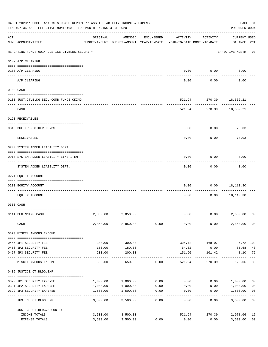|     | 04-01-2020**BUDGET ANALYSIS USAGE REPORT ** ASSET LIABILITY INCOME & EXPENSE<br>TIME: 07:36 AM - EFFECTIVE MONTH: 03 - FOR MONTH ENDING 3-31-2020 |                      |                                                                                |                 |                 |                                      | PAGE 31<br>PREPARER: 0004          |                           |
|-----|---------------------------------------------------------------------------------------------------------------------------------------------------|----------------------|--------------------------------------------------------------------------------|-----------------|-----------------|--------------------------------------|------------------------------------|---------------------------|
| ACT | NUM ACCOUNT-TITLE                                                                                                                                 | ORIGINAL             | AMENDED<br>BUDGET-AMOUNT BUDGET-AMOUNT YEAR-TO-DATE YEAR-TO-DATE MONTH-TO-DATE | ENCUMBERED      | ACTIVITY        | ACTIVITY                             | <b>CURRENT USED</b><br>BALANCE PCT |                           |
|     | REPORTING FUND: 0014 JUSTICE CT. BLDG. SECURITY                                                                                                   |                      |                                                                                |                 |                 |                                      | EFFECTIVE MONTH - 03               |                           |
|     | 0102 A/P CLEARING                                                                                                                                 |                      |                                                                                |                 |                 |                                      |                                    |                           |
|     | 0100 A/P CLEARING                                                                                                                                 |                      |                                                                                |                 | 0.00            | 0.00                                 | 0.00                               |                           |
|     | A/P CLEARING                                                                                                                                      |                      |                                                                                |                 | 0.00            | 0.00                                 | 0.00                               |                           |
|     | 0103 CASH                                                                                                                                         |                      |                                                                                |                 |                 |                                      |                                    |                           |
|     | 0100 JUST.CT.BLDG.SEC.-COMB.FUNDS CKING                                                                                                           |                      |                                                                                |                 |                 | 521.94 270.39 18,562.21              |                                    |                           |
|     | -------------------------------<br>CASH                                                                                                           |                      |                                                                                |                 |                 | ---------<br>521.94 270.39 18,562.21 |                                    |                           |
|     | 0120 RECEIVABLES                                                                                                                                  |                      |                                                                                |                 |                 |                                      |                                    |                           |
|     | 0313 DUE FROM OTHER FUNDS                                                                                                                         |                      |                                                                                |                 | 0.00            | 0.00                                 | 70.03                              |                           |
|     | RECEIVABLES                                                                                                                                       |                      |                                                                                |                 | 0.00            | 0.00                                 | 70.03                              |                           |
|     | 0200 SYSTEM ADDED LIABILITY DEPT.                                                                                                                 |                      |                                                                                |                 |                 |                                      |                                    |                           |
|     | 0910 SYSTEM ADDED LIABILITY LINE-ITEM                                                                                                             |                      |                                                                                |                 | 0.00            | 0.00                                 | 0.00                               |                           |
|     | SYSTEM ADDED LIABILITY DEPT.                                                                                                                      |                      |                                                                                |                 | 0.00            | 0.00                                 | 0.00                               |                           |
|     | 0271 EQUITY ACCOUNT                                                                                                                               |                      |                                                                                |                 |                 |                                      |                                    |                           |
|     | 0200 EQUITY ACCOUNT                                                                                                                               |                      |                                                                                |                 | 0.00            | 0.00                                 | 18,110.30                          |                           |
|     | EOUITY ACCOUNT                                                                                                                                    |                      |                                                                                |                 | 0.00            | 0.00                                 | 18,110.30                          |                           |
|     | 0300 CASH                                                                                                                                         |                      |                                                                                |                 |                 |                                      |                                    |                           |
|     | 0114 BEGINNING CASH                                                                                                                               | 2,850.00             | 2,850.00                                                                       |                 | 0.00            | 0.00                                 | 2,850.00                           | 00                        |
|     | CASH                                                                                                                                              | 2,850.00             | 2,850.00                                                                       | 0.00            | 0.00            | 0.00                                 | 2,850.00                           | 0 <sub>0</sub>            |
|     | 0370 MISCELLANEOUS INCOME                                                                                                                         |                      |                                                                                |                 |                 |                                      |                                    |                           |
|     |                                                                                                                                                   |                      |                                                                                |                 |                 |                                      |                                    |                           |
|     | 0455 JP1 SECURITY FEE                                                                                                                             | 300.00               | 300.00                                                                         |                 | 305.72          | 168.97                               | $5.72 + 102$                       |                           |
|     | 0456 JP2 SECURITY FEE<br>0457 JP3 SECURITY FEE                                                                                                    | 150.00<br>200.00     | 150.00<br>200.00                                                               |                 | 64.32<br>151.90 | 0.00<br>101.42                       | 85.68<br>48.10                     | 43<br>76                  |
|     | ---- -------------<br>MISCELLANEOUS INCOME                                                                                                        | 650.00               | 650.00                                                                         | 0.00            | 521.94          | -------<br>270.39                    | 128.06                             | 80                        |
|     | 0435 JUSTICE CT.BLDG.EXP.                                                                                                                         |                      |                                                                                |                 |                 |                                      |                                    |                           |
|     | 0320 JP1 SECURITY EXPENSE                                                                                                                         | 1,000.00             | 1,000.00                                                                       | 0.00            | 0.00            |                                      | 0.00 1,000.00                      | 0 <sub>0</sub>            |
|     | 0321 JP2 SECURITY EXPENSE                                                                                                                         | 1,000.00             | 1,000.00                                                                       | 0.00            | 0.00            | 0.00                                 | 1,000.00                           | 0 <sub>0</sub>            |
|     | 0322 JP3 SECURITY EXPENSE                                                                                                                         | 1,500.00             | 1,500.00<br>----------                                                         | 0.00<br>------- | 0.00            | 0.00                                 | 1,500.00<br>.                      | 0 <sub>0</sub><br>$- - -$ |
|     | JUSTICE CT.BLDG.EXP.                                                                                                                              | 3,500.00             | 3,500.00                                                                       | 0.00            | 0.00            | 0.00                                 | 3,500.00                           | 0 <sub>0</sub>            |
|     | JUSTICE CT.BLDG.SECURITY                                                                                                                          |                      |                                                                                |                 |                 |                                      |                                    |                           |
|     | INCOME TOTALS<br>EXPENSE TOTALS                                                                                                                   | 3,500.00<br>3,500.00 | 3,500.00<br>3,500.00                                                           | 0.00            | 521.94<br>0.00  | 270.39<br>0.00                       | 2,978.06<br>3,500.00               | 15<br>0 <sub>0</sub>      |
|     |                                                                                                                                                   |                      |                                                                                |                 |                 |                                      |                                    |                           |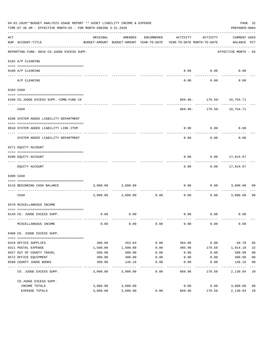|     | 04-01-2020**BUDGET ANALYSIS USAGE REPORT ** ASSET LIABILITY INCOME & EXPENSE<br>TIME:07:36 AM - EFFECTIVE MONTH:03 - FOR MONTH ENDING 3-31-2020 |          |                                                     |               |                                        |               | PREPARER: 0004                              | PAGE 32        |
|-----|-------------------------------------------------------------------------------------------------------------------------------------------------|----------|-----------------------------------------------------|---------------|----------------------------------------|---------------|---------------------------------------------|----------------|
| ACT | NUM ACCOUNT-TITLE<br>-----------------------------------                                                                                        | ORIGINAL | AMENDED<br>BUDGET-AMOUNT BUDGET-AMOUNT YEAR-TO-DATE | ENCUMBERED    | ACTIVITY<br>YEAR-TO-DATE MONTH-TO-DATE | ACTIVITY      | <b>CURRENT USED</b><br>BALANCE PCT          |                |
|     | REPORTING FUND: 0016 CO.JUDGE EXCESS SUPP.                                                                                                      |          |                                                     |               |                                        |               | EFFECTIVE MONTH - 03                        |                |
|     | 0102 A/P CLEARING                                                                                                                               |          |                                                     |               |                                        |               |                                             |                |
|     |                                                                                                                                                 |          |                                                     |               |                                        |               |                                             |                |
|     | 0100 A/P CLEARING                                                                                                                               |          |                                                     |               |                                        | $0.00$ $0.00$ | 0.00                                        |                |
|     | A/P CLEARING                                                                                                                                    |          |                                                     |               | 0.00                                   | 0.00          | 0.00                                        |                |
|     | 0103 CASH                                                                                                                                       |          |                                                     |               |                                        |               |                                             |                |
|     |                                                                                                                                                 |          |                                                     |               |                                        |               |                                             |                |
|     | 0100 CO.JUDGE EXCESS SUPP.-COMB.FUND CK                                                                                                         |          |                                                     |               |                                        | ---------     | 869.96- 179.50- 16,754.71<br>-------------- |                |
|     | CASH                                                                                                                                            |          |                                                     |               |                                        |               | 869.96- 179.50- 16,754.71                   |                |
|     | 0200 SYSTEM ADDED LIABILITY DEPARTMENT                                                                                                          |          |                                                     |               |                                        |               |                                             |                |
|     |                                                                                                                                                 |          |                                                     |               |                                        |               |                                             |                |
|     | 0910 SYSTEM ADDED LIABILITY LINE-ITEM                                                                                                           |          |                                                     |               | 0.00                                   | 0.00          | 0.00                                        |                |
|     | SYSTEM ADDED LIABILITY DEPARTMENT                                                                                                               |          |                                                     |               | 0.00                                   | 0.00          | 0.00                                        |                |
|     | 0271 EQUITY ACCOUNT                                                                                                                             |          |                                                     |               |                                        |               |                                             |                |
|     |                                                                                                                                                 |          |                                                     |               |                                        |               |                                             |                |
|     | 0200 EQUITY ACCOUNT                                                                                                                             |          |                                                     |               | 0.00                                   |               | $0.00$ 17,624.67<br>-----------             |                |
|     | EQUITY ACCOUNT                                                                                                                                  |          |                                                     |               | 0.00                                   |               | $0.00$ 17,624.67                            |                |
|     | 0300 CASH                                                                                                                                       |          |                                                     |               |                                        |               |                                             |                |
|     | 0116 BEGINNING CASH BALANCE                                                                                                                     |          | 3,000.00 3,000.00                                   |               | 0.00<br>------------ --------------    | ----------    | $0.00$ 3,000.00                             | 00             |
|     | CASH                                                                                                                                            |          | 3,000.00 3,000.00                                   | 0.00          | 0.00                                   |               | $0.00$ 3,000.00                             | - 00           |
|     | 0370 MISCELLANEOUS INCOME                                                                                                                       |          |                                                     |               |                                        |               |                                             |                |
|     |                                                                                                                                                 |          |                                                     |               |                                        |               |                                             |                |
|     | 0149 CO. JUDGE EXCESS SUPP.                                                                                                                     | 0.00     | 0.00                                                |               |                                        | 0.00 0.00     | 0.00                                        |                |
|     | MISCELLANEOUS INCOME                                                                                                                            | 0.00     | 0.00                                                | 0.00          | 0.00                                   | 0.00          | 0.00                                        |                |
|     | 0400 CO. JUDGE EXCESS SUPP.                                                                                                                     |          |                                                     |               |                                        |               |                                             |                |
|     | 0310 OFFICE SUPPLIES                                                                                                                            | 300.00   | 453.84                                              | 0.00          | 384.06                                 | 0.00          | 69.78                                       | 85             |
|     | 0311 POSTAL EXPENSE                                                                                                                             | 1,500.00 | 1,500.00                                            | 0.00          | 485.90                                 | 179.50        | 1,014.10                                    | 32             |
|     | 0427 OUT OF COUNTY TRAVEL                                                                                                                       | 500.00   | 500.00                                              | 0.00          | 0.00                                   | 0.00          | 500.00                                      | 0 <sub>0</sub> |
|     | 0572 OFFICE EQUIPMENT                                                                                                                           | 400.00   | 400.00                                              | 0.00          | 0.00                                   | 0.00          | 400.00                                      | 0 <sub>0</sub> |
|     | 0590 COUNTY JUDGE BOOKS                                                                                                                         | 300.00   | 146.16                                              | 0.00          | 0.00                                   | 0.00          | 146.16                                      | 0 <sub>0</sub> |
|     | CO. JUDGE EXCESS SUPP.                                                                                                                          | 3,000.00 | 3,000.00                                            | $---$<br>0.00 | 869.96                                 | 179.50        | 2,130.04 29                                 |                |
|     | CO.JUDGE EXCESS SUPP.                                                                                                                           |          |                                                     |               |                                        |               |                                             |                |
|     | INCOME TOTALS                                                                                                                                   | 3,000.00 | 3,000.00                                            |               | 0.00                                   | 0.00          | 3,000.00                                    | 0 <sub>0</sub> |
|     | EXPENSE TOTALS                                                                                                                                  | 3,000.00 | 3,000.00                                            | 0.00          | 869.96                                 | 179.50        | 2,130.04                                    | 29             |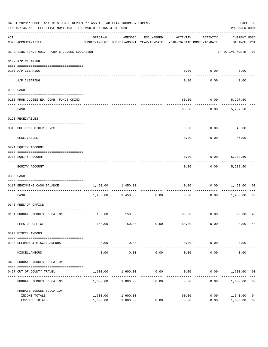|     | 04-01-2020**BUDGET ANALYSIS USAGE REPORT ** ASSET LIABILITY INCOME & EXPENSE<br>TIME: 07:36 AM - EFFECTIVE MONTH: 03 - FOR MONTH ENDING 3-31-2020<br>PREPARER: 0004<br>AMENDED<br>ACTIVITY<br>ACTIVITY<br>ORIGINAL<br>ENCUMBERED<br>BUDGET-AMOUNT BUDGET-AMOUNT YEAR-TO-DATE<br>YEAR-TO-DATE MONTH-TO-DATE<br>NUM ACCOUNT-TITLE<br>REPORTING FUND: 0017 PROBATE JUDGES EDUCATION<br>0102 A/P CLEARING<br>0100 A/P CLEARING<br>0.00<br>0.00<br>---- --------<br>0.00<br>A/P CLEARING<br>0.00<br>0103 CASH<br>60.00<br>0.00<br>0100 PROB.JUDGES ED. - COMB. FUNDS CKING |          |                     |                      |       |      |                                    |                |
|-----|-----------------------------------------------------------------------------------------------------------------------------------------------------------------------------------------------------------------------------------------------------------------------------------------------------------------------------------------------------------------------------------------------------------------------------------------------------------------------------------------------------------------------------------------------------------------------|----------|---------------------|----------------------|-------|------|------------------------------------|----------------|
| ACT |                                                                                                                                                                                                                                                                                                                                                                                                                                                                                                                                                                       |          |                     |                      |       |      | <b>CURRENT USED</b><br>BALANCE PCT |                |
|     |                                                                                                                                                                                                                                                                                                                                                                                                                                                                                                                                                                       |          |                     |                      |       |      | EFFECTIVE MONTH - 03               |                |
|     |                                                                                                                                                                                                                                                                                                                                                                                                                                                                                                                                                                       |          |                     |                      |       |      |                                    |                |
|     |                                                                                                                                                                                                                                                                                                                                                                                                                                                                                                                                                                       |          |                     |                      |       |      | 0.00                               |                |
|     |                                                                                                                                                                                                                                                                                                                                                                                                                                                                                                                                                                       |          |                     |                      |       |      | 0.00                               |                |
|     |                                                                                                                                                                                                                                                                                                                                                                                                                                                                                                                                                                       |          |                     |                      |       |      |                                    |                |
|     |                                                                                                                                                                                                                                                                                                                                                                                                                                                                                                                                                                       |          |                     |                      |       |      | 5,297.50                           |                |
|     | CASH                                                                                                                                                                                                                                                                                                                                                                                                                                                                                                                                                                  |          |                     |                      | 60.00 | 0.00 | 5,297.50                           |                |
|     | 0120 RECEIVABLES                                                                                                                                                                                                                                                                                                                                                                                                                                                                                                                                                      |          |                     |                      |       |      |                                    |                |
|     | 0313 DUE FROM OTHER FUNDS                                                                                                                                                                                                                                                                                                                                                                                                                                                                                                                                             |          |                     |                      | 0.00  | 0.00 | 45.00                              |                |
|     | RECEIVABLES                                                                                                                                                                                                                                                                                                                                                                                                                                                                                                                                                           |          |                     |                      | 0.00  | 0.00 | 45.00                              |                |
|     | 0271 EQUITY ACCOUNT                                                                                                                                                                                                                                                                                                                                                                                                                                                                                                                                                   |          |                     |                      |       |      |                                    |                |
|     | 0200 EQUITY ACCOUNT                                                                                                                                                                                                                                                                                                                                                                                                                                                                                                                                                   |          |                     |                      | 0.00  | 0.00 | 5,282.50                           |                |
|     | EQUITY ACCOUNT                                                                                                                                                                                                                                                                                                                                                                                                                                                                                                                                                        |          |                     |                      | 0.00  | 0.00 | 5,282.50                           |                |
|     | 0300 CASH                                                                                                                                                                                                                                                                                                                                                                                                                                                                                                                                                             |          |                     |                      |       |      |                                    |                |
|     | 0117 BEGINNING CASH BALANCE                                                                                                                                                                                                                                                                                                                                                                                                                                                                                                                                           | 1,450.00 | 1,450.00            |                      | 0.00  | 0.00 | 1,450.00                           | 00             |
|     | CASH                                                                                                                                                                                                                                                                                                                                                                                                                                                                                                                                                                  |          | 1,450.00 1,450.00   | -----------<br>0.00  | 0.00  | 0.00 | 1,450.00                           | 00             |
|     | 0340 FEES OF OFFICE                                                                                                                                                                                                                                                                                                                                                                                                                                                                                                                                                   |          |                     |                      |       |      |                                    |                |
|     | 0131 PROBATE JUDGES EDUCATION                                                                                                                                                                                                                                                                                                                                                                                                                                                                                                                                         |          | 150.00 150.00       |                      |       |      |                                    |                |
|     | FEES OF OFFICE                                                                                                                                                                                                                                                                                                                                                                                                                                                                                                                                                        | 150.00   | 150.00              | 0.00                 | 60.00 | 0.00 | 90.00                              | 40             |
|     | 0370 MISCELLANEOUS                                                                                                                                                                                                                                                                                                                                                                                                                                                                                                                                                    |          |                     |                      |       |      |                                    |                |
|     | 0130 REFUNDS & MISCELLANEOUS                                                                                                                                                                                                                                                                                                                                                                                                                                                                                                                                          | 0.00     | 0.00                |                      | 0.00  | 0.00 | 0.00                               |                |
|     | MISCELLANEOUS                                                                                                                                                                                                                                                                                                                                                                                                                                                                                                                                                         | 0.00     | -----------<br>0.00 | 0.00                 | 0.00  | 0.00 | 0.00                               |                |
|     | 0400 PROBATE JUDGES EDUCATION                                                                                                                                                                                                                                                                                                                                                                                                                                                                                                                                         |          |                     |                      |       |      |                                    |                |
|     | 0427 OUT OF COUNTY TRAVEL                                                                                                                                                                                                                                                                                                                                                                                                                                                                                                                                             | 1,600.00 | 1,600.00            | 0.00                 | 0.00  |      | $0.00$ 1,600.00 00                 |                |
|     | PROBATE JUDGES EDUCATION                                                                                                                                                                                                                                                                                                                                                                                                                                                                                                                                              |          | 1,600.00 1,600.00   | . <u>.</u> .<br>0.00 | 0.00  | 0.00 | 1,600.00                           | 0 <sub>0</sub> |
|     | PROBATE JUDGES EDUCATION                                                                                                                                                                                                                                                                                                                                                                                                                                                                                                                                              |          |                     |                      |       |      |                                    |                |
|     | INCOME TOTALS                                                                                                                                                                                                                                                                                                                                                                                                                                                                                                                                                         | 1,600.00 | 1,600.00            |                      | 60.00 | 0.00 | 1,540.00                           | 04             |
|     | EXPENSE TOTALS                                                                                                                                                                                                                                                                                                                                                                                                                                                                                                                                                        | 1,600.00 | 1,600.00            | 0.00                 | 0.00  | 0.00 | 1,600.00                           | 0 <sub>0</sub> |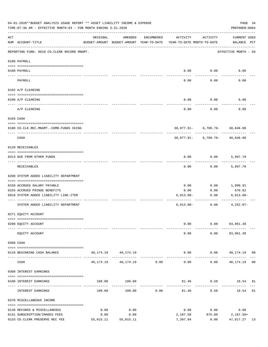| 04-01-2020**BUDGET ANALYSIS USAGE REPORT ** ASSET LIABILITY INCOME & EXPENSE<br>PAGE 34<br>TIME: 07:36 AM - EFFECTIVE MONTH: 03 - FOR MONTH ENDING 3-31-2020<br>PREPARER: 0004 |                                             |          |                                                     |               |                                        |                                                |                              |  |  |
|--------------------------------------------------------------------------------------------------------------------------------------------------------------------------------|---------------------------------------------|----------|-----------------------------------------------------|---------------|----------------------------------------|------------------------------------------------|------------------------------|--|--|
| ACT                                                                                                                                                                            | NUM ACCOUNT-TITLE                           | ORIGINAL | AMENDED<br>BUDGET-AMOUNT BUDGET-AMOUNT YEAR-TO-DATE | ENCUMBERED    | ACTIVITY<br>YEAR-TO-DATE MONTH-TO-DATE | ACTIVITY                                       | CURRENT USED<br>BALANCE PCT  |  |  |
|                                                                                                                                                                                | REPORTING FUND: 0018 CO.CLERK RECORD MNGMT. |          |                                                     |               |                                        |                                                | EFFECTIVE MONTH - 03         |  |  |
|                                                                                                                                                                                | 0100 PAYROLL                                |          |                                                     |               |                                        |                                                |                              |  |  |
|                                                                                                                                                                                | 0100 PAYROLL                                |          |                                                     |               |                                        | $0.00$ 0.00                                    | 0.00                         |  |  |
|                                                                                                                                                                                | PAYROLL                                     |          |                                                     |               | 0.00                                   | 0.00                                           | 0.00                         |  |  |
|                                                                                                                                                                                | 0102 A/P CLEARING                           |          |                                                     |               |                                        |                                                |                              |  |  |
|                                                                                                                                                                                | 0100 A/P CLEARING                           |          |                                                     |               | 0.00                                   | 0.00                                           | 0.00                         |  |  |
|                                                                                                                                                                                | A/P CLEARING                                |          |                                                     |               | 0.00                                   | 0.00                                           | 0.00                         |  |  |
|                                                                                                                                                                                | 0103 CASH                                   |          |                                                     |               |                                        |                                                |                              |  |  |
|                                                                                                                                                                                | 0100 CO.CLK.REC.MNGMT.-COMB.FUNDS CKING     |          |                                                     |               |                                        | 38,877.81- 6,709.78- 40,846.80                 |                              |  |  |
|                                                                                                                                                                                | ___________________________<br>CASH         |          |                                                     |               |                                        | . <u>.</u> .<br>38,877.81- 6,709.78- 40,846.80 | --------                     |  |  |
|                                                                                                                                                                                | 0120 RECEIVABLES                            |          |                                                     |               |                                        |                                                |                              |  |  |
|                                                                                                                                                                                | 0313 DUE FROM OTHER FUNDS                   |          |                                                     |               | 0.00                                   | $0.00$ 5,997.70                                |                              |  |  |
|                                                                                                                                                                                | RECEIVABLES                                 |          |                                                     |               | 0.00                                   | 0.00                                           | 5,997.70                     |  |  |
|                                                                                                                                                                                | 0200 SYSTEM ADDED LIABILITY DEPARTMENT      |          |                                                     |               |                                        |                                                |                              |  |  |
|                                                                                                                                                                                | 0150 ACCRUED SALARY PAYABLE                 |          |                                                     |               | 0.00                                   | 0.00                                           | 1,090.91                     |  |  |
|                                                                                                                                                                                | 0155 ACCRUED FRINGE BENEFITS                |          |                                                     |               | 0.00                                   | 0.00                                           | 670.02                       |  |  |
|                                                                                                                                                                                | 0910 SYSTEM ADDED LIABILITY LINE-ITEM       |          |                                                     |               | $6,013.00-$                            | 0.00                                           | $6,013.00-$                  |  |  |
|                                                                                                                                                                                | SYSTEM ADDED LIABILITY DEPARTMENT           |          |                                                     |               | $6,013.00-$                            | ------------<br>0.00                           | $4,252.07-$                  |  |  |
|                                                                                                                                                                                | 0271 EQUITY ACCOUNT                         |          |                                                     |               |                                        |                                                |                              |  |  |
|                                                                                                                                                                                |                                             |          |                                                     |               |                                        |                                                |                              |  |  |
|                                                                                                                                                                                | 0200 EQUITY ACCOUNT                         |          |                                                     |               | 0.00                                   |                                                | $0.00$ $83,961.38$           |  |  |
|                                                                                                                                                                                | EQUITY ACCOUNT                              |          |                                                     |               | 0.00                                   |                                                | $0.00$ $83,961.38$           |  |  |
|                                                                                                                                                                                | 0300 CASH                                   |          |                                                     |               |                                        |                                                |                              |  |  |
|                                                                                                                                                                                | 0118 BEGINNING CASH BALANCE                 |          | 40, 174. 19   40, 174. 19                           |               |                                        |                                                | $0.00$ $0.00$ $40,174.19$ 00 |  |  |
|                                                                                                                                                                                | CASH                                        |          | 40, 174. 19 40, 174. 19 0. 00                       | _____________ | --------------<br>0.00                 | .                                              | $0.00$ 40,174.19 00          |  |  |
|                                                                                                                                                                                | 0360 INTEREST EARNINGS                      |          |                                                     |               |                                        |                                                |                              |  |  |
|                                                                                                                                                                                | 0100 INTEREST EARNINGS                      |          | 100.00 100.00                                       |               |                                        |                                                | 81.46 9.58 18.54 81          |  |  |
|                                                                                                                                                                                | INTEREST EARNINGS                           | 100.00   | 100.00                                              | 0.00          | -------------<br>81.46                 | 9.58                                           | 18.54 81                     |  |  |
|                                                                                                                                                                                | 0370 MISCELLANEOUS INCOME                   |          |                                                     |               |                                        |                                                |                              |  |  |
|                                                                                                                                                                                | 0130 REFUNDS & MISCELLANEOUS                | 0.00     | 0.00                                                |               | 0.00                                   | 0.00                                           | 0.00                         |  |  |
|                                                                                                                                                                                | 0131 SUBSCRIPTION/IMAGES FEES               | 0.00     | 0.00                                                |               | 2,187.50                               | 875.00 2,187.50+                               |                              |  |  |
|                                                                                                                                                                                | 0133 CO.CLERK PRESERVE REC FEE              |          | 55,015.11 55,015.11                                 |               | 7,397.84                               | 0.00                                           | 47,617.27 13                 |  |  |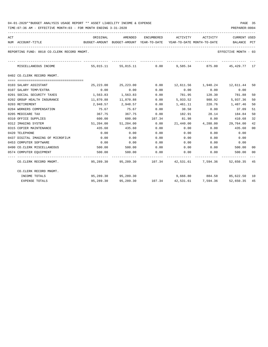| ACT | NUM ACCOUNT-TITLE                           | BUDGET-AMOUNT BUDGET-AMOUNT YEAR-TO-DATE YEAR-TO-DATE MONTH-TO-DATE |                                                                  |        |                                           |                    | <b>CURRENT USED</b><br>BALANCE PCT |    |
|-----|---------------------------------------------|---------------------------------------------------------------------|------------------------------------------------------------------|--------|-------------------------------------------|--------------------|------------------------------------|----|
|     | REPORTING FUND: 0018 CO.CLERK RECORD MNGMT. |                                                                     |                                                                  |        |                                           |                    | EFFECTIVE MONTH - 03               |    |
|     | MISCELLANEOUS INCOME                        |                                                                     | 55,015.11 55,015.11 0.00 9,585.34 875.00 45,429.77 17            |        |                                           |                    |                                    |    |
|     | 0402 CO.CLERK RECORD MNGMT.                 |                                                                     |                                                                  |        |                                           |                    |                                    |    |
|     |                                             |                                                                     |                                                                  |        |                                           |                    |                                    |    |
|     | 0103 SALARY ASSISTANT                       |                                                                     | 25, 223, 00 25, 223, 00                                          | 0.00   |                                           |                    | 12,611.56 1,940.24 12,611.44 50    |    |
|     | 0107 SALARY TEMP/EXTRA                      | 0.00                                                                | 0.00                                                             | 0.00   | 0.00                                      | 0.00               | 0.00                               |    |
|     | 0201 SOCIAL SECURITY TAXES                  | 1,563.83                                                            | 1,563.83                                                         | 0.00   | 781.95 120.30 781.88                      |                    |                                    | 50 |
|     | 0202 GROUP HEALTH INSURANCE                 | 11,870.88                                                           | 11,870.88                                                        | 0.00   | 5,933.52                                  | 988.92             | 5,937.36                           | 50 |
|     | 0203 RETIREMENT                             |                                                                     | 2,948.57 2,948.57                                                | 0.00   | 1,461.11 228.76 1,487.46                  |                    |                                    | 50 |
|     | 0204 WORKERS COMPENSATION                   | 75.67                                                               | 75.67                                                            | 0.00   |                                           | 38.58 0.00         | 37.09                              | 51 |
|     | 0205 MEDICARE TAX                           | 367.75                                                              | 367.75                                                           | 0.00   |                                           | 182.91 28.14       | 184.84                             | 50 |
|     | 0310 OFFICE SUPPLIES                        | 600.00                                                              | 600.00 107.34                                                    |        | 81.98 0.00                                |                    | 410.68                             | 32 |
|     | 0312 IMAGING SYSTEM                         |                                                                     | 51,204.00 51,204.00                                              |        | $0.00$ $21,440.00$ $4,288.00$ $29,764.00$ |                    |                                    | 42 |
|     | 0315 COPIER MAINTENANCE                     | 435.60                                                              | 435.60                                                           | 0.00   | 0.00                                      | 0.00               | 435.60                             | 00 |
|     | 0420 TELEPHONE                              | 0.00                                                                | 0.00                                                             | 0.00   | 0.00                                      | 0.00               | 0.00                               |    |
|     | 0437 DIGITAL IMAGING OF MICROFILM           | 0.00                                                                | 0.00                                                             | 0.00   | 0.00                                      | 0.00               | 0.00                               |    |
|     | 0453 COMPUTER SOFTWARE                      | 0.00                                                                | 0.00                                                             | 0.00   | 0.00                                      | 0.00               | 0.00                               |    |
|     | 0490 CO. CLERK MISCELLANEOUS                | 500.00                                                              | 500.00                                                           | 0.00   | $0.00$ 0.00                               |                    | 500.00                             | 00 |
|     | 0574 COMPUTER EQUIPMENT                     | 500.00                                                              | 500.00                                                           | 0.00   | 0.00                                      | 0.00               | 500.00 00                          |    |
|     | CO.CLERK RECORD MNGMT.                      |                                                                     | 95,289.30  95,289.30  107.34  42,531.61  7,594.36  52,650.35  45 |        |                                           |                    |                                    |    |
|     | CO.CLERK RECORD MNGMT.                      |                                                                     |                                                                  |        |                                           |                    |                                    |    |
|     | INCOME TOTALS                               |                                                                     | 95,289,30 95,289,30                                              |        | 9,666.80 884.58 85,622.50 10              |                    |                                    |    |
|     | <b>EXPENSE TOTALS</b>                       | 95,289.30                                                           | 95,289.30                                                        | 107.34 |                                           | 42,531.61 7,594.36 | 52,650.35 45                       |    |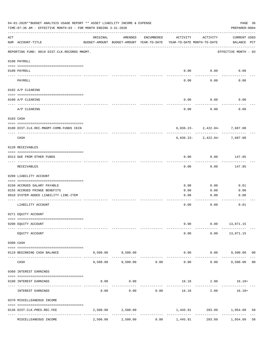|     | 04-01-2020**BUDGET ANALYSIS USAGE REPORT ** ASSET LIABILITY INCOME & EXPENSE<br>TIME: 07:36 AM - EFFECTIVE MONTH: 03 - FOR MONTH ENDING 3-31-2020<br>PREPARER: 0004 |          |                                                     |            |                                        |                                                           |                             |                |  |  |  |
|-----|---------------------------------------------------------------------------------------------------------------------------------------------------------------------|----------|-----------------------------------------------------|------------|----------------------------------------|-----------------------------------------------------------|-----------------------------|----------------|--|--|--|
| ACT | NUM ACCOUNT-TITLE                                                                                                                                                   | ORIGINAL | AMENDED<br>BUDGET-AMOUNT BUDGET-AMOUNT YEAR-TO-DATE | ENCUMBERED | ACTIVITY<br>YEAR-TO-DATE MONTH-TO-DATE | ACTIVITY                                                  | CURRENT USED<br>BALANCE PCT |                |  |  |  |
|     | REPORTING FUND: 0019 DIST.CLK.RECORDS MNGMT.                                                                                                                        |          |                                                     |            |                                        |                                                           | EFFECTIVE MONTH - 03        |                |  |  |  |
|     | 0100 PAYROLL                                                                                                                                                        |          |                                                     |            |                                        |                                                           |                             |                |  |  |  |
|     | 0100 PAYROLL<br>---- -------                                                                                                                                        |          |                                                     |            | 0.00                                   | 0.00                                                      | 0.00                        |                |  |  |  |
|     | PAYROLL                                                                                                                                                             |          |                                                     |            | 0.00                                   | 0.00                                                      | 0.00                        |                |  |  |  |
|     | 0102 A/P CLEARING                                                                                                                                                   |          |                                                     |            |                                        |                                                           |                             |                |  |  |  |
|     | 0100 A/P CLEARING                                                                                                                                                   |          |                                                     |            | 0.00                                   | 0.00                                                      | 0.00                        |                |  |  |  |
|     | A/P CLEARING                                                                                                                                                        |          |                                                     |            | 0.00                                   | 0.00                                                      | 0.00                        |                |  |  |  |
|     | 0103 CASH                                                                                                                                                           |          |                                                     |            |                                        |                                                           |                             |                |  |  |  |
|     | 0100 DIST.CLK.REC.MNGMT-COMB.FUNDS CKIN                                                                                                                             |          |                                                     |            |                                        | $6,036.23 - 2,422.04 - 7,687.08$                          |                             |                |  |  |  |
|     | CASH                                                                                                                                                                |          |                                                     |            |                                        | -------- ------------<br>$6,036.23 - 2,422.04 - 7,687.08$ |                             |                |  |  |  |
|     | 0120 RECEIVABLES                                                                                                                                                    |          |                                                     |            |                                        |                                                           |                             |                |  |  |  |
|     | 0313 DUE FROM OTHER FUNDS                                                                                                                                           |          |                                                     |            | 0.00                                   | 0.00                                                      | 147.85                      |                |  |  |  |
|     | RECEIVABLES                                                                                                                                                         |          |                                                     |            | 0.00                                   | 0.00                                                      | 147.85                      |                |  |  |  |
|     | 0200 LIABILITY ACCOUNT                                                                                                                                              |          |                                                     |            |                                        |                                                           |                             |                |  |  |  |
|     | 0150 ACCRUED SALARY PAYABLE                                                                                                                                         |          |                                                     |            | 0.00                                   | 0.00                                                      | 0.01                        |                |  |  |  |
|     | 0155 ACCRUED FRINGE BENEFITS                                                                                                                                        |          |                                                     |            | 0.00                                   | 0.00                                                      | 0.00                        |                |  |  |  |
|     | 0910 SYSTEM ADDED LIABILITY LINE-ITEM                                                                                                                               |          |                                                     |            | 0.00                                   | 0.00                                                      | 0.00                        |                |  |  |  |
|     | LIABILITY ACCOUNT                                                                                                                                                   |          |                                                     |            | 0.00                                   | 0.00                                                      | 0.01                        |                |  |  |  |
|     | 0271 EQUITY ACCOUNT                                                                                                                                                 |          |                                                     |            |                                        |                                                           |                             |                |  |  |  |
|     | 0200 EQUITY ACCOUNT                                                                                                                                                 |          |                                                     |            | 0.00                                   |                                                           | $0.00$ 13,871.15            |                |  |  |  |
|     | EQUITY ACCOUNT                                                                                                                                                      |          |                                                     |            | 0.00                                   | 0.00                                                      | 13,871.15                   |                |  |  |  |
|     | 0300 CASH                                                                                                                                                           |          |                                                     |            |                                        |                                                           |                             |                |  |  |  |
|     | 0119 BEGINNING CASH BALANCE                                                                                                                                         |          | 9,500.00 9,500.00                                   |            |                                        | $0.00$ $0.00$                                             | 9,500.00 00                 |                |  |  |  |
|     | CASH                                                                                                                                                                | 9,500.00 | 9,500.00                                            | 0.00       | 0.00                                   | 0.00                                                      | 9,500.00                    | 0 <sub>0</sub> |  |  |  |
|     | 0360 INTEREST EARNINGS                                                                                                                                              |          |                                                     |            |                                        |                                                           |                             |                |  |  |  |
|     | 0100 INTEREST EARNINGS                                                                                                                                              | 0.00     | 0.00                                                |            |                                        | 16.18 2.00 16.18+                                         |                             |                |  |  |  |
|     | INTEREST EARNINGS                                                                                                                                                   | 0.00     | 0.00                                                | 0.00       | 16.18                                  | 2.00                                                      | $16.18+$                    |                |  |  |  |
|     | 0370 MISCELLEANEOUS INCOME                                                                                                                                          |          |                                                     |            |                                        |                                                           |                             |                |  |  |  |
|     |                                                                                                                                                                     |          |                                                     |            |                                        |                                                           |                             |                |  |  |  |
|     | 0136 DIST.CLK.PRES.REC.FEE<br>----------------<br>-------------- ------                                                                                             | 2,500.00 | 2,500.00                                            |            |                                        | 1,445.91 283.09 1,054.09<br>------------                  |                             | 58             |  |  |  |
|     | MISCELLEANEOUS INCOME                                                                                                                                               | 2,500.00 | 2,500.00                                            | 0.00       | 1,445.91                               | 283.09                                                    | 1,054.09                    | 58             |  |  |  |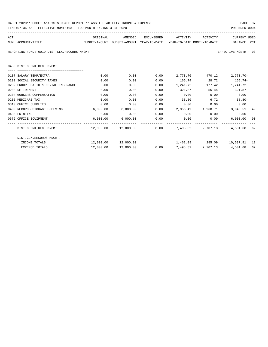| 04-01-2020**BUDGET ANALYSIS USAGE REPORT ** ASSET LIABILITY INCOME & EXPENSE | PAGE 37        |
|------------------------------------------------------------------------------|----------------|
| TIME:07:36 AM - EFFECTIVE MONTH:03 - FOR MONTH ENDING 3-31-2020              | PREPARER: 0004 |

| ACT |                                              | ORIGINAL                                                            | AMENDED                                        | ENCUMBERED | ACTIVITY        | ACTIVITY | <b>CURRENT USED</b>           |    |
|-----|----------------------------------------------|---------------------------------------------------------------------|------------------------------------------------|------------|-----------------|----------|-------------------------------|----|
|     | NUM ACCOUNT-TITLE                            | BUDGET-AMOUNT BUDGET-AMOUNT YEAR-TO-DATE YEAR-TO-DATE_MONTH-TO-DATE |                                                |            |                 |          | BALANCE PCT                   |    |
|     | REPORTING FUND: 0019 DIST.CLK.RECORDS MNGMT. |                                                                     |                                                |            |                 |          | EFFECTIVE MONTH - 03          |    |
|     | 0450 DIST. CLERK REC. MNGMT.                 |                                                                     |                                                |            |                 |          |                               |    |
|     | -0000000000000000000000000000000000000       |                                                                     |                                                |            |                 |          |                               |    |
|     | 0107 SALARY TEMP/EXTRA                       | 0.00                                                                | 0.00                                           | 0.00       | 2,773.70        |          | 470.12 2.773.70-              |    |
|     | 0201 SOCIAL SECURITY TAXES                   | 0.00                                                                | 0.00                                           | 0.00       | 165.74 28.72    |          | $165.74-$                     |    |
|     | 0202 GROUP HEALTH & DENTAL INSURANCE         | 0.00                                                                | 0.00                                           | 0.00       | 1,241.72        |          | 177.42 1,241.72-              |    |
|     | 0203 RETIREMENT                              | 0.00                                                                | 0.00                                           | 0.00       | 321.87          |          | 55.44 321.87-                 |    |
|     | 0204 WORKERS COMPENSATION                    | 0.00                                                                | 0.00                                           | 0.00       | 0.00            | 0.00     | 0.00                          |    |
|     | 0205 MEDICARE TAX                            | 0.00                                                                | 0.00                                           | 0.00       | 38.80           | 6.72     | $38.80 -$                     |    |
|     | 0310 OFFICE SUPPLIES                         | 0.00                                                                | 0.00                                           | 0.00       | 0.00            |          | 0.00<br>0.00                  |    |
|     | 0400 RECORDS STORAGE SHELVING                | 6,000.00                                                            | 6,000.00                                       | 0.00       |                 |          | 2,956.49 1,968.71 3,043.51 49 |    |
|     | 0435 PRINTING                                | 0.00                                                                | 0.00                                           | 0.00       | $0.00$ 0.00     |          | 0.00                          |    |
|     | 0572 OFFICE EQUIPMENT                        |                                                                     | 6,000.00 6,000.00                              | 0.00       | 0.00            | 0.00     | 6,000.00                      | 00 |
|     | DIST.CLERK REC. MNGMT.                       |                                                                     | $12,000.00$ $12,000.00$ 0.00 7,498.32 2,707.13 |            |                 |          | 4,501.68                      | 62 |
|     | DIST.CLK.RECORDS MNGMT.                      |                                                                     |                                                |            |                 |          |                               |    |
|     | INCOME TOTALS                                |                                                                     |                                                |            |                 |          | 1,462.09 285.09 10,537.91 12  |    |
|     | <b>EXPENSE TOTALS</b>                        | 12,000.00                                                           | 12,000.00                                      |            | $0.00$ 7,498.32 | 2,707.13 | 4,501.68                      | 62 |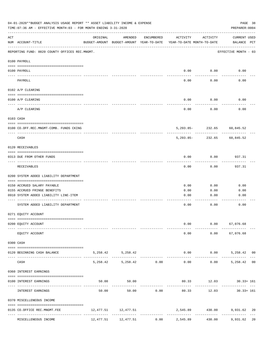|             | 04-01-2020**BUDGET ANALYSIS USAGE REPORT ** ASSET LIABILITY INCOME & EXPENSE<br>TIME: 07:36 AM - EFFECTIVE MONTH: 03 - FOR MONTH ENDING 3-31-2020 |          |                                                     |                               |                                        |                                 | PAGE 38<br>PREPARER: 0004                     |  |
|-------------|---------------------------------------------------------------------------------------------------------------------------------------------------|----------|-----------------------------------------------------|-------------------------------|----------------------------------------|---------------------------------|-----------------------------------------------|--|
| ACT         | NUM ACCOUNT-TITLE                                                                                                                                 | ORIGINAL | AMENDED<br>BUDGET-AMOUNT BUDGET-AMOUNT YEAR-TO-DATE | ENCUMBERED                    | ACTIVITY<br>YEAR-TO-DATE MONTH-TO-DATE | ACTIVITY                        | CURRENT USED<br>BALANCE PCT                   |  |
|             | REPORTING FUND: 0020 COUNTY OFFICES REC.MNGMT.                                                                                                    |          |                                                     |                               |                                        |                                 | EFFECTIVE MONTH - 03                          |  |
|             | 0100 PAYROLL                                                                                                                                      |          |                                                     |                               |                                        |                                 |                                               |  |
|             | 0100 PAYROLL                                                                                                                                      |          |                                                     |                               |                                        | $0.00$ $0.00$                   | 0.00                                          |  |
|             | PAYROLL                                                                                                                                           |          |                                                     |                               | 0.00                                   | 0.00                            | 0.00                                          |  |
|             | 0102 A/P CLEARING                                                                                                                                 |          |                                                     |                               |                                        |                                 |                                               |  |
|             | 0100 A/P CLEARING                                                                                                                                 |          |                                                     |                               | 0.00                                   | 0.00                            | 0.00                                          |  |
|             | A/P CLEARING                                                                                                                                      |          |                                                     |                               | 0.00                                   | 0.00                            | 0.00                                          |  |
|             | 0103 CASH                                                                                                                                         |          |                                                     |                               |                                        |                                 |                                               |  |
|             | 0100 CO.OFF.REC.MNGMT-COMB. FUNDS CKING                                                                                                           |          |                                                     |                               |                                        |                                 | 5, 293.85 - 232.65 60, 845.52                 |  |
|             | -----------------------------<br>CASH                                                                                                             |          |                                                     |                               | 5,293.85-                              | - - - - - - - - - - -<br>232.65 | 60,845.52                                     |  |
|             | 0120 RECEIVABLES                                                                                                                                  |          |                                                     |                               |                                        |                                 |                                               |  |
|             | 0313 DUE FROM OTHER FUNDS                                                                                                                         |          |                                                     |                               | 0.00                                   | 0.00                            | 937.31                                        |  |
|             | RECEIVABLES                                                                                                                                       |          |                                                     |                               | 0.00                                   | 0.00                            | 937.31                                        |  |
|             | 0200 SYSTEM ADDED LIABILITY DEPARTMENT                                                                                                            |          |                                                     |                               |                                        |                                 |                                               |  |
|             | 0150 ACCRUED SALARY PAYABLE                                                                                                                       |          |                                                     |                               | 0.00                                   | 0.00                            | 0.00                                          |  |
|             | 0155 ACCRUED FRINGE BENEFITS                                                                                                                      |          |                                                     |                               | 0.00                                   | 0.00                            | 0.00                                          |  |
|             | 0910 SYSTEM ADDED LIABILITY LINE-ITEM                                                                                                             |          |                                                     |                               | 0.00                                   | 0.00                            | 0.00                                          |  |
|             | SYSTEM ADDED LIABILITY DEPARTMENT                                                                                                                 |          |                                                     |                               | 0.00                                   | 0.00                            | 0.00                                          |  |
|             | 0271 EQUITY ACCOUNT                                                                                                                               |          |                                                     |                               |                                        |                                 |                                               |  |
|             | 0200 EQUITY ACCOUNT                                                                                                                               |          |                                                     |                               | 0.00                                   |                                 | $0.00$ 67,076.68                              |  |
|             | EQUITY ACCOUNT                                                                                                                                    |          |                                                     |                               |                                        |                                 | $0.00$ $0.00$ $67,076.68$                     |  |
|             | 0300 CASH                                                                                                                                         |          |                                                     |                               |                                        |                                 |                                               |  |
|             | 0120 BEGINNING CASH BALANCE                                                                                                                       |          | 5, 258.42 5, 258.42                                 |                               |                                        | ------------                    | $0.00$ $0.00$ $5,258.42$ 00                   |  |
| $- - - - -$ | CASH                                                                                                                                              |          | 5,258.42 5,258.42 0.00                              | ----------------------------- |                                        |                                 | --------------<br>$0.00$ $0.00$ $5,258.42$ 00 |  |
|             | 0360 INTEREST EARNINGS                                                                                                                            |          |                                                     |                               |                                        |                                 |                                               |  |
|             | 0100 INTEREST EARNINGS                                                                                                                            |          | 50.00<br>50.00                                      |                               |                                        |                                 | 80.33 12.03 30.33+ 161                        |  |
|             | INTEREST EARNINGS                                                                                                                                 | 50.00    |                                                     | 50.00 0.00                    | ------------ --------------<br>80.33   | -------------                   | -------------<br>$12.03$ $30.33+161$          |  |
|             | 0370 MISCELLENEOUS INCOME                                                                                                                         |          |                                                     |                               |                                        |                                 |                                               |  |
|             | 0135 CO.OFFICE REC.MNGMT.FEE                                                                                                                      |          | 12,477.51 12,477.51                                 |                               |                                        |                                 | 2,545.89 430.00 9,931.62 20                   |  |
|             | MISCELLENEOUS INCOME                                                                                                                              |          | 12,477.51 12,477.51                                 | 0.00                          | 2,545.89                               | 430.00                          | 9,931.62 20                                   |  |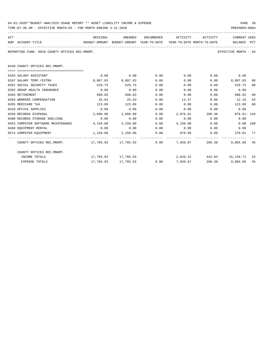| 04-01-2020**BUDGET ANALYSIS USAGE REPORT ** ASSET LIABILITY INCOME & EXPENSE | PAGE 39        |  |
|------------------------------------------------------------------------------|----------------|--|
| TIME:07:36 AM - EFFECTIVE MONTH:03 - FOR MONTH ENDING 3-31-2020              | PREPARER: 0004 |  |

| ACT                                                         | ORIGINAL                                                            | AMENDED             |      | ENCUMBERED ACTIVITY ACTIVITY |        | CURRENT USED                 |                 |
|-------------------------------------------------------------|---------------------------------------------------------------------|---------------------|------|------------------------------|--------|------------------------------|-----------------|
| NUM ACCOUNT-TITLE                                           | BUDGET-AMOUNT BUDGET-AMOUNT YEAR-TO-DATE YEAR-TO-DATE_MONTH-TO-DATE |                     |      |                              |        | BALANCE PCT                  |                 |
| REPORTING FUND: 0020 COUNTY OFFICES REC.MNGMT.              |                                                                     |                     |      |                              |        | EFFECTIVE MONTH - 03         |                 |
| 0449 COUNTY OFFICES REC.MNGMT.                              |                                                                     |                     |      |                              |        |                              |                 |
| ------------------------------------                        |                                                                     |                     |      |                              |        |                              |                 |
| 0103 SALARY ASSISTANT                                       | 0.00                                                                | 0.00                | 0.00 | 0.00                         |        | $0.00$ 0.00                  |                 |
| 0107 SALARY TEMP./EXTRA                                     | 8,807.83                                                            | 8,807.83            | 0.00 | 0.00                         | 0.00   | 8,807.83                     | 00 <sup>0</sup> |
| 0201 SOCIAL SECURITY TAXES                                  | 529.75                                                              | 529.75              | 0.00 | 0.00                         | 0.00   | 529.75                       | 00              |
| 0202 GROUP HEALTH INSURANCE                                 | 0.00                                                                | 0.00                | 0.00 | 0.00                         | 0.00   | 0.00                         |                 |
| 0203 RETIREMENT                                             | 998.83                                                              | 998.83              | 0.00 | 0.00                         | 0.00   | 998.83                       | 00              |
| 0204 WORKERS COMPENSATION                                   | 25.63                                                               | 25.63               | 0.00 | 13.47                        | 0.00   | 12.16                        | 53              |
| 0205 MEDICARE TAX                                           | 123.89                                                              | 123.89              | 0.00 | 0.00                         | 0.00   | 123.89                       | 00              |
| 0310 OFFICE SUPPLIES                                        | 0.00                                                                | 0.00                | 0.00 | 0.00                         | 0.00   | 0.00                         |                 |
| 0350 RECORDS DISPOSAL                                       | 2,000.00                                                            | 2,000.00            | 0.00 | 2,876.61                     | 209.38 | $876.61 - 144$               |                 |
| 0400 RECORDS STORAGE SHELVING                               | 0.00                                                                | 0.00                | 0.00 | 0.00                         | 0.00   | 0.00                         |                 |
| 0453 COMPUTER SOFTWARE MAINTENANCE                          | 4,150.00                                                            | 4,150.00            | 0.00 | 4,150.00 0.00                |        | 0.00 100                     |                 |
| 0460 EQUIPMENT RENTAL                                       | 0.00                                                                | 0.00                | 0.00 | $0.00$ $0.00$ $0.00$ $0.00$  |        |                              |                 |
| 0574 COMPUTER EQUIPMENT 1,150.00 1,150.00                   |                                                                     |                     | 0.00 |                              |        |                              |                 |
| COUNTY OFFICES REC.MNGMT. 17,785.93 17,785.93 0.00 7,920.07 |                                                                     |                     |      |                              |        | 209.38 9.865.86 45           |                 |
| COUNTY OFFICES REC.MNGMT.                                   |                                                                     |                     |      |                              |        |                              |                 |
| INCOME TOTALS                                               |                                                                     | 17,785.93 17,785.93 |      |                              |        | 2,626.22 442.03 15,159.71 15 |                 |
| <b>EXPENSE TOTALS</b>                                       |                                                                     | 17,785.93 17,785.93 |      | $0.00$ 7,920.07              |        | 209.38 9,865.86 45           |                 |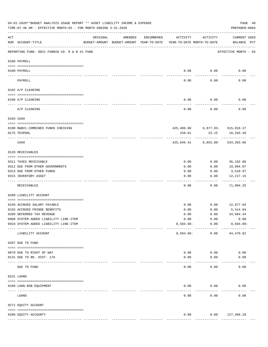| ACT<br>ORIGINAL<br>AMENDED<br>ENCUMBERED<br>ACTIVITY<br>ACTIVITY<br>BUDGET-AMOUNT BUDGET-AMOUNT YEAR-TO-DATE<br>YEAR-TO-DATE MONTH-TO-DATE<br>NUM ACCOUNT-TITLE<br>REPORTING FUND: 0021 FANNIN CO. R & B #1 FUND<br>EFFECTIVE MONTH - 03<br>0100 PAYROLL<br>0.00<br>0.00<br>0.00<br>0100 PAYROLL<br>---- ----<br>$---$<br>-------<br>0.00<br>0.00<br>0.00<br>PAYROLL<br>0102 A/P CLEARING<br>0.00<br>0.00<br>0.00<br>0100 A/P CLEARING<br>A/P CLEARING<br>0.00<br>0.00<br>0.00<br>0103 CASH<br>425,486.60 6,877.03- 515,910.37<br>0100 R&B#1-COMBINED FUNDS CHECKING<br>0175 TEXPOOL<br>159.81<br>23.15<br>18,293.49<br>CASH<br>425,646.41 6,853.88- 534,203.86<br>0120 RECEIVABLES<br>0.00<br>0.00<br>36,182.06<br>0311 TAXES RECEIVABLE<br>0312 DUE FROM OTHER GOVERNMENTS<br>19,994.07<br>0.00<br>0.00<br>0313 DUE FROM OTHER FUNDS<br>0.00<br>0.00<br>3,510.97<br>0315 INVENTORY ASSET<br>0.00<br>0.00<br>12,217.15<br>----------<br>----<br>-----<br>0.00<br>0.00<br>71,904.25<br>RECEIVABLES<br>0200 LIABILITY ACCOUNT<br>0150 ACCRUED SALARY PAYABLE<br>0.00<br>0.00<br>12,877.04<br>0.00<br>0.00<br>5,414.04<br>0155 ACCRUED FRINGE BENEFITS<br>0200 DEFERRED TAX REVENUE<br>0.00<br>0.00<br>34,684.34<br>0900 SYSTEM ADDED LIABILITY LINE-ITEM<br>0.00<br>0.00<br>0.00<br>0.00<br>0910 SYSTEM ADDED LIABILITY LINE-ITEM<br>$8,504.60 -$<br>----------<br>$8,504.60 -$<br>0.00<br>44,470.82<br>LIABILITY ACCOUNT<br>0207 DUE TO FUND<br>0.00<br>0.00<br>0.00<br>0070 DUE TO RIGHT OF WAY<br>0131 DUE TO RD. DIST. 17A<br>0.00<br>0.00<br>0.00<br>------------ -------------<br>0.00<br>0.00<br>0.00<br>DUE TO FUND<br>0231 LOANS<br>0.00<br>0.00<br>0100 LOAN BSB EQUIPMENT<br>0.00 | 04-01-2020**BUDGET ANALYSIS USAGE REPORT ** ASSET LIABILITY INCOME & EXPENSE<br>TIME: 07:36 AM - EFFECTIVE MONTH: 03 - FOR MONTH ENDING 3-31-2020 |  |  | PAGE 40<br>PREPARER: 0004          |  |
|---------------------------------------------------------------------------------------------------------------------------------------------------------------------------------------------------------------------------------------------------------------------------------------------------------------------------------------------------------------------------------------------------------------------------------------------------------------------------------------------------------------------------------------------------------------------------------------------------------------------------------------------------------------------------------------------------------------------------------------------------------------------------------------------------------------------------------------------------------------------------------------------------------------------------------------------------------------------------------------------------------------------------------------------------------------------------------------------------------------------------------------------------------------------------------------------------------------------------------------------------------------------------------------------------------------------------------------------------------------------------------------------------------------------------------------------------------------------------------------------------------------------------------------------------------------------------------------------------------------------------------------------------------------------------------------------|---------------------------------------------------------------------------------------------------------------------------------------------------|--|--|------------------------------------|--|
|                                                                                                                                                                                                                                                                                                                                                                                                                                                                                                                                                                                                                                                                                                                                                                                                                                                                                                                                                                                                                                                                                                                                                                                                                                                                                                                                                                                                                                                                                                                                                                                                                                                                                             |                                                                                                                                                   |  |  | <b>CURRENT USED</b><br>BALANCE PCT |  |
|                                                                                                                                                                                                                                                                                                                                                                                                                                                                                                                                                                                                                                                                                                                                                                                                                                                                                                                                                                                                                                                                                                                                                                                                                                                                                                                                                                                                                                                                                                                                                                                                                                                                                             |                                                                                                                                                   |  |  |                                    |  |
|                                                                                                                                                                                                                                                                                                                                                                                                                                                                                                                                                                                                                                                                                                                                                                                                                                                                                                                                                                                                                                                                                                                                                                                                                                                                                                                                                                                                                                                                                                                                                                                                                                                                                             |                                                                                                                                                   |  |  |                                    |  |
|                                                                                                                                                                                                                                                                                                                                                                                                                                                                                                                                                                                                                                                                                                                                                                                                                                                                                                                                                                                                                                                                                                                                                                                                                                                                                                                                                                                                                                                                                                                                                                                                                                                                                             |                                                                                                                                                   |  |  |                                    |  |
|                                                                                                                                                                                                                                                                                                                                                                                                                                                                                                                                                                                                                                                                                                                                                                                                                                                                                                                                                                                                                                                                                                                                                                                                                                                                                                                                                                                                                                                                                                                                                                                                                                                                                             |                                                                                                                                                   |  |  |                                    |  |
|                                                                                                                                                                                                                                                                                                                                                                                                                                                                                                                                                                                                                                                                                                                                                                                                                                                                                                                                                                                                                                                                                                                                                                                                                                                                                                                                                                                                                                                                                                                                                                                                                                                                                             |                                                                                                                                                   |  |  |                                    |  |
|                                                                                                                                                                                                                                                                                                                                                                                                                                                                                                                                                                                                                                                                                                                                                                                                                                                                                                                                                                                                                                                                                                                                                                                                                                                                                                                                                                                                                                                                                                                                                                                                                                                                                             |                                                                                                                                                   |  |  |                                    |  |
|                                                                                                                                                                                                                                                                                                                                                                                                                                                                                                                                                                                                                                                                                                                                                                                                                                                                                                                                                                                                                                                                                                                                                                                                                                                                                                                                                                                                                                                                                                                                                                                                                                                                                             |                                                                                                                                                   |  |  |                                    |  |
|                                                                                                                                                                                                                                                                                                                                                                                                                                                                                                                                                                                                                                                                                                                                                                                                                                                                                                                                                                                                                                                                                                                                                                                                                                                                                                                                                                                                                                                                                                                                                                                                                                                                                             |                                                                                                                                                   |  |  |                                    |  |
|                                                                                                                                                                                                                                                                                                                                                                                                                                                                                                                                                                                                                                                                                                                                                                                                                                                                                                                                                                                                                                                                                                                                                                                                                                                                                                                                                                                                                                                                                                                                                                                                                                                                                             |                                                                                                                                                   |  |  |                                    |  |
|                                                                                                                                                                                                                                                                                                                                                                                                                                                                                                                                                                                                                                                                                                                                                                                                                                                                                                                                                                                                                                                                                                                                                                                                                                                                                                                                                                                                                                                                                                                                                                                                                                                                                             |                                                                                                                                                   |  |  |                                    |  |
|                                                                                                                                                                                                                                                                                                                                                                                                                                                                                                                                                                                                                                                                                                                                                                                                                                                                                                                                                                                                                                                                                                                                                                                                                                                                                                                                                                                                                                                                                                                                                                                                                                                                                             |                                                                                                                                                   |  |  |                                    |  |
|                                                                                                                                                                                                                                                                                                                                                                                                                                                                                                                                                                                                                                                                                                                                                                                                                                                                                                                                                                                                                                                                                                                                                                                                                                                                                                                                                                                                                                                                                                                                                                                                                                                                                             |                                                                                                                                                   |  |  |                                    |  |
|                                                                                                                                                                                                                                                                                                                                                                                                                                                                                                                                                                                                                                                                                                                                                                                                                                                                                                                                                                                                                                                                                                                                                                                                                                                                                                                                                                                                                                                                                                                                                                                                                                                                                             |                                                                                                                                                   |  |  |                                    |  |
|                                                                                                                                                                                                                                                                                                                                                                                                                                                                                                                                                                                                                                                                                                                                                                                                                                                                                                                                                                                                                                                                                                                                                                                                                                                                                                                                                                                                                                                                                                                                                                                                                                                                                             |                                                                                                                                                   |  |  |                                    |  |
|                                                                                                                                                                                                                                                                                                                                                                                                                                                                                                                                                                                                                                                                                                                                                                                                                                                                                                                                                                                                                                                                                                                                                                                                                                                                                                                                                                                                                                                                                                                                                                                                                                                                                             |                                                                                                                                                   |  |  |                                    |  |
|                                                                                                                                                                                                                                                                                                                                                                                                                                                                                                                                                                                                                                                                                                                                                                                                                                                                                                                                                                                                                                                                                                                                                                                                                                                                                                                                                                                                                                                                                                                                                                                                                                                                                             |                                                                                                                                                   |  |  |                                    |  |
|                                                                                                                                                                                                                                                                                                                                                                                                                                                                                                                                                                                                                                                                                                                                                                                                                                                                                                                                                                                                                                                                                                                                                                                                                                                                                                                                                                                                                                                                                                                                                                                                                                                                                             |                                                                                                                                                   |  |  |                                    |  |
|                                                                                                                                                                                                                                                                                                                                                                                                                                                                                                                                                                                                                                                                                                                                                                                                                                                                                                                                                                                                                                                                                                                                                                                                                                                                                                                                                                                                                                                                                                                                                                                                                                                                                             |                                                                                                                                                   |  |  |                                    |  |
|                                                                                                                                                                                                                                                                                                                                                                                                                                                                                                                                                                                                                                                                                                                                                                                                                                                                                                                                                                                                                                                                                                                                                                                                                                                                                                                                                                                                                                                                                                                                                                                                                                                                                             |                                                                                                                                                   |  |  |                                    |  |
|                                                                                                                                                                                                                                                                                                                                                                                                                                                                                                                                                                                                                                                                                                                                                                                                                                                                                                                                                                                                                                                                                                                                                                                                                                                                                                                                                                                                                                                                                                                                                                                                                                                                                             |                                                                                                                                                   |  |  |                                    |  |
|                                                                                                                                                                                                                                                                                                                                                                                                                                                                                                                                                                                                                                                                                                                                                                                                                                                                                                                                                                                                                                                                                                                                                                                                                                                                                                                                                                                                                                                                                                                                                                                                                                                                                             |                                                                                                                                                   |  |  |                                    |  |
|                                                                                                                                                                                                                                                                                                                                                                                                                                                                                                                                                                                                                                                                                                                                                                                                                                                                                                                                                                                                                                                                                                                                                                                                                                                                                                                                                                                                                                                                                                                                                                                                                                                                                             |                                                                                                                                                   |  |  |                                    |  |
|                                                                                                                                                                                                                                                                                                                                                                                                                                                                                                                                                                                                                                                                                                                                                                                                                                                                                                                                                                                                                                                                                                                                                                                                                                                                                                                                                                                                                                                                                                                                                                                                                                                                                             |                                                                                                                                                   |  |  | $8,504.60 -$                       |  |
|                                                                                                                                                                                                                                                                                                                                                                                                                                                                                                                                                                                                                                                                                                                                                                                                                                                                                                                                                                                                                                                                                                                                                                                                                                                                                                                                                                                                                                                                                                                                                                                                                                                                                             |                                                                                                                                                   |  |  |                                    |  |
|                                                                                                                                                                                                                                                                                                                                                                                                                                                                                                                                                                                                                                                                                                                                                                                                                                                                                                                                                                                                                                                                                                                                                                                                                                                                                                                                                                                                                                                                                                                                                                                                                                                                                             |                                                                                                                                                   |  |  |                                    |  |
|                                                                                                                                                                                                                                                                                                                                                                                                                                                                                                                                                                                                                                                                                                                                                                                                                                                                                                                                                                                                                                                                                                                                                                                                                                                                                                                                                                                                                                                                                                                                                                                                                                                                                             |                                                                                                                                                   |  |  |                                    |  |
|                                                                                                                                                                                                                                                                                                                                                                                                                                                                                                                                                                                                                                                                                                                                                                                                                                                                                                                                                                                                                                                                                                                                                                                                                                                                                                                                                                                                                                                                                                                                                                                                                                                                                             |                                                                                                                                                   |  |  |                                    |  |
|                                                                                                                                                                                                                                                                                                                                                                                                                                                                                                                                                                                                                                                                                                                                                                                                                                                                                                                                                                                                                                                                                                                                                                                                                                                                                                                                                                                                                                                                                                                                                                                                                                                                                             |                                                                                                                                                   |  |  |                                    |  |
|                                                                                                                                                                                                                                                                                                                                                                                                                                                                                                                                                                                                                                                                                                                                                                                                                                                                                                                                                                                                                                                                                                                                                                                                                                                                                                                                                                                                                                                                                                                                                                                                                                                                                             |                                                                                                                                                   |  |  |                                    |  |
|                                                                                                                                                                                                                                                                                                                                                                                                                                                                                                                                                                                                                                                                                                                                                                                                                                                                                                                                                                                                                                                                                                                                                                                                                                                                                                                                                                                                                                                                                                                                                                                                                                                                                             |                                                                                                                                                   |  |  |                                    |  |
| LOANS<br>0.00<br>0.00<br>0.00                                                                                                                                                                                                                                                                                                                                                                                                                                                                                                                                                                                                                                                                                                                                                                                                                                                                                                                                                                                                                                                                                                                                                                                                                                                                                                                                                                                                                                                                                                                                                                                                                                                               |                                                                                                                                                   |  |  |                                    |  |
| 0271 EQUITY ACCOUNT                                                                                                                                                                                                                                                                                                                                                                                                                                                                                                                                                                                                                                                                                                                                                                                                                                                                                                                                                                                                                                                                                                                                                                                                                                                                                                                                                                                                                                                                                                                                                                                                                                                                         |                                                                                                                                                   |  |  |                                    |  |
|                                                                                                                                                                                                                                                                                                                                                                                                                                                                                                                                                                                                                                                                                                                                                                                                                                                                                                                                                                                                                                                                                                                                                                                                                                                                                                                                                                                                                                                                                                                                                                                                                                                                                             |                                                                                                                                                   |  |  |                                    |  |
| 0.00<br>0.00<br>127,486.28<br>0200 EQUITY ACCOUNTY<br>--------------<br>-------------<br>-------------                                                                                                                                                                                                                                                                                                                                                                                                                                                                                                                                                                                                                                                                                                                                                                                                                                                                                                                                                                                                                                                                                                                                                                                                                                                                                                                                                                                                                                                                                                                                                                                      |                                                                                                                                                   |  |  |                                    |  |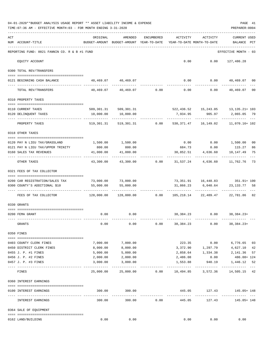|     | 04-01-2020**BUDGET ANALYSIS USAGE REPORT ** ASSET LIABILITY INCOME & EXPENSE<br>TIME: 07:36 AM - EFFECTIVE MONTH: 03 - FOR MONTH ENDING 3-31-2020 |                                                      |                                    |                |                                        |                                              | PAGE 41<br>PREPARER: 0004                                            |
|-----|---------------------------------------------------------------------------------------------------------------------------------------------------|------------------------------------------------------|------------------------------------|----------------|----------------------------------------|----------------------------------------------|----------------------------------------------------------------------|
| ACT | NUM ACCOUNT-TITLE                                                                                                                                 | ORIGINAL<br>BUDGET-AMOUNT BUDGET-AMOUNT YEAR-TO-DATE | AMENDED                            | ENCUMBERED     | ACTIVITY<br>YEAR-TO-DATE MONTH-TO-DATE | ACTIVITY                                     | <b>CURRENT USED</b><br>BALANCE PCT                                   |
|     | REPORTING FUND: 0021 FANNIN CO. R & B #1 FUND                                                                                                     |                                                      |                                    |                |                                        |                                              | EFFECTIVE MONTH - 03                                                 |
|     | EQUITY ACCOUNT                                                                                                                                    |                                                      |                                    |                |                                        | $0.00$ $0.00$ $127,486.28$                   |                                                                      |
|     | 0300 TOTAL REV/TRANSFERS                                                                                                                          |                                                      |                                    |                |                                        |                                              |                                                                      |
|     | 0121 BEGINNING CASH BALANCE                                                                                                                       |                                                      | 40,469.07 40,469.07                |                |                                        |                                              | $0.00$ $0.00$ $40,469.07$ 00                                         |
|     | TOTAL REV/TRANSFERS                                                                                                                               |                                                      |                                    |                |                                        | $40,469.07$ $40,469.07$ $0.00$ $0.00$ $0.00$ | 40,469.07<br>00                                                      |
|     | 0310 PROPERTY TAXES                                                                                                                               |                                                      |                                    |                |                                        |                                              |                                                                      |
|     | 0110 CURRENT TAXES                                                                                                                                |                                                      |                                    |                |                                        |                                              |                                                                      |
|     | 0120 DELINQUENT TAXES                                                                                                                             | 10,000.00                                            | 509,301.31 509,301.31<br>10,000.00 |                |                                        | 7,934.95 905.97                              | 522,436.52 15,243.05 13,135.21+ 103<br>2,065.05 79                   |
|     | PROPERTY TAXES                                                                                                                                    |                                                      | 519,301.31 519,301.31 0.00         |                |                                        | -------------                                | .<br>530,371.47    16,149.02    11,070.16+102                        |
|     | 0318 OTHER TAXES                                                                                                                                  |                                                      |                                    |                |                                        |                                              |                                                                      |
|     |                                                                                                                                                   | 1,500.00 1,500.00                                    |                                    |                |                                        |                                              | $0.00$ $0.00$ $1,500.00$<br>00                                       |
|     | 0120 PAY N LIEU TAX/GRASSLAND<br>0121 PAY N LIEU TAX/UPPER TRINITY                                                                                | 800.00                                               | 800.00                             |                |                                        | 684.73 0.00 115.27                           | 86                                                                   |
|     | 0160 SALES TAX REVENUES                                                                                                                           | 41,000.00<br>----------                              | 41,000.00                          |                |                                        | 30,852.51 4,636.60                           | 75<br>10,147.49                                                      |
|     | OTHER TAXES                                                                                                                                       | 43,300.00                                            |                                    | 43,300.00 0.00 |                                        | 31,537.24 4,636.60 11,762.76                 | 73                                                                   |
|     | 0321 FEES OF TAX COLLECTOR                                                                                                                        |                                                      |                                    |                |                                        |                                              |                                                                      |
|     | 0200 CAR REGISTRATION/SALES TAX                                                                                                                   |                                                      | 73,000.00 73,000.00                |                |                                        |                                              | 73,351.91  16,448.83  351.91+100                                     |
|     | 0300 COUNTY'S ADDITIONAL \$10                                                                                                                     | 55,000.00                                            | 55,000.00                          |                | 31,866.23                              |                                              | 6,040.64 23,133.77 58                                                |
|     |                                                                                                                                                   |                                                      |                                    |                |                                        | ---------------------------                  |                                                                      |
|     | FEES OF TAX COLLECTOR                                                                                                                             |                                                      | $128,000.00$ $128,000.00$ 0.00     |                |                                        |                                              | 105, 218.14 22, 489.47 22, 781.86 82                                 |
|     | 0330 GRANTS                                                                                                                                       |                                                      |                                    |                |                                        |                                              |                                                                      |
|     | 0200 FEMA GRANT                                                                                                                                   |                                                      | $0.00$ 0.00                        |                |                                        | 38, 384. 23 0.00 38, 384. 23+                |                                                                      |
|     | GRANTS                                                                                                                                            | 0.00                                                 | 0.00                               | 0.00           | 38,384.23                              | 0.00                                         | $38,384.23+$                                                         |
|     | 0350 FINES                                                                                                                                        |                                                      |                                    |                |                                        |                                              |                                                                      |
|     |                                                                                                                                                   |                                                      |                                    |                |                                        |                                              |                                                                      |
|     | 0403 COUNTY CLERK FINES                                                                                                                           | 7,000.00                                             | 7,000.00                           |                |                                        | 223.35 0.00                                  | 6,776.65 03                                                          |
|     | 0450 DISTRICT CLERK FINES<br>0455 J. P. #1 FINES                                                                                                  | 8,000.00<br>5,000.00                                 | 8,000.00<br>5,000.00               |                |                                        |                                              | 3,372.90 1,297.79 4,627.10<br>42<br>2,858.64 1,334.38 2,141.36<br>57 |
|     | 0456 J. P. #2 FINES                                                                                                                               | 2,000.00                                             | 2,000.00                           |                | 2,486.08                               | 0.00                                         | 486.08+ 124                                                          |
|     | 0457 J. P. #3 FINES                                                                                                                               | 3,000.00                                             | 3,000.00                           |                | 1,553.88                               | 940.19                                       | 1,446.12<br>52                                                       |
|     | FINES                                                                                                                                             | 25,000.00                                            | 25,000.00                          |                |                                        |                                              | $- - -$<br>$0.00$ 10,494.85 3,572.36 14,505.15 42                    |
|     | 0360 INTEREST EARNINGS                                                                                                                            |                                                      |                                    |                |                                        |                                              |                                                                      |
|     |                                                                                                                                                   |                                                      |                                    |                |                                        |                                              |                                                                      |
|     | 0100 INTEREST EARNINGS                                                                                                                            | 300.00                                               | 300.00                             |                | --------------                         | 445.05 127.43<br>____________                | 145.05+ 148<br>-------------------                                   |
|     | INTEREST EARNINGS                                                                                                                                 | 300.00                                               | 300.00                             | 0.00           | 445.05                                 | 127.43                                       | 145.05+ 148                                                          |
|     | 0364 SALE OF EQUIPMENT                                                                                                                            |                                                      |                                    |                |                                        |                                              |                                                                      |
|     | 0162 LAND/BUILDING                                                                                                                                | 0.00                                                 | 0.00                               |                | 0.00                                   | 0.00                                         | 0.00                                                                 |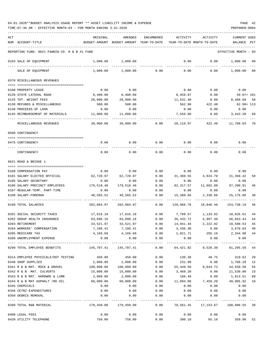| ACT |                                               | ORIGINAL      | AMENDED                   | <b>ENCUMBERED</b>   | ACTIVITY                | ACTIVITY                   | CURRENT USED    |      |
|-----|-----------------------------------------------|---------------|---------------------------|---------------------|-------------------------|----------------------------|-----------------|------|
|     | NUM ACCOUNT-TITLE                             | BUDGET-AMOUNT | BUDGET-AMOUNT             | YEAR-TO-DATE        |                         | YEAR-TO-DATE MONTH-TO-DATE | BALANCE         | PCT  |
|     |                                               |               |                           |                     |                         |                            |                 |      |
|     | REPORTING FUND: 0021 FANNIN CO. R & B #1 FUND |               |                           |                     |                         |                            | EFFECTIVE MONTH | - 03 |
|     | 0163 SALE OF EQUIPMENT                        | 1,000.00      | 1,000.00                  |                     | 0.00                    | 0.00                       | 1,000.00        | 00   |
|     | SALE OF EQUIPMENT                             | 1,000.00      | 1,000.00                  | 0.00                | 0.00                    | 0.00                       | 1,000.00        | 00   |
|     | 0370 MISCELLANEOUS REVENUES                   |               |                           |                     |                         |                            |                 |      |
|     |                                               |               |                           |                     |                         |                            |                 |      |
|     | 0100 PROPERTY LEASE                           | 0.00          | 0.00                      |                     | 0.00                    | 0.00                       | 0.00            |      |
|     | 0120 STATE LATERAL ROAD                       | 8,400.00      | 8,400.00                  |                     | 8,459.87                | 0.00                       | $59.87 + 101$   |      |
|     | 0125 TDT. WEIGHT FEES                         | 20,000.00     | 20,000.00                 |                     | 11,531.40               | 0.00                       | 8,468.60        | 58   |
|     | 0130 REFUNDS & MISCELLANEOUS                  | 500.00        | 500.00                    |                     | 562.90                  | 422.40                     | $62.90 + 113$   |      |
|     | 0140 PROCEEDS OF LOAN                         | 0.00          | 0.00                      |                     | 0.00                    | 0.00                       | 0.00            |      |
|     | 0145 REIMBURSEMENT OF MATERIALS               | 11,000.00     | 11,000.00                 |                     | 7,556.80                | 0.00                       | 3,443.20        | 69   |
|     | MISCELLANEOUS REVENUES                        | 39,900.00     | 39,900.00                 | 0.00                | 28,110.97               | 422.40                     | 11,789.03       | -70  |
|     | 0509 CONTINGENCY                              |               |                           |                     |                         |                            |                 |      |
|     |                                               |               |                           |                     |                         |                            |                 |      |
|     | 0475 CONTINGENCY                              | 0.00          | 0.00                      | 0.00                | 0.00                    | 0.00                       | 0.00            |      |
|     | CONTINGENCY                                   | 0.00          | 0.00                      | 0.00                | 0.00                    | 0.00                       | 0.00            |      |
|     | 0621 ROAD & BRIDGE 1                          |               |                           |                     |                         |                            |                 |      |
|     |                                               |               |                           |                     |                         |                            |                 |      |
|     | 0100 COMPENSATION PAY                         | 0.00          | 0.00                      | 0.00                | 0.00                    | 0.00                       | 0.00            |      |
|     | 0101 SALARY ELECTED OFFICIAL                  | 62,720.97     | 62,720.97                 | 0.00                | 31,360.55               | 4,824.70                   | 31,360.42       | 50   |
|     | 0105 SALARY SECRETARY                         | 0.00          | 0.00                      | 0.00                | 0.00                    | 0.00                       | 0.00            |      |
|     | 0106 SALARY PRECINCT EMPLOYEES                | 179,518.48    | 179,518.48                | 0.00                | 82, 317.57              | 11,682.90                  | 97,200.91       | 46   |
|     | 0107 REGULAR-TEMP. PART-TIME                  | 0.00          | 0.00                      | 0.00                | 0.00                    | 0.00                       | 0.00            |      |
|     | 0108 SALARY-FOREMAN                           | 40,565.52     | 40,565.52                 | 0.00                | 15,388.66               | 2,338.86                   | 25, 176.86      | 38   |
|     | 0199 TOTAL SALARIES                           | 282,804.97    | 282,804.97                | 0.00                | 129,066.78              | 18,846.46                  | 153,738.19      | 46   |
|     | 0201 SOCIAL SECURITY TAXES                    | 17,816.18     | 17,816.18                 | 0.00                | 7,789.57                | 1,133.82                   | 10,026.61       | 44   |
|     | 0202 GROUP HEALTH INSURANCE                   | 83,096.16     | 83,096.16                 | 0.00                | 36,432.72               | 5,907.30                   | 46,663.44       | 44   |
|     | 0203 RETIREMENT                               | 33,521.97     | 33,521.97                 | 0.00                | 14,941.44               | 2,222.02                   | 18,580.53       | 45   |
|     | 0204 WORKERS' COMPENSATION                    |               | $7,106.41$ $7,106.41$     | 0.00                | 3,436.38                | 0.00                       | 3,670.03        | 48   |
|     | 0205 MEDICARE TAX                             |               | 4, 166.69 4, 166.69       | 0.00                |                         | 1,821.71 265.16 2,344.98   |                 | 44   |
|     | 0206 UNEMPLOYMENT EXPENSE                     | 0.00          | 0.00                      | 0.00                | 0.00                    | 0.00                       | 0.00            |      |
|     |                                               |               | -----------               | ------------        | ----------              | ------------               | ----------      |      |
|     | 0299 TOTAL EMPLOYEE BENEFITS                  | 145,707.41    | 145,707.41                | 0.00                | 64,421.82               | 9,528.30                   | 81,285.59       | 44   |
|     | 0314 EMPLOYEE PHYSICALS/DOT TESTING           | 450.00        | 450.00                    | 0.00                | 130.38                  | 49.75                      | 319.62          | 29   |
|     | 0340 SHOP SUPPLIES                            | 2,000.00      | 2,000.00                  | 0.00                | 231.80                  | 0.00                       | 1,768.20        | 12   |
|     | 0341 R & B MAT. ROCK & GRAVEL                 | 100,000.00    | 100,000.00                | 0.00                | 55,449.50               | 9,644.72                   | 44,550.50       | 55   |
|     | 0342 R & B MAT. CULVERTS                      | 15,000.00     | 15,000.00                 | 0.00                | 3,469.20                | 0.00                       | 11,530.80       | 23   |
|     | 0343 R & B MAT. HARDWRE & LUMB                | 2,000.00      | 2,000.00                  | 0.00                | 186.49                  | 0.00                       | 1,813.51        | 09   |
|     | 0344 R & B MAT ASPHALT /RD OIL                | 60,000.00     | 60,000.00                 | 0.00                | 11,094.08               | 7,459.20                   | 48,905.92       | 18   |
|     | 0345 CHEMICALS                                | 0.00          | 0.00                      | 0.00                | 0.00                    | 0.00                       | 0.00            |      |
|     | 0346 CETRZ EXPENDITURES                       | 0.00          | 0.00                      | 0.00                | 0.00                    | 0.00                       | 0.00            |      |
|     | 0350 DEBRIS REMOVAL                           | 0.00          | 0.00                      | 0.00                | 0.00                    | 0.00                       | 0.00            |      |
|     | 0399 TOTAL R&B MATERIAL                       | 179,450.00    | -----------<br>179,450.00 | $- - - - -$<br>0.00 | ----------<br>70,561.45 | -------------<br>17,153.67 | 108,888.55 39   |      |
|     | 0400 LEGAL FEES                               | 0.00          | 0.00                      | 0.00                | 0.00                    | 0.00                       | 0.00            |      |
|     | 0420 UTILITY TELEPHONE                        | 750.00        | 750.00                    | 0.00                | 390.10                  | 65.10                      | 359.90          | 52   |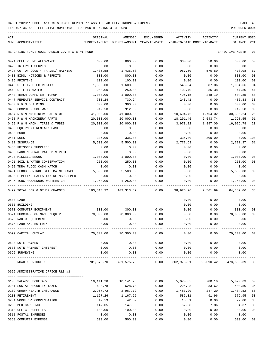| ACT                                           | ORIGINAL   |        | AMENDED                                  | <b>ENCUMBERED</b>   | ACTIVITY  | ACTIVITY                           | <b>CURRENT USED</b>  |                |
|-----------------------------------------------|------------|--------|------------------------------------------|---------------------|-----------|------------------------------------|----------------------|----------------|
| NUM ACCOUNT-TITLE                             |            |        | BUDGET-AMOUNT BUDGET-AMOUNT YEAR-TO-DATE |                     |           | YEAR-TO-DATE MONTH-TO-DATE         | BALANCE              | PCT            |
| REPORTING FUND: 0021 FANNIN CO. R & B #1 FUND |            |        |                                          |                     |           |                                    | EFFECTIVE MONTH - 03 |                |
| 0421 CELL PHONE ALLOWANCE                     |            | 600.00 | 600.00                                   | 0.00                | 300.00    | 50.00                              | 300.00               | 50             |
| 0423 INTERNET SERVICE                         |            | 0.00   | 0.00                                     | 0.00                | 0.00      | 0.00                               | 0.00                 |                |
| 0427 OUT OF COUNTY TRAVEL/TRAINING            | 1,435.58   |        | 1,435.58                                 | 0.00                | 957.50    | 570.50                             | 478.08               | 67             |
| 0430 BIDS, NOTICES & PERMITS                  |            | 800.00 | 800.00                                   | 0.00                | 0.00      | 0.00                               | 800.00               | 00             |
| 0435 PRINTING                                 |            | 100.00 | 100.00                                   | 0.00                | 0.00      | 0.00                               | 100.00               | 00             |
| 0440 UTILITY ELECTRICITY                      | 1,600.00   |        | 1,600.00                                 | 0.00                | 545.34    | 87.06                              | 1,054.66             | 34             |
| 0442 UTILITY WATER                            |            | 250.00 | 250.00                                   | 0.00                | 102.70    | 36.38                              | 147.30               | 41             |
| 0443 TRASH DUMPSTER PICKUP                    | 1,000.00   |        | 1,000.00                                 | 0.00                | 495.15    | 248.19                             | 504.85               | 50             |
| 0447 REPEATER SERVICE CONTRACT                |            | 730.24 | 730.24                                   | 0.00                | 243.41    | 0.00                               | 486.83               | 33             |
| 0450 R & M BUILDING                           |            | 300.00 | 300.00                                   | 0.00                | 0.00      | 0.00                               | 300.00               | 00             |
| 0453 COMPUTER SOFTWARE                        |            | 912.50 | 912.50                                   | 0.00                | 0.00      | 0.00                               | 912.50               | 0 <sub>0</sub> |
| 0457 R & M MACHINERY GAS & OIL                | 41,000.00  |        | 41,000.00                                | 0.00                | 10,604.76 | 1,764.02                           | 30, 395.24           | 26             |
| 0458 R & M MACHINERY PARTS                    | 20,000.00  |        | 20,000.00                                | 0.00                | 18,201.45 | 2,543.74                           | 1,798.55             | 91             |
| 0459 R & M MACH. TIRES & TUBES                | 20,000.00  |        | 20,000.00                                | 0.00                | 3,973.22  | 1,897.00                           | 16,026.78            | 20             |
| 0460 EQUIPMENT RENTAL/LEASE                   |            | 0.00   | 0.00                                     | 0.00                | 0.00      | 0.00                               | 0.00                 |                |
| 0480 BOND                                     |            | 0.00   | 0.00                                     | 0.00                | 0.00      | 0.00                               | 0.00                 |                |
| 0481 DUES                                     |            | 335.00 | 335.00                                   | 0.00                | 335.00    | 300.00                             | 0.00                 | 100            |
| 0482 INSURANCE                                | 5,500.00   |        | 5,500.00                                 | 0.00                | 2,777.63  | 0.00                               | 2,722.37             | 51             |
| 0485 PRISONER SUPPLIES                        |            | 0.00   | 0.00                                     | 0.00                | 0.00      | 0.00                               | 0.00                 |                |
| 0488 FANNIN RURAL RAIL DISTRICT               |            | 0.00   | 0.00                                     | 0.00                | 0.00      | 0.00                               | 0.00                 |                |
| 0490 MISCELLANEOUS                            | 1,000.00   |        | 1,000.00                                 | 0.00                | 0.00      | 0.00                               | 1,000.00             | 00             |
| 0491 SOIL & WATER CONSERVATION                |            | 250.00 | 250.00                                   | 0.00                | 0.00      | 0.00                               | 250.00               | 00             |
| 0492 TDRA FLOOD CASH MATCH                    |            | 0.00   | 0.00                                     | 0.00                | 0.00      | 0.00                               | 0.00                 |                |
| 0494 FLOOD CONTROL SITE MAINTENANCE           | 5,500.00   |        | 5,500.00                                 | 0.00                | 0.00      | 0.00                               | 5,500.00             | 00             |
| 0495 PIPELINE SALES TAX REIMBURSEMENT         |            | 0.00   | 0.00                                     | 0.00                | 0.00      | 0.00                               | 0.00                 |                |
| 0496 TCOG HAZARDOUS WASTEMATCH                | 1,250.00   |        | 1,250.00                                 | 0.00                | 0.00      | 0.00                               | 1,250.00             | 00             |
| 0499 TOTAL SER. & OTHER CHARGES               | 103,313.32 |        | 103,313.32                               | 0.00                | 38,926.26 | 7,561.99                           | 64,387.06            | -38            |
| 0500 LAND                                     |            |        |                                          |                     | 0.00      | 0.00                               | 0.00                 |                |
| 0535 BUILDING                                 |            |        |                                          |                     | 0.00      | 0.00                               | 0.00                 |                |
| 0570 COMPUTER EQUIPMENT                       | 300.00     |        | 300.00                                   | 0.00                | 0.00      | 0.00                               | 300.00               | 00             |
| 0571 PURCHASE OF MACH./EQUIP.                 | 70,000.00  |        | 70,000.00                                | 0.00                | 0.00      | 0.00                               | 70,000.00            | 00             |
| 0573 RADIO EQUIPMENT                          |            | 0.00   | 0.00                                     | 0.00                | 0.00      | 0.00                               | 0.00                 |                |
| 0575 LAND AND BUILDING                        |            | 0.00   | 0.00                                     | 0.00                | 0.00      | 0.00                               | 0.00                 |                |
| 0599 CAPITAL OUTLAY                           |            |        | 70,300.00 70,300.00                      | 0.00                | 0.00      |                                    | $0.00$ 70,300.00 00  |                |
| 0630 NOTE PAYMENT                             |            | 0.00   | 0.00                                     | 0.00                | 0.00      | 0.00                               | 0.00                 |                |
| 0670 NOTE PAYMENT-INTEREST                    |            | 0.00   | 0.00                                     | 0.00                | 0.00      | 0.00                               | 0.00                 |                |
| 0695 SURVEYING                                |            | 0.00   | 0.00                                     | 0.00<br>___________ | 0.00      | 0.00                               | 0.00                 |                |
| ROAD & BRIDGE 1                               |            |        | 781,575.70 781,575.70                    | 0.00                |           | 302,976.31 53,090.42 478,599.39 39 |                      |                |
| 0625 ADMINISTRATIVE OFFICE R&B #1             |            |        |                                          |                     |           |                                    |                      |                |
| 0105 SALARY SECRETARY                         | 10,141.28  |        | 10,141.28                                | 0.00                |           | 5,070.65 780.10                    | 5,070.63             | 50             |
| 0201 SOCIAL SECURITY TAXES                    |            | 628.78 | 628.78                                   | 0.00                | 225.28    | 33.62                              | 403.50               | 36             |
| 0202 GROUP HEALTH INSURANCE                   | 2,967.72   |        | 2,967.72                                 | 0.00                | 1,483.20  | 247.20                             | 1,484.52             | 50             |
| 0203 RETIREMENT                               | 1,167.26   |        | 1,167.26                                 | 0.00                | 587.31    | 91.96                              | 579.95               | 50             |
| 0204 WORKERS' COMPENSATION                    |            | 42.59  | 42.59                                    | 0.00                | 15.51     | 0.00                               | 27.08                | 36             |
| 0205 MEDICARE TAX                             |            | 147.05 | 147.05                                   | 0.00                | 52.68     | 7.86                               | 94.37                | 36             |
| 0310 OFFICE SUPPLIES                          |            | 100.00 | 100.00                                   | 0.00                | 0.00      | 0.00                               | 100.00               | 00             |
| 0311 POSTAL EXPENSES                          |            | 0.00   | 0.00                                     | 0.00                | 0.00      | 0.00                               | 0.00                 |                |
| 0353 COMPUTER EXPENSE                         |            | 500.00 | 500.00                                   | 0.00                | 0.00      | 0.00                               | 500.00               | 00             |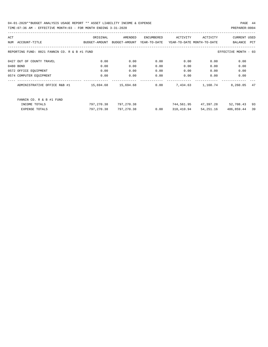| ACT |                                               | ORIGINAL            | AMENDED       | ENCUMBERED   | ACTIVITY                   | ACTIVITY          | CURRENT USED         |     |
|-----|-----------------------------------------------|---------------------|---------------|--------------|----------------------------|-------------------|----------------------|-----|
|     | NUM ACCOUNT-TITLE                             | BUDGET-AMOUNT       | BUDGET-AMOUNT | YEAR-TO-DATE | YEAR-TO-DATE MONTH-TO-DATE |                   | BALANCE              | PCT |
|     | REPORTING FUND: 0021 FANNIN CO. R & B #1 FUND |                     |               |              |                            |                   | EFFECTIVE MONTH - 03 |     |
|     | 0427 OUT OF COUNTY TRAVEL                     | 0.00                | 0.00          | 0.00         | 0.00                       | 0.00              | 0.00                 |     |
|     | 0480 BOND                                     | 0.00                | 0.00          | 0.00         | 0.00                       | 0.00              | 0.00                 |     |
|     | 0572 OFFICE EOUIPMENT                         | 0.00                | 0.00          | 0.00         | 0.00                       | 0.00              | 0.00                 |     |
|     | 0574 COMPUTER EQUIPMENT                       | 0.00                | 0.00          | 0.00         | 0.00                       | 0.00              | 0.00                 |     |
|     | ADMINISTRATIVE OFFICE R&B #1                  | 15,694.68 15,694.68 |               | 0.00         |                            | 7,434.63 1,160.74 | 8,260.05             | 47  |
|     | FANNIN CO. R & B #1 FUND                      |                     |               |              |                            |                   |                      |     |
|     | INCOME TOTALS                                 | 797,270.38          | 797,270.38    |              | 744,561.95                 |                   | 47,397.28 52,708.43  | 93  |
|     | <b>EXPENSE TOTALS</b>                         | 797,270.38          | 797,270.38    | 0.00         | 310,410.94                 | 54,251.16         | 486,859.44           | 39  |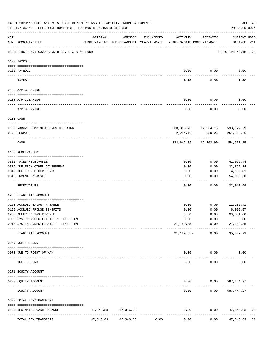|           | 04-01-2020**BUDGET ANALYSIS USAGE REPORT ** ASSET LIABILITY INCOME & EXPENSE<br>TIME: 07:36 AM - EFFECTIVE MONTH: 03 - FOR MONTH ENDING 3-31-2020 |           |                                                     |            |                                        |                                         | PAGE 45<br>PREPARER: 0004   |                |
|-----------|---------------------------------------------------------------------------------------------------------------------------------------------------|-----------|-----------------------------------------------------|------------|----------------------------------------|-----------------------------------------|-----------------------------|----------------|
| ACT       | NUM ACCOUNT-TITLE                                                                                                                                 | ORIGINAL  | AMENDED<br>BUDGET-AMOUNT BUDGET-AMOUNT YEAR-TO-DATE | ENCUMBERED | ACTIVITY<br>YEAR-TO-DATE MONTH-TO-DATE | ACTIVITY                                | CURRENT USED<br>BALANCE PCT |                |
|           | REPORTING FUND: 0022 FANNIN CO. R & B #2 FUND                                                                                                     |           |                                                     |            |                                        |                                         | EFFECTIVE MONTH - 03        |                |
|           | 0100 PAYROLL                                                                                                                                      |           |                                                     |            |                                        |                                         |                             |                |
|           | 0100 PAYROLL                                                                                                                                      |           |                                                     |            | 0.00                                   | 0.00                                    | 0.00                        |                |
|           | PAYROLL                                                                                                                                           |           |                                                     |            | 0.00                                   | 0.00                                    | 0.00                        |                |
|           | 0102 A/P CLEARING                                                                                                                                 |           |                                                     |            |                                        |                                         |                             |                |
|           | 0100 A/P CLEARING                                                                                                                                 |           |                                                     |            | 0.00                                   | 0.00                                    | 0.00                        |                |
|           | A/P CLEARING                                                                                                                                      |           |                                                     |            | 0.00                                   | 0.00                                    | 0.00                        |                |
|           | 0103 CASH                                                                                                                                         |           |                                                     |            |                                        |                                         |                             |                |
|           | 0100 R&B#2- COMBINED FUNDS CHECKING                                                                                                               |           |                                                     |            |                                        |                                         |                             |                |
|           | 0175 TEXPOOL                                                                                                                                      |           |                                                     |            | 2,284.16                               | 330, 363. 73 12, 534. 16 - 593, 127. 59 | 330.26 261,639.66           |                |
|           | CASH                                                                                                                                              |           |                                                     |            |                                        | ------------                            |                             |                |
|           | 0120 RECEIVABLES                                                                                                                                  |           |                                                     |            |                                        |                                         |                             |                |
|           | 0311 TAXES RECEIVABLE                                                                                                                             |           |                                                     |            | 0.00                                   | 0.00                                    | 41,096.44                   |                |
|           | 0312 DUE FROM OTHER GOVERNMENT                                                                                                                    |           |                                                     |            | 0.00                                   | 0.00                                    | 22,822.14                   |                |
|           | 0313 DUE FROM OTHER FUNDS                                                                                                                         |           |                                                     |            | 0.00                                   | 0.00                                    | 4,089.81                    |                |
|           | 0315 INVENTORY ASSET                                                                                                                              |           |                                                     |            | 0.00                                   | 0.00                                    | 54,009.30<br>----------     |                |
|           | RECEIVABLES                                                                                                                                       |           |                                                     |            | 0.00                                   | 0.00                                    | 122,017.69                  |                |
|           | 0200 LIABILITY ACCOUNT                                                                                                                            |           |                                                     |            |                                        |                                         |                             |                |
|           | 0150 ACCRUED SALARY PAYABLE                                                                                                                       |           |                                                     |            | 0.00                                   | 0.00                                    | 11,285.41                   |                |
|           | 0155 ACCRUED FRINGE BENEFITS                                                                                                                      |           |                                                     |            | 0.00                                   | 0.00                                    | 6,055.57                    |                |
|           | 0200 DEFERRED TAX REVENUE                                                                                                                         |           |                                                     |            | 0.00                                   | 0.00                                    | 39, 351.80                  |                |
|           | 0900 SYSTEM ADDED LIABILITY LINE-ITEM                                                                                                             |           |                                                     |            | 0.00                                   | 0.00                                    | 0.00                        |                |
|           | 0910 SYSTEM ADDED LIABILITY LINE-ITEM                                                                                                             |           |                                                     |            |                                        | 21,189.85- 0.00                         | $21,189.85-$                |                |
|           | LIABILITY ACCOUNT                                                                                                                                 |           |                                                     |            | 21,189.85-                             | 0.00                                    | 35,502.93                   |                |
|           | 0207 DUE TO FUND                                                                                                                                  |           |                                                     |            |                                        |                                         |                             |                |
| $- - - -$ | 0070 DUE TO RIGHT OF WAY                                                                                                                          |           | --------------                                      |            | $- - - - -$                            | $0.00$ $0.00$<br>. <u>.</u> .           | 0.00                        |                |
|           | DUE TO FUND                                                                                                                                       |           |                                                     |            | 0.00                                   | 0.00                                    | 0.00                        |                |
|           | 0271 EQUITY ACCOUNT                                                                                                                               |           |                                                     |            |                                        |                                         |                             |                |
|           | 0200 EQUITY ACCOUNT                                                                                                                               |           |                                                     |            |                                        | $0.00$ $0.00$ $587,444.27$              |                             |                |
|           | EQUITY ACCOUNT                                                                                                                                    |           |                                                     |            | -----<br>0.00                          | 0.00                                    | 587,444.27                  |                |
|           | 0300 TOTAL REV/TRANSFERS                                                                                                                          |           |                                                     |            |                                        |                                         |                             |                |
|           | 0122 BEGINNING CASH BALANCE                                                                                                                       |           | 47, 346.83 47, 346.83                               |            | 0.00                                   |                                         | $0.00$ $47,346.83$          | 0 <sub>0</sub> |
|           | TOTAL REV/TRANSFERS                                                                                                                               | 47,346.83 | 47,346.83                                           | 0.00       | 0.00                                   | 0.00                                    | 47,346.83                   | 0 <sub>0</sub> |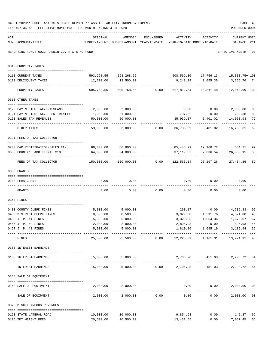|     | 04-01-2020**BUDGET ANALYSIS USAGE REPORT ** ASSET LIABILITY INCOME & EXPENSE<br>TIME: 07:36 AM - EFFECTIVE MONTH: 03 - FOR MONTH ENDING 3-31-2020 |                                              |                                                                                |            |                                    |                    | PAGE 46<br>PREPARER: 0004                                                   |                |
|-----|---------------------------------------------------------------------------------------------------------------------------------------------------|----------------------------------------------|--------------------------------------------------------------------------------|------------|------------------------------------|--------------------|-----------------------------------------------------------------------------|----------------|
| ACT | NUM ACCOUNT-TITLE                                                                                                                                 | ORIGINAL                                     | AMENDED<br>BUDGET-AMOUNT BUDGET-AMOUNT YEAR-TO-DATE YEAR-TO-DATE MONTH-TO-DATE | ENCUMBERED |                                    | ACTIVITY ACTIVITY  | <b>CURRENT USED</b><br>BALANCE PCT                                          |                |
|     | REPORTING FUND: 0022 FANNIN CO. R & B #2 FUND                                                                                                     |                                              |                                                                                |            |                                    |                    | EFFECTIVE MONTH - 03                                                        |                |
|     | 0310 PROPERTY TAXES                                                                                                                               |                                              |                                                                                |            |                                    |                    |                                                                             |                |
|     | 0110 CURRENT TAXES                                                                                                                                |                                              |                                                                                |            |                                    |                    | 593,268.55 593,268.55 608,569.30 17,756.13 15,300.75+ 103                   |                |
|     | 0120 DELINQUENT TAXES                                                                                                                             |                                              | 12,500.00   12,500.00                                                          |            |                                    |                    | 9,243.24 1,055.35 3,256.76 74                                               |                |
|     | PROPERTY TAXES                                                                                                                                    |                                              |                                                                                |            |                                    |                    | $605,768.55$ $605,768.55$ $0.00$ $617,812.54$ $18,811.48$ $12,043.99 + 102$ |                |
|     | 0318 OTHER TAXES                                                                                                                                  |                                              |                                                                                |            |                                    |                    |                                                                             |                |
|     |                                                                                                                                                   |                                              |                                                                                |            |                                    |                    |                                                                             |                |
|     | 0120 PAY N LIEU TAX/GRASSLAND                                                                                                                     | 2,000.00                                     | 2,000.00                                                                       |            |                                    |                    | $0.00$ $0.00$ $2,000.00$                                                    | 0 <sub>0</sub> |
|     | 0121 PAY N LIEU TAX/UPPER TRINITY                                                                                                                 | 1,000.00                                     | 1,000.00                                                                       |            | 797.62                             | 0.00               | 202.38                                                                      | 80             |
|     | 0160 SALES TAX REVENUES                                                                                                                           | 50,000.00                                    | 50,000.00                                                                      |            |                                    | .                  | 35,939.07 5,401.02 14,060.93                                                | 72             |
|     | OTHER TAXES                                                                                                                                       | 53,000.00                                    |                                                                                |            | 53,000.00 0.00 36,736.69           |                    | 5,401.02 16,263.31                                                          | 69             |
|     | 0321 FEES OF TAX COLLECTOR                                                                                                                        |                                              |                                                                                |            |                                    |                    |                                                                             |                |
|     | 0200 CAR REGISTRATION/SALES TAX                                                                                                                   | 86,000.00 86,000.00                          |                                                                                |            |                                    |                    | 85,445.29   19,160.72   554.71                                              |                |
|     | 0300 COUNTY'S ADDITIONAL \$10                                                                                                                     | 64,000.00                                    | 64,000.00                                                                      |            |                                    | 37,119.85 7,036.54 | 26,880.15                                                                   | 99<br>58       |
|     | FEES OF TAX COLLECTOR                                                                                                                             |                                              |                                                                                |            |                                    |                    | $150,000.00$ $150,000.00$ 0.00 $122,565.14$ $26,197.26$ $27,434.86$         | 82             |
|     | 0330 GRANTS                                                                                                                                       |                                              |                                                                                |            |                                    |                    |                                                                             |                |
|     |                                                                                                                                                   |                                              |                                                                                |            |                                    |                    |                                                                             |                |
|     | 0200 FEMA GRANT                                                                                                                                   | 0.00                                         | 0.00                                                                           |            |                                    | $0.00$ 0.00        | 0.00                                                                        |                |
|     | GRANTS                                                                                                                                            | 0.00                                         |                                                                                |            | $0.00$ $0.00$ $0.00$ $0.00$ $0.00$ |                    | 0.00                                                                        |                |
|     | 0350 FINES                                                                                                                                        |                                              |                                                                                |            |                                    |                    |                                                                             |                |
|     | 0403 COUNTY CLERK FINES                                                                                                                           | 5,000.00                                     | 5,000.00                                                                       |            |                                    |                    | 260.17 0.00 4,739.83                                                        | 0 <sub>5</sub> |
|     | 0450 DISTRICT CLERK FINES                                                                                                                         | 8,500.00                                     | 8,500.00                                                                       |            |                                    | 3,929.00 1,511.76  | 4,571.00                                                                    | 46             |
|     | 0455 J. P. #1 FINES                                                                                                                               | 5,000.00                                     | 5,000.00                                                                       |            | 3,329.93                           | 1,554.36           | 1,670.07 67                                                                 |                |
|     | 0456 J. P. #2 FINES                                                                                                                               | 2,000.00                                     | 2,000.00                                                                       |            | 2,895.93                           | 0.00               | 895.93+ 145                                                                 |                |
|     | 0457 J. P. #3 FINES                                                                                                                               | 5,000.00<br>------------------- ------------ | 5,000.00<br>.                                                                  |            | -------------                      | -------------      | 1,810.06  1,095.19  3,189.94  36<br>-------------                           | $---$          |
|     | FINES                                                                                                                                             | 25,500.00                                    |                                                                                |            |                                    |                    | 25,500.00   0.00   12,225.09   4,161.31   13,274.91   48                    |                |
|     | 0360 INTEREST EARNINGS                                                                                                                            |                                              |                                                                                |            |                                    |                    |                                                                             |                |
|     | 0100 INTEREST EARNINGS                                                                                                                            |                                              | 5,000.00 5,000.00                                                              |            |                                    |                    | 2,706.28 451.03 2,293.72 54                                                 |                |
|     | ---------------------------------- --<br>INTEREST EARNINGS                                                                                        |                                              | 5,000.00 5,000.00 0.00 2,706.28                                                |            |                                    | 451.03             | 2,293.72                                                                    | 54             |
|     | 0364 SALE OF EQUIPMENT                                                                                                                            |                                              |                                                                                |            |                                    |                    |                                                                             |                |
|     | --------------------------------------<br>0163 SALE OF EQUIPMENT                                                                                  |                                              | 2,000.00 2,000.00                                                              |            |                                    | $0.00$ $0.00$      | 2,000.00                                                                    | 0 <sub>0</sub> |
|     | SALE OF EQUIPMENT                                                                                                                                 |                                              | $2,000.00$ $2,000.00$ $0.00$                                                   |            | 0.00                               |                    | -------------<br>0.00<br>2,000.00                                           | 0 <sub>0</sub> |
|     | 0370 MISCELLANEOUS REVENUES                                                                                                                       |                                              |                                                                                |            |                                    |                    |                                                                             |                |
|     | 0120 STATE LATERAL ROAD                                                                                                                           | 10,000.00                                    | 10,000.00                                                                      |            | 9,854.63                           |                    | $0.00$ 145.37                                                               | 99             |
|     | 0125 TDT WEIGHT FEES                                                                                                                              | 20,500.00                                    | 20,500.00                                                                      |            | 13,432.55                          |                    | 7,067.45<br>0.00                                                            | 66             |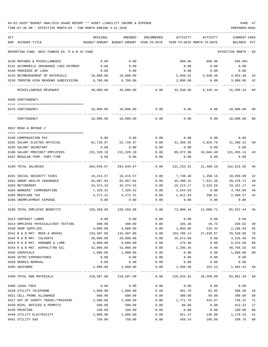| ACT                                           | ORIGINAL      | AMENDED                    | ENCUMBERED        | ACTIVITY        | ACTIVITY                                                                                                                            | CURRENT USED            |        |
|-----------------------------------------------|---------------|----------------------------|-------------------|-----------------|-------------------------------------------------------------------------------------------------------------------------------------|-------------------------|--------|
| NUM ACCOUNT-TITLE                             | BUDGET-AMOUNT | BUDGET-AMOUNT YEAR-TO-DATE |                   |                 | YEAR-TO-DATE MONTH-TO-DATE                                                                                                          | BALANCE                 | PCT    |
| REPORTING FUND: 0022 FANNIN CO. R & B #2 FUND |               |                            |                   |                 |                                                                                                                                     | EFFECTIVE MONTH - 03    |        |
| 0130 REFUNDS & MISCELLANEOUS                  | 0.00          | 0.00                       |                   | 696.96          | 696.96                                                                                                                              | $696.96+$               |        |
| 0131 AUTOMOBILE INSURANCE LOSS PAYMENT        | 0.00          | 0.00                       |                   | 0.00            | 0.00                                                                                                                                | 0.00                    |        |
| 0140 PROCEEDS OF LOAN                         | 0.00          | 0.00                       |                   | 0.00            | 0.00                                                                                                                                | 0.00                    |        |
| 0145 REIMBURSEMENT OF MATERIALS               | 10,800.00     | 10,800.00                  |                   | 5,846.52        | 3,648.48                                                                                                                            | 4,953.48                | 54     |
| 0150 TRENTON HIGH MEADOWS SUBDIVISION         | 6,700.00      | 6,700.00                   |                   | 2,800.00        | 0.00                                                                                                                                | 3,900.00                | 42     |
| MISCELLANEOUS REVENUES                        | 48,000.00     |                            | 48,000.00 0.00    | 32,630.66       | 4,345.44                                                                                                                            | ----------<br>15,369.34 | 68     |
| 0509 CONTINGENCY                              |               |                            |                   |                 |                                                                                                                                     |                         |        |
| 0475 CONTINGENCY                              |               | 10,000.00 10,000.00        | 0.00              |                 | $0.00$ 0.00                                                                                                                         | 10,000.00 00            |        |
| .<br>CONTINGENCY                              | 10,000.00     | 10,000.00                  | 0.00              | 0.00            | 0.00                                                                                                                                | 10,000.00               | 00     |
|                                               |               |                            |                   |                 |                                                                                                                                     |                         |        |
| 0622 ROAD & BRIDGE 2                          |               |                            |                   |                 |                                                                                                                                     |                         |        |
| 0100 COMPENSATION PAY                         | 0.00          | 0.00                       | 0.00              |                 | $0.00$ 0.00                                                                                                                         | 0.00                    |        |
| 0101 SALARY ELECTED OFFICIAL                  | 62,720.97     | 62,720.97                  | 0.00              |                 | 31,360.55 4,824.70 31,360.42                                                                                                        |                         | 50     |
| 0105 SALARY SECRETARY                         | 0.00          | 0.00                       | 0.00              | 0.00            | 0.00                                                                                                                                | 0.00                    |        |
| 0106 SALARY PRECINCT EMPLOYEES                | 231,328.10    | 231,328.10                 | 0.00              | 99,872.96       | 16,664.40                                                                                                                           | 131,455.14              | 43     |
| 0107 REGULAR-TEMP. PART-TIME                  | 0.00          | 0.00                       | 0.00<br>$- - - -$ | 0.00            | 0.00                                                                                                                                | 0.00                    |        |
| 0199 TOTAL SALARIES                           | 294,049.07    | 294,049.07                 | 0.00              | 131,233.51      | 21,489.10                                                                                                                           | 162,815.56              | 45     |
| 0201 SOCIAL SECURITY TAXES                    | 18,415.57     | 18,415.57                  | 0.00              | 7,746.48        | 1,268.16                                                                                                                            | 10,669.09               | 42     |
| 0202 GROUP HEALTH INSURANCE                   | 94,967.04     | 94,967.04                  | 0.00              | 45,490.32       | 7,911.36                                                                                                                            | 49,476.72               | 48     |
| 0203 RETIREMENT                               | 34,374.34     | 34, 374. 34                | 0.00              | 15,213.17       | 2,533.58                                                                                                                            | 19,161.17               | 44     |
| 0204 WORKERS' COMPENSATION                    | 7,329.52      | 7,329.52                   | 0.00              | 3,544.63        | 0.00                                                                                                                                | 3,784.89                | 48     |
| 0205 MEDICARE TAX                             | 4,272.41      | 4,272.41                   | 0.00              | 1,811.84        | 296.61 2,460.57                                                                                                                     |                         | 42     |
| 0206 UNEMPLOYMENT EXPENSE                     | 0.00          | 0.00                       | 0.00              | 0.00            | 0.00                                                                                                                                | 0.00                    |        |
| 0299 TOTAL EMPLOYEE BENEFITS                  | 159,358.88    | 159,358.88                 | 0.00              | 73,806.44       |                                                                                                                                     | 12,009.71 85,552.44     | 46     |
| 0312 CONTRACT LABOR                           | 0.00          | 0.00                       | 0.00              | 0.00            |                                                                                                                                     | $0.00$ 0.00             |        |
| 0314 EMPLOYEE PHYSICALS/DOT TESTING           | 400.00        | 400.00                     | 0.00              | 195.38          | 49.75                                                                                                                               | 204.62                  | 49     |
| 0340 SHOP SUPPLIES                            | 4,000.00      | 4,000.00                   | 0.00              | 1,803.06        | 318.43                                                                                                                              | 2,196.94                | 45     |
| 0341 R & B MAT. ROCK & GRAVEL                 | 134,307.00    | 134,307.00                 | 0.00              | 104,786.14      | 27,639.67                                                                                                                           | 29,520.86               | 78     |
| 0342 R & B MAT. CULVERTS                      | 20,000.00     | 20,000.00                  | 0.00              | 16,673.60       | 0.00                                                                                                                                | 3,326.40                | 83     |
| 0343 R & B MAT. HARDWRE & LUMB                | 6,000.00      | 6,000.00                   | 0.00              | 475.40          | 0.00                                                                                                                                | 5,524.60                | 08     |
| 0344 R & B MAT. ASPHALT/RD OIL                | 42,000.00     | 42,000.00                  | 0.00              | 1,295.45        | 0.00                                                                                                                                | 40,704.55               | 03     |
| 0345 CHEMICALS                                | 1,000.00      | 1,000.00                   | 0.00              | 0.00            | 0.00                                                                                                                                | 1,000.00                | $00\,$ |
| 0346 CETRZ EXPENDITURES                       | 0.00          | 0.00                       | 0.00              | 0.00            | 0.00                                                                                                                                | 0.00                    |        |
| 0350 DEBRIS REMOVAL                           | 0.00          | 0.00                       | 0.00              | 0.00            | 0.00                                                                                                                                | 0.00                    |        |
| 0395 UNIFORMS                                 | 2,800.00      | 2,800.00                   |                   | $0.00$ 1,396.58 |                                                                                                                                     | 252.23 1,403.42 50      |        |
| 0399 TOTAL R&B MATERIALS                      |               |                            |                   |                 | 210,507.00 210,507.00              0.00             126,625.61              28,260.08             83,881.39                      60 |                         |        |
| 0400 LEGAL FEES                               | 0.00          | 0.00                       | 0.00              | 0.00            | 0.00                                                                                                                                | 0.00                    |        |
| 0420 UTILITY TELEPHONE                        | 1,000.00      | 1,000.00                   | 0.00              | 491.70          | 81.95                                                                                                                               | 508.30                  | 49     |
| 0421 CELL PHONE ALLOWANCE                     | 600.00        | 600.00                     | 0.00              | 300.00          | 50.00                                                                                                                               | 300.00                  | 50     |
| 0427 OUT OF COUNTY TRAVEL/TRAINING            | 2,500.00      | 2,500.00                   | 0.00              | 1,771.78        | 434.07                                                                                                                              | 728.22                  | 71     |
| 0430 BIDS, NOTICES & PERMITS                  | 500.00        | 500.00                     | 0.00              | 86.68           | 0.00                                                                                                                                | 413.32                  | 17     |
| 0435 PRINTING                                 | 100.00        | 100.00                     | 0.00              | 0.00            | 0.00                                                                                                                                | 100.00                  | 00     |
| 0440 UTILITY ELECTRICITY                      | 2,000.00      | 2,000.00                   | 0.00              | 821.47          | 136.08                                                                                                                              | 1,178.53                | 41     |
| 0441 UTILITY GAS                              | 750.00        | 750.00                     | 0.00              | 450.24          | 100.66                                                                                                                              | 299.76                  | 60     |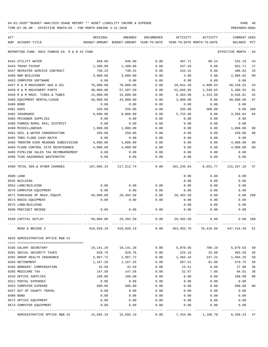TIME:07:36 AM - EFFECTIVE MONTH:03 - FOR MONTH ENDING 3-31-2020

| ACT                                                       | ORIGINAL              | AMENDED                                  | ENCUMBERED    | ACTIVITY         | ACTIVITY                   | <b>CURRENT USED</b>  |                |
|-----------------------------------------------------------|-----------------------|------------------------------------------|---------------|------------------|----------------------------|----------------------|----------------|
| NUM ACCOUNT-TITLE                                         |                       | BUDGET-AMOUNT BUDGET-AMOUNT YEAR-TO-DATE |               |                  | YEAR-TO-DATE MONTH-TO-DATE | BALANCE              | PCT            |
| REPORTING FUND: 0022 FANNIN CO. R & B #2 FUND             |                       |                                          |               |                  |                            | EFFECTIVE MONTH - 03 |                |
| 0442 UTILITY WATER                                        | 940.00                | 940.00                                   | 0.00          | 407.71           | 80.24                      | 532.29               | 43             |
| 0443 TRASH PICKUP                                         | 1,300.00              | 1,300.00                                 | 0.00          | 347.29           | 0.00                       | 952.71               | 27             |
| 0447 REPEATER SERVICE CONTRACT                            | 730.24                | 730.24                                   | 0.00          | 243.41           | 0.00                       | 486.83               | 33             |
| 0450 R&M BUILDING                                         | 3,000.00              | 3,000.00                                 | 0.00          | 3.98             | 3.98                       | 2,996.02             | 0 <sub>0</sub> |
| 0453 COMPUTER SOFTWARE                                    | 0.00                  | 0.00                                     | 0.00          | 0.00             | 0.00                       | 0.00                 |                |
| 0457 R & M MACHINERY GAS & OIL                            | 70,000.00             | 70,000.00                                | 0.00          | 29,841.48        | 4,600.64                   | 40,158.52            | 43             |
| 0458 R & M MACHINERY PARTS                                | 30,000.00             | 57,507.50                                | 0.00          | 52,046.95        | 1,549.65                   | 5,460.55             | 91             |
| 0459 R & M MACH. TIRES & TUBES                            | 15,000.00             | 15,000.00                                | 0.00          | 6,363.99         | 1,314.50                   | 8,636.01             | 42             |
| 0460 EQUIPMENT RENTAL/LEASE                               | 50,000.00             | 43,000.00                                | 0.00          | 3,000.00         | 0.00                       | 40,000.00            | 07             |
| 0480 BOND                                                 | 0.00                  | 0.00                                     | 0.00          | 0.00             | 0.00                       | 0.00                 |                |
| 0481 DUES                                                 | 335.00                | 335.00                                   | 0.00          | 335.00           | 300.00                     | 0.00 100             |                |
| 0482 INSURANCE                                            | 9,000.00              | 9,000.00                                 | 0.00          | 5,733.96         | 0.00                       | 3,266.04             | 64             |
| 0485 PRISONER SUPPLIES                                    | 0.00                  | 0.00                                     | 0.00          | 0.00             | 0.00                       | 0.00                 |                |
| 0488 FANNIN RURAL RAIL DISTRICT                           | 0.00                  | 0.00                                     | 0.00          | 0.00             | 0.00                       | 0.00                 |                |
| 0490 MISCELLANEOUS                                        | 1,000.00              | 1,000.00                                 | 0.00          | 0.00             | 0.00                       | 1,000.00             | 0 <sub>0</sub> |
| 0491 SOIL & WATER CONSERVATION                            | 250.00                | 250.00                                   | 0.00          | 0.00             | 0.00                       | 250.00               | 0 <sub>0</sub> |
| 0492 TDRA FLOOD CASH MATCH                                | 0.00                  | 0.00                                     | 0.00          | 0.00             | 0.00                       | 0.00                 |                |
| 0493 TRENTON HIGH MEADOWS SUBDIVISION                     | 4,000.00              | 4,000.00                                 | 0.00          | 0.00             | 0.00                       | 4,000.00             | 0 <sub>0</sub> |
| 0494 FLOOD CONTROL SITE MAINTENANCE                       | 4,000.00              | 4,000.00                                 | 0.00          | 0.00             | 0.00                       | 4,000.00             | 0 <sub>0</sub> |
| 0495 PIPELINE SALES TAX REIMBURSEMENT                     | 0.00                  | 0.00                                     | 0.00          | 0.00             | 0.00                       | 0.00                 |                |
| 0496 TCOG HAZARDOUS WASTEMATCH<br>----------------------  | 0.00                  | 0.00                                     | 0.00<br>----- | 0.00             | 0.00                       | 0.00                 |                |
| 0499 TOTAL SER.& OTHER CHARGES                            | 197,005.24 217,512.74 |                                          | 0.00          |                  | 102,245.64 8,651.77        | 115,267.10           | 47             |
| 0500 LAND                                                 |                       |                                          |               | 0.00             | 0.00                       | 0.00                 |                |
| 0535 BUILDING                                             |                       |                                          |               | 0.00             | 0.00                       | 0.00                 |                |
| 0562 LAND/BUILDING                                        | 0.00                  | 0.00                                     | 0.00          | 0.00             | 0.00                       | 0.00                 |                |
| 0570 COMPUTER EQUIPMENT                                   | 0.00                  | 0.00                                     | 0.00          | 0.00             | 0.00                       | 0.00                 |                |
| 0571 PURCHASE OF MACH./EQUIP.                             |                       | 50,000.00 29,492.50                      |               | $0.00$ 29,492.50 | 0.00                       | 0.00 100             |                |
| 0573 RADIO EQUIPMENT                                      | 0.00                  | 0.00                                     | 0.00          | 0.00             | 0.00                       | 0.00                 |                |
| 0575 LAND/BUILDING                                        |                       |                                          |               | 0.00             | 0.00                       | 0.00                 |                |
| 0580 PRECINCT BRIDGE                                      | 0.00                  | 0.00                                     | 0.00          | 0.00             | 0.00                       | 0.00                 |                |
| 0599 CAPITAL OUTLAY                                       | 50,000.00             | 29,492.50                                | 0.00          | 29,492.50        | 0.00                       |                      | 0.00 100       |
| ROAD & BRIDGE 2                                           | 910,920.19            | 910,920.19                               | 0.00          | 463,403.70       | 70,410.66                  | 447,516.49           | 51             |
| 0625 ADMINISTRATIVE OFFICE R&B #2                         |                       |                                          |               |                  |                            |                      |                |
|                                                           |                       |                                          |               |                  |                            |                      |                |
| 0105 SALARY SECRETARY                                     | 10,141.28             | 10,141.28                                | 0.00          | 5,070.65         | 780.10                     | 5,070.63             | 50             |
| 0201 SOCIAL SECURITY TAXES<br>0202 GROUP HEALTH INSURANCE | 628.76                | 628.76<br>2,967.72                       | 0.00          | 225.18           | 33.60<br>247.24            | 403.58<br>1,484.28   | 36<br>50       |
|                                                           | 2,967.72<br>1,167.26  |                                          | 0.00          | 1,483.44         |                            |                      |                |
| 0203 RETIREMENT<br>0204 WORKERS' COMPENSATION             | 42.59                 | 1,167.26<br>42.59                        | 0.00<br>0.00  | 587.51           | 91.98<br>0.00              | 579.75<br>27.08      | 50<br>36       |
| 0205 MEDICARE TAX                                         | 147.58                | 147.58                                   | 0.00          | 15.51<br>52.67   | 7.86                       | 94.91                | 36             |
| 0310 OFFICE SUPPLIES                                      | 100.00                | 100.00                                   | 0.00          | 0.00             | 0.00                       | 100.00               | 0 <sub>0</sub> |
| 0311 POSTAL EXPENSES                                      | 0.00                  | 0.00                                     | 0.00          | 0.00             | 0.00                       | 0.00                 |                |
| 0353 COMPUTER EXPENSE                                     | 500.00                | 500.00                                   | 0.00          | 0.00             | 0.00                       | 500.00               | 0 <sub>0</sub> |
| 0427 OUT OF COUNTY TRAVEL                                 | 0.00                  | 0.00                                     | 0.00          | 0.00             | 0.00                       | 0.00                 |                |
| 0480 BOND                                                 | 0.00                  | 0.00                                     | 0.00          | 0.00             | 0.00                       | 0.00                 |                |
| 0572 OFFICE EQUIPMENT                                     | 0.00                  | 0.00                                     | 0.00          | 0.00             | 0.00                       | 0.00                 |                |
| 0574 COMPUTER EQUIPMENT                                   | 0.00                  | 0.00                                     | 0.00          | 0.00             | 0.00                       | 0.00                 |                |
|                                                           |                       |                                          | ------------  |                  |                            | ----------           |                |

ADMINISTRATIVE OFFICE R&B #2 15,695.19 15,695.19 0.00 7,434.96 1,160.78 8,260.23 47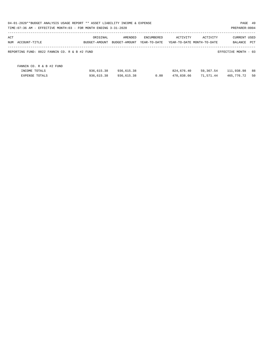|     | 04-01-2020**BUDGET ANALYSIS USAGE REPORT ** ASSET LIABILITY INCOME & EXPENSE<br>TIME: 07:36 AM - EFFECTIVE MONTH: 03 - FOR MONTH ENDING 3-31-2020 |                           |                          |                            |                          |                                        | PAGE 49<br>PREPARER: 0004      |          |
|-----|---------------------------------------------------------------------------------------------------------------------------------------------------|---------------------------|--------------------------|----------------------------|--------------------------|----------------------------------------|--------------------------------|----------|
| ACT | NUM ACCOUNT-TITLE                                                                                                                                 | ORIGINAL<br>BUDGET-AMOUNT | AMENDED<br>BUDGET-AMOUNT | ENCUMBERED<br>YEAR-TO-DATE | ACTIVITY                 | ACTIVITY<br>YEAR-TO-DATE MONTH-TO-DATE | <b>CURRENT USED</b><br>BALANCE | PCT      |
|     | REPORTING FUND: 0022 FANNIN CO. R & B #2 FUND                                                                                                     |                           |                          |                            |                          |                                        | EFFECTIVE MONTH - 03           |          |
|     | FANNIN CO. R & B #2 FUND                                                                                                                          |                           |                          |                            |                          |                                        |                                |          |
|     | INCOME TOTALS                                                                                                                                     | 936,615.38<br>936,615.38  | 936,615.38<br>936,615.38 | 0.00                       | 824,676.40<br>470,838.66 | 59,367.54<br>71,571.44                 | 111,938.98<br>465,776.72       | 88<br>50 |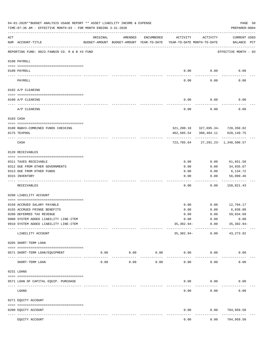|     | 04-01-2020**BUDGET ANALYSIS USAGE REPORT ** ASSET LIABILITY INCOME & EXPENSE<br>TIME: 07:36 AM - EFFECTIVE MONTH: 03 - FOR MONTH ENDING 3-31-2020 |                                                                                 |                     |                     |              |                                | PREPARER: 0004                                     | PAGE 50 |
|-----|---------------------------------------------------------------------------------------------------------------------------------------------------|---------------------------------------------------------------------------------|---------------------|---------------------|--------------|--------------------------------|----------------------------------------------------|---------|
| ACT | NUM ACCOUNT-TITLE                                                                                                                                 | ORIGINAL<br>BUDGET-AMOUNT BUDGET-AMOUNT YEAR-TO-DATE YEAR-TO-DATE MONTH-TO-DATE | AMENDED             | ENCUMBERED          | ACTIVITY     | ACTIVITY                       | <b>CURRENT USED</b><br>BALANCE PCT                 |         |
|     | REPORTING FUND: 0023 FANNIN CO. R & B #3 FUND                                                                                                     |                                                                                 |                     |                     |              |                                | EFFECTIVE MONTH - 03                               |         |
|     | 0100 PAYROLL                                                                                                                                      |                                                                                 |                     |                     |              |                                |                                                    |         |
|     | 0100 PAYROLL                                                                                                                                      |                                                                                 |                     |                     | 0.00         | 0.00                           | 0.00                                               |         |
|     | PAYROLL                                                                                                                                           |                                                                                 |                     |                     | 0.00         | 0.00                           | 0.00                                               |         |
|     | 0102 A/P CLEARING                                                                                                                                 |                                                                                 |                     |                     |              |                                |                                                    |         |
|     | 0100 A/P CLEARING                                                                                                                                 |                                                                                 |                     |                     | 0.00         | 0.00                           | 0.00                                               |         |
|     | A/P CLEARING                                                                                                                                      |                                                                                 |                     |                     | 0.00         | 0.00                           | 0.00                                               |         |
|     | 0103 CASH                                                                                                                                         |                                                                                 |                     |                     |              |                                |                                                    |         |
|     |                                                                                                                                                   |                                                                                 |                     |                     |              |                                |                                                    |         |
|     | 0100 R&B#3-COMBINED FUNDS CHECKING<br>0175 TEXPOOL                                                                                                |                                                                                 |                     |                     | 402,585.54   | 300,404.11                     | 321, 200.10 327, 695.34- 728, 350.82<br>620,149.75 |         |
|     |                                                                                                                                                   |                                                                                 |                     |                     |              |                                |                                                    |         |
|     | CASH                                                                                                                                              |                                                                                 |                     |                     |              |                                | 723, 785.64 27, 291.23 - 1, 348, 500.57            |         |
|     | 0120 RECEIVABLES                                                                                                                                  |                                                                                 |                     |                     |              |                                |                                                    |         |
|     | 0311 TAXES RECEIVABLE                                                                                                                             |                                                                                 |                     |                     | 0.00         | 0.00                           | 61,651.58                                          |         |
|     | 0312 DUE FROM OTHER GOVERNMENTS                                                                                                                   |                                                                                 |                     |                     | 0.00         | 0.00                           | 34,935.67                                          |         |
|     | 0313 DUE FROM OTHER FUNDS                                                                                                                         |                                                                                 |                     |                     | 0.00         | 0.00                           | 6,134.72                                           |         |
|     | 0315 INVENTORY                                                                                                                                    |                                                                                 |                     |                     | 0.00         | 0.00                           | 56,099.46<br>----------                            |         |
|     | RECEIVABLES                                                                                                                                       |                                                                                 |                     |                     | 0.00         | 0.00                           | 158,821.43                                         |         |
|     | 0200 LIABILITY ACCOUNT                                                                                                                            |                                                                                 |                     |                     |              |                                |                                                    |         |
|     |                                                                                                                                                   |                                                                                 |                     |                     |              |                                |                                                    |         |
|     | 0150 ACCRUED SALARY PAYABLE                                                                                                                       |                                                                                 |                     |                     | 0.00         | 0.00                           | 12,704.17                                          |         |
|     | 0155 ACCRUED FRINGE BENEFITS<br>0200 DEFERRED TAX REVENUE                                                                                         |                                                                                 |                     |                     | 0.00<br>0.00 | 0.00<br>0.00                   | 6,838.00<br>59,034.69                              |         |
|     | 0900 SYSTEM ADDED LIABILITY LINE-ITEM                                                                                                             |                                                                                 |                     |                     | 0.00         | 0.00                           | 0.00                                               |         |
|     | 0910 SYSTEM ADDED LIABILITY LINE-ITEM                                                                                                             |                                                                                 |                     |                     | $35,302.94-$ | 0.00                           | $35,302.94-$                                       |         |
|     | LIABILITY ACCOUNT                                                                                                                                 |                                                                                 |                     |                     | 35,302.94-   | --------- ------------<br>0.00 | -------------<br>43, 273. 92                       |         |
|     | 0205 SHORT-TERM LOAN                                                                                                                              |                                                                                 |                     |                     |              |                                |                                                    |         |
|     | 0571 SHORT-TERM LOAN/EQUIPMENT                                                                                                                    | 0.00                                                                            | 0.00<br>----------- | 0.00<br>----------- | 0.00         | 0.00                           | 0.00                                               |         |
|     | SHORT-TERM LOAN                                                                                                                                   | 0.00                                                                            | 0.00                | 0.00                | 0.00         | 0.00                           | 0.00                                               |         |
|     | 0231 LOANS                                                                                                                                        |                                                                                 |                     |                     |              |                                |                                                    |         |
|     |                                                                                                                                                   |                                                                                 |                     |                     |              |                                |                                                    |         |
|     | 0571 LOAN OF CAPITAL EQUIP. PURCHASE                                                                                                              |                                                                                 |                     |                     | 0.00         | 0.00                           | 0.00                                               |         |
|     | LOANS                                                                                                                                             |                                                                                 |                     |                     | 0.00         | 0.00                           | 0.00                                               |         |
|     | 0271 EQUITY ACCOUNT                                                                                                                               |                                                                                 |                     |                     |              |                                |                                                    |         |
|     | 0200 EQUITY ACCOUNT<br>---- -----------<br>--------------------- -----------                                                                      |                                                                                 | -------------       |                     | 0.00         | 0.00                           | 704,959.50<br>--------                             |         |
|     | EQUITY ACCOUNT                                                                                                                                    |                                                                                 |                     |                     | 0.00         | 0.00                           | 704,959.50                                         |         |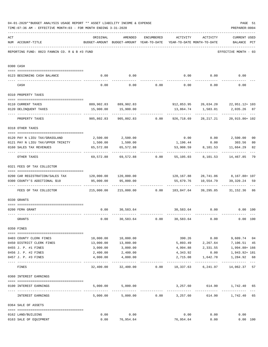|     | 04-01-2020**BUDGET ANALYSIS USAGE REPORT ** ASSET LIABILITY INCOME & EXPENSE<br>TIME: 07:36 AM - EFFECTIVE MONTH: 03 - FOR MONTH ENDING 3-31-2020 |                                                                         |                                                                                |                                    |                              |                                      | PREPARER: 0004                                           | PAGE 51              |
|-----|---------------------------------------------------------------------------------------------------------------------------------------------------|-------------------------------------------------------------------------|--------------------------------------------------------------------------------|------------------------------------|------------------------------|--------------------------------------|----------------------------------------------------------|----------------------|
| ACT | NUM ACCOUNT-TITLE                                                                                                                                 | ORIGINAL                                                                | AMENDED<br>BUDGET-AMOUNT BUDGET-AMOUNT YEAR-TO-DATE YEAR-TO-DATE MONTH-TO-DATE |                                    | ENCUMBERED ACTIVITY ACTIVITY |                                      | <b>CURRENT USED</b><br>BALANCE PCT                       |                      |
|     | REPORTING FUND: 0023 FANNIN CO. R & B #3 FUND                                                                                                     |                                                                         |                                                                                |                                    |                              |                                      | EFFECTIVE MONTH - 03                                     |                      |
|     | 0300 CASH                                                                                                                                         |                                                                         |                                                                                |                                    |                              |                                      |                                                          |                      |
|     | 0123 BEGINNING CASH BALANCE                                                                                                                       | 0.00                                                                    | 0.00                                                                           |                                    |                              |                                      | $0.00$ $0.00$ $0.00$ $0.00$                              |                      |
|     | CASH                                                                                                                                              | 0.00                                                                    |                                                                                | $0.00$ $0.00$ $0.00$ $0.00$ $0.00$ |                              |                                      | 0.00                                                     |                      |
|     | 0310 PROPERTY TAXES                                                                                                                               |                                                                         |                                                                                |                                    |                              |                                      |                                                          |                      |
|     |                                                                                                                                                   |                                                                         |                                                                                |                                    |                              |                                      |                                                          |                      |
|     | 0110 CURRENT TAXES                                                                                                                                |                                                                         | 889,902.83 889,902.83                                                          |                                    |                              |                                      | 912,853.95 26,634.20 22,951.12+ 103                      |                      |
|     | 0120 DELINQUENT TAXES<br>--------------------- --------------                                                                                     |                                                                         | 15,900.00   15,900.00<br>.                                                     |                                    |                              |                                      | -----------------                                        |                      |
|     | PROPERTY TAXES                                                                                                                                    | 905,802.83                                                              |                                                                                | 905,802.83 0.00                    | 926,718.69                   | 28,217.21                            | 20,915.86+ 102                                           |                      |
|     | 0318 OTHER TAXES                                                                                                                                  |                                                                         |                                                                                |                                    |                              |                                      |                                                          |                      |
|     | 0120 PAY N LIEU TAX/GRASSLAND                                                                                                                     |                                                                         | 2,500.00 2,500.00                                                              |                                    |                              |                                      | $0.00$ $0.00$ $2,500.00$                                 |                      |
|     | 0121 PAY N LIEU TAX/UPPER TRINITY                                                                                                                 |                                                                         | 1,500.00                                                                       |                                    |                              |                                      | 303.56                                                   | 0 <sub>0</sub><br>80 |
|     | 0160 SALES TAX REVENUES                                                                                                                           | 1,500.00<br>65,572.88                                                   | 65,572.88                                                                      |                                    |                              | 1, 196.44 0.00<br>53,908.59 8,101.53 | 11,664.29                                                | 82                   |
|     |                                                                                                                                                   |                                                                         |                                                                                |                                    |                              |                                      |                                                          |                      |
|     | OTHER TAXES                                                                                                                                       |                                                                         |                                                                                |                                    |                              |                                      | 69,572.88 69,572.88 0.00 55,105.03 8,101.53 14,467.85    | 79                   |
|     | 0321 FEES OF TAX COLLECTOR                                                                                                                        |                                                                         |                                                                                |                                    |                              |                                      |                                                          |                      |
|     |                                                                                                                                                   |                                                                         |                                                                                |                                    |                              |                                      |                                                          |                      |
|     | 0200 CAR REGISTRATION/SALES TAX                                                                                                                   | 95,000.00                                                               | 95,000.00                                                                      |                                    |                              | 55,679.76 10,554.79                  | 128,167.88 28,741.06 8,167.88+107<br>39,320.24           | 59                   |
|     | 0300 COUNTY'S ADDITIONAL \$10                                                                                                                     |                                                                         |                                                                                |                                    |                              |                                      |                                                          |                      |
|     | FEES OF TAX COLLECTOR                                                                                                                             | 215,000.00   215,000.00      0.00   183,847.64   39,295.85    31,152.36 |                                                                                |                                    |                              |                                      |                                                          | 86                   |
|     | 0330 GRANTS                                                                                                                                       |                                                                         |                                                                                |                                    |                              |                                      |                                                          |                      |
|     |                                                                                                                                                   |                                                                         |                                                                                |                                    |                              |                                      |                                                          |                      |
|     | 0200 FEMA GRANT                                                                                                                                   | 0.00                                                                    | 30,583.64                                                                      |                                    |                              | 30,583.64 0.00                       | $0.00$ 100                                               |                      |
|     | GRANTS                                                                                                                                            | 0.00                                                                    |                                                                                | 30,583.64 0.00                     | 30,583.64                    | 0.00                                 | 0.00 100                                                 |                      |
|     | 0350 FINES                                                                                                                                        |                                                                         |                                                                                |                                    |                              |                                      |                                                          |                      |
|     | 0403 COUNTY CLERK FINES                                                                                                                           | 10,000.00                                                               | 10,000.00                                                                      |                                    |                              | 390.26 0.00                          | 9,609.74 04                                              |                      |
|     | 0450 DISTRICT CLERK FINES                                                                                                                         | 13,000.00                                                               | 13,000.00                                                                      |                                    |                              |                                      | 5,893.49 2,267.64 7,106.51                               | 45                   |
|     | 0455 J. P. #1 FINES                                                                                                                               | 3,000.00                                                                | 3,000.00                                                                       |                                    |                              |                                      | 4,994.88 2,331.55 1,994.88+166                           |                      |
|     | 0456 J. P. #2 FINES                                                                                                                               | 2,400.00                                                                | 2,400.00                                                                       |                                    | 4,343.92                     | 0.00                                 | 1,943.92+ 181                                            |                      |
|     | 0457 J. P. #3 FINES                                                                                                                               | 4,000.00                                                                | 4,000.00                                                                       |                                    | 2,715.08                     | 1,642.78                             | 1,284.92 68                                              |                      |
|     | FINES                                                                                                                                             |                                                                         |                                                                                |                                    |                              |                                      | 32,400.00 32,400.00 0.00 18,337.63 6,241.97 14,062.37 57 |                      |
|     | 0360 INTEREST EARNINGS                                                                                                                            |                                                                         |                                                                                |                                    |                              |                                      |                                                          |                      |
|     |                                                                                                                                                   |                                                                         | 5,000.00 5,000.00                                                              |                                    |                              |                                      | 3,257.60 614.90 1,742.40 65                              |                      |
|     | 0100 INTEREST EARNINGS                                                                                                                            |                                                                         |                                                                                |                                    |                              |                                      |                                                          |                      |
|     | INTEREST EARNINGS                                                                                                                                 |                                                                         | $5,000.00$ $5,000.00$ $0.00$ $3,257.60$                                        |                                    |                              |                                      | 614.90 1,742.40                                          | 65                   |
|     | 0364 SALE OF ASSETS                                                                                                                               |                                                                         |                                                                                |                                    |                              |                                      |                                                          |                      |
|     | 0162 LAND/BUILDING                                                                                                                                | 0.00                                                                    | 0.00                                                                           |                                    | 0.00                         | 0.00                                 | 0.00                                                     |                      |
|     | 0163 SALE OF EQUIPMENT                                                                                                                            | 0.00                                                                    | 76,954.64                                                                      |                                    | 76,954.64                    | 0.00                                 | 0.00 100                                                 |                      |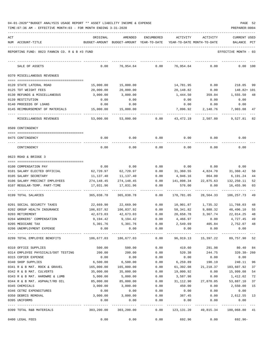| 04-01-2020**BUDGET ANALYSIS USAGE REPORT ** ASSET LIABILITY INCOME & EXPENSE |  |  |  | PAGE | - 52 |
|------------------------------------------------------------------------------|--|--|--|------|------|
|                                                                              |  |  |  |      |      |

| ACT |                                                       | ORIGINAL                                                                | AMENDED                                  | ENCUMBERED           | ACTIVITY             | ACTIVITY                   | <b>CURRENT USED</b>    |          |
|-----|-------------------------------------------------------|-------------------------------------------------------------------------|------------------------------------------|----------------------|----------------------|----------------------------|------------------------|----------|
|     | NUM ACCOUNT-TITLE                                     |                                                                         | BUDGET-AMOUNT BUDGET-AMOUNT YEAR-TO-DATE |                      |                      | YEAR-TO-DATE MONTH-TO-DATE | BALANCE PCT            |          |
|     | REPORTING FUND: 0023 FANNIN CO. R & B #3 FUND         |                                                                         |                                          |                      |                      |                            | EFFECTIVE MONTH - 03   |          |
|     | SALE OF ASSETS                                        | 0.00                                                                    | 76,954.64                                | 0.00                 | 76,954.64            | 0.00                       |                        | 0.00 100 |
|     | 0370 MISCELLANEOUS REVENUES                           |                                                                         |                                          |                      |                      |                            |                        |          |
|     |                                                       |                                                                         |                                          |                      |                      |                            |                        |          |
|     | 0120 STATE LATERAL ROAD                               | 15,000.00                                                               | 15,000.00                                |                      | 14,781.95            | 0.00                       | 218.05                 | 99       |
|     | 0125 TDT WEIGHT FEES                                  | 20,000.00                                                               | 20,000.00                                |                      | 20,148.82            | 0.00                       | 148.82+ 101            |          |
|     | 0130 REFUNDS & MISCELLANEOUS                          | 3,000.00                                                                | 3,000.00                                 |                      | 1,444.50             | 359.04                     | 1,555.50               | 48       |
|     | 0139 RESTITUTION                                      | 0.00                                                                    | 0.00                                     |                      | 0.00                 | 0.00                       | 0.00                   |          |
|     | 0140 PROCEEDS OF LOANS                                | 0.00                                                                    | 0.00                                     |                      | 0.00                 | 0.00                       | 0.00                   |          |
|     | 0145 REIMBURSEMENT OF MATERIALS                       | 15,000.00                                                               | 15,000.00                                |                      | 7,096.92             | 2,148.76                   | 7,903.08               | 47       |
|     | MISCELLANEOUS REVENUES                                | 53,000.00                                                               | 53,000.00                                | 0.00                 | 43,472.19            | 2,507.80                   | 9,527.81               | 82       |
|     | 0509 CONTINGENCY                                      |                                                                         |                                          |                      |                      |                            |                        |          |
|     | 0475 CONTINGENCY                                      | 0.00                                                                    | 0.00                                     | 0.00                 | 0.00                 | 0.00                       | 0.00                   |          |
|     | CONTINGENCY                                           | 0.00                                                                    | 0.00                                     | 0.00                 | 0.00                 | 0.00                       | 0.00                   |          |
|     | 0623 ROAD & BRIDGE 3                                  |                                                                         |                                          |                      |                      |                            |                        |          |
|     |                                                       |                                                                         |                                          |                      |                      |                            |                        |          |
|     | 0100 COMPENSATION PAY<br>0101 SALARY ELECTED OFFICIAL | 0.00<br>62,720.97                                                       | 0.00<br>62,720.97                        | 0.00<br>0.00         | 0.00<br>31,360.55    | 0.00<br>4,824.70           | 0.00<br>31,360.42      | 50       |
|     | 0105 SALARY SECRETARY                                 | 11,137.40                                                               | 11,137.40                                | 0.00                 | 4,946.16             | 864.00                     | 6,191.24               | 44       |
|     | 0106 SALARY PRECINCT EMPLOYEES                        | 274,148.45                                                              | 274,148.45                               | 0.00                 | 141,898.34           | 22,875.63                  | 132,250.11             | 52       |
|     | 0107 REGULAR-TEMP. PART-TIME                          | 17,031.96                                                               | 17,031.96                                | 0.00                 | 576.00               | 0.00                       | 16,455.96              | 03       |
|     | 0199 TOTAL SALARIES                                   | 365,038.78                                                              | 365,038.78                               | 0.00                 | 178,781.05           | 28,564.33                  | 186,257.73             | 49       |
|     | 0201 SOCIAL SECURITY TAXES                            | 22,669.90                                                               | 22,669.90                                | 0.00                 | 10,901.87            | 1,735.32                   | 11,768.03              | 48       |
|     | 0202 GROUP HEALTH INSURANCE                           | 106,837.92                                                              | 106,837.92                               | 0.00                 | 58,341.82            | 9,888.32                   | 48,496.10              | 55       |
|     | 0203 RETIREMENT                                       | 42,673.03                                                               | 42,673.03                                | 0.00                 | 20,658.78            |                            | 3, 367. 74 22, 014. 25 | 48       |
|     | 0204 WORKERS' COMPENSATION                            | 9,194.42                                                                | 9,194.42                                 | 0.00                 | 4,466.97             | 0.00                       | 4,727.45               | 49       |
|     | 0205 MEDICARE TAX                                     | 5,301.76                                                                | 5,301.76                                 | 0.00                 | 2,549.69             | 405.84                     | 2,752.07               | 48       |
|     | 0206 UNEMPLOYMENT EXPENSE                             | 0.00                                                                    | 0.00                                     | 0.00                 | 0.00                 | 0.00                       | 0.00                   |          |
|     | 0299 TOTAL EMPLOYEE BENEFITS                          | 186,677.03   186,677.03      0.00    96,919.13   15,397.22    89,757.90 |                                          |                      |                      |                            |                        | 52       |
|     | 0310 OFFICE SUPPLIES                                  | 500.00                                                                  | 500.00                                   | 0.00                 | 419.60               | 291.98                     | 80.40                  | 84       |
|     | 0314 EMPLOYEE PHYSICALS/DOT TESTING                   | 200.00                                                                  | 200.00                                   | 0.00                 | 520.38               | 244.75                     | 320.38-260             |          |
|     | 0315 COPIER EXPENSE                                   | 0.00                                                                    | 0.00                                     | 0.00                 | 0.00                 | 0.00                       | 0.00                   |          |
|     | 0340 SHOP SUPPLIES                                    | 6,500.00                                                                | 6,500.00                                 | 0.00                 | 6,259.89             | 190.19                     | 240.11                 | 96       |
|     | 0341 R & B MAT. ROCK & GRAVEL                         | 165,000.00                                                              | 165,000.00                               | 0.00                 | 61,392.08            | 21,218.37                  | 103,607.92             | 37       |
|     | 0342 R & B MAT. CULVERTS                              | 35,000.00                                                               | 35,000.00                                | 0.00                 | 19,000.92            | 0.00                       | 15,999.08              | 54       |
|     | 0343 R & B MAT. HARDWRE & LUMB                        | 5,000.00                                                                | 5,000.00                                 | 0.00                 | 3,587.98             | 0.00                       | 1,412.02               | 72       |
|     | 0344 R & B MAT. ASPHALT/RD OIL                        | 85,000.00                                                               | 85,000.00                                | 0.00                 | 31,112.90            | 27,870.05                  | 53,887.10              | 37       |
|     | 0345 CHEMICALS                                        | 3,000.00                                                                | 3,000.00                                 | 0.00                 | 450.00               | 0.00                       | 2,550.00               | 15       |
|     | 0346 CETRZ EXPENDITURES                               | 0.00                                                                    | 0.00                                     | 0.00                 | 0.00                 | 0.00                       | 0.00                   |          |
|     | 0350 DEBRIS REMOVAL                                   | 3,000.00                                                                | 3,000.00                                 | 0.00                 | 387.45               | 0.00                       | 2,612.55               | 13       |
|     | 0395 UNIFORMS                                         | 0.00                                                                    | 0.00<br>------------                     | 0.00<br>------------ | 0.00<br>------------ | 0.00                       | 0.00                   |          |
|     | 0399 TOTAL R&B MATERIALS                              | 303,200.00                                                              | 303,200.00                               |                      | $0.00$ 123, 131.20   | 49,815.34                  | 180,068.80 41          |          |
|     | 0400 LEGAL FEES                                       | 0.00                                                                    | 0.00                                     | 0.00                 | 692.96               | 0.00                       | 692.96-                |          |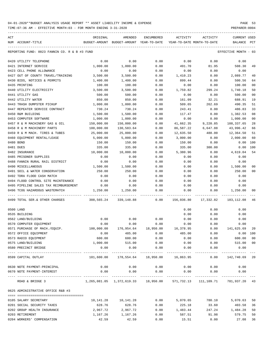TIME:07:36 AM - EFFECTIVE MONTH:03 - FOR MONTH ENDING 3-31-2020

| ACT | NUM ACCOUNT-TITLE                             | ORIGINAL<br>BUDGET-AMOUNT BUDGET-AMOUNT YEAR-TO-DATE                    | AMENDED                                            | ENCUMBERED            | ACTIVITY<br>YEAR-TO-DATE MONTH-TO-DATE | ACTIVITY                               | CURRENT USED<br>BALANCE | PCT            |
|-----|-----------------------------------------------|-------------------------------------------------------------------------|----------------------------------------------------|-----------------------|----------------------------------------|----------------------------------------|-------------------------|----------------|
|     |                                               |                                                                         |                                                    |                       |                                        |                                        |                         |                |
|     | REPORTING FUND: 0023 FANNIN CO. R & B #3 FUND |                                                                         |                                                    |                       |                                        |                                        | EFFECTIVE MONTH - 03    |                |
|     | 0420 UTILITY TELEPHONE                        | 0.00                                                                    | 0.00                                               | 0.00                  | 0.00                                   | 0.00                                   | 0.00                    |                |
|     | 0421 INTERNET SERVICE                         | 1,000.00                                                                | 1,000.00                                           | 0.00                  | 491.70                                 | 81.95                                  | 508.30                  | 49             |
|     | 0423 CELL PHONE ALLOWANCE                     | 0.00                                                                    | 0.00                                               | 0.00                  | 0.00                                   | 0.00                                   | 0.00                    |                |
|     | 0427 OUT OF COUNTY TRAVEL/TRAINING            | 3,500.00                                                                | 3,500.00                                           | 0.00                  | 1,410.23                               | 0.00                                   | 2,089.77                | 40             |
|     | 0430 BIDS, NOTICES & PERMITS                  | 1,400.00                                                                | 1,400.00                                           | 0.00                  | 899.44                                 | 0.00                                   | 500.56                  | 64             |
|     | 0435 PRINTING                                 | 100.00                                                                  | 100.00                                             | 0.00                  | 0.00                                   | 0.00                                   | 100.00                  | 00             |
|     | 0440 UTILITY ELECTRICITY                      | 3,500.00                                                                | 3,500.00                                           | 0.00                  | 1,759.82                               | 299.24                                 | 1,740.18                | 50             |
|     | 0441 UTILITY GAS                              | 500.00                                                                  | 500.00                                             | 0.00                  | 0.00                                   | 0.00                                   | 500.00                  | 0 <sub>0</sub> |
|     | 0442 UTILITY WATER                            | 850.00                                                                  | 850.00                                             | 0.00                  | 161.09                                 | 32.21                                  | 688.91                  | 19             |
|     | 0443 TRASH DUMPSTER PICKUP                    | 1,000.00                                                                | 1,000.00                                           | 0.00                  | 509.65                                 | 262.69                                 | 490.35                  | 51             |
|     | 0447 REPEATER SERVICE CONTRACT                | 730.24                                                                  | 730.24                                             | 0.00                  | 243.41                                 | 0.00                                   | 486.83                  | 33             |
|     | 0450 R&M BUILDING                             | 1,500.00                                                                | 1,500.00                                           | 0.00                  | 117.47                                 | 0.00                                   | 1,382.53                | 08             |
|     | 0453 COMPUTER SOFTWARE                        | 1,000.00                                                                | 1,000.00                                           | 0.00                  | 0.00                                   | 0.00                                   | 1,000.00                | 0 <sub>0</sub> |
|     | 0457 R & M MACHINERY GAS & OIL                | 150,000.00                                                              | 150,000.00                                         | 0.00                  | 41,662.35                              | 9,220.85                               | 108,337.65              | 28             |
|     | 0458 R & M MACHINERY PARTS                    | 100,000.00                                                              | 130,583.64                                         | 0.00                  | 86,587.22                              | 6,647.88                               | 43,996.42               | 66             |
|     | 0459 R & M MACH. TIRES & TUBES                | 25,000.00                                                               | 25,000.00                                          | 0.00                  | 12,635.50                              | 488.00                                 | 12,364.50               | 51             |
|     | 0460 EOUIPMENT RENTAL/LEASE                   | 5,000.00                                                                | 5,000.00                                           | 0.00                  | 3,000.00                               | 0.00                                   | 2,000.00                | 60             |
|     | 0480 BOND                                     | 150.00                                                                  | 150.00                                             | 0.00                  | 150.00                                 | 0.00                                   | 0.00                    | 100            |
|     | 0481 DUES                                     | 335.00                                                                  | 335.00                                             | 0.00                  | 335.00                                 | 300.00                                 | 0.00                    | 100            |
|     | 0482 INSURANCE                                | 10,000.00                                                               | 10,000.00                                          | 0.00                  | 5,380.96                               | 0.00                                   | 4,619.04                | -54            |
|     | 0485 PRISONER SUPPLIES                        | 0.00                                                                    | 0.00                                               | 0.00                  | 0.00                                   | 0.00                                   | 0.00                    |                |
|     | 0488 FANNIN RURAL RAIL DISTRICT               | 0.00                                                                    | 0.00                                               | 0.00                  | 0.00                                   | 0.00                                   | 0.00                    |                |
|     | 0490 MISCELLANEOUS                            | 1,500.00                                                                | 1,500.00                                           | 0.00                  | 0.00                                   | 0.00                                   | 1,500.00                | 00             |
|     | 0491 SOIL & WATER CONSERVATION                | 250.00                                                                  | 250.00                                             | 0.00                  | 0.00                                   | 0.00                                   | 250.00                  | 0 <sup>0</sup> |
|     | 0492 TDRA FLOOD CASH MATCH                    | 0.00                                                                    | 0.00                                               | 0.00                  | 0.00                                   | 0.00                                   | 0.00                    |                |
|     | 0494 FLOOD CONTROL SITE MAINTENANCE           | 0.00                                                                    | 0.00                                               | 0.00                  | 0.00                                   | 0.00                                   | 0.00                    |                |
|     | 0495 PIPELINE SALES TAX REIMBURSEMENT         | 0.00                                                                    | 0.00                                               | 0.00                  | 0.00                                   | 0.00                                   | 0.00                    |                |
|     | 0496 TCOG HAZARDOUS WASTEMATCH                | 1,250.00                                                                | 1,250.00                                           | 0.00                  | 0.00                                   | 0.00                                   | 1,250.00                | 00             |
|     | 0499 TOTAL SER.& OTHER CHARGES                | 308,565.24 339,148.88                                                   |                                                    |                       |                                        | $0.00$ 156,036.80 17,332.82 183,112.08 |                         | 46             |
|     | 0500 LAND                                     |                                                                         |                                                    |                       | 0.00                                   | 0.00                                   | 0.00                    |                |
|     | 0535 BUILDING                                 |                                                                         |                                                    |                       | 0.00                                   | 0.00                                   | 0.00                    |                |
|     | 0562 LAND/BUILDING                            | 0.00                                                                    | 0.00                                               | 0.00                  | 0.00                                   | 0.00                                   | 0.00                    |                |
|     | 0570 COMPUTER EQUIPMENT                       | 0.00                                                                    | 0.00                                               | 0.00                  | 0.00                                   | 0.00                                   | 0.00                    |                |
|     | 0571 PURCHASE OF MACH./EQUIP.                 | 100,000.00                                                              |                                                    | 176,954.64 18,950.00  | 16,378.95                              | 0.00                                   | 141,625.69 20           |                |
|     | 0572 OFFICE EQUIPMENT                         | 0.00                                                                    | 485.00                                             | 0.00                  | 485.00                                 | 0.00                                   | 0.00 100                |                |
|     | 0573 RADIO EQUIPMENT                          | 600.00                                                                  | 600.00                                             | 0.00                  | 0.00                                   | 0.00                                   | 600.00 00               |                |
|     | 0575 LAND/BUILDING                            | 1,000.00                                                                | 515.00                                             | 0.00                  | 0.00                                   | 0.00                                   | 515.00 00               |                |
|     | 0580 PRECINCT BRIDGE                          | 0.00<br>-----------                                                     | 0.00<br>_____________                              | 0.00<br>_____________ | 0.00                                   | 0.00                                   | 0.00                    |                |
|     | 0599 CAPITAL OUTLAY                           |                                                                         | 101,600.00    178,554.64    18,950.00    16,863.95 |                       |                                        | 0.00                                   | 142,740.69 20           |                |
|     | 0630 NOTE PAYMENT-PRINCIPAL                   | 0.00                                                                    | 0.00                                               | 0.00                  | 0.00                                   | 0.00                                   | 0.00                    |                |
|     | 0670 NOTE PAYMENT-INTEREST                    | 0.00                                                                    | 0.00                                               | 0.00                  | 0.00                                   | 0.00                                   | 0.00                    |                |
|     | ROAD & BRIDGE 3                               | 1,265,081.05 1,372,619.33 18,950.00 571,732.13 111,109.71 781,937.20 43 |                                                    |                       |                                        |                                        |                         |                |
|     | 0625 ADMINISTRATIVE OFFICE R&B #3             |                                                                         |                                                    |                       |                                        |                                        |                         |                |
|     |                                               |                                                                         |                                                    |                       |                                        |                                        |                         |                |
|     | 0105 SALARY SECRETARY                         |                                                                         | 10, 141. 28   10, 141. 28                          | 0.00                  |                                        | 5,070.65 780.10 5,070.63               |                         | 50             |
|     | 0201 SOCIAL SECURITY TAXES                    | 628.76                                                                  | 628.76                                             | 0.00                  |                                        | 225.18 33.60                           | 403.58                  | 36             |
|     | 0202 GROUP HEALTH INSURANCE                   | 2,967.72                                                                | 2,967.72                                           | 0.00                  | 1,483.44                               |                                        | 247.24 1,484.28         | 50             |

0203 RETIREMENT 1,167.26 1,167.26 0.00 587.51 91.98 579.75 50 0204 WORKERS' COMPENSATION 42.59 42.59 0.00 15.51 0.00 27.08 36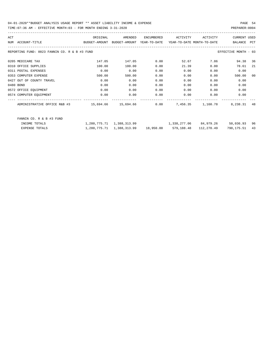| ACT |                                                                                          | ORIGINAL | AMENDED | ENCUMBERED | ACTIVITY                                                            | ACTIVITY | CURRENT USED         |    |
|-----|------------------------------------------------------------------------------------------|----------|---------|------------|---------------------------------------------------------------------|----------|----------------------|----|
|     | BUDGET-AMOUNT BUDGET-AMOUNT YEAR-TO-DATE YEAR-TO-DATE_MONTH-TO-DATE<br>NUM ACCOUNT-TITLE |          |         |            |                                                                     |          | BALANCE PCT          |    |
|     | REPORTING FUND: 0023 FANNIN CO. R & B #3 FUND                                            |          |         |            |                                                                     |          | EFFECTIVE MONTH - 03 |    |
|     | 0205 MEDICARE TAX                                                                        | 147.05   | 147.05  | 0.00       | 52.67                                                               | 7.86     | 94.38 36             |    |
|     | 0310 OFFICE SUPPLIES                                                                     | 100.00   | 100.00  | 0.00       | 21.39                                                               | 0.00     | 78.61                | 21 |
|     | 0311 POSTAL EXPENSES                                                                     | 0.00     | 0.00    | 0.00       | 0.00                                                                | 0.00     | 0.00                 |    |
|     | 0353 COMPUTER EXPENSE                                                                    | 500.00   | 500.00  | 0.00       | 0.00                                                                | 0.00     | 500.00               | 00 |
|     | 0427 OUT OF COUNTY TRAVEL                                                                | 0.00     | 0.00    | 0.00       | 0.00                                                                | 0.00     | 0.00                 |    |
|     | 0480 BOND                                                                                | 0.00     | 0.00    | 0.00       | 0.00                                                                | 0.00     | 0.00                 |    |
|     | 0572 OFFICE EQUIPMENT                                                                    | 0.00     | 0.00    | 0.00       | 0.00                                                                | 0.00     | 0.00                 |    |
|     | 0574 COMPUTER EQUIPMENT                                                                  | 0.00     | 0.00    | 0.00       | 0.00                                                                | 0.00     | 0.00                 |    |
|     |                                                                                          |          |         |            |                                                                     |          | 8,238.31 48          |    |
|     | FANNIN CO. R & B #3 FUND                                                                 |          |         |            |                                                                     |          |                      |    |
|     | INCOME TOTALS                                                                            |          |         |            | 1,280,775.71 1,388,313.99 1,338,277.06 84,979.26 50,036.93 96       |          |                      |    |
|     | EXPENSE TOTALS                                                                           |          |         |            | $1,280,775.71$ $1,388,313.99$ $18,950.00$ $579,188.48$ $112,270.49$ |          | 790, 175, 51 43      |    |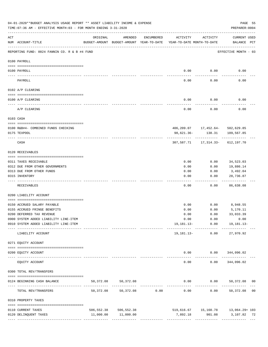|                 | 04-01-2020**BUDGET ANALYSIS USAGE REPORT ** ASSET LIABILITY INCOME & EXPENSE<br>TIME: 07:36 AM - EFFECTIVE MONTH: 03 - FOR MONTH ENDING 3-31-2020 |           |                                                     |                                                 |                                        |                                          | PAGE 55<br>PREPARER: 0004                         |  |
|-----------------|---------------------------------------------------------------------------------------------------------------------------------------------------|-----------|-----------------------------------------------------|-------------------------------------------------|----------------------------------------|------------------------------------------|---------------------------------------------------|--|
| ACT             | NUM ACCOUNT-TITLE                                                                                                                                 | ORIGINAL  | AMENDED<br>BUDGET-AMOUNT BUDGET-AMOUNT YEAR-TO-DATE | ENCUMBERED                                      | ACTIVITY<br>YEAR-TO-DATE MONTH-TO-DATE | ACTIVITY                                 | CURRENT USED<br>BALANCE PCT                       |  |
|                 | REPORTING FUND: 0024 FANNIN CO. R & B #4 FUND                                                                                                     |           |                                                     |                                                 |                                        |                                          | EFFECTIVE MONTH - 03                              |  |
|                 | 0100 PAYROLL                                                                                                                                      |           |                                                     |                                                 |                                        |                                          |                                                   |  |
|                 |                                                                                                                                                   |           |                                                     |                                                 |                                        |                                          |                                                   |  |
| $- - - - - - -$ | 0100 PAYROLL                                                                                                                                      |           |                                                     |                                                 | 0.00                                   | 0.00                                     | 0.00                                              |  |
|                 | PAYROLL                                                                                                                                           |           |                                                     |                                                 | 0.00                                   | 0.00                                     | 0.00                                              |  |
|                 | 0102 A/P CLEARING                                                                                                                                 |           |                                                     |                                                 |                                        |                                          |                                                   |  |
|                 | 0100 A/P CLEARING                                                                                                                                 |           |                                                     |                                                 | 0.00                                   | 0.00                                     | 0.00                                              |  |
|                 | A/P CLEARING                                                                                                                                      |           |                                                     |                                                 | 0.00                                   | 0.00                                     | 0.00                                              |  |
|                 | 0103 CASH                                                                                                                                         |           |                                                     |                                                 |                                        |                                          |                                                   |  |
|                 | 0100 R&B#4- COMBINED FUNDS CHECKING                                                                                                               |           |                                                     |                                                 |                                        | 406, 209.07    17, 452.64    502, 629.85 |                                                   |  |
|                 | 0175 TEXPOOL                                                                                                                                      |           |                                                     |                                                 | 98,621.36-                             | 138.31                                   | 109,567.85                                        |  |
|                 | CASH                                                                                                                                              |           |                                                     |                                                 |                                        | 307,587.71   17,314.33-   612,197.70     |                                                   |  |
|                 | 0120 RECEIVABLES                                                                                                                                  |           |                                                     |                                                 |                                        |                                          |                                                   |  |
|                 | 0311 TAXES RECEIVABLE                                                                                                                             |           |                                                     |                                                 | 0.00                                   | 0.00                                     | 34,523.03                                         |  |
|                 | 0312 DUE FROM OTHER GOVERNMENTS                                                                                                                   |           |                                                     |                                                 | 0.00                                   | 0.00                                     | 19,886.14                                         |  |
|                 | 0313 DUE FROM OTHER FUNDS                                                                                                                         |           |                                                     |                                                 | 0.00                                   | 0.00                                     | 3,492.04                                          |  |
|                 | 0315 INVENTORY                                                                                                                                    |           |                                                     |                                                 | 0.00                                   | 0.00                                     | 28,736.87<br>.                                    |  |
|                 | RECEIVABLES                                                                                                                                       |           |                                                     |                                                 | 0.00                                   | 0.00                                     | 86,638.08                                         |  |
|                 | 0200 LIABILITY ACCOUNT                                                                                                                            |           |                                                     |                                                 |                                        |                                          |                                                   |  |
|                 | 0150 ACCRUED SALARY PAYABLE                                                                                                                       |           |                                                     |                                                 | 0.00                                   | 0.00                                     | 8,948.55                                          |  |
|                 | 0155 ACCRUED FRINGE BENEFITS                                                                                                                      |           |                                                     |                                                 | 0.00                                   | 0.00                                     | 5,170.11                                          |  |
|                 | 0200 DEFERRED TAX REVENUE                                                                                                                         |           |                                                     |                                                 | 0.00                                   | 0.00                                     | 33,033.39                                         |  |
|                 | 0900 SYSTEM ADDED LIABILITY LINE-ITEM                                                                                                             |           |                                                     |                                                 |                                        | $0.00$ $0.00$ $0.00$                     |                                                   |  |
|                 | 0910 SYSTEM ADDED LIABILITY LINE-ITEM                                                                                                             |           |                                                     |                                                 |                                        |                                          | $19, 181.13 - 0.00$ $19, 181.13 -$                |  |
|                 | LIABILITY ACCOUNT                                                                                                                                 |           |                                                     |                                                 |                                        | 19,181.13- 0.00                          | 27,970.92                                         |  |
|                 | 0271 EQUITY ACCOUNT                                                                                                                               |           |                                                     |                                                 |                                        |                                          |                                                   |  |
|                 | 0200 EQUITY ACCOUNT                                                                                                                               |           |                                                     |                                                 |                                        |                                          | $0.00$ $0.00$ $344,096.02$                        |  |
|                 | EQUITY ACCOUNT                                                                                                                                    |           | ______________                                      |                                                 | -----<br>0.00                          | 0.00                                     | ------------ --------------<br>344,096.02         |  |
|                 | 0300 TOTAL REV/TRANSFERS                                                                                                                          |           |                                                     |                                                 |                                        |                                          |                                                   |  |
|                 | 0124 BEGINNING CASH BALANCE                                                                                                                       | 50,372.08 | 50,372.08                                           |                                                 |                                        |                                          | $0.00$ $0.00$ $50,372.08$ 00                      |  |
|                 | TOTAL REV/TRANSFERS                                                                                                                               | 50,372.08 |                                                     | -----------------------------<br>50,372.08 0.00 | 0.00                                   |                                          | ------------ -------------<br>$0.00$ 50,372.08 00 |  |
|                 | 0310 PROPERTY TAXES                                                                                                                               |           |                                                     |                                                 |                                        |                                          |                                                   |  |
|                 | 0110 CURRENT TAXES                                                                                                                                |           | 506, 552.38 506, 552.38                             |                                                 |                                        |                                          | 519,616.67   15,160.78   13,064.29+103            |  |
|                 | 0120 DELINQUENT TAXES                                                                                                                             |           | 11,000.00 11,000.00                                 |                                                 | 7,892.18                               |                                          | 901.08 3,107.82 72                                |  |
|                 |                                                                                                                                                   |           |                                                     |                                                 |                                        |                                          |                                                   |  |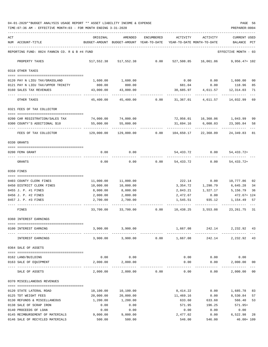04-01-2020\*\*BUDGET ANALYSIS USAGE REPORT \*\* ASSET LIABILITY INCOME & EXPENSE PAGE 56 TIME:07:36 AM - EFFECTIVE MONTH:03 - FOR MONTH ENDING 3-31-2020

| ACT | NUM ACCOUNT-TITLE                                                        | ORIGINAL     | AMENDED<br>BUDGET-AMOUNT BUDGET-AMOUNT YEAR-TO-DATE | ENCUMBERED | ACTIVITY<br>YEAR-TO-DATE MONTH-TO-DATE | ACTIVITY                           | <b>CURRENT USED</b><br>BALANCE | PCT     |
|-----|--------------------------------------------------------------------------|--------------|-----------------------------------------------------|------------|----------------------------------------|------------------------------------|--------------------------------|---------|
|     | REPORTING FUND: 0024 FANNIN CO. R & B #4 FUND                            |              |                                                     |            |                                        |                                    | EFFECTIVE MONTH - 03           |         |
|     | PROPERTY TAXES                                                           | 517,552.38   | 517,552.38                                          | 0.00       | 527,508.85                             | 16,061.86                          | $9,956.47+102$                 |         |
|     | 0318 OTHER TAXES                                                         |              |                                                     |            |                                        |                                    |                                |         |
|     | 0120 PAY N LIEU TAX/GRASSLAND                                            | 1,600.00     | 1,600.00                                            |            | 0.00                                   |                                    | 0.00 1,600.00                  | 00      |
|     | 0121 PAY N LIEU TAX/UPPER TRINITY                                        | 800.00       | 800.00                                              |            |                                        | 681.04 0.00 118.96                 |                                | 85      |
|     | 0160 SALES TAX REVENUES                                                  | 43,000.00    | 43,000.00                                           |            | 30,685.97                              | 4,611.57                           | 12,314.03                      | 71      |
|     | OTHER TAXES                                                              | 45,400.00    | 45,400.00                                           | 0.00       | 31,367.01                              | 4,611.57                           | 14,032.99                      | 69      |
|     | 0321 FEES OF TAX COLLECTOR                                               |              |                                                     |            |                                        |                                    |                                |         |
|     | _____________________________________<br>0200 CAR REGISTRATION/SALES TAX | 74,000.00    | 74,000.00                                           |            |                                        | 72,956.01    16,360.06    1,043.99 |                                | 99      |
|     | 0300 COUNTY'S ADDITIONAL \$10                                            | 55,000.00    | 55,000.00                                           |            | 31,694.16                              | 6,008.03                           | 23,305.84                      | 58      |
|     | FEES OF TAX COLLECTOR                                                    | 129,000.00   | 129,000.00                                          | 0.00       | 104,650.17                             | 22,368.09                          | 24, 349.83 81                  |         |
|     | 0330 GRANTS                                                              |              |                                                     |            |                                        |                                    |                                |         |
|     |                                                                          |              |                                                     |            |                                        |                                    |                                |         |
|     | 0200 FEMA GRANT                                                          | 0.00         | 0.00                                                |            | 54,433.72                              | 0.00                               | 54, 433. 72+                   |         |
|     | GRANTS                                                                   | 0.00         | 0.00                                                | 0.00       | 54,433.72                              | 0.00                               | $54, 433.72+$                  |         |
|     | 0350 FINES                                                               |              |                                                     |            |                                        |                                    |                                |         |
|     | 0403 COUNTY CLERK FINES                                                  | 11,000.00    | 11,000.00                                           |            | 222.14                                 | 0.00                               | 10,777.86                      | 02      |
|     | 0450 DISTRICT CLERK FINES                                                | 10,000.00    | 10,000.00                                           |            | 3,354.72                               | 1,290.79                           | 6,645.28                       | 34      |
|     | 0455 J. P. #1 FINES                                                      | 8,000.00     | 8,000.00                                            |            | 2,843.21                               | 1,327.17                           | 5,156.79                       | 36      |
|     | 0456 J. P. #2 FINES                                                      | 2,000.00     | 2,000.00                                            |            |                                        | 2,472.67 0.00                      | 472.67+ 124                    |         |
|     | 0457 J. P. #3 FINES                                                      | 2,700.00     | 2,700.00                                            |            | 1,545.51                               | 935.12                             | 1,154.49                       | 57      |
|     | FINES                                                                    | 33,700.00    | 33,700.00                                           | 0.00       |                                        | 10,438.25 3,553.08                 | 23, 261. 75 31                 |         |
|     | 0360 INTEREST EARNINGS                                                   |              |                                                     |            |                                        |                                    |                                |         |
|     | 0100 INTEREST EARNING                                                    | 3,900.00     | 3,900.00                                            |            | 1,667.08                               | 242.14                             | 2,232.92 43                    |         |
|     | INTEREST EARNINGS                                                        |              | 3,900.00 3,900.00                                   |            | $0.00$ 1,667.08                        |                                    | 242.14 2,232.92 43             |         |
|     | 0364 SALE OF ASSETS                                                      |              |                                                     |            |                                        |                                    |                                |         |
|     | 0162 LAND/BUILDING                                                       | 0.00         | 0.00                                                |            | 0.00                                   | 0.00                               | 0.00                           |         |
|     | 0163 SALE OF EQUIPMENT                                                   | 2,000.00     | 2,000.00                                            |            | 0.00                                   | 0.00                               | 2,000.00                       | 00      |
|     |                                                                          | 2,000.00     | --------------<br>2,000.00                          | 0.00       | 0.00                                   | ---------<br>0.00                  | ------------<br>2,000.00       | $_{00}$ |
|     | SALE OF ASSETS                                                           |              |                                                     |            |                                        |                                    |                                |         |
|     | 0370 MISCELLANEOUS REVENUES                                              |              |                                                     |            |                                        |                                    |                                |         |
|     | 0120 STATE LATERAL ROAD                                                  | 10,100.00    | 10,100.00                                           |            | 8,414.22                               | 0.00                               | 1,685.78                       | 83      |
|     | 0125 TDT WEIGHT FEES                                                     | 20,000.00    | 20,000.00                                           |            | 11,469.16                              | 0.00                               | 8,530.84                       | 57      |
|     | 0130 REFUNDS & MISCELLANEOUS                                             | 1,200.00     | 1,200.00                                            |            | 633.60                                 | 633.60                             | 566.40                         | 53      |
|     | 0138 SALE OF SCRAP IRON<br>0140 PROCEEDS OF LOAN                         | 0.00<br>0.00 | 0.00<br>0.00                                        |            | 571.95<br>0.00                         | 196.25<br>0.00                     | 571.95+<br>0.00                |         |
|     | 0145 REIMBURSEMENT OF MATERIALS                                          | 9,000.00     | 9,000.00                                            |            | 2,477.02                               | 0.00                               | 6,522.98                       | 28      |
|     | 0146 SALE OF RECYCLED MATERIALS                                          | 500.00       | 500.00                                              |            | 546.00                                 | 546.00                             | $46.00 + 109$                  |         |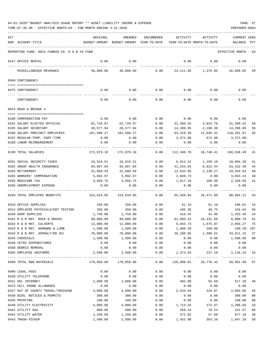| ACT | NUM ACCOUNT-TITLE                             | ORIGINAL           | AMENDED<br>BUDGET-AMOUNT BUDGET-AMOUNT YEAR-TO-DATE | ENCUMBERED                        | ACTIVITY<br>YEAR-TO-DATE MONTH-TO-DATE | ACTIVITY       | <b>CURRENT USED</b><br>BALANCE | $_{\rm PCT}$ |
|-----|-----------------------------------------------|--------------------|-----------------------------------------------------|-----------------------------------|----------------------------------------|----------------|--------------------------------|--------------|
|     |                                               |                    |                                                     |                                   |                                        |                |                                |              |
|     | REPORTING FUND: 0024 FANNIN CO. R & B #4 FUND |                    |                                                     |                                   |                                        |                | EFFECTIVE MONTH - 03           |              |
|     | 0147 OFFICE RENTAL                            | 0.00               | 0.00                                                |                                   | 0.00                                   | 0.00           | 0.00                           |              |
|     | MISCELLANEOUS REVENUES                        | 40,800.00          | 40,800.00                                           | 0.00                              | 24,111.95                              | 1,375.85       | 16,688.05 59                   |              |
|     | 0509 CONTINGENCY                              |                    |                                                     |                                   |                                        |                |                                |              |
|     | 0475 CONTINGENCY                              | 0.00               | 0.00                                                | 0.00                              | $0.00$ 0.00                            |                | 0.00                           |              |
|     |                                               |                    |                                                     |                                   |                                        |                |                                |              |
|     | CONTINGENCY                                   | 0.00               | 0.00                                                | 0.00                              | 0.00                                   | 0.00           | 0.00                           |              |
|     | 0624 ROAD & BRIDGE 4                          |                    |                                                     |                                   |                                        |                |                                |              |
|     | 0100 COMPENSATION PAY                         |                    | 0.00                                                | 0.00                              |                                        | 0.00           |                                |              |
|     | 0101 SALARY ELECTED OFFICIAL                  | 0.00<br>62,720.97  | 62,720.97                                           | 0.00                              | 0.00<br>31,360.55                      | 4,824.70       | 0.00<br>31,360.42              | 50           |
|     | 0105 SALARY SECRETARY                         | 28,577.94          | 28,577.94                                           | 0.00                              | 14,288.95                              | 2,198.30       | 14,288.99                      | 50           |
|     | 0106 SALARY PRECINCT EMPLOYEES                | 181,580.27         | 181,580.27                                          | 0.00                              | 63,319.20                              | 11,045.41      | 118,261.07                     | 35           |
|     | 0107 REGULAR-TEMP. PART-TIME                  | 0.00               | 0.00                                                | 0.00                              | 3,372.00                               | 672.00         | $3,372.00-$                    |              |
|     | 0108 LABOR REIMBURSEMENT                      | 0.00               | 0.00                                                | 0.00                              | 0.00                                   | 0.00           | 0.00                           |              |
|     | 0199 TOTAL SALARIES                           | 272,879.18         | 272,879.18                                          | 0.00                              | 112,340.70                             | 18,740.41      | 160,538.48                     | 41           |
|     | 0201 SOCIAL SECURITY TAXES                    | 16,918.51          | 16,918.51                                           | 0.00                              | 6,914.22                               | 1,150.18       | 10,004.29                      | 41           |
|     | 0202 GROUP HEALTH INSURANCE                   | 94,967.04          | 94,967.04                                           | 0.00                              | 41,534.64                              | 6,922.44       | 53,432.40                      | 44           |
|     | 0203 RETIREMENT                               | 31,899.58          | 31,899.58                                           | 0.00                              | 12,634.95                              | 2,130.27       | 19,264.63                      | 40           |
|     | 0204 WORKERS' COMPENSATION                    | 5,892.97           | 5,892.97                                            | 0.00                              | 2,849.73                               | 0.00           | 3,043.24                       | 48           |
|     | 0205 MEDICARE TAX                             | 3,956.75           | 3,956.75                                            | 0.00                              | 1,617.10                               | 268.99         | 2,339.65                       | 41           |
|     | 0206 UNEMPLOYMENT EXPENSE                     | 0.00               | 0.00                                                | 0.00                              | 0.00                                   | 0.00           | 0.00                           |              |
|     | 0299 TOTAL EMPLOYEE BENEFITS                  | 153,634.85         | 153,634.85                                          | 0.00                              | 65,550.64                              | 10,471.88      | 88,084.21                      | 43           |
|     | 0310 OFFICE SUPPLIES                          | 250.00             | 250.00                                              | 0.00                              | 61.19                                  | 61.19          | 188.81                         | 24           |
|     | 0314 EMPLOYEE PHYSICALS/DOT TESTING           | 350.00             | 350.00                                              | 0.00                              | 195.36                                 | 49.75          | 154.64                         | 56           |
|     | 0340 SHOP SUPPLIES                            | 1,750.00           | 1,750.00                                            | 0.00                              | 416.54                                 | 41.96          | 1,333.46                       | 24           |
|     | 0341 R & B MAT. ROCK & GRAVEL                 | 90,000.00          | 90,000.00                                           | 0.00                              | 81,999.22                              | 26,431.66      | 8,000.78                       | 91           |
|     | 0342 R & B MAT. CULVERTS                      | 12,000.00          | 12,000.00                                           | 0.00                              | 9,043.73                               | 1,075.07       | 2,956.27                       | 75           |
|     | 0343 R & B MAT. HARDWRE & LUMB                | 1,500.00           | 1,500.00                                            | 0.00                              | 1,609.28                               | 299.08         | 109.28- 107                    |              |
|     | 0344 R & B MAT. ASPHALT/RD OIL                | 70,000.00          | 70,000.00                                           | 0.00                              | 26,188.85                              | 1,580.52       | 43,811.15 37                   |              |
|     | 0345 CHEMICALS                                | 1,500.00           | 1,500.00                                            | 0.00                              | 0.00                                   | 0.00           | 1,500.00 00                    |              |
|     | 0346 CETRZ EXPENDITURES                       | 0.00               | 0.00                                                | 0.00                              | 0.00                                   | 0.00           | 0.00                           |              |
|     | 0350 DEBRIS REMOVAL                           | 0.00               | 0.00                                                | 0.00                              | 0.00                                   | 0.00           | 0.00                           |              |
|     | 0395 EMPLOYEE UNIFORMS                        | 2,500.00           | 2,500.00                                            | 0.00<br>------------ ------------ | 1,373.84                               | 237.19         | 1,126.16 55                    |              |
|     | 0399 TOTAL R&B MATERIALS                      | 179,850.00         | 179,850.00                                          | 0.00                              | 120,888.01                             | 29,776.42      | 58,961.99 67                   |              |
|     | 0400 LEGAL FEES                               | 0.00               | 0.00                                                | 0.00                              | 0.00                                   | 0.00           | 0.00                           |              |
|     | 0420 UTILITY TELEPHONE                        | 0.00               | 0.00                                                | 0.00                              | 0.00                                   | 0.00           | 0.00                           |              |
|     | 0421 DSL INTERNET                             | 1,000.00           | 1,000.00                                            | 0.00                              | 482.80                                 | 82.69          | 517.20                         | 48           |
|     | 0423 CELL PHONE ALLOWANCE                     | 0.00               | 0.00                                                | 0.00                              | 0.00                                   | 0.00           | 0.00                           |              |
|     | 0427 OUT OF COUNTY TRAVEL/TRAINING            | 4,600.00           | 4,600.00                                            | 0.00                              | 2,534.94                               | 434.07         | 2,065.06                       | 55           |
|     | 0430 BIDS, NOTICES & PERMITS                  | 300.00             | 300.00                                              | 0.00                              | 0.00                                   | 0.00           | 300.00                         | 00           |
|     | 0435 PRINTING                                 | 100.00             | 100.00                                              | 0.00                              | 0.00                                   | 0.00           | 100.00                         | 00           |
|     | 0440 UTILITY ELECTRICITY                      | 4,000.00           | 4,000.00                                            | 0.00                              | 1,713.34                               | 272.67         | 2,286.66                       | 43           |
|     | 0441 UTILITY GAS<br>0442 UTILITY WATER        | 600.00<br>1,250.00 | 600.00<br>1,250.00                                  | 0.00<br>0.00                      | 358.43<br>372.82                       | 78.24<br>57.08 | 241.57<br>877.18               | 60           |
|     | 0443 TRASH PICKUP                             | 2,500.00           | 2,500.00                                            | 0.00                              | 1,452.80                               | 363.20         | 1,047.20                       | 30<br>58     |
|     |                                               |                    |                                                     |                                   |                                        |                |                                |              |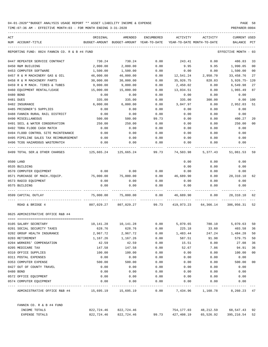| ACT | NUM ACCOUNT-TITLE                             | ORIGINAL<br>BUDGET-AMOUNT BUDGET-AMOUNT YEAR-TO-DATE YEAR-TO-DATE MONTH-TO-DATE | AMENDED    | ENCUMBERED | ACTIVITY        | ACTIVITY                                                    | CURRENT USED<br>BALANCE PCT |                |
|-----|-----------------------------------------------|---------------------------------------------------------------------------------|------------|------------|-----------------|-------------------------------------------------------------|-----------------------------|----------------|
|     |                                               |                                                                                 |            |            |                 |                                                             |                             |                |
|     | REPORTING FUND: 0024 FANNIN CO. R & B #4 FUND |                                                                                 |            |            |                 |                                                             | EFFECTIVE MONTH - 03        |                |
|     | 0447 REPEATER SERVICE CONTRACT                | 730.24                                                                          | 730.24     | 0.00       | 243.41          | 0.00                                                        | 486.83                      | 33             |
|     | 0450 R&M BUILDING                             | 2,000.00                                                                        | 2,000.00   | 0.00       | 9.95            | 9.95                                                        | 1,990.05                    | 0 <sub>0</sub> |
|     | 0453 COMPUTER SOFTWARE                        | 1,500.00                                                                        | 1,500.00   | 0.00       | 0.00            | 0.00                                                        | 1,500.00                    | 0 <sub>0</sub> |
|     | 0457 R & M MACHINERY GAS & OIL                | 46,000.00                                                                       | 46,000.00  | 0.00       | 12,541.24       | 2,950.70                                                    | 33,458.76                   | 27             |
|     | 0458 R & M MACHINERY PARTS                    | 30,000.00                                                                       | 30,000.00  | 0.00       | 35,926.75       | 828.83                                                      | $5,926.75 - 120$            |                |
|     | 0459 R & M MACH. TIRES & TUBES                | 9,000.00                                                                        | 9,000.00   | 0.00       | 2,450.02        | 0.00                                                        | 6,549.98                    | 27             |
|     | 0460 EQUIPMENT RENTAL/LEASE                   | 15,000.00                                                                       | 15,000.00  | 0.00       | 13,034.51       | 0.00                                                        | 1,965.49                    | 87             |
|     | 0480 BOND                                     | 0.00                                                                            | 0.00       | 0.00       | 0.00            | 0.00                                                        | 0.00                        |                |
|     | 0481 DUES                                     | 335.00                                                                          | 335.00     | 0.00       | 335.00          | 300.00                                                      | 0.00                        | 100            |
|     | 0482 INSURANCE                                | 6,000.00                                                                        | 6,000.00   | 0.00       | 3,047.97        | 0.00                                                        | 2,952.03                    | 51             |
|     | 0485 PRISONER'S SUPPLIES                      | 0.00                                                                            | 0.00       | 0.00       | 0.00            | 0.00                                                        | 0.00                        |                |
|     | 0488 FANNIN RURAL RAIL DISTRICT               | 0.00                                                                            | 0.00       | 0.00       | 0.00            | 0.00                                                        | 0.00                        |                |
|     | 0490 MISCELLANEOUS                            | 500.00                                                                          | 500.00     | 99.73      | 0.00            | 0.00                                                        | 400.27                      | 20             |
|     | 0491 SOIL & WATER CONSERVATION                | 250.00                                                                          | 250.00     | 0.00       | 0.00            | 0.00                                                        | 250.00                      | 0 <sub>0</sub> |
|     | 0492 TDRA FLOOD CASH MATCH                    | 0.00                                                                            | 0.00       | 0.00       | 0.00            | 0.00                                                        | 0.00                        |                |
|     | 0494 FLOOD CONTROL SITE MAINTENANCE           | 0.00                                                                            | 0.00       | 0.00       | 0.00            | 0.00                                                        | 0.00                        |                |
|     | 0495 PIPELINE SALES TAX REIMBURSEMENT         | 0.00                                                                            | 0.00       | 0.00       | 0.00            | 0.00                                                        | 0.00                        |                |
|     | 0496 TCOG HAZARDOUS WASTEMATCH                | 0.00                                                                            | 0.00       | 0.00       | 0.00            | 0.00                                                        | 0.00                        |                |
|     | 0499 TOTAL SER.& OTHER CHARGES                | 125,665.24 125,665.24                                                           |            |            | 99.73 74,503.98 | 5,377.43                                                    | 51,061.53                   | 59             |
|     | 0500 LAND                                     |                                                                                 |            |            | 0.00            | 0.00                                                        | 0.00                        |                |
|     | 0535 BUILDING                                 |                                                                                 |            |            | 0.00            | 0.00                                                        | 0.00                        |                |
|     | 0570 COMPUTER EQUIPMENT                       | 0.00                                                                            | 0.00       | 0.00       | 0.00            | 0.00                                                        | 0.00                        |                |
|     | 0571 PURCHASE OF MACH./EQUIP. 75,000.00       |                                                                                 | 75,000.00  | 0.00       | 46,689.90       | 0.00                                                        | 28,310.10                   | 62             |
|     | 0573 RADIO EQUIPMENT                          | 0.00                                                                            | 0.00       | 0.00       | 0.00            | 0.00                                                        | 0.00                        |                |
|     | 0575 BUILDING                                 | 0.00                                                                            | 0.00       | 0.00       | 0.00            | 0.00                                                        | 0.00                        |                |
|     | 0599 CAPITAL OUTLAY                           | 75,000.00                                                                       | 75,000.00  | 0.00       | 46,689.90       | 0.00                                                        | 28,310.10                   | 62             |
|     | ROAD & BRIDGE 4                               |                                                                                 |            |            |                 | 807,029.27 807,029.27 99.73 419,973.23 64,366.14 386,956.31 |                             | 52             |
|     | 0625 ADMINISTRATIVE OFFICE R&B #4             |                                                                                 |            |            |                 |                                                             |                             |                |
|     |                                               |                                                                                 |            |            |                 |                                                             |                             |                |
|     | 0105 SALARY SECRETARY                         |                                                                                 |            |            |                 | 10,141.28  10,141.28  0.00  5,070.65  780.10                | 5,070.63                    | 50             |
|     | 0201 SOCIAL SECURITY TAXES                    | 628.76                                                                          | 628.76     | 0.00       | 225.18          | 33.60                                                       | 403.58                      | 36             |
|     | 0202 GROUP HEALTH INSURANCE                   | 2,967.72                                                                        | 2,967.72   | 0.00       | 1,483.44        | 247.24                                                      | 1,484.28                    | 50             |
|     | 0203 RETIREMENT                               | 1,167.26                                                                        | 1,167.26   | 0.00       | 587.51          | 91.98                                                       | 579.75                      | 50             |
|     | 0204 WORKERS' COMPENSATION                    | 42.59                                                                           | 42.59      | 0.00       | 15.51           | 0.00                                                        | 27.08                       | 36             |
|     | 0205 MEDICARE TAX                             | 147.58                                                                          | 147.58     | 0.00       | 52.67           | 7.86                                                        | 94.91                       | 36             |
|     | 0310 OFFICE SUPPLIES                          | 100.00                                                                          | 100.00     | 0.00       | 0.00            | 0.00                                                        | 100.00                      | 0 <sub>0</sub> |
|     | 0311 POSTAL EXPENSES                          | 0.00                                                                            | 0.00       | 0.00       | 0.00            | 0.00                                                        | 0.00                        |                |
|     | 0353 COMPUTER EXPENSE                         | 500.00                                                                          | 500.00     | 0.00       | 0.00            | 0.00                                                        | 500.00                      | 0 <sub>0</sub> |
|     | 0427 OUT OF COUNTY TRAVEL                     | 0.00                                                                            | 0.00       | 0.00       | 0.00            | 0.00                                                        | 0.00                        |                |
|     | 0480 BOND                                     | 0.00                                                                            | 0.00       | 0.00       | 0.00            | 0.00                                                        | 0.00                        |                |
|     | 0572 OFFICE EQUIPMENT                         | 0.00                                                                            | 0.00       | 0.00       | 0.00            | 0.00                                                        | 0.00                        |                |
|     | 0574 COMPUTER EQUIPMENT                       | 0.00                                                                            | 0.00       | 0.00       | 0.00            | 0.00                                                        | 0.00                        |                |
|     | ADMINISTRATIVE OFFICE R&B #4                  | 15,695.19                                                                       | 15,695.19  | 0.00       | 7,434.96        | 1,160.78                                                    | 8,260.23                    | 47             |
|     | FANNIN CO. R & B #4 FUND                      |                                                                                 |            |            |                 |                                                             |                             |                |
|     | INCOME TOTALS                                 | 822,724.46                                                                      | 822,724.46 |            | 754,177.03      | 48,212.59                                                   | 68,547.43                   | 92             |
|     | EXPENSE TOTALS                                | 822,724.46                                                                      | 822,724.46 | 99.73      | 427,408.19      | 65,526.92                                                   | 395,216.54                  | 52             |
|     |                                               |                                                                                 |            |            |                 |                                                             |                             |                |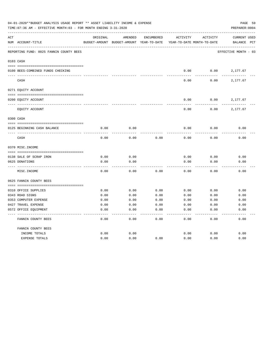|     | 04-01-2020**BUDGET ANALYSIS USAGE REPORT ** ASSET LIABILITY INCOME & EXPENSE<br>TIME: 07:36 AM - EFFECTIVE MONTH: 03 - FOR MONTH ENDING 3-31-2020 |               |                            |                   |                            |                 |                      |  |  |  |
|-----|---------------------------------------------------------------------------------------------------------------------------------------------------|---------------|----------------------------|-------------------|----------------------------|-----------------|----------------------|--|--|--|
| ACT |                                                                                                                                                   | ORIGINAL      | AMENDED                    | <b>ENCUMBERED</b> | ACTIVITY                   | <b>ACTIVITY</b> | <b>CURRENT USED</b>  |  |  |  |
|     | NUM ACCOUNT-TITLE                                                                                                                                 | BUDGET-AMOUNT | BUDGET-AMOUNT YEAR-TO-DATE |                   | YEAR-TO-DATE MONTH-TO-DATE |                 | BALANCE PCT          |  |  |  |
|     | REPORTING FUND: 0025 FANNIN COUNTY BEES                                                                                                           |               |                            |                   |                            |                 | EFFECTIVE MONTH - 03 |  |  |  |
|     | 0103 CASH                                                                                                                                         |               |                            |                   |                            |                 |                      |  |  |  |
|     | 0100 BEES-COMBINED FUNDS CHECKING                                                                                                                 |               |                            |                   | 0.00                       | 0.00            | 2,177.67             |  |  |  |
|     | CASH                                                                                                                                              |               |                            |                   | 0.00                       | 0.00            | 2,177.67             |  |  |  |
|     | 0271 EQUITY ACCOUNT                                                                                                                               |               |                            |                   |                            |                 |                      |  |  |  |
|     |                                                                                                                                                   |               |                            |                   |                            |                 |                      |  |  |  |
|     | 0200 EQUITY ACCOUNT                                                                                                                               |               |                            |                   | 0.00                       | 0.00            | 2,177.67             |  |  |  |
|     | EQUITY ACCOUNT                                                                                                                                    |               |                            |                   | 0.00                       | 0.00            | 2,177.67             |  |  |  |
|     | 0300 CASH                                                                                                                                         |               |                            |                   |                            |                 |                      |  |  |  |
|     |                                                                                                                                                   |               |                            |                   |                            |                 |                      |  |  |  |
|     | 0125 BEGINNING CASH BALANCE                                                                                                                       | 0.00          | 0.00                       |                   | 0.00                       | 0.00            | 0.00                 |  |  |  |
|     | CASH                                                                                                                                              | 0.00          | 0.00                       | 0.00              | 0.00                       | 0.00            | 0.00                 |  |  |  |
|     | 0370 MISC. INCOME                                                                                                                                 |               |                            |                   |                            |                 |                      |  |  |  |
|     |                                                                                                                                                   |               |                            |                   |                            |                 |                      |  |  |  |
|     | 0138 SALE OF SCRAP IRON                                                                                                                           | 0.00          | 0.00                       |                   | 0.00                       | 0.00            | 0.00                 |  |  |  |
|     | 0625 DONATIONS                                                                                                                                    | 0.00          | 0.00                       |                   | 0.00                       | 0.00            | 0.00                 |  |  |  |
|     | MISC. INCOME                                                                                                                                      | 0.00          | 0.00                       | 0.00              | 0.00                       | 0.00            | 0.00                 |  |  |  |
|     | 0625 FANNIN COUNTY BEES                                                                                                                           |               |                            |                   |                            |                 |                      |  |  |  |
|     | 0310 OFFICE SUPPLIES                                                                                                                              | 0.00          | 0.00                       | 0.00              | 0.00                       | 0.00            | 0.00                 |  |  |  |
|     | 0343 ROAD SIGNS                                                                                                                                   | 0.00          | 0.00                       | 0.00              | 0.00                       | 0.00            | 0.00                 |  |  |  |
|     | 0353 COMPUTER EXPENSE                                                                                                                             | 0.00          | 0.00                       | 0.00              | 0.00                       | 0.00            | 0.00                 |  |  |  |
|     | 0427 TRAVEL EXPENSE                                                                                                                               | 0.00          | 0.00                       | 0.00              | 0.00                       | 0.00            | 0.00                 |  |  |  |
|     | 0572 OFFICE EQUIPMENT                                                                                                                             | 0.00          | 0.00                       | 0.00              | 0.00                       | 0.00            | 0.00                 |  |  |  |
|     | FANNIN COUNTY BEES                                                                                                                                | 0.00          | 0.00                       | 0.00              | 0.00                       | 0.00            | 0.00                 |  |  |  |
|     | FANNIN COUNTY BEES                                                                                                                                |               |                            |                   |                            |                 |                      |  |  |  |
|     | INCOME TOTALS                                                                                                                                     | 0.00          | 0.00                       |                   | 0.00                       | 0.00            | 0.00                 |  |  |  |
|     | <b>EXPENSE TOTALS</b>                                                                                                                             | 0.00          | 0.00                       | 0.00              | 0.00                       | 0.00            | 0.00                 |  |  |  |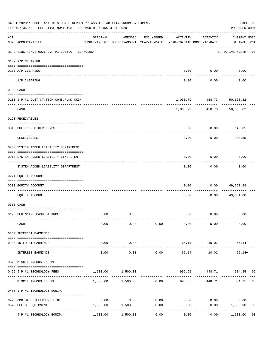|     | 04-01-2020**BUDGET ANALYSIS USAGE REPORT ** ASSET LIABILITY INCOME & EXPENSE<br>TIME: 07:36 AM - EFFECTIVE MONTH: 03 - FOR MONTH ENDING 3-31-2020<br>PREPARER: 0004 |                             |                                                     |            |                                        |                           |                                    |                |  |  |
|-----|---------------------------------------------------------------------------------------------------------------------------------------------------------------------|-----------------------------|-----------------------------------------------------|------------|----------------------------------------|---------------------------|------------------------------------|----------------|--|--|
| ACT | NUM ACCOUNT-TITLE                                                                                                                                                   | ORIGINAL                    | AMENDED<br>BUDGET-AMOUNT BUDGET-AMOUNT YEAR-TO-DATE | ENCUMBERED | ACTIVITY<br>YEAR-TO-DATE MONTH-TO-DATE | ACTIVITY                  | <b>CURRENT USED</b><br>BALANCE PCT |                |  |  |
|     | REPORTING FUND: 0026 J.P.#1 JUST.CT.TECHNOLOGY                                                                                                                      |                             |                                                     |            |                                        |                           | EFFECTIVE MONTH - 03               |                |  |  |
|     | 0102 A/P CLEARING                                                                                                                                                   |                             |                                                     |            |                                        |                           |                                    |                |  |  |
|     | 0100 A/P CLEARING                                                                                                                                                   |                             |                                                     |            |                                        | $0.00$ $0.00$             | 0.00                               |                |  |  |
|     | A/P CLEARING                                                                                                                                                        |                             |                                                     |            | 0.00                                   | 0.00                      | 0.00                               |                |  |  |
|     | 0103 CASH                                                                                                                                                           |                             |                                                     |            |                                        |                           |                                    |                |  |  |
|     | 0100 J.P.#1 JUST.CT.TECH-COMB.FUND CKIN                                                                                                                             |                             |                                                     |            |                                        | 1,060.79 458.73 50,563.82 |                                    |                |  |  |
|     | CASH                                                                                                                                                                |                             |                                                     |            |                                        | 1,060.79 458.73 50,563.82 |                                    |                |  |  |
|     | 0120 RECEIVABLES                                                                                                                                                    |                             |                                                     |            |                                        |                           |                                    |                |  |  |
|     | 0313 DUE FROM OTHER FUNDS                                                                                                                                           |                             |                                                     |            | 0.00                                   |                           | $0.00$ 148.85                      |                |  |  |
|     | RECEIVABLES                                                                                                                                                         |                             |                                                     |            | 0.00                                   | 0.00                      | 148.85                             |                |  |  |
|     | 0200 SYSTEM ADDED LIABILITY DEPARTMENT                                                                                                                              |                             |                                                     |            |                                        |                           |                                    |                |  |  |
|     | 0910 SYSTEM ADDED LIABILITY LINE-ITEM                                                                                                                               |                             |                                                     |            | 0.00                                   | 0.00                      | 0.00                               |                |  |  |
|     | SYSTEM ADDED LIABILITY DEPARTMENT                                                                                                                                   |                             |                                                     |            | 0.00                                   | 0.00                      | 0.00                               |                |  |  |
|     | 0271 EQUITY ACCOUNT                                                                                                                                                 |                             |                                                     |            |                                        |                           |                                    |                |  |  |
|     | 0200 EQUITY ACCOUNT                                                                                                                                                 |                             |                                                     |            | 0.00                                   | 0.00                      | 49,651.88                          |                |  |  |
|     | EQUITY ACCOUNT                                                                                                                                                      |                             |                                                     |            | 0.00                                   | 0.00                      | 49,651.88                          |                |  |  |
|     | 0300 CASH                                                                                                                                                           |                             |                                                     |            |                                        |                           |                                    |                |  |  |
|     | 0126 BEGINNING CASH BALANCE                                                                                                                                         | 0.00                        | 0.00                                                |            |                                        | $0.00$ $0.00$             | 0.00                               |                |  |  |
|     | CASH                                                                                                                                                                | 0.00                        | 0.00                                                | 0.00       | 0.00                                   | 0.00                      | 0.00                               |                |  |  |
|     | 0360 INTEREST EARNINGS                                                                                                                                              |                             |                                                     |            |                                        |                           |                                    |                |  |  |
|     | 0100 INTEREST EARNINGS                                                                                                                                              | 0.00                        | 0.00                                                |            |                                        | 65.14 10.02               | 65.14+                             |                |  |  |
|     | INTEREST EARNINGS                                                                                                                                                   | $- - - - - -$<br>0.00       | -----------<br>0.00                                 | 0.00       | 65.14                                  | ------------<br>10.02     | $65.14+$                           |                |  |  |
|     | 0370 MISCELLANEOUS INCOME                                                                                                                                           |                             |                                                     |            |                                        |                           |                                    |                |  |  |
|     | 0455 J.P.#1 TECHNOLOGY FEES                                                                                                                                         | 1,500.00                    | 1,500.00                                            |            | 995.65                                 |                           | 448.71 504.35 66                   |                |  |  |
|     | MISCELLANEOUS INCOME                                                                                                                                                |                             | $1,500.00$ $1,500.00$ 0.00                          |            | 995.65                                 | 448.71                    | 504.35                             | 66             |  |  |
|     | 0455 J.P.#1 TECHNOLOGY EQUIP.                                                                                                                                       |                             |                                                     |            |                                        |                           |                                    |                |  |  |
|     | 0420 OMNIBASE TELEPHONE LINE                                                                                                                                        | 0.00                        | 0.00                                                | 0.00       |                                        | $0.00$ 0.00               | 0.00                               |                |  |  |
|     | 0572 OFFICE EQUIPMENT                                                                                                                                               | --------------------------- | 1,500.00 1,500.00                                   | 0.00       | 0.00                                   | 0.00                      | 1,500.00                           | 0 <sub>0</sub> |  |  |
|     | J.P.#1 TECHNOLOGY EQUIP.                                                                                                                                            | 1,500.00                    | 1,500.00                                            | 0.00       | 0.00                                   | 0.00                      | 1,500.00                           | 0 <sub>0</sub> |  |  |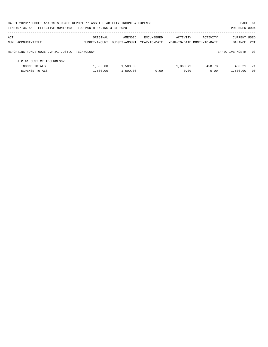| 04-01-2020**BUDGET ANALYSIS USAGE REPORT ** ASSET LIABILITY INCOME & EXPENSE<br>PAGE 61 |               |               |              |          |                            |                      |                |  |  |
|-----------------------------------------------------------------------------------------|---------------|---------------|--------------|----------|----------------------------|----------------------|----------------|--|--|
| TIME: 07:36 AM - EFFECTIVE MONTH: 03 - FOR MONTH ENDING 3-31-2020                       |               |               |              |          |                            | PREPARER: 0004       |                |  |  |
| ACT                                                                                     | ORIGINAL      | AMENDED       | ENCUMBERED   | ACTIVITY | ACTIVITY                   | <b>CURRENT USED</b>  |                |  |  |
| NUM ACCOUNT-TITLE                                                                       | BUDGET-AMOUNT | BUDGET-AMOUNT | YEAR-TO-DATE |          | YEAR-TO-DATE MONTH-TO-DATE | BALANCE              | PCT            |  |  |
| REPORTING FUND: 0026 J.P.#1 JUST.CT.TECHNOLOGY                                          |               |               |              |          |                            | EFFECTIVE MONTH - 03 |                |  |  |
| J.P.#1 JUST.CT.TECHNOLOGY                                                               |               |               |              |          |                            |                      |                |  |  |
| INCOME TOTALS                                                                           | 1,500.00      | 1,500.00      |              | 1,060.79 | 458.73                     | 439.21               | - 71           |  |  |
| <b>EXPENSE TOTALS</b>                                                                   | 1,500.00      | 1,500.00      | 0.00         | 0.00     | 0.00                       | 1,500.00             | 0 <sub>0</sub> |  |  |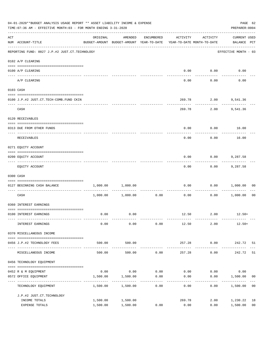|     | 04-01-2020**BUDGET ANALYSIS USAGE REPORT ** ASSET LIABILITY INCOME & EXPENSE<br>TIME: 07:36 AM - EFFECTIVE MONTH: 03 - FOR MONTH ENDING 3-31-2020 |                                                                                 |                        |                   |                |                    |                                    |                      |  |  |
|-----|---------------------------------------------------------------------------------------------------------------------------------------------------|---------------------------------------------------------------------------------|------------------------|-------------------|----------------|--------------------|------------------------------------|----------------------|--|--|
| ACT | NUM ACCOUNT-TITLE                                                                                                                                 | ORIGINAL<br>BUDGET-AMOUNT BUDGET-AMOUNT YEAR-TO-DATE YEAR-TO-DATE MONTH-TO-DATE | AMENDED                | ENCUMBERED        | ACTIVITY       | ACTIVITY           | <b>CURRENT USED</b><br>BALANCE PCT |                      |  |  |
|     | REPORTING FUND: 0027 J.P.#2 JUST.CT.TECHNOLOGY                                                                                                    |                                                                                 |                        |                   |                |                    | EFFECTIVE MONTH - 03               |                      |  |  |
|     | 0102 A/P CLEARING                                                                                                                                 |                                                                                 |                        |                   |                |                    |                                    |                      |  |  |
|     | 0100 A/P CLEARING                                                                                                                                 |                                                                                 |                        |                   | 0.00           | 0.00               | 0.00                               |                      |  |  |
|     | A/P CLEARING                                                                                                                                      |                                                                                 |                        |                   | 0.00           | 0.00               | 0.00                               |                      |  |  |
|     | 0103 CASH                                                                                                                                         |                                                                                 |                        |                   |                |                    |                                    |                      |  |  |
|     | 0100 J.P.#2 JUST.CT.TECH-COMB.FUND CKIN                                                                                                           |                                                                                 |                        |                   | 269.78         |                    | 2.00 9,541.36                      |                      |  |  |
|     | CASH                                                                                                                                              |                                                                                 |                        |                   | 269.78         | ----------<br>2.00 | 9,541.36                           |                      |  |  |
|     | 0120 RECEIVABLES                                                                                                                                  |                                                                                 |                        |                   |                |                    |                                    |                      |  |  |
|     | 0313 DUE FROM OTHER FUNDS                                                                                                                         |                                                                                 |                        |                   | 0.00           |                    | $0.00$ 16.00                       |                      |  |  |
|     | RECEIVABLES                                                                                                                                       |                                                                                 |                        |                   | 0.00           | 0.00               | 16.00                              |                      |  |  |
|     | 0271 EQUITY ACCOUNT                                                                                                                               |                                                                                 |                        |                   |                |                    |                                    |                      |  |  |
|     | 0200 EQUITY ACCOUNT                                                                                                                               |                                                                                 |                        |                   | 0.00           | 0.00               | 9,287.58                           |                      |  |  |
|     | EQUITY ACCOUNT                                                                                                                                    |                                                                                 |                        |                   | 0.00           | ---------<br>0.00  | 9,287.58                           |                      |  |  |
|     | 0300 CASH                                                                                                                                         |                                                                                 |                        |                   |                |                    |                                    |                      |  |  |
|     | 0127 BEGINNING CASH BALANCE                                                                                                                       | 1,000.00                                                                        | 1,000.00               |                   | 0.00           |                    | 0.00 1,000.00                      | 00                   |  |  |
|     | ----------------------------- ----<br>CASH                                                                                                        |                                                                                 | 1,000.00 1,000.00      | 0.00              | 0.00           |                    | 0.00 1,000.00                      | 0 <sub>0</sub>       |  |  |
|     | 0360 INTEREST EARNINGS                                                                                                                            |                                                                                 |                        |                   |                |                    |                                    |                      |  |  |
|     | 0100 INTEREST EARNINGS                                                                                                                            | 0.00                                                                            | 0.00                   |                   |                | 12.50 2.00         | $12.50+$                           |                      |  |  |
|     | INTEREST EARNINGS                                                                                                                                 | 0.00                                                                            | 0.00                   | 0.00              | 12.50          | 2.00               | $12.50+$                           |                      |  |  |
|     | 0370 MISCELLANEOUS INCOME                                                                                                                         |                                                                                 |                        |                   |                |                    |                                    |                      |  |  |
|     | 0456 J.P.#2 TECHNOLOGY FEES                                                                                                                       | 500.00                                                                          | 500.00                 |                   | 257.28         | 0.00               | 242.72 51                          |                      |  |  |
|     | MISCELLANEOUS INCOME                                                                                                                              | 500.00                                                                          | . <u>.</u> .<br>500.00 | 0.00              | 257.28         | ---------<br>0.00  | 242.72                             | 51                   |  |  |
|     | 0456 TECHNOLOGY EQUIPMENT                                                                                                                         |                                                                                 |                        |                   |                |                    |                                    |                      |  |  |
|     | 0452 R & M EQUIPMENT                                                                                                                              | 0.00                                                                            | 0.00                   | 0.00              | 0.00           | 0.00               | 0.00                               |                      |  |  |
|     | 0572 OFFICE EQUIPMENT<br>-----------------                                                                                                        | 1,500.00                                                                        | 1,500.00               | 0.00<br>--------- | 0.00           | 0.00               | 1,500.00                           | 00                   |  |  |
|     | TECHNOLOGY EQUIPMENT                                                                                                                              | 1,500.00                                                                        | 1,500.00               | 0.00              | 0.00           | 0.00               | 1,500.00                           | 0 <sub>0</sub>       |  |  |
|     | J.P.#2 JUST.CT.TECHNOLOGY                                                                                                                         |                                                                                 |                        |                   |                |                    |                                    |                      |  |  |
|     | INCOME TOTALS<br>EXPENSE TOTALS                                                                                                                   | 1,500.00<br>1,500.00                                                            | 1,500.00<br>1,500.00   | 0.00              | 269.78<br>0.00 | 2.00<br>0.00       | 1,230.22<br>1,500.00               | 18<br>0 <sub>0</sub> |  |  |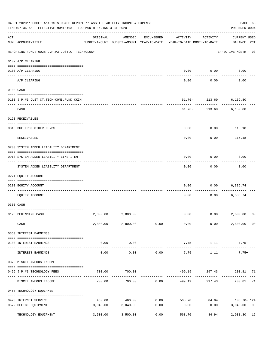|     | 04-01-2020**BUDGET ANALYSIS USAGE REPORT ** ASSET LIABILITY INCOME & EXPENSE<br>TIME: 07:36 AM - EFFECTIVE MONTH: 03 - FOR MONTH ENDING 3-31-2020 |                    |                                                     |                             |                                                   |                                       |                                    |                |  |  |
|-----|---------------------------------------------------------------------------------------------------------------------------------------------------|--------------------|-----------------------------------------------------|-----------------------------|---------------------------------------------------|---------------------------------------|------------------------------------|----------------|--|--|
| ACT | NUM ACCOUNT-TITLE                                                                                                                                 | ORIGINAL           | AMENDED<br>BUDGET-AMOUNT BUDGET-AMOUNT YEAR-TO-DATE | ENCUMBERED                  | ACTIVITY<br>YEAR-TO-DATE MONTH-TO-DATE            | ACTIVITY                              | <b>CURRENT USED</b><br>BALANCE PCT |                |  |  |
|     | REPORTING FUND: 0028 J.P.#3 JUST.CT.TECHNOLOGY                                                                                                    |                    |                                                     |                             |                                                   |                                       | EFFECTIVE MONTH - 03               |                |  |  |
|     | 0102 A/P CLEARING                                                                                                                                 |                    |                                                     |                             |                                                   |                                       |                                    |                |  |  |
|     | 0100 A/P CLEARING                                                                                                                                 |                    |                                                     |                             | 0.00                                              | 0.00                                  | 0.00                               |                |  |  |
|     | ---- ---------<br>A/P CLEARING                                                                                                                    |                    |                                                     |                             | 0.00                                              | 0.00                                  | 0.00                               |                |  |  |
|     | 0103 CASH                                                                                                                                         |                    |                                                     |                             |                                                   |                                       |                                    |                |  |  |
|     | 0100 J.P.#3 JUST.CT.TECH-COMB.FUND CKIN                                                                                                           |                    |                                                     |                             |                                                   | $61.76 - 213.60$<br>.                 | 6,159.80                           |                |  |  |
|     | CASH                                                                                                                                              |                    |                                                     |                             | $61.76 -$                                         | 213.60                                | 6,159.80                           |                |  |  |
|     | 0120 RECEIVABLES                                                                                                                                  |                    |                                                     |                             |                                                   |                                       |                                    |                |  |  |
|     | 0313 DUE FROM OTHER FUNDS                                                                                                                         |                    |                                                     |                             | 0.00                                              | 0.00                                  | 115.18                             |                |  |  |
|     | RECEIVABLES                                                                                                                                       |                    |                                                     |                             | 0.00                                              | 0.00                                  | 115.18                             |                |  |  |
|     | 0200 SYSTEM ADDED LIABILITY DEPARTMENT                                                                                                            |                    |                                                     |                             |                                                   |                                       |                                    |                |  |  |
|     | 0910 SYSTEM ADDED LIABILITY LINE-ITEM                                                                                                             |                    |                                                     |                             | 0.00                                              | 0.00                                  | 0.00                               |                |  |  |
|     | SYSTEM ADDED LIABILITY DEPARTMENT                                                                                                                 |                    |                                                     |                             | 0.00                                              | 0.00                                  | 0.00                               |                |  |  |
|     | 0271 EQUITY ACCOUNT                                                                                                                               |                    |                                                     |                             |                                                   |                                       |                                    |                |  |  |
|     | 0200 EQUITY ACCOUNT                                                                                                                               |                    |                                                     |                             | 0.00                                              | 0.00                                  | 6,336.74                           |                |  |  |
|     | EQUITY ACCOUNT                                                                                                                                    |                    |                                                     |                             | 0.00                                              | 0.00                                  | 6,336.74                           |                |  |  |
|     | 0300 CASH                                                                                                                                         |                    |                                                     |                             |                                                   |                                       |                                    |                |  |  |
|     | 0128 BEGINNING CASH                                                                                                                               | 2,800.00           | 2,800.00                                            |                             | 0.00                                              | 0.00                                  | 2,800.00                           | 00             |  |  |
|     | CASH                                                                                                                                              |                    |                                                     |                             | $2,800.00$ $2,800.00$ $0.00$ $0.00$ $0.00$ $0.00$ |                                       | 2,800.00 00                        |                |  |  |
|     | 0360 INTEREST EARNINGS                                                                                                                            |                    |                                                     |                             |                                                   |                                       |                                    |                |  |  |
|     | 0100 INTEREST EARNINGS                                                                                                                            | 0.00               | 0.00                                                |                             | 7.75                                              | 1.11                                  | $7.75+$                            |                |  |  |
|     | INTEREST EARNINGS                                                                                                                                 | 0.00               | 0.00                                                | ------------<br>0.00        | ______________<br>7.75                            | -----------------------------<br>1.11 | $7.75+$                            |                |  |  |
|     | 0370 MISCELLANEOUS INCOME                                                                                                                         |                    |                                                     |                             |                                                   |                                       |                                    |                |  |  |
|     | 0456 J.P.#3 TECHNOLOGY FEES                                                                                                                       | 700.00             | 700.00                                              |                             | 499.19                                            |                                       | 297.43 200.81 71                   |                |  |  |
|     | ------------------------------ --<br>MISCELLANEOUS INCOME                                                                                         | 700.00             |                                                     | ------------<br>700.00 0.00 | 499.19                                            | --------<br>297.43                    | ------------<br>200.81             | 71             |  |  |
|     | 0457 TECHNOLOGY EQUIPMENT                                                                                                                         |                    |                                                     |                             |                                                   |                                       |                                    |                |  |  |
|     |                                                                                                                                                   |                    |                                                     |                             |                                                   |                                       |                                    |                |  |  |
|     | 0423 INTERNET SERVICE<br>0572 OFFICE EQUIPMENT                                                                                                    | 460.00<br>3,040.00 | 3,040.00                                            | 0.00                        | 0.00                                              | 0.00                                  | 3,040.00                           | 0 <sub>0</sub> |  |  |
|     | TECHNOLOGY EQUIPMENT                                                                                                                              | 3,500.00           | -------------<br>3,500.00                           | ------------<br>0.00        | ------------<br>568.70                            | .<br>84.94                            | -------------<br>2,931.30 16       | $- - -$        |  |  |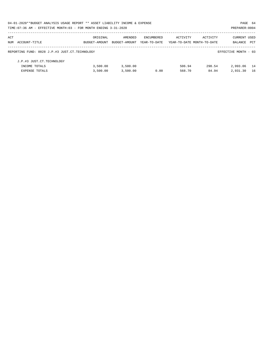| 04-01-2020**BUDGET ANALYSIS USAGE REPORT ** ASSET LIABILITY INCOME & EXPENSE |               |               |              |                            |          | PAGE 64              |     |
|------------------------------------------------------------------------------|---------------|---------------|--------------|----------------------------|----------|----------------------|-----|
| TIME: 07:36 AM - EFFECTIVE MONTH: 03 - FOR MONTH ENDING 3-31-2020            |               |               |              |                            |          | PREPARER: 0004       |     |
| ACT                                                                          | ORIGINAL      | AMENDED       | ENCUMBERED   | ACTIVITY                   | ACTIVITY | CURRENT USED         |     |
| NUM ACCOUNT-TITLE                                                            | BUDGET-AMOUNT | BUDGET-AMOUNT | YEAR-TO-DATE | YEAR-TO-DATE MONTH-TO-DATE |          | BALANCE              | PCT |
| REPORTING FUND: 0028 J.P.#3 JUST.CT.TECHNOLOGY                               |               |               |              |                            |          | EFFECTIVE MONTH - 03 |     |
| J.P.#3 JUST.CT.TECHNOLOGY                                                    |               |               |              |                            |          |                      |     |
| INCOME TOTALS                                                                | 3,500.00      | 3,500.00      |              | 506.94                     | 298.54   | 2,993.06             | 14  |
| <b>EXPENSE TOTALS</b>                                                        | 3,500.00      | 3,500.00      | 0.00         | 568.70                     | 84.94    | 2,931.30             | 16  |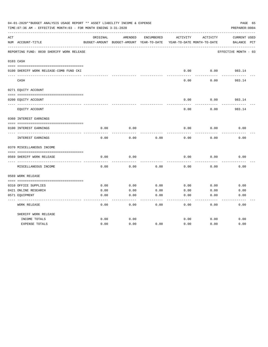|     | 04-01-2020**BUDGET ANALYSIS USAGE REPORT ** ASSET LIABILITY INCOME & EXPENSE<br>TIME:07:36 AM - EFFECTIVE MONTH:03 - FOR MONTH ENDING 3-31-2020 |          |                                          |            |                            |          | PAGE 65<br>PREPARER: 0004 |
|-----|-------------------------------------------------------------------------------------------------------------------------------------------------|----------|------------------------------------------|------------|----------------------------|----------|---------------------------|
| ACT |                                                                                                                                                 | ORIGINAL | AMENDED                                  | ENCUMBERED | ACTIVITY                   | ACTIVITY | CURRENT USED              |
|     | NUM ACCOUNT-TITLE                                                                                                                               |          | BUDGET-AMOUNT BUDGET-AMOUNT YEAR-TO-DATE |            | YEAR-TO-DATE MONTH-TO-DATE |          | BALANCE PCT               |
|     | REPORTING FUND: 0030 SHERIFF WORK RELEASE                                                                                                       |          |                                          |            |                            |          | EFFECTIVE MONTH - 03      |
|     | 0103 CASH                                                                                                                                       |          |                                          |            |                            |          |                           |
|     |                                                                                                                                                 |          |                                          |            |                            |          |                           |
|     | 0100 SHERIFF WORK RELEASE-COMB FUND CKI                                                                                                         |          |                                          |            | 0.00                       | 0.00     | 983.14<br>-------         |
|     | CASH                                                                                                                                            |          |                                          |            | 0.00                       | 0.00     | 983.14                    |
|     | 0271 EQUITY ACCOUNT                                                                                                                             |          |                                          |            |                            |          |                           |
|     | 0200 EQUITY ACCOUNT                                                                                                                             |          |                                          |            | 0.00                       | 0.00     | 983.14                    |
|     | EQUITY ACCOUNT                                                                                                                                  |          |                                          |            | 0.00                       | 0.00     | 983.14                    |
|     | 0360 INTEREST EARNINGS                                                                                                                          |          |                                          |            |                            |          |                           |
|     |                                                                                                                                                 |          |                                          |            |                            |          |                           |
|     | 0100 INTEREST EARNINGS                                                                                                                          | 0.00     | 0.00                                     |            | 0.00                       | 0.00     | 0.00                      |
|     | INTEREST EARNINGS                                                                                                                               | 0.00     | 0.00                                     | 0.00       | 0.00                       | 0.00     | 0.00                      |
|     | 0370 MISCELLANEOUS INCOME                                                                                                                       |          |                                          |            |                            |          |                           |
|     |                                                                                                                                                 |          |                                          |            |                            |          |                           |
|     | 0569 SHERIFF WORK RELEASE                                                                                                                       | 0.00     | 0.00                                     |            | 0.00                       | 0.00     | 0.00                      |
|     | MISCELLANEOUS INCOME                                                                                                                            | 0.00     | 0.00                                     | 0.00       | 0.00                       | 0.00     | 0.00                      |
|     | 0569 WORK RELEASE                                                                                                                               |          |                                          |            |                            |          |                           |
|     |                                                                                                                                                 |          |                                          |            |                            |          |                           |
|     | 0310 OFFICE SUPPLIES                                                                                                                            | 0.00     | 0.00                                     | 0.00       | 0.00                       | 0.00     | 0.00                      |
|     | 0421 ONLINE RESEARCH                                                                                                                            | 0.00     | 0.00                                     | 0.00       | 0.00                       | 0.00     | 0.00                      |
|     | 0571 EQUIPMENT                                                                                                                                  | 0.00     | 0.00                                     | 0.00       | 0.00                       | 0.00     | 0.00                      |
|     | WORK RELEASE                                                                                                                                    | 0.00     | 0.00                                     | 0.00       | 0.00                       | 0.00     | 0.00                      |
|     | SHERIFF WORK RELEASE                                                                                                                            |          |                                          |            |                            |          |                           |
|     | INCOME TOTALS                                                                                                                                   | 0.00     | 0.00                                     |            | 0.00                       | 0.00     | 0.00                      |
|     | <b>EXPENSE TOTALS</b>                                                                                                                           | 0.00     | 0.00                                     | 0.00       | 0.00                       | 0.00     | 0.00                      |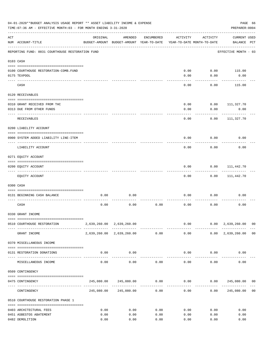|     | 04-01-2020**BUDGET ANALYSIS USAGE REPORT ** ASSET LIABILITY INCOME & EXPENSE<br>TIME: 07:36 AM - EFFECTIVE MONTH: 03 - FOR MONTH ENDING 3-31-2020 |          |                                                                  |            |                           |                                        | PREPARER: 0004                                    | PAGE 66 |
|-----|---------------------------------------------------------------------------------------------------------------------------------------------------|----------|------------------------------------------------------------------|------------|---------------------------|----------------------------------------|---------------------------------------------------|---------|
| ACT | NUM ACCOUNT-TITLE                                                                                                                                 | ORIGINAL | AMENDED<br>BUDGET-AMOUNT BUDGET-AMOUNT YEAR-TO-DATE              | ENCUMBERED | ACTIVITY                  | ACTIVITY<br>YEAR-TO-DATE MONTH-TO-DATE | <b>CURRENT USED</b><br>BALANCE PCT                |         |
|     | REPORTING FUND: 0031 COURTHOUSE RESTORATION FUND                                                                                                  |          |                                                                  |            |                           |                                        | EFFECTIVE MONTH - 03                              |         |
|     | 0103 CASH                                                                                                                                         |          |                                                                  |            |                           |                                        |                                                   |         |
|     |                                                                                                                                                   |          |                                                                  |            |                           |                                        |                                                   |         |
|     | 0100 COURTHOUSE RESTORATION-COMB.FUND                                                                                                             |          |                                                                  |            | 0.00                      | 0.00                                   | 115.00                                            |         |
|     | 0175 TEXPOOL                                                                                                                                      |          |                                                                  |            | 0.00                      | 0.00                                   | 0.00                                              |         |
|     | CASH                                                                                                                                              |          |                                                                  |            | 0.00                      | 0.00                                   | 115.00                                            |         |
|     | 0120 RECEIVABLES                                                                                                                                  |          |                                                                  |            |                           |                                        |                                                   |         |
|     |                                                                                                                                                   |          |                                                                  |            |                           |                                        |                                                   |         |
|     | 0310 GRANT RECEIVED FROM THC                                                                                                                      |          |                                                                  |            | 0.00                      | 0.00                                   | 111,327.70                                        |         |
|     | 0313 DUE FROM OTHER FUNDS                                                                                                                         |          |                                                                  |            | 0.00                      | 0.00                                   | 0.00                                              |         |
|     | RECEIVABLES                                                                                                                                       |          |                                                                  |            | 0.00                      | 0.00                                   | 111,327.70                                        |         |
|     | 0200 LIABILITY ACCOUNT                                                                                                                            |          |                                                                  |            |                           |                                        |                                                   |         |
|     | 0900 SYSTEM ADDED LIABILITY LINE-ITEM                                                                                                             |          |                                                                  |            | 0.00                      | 0.00                                   | 0.00                                              |         |
|     | LIABILITY ACCOUNT                                                                                                                                 |          |                                                                  |            | 0.00                      | 0.00                                   | 0.00                                              |         |
|     | 0271 EQUITY ACCOUNT                                                                                                                               |          |                                                                  |            |                           |                                        |                                                   |         |
|     |                                                                                                                                                   |          |                                                                  |            |                           |                                        |                                                   |         |
|     | 0200 EQUITY ACCOUNT                                                                                                                               |          |                                                                  |            | 0.00                      | 0.00                                   | 111,442.70                                        |         |
|     | EQUITY ACCOUNT                                                                                                                                    |          |                                                                  |            | 0.00                      | 0.00                                   | 111,442.70                                        |         |
|     | 0300 CASH                                                                                                                                         |          |                                                                  |            |                           |                                        |                                                   |         |
|     | 0131 BEGINNING CASH BALANCE                                                                                                                       | 0.00     | 0.00                                                             |            | 0.00                      | 0.00                                   | 0.00                                              |         |
|     | CASH                                                                                                                                              | 0.00     | 0.00                                                             | 0.00       | 0.00                      | 0.00                                   | 0.00                                              |         |
|     | 0330 GRANT INCOME                                                                                                                                 |          |                                                                  |            |                           |                                        |                                                   |         |
|     |                                                                                                                                                   |          |                                                                  |            |                           |                                        |                                                   |         |
|     | 0510 COURTHOUSE RESTORATION                                                                                                                       |          | 2,639,260.00 2,639,260.00                                        |            |                           | -------------                          | $0.00$ $0.00$ $2,639,260.00$ 00<br>-------------- |         |
|     | GRANT INCOME                                                                                                                                      |          | 2,639,260.00 2,639,260.00 0.00                                   |            | 0.00                      |                                        | $0.00 \quad 2,639,260.00 \quad 00$                |         |
|     | 0370 MISCELLANEOUS INCOME                                                                                                                         |          |                                                                  |            |                           |                                        |                                                   |         |
|     | 0131 RESTORATION DONATIONS                                                                                                                        | 0.00     | 0.00                                                             |            |                           | $0.00$ $0.00$                          | 0.00                                              |         |
|     | ------------------- -------<br>MISCELLANEOUS INCOME                                                                                               | 0.00     | 0.00                                                             | 0.00       |                           | $0.00$ 0.00                            | 0.00                                              |         |
|     | 0509 CONTINGENCY                                                                                                                                  |          |                                                                  |            |                           |                                        |                                                   |         |
|     |                                                                                                                                                   |          |                                                                  |            |                           |                                        |                                                   |         |
|     | 0475 CONTINGENCY                                                                                                                                  |          | $245,080.00$ $245,080.00$ $0.00$ $0.00$ $0.00$ $245,080.00$ $00$ |            | . _ _ _ _ _ _ _ _ _ _ _ _ | -----------                            | ------------                                      |         |
|     | CONTINGENCY                                                                                                                                       |          | 245,080.00 245,080.00                                            | 0.00       | 0.00                      |                                        | 0.00 245,080.00                                   | 00      |
|     | 0510 COURTHOUSE RESTORATION PHASE 1                                                                                                               |          |                                                                  |            |                           |                                        |                                                   |         |
|     | 0403 ARCHITECTURAL FEES                                                                                                                           | 0.00     | 0.00                                                             | 0.00       | 0.00                      | 0.00                                   | 0.00                                              |         |
|     | 0451 ASBESTOS ABATEMENT                                                                                                                           | 0.00     | 0.00                                                             | 0.00       | 0.00                      | 0.00                                   | 0.00                                              |         |
|     | 0482 DEMOLITION                                                                                                                                   | 0.00     | 0.00                                                             | 0.00       | 0.00                      | 0.00                                   | 0.00                                              |         |
|     |                                                                                                                                                   |          |                                                                  |            |                           |                                        |                                                   |         |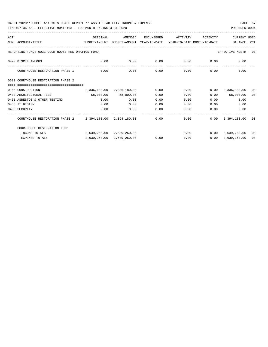| ACT |                                                                                          | ORIGINAL                                                | AMENDED                   | ENCUMBERED | ACTIVITY | ACTIVITY          | CURRENT USED                       |      |
|-----|------------------------------------------------------------------------------------------|---------------------------------------------------------|---------------------------|------------|----------|-------------------|------------------------------------|------|
|     | NUM ACCOUNT-TITLE<br>BUDGET-AMOUNT BUDGET-AMOUNT YEAR-TO-DATE YEAR-TO-DATE MONTH-TO-DATE |                                                         |                           |            |          |                   | BALANCE PCT                        |      |
|     |                                                                                          |                                                         |                           |            |          |                   |                                    |      |
|     | REPORTING FUND: 0031 COURTHOUSE RESTORATION FUND                                         |                                                         |                           |            |          |                   | EFFECTIVE MONTH - 03               |      |
|     | 0490 MISCELLANEOUS                                                                       | $0.00$ $0.00$ $0.00$ $0.00$ $0.00$ $0.00$ $0.00$ $0.00$ |                           |            |          |                   |                                    |      |
|     | COURTHOUSE RESTORATION PHASE 1                                                           | 0.00                                                    | 0.00                      | 0.00       |          | $0.00$ $0.00$     | 0.00                               |      |
|     | 0511 COURTHOUSE RESTORATION PHASE 2                                                      |                                                         |                           |            |          |                   |                                    |      |
|     |                                                                                          |                                                         |                           |            |          |                   |                                    |      |
|     | 0165 CONSTRUCTION                                                                        |                                                         | 2,336,180.00 2,336,180.00 | 0.00       |          |                   | $0.00$ $0.00$ $2,336,180.00$       | - 00 |
|     | 0403 ARCHITECTURAL FEES                                                                  | 58,000.00 58,000.00                                     |                           | 0.00       | 0.00     |                   | $0.00$ 58,000.00                   | 00   |
|     | 0451 ASBESTOS & OTHER TESTING                                                            | 0.00                                                    | 0.00                      | 0.00       | 0.00     |                   | 0.00<br>0.00                       |      |
|     | 0453 IT DESIGN                                                                           | 0.00                                                    | 0.00                      | 0.00       | 0.00     | 0.00              | 0.00                               |      |
|     | 0455 SECURITY                                                                            | 0.00                                                    | 0.00                      | 0.00       | 0.00     | 0.00              | 0.00                               |      |
|     | COURTHOUSE RESTORATION PHASE 2 2,394,180.00 2,394,180.00 0.00                            |                                                         |                           |            |          | -------------     | $0.00$ $0.00$ $2,394,180.00$ 00    |      |
|     | COURTHOUSE RESTORATION FUND                                                              |                                                         |                           |            |          |                   |                                    |      |
|     | INCOME TOTALS                                                                            | 2,639,260.00 2,639,260.00                               |                           |            |          |                   | $0.00$ $0.00$ $2,639,260.00$ 00    |      |
|     | <b>EXPENSE TOTALS</b>                                                                    |                                                         | 2,639,260.00 2,639,260.00 | 0.00       |          | $0.00$ and $0.00$ | $0.00 \quad 2,639,260.00 \quad 00$ |      |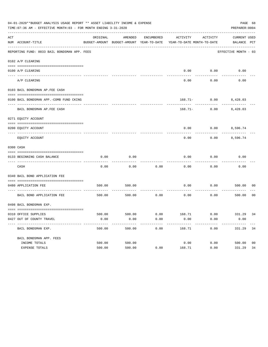|     | 04-01-2020**BUDGET ANALYSIS USAGE REPORT ** ASSET LIABILITY INCOME & EXPENSE<br>TIME: 07:36 AM - EFFECTIVE MONTH: 03 - FOR MONTH ENDING 3-31-2020 |          |         |            |                                                                                 |                                         | PAGE 68<br>PREPARER: 0004          |                |
|-----|---------------------------------------------------------------------------------------------------------------------------------------------------|----------|---------|------------|---------------------------------------------------------------------------------|-----------------------------------------|------------------------------------|----------------|
| ACT | NUM ACCOUNT-TITLE                                                                                                                                 | ORIGINAL | AMENDED | ENCUMBERED | ACTIVITY<br>BUDGET-AMOUNT BUDGET-AMOUNT YEAR-TO-DATE YEAR-TO-DATE MONTH-TO-DATE | ACTIVITY                                | <b>CURRENT USED</b><br>BALANCE PCT |                |
|     | REPORTING FUND: 0033 BAIL BONDSMAN APP. FEES                                                                                                      |          |         |            |                                                                                 |                                         | EFFECTIVE MONTH - 03               |                |
|     | 0102 A/P CLEARING                                                                                                                                 |          |         |            |                                                                                 |                                         |                                    |                |
|     | 0100 A/P CLEARING                                                                                                                                 |          |         |            | 0.00                                                                            | 0.00                                    | 0.00                               |                |
|     | ---- ----------<br>---------------------- --------<br>A/P CLEARING                                                                                |          |         |            | 0.00                                                                            | 0.00                                    | 0.00                               |                |
|     | 0103 BAIL BONDSMAN AP.FEE CASH                                                                                                                    |          |         |            |                                                                                 |                                         |                                    |                |
|     | 0100 BAIL BONDSMAN APP.-COMB FUND CKING                                                                                                           |          |         |            |                                                                                 | 168.71- 0.00 8,428.03                   |                                    |                |
|     | ------------------------------<br>BAIL BONDSMAN AP. FEE CASH                                                                                      |          |         |            |                                                                                 | -----------<br>$168.71 - 0.00$ 8,428.03 |                                    |                |
|     | 0271 EQUITY ACCOUNT                                                                                                                               |          |         |            |                                                                                 |                                         |                                    |                |
|     | 0200 EQUITY ACCOUNT                                                                                                                               |          |         |            | 0.00                                                                            | $0.00$ 8,596.74                         |                                    |                |
|     | EQUITY ACCOUNT                                                                                                                                    |          |         |            | 0.00                                                                            | 0.00                                    | 8,596.74                           |                |
|     | 0300 CASH                                                                                                                                         |          |         |            |                                                                                 |                                         |                                    |                |
|     | 0133 BEGINNING CASH BALANCE                                                                                                                       | 0.00     | 0.00    |            | 0.00                                                                            | 0.00                                    | 0.00                               |                |
|     | CASH                                                                                                                                              | 0.00     | 0.00    | 0.00       | 0.00                                                                            | 0.00                                    | 0.00                               |                |
|     | 0340 BAIL BOND APPLICATION FEE                                                                                                                    |          |         |            |                                                                                 |                                         |                                    |                |
|     | 0480 APPLICATION FEE<br>-----------------------------------                                                                                       | 500.00   | 500.00  |            | 0.00                                                                            | 0.00                                    | 500.00                             | 00             |
|     | BAIL BOND APPLICATION FEE                                                                                                                         | 500.00   | 500.00  | 0.00       | 0.00                                                                            | 0.00                                    | 500.00                             | 0 <sub>0</sub> |
|     | 0498 BAIL BONDSMAN EXP.                                                                                                                           |          |         |            |                                                                                 |                                         |                                    |                |
|     |                                                                                                                                                   |          |         |            |                                                                                 |                                         |                                    |                |
|     | 0310 OFFICE SUPPLIES                                                                                                                              |          |         |            | 500.00 500.00 6.00 168.71 0.00 331.29 34                                        |                                         |                                    |                |
|     | 0427 OUT OF COUNTY TRAVEL                                                                                                                         | 0.00     | 0.00    | 0.00       | 0.00                                                                            | 0.00                                    | 0.00                               |                |
|     | BAIL BONDSMAN EXP.                                                                                                                                | 500.00   | 500.00  | 0.00       | 168.71                                                                          | 0.00                                    | 331.29                             | 34             |
|     | BAIL BONDSMAN APP. FEES                                                                                                                           |          |         |            |                                                                                 |                                         |                                    |                |
|     | INCOME TOTALS                                                                                                                                     | 500.00   | 500.00  |            | 0.00                                                                            | 0.00                                    | 500.00                             | 0 <sub>0</sub> |
|     | EXPENSE TOTALS                                                                                                                                    | 500.00   | 500.00  | 0.00       | 168.71                                                                          | 0.00                                    | 331.29                             | 34             |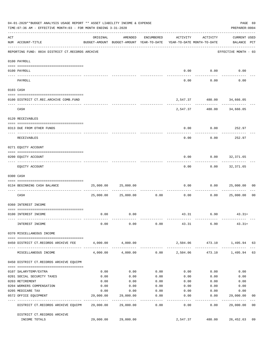|     | 04-01-2020**BUDGET ANALYSIS USAGE REPORT ** ASSET LIABILITY INCOME & EXPENSE<br>PAGE 69<br>TIME: 07:36 AM - EFFECTIVE MONTH: 03 - FOR MONTH ENDING 3-31-2020<br>PREPARER: 0004 |           |                                                                                |                   |                 |                                                            |                                    |                |
|-----|--------------------------------------------------------------------------------------------------------------------------------------------------------------------------------|-----------|--------------------------------------------------------------------------------|-------------------|-----------------|------------------------------------------------------------|------------------------------------|----------------|
| ACT | NUM ACCOUNT-TITLE                                                                                                                                                              | ORIGINAL  | AMENDED<br>BUDGET-AMOUNT BUDGET-AMOUNT YEAR-TO-DATE YEAR-TO-DATE MONTH-TO-DATE | ENCUMBERED        | ACTIVITY        | ACTIVITY                                                   | <b>CURRENT USED</b><br>BALANCE PCT |                |
|     | REPORTING FUND: 0034 DISTRICT CT.RECORDS ARCHIVE                                                                                                                               |           |                                                                                |                   |                 |                                                            | EFFECTIVE MONTH - 03               |                |
|     | 0100 PAYROLL                                                                                                                                                                   |           |                                                                                |                   |                 |                                                            |                                    |                |
|     |                                                                                                                                                                                |           |                                                                                |                   |                 |                                                            |                                    |                |
|     | 0100 PAYROLL<br>---- -------                                                                                                                                                   |           |                                                                                |                   |                 | $0.00$ 0.00                                                | 0.00                               |                |
|     | PAYROLL                                                                                                                                                                        |           |                                                                                |                   | 0.00            | 0.00                                                       | 0.00                               |                |
|     | 0103 CASH                                                                                                                                                                      |           |                                                                                |                   |                 |                                                            |                                    |                |
|     | 0100 DISTRICT CT.REC.ARCHIVE COMB.FUND                                                                                                                                         |           |                                                                                |                   |                 | 2,547.37 480.00 34,666.05                                  |                                    |                |
|     | CASH                                                                                                                                                                           |           |                                                                                |                   | ----------      | -----------------------------<br>2,547.37 480.00 34,666.05 |                                    |                |
|     | 0120 RECEIVABLES                                                                                                                                                               |           |                                                                                |                   |                 |                                                            |                                    |                |
|     | 0313 DUE FROM OTHER FUNDS                                                                                                                                                      |           |                                                                                |                   | 0.00            |                                                            | $0.00$ 252.97                      |                |
|     | RECEIVABLES                                                                                                                                                                    |           |                                                                                |                   | 0.00            | 0.00                                                       | 252.97                             |                |
|     | 0271 EQUITY ACCOUNT                                                                                                                                                            |           |                                                                                |                   |                 |                                                            |                                    |                |
|     | 0200 EQUITY ACCOUNT                                                                                                                                                            |           |                                                                                |                   | 0.00            | $0.00$ 32,371.65                                           |                                    |                |
|     | EQUITY ACCOUNT                                                                                                                                                                 |           |                                                                                |                   | 0.00            | ---------                                                  | -----------<br>$0.00$ 32,371.65    |                |
|     | 0300 CASH                                                                                                                                                                      |           |                                                                                |                   |                 |                                                            |                                    |                |
|     | 0134 BEGINNING CASH BALANCE                                                                                                                                                    | 25,000.00 | 25,000.00                                                                      |                   | 0.00            |                                                            | 0.000025,000.00                    | 0 <sub>0</sub> |
|     | ----------------------------- -----<br>CASH                                                                                                                                    |           | 25,000.00 25,000.00                                                            | 0.00              | 0.00            | 0.00                                                       | 25,000.00                          | 0 <sub>0</sub> |
|     | 0360 INTEREST INCOME                                                                                                                                                           |           |                                                                                |                   |                 |                                                            |                                    |                |
|     | 0100 INTEREST INCOME                                                                                                                                                           | 0.00      | 0.00                                                                           |                   |                 | 43.31 6.90                                                 | $43.31+$                           |                |
|     | INTEREST INCOME                                                                                                                                                                | 0.00      | 0.00                                                                           |                   |                 | $0.00$ 43.31 6.90                                          | $43.31+$                           |                |
|     | 0370 MISCELLANEOUS INCOME                                                                                                                                                      |           |                                                                                |                   |                 |                                                            |                                    |                |
|     | 0450 DISTRICT CT.RECORDS ARCHIVE FEE                                                                                                                                           |           | 4,000.00 4,000.00                                                              |                   |                 | 2,504.06 473.10 1,495.94 63                                |                                    |                |
|     | MISCELLANEOUS INCOME                                                                                                                                                           | 4,000.00  | 4,000.00                                                                       |                   | $0.00$ 2,504.06 |                                                            | 473.10 1,495.94                    | 63             |
|     | 0450 DISTRICT CT.RECORDS ARCHIVE EQUIPM                                                                                                                                        |           |                                                                                |                   |                 |                                                            |                                    |                |
|     | 0107 SALARYTEMP/EXTRA                                                                                                                                                          | 0.00      | 0.00                                                                           | 0.00              | 0.00            | 0.00                                                       | 0.00                               |                |
|     | 0201 SOCIAL SECURITY TAXES                                                                                                                                                     | 0.00      | 0.00                                                                           | 0.00              | 0.00            | 0.00                                                       | 0.00                               |                |
|     | 0203 RETIREMENT                                                                                                                                                                | 0.00      | 0.00                                                                           | 0.00              | 0.00            | 0.00                                                       | 0.00                               |                |
|     | 0204 WORKERS COMPENSATION                                                                                                                                                      | 0.00      | 0.00                                                                           | 0.00              | 0.00            | 0.00                                                       | 0.00                               |                |
|     | 0205 MEDICARE TAX                                                                                                                                                              | 0.00      | 0.00                                                                           | 0.00              | 0.00            | 0.00                                                       | 0.00                               |                |
|     | 0572 OFFICE EQUIPMENT                                                                                                                                                          | 29,000.00 | 29,000.00                                                                      | 0.00              | 0.00            | 0.00                                                       | 29,000.00                          | 00             |
|     | -------------------- -------------<br>DISTRICT CT.RECORDS ARCHIVE EQUIPM 29,000.00                                                                                             |           | --------------<br>29,000.00                                                    | ---------<br>0.00 | ------<br>0.00  | ---------<br>0.00                                          | ------------<br>29,000.00          | 0 <sub>0</sub> |
|     | DISTRICT CT.RECORDS ARCHIVE                                                                                                                                                    |           |                                                                                |                   |                 |                                                            |                                    |                |
|     | INCOME TOTALS                                                                                                                                                                  | 29,000.00 | 29,000.00                                                                      |                   | 2,547.37        | 480.00                                                     | 26,452.63                          | 09             |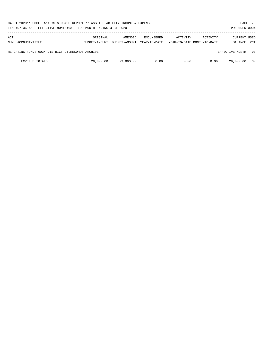| 04-01-2020**BUDGET ANALYSIS USAGE REPORT ** ASSET LIABILITY INCOME & EXPENSE<br>TIME: 07:36 AM - EFFECTIVE MONTH: 03 - FOR MONTH ENDING 3-31-2020<br>PREPARER: 0004 |                           |                          |                                   |          |                                        |                                       |            |
|---------------------------------------------------------------------------------------------------------------------------------------------------------------------|---------------------------|--------------------------|-----------------------------------|----------|----------------------------------------|---------------------------------------|------------|
| ACT<br>ACCOUNT-TITLE<br>NUM                                                                                                                                         | ORIGINAL<br>BUDGET-AMOUNT | AMENDED<br>BUDGET-AMOUNT | <b>ENCUMBERED</b><br>YEAR-TO-DATE | ACTIVITY | ACTIVITY<br>YEAR-TO-DATE MONTH-TO-DATE | <b>CURRENT USED</b><br><b>BALANCE</b> | <b>PCT</b> |
| REPORTING FUND: 0034 DISTRICT CT.RECORDS ARCHIVE                                                                                                                    |                           |                          |                                   |          |                                        | EFFECTIVE MONTH - 03                  |            |
| <b>EXPENSE TOTALS</b>                                                                                                                                               | 29,000.00                 | 29,000.00                | 0.00                              | 0.00     | 0.00                                   | 29,000.00                             | - 00       |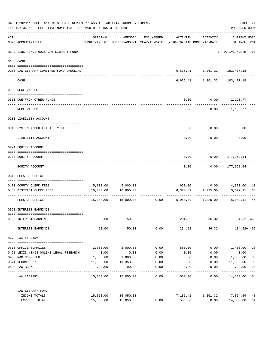| 04-01-2020**BUDGET ANALYSIS USAGE REPORT ** ASSET LIABILITY INCOME & EXPENSE<br>TIME: 07:36 AM - EFFECTIVE MONTH: 03 - FOR MONTH ENDING 3-31-2020 |                                                    |                      |                                                                                |                    |          |                                                | PAGE 71<br>PREPARER: 0004          |                |
|---------------------------------------------------------------------------------------------------------------------------------------------------|----------------------------------------------------|----------------------|--------------------------------------------------------------------------------|--------------------|----------|------------------------------------------------|------------------------------------|----------------|
| ACT                                                                                                                                               | NUM ACCOUNT-TITLE                                  | ORIGINAL             | AMENDED<br>BUDGET-AMOUNT BUDGET-AMOUNT YEAR-TO-DATE YEAR-TO-DATE MONTH-TO-DATE | ENCUMBERED         |          | ACTIVITY ACTIVITY                              | <b>CURRENT USED</b><br>BALANCE PCT |                |
|                                                                                                                                                   | REPORTING FUND: 0035 LAW LIBRARY FUND              |                      |                                                                                |                    |          |                                                | EFFECTIVE MONTH - 03               |                |
|                                                                                                                                                   | 0103 CASH                                          |                      |                                                                                |                    |          |                                                |                                    |                |
|                                                                                                                                                   | 0100 LAW LIBRARY-COMBINED FUND CHECKING            |                      |                                                                                |                    |          | 6,635.41 1,261.32 183,407.18                   |                                    |                |
|                                                                                                                                                   | CASH                                               |                      |                                                                                |                    |          | 6,635.41 1,261.32 183,407.18                   |                                    |                |
|                                                                                                                                                   | 0120 RECEIVABLES                                   |                      |                                                                                |                    |          |                                                |                                    |                |
|                                                                                                                                                   | 0313 DUE FROM OTHER FUNDS                          |                      |                                                                                |                    | 0.00     | $0.00$ 1,190.77                                |                                    |                |
|                                                                                                                                                   | RECEIVABLES                                        |                      |                                                                                |                    | 0.00     |                                                | $0.00$ 1,190.77                    |                |
|                                                                                                                                                   | 0200 LIABILITY ACCOUNT                             |                      |                                                                                |                    |          |                                                |                                    |                |
|                                                                                                                                                   | 0910 SYSTEM ADDED LIABILITY LI                     |                      |                                                                                |                    | 0.00     | 0.00                                           | 0.00                               |                |
|                                                                                                                                                   | LIABILITY ACCOUNT                                  |                      |                                                                                |                    | 0.00     | 0.00                                           | 0.00                               |                |
|                                                                                                                                                   | 0271 EQUITY ACCOUNT                                |                      |                                                                                |                    |          |                                                |                                    |                |
|                                                                                                                                                   | 0200 EQUITY ACCOUNT                                |                      |                                                                                |                    | 0.00     | $0.00$ 177,962.54                              |                                    |                |
|                                                                                                                                                   | EQUITY ACCOUNT                                     |                      |                                                                                |                    | 0.00     |                                                | $0.00$ 177,962.54                  |                |
|                                                                                                                                                   | 0340 FEES OF OFFICE                                |                      |                                                                                |                    |          |                                                |                                    |                |
|                                                                                                                                                   |                                                    |                      |                                                                                |                    |          |                                                |                                    |                |
|                                                                                                                                                   | 0403 COUNTY CLERK FEES<br>0450 DISTRICT CLERK FEES | 10,000.00            | 5,000.00 5,000.00<br>10,000.00                                                 |                    |          | 6,320.89 1,225.00                              | 3,679.11                           | -13<br>63      |
|                                                                                                                                                   |                                                    |                      |                                                                                |                    |          |                                                | .                                  |                |
|                                                                                                                                                   | FEES OF OFFICE                                     |                      |                                                                                |                    |          | $15,000.00$ $15,000.00$ 0.00 6,950.89 1,225.00 | 8,049.11                           | 46             |
|                                                                                                                                                   | 0360 INTEREST EARNINGS                             |                      |                                                                                |                    |          |                                                |                                    |                |
|                                                                                                                                                   | 0100 INTEREST EARNINGS                             | 50.00                | 50.00                                                                          |                    | 234.52   | 36.32                                          | 184.52+ 469                        |                |
|                                                                                                                                                   | INTEREST EARNINGS                                  | 50.00                | 50.00                                                                          | 0.00               | 234.52   |                                                | 36.32 184.52+469                   |                |
|                                                                                                                                                   | 0475 LAW LIBRARY                                   |                      |                                                                                |                    |          |                                                |                                    |                |
|                                                                                                                                                   | 0310 OFFICE SUPPLIES                               | 2,000.00             | 2,000.00                                                                       | 0.00               | 550.00   | 0.00                                           | 1,450.00                           | 28             |
|                                                                                                                                                   | 0421 LEXIS NEXIS ONLINE LEGAL RESEARCH             | 0.00                 | 0.00                                                                           | 0.00               | 0.00     | 0.00                                           | 0.00                               |                |
|                                                                                                                                                   | 0453 R&M COMPUTER                                  | 1,000.00             | 1,000.00                                                                       | 0.00               | 0.00     | 0.00                                           | 1,000.00                           | 0 <sub>0</sub> |
|                                                                                                                                                   | 0574 TECHNOLOGY                                    | 11,350.00            | 11,350.00                                                                      | 0.00               | 0.00     | 0.00                                           | 11,350.00                          | 0 <sub>0</sub> |
|                                                                                                                                                   | 0590 LAW BOOKS                                     | 700.00<br>---------- | 700.00<br>. <u>.</u>                                                           | 0.00               | 0.00     | 0.00                                           | 700.00                             | 0 <sub>0</sub> |
|                                                                                                                                                   | LAW LIBRARY                                        |                      | 15,050.00 15,050.00                                                            | ----------<br>0.00 | 550.00   | 0.00                                           | ----------<br>14,500.00 04         | $---$          |
|                                                                                                                                                   | LAW LIBRARY FUND                                   |                      |                                                                                |                    |          |                                                |                                    |                |
|                                                                                                                                                   | INCOME TOTALS                                      | 15,050.00            | 15,050.00                                                                      |                    | 7,185.41 | 1,261.32                                       | 7,864.59                           | 48             |
|                                                                                                                                                   | EXPENSE TOTALS                                     | 15,050.00            | 15,050.00                                                                      | 0.00               | 550.00   | 0.00                                           | 14,500.00                          | 04             |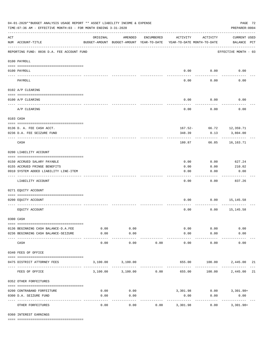|                    | 04-01-2020**BUDGET ANALYSIS USAGE REPORT ** ASSET LIABILITY INCOME & EXPENSE<br>PAGE 72<br>TIME: 07:36 AM - EFFECTIVE MONTH: 03 - FOR MONTH ENDING 3-31-2020<br>PREPARER: 0004 |                                                      |                    |            |                                        |              |                                    |    |  |  |  |
|--------------------|--------------------------------------------------------------------------------------------------------------------------------------------------------------------------------|------------------------------------------------------|--------------------|------------|----------------------------------------|--------------|------------------------------------|----|--|--|--|
| $\mathop{\rm ACT}$ | NUM ACCOUNT-TITLE                                                                                                                                                              | ORIGINAL<br>BUDGET-AMOUNT BUDGET-AMOUNT YEAR-TO-DATE | AMENDED            | ENCUMBERED | ACTIVITY<br>YEAR-TO-DATE MONTH-TO-DATE | ACTIVITY     | <b>CURRENT USED</b><br>BALANCE PCT |    |  |  |  |
|                    | REPORTING FUND: 0036 D.A. FEE ACCOUNT FUND                                                                                                                                     |                                                      |                    |            |                                        |              | EFFECTIVE MONTH - 03               |    |  |  |  |
|                    | 0100 PAYROLL                                                                                                                                                                   |                                                      |                    |            |                                        |              |                                    |    |  |  |  |
|                    | 0100 PAYROLL                                                                                                                                                                   |                                                      |                    |            |                                        | $0.00$ 0.00  | 0.00                               |    |  |  |  |
| ---- ---           | PAYROLL                                                                                                                                                                        |                                                      |                    |            | 0.00                                   | 0.00         | 0.00                               |    |  |  |  |
|                    | 0102 A/P CLEARING                                                                                                                                                              |                                                      |                    |            |                                        |              |                                    |    |  |  |  |
|                    | 0100 A/P CLEARING                                                                                                                                                              |                                                      |                    |            | 0.00                                   | 0.00         | 0.00                               |    |  |  |  |
|                    | A/P CLEARING                                                                                                                                                                   |                                                      |                    |            | 0.00                                   | 0.00         | 0.00                               |    |  |  |  |
|                    | 0103 CASH                                                                                                                                                                      |                                                      |                    |            |                                        |              |                                    |    |  |  |  |
|                    | 0136 D. A. FEE CASH ACCT.                                                                                                                                                      |                                                      |                    |            |                                        |              | 167.52- 66.72 12,359.71            |    |  |  |  |
|                    | 0236 D.A. FEE SEIZURE FUND                                                                                                                                                     |                                                      |                    |            | 348.39                                 | 0.13         | 3,804.00                           |    |  |  |  |
|                    | CASH                                                                                                                                                                           |                                                      |                    |            | 180.87                                 | 66.85        | 16,163.71                          |    |  |  |  |
|                    | 0200 LIABILITY ACCOUNT                                                                                                                                                         |                                                      |                    |            |                                        |              |                                    |    |  |  |  |
|                    |                                                                                                                                                                                |                                                      |                    |            | 0.00                                   | 0.00         | 627.24                             |    |  |  |  |
|                    | 0150 ACCRUED SALARY PAYABLE<br>0155 ACCRUED FRINGE BENEFITS                                                                                                                    |                                                      |                    |            | 0.00                                   | 0.00         | 210.02                             |    |  |  |  |
|                    | 0910 SYSTEM ADDED LIABILITY LINE-ITEM                                                                                                                                          |                                                      |                    |            | 0.00                                   | 0.00         | 0.00                               |    |  |  |  |
|                    | LIABILITY ACCOUNT                                                                                                                                                              |                                                      |                    |            | 0.00                                   | 0.00         | 837.26                             |    |  |  |  |
|                    | 0271 EQUITY ACCOUNT                                                                                                                                                            |                                                      |                    |            |                                        |              |                                    |    |  |  |  |
|                    | 0200 EQUITY ACCOUNT                                                                                                                                                            |                                                      |                    |            | 0.00                                   |              | $0.00$ 15,145.58                   |    |  |  |  |
|                    | EQUITY ACCOUNT                                                                                                                                                                 |                                                      |                    |            | 0.00                                   | 0.00         | 15,145.58                          |    |  |  |  |
|                    | 0300 CASH                                                                                                                                                                      |                                                      |                    |            |                                        |              |                                    |    |  |  |  |
|                    | 0136 BEGINNING CASH BALANCE-D.A.FEE                                                                                                                                            | 0.00                                                 | 0.00               |            |                                        | 0.00<br>0.00 | 0.00                               |    |  |  |  |
|                    | 0236 BEGINNING CASH BALANCE-SEIZURE                                                                                                                                            | 0.00                                                 | 0.00               |            | 0.00                                   | 0.00         | 0.00                               |    |  |  |  |
|                    | CASH                                                                                                                                                                           | -----<br>0.00                                        | ----------<br>0.00 | 0.00       | 0.00                                   | 0.00         | 0.00                               |    |  |  |  |
|                    | 0340 FEES OF OFFICE                                                                                                                                                            |                                                      |                    |            |                                        |              |                                    |    |  |  |  |
|                    | 0475 DISTRICT ATTORNEY FEES                                                                                                                                                    |                                                      | 3,100.00 3,100.00  |            |                                        |              | 655.00 100.00 2,445.00             | 21 |  |  |  |
|                    | FEES OF OFFICE                                                                                                                                                                 |                                                      | 3,100.00 3,100.00  | 0.00       | 655.00                                 | 100.00       | 2,445.00                           | 21 |  |  |  |
|                    | 0352 OTHER FORFEITURES                                                                                                                                                         |                                                      |                    |            |                                        |              |                                    |    |  |  |  |
|                    | 0200 CONTRABAND FORFEITURE                                                                                                                                                     | 0.00                                                 | 0.00               |            |                                        |              | 3,301.98 0.00 3,301.98+            |    |  |  |  |
|                    | 0300 D.A. SEIZURE FUND                                                                                                                                                         | 0.00                                                 | 0.00               |            | 0.00                                   | 0.00         | 0.00                               |    |  |  |  |
|                    | OTHER FORFEITURES                                                                                                                                                              | 0.00                                                 | 0.00               | 0.00       | ----------<br>3,301.98                 | 0.00         | . <u>.</u> .<br>$3,301.98+$        |    |  |  |  |

0360 INTEREST EARNINGS

==== ===================================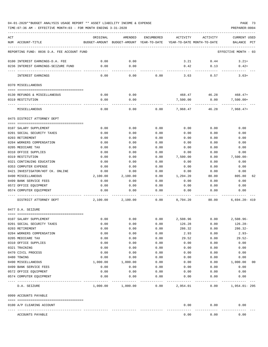## 04-01-2020\*\*BUDGET ANALYSIS USAGE REPORT \*\* ASSET LIABILITY INCOME & EXPENSE PAGE 73

TIME:07:36 AM - EFFECTIVE MONTH:03 - FOR MONTH ENDING 3-31-2020

| ACT | NUM ACCOUNT-TITLE                                    | ORIGINAL     | AMENDED<br>BUDGET-AMOUNT BUDGET-AMOUNT YEAR-TO-DATE | ENCUMBERED   | ACTIVITY           | ACTIVITY<br>YEAR-TO-DATE MONTH-TO-DATE | CURRENT USED<br>BALANCE<br>PCT |
|-----|------------------------------------------------------|--------------|-----------------------------------------------------|--------------|--------------------|----------------------------------------|--------------------------------|
|     | REPORTING FUND: 0036 D.A. FEE ACCOUNT FUND           |              |                                                     |              |                    |                                        | EFFECTIVE MONTH - 03           |
|     |                                                      |              |                                                     |              |                    |                                        |                                |
|     | 0100 INTEREST EARNINGS-D.A. FEE                      | 0.00         | 0.00                                                |              | 3.21               | 0.44                                   | $3.21+$                        |
|     | 0236 INTEREST EARNINGS-SEIZURE FUND                  | 0.00         | 0.00                                                |              | 0.42               | 0.13                                   | $0.42+$                        |
|     | INTEREST EARNINGS                                    | 0.00         | 0.00                                                | 0.00         | 3.63               | 0.57                                   | $3.63+$                        |
|     | 0370 MISCELLANEOUS                                   |              |                                                     |              |                    |                                        |                                |
|     |                                                      |              |                                                     |              |                    |                                        |                                |
|     | 0130 REFUNDS & MISCELLANEOUS                         | 0.00<br>0.00 | 0.00<br>0.00                                        |              | 468.47<br>7,500.00 | 46.28<br>0.00                          | $468.47+$                      |
|     | 0319 RESTITUTION                                     |              |                                                     |              |                    |                                        | $7,500.00+$                    |
|     | MISCELLANEOUS                                        | 0.00         | 0.00                                                | 0.00         | 7,968.47           | 46.28                                  | $7,968.47+$                    |
|     | 0475 DISTRICT ATTORNEY DEPT                          |              |                                                     |              |                    |                                        |                                |
|     |                                                      |              |                                                     |              |                    |                                        |                                |
|     | 0107 SALARY SUPPLEMENT<br>0201 SOCIAL SECURITY TAXES | 0.00<br>0.00 | 0.00<br>0.00                                        | 0.00<br>0.00 | 0.00<br>0.00       | 0.00<br>0.00                           | 0.00<br>0.00                   |
|     | 0203 RETIREMENT                                      | 0.00         | 0.00                                                | 0.00         | 0.00               | 0.00                                   | 0.00                           |
|     | 0204 WORKERS COMPENSATION                            | 0.00         | 0.00                                                | 0.00         | 0.00               | 0.00                                   | 0.00                           |
|     | 0205 MEDICARE TAX                                    | 0.00         | 0.00                                                | 0.00         | 0.00               | 0.00                                   | 0.00                           |
|     | 0310 OFFICE SUPPLIES                                 | 0.00         | 0.00                                                | 0.00         | 0.00               | 0.00                                   | 0.00                           |
|     | 0319 RESTITUTION                                     | 0.00         | 0.00                                                | 0.00         | 7,500.00           | 0.00                                   | $7,500.00-$                    |
|     | 0321 CONTINUING EDUCATION                            | 0.00         | 0.00                                                | 0.00         | 0.00               | 0.00                                   | 0.00                           |
|     | 0353 COMPUTER EXPENSE                                | 0.00         | 0.00                                                | 0.00         | 0.00               | 0.00                                   | 0.00                           |
|     | 0421 INVESTIGATOR/HOT CK. ONLINE                     | 0.00         | 0.00                                                | 0.00         | 0.00               | 0.00                                   | 0.00                           |
|     | 0490 MISCELLANEOUS                                   | 2,100.00     | 2,100.00                                            | 0.00         | 1,294.20           | 80.00                                  | 805.80<br>62                   |
|     | 0499 BANK SERVICE FEES                               | 0.00         | 0.00                                                | 0.00         | 0.00               | 0.00                                   | 0.00                           |
|     | 0572 OFFICE EQUIPMENT                                | 0.00         | 0.00                                                | 0.00         | 0.00               | 0.00                                   | 0.00                           |
|     | 0574 COMPUTER EQUIPMENT                              | 0.00         | 0.00                                                | 0.00         | 0.00               | 0.00                                   | 0.00                           |
|     | DISTRICT ATTORNEY DEPT                               | 2,100.00     | 2,100.00                                            | 0.00         | 8,794.20           | 80.00                                  | $6,694.20 - 419$               |
|     | 0477 D.A. SEIZURE                                    |              |                                                     |              |                    |                                        |                                |
|     | 0107 SALARY SUPPLEMENT                               | 0.00         | 0.00                                                | 0.00         | 2,508.96           | 0.00                                   | $2,508.96 -$                   |
|     | 0201 SOCIAL SECURITY TAXES                           | 0.00         | 0.00                                                | 0.00         | 126.28             | 0.00                                   | $126.28-$                      |
|     | 0203 RETIREMENT                                      | 0.00         | 0.00                                                | 0.00         | 286.32             | 0.00                                   | $286.32-$                      |
|     | 0204 WORKERS COMPENSATION                            | 0.00         | 0.00                                                | 0.00         | 2.93               | 0.00                                   | $2.93-$                        |
|     | 0205 MEDICARE TAX                                    | 0.00         | 0.00                                                | 0.00         | 29.52              | 0.00                                   | $29.52-$                       |
|     | 0310 OFFICE SUPPLIES                                 | 0.00         | 0.00                                                | 0.00         | 0.00               | 0.00                                   | 0.00                           |
|     | 0321 TRAINING                                        | 0.00         | 0.00                                                | 0.00         | 0.00               | 0.00                                   | 0.00                           |
|     | 0470 CIVIL PROCESS                                   | 0.00         | 0.00                                                | 0.00         | 0.00               | 0.00                                   | 0.00                           |
|     | 0480 TOWING                                          | 0.00         | 0.00                                                | 0.00         | 0.00               | 0.00                                   | 0.00                           |
|     | 0490 MISCELLANEOUS                                   | 1,000.00     | 1,000.00                                            | 0.00         | 0.00               | 0.00                                   | 1,000.00<br>00                 |
|     | 0499 BANK SERVICE FEES                               | 0.00         | 0.00                                                | 0.00         | 0.00               | 0.00                                   | 0.00                           |
|     | 0572 OFFICE EQUIPMENT                                | 0.00         | 0.00                                                | 0.00         | 0.00               | 0.00                                   | 0.00                           |
|     | 0574 COMPUTER EQUIPMENT                              | 0.00         | 0.00                                                | 0.00         | 0.00               | 0.00                                   | 0.00                           |
|     | D.A. SEIZURE                                         |              | 1,000.00 1,000.00                                   | 0.00         | 2,954.01           | 0.00                                   | 1,954.01- 295                  |
|     | 0999 ACCOUNTS PAYABLE                                |              |                                                     |              |                    |                                        |                                |
|     | 0100 A/P CLEARING ACCOUNT                            |              |                                                     |              | 0.00               | 0.00                                   | 0.00                           |
|     | ACCOUNTS PAYABLE                                     |              |                                                     |              | 0.00               | 0.00                                   | 0.00                           |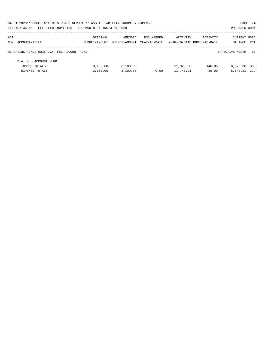| 04-01-2020**BUDGET ANALYSIS USAGE REPORT ** ASSET LIABILITY INCOME & EXPENSE |               |               |              |                            |          | PAGE 74              |  |
|------------------------------------------------------------------------------|---------------|---------------|--------------|----------------------------|----------|----------------------|--|
| TIME:07:36 AM - EFFECTIVE MONTH:03 - FOR MONTH ENDING 3-31-2020              |               |               |              |                            |          | PREPARER: 0004       |  |
| ACT                                                                          | ORIGINAL      | AMENDED       | ENCUMBERED   | ACTIVITY                   | ACTIVITY | <b>CURRENT USED</b>  |  |
| NUM ACCOUNT-TITLE                                                            | BUDGET-AMOUNT | BUDGET-AMOUNT | YEAR-TO-DATE | YEAR-TO-DATE MONTH-TO-DATE |          | BALANCE PCT          |  |
| REPORTING FUND: 0036 D.A. FEE ACCOUNT FUND                                   |               |               |              |                            |          | EFFECTIVE MONTH - 03 |  |
| D.A. FEE ACCOUNT FUND                                                        |               |               |              |                            |          |                      |  |
| INCOME TOTALS                                                                | 3,100.00      | 3,100.00      |              | 11,929.08                  | 146.85   | $8,829.08+385$       |  |
| <b>EXPENSE TOTALS</b>                                                        | 3.100.00      | 3.100.00      | 0.00         | 11,748.21                  | 80.00    | $8.648.21 - 379$     |  |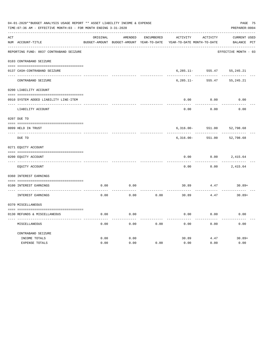| 04-01-2020**BUDGET ANALYSIS USAGE REPORT ** ASSET LIABILITY INCOME & EXPENSE<br>TIME: 07:36 AM - EFFECTIVE MONTH: 03 - FOR MONTH ENDING 3-31-2020<br>PREPARER: 0004 |                                                                                                                                                                                                                                                                                                                                                                                                                         |         |                   |                                          |          |                                    |  |  |  |
|---------------------------------------------------------------------------------------------------------------------------------------------------------------------|-------------------------------------------------------------------------------------------------------------------------------------------------------------------------------------------------------------------------------------------------------------------------------------------------------------------------------------------------------------------------------------------------------------------------|---------|-------------------|------------------------------------------|----------|------------------------------------|--|--|--|
|                                                                                                                                                                     | ORIGINAL                                                                                                                                                                                                                                                                                                                                                                                                                | AMENDED | <b>ENCUMBERED</b> | ACTIVITY                                 | ACTIVITY | CURRENT USED                       |  |  |  |
|                                                                                                                                                                     |                                                                                                                                                                                                                                                                                                                                                                                                                         |         |                   |                                          |          | BALANCE PCT                        |  |  |  |
|                                                                                                                                                                     |                                                                                                                                                                                                                                                                                                                                                                                                                         |         |                   |                                          |          | EFFECTIVE MONTH - 03               |  |  |  |
|                                                                                                                                                                     |                                                                                                                                                                                                                                                                                                                                                                                                                         |         |                   |                                          |          |                                    |  |  |  |
|                                                                                                                                                                     |                                                                                                                                                                                                                                                                                                                                                                                                                         |         |                   | $6, 285.11 -$                            | 555.47   | 55, 245. 21                        |  |  |  |
| CONTRABAND SEIZURE                                                                                                                                                  |                                                                                                                                                                                                                                                                                                                                                                                                                         |         |                   | $6, 285.11 -$                            | 555.47   | 55, 245. 21                        |  |  |  |
|                                                                                                                                                                     |                                                                                                                                                                                                                                                                                                                                                                                                                         |         |                   |                                          |          |                                    |  |  |  |
|                                                                                                                                                                     |                                                                                                                                                                                                                                                                                                                                                                                                                         |         |                   | 0.00                                     | 0.00     | 0.00                               |  |  |  |
| LIABILITY ACCOUNT                                                                                                                                                   |                                                                                                                                                                                                                                                                                                                                                                                                                         |         |                   | 0.00                                     | 0.00     | 0.00                               |  |  |  |
|                                                                                                                                                                     |                                                                                                                                                                                                                                                                                                                                                                                                                         |         |                   |                                          |          |                                    |  |  |  |
|                                                                                                                                                                     |                                                                                                                                                                                                                                                                                                                                                                                                                         |         |                   | $6,316.00 -$                             | 551.00   | 52,798.68                          |  |  |  |
| DUE TO                                                                                                                                                              |                                                                                                                                                                                                                                                                                                                                                                                                                         |         |                   | $6,316.00 -$                             | 551.00   | 52,798.68                          |  |  |  |
|                                                                                                                                                                     |                                                                                                                                                                                                                                                                                                                                                                                                                         |         |                   |                                          |          |                                    |  |  |  |
|                                                                                                                                                                     |                                                                                                                                                                                                                                                                                                                                                                                                                         |         |                   | 0.00                                     | 0.00     | 2,415.64                           |  |  |  |
| EQUITY ACCOUNT                                                                                                                                                      |                                                                                                                                                                                                                                                                                                                                                                                                                         |         |                   | 0.00                                     | 0.00     | 2,415.64                           |  |  |  |
|                                                                                                                                                                     |                                                                                                                                                                                                                                                                                                                                                                                                                         |         |                   |                                          |          |                                    |  |  |  |
|                                                                                                                                                                     | 0.00                                                                                                                                                                                                                                                                                                                                                                                                                    | 0.00    |                   | 30.89                                    | 4.47     | $30.89+$                           |  |  |  |
| INTEREST EARNINGS                                                                                                                                                   | 0.00                                                                                                                                                                                                                                                                                                                                                                                                                    | 0.00    | 0.00              | 30.89                                    | 4.47     | $30.89+$                           |  |  |  |
|                                                                                                                                                                     |                                                                                                                                                                                                                                                                                                                                                                                                                         |         |                   |                                          |          |                                    |  |  |  |
|                                                                                                                                                                     | 0.00                                                                                                                                                                                                                                                                                                                                                                                                                    | 0.00    |                   | 0.00                                     | 0.00     | 0.00                               |  |  |  |
| MISCELLANEOUS                                                                                                                                                       | 0.00                                                                                                                                                                                                                                                                                                                                                                                                                    | 0.00    | 0.00              | 0.00                                     | 0.00     | 0.00                               |  |  |  |
| CONTRABAND SEIZURE                                                                                                                                                  |                                                                                                                                                                                                                                                                                                                                                                                                                         |         |                   |                                          |          |                                    |  |  |  |
| EXPENSE TOTALS                                                                                                                                                      | 0.00                                                                                                                                                                                                                                                                                                                                                                                                                    | 0.00    | 0.00              | 0.00                                     | 0.00     | $30.89+$<br>0.00                   |  |  |  |
|                                                                                                                                                                     | NUM ACCOUNT-TITLE<br>REPORTING FUND: 0037 CONTRABAND SEIZURE<br>0103 CONTRABAND SEIZURE<br>0137 CASH-CONTRABAND SEIZURE<br>0200 LIABILITY ACCOUNT<br>0910 SYSTEM ADDED LIABILITY LINE-ITEM<br>0207 DUE TO<br>0099 HELD IN TRUST<br>$- - - - -$<br>0271 EQUITY ACCOUNT<br>0200 EQUITY ACCOUNT<br>0360 INTEREST EARNINGS<br>0100 INTEREST EARNINGS<br>0370 MISCELLANEOUS<br>0130 REFUNDS & MISCELLANEOUS<br>INCOME TOTALS | 0.00    | 0.00              | BUDGET-AMOUNT BUDGET-AMOUNT YEAR-TO-DATE | 30.89    | YEAR-TO-DATE MONTH-TO-DATE<br>4.47 |  |  |  |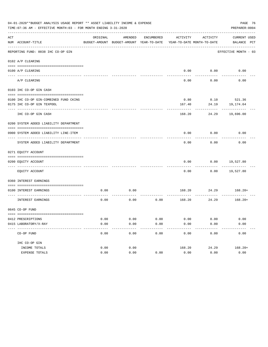|     | PAGE 76<br>04-01-2020**BUDGET ANALYSIS USAGE REPORT ** ASSET LIABILITY INCOME & EXPENSE<br>TIME: 07:36 AM - EFFECTIVE MONTH: 03 - FOR MONTH ENDING 3-31-2020<br>PREPARER: 0004 |          |                                                     |                       |          |                                        |                             |  |  |  |
|-----|--------------------------------------------------------------------------------------------------------------------------------------------------------------------------------|----------|-----------------------------------------------------|-----------------------|----------|----------------------------------------|-----------------------------|--|--|--|
| ACT | NUM ACCOUNT-TITLE                                                                                                                                                              | ORIGINAL | AMENDED<br>BUDGET-AMOUNT BUDGET-AMOUNT YEAR-TO-DATE | ENCUMBERED            | ACTIVITY | ACTIVITY<br>YEAR-TO-DATE MONTH-TO-DATE | CURRENT USED<br>BALANCE PCT |  |  |  |
|     | REPORTING FUND: 0038 IHC CO-OP GIN                                                                                                                                             |          |                                                     |                       |          |                                        | EFFECTIVE MONTH - 03        |  |  |  |
|     | 0102 A/P CLEARING                                                                                                                                                              |          |                                                     |                       |          |                                        |                             |  |  |  |
|     | 0100 A/P CLEARING                                                                                                                                                              |          |                                                     |                       |          | 0.00 0.00                              | 0.00                        |  |  |  |
|     | A/P CLEARING                                                                                                                                                                   |          |                                                     |                       | 0.00     | 0.00                                   | 0.00                        |  |  |  |
|     | 0103 IHC CO-OP GIN CASH                                                                                                                                                        |          |                                                     |                       |          |                                        |                             |  |  |  |
|     | 0100 IHC CO-OP GIN-COMBINED FUND CKING                                                                                                                                         |          |                                                     |                       | 0.80     |                                        | $0.10$ 521.36               |  |  |  |
|     | 0175 IHC CO-OP GIN TEXPOOL                                                                                                                                                     |          |                                                     |                       | 167.40   | 24.19                                  | 19,174.64                   |  |  |  |
|     | IHC CO-OP GIN CASH                                                                                                                                                             |          |                                                     |                       | 168.20   | 24.29                                  | 19,696.00                   |  |  |  |
|     | 0200 SYSTEM ADDED LIABILITY DEPARTMENT                                                                                                                                         |          |                                                     |                       |          |                                        |                             |  |  |  |
|     | 0900 SYSTEM ADDED LIABILITY LINE-ITEM                                                                                                                                          |          |                                                     |                       | 0.00     | 0.00                                   | 0.00                        |  |  |  |
|     |                                                                                                                                                                                |          |                                                     |                       |          |                                        |                             |  |  |  |
|     | SYSTEM ADDED LIABILITY DEPARTMENT                                                                                                                                              |          |                                                     |                       | 0.00     | 0.00                                   | 0.00                        |  |  |  |
|     | 0271 EQUITY ACCOUNT                                                                                                                                                            |          |                                                     |                       |          |                                        |                             |  |  |  |
|     | 0200 EQUITY ACCOUNT                                                                                                                                                            |          |                                                     |                       | 0.00     |                                        | $0.00$ 19,527.80            |  |  |  |
|     | EQUITY ACCOUNT                                                                                                                                                                 |          |                                                     |                       | 0.00     |                                        | $0.00$ 19,527.80            |  |  |  |
|     | 0360 INTEREST EARNINGS                                                                                                                                                         |          |                                                     |                       |          |                                        |                             |  |  |  |
|     | 0100 INTEREST EARNINGS                                                                                                                                                         | 0.00     | 0.00                                                |                       |          |                                        | 168.20 24.29 168.20+        |  |  |  |
|     | INTEREST EARNINGS                                                                                                                                                              | 0.00     | 0.00                                                | 0.00                  |          | ----------<br>168.20 24.29             | $168.20+$                   |  |  |  |
|     | 0645 CO-OP FUND                                                                                                                                                                |          |                                                     |                       |          |                                        |                             |  |  |  |
|     | 0412 PRESCRIPTIONS                                                                                                                                                             | 0.00     | 0.00                                                | 0.00                  | 0.00     | 0.00                                   |                             |  |  |  |
|     | 0415 LABORATORY/X-RAY                                                                                                                                                          | 0.00     | 0.00                                                | 0.00                  | 0.00     | 0.00                                   | 0.00<br>0.00                |  |  |  |
|     | -----------------------------------<br>CO-OP FUND                                                                                                                              | 0.00     | 0.00                                                | $- - - - - -$<br>0.00 | 0.00     | 0.00                                   | 0.00                        |  |  |  |
|     | IHC CO-OP GIN                                                                                                                                                                  |          |                                                     |                       |          |                                        |                             |  |  |  |
|     | INCOME TOTALS                                                                                                                                                                  | 0.00     | 0.00                                                |                       | 168.20   | 24.29                                  | $168.20+$                   |  |  |  |
|     | EXPENSE TOTALS                                                                                                                                                                 | 0.00     | 0.00                                                | 0.00                  | 0.00     | 0.00                                   | 0.00                        |  |  |  |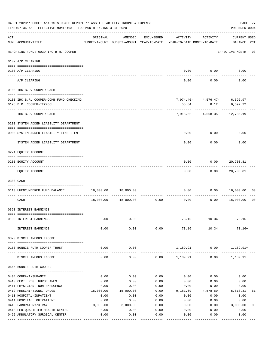|     | 04-01-2020**BUDGET ANALYSIS USAGE REPORT ** ASSET LIABILITY INCOME & EXPENSE<br>PAGE 77<br>TIME: 07:36 AM - EFFECTIVE MONTH: 03 - FOR MONTH ENDING 3-31-2020<br>PREPARER: 0004 |           |                                                     |            |                                        |                               |                                    |                |  |  |
|-----|--------------------------------------------------------------------------------------------------------------------------------------------------------------------------------|-----------|-----------------------------------------------------|------------|----------------------------------------|-------------------------------|------------------------------------|----------------|--|--|
| ACT | NUM ACCOUNT-TITLE                                                                                                                                                              | ORIGINAL  | AMENDED<br>BUDGET-AMOUNT BUDGET-AMOUNT YEAR-TO-DATE | ENCUMBERED | ACTIVITY<br>YEAR-TO-DATE MONTH-TO-DATE | ACTIVITY                      | <b>CURRENT USED</b><br>BALANCE PCT |                |  |  |
|     | REPORTING FUND: 0039 IHC B.R. COOPER                                                                                                                                           |           |                                                     |            |                                        |                               | EFFECTIVE MONTH - 03               |                |  |  |
|     | 0102 A/P CLEARING                                                                                                                                                              |           |                                                     |            |                                        |                               |                                    |                |  |  |
|     | 0100 A/P CLEARING<br>---- --------                                                                                                                                             |           |                                                     |            |                                        | $0.00$ 0.00                   | 0.00                               |                |  |  |
|     | A/P CLEARING                                                                                                                                                                   |           |                                                     |            | 0.00                                   | 0.00                          | 0.00                               |                |  |  |
|     | 0103 IHC B.R. COOPER CASH                                                                                                                                                      |           |                                                     |            |                                        |                               |                                    |                |  |  |
|     | 0100 IHC B.R. COOPER-COMB.FUND CHECKING<br>0175 B.R. COOPER-TEXPOOL                                                                                                            |           |                                                     |            | 55.84                                  | 7,974.46- 4,576.47- 6,392.97  | 8.12 6,392.22                      |                |  |  |
|     | IHC B.R. COOPER CASH                                                                                                                                                           |           |                                                     |            |                                        | 7,918.62- 4,568.35- 12,785.19 |                                    |                |  |  |
|     | 0200 SYSTEM ADDED LIABILITY DEPARTMENT                                                                                                                                         |           |                                                     |            |                                        |                               |                                    |                |  |  |
|     | 0900 SYSTEM ADDED LIABILITY LINE-ITEM                                                                                                                                          |           |                                                     |            | 0.00                                   | 0.00                          | 0.00                               |                |  |  |
|     | SYSTEM ADDED LIABILITY DEPARTMENT                                                                                                                                              |           |                                                     |            | 0.00                                   | 0.00                          | 0.00                               |                |  |  |
|     | 0271 EQUITY ACCOUNT                                                                                                                                                            |           |                                                     |            |                                        |                               |                                    |                |  |  |
|     | 0200 EQUITY ACCOUNT                                                                                                                                                            |           |                                                     |            | 0.00                                   | 0.00                          | 20,703.81                          |                |  |  |
|     | EQUITY ACCOUNT                                                                                                                                                                 |           |                                                     |            | 0.00                                   | 0.00                          | 20,703.81                          |                |  |  |
|     | 0300 CASH                                                                                                                                                                      |           |                                                     |            |                                        |                               |                                    |                |  |  |
|     | 0110 UNENCUMBERED FUND BALANCE                                                                                                                                                 | 18,000.00 | 18,000.00                                           |            | 0.00                                   | 0.00                          | 18,000.00                          | 00             |  |  |
|     | CASH                                                                                                                                                                           | 18,000.00 | 18,000.00                                           | 0.00       | 0.00                                   | 0.00                          | 18,000.00                          | 0 <sub>0</sub> |  |  |
|     | 0360 INTEREST EARNINGS                                                                                                                                                         |           |                                                     |            |                                        |                               |                                    |                |  |  |
|     | 0100 INTEREST EARNINGS                                                                                                                                                         | 0.00      | 0.00                                                |            | 73.16                                  | 10.34                         | $73.16+$                           |                |  |  |
|     | INTEREST EARNINGS                                                                                                                                                              | 0.00      | 0.00                                                | 0.00       | 73.16                                  | 10.34                         | $73.16+$                           |                |  |  |
|     | 0370 MISCELLANEOUS INCOME                                                                                                                                                      |           |                                                     |            |                                        |                               |                                    |                |  |  |
|     | 0150 BONNIE RUTH COOPER TRUST                                                                                                                                                  | 0.00      | 0.00                                                |            | 1,189.91                               | 0.00                          | $1,189.91+$                        |                |  |  |
|     | MISCELLANEOUS INCOME                                                                                                                                                           | 0.00      | 0.00                                                |            | -------------<br>$0.00$ 1,189.91       | 0.00                          | $1,189.91+$                        |                |  |  |
|     | 0645 BONNIE RUTH COOPER                                                                                                                                                        |           |                                                     |            |                                        |                               |                                    |                |  |  |
|     | 0404 COBRA/INSURANCE                                                                                                                                                           | 0.00      | 0.00                                                | 0.00       | 0.00                                   | 0.00                          | 0.00                               |                |  |  |
|     | 0410 CERT. REG. NURSE ANES.                                                                                                                                                    | 0.00      | 0.00                                                | 0.00       | 0.00                                   | 0.00                          | 0.00                               |                |  |  |
|     | 0411 PHYSICIAN, NON-EMERGENCY                                                                                                                                                  | 0.00      | 0.00                                                | 0.00       | 0.00                                   | 0.00                          | 0.00                               |                |  |  |
|     | 0412 PRESCRIPTIONS, DRUGS                                                                                                                                                      | 15,000.00 | 15,000.00                                           | 0.00       | 9,181.69                               | 4,578.69                      | 5,818.31                           | 61             |  |  |
|     | 0413 HOSPITAL-INPATIENT                                                                                                                                                        | 0.00      | 0.00                                                | 0.00       | 0.00                                   | 0.00                          | 0.00                               |                |  |  |
|     | 0414 HOSPITAL, OUTPATIENT                                                                                                                                                      | 0.00      | 0.00                                                | 0.00       | 0.00                                   | 0.00                          | 0.00                               |                |  |  |
|     | 0415 LABORATORY/X-RAY                                                                                                                                                          | 3,000.00  | 3,000.00                                            | 0.00       | 0.00                                   | 0.00                          | 3,000.00                           | 0 <sub>0</sub> |  |  |
|     | 0418 FED. QUALIFIED HEALTH CENTER                                                                                                                                              | 0.00      | 0.00                                                | 0.00       | 0.00                                   | 0.00                          | 0.00                               |                |  |  |
|     | 0422 AMBULATORY SURGICAL CENTER                                                                                                                                                | 0.00      | 0.00<br>-----------                                 | 0.00       | 0.00                                   | 0.00                          | 0.00<br>---------                  |                |  |  |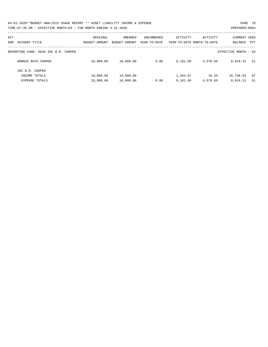| 04-01-2020**BUDGET ANALYSIS USAGE REPORT ** ASSET LIABILITY INCOME & EXPENSE | PAGE 78        |
|------------------------------------------------------------------------------|----------------|
| TIME:07:36 AM - EFFECTIVE MONTH:03 - FOR MONTH ENDING 3-31-2020              | PREPARER: 0004 |

| ACT<br>ACCOUNT-TITLE<br>NUM          | ORIGINAL<br>BUDGET-AMOUNT | AMENDED<br>BUDGET-AMOUNT | ENCUMBERED<br>YEAR-TO-DATE | ACTIVITY | ACTIVITY<br>YEAR-TO-DATE MONTH-TO-DATE | <b>CURRENT USED</b><br>BALANCE | PCT |
|--------------------------------------|---------------------------|--------------------------|----------------------------|----------|----------------------------------------|--------------------------------|-----|
| REPORTING FUND: 0039 IHC B.R. COOPER |                           |                          |                            |          |                                        | EFFECTIVE MONTH - 03           |     |
| BONNIE RUTH COOPER                   | 18,000.00                 | 18,000.00                | 0.00                       | 9,181.69 | 4,578.69                               | 8,818.31                       | 51  |
| IHC B.R. COOPER                      |                           |                          |                            |          |                                        |                                |     |
| INCOME TOTALS                        | 18,000.00                 | 18,000.00                |                            | 1,263.07 | 10.34                                  | 16,736.93                      | 07  |
| <b>EXPENSE TOTALS</b>                | 18,000.00                 | 18,000.00                | 0.00                       | 9,181.69 | 4,578.69                               | 8,818.31                       | 51  |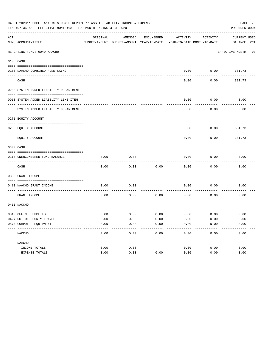|     | TIME: 07:36 AM - EFFECTIVE MONTH: 03 - FOR MONTH ENDING 3-31-2020 |          |                                          |            |                            |             | PREPARER: 0004       |  |
|-----|-------------------------------------------------------------------|----------|------------------------------------------|------------|----------------------------|-------------|----------------------|--|
| ACT |                                                                   | ORIGINAL | AMENDED                                  | ENCUMBERED | ACTIVITY                   | ACTIVITY    | <b>CURRENT USED</b>  |  |
|     | NUM ACCOUNT-TITLE<br>---------------------------                  |          | BUDGET-AMOUNT BUDGET-AMOUNT YEAR-TO-DATE |            | YEAR-TO-DATE MONTH-TO-DATE |             | BALANCE PCT          |  |
|     | REPORTING FUND: 0040 NAACHO                                       |          |                                          |            |                            |             | EFFECTIVE MONTH - 03 |  |
|     | 0103 CASH                                                         |          |                                          |            |                            |             |                      |  |
|     |                                                                   |          |                                          |            |                            |             |                      |  |
|     | 0100 NAACHO-COMBINED FUND CKING                                   |          |                                          |            | 0.00                       | 0.00        | 381.73               |  |
|     | CASH                                                              |          |                                          |            | 0.00                       | 0.00        | 381.73               |  |
|     | 0200 SYSTEM ADDED LIABILITY DEPARTMENT                            |          |                                          |            |                            |             |                      |  |
|     | 0910 SYSTEM ADDED LIABILITY LINE-ITEM                             |          |                                          |            | 0.00                       | 0.00        | 0.00                 |  |
|     | SYSTEM ADDED LIABILITY DEPARTMENT                                 |          |                                          |            | 0.00                       | 0.00        | 0.00                 |  |
|     | 0271 EQUITY ACCOUNT                                               |          |                                          |            |                            |             |                      |  |
|     |                                                                   |          |                                          |            |                            |             |                      |  |
|     | 0200 EQUITY ACCOUNT<br>--------------------- --------             |          |                                          |            | 0.00                       | 0.00        | 381.73               |  |
|     | EQUITY ACCOUNT                                                    |          |                                          |            | 0.00                       | 0.00        | 381.73               |  |
|     | 0300 CASH                                                         |          |                                          |            |                            |             |                      |  |
|     | 0110 UNENCUMBERED FUND BALANCE                                    | 0.00     | 0.00                                     |            | 0.00                       | 0.00        | 0.00                 |  |
|     | CASH                                                              | 0.00     | 0.00                                     | 0.00       | 0.00                       | 0.00        | 0.00                 |  |
|     | 0330 GRANT INCOME                                                 |          |                                          |            |                            |             |                      |  |
|     | 0410 NAACHO GRANT INCOME                                          | 0.00     | 0.00                                     |            | 0.00                       | 0.00        | 0.00                 |  |
|     | ----------------- --<br>GRANT INCOME                              | 0.00     | 0.00                                     | 0.00       | 0.00                       | 0.00        | 0.00                 |  |
|     | 0411 NACCHO                                                       |          |                                          |            |                            |             |                      |  |
|     | 0310 OFFICE SUPPLIES                                              | 0.00     | 0.00                                     | 0.00       |                            | $0.00$ 0.00 | 0.00                 |  |
|     | 0427 OUT OF COUNTY TRAVEL                                         | 0.00     | 0.00                                     | 0.00       | 0.00                       | 0.00        | 0.00                 |  |
|     | 0574 COMPUTER EQUIPMENT                                           | 0.00     | 0.00                                     | 0.00       | 0.00                       | 0.00        | 0.00                 |  |
|     | NACCHO                                                            | 0.00     | 0.00                                     | 0.00       | 0.00                       | 0.00        | 0.00                 |  |
|     | NAACHO                                                            |          |                                          |            |                            |             |                      |  |
|     | INCOME TOTALS                                                     | 0.00     | 0.00                                     |            | 0.00                       | 0.00        | 0.00                 |  |
|     | EXPENSE TOTALS                                                    | 0.00     | 0.00                                     | 0.00       | 0.00                       | 0.00        | 0.00                 |  |
|     |                                                                   |          |                                          |            |                            |             |                      |  |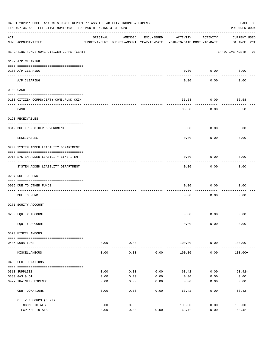| 04-01-2020**BUDGET ANALYSIS USAGE REPORT ** ASSET LIABILITY INCOME & EXPENSE<br>PAGE 80<br>TIME: 07:36 AM - EFFECTIVE MONTH: 03 - FOR MONTH ENDING 3-31-2020<br>PREPARER: 0004 |                                           |                                                                                 |                     |            |                 |                    |                                    |  |  |
|--------------------------------------------------------------------------------------------------------------------------------------------------------------------------------|-------------------------------------------|---------------------------------------------------------------------------------|---------------------|------------|-----------------|--------------------|------------------------------------|--|--|
| ACT                                                                                                                                                                            | NUM ACCOUNT-TITLE                         | ORIGINAL<br>BUDGET-AMOUNT BUDGET-AMOUNT YEAR-TO-DATE YEAR-TO-DATE MONTH-TO-DATE | AMENDED             | ENCUMBERED | ACTIVITY        | ACTIVITY           | <b>CURRENT USED</b><br>BALANCE PCT |  |  |
|                                                                                                                                                                                | REPORTING FUND: 0041 CITIZEN CORPS (CERT) |                                                                                 |                     |            |                 |                    | EFFECTIVE MONTH - 03               |  |  |
|                                                                                                                                                                                | 0102 A/P CLEARING                         |                                                                                 |                     |            |                 |                    |                                    |  |  |
|                                                                                                                                                                                | 0100 A/P CLEARING                         |                                                                                 |                     |            |                 | $0.00$ 0.00        | 0.00                               |  |  |
|                                                                                                                                                                                | A/P CLEARING                              |                                                                                 |                     |            | 0.00            | ----------<br>0.00 | 0.00                               |  |  |
|                                                                                                                                                                                | 0103 CASH                                 |                                                                                 |                     |            |                 |                    |                                    |  |  |
|                                                                                                                                                                                | 0100 CITIZEN CORPS (CERT)-COMB. FUND CKIN |                                                                                 |                     |            | 36.58           | 0.00               | 36.58                              |  |  |
|                                                                                                                                                                                | CASH                                      |                                                                                 |                     |            | 36.58           | ---------<br>0.00  | 36.58                              |  |  |
|                                                                                                                                                                                | 0120 RECEIVABLES                          |                                                                                 |                     |            |                 |                    |                                    |  |  |
|                                                                                                                                                                                |                                           |                                                                                 |                     |            |                 |                    |                                    |  |  |
|                                                                                                                                                                                | 0312 DUE FROM OTHER GOVERNMENTS           |                                                                                 |                     |            | 0.00            | 0.00               | 0.00                               |  |  |
|                                                                                                                                                                                | RECEIVABLES                               |                                                                                 |                     |            | 0.00            | 0.00               | 0.00                               |  |  |
|                                                                                                                                                                                | 0200 SYSTEM ADDED LIABILITY DEPARTMENT    |                                                                                 |                     |            |                 |                    |                                    |  |  |
|                                                                                                                                                                                | 0910 SYSTEM ADDED LIABILITY LINE-ITEM     |                                                                                 |                     |            | 0.00            | 0.00               | 0.00                               |  |  |
|                                                                                                                                                                                | SYSTEM ADDED LIABILITY DEPARTMENT         |                                                                                 |                     |            | 0.00            | ---------<br>0.00  | 0.00                               |  |  |
|                                                                                                                                                                                | 0207 DUE TO FUND                          |                                                                                 |                     |            |                 |                    |                                    |  |  |
|                                                                                                                                                                                | 0095 DUE TO OTHER FUNDS                   |                                                                                 |                     |            | 0.00            | 0.00               | 0.00                               |  |  |
|                                                                                                                                                                                | DUE TO FUND                               |                                                                                 |                     |            | 0.00            | 0.00               | 0.00                               |  |  |
|                                                                                                                                                                                | 0271 EQUITY ACCOUNT                       |                                                                                 |                     |            |                 |                    |                                    |  |  |
|                                                                                                                                                                                | 0200 EQUITY ACCOUNT                       |                                                                                 |                     |            |                 | $0.00$ $0.00$      | 0.00                               |  |  |
|                                                                                                                                                                                | EQUITY ACCOUNT                            |                                                                                 |                     |            | 0.00            | 0.00               | 0.00                               |  |  |
|                                                                                                                                                                                | 0370 MISCELLANEOUS                        |                                                                                 |                     |            |                 |                    |                                    |  |  |
|                                                                                                                                                                                | 0406 DONATIONS                            | 0.00                                                                            | 0.00                |            | 100.00          | 0.00               | $100.00+$                          |  |  |
|                                                                                                                                                                                | MISCELLANEOUS                             | ------ --------------<br>0.00                                                   | -----------<br>0.00 | 0.00       | 100.00          | ----------<br>0.00 | $100.00+$                          |  |  |
|                                                                                                                                                                                | 0406 CERT DONATIONS                       |                                                                                 |                     |            |                 |                    |                                    |  |  |
|                                                                                                                                                                                | 0310 SUPPLIES                             | 0.00                                                                            | 0.00                | 0.00       | 63.42           | 0.00               | $63.42-$                           |  |  |
|                                                                                                                                                                                | 0330 GAS & OIL                            | 0.00                                                                            | 0.00                | 0.00       | 0.00            | 0.00               | 0.00                               |  |  |
|                                                                                                                                                                                | 0427 TRAINING EXPENSE                     | 0.00                                                                            | 0.00                | 0.00       | 0.00            | 0.00               | 0.00                               |  |  |
|                                                                                                                                                                                | CERT DONATIONS                            | 0.00                                                                            | 0.00                | 0.00       | 63.42           | 0.00               | $63.42-$                           |  |  |
|                                                                                                                                                                                | CITIZEN CORPS (CERT)                      |                                                                                 |                     |            |                 |                    |                                    |  |  |
|                                                                                                                                                                                | INCOME TOTALS<br>EXPENSE TOTALS           | 0.00<br>0.00                                                                    | 0.00<br>0.00        | 0.00       | 100.00<br>63.42 | 0.00<br>0.00       | $100.00+$<br>$63.42-$              |  |  |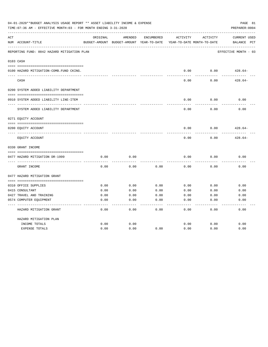| 04-01-2020**BUDGET ANALYSIS USAGE REPORT ** ASSET LIABILITY INCOME & EXPENSE<br>TIME: 07:36 AM - EFFECTIVE MONTH: 03 - FOR MONTH ENDING 3-31-2020<br>PREPARER: 0004 |                                             |              |                                                     |              |              |                                        |                                                |  |
|---------------------------------------------------------------------------------------------------------------------------------------------------------------------|---------------------------------------------|--------------|-----------------------------------------------------|--------------|--------------|----------------------------------------|------------------------------------------------|--|
| ACT                                                                                                                                                                 | NUM ACCOUNT-TITLE                           | ORIGINAL     | AMENDED<br>BUDGET-AMOUNT BUDGET-AMOUNT YEAR-TO-DATE | ENCUMBERED   | ACTIVITY     | ACTIVITY<br>YEAR-TO-DATE MONTH-TO-DATE | <b>CURRENT USED</b><br>$_{\rm PCT}$<br>BALANCE |  |
|                                                                                                                                                                     | REPORTING FUND: 0042 HAZARD MITIGATION PLAN |              |                                                     |              |              |                                        | EFFECTIVE MONTH - 03                           |  |
|                                                                                                                                                                     | 0103 CASH                                   |              |                                                     |              |              |                                        |                                                |  |
|                                                                                                                                                                     | 0100 HAZARD MITIGATION-COMB.FUND CKING.     |              |                                                     |              | 0.00         | 0.00                                   | $428.64-$                                      |  |
|                                                                                                                                                                     | CASH                                        |              |                                                     |              | 0.00         | 0.00                                   | $428.64-$                                      |  |
|                                                                                                                                                                     | 0200 SYSTEM ADDED LIABILITY DEPARTMENT      |              |                                                     |              |              |                                        |                                                |  |
|                                                                                                                                                                     |                                             |              |                                                     |              |              |                                        |                                                |  |
|                                                                                                                                                                     | 0910 SYSTEM ADDED LIABILITY LINE-ITEM       |              |                                                     |              | 0.00         | 0.00                                   | 0.00                                           |  |
|                                                                                                                                                                     | SYSTEM ADDED LIABILITY DEPARTMENT           |              |                                                     |              | 0.00         | 0.00                                   | 0.00                                           |  |
|                                                                                                                                                                     | 0271 EQUITY ACCOUNT                         |              |                                                     |              |              |                                        |                                                |  |
|                                                                                                                                                                     | 0200 EQUITY ACCOUNT                         |              |                                                     |              | 0.00         | 0.00                                   | $428.64-$                                      |  |
|                                                                                                                                                                     | EOUITY ACCOUNT                              |              |                                                     |              | 0.00         | 0.00                                   | $428.64-$                                      |  |
|                                                                                                                                                                     | 0330 GRANT INCOME                           |              |                                                     |              |              |                                        |                                                |  |
|                                                                                                                                                                     |                                             |              |                                                     |              |              |                                        |                                                |  |
|                                                                                                                                                                     | 0477 HAZARD MITIGATION DR-1999              | 0.00         | 0.00                                                |              | 0.00         | 0.00                                   | 0.00                                           |  |
|                                                                                                                                                                     | GRANT INCOME                                | 0.00         | 0.00                                                | 0.00         | 0.00         | 0.00                                   | 0.00                                           |  |
|                                                                                                                                                                     | 0477 HAZARD MITIGATION GRANT                |              |                                                     |              |              |                                        |                                                |  |
|                                                                                                                                                                     |                                             |              |                                                     |              |              |                                        | 0.00                                           |  |
|                                                                                                                                                                     | 0310 OFFICE SUPPLIES<br>0415 CONSULTANT     | 0.00<br>0.00 | 0.00<br>0.00                                        | 0.00<br>0.00 | 0.00<br>0.00 | 0.00<br>0.00                           | 0.00                                           |  |
|                                                                                                                                                                     | 0427 TRAVEL AND TRAINING                    | 0.00         | 0.00                                                | 0.00         | 0.00         | 0.00                                   | 0.00                                           |  |
|                                                                                                                                                                     | 0574 COMPUTER EQUIPMENT                     | 0.00         | 0.00                                                | 0.00         | 0.00         | 0.00                                   | 0.00                                           |  |
|                                                                                                                                                                     | HAZARD MITIGATION GRANT                     | 0.00         | 0.00                                                | 0.00         | 0.00         | 0.00                                   | 0.00                                           |  |
|                                                                                                                                                                     | HAZARD MITIGATION PLAN                      |              |                                                     |              |              |                                        |                                                |  |
|                                                                                                                                                                     | INCOME TOTALS                               | 0.00         | 0.00                                                |              | 0.00         | 0.00                                   | 0.00                                           |  |
|                                                                                                                                                                     | <b>EXPENSE TOTALS</b>                       | 0.00         | 0.00                                                | 0.00         | 0.00         | 0.00                                   | 0.00                                           |  |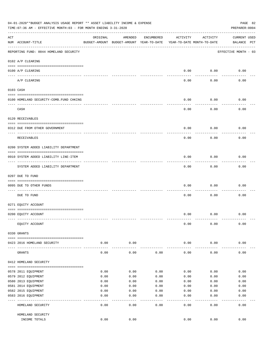|     | 04-01-2020**BUDGET ANALYSIS USAGE REPORT ** ASSET LIABILITY INCOME & EXPENSE<br>PAGE 82<br>TIME: 07:36 AM - EFFECTIVE MONTH: 03 - FOR MONTH ENDING 3-31-2020<br>PREPARER: 0004 |          |                                                     |              |                                        |           |                                    |  |  |  |
|-----|--------------------------------------------------------------------------------------------------------------------------------------------------------------------------------|----------|-----------------------------------------------------|--------------|----------------------------------------|-----------|------------------------------------|--|--|--|
| ACT | NUM ACCOUNT-TITLE                                                                                                                                                              | ORIGINAL | AMENDED<br>BUDGET-AMOUNT BUDGET-AMOUNT YEAR-TO-DATE | ENCUMBERED   | ACTIVITY<br>YEAR-TO-DATE MONTH-TO-DATE | ACTIVITY  | <b>CURRENT USED</b><br>BALANCE PCT |  |  |  |
|     | REPORTING FUND: 0044 HOMELAND SECURITY                                                                                                                                         |          |                                                     |              |                                        |           | EFFECTIVE MONTH - 03               |  |  |  |
|     | 0102 A/P CLEARING                                                                                                                                                              |          |                                                     |              |                                        |           |                                    |  |  |  |
|     | 0100 A/P CLEARING<br>---- ----------                                                                                                                                           |          |                                                     |              | 0.00                                   | 0.00      | 0.00                               |  |  |  |
|     | A/P CLEARING                                                                                                                                                                   |          |                                                     |              | 0.00                                   | 0.00      | 0.00                               |  |  |  |
|     | 0103 CASH                                                                                                                                                                      |          |                                                     |              |                                        |           |                                    |  |  |  |
|     | 0100 HOMELAND SECURITY-COMB.FUND CHKING                                                                                                                                        |          |                                                     |              | 0.00                                   | 0.00      | 0.00                               |  |  |  |
|     | CASH                                                                                                                                                                           |          |                                                     |              | 0.00                                   | 0.00      | 0.00                               |  |  |  |
|     | 0120 RECEIVABLES                                                                                                                                                               |          |                                                     |              |                                        |           |                                    |  |  |  |
|     |                                                                                                                                                                                |          |                                                     |              |                                        |           |                                    |  |  |  |
|     | 0312 DUE FROM OTHER GOVERNMENT                                                                                                                                                 |          |                                                     |              | 0.00                                   | 0.00      | 0.00                               |  |  |  |
|     | RECEIVABLES                                                                                                                                                                    |          |                                                     |              | 0.00                                   | 0.00      | 0.00                               |  |  |  |
|     | 0200 SYSTEM ADDED LIABILITY DEPARTMENT                                                                                                                                         |          |                                                     |              |                                        |           |                                    |  |  |  |
|     | 0910 SYSTEM ADDED LIABILITY LINE-ITEM                                                                                                                                          |          |                                                     |              | 0.00                                   | 0.00      | 0.00                               |  |  |  |
|     | SYSTEM ADDED LIABILITY DEPARTMENT                                                                                                                                              |          |                                                     |              | 0.00                                   | 0.00      | 0.00                               |  |  |  |
|     | 0207 DUE TO FUND                                                                                                                                                               |          |                                                     |              |                                        |           |                                    |  |  |  |
|     | 0095 DUE TO OTHER FUNDS                                                                                                                                                        |          |                                                     |              | 0.00                                   | 0.00      | 0.00                               |  |  |  |
|     | DUE TO FUND                                                                                                                                                                    |          |                                                     |              | 0.00                                   | 0.00      | 0.00                               |  |  |  |
|     | 0271 EQUITY ACCOUNT                                                                                                                                                            |          |                                                     |              |                                        |           |                                    |  |  |  |
|     | 0200 EQUITY ACCOUNT                                                                                                                                                            |          |                                                     |              | 0.00                                   | 0.00      | 0.00                               |  |  |  |
|     | EQUITY ACCOUNT                                                                                                                                                                 |          |                                                     |              | 0.00                                   | 0.00      | 0.00                               |  |  |  |
|     | 0330 GRANTS                                                                                                                                                                    |          |                                                     |              |                                        |           |                                    |  |  |  |
|     | 0423 2016 HOMELAND SECURITY                                                                                                                                                    | 0.00     | 0.00                                                |              | 0.00                                   | 0.00      | 0.00                               |  |  |  |
|     | GRANTS                                                                                                                                                                         | 0.00     | 0.00                                                | 0.00         | 0.00                                   | 0.00      | 0.00                               |  |  |  |
|     | 0412 HOMELAND SECURITY                                                                                                                                                         |          |                                                     |              |                                        |           |                                    |  |  |  |
|     | 0578 2011 EQUIPMENT                                                                                                                                                            | 0.00     | 0.00                                                | 0.00         | 0.00                                   | 0.00      | 0.00                               |  |  |  |
|     | 0579 2012 EQUIPMENT                                                                                                                                                            | 0.00     | 0.00                                                | 0.00         | 0.00                                   | 0.00      | 0.00                               |  |  |  |
|     | 0580 2013 EQUIPMENT                                                                                                                                                            | 0.00     | 0.00                                                | 0.00         | 0.00                                   | 0.00      | 0.00                               |  |  |  |
|     | 0581 2014 EQUIPMENT                                                                                                                                                            | 0.00     | 0.00                                                | 0.00         | 0.00                                   | 0.00      | 0.00                               |  |  |  |
|     | 0582 2015 EQUIPMENT                                                                                                                                                            | 0.00     | 0.00                                                | 0.00         | 0.00                                   | 0.00      | 0.00                               |  |  |  |
|     | 0583 2016 EQUIPMENT                                                                                                                                                            | 0.00     | 0.00                                                | 0.00         | 0.00                                   | 0.00      | 0.00                               |  |  |  |
|     | HOMELAND SECURITY                                                                                                                                                              | 0.00     | - - - -<br>0.00                                     | ----<br>0.00 | $---$<br>0.00                          | .<br>0.00 | 0.00                               |  |  |  |
|     |                                                                                                                                                                                |          |                                                     |              |                                        |           |                                    |  |  |  |
|     | HOMELAND SECURITY                                                                                                                                                              |          |                                                     |              |                                        |           |                                    |  |  |  |
|     | INCOME TOTALS                                                                                                                                                                  | 0.00     | 0.00                                                |              | 0.00                                   | 0.00      | 0.00                               |  |  |  |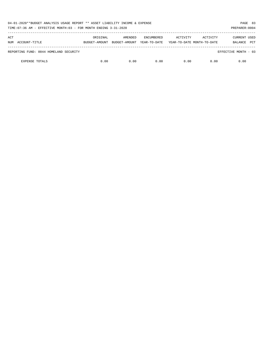| 04-01-2020**BUDGET ANALYSIS USAGE REPORT ** ASSET LIABILITY INCOME & EXPENSE<br>TIME: 07:36 AM - EFFECTIVE MONTH: 03 - FOR MONTH ENDING 3-31-2020 |               |               |                   |                            |          |                       |  |  |
|---------------------------------------------------------------------------------------------------------------------------------------------------|---------------|---------------|-------------------|----------------------------|----------|-----------------------|--|--|
| ACT                                                                                                                                               | ORIGINAL      | AMENDED       | <b>ENCUMBERED</b> | ACTIVITY                   | ACTIVITY | CURRENT USED          |  |  |
| NUM ACCOUNT-TITLE                                                                                                                                 | BUDGET-AMOUNT | BUDGET-AMOUNT | YEAR-TO-DATE      | YEAR-TO-DATE MONTH-TO-DATE |          | <b>PCT</b><br>BALANCE |  |  |
| REPORTING FUND: 0044 HOMELAND SECURITY                                                                                                            |               |               |                   |                            |          | EFFECTIVE MONTH - 03  |  |  |
| <b>EXPENSE TOTALS</b>                                                                                                                             | 0.00          | 0.00          | 0.00              | 0.00                       | 0.00     | 0.00                  |  |  |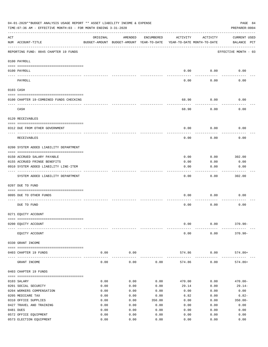|     | 04-01-2020**BUDGET ANALYSIS USAGE REPORT ** ASSET LIABILITY INCOME & EXPENSE<br>PAGE 84<br>TIME: 07:36 AM - EFFECTIVE MONTH: 03 - FOR MONTH ENDING 3-31-2020<br>PREPARER: 0004 |              |                                                     |              |                                        |                      |                                    |  |  |  |  |
|-----|--------------------------------------------------------------------------------------------------------------------------------------------------------------------------------|--------------|-----------------------------------------------------|--------------|----------------------------------------|----------------------|------------------------------------|--|--|--|--|
| ACT | NUM ACCOUNT-TITLE                                                                                                                                                              | ORIGINAL     | AMENDED<br>BUDGET-AMOUNT BUDGET-AMOUNT YEAR-TO-DATE | ENCUMBERED   | ACTIVITY<br>YEAR-TO-DATE MONTH-TO-DATE | ACTIVITY             | <b>CURRENT USED</b><br>BALANCE PCT |  |  |  |  |
|     | REPORTING FUND: 0045 CHAPTER 19 FUNDS                                                                                                                                          |              |                                                     |              |                                        |                      | EFFECTIVE MONTH - 03               |  |  |  |  |
|     | 0100 PAYROLL                                                                                                                                                                   |              |                                                     |              |                                        |                      |                                    |  |  |  |  |
|     | 0100 PAYROLL                                                                                                                                                                   |              |                                                     |              | 0.00                                   | 0.00                 | 0.00                               |  |  |  |  |
|     | ---- ------<br>PAYROLL                                                                                                                                                         |              |                                                     |              | 0.00                                   | 0.00                 | 0.00                               |  |  |  |  |
|     | 0103 CASH                                                                                                                                                                      |              |                                                     |              |                                        |                      |                                    |  |  |  |  |
|     | 0100 CHAPTER 19-COMBINED FUNDS CHECKING                                                                                                                                        |              |                                                     |              | 68.90                                  | 0.00                 | 0.00                               |  |  |  |  |
|     | CASH                                                                                                                                                                           |              |                                                     |              | 68.90                                  | 0.00                 | 0.00                               |  |  |  |  |
|     | 0120 RECEIVABLES                                                                                                                                                               |              |                                                     |              |                                        |                      |                                    |  |  |  |  |
|     | 0312 DUE FROM OTHER GOVERNMENT                                                                                                                                                 |              |                                                     |              | 0.00                                   | 0.00                 | 0.00                               |  |  |  |  |
|     | RECEIVABLES                                                                                                                                                                    |              |                                                     |              | 0.00                                   | 0.00                 | 0.00                               |  |  |  |  |
|     | 0200 SYSTEM ADDED LIABILITY DEPARTMENT                                                                                                                                         |              |                                                     |              |                                        |                      |                                    |  |  |  |  |
|     |                                                                                                                                                                                |              |                                                     |              |                                        |                      |                                    |  |  |  |  |
|     | 0150 ACCRUED SALARY PAYABLE                                                                                                                                                    |              |                                                     |              | 0.00<br>0.00                           | 0.00                 | 302.00                             |  |  |  |  |
|     | 0155 ACCRUED FRINGE BENEFITS<br>0910 SYSTEM ADDED LIABILITY LINE-ITEM                                                                                                          |              |                                                     |              | 0.00                                   | 0.00<br>0.00         | 0.00<br>0.00                       |  |  |  |  |
|     |                                                                                                                                                                                |              |                                                     |              |                                        |                      |                                    |  |  |  |  |
|     | SYSTEM ADDED LIABILITY DEPARTMENT                                                                                                                                              |              |                                                     |              | 0.00                                   | 0.00                 | 302.00                             |  |  |  |  |
|     | 0207 DUE TO FUND                                                                                                                                                               |              |                                                     |              |                                        |                      |                                    |  |  |  |  |
|     | 0095 DUE TO OTHER FUNDS                                                                                                                                                        |              |                                                     |              | 0.00                                   | 0.00                 | 0.00                               |  |  |  |  |
|     | DUE TO FUND                                                                                                                                                                    |              |                                                     |              | 0.00                                   | 0.00                 | 0.00                               |  |  |  |  |
|     | 0271 EQUITY ACCOUNT                                                                                                                                                            |              |                                                     |              |                                        |                      |                                    |  |  |  |  |
|     |                                                                                                                                                                                |              |                                                     |              |                                        |                      |                                    |  |  |  |  |
|     | 0200 EQUITY ACCOUNT                                                                                                                                                            |              |                                                     |              | 0.00                                   | 0.00                 | $370.90 -$                         |  |  |  |  |
|     | EQUITY ACCOUNT                                                                                                                                                                 |              |                                                     |              | 0.00                                   | 0.00                 | $370.90 -$                         |  |  |  |  |
|     | 0330 GRANT INCOME                                                                                                                                                              |              |                                                     |              |                                        |                      |                                    |  |  |  |  |
|     | 0403 CHAPTER 19 FUNDS                                                                                                                                                          | 0.00         | 0.00<br>-----------                                 |              | 574.86<br>-------------                | 0.00<br>------------ | 574.86+                            |  |  |  |  |
|     | GRANT INCOME                                                                                                                                                                   | 0.00         | 0.00                                                | 0.00         | 574.86                                 | 0.00                 | $574.86+$                          |  |  |  |  |
|     | 0403 CHAPTER 19 FUNDS                                                                                                                                                          |              |                                                     |              |                                        |                      |                                    |  |  |  |  |
|     | 0103 SALARY                                                                                                                                                                    | 0.00         | 0.00                                                | 0.00         | 470.00                                 | 0.00                 | $470.00 -$                         |  |  |  |  |
|     | 0201 SOCIAL SECURITY                                                                                                                                                           | 0.00         | 0.00                                                | 0.00         | 29.14                                  | 0.00                 | $29.14-$                           |  |  |  |  |
|     | 0204 WORKERS COMPENSATION                                                                                                                                                      | 0.00         | 0.00                                                | 0.00         | 0.00                                   | 0.00                 | 0.00                               |  |  |  |  |
|     | 0205 MEDICARE TAX                                                                                                                                                              | 0.00         | 0.00                                                | 0.00         | 6.82                                   | 0.00                 | 6.82-                              |  |  |  |  |
|     | 0310 OFFICE SUPPLIES                                                                                                                                                           | 0.00         | 0.00                                                | 350.00       | 0.00                                   | 0.00                 | $350.00 -$                         |  |  |  |  |
|     | 0427 TRAVEL AND TRAINING                                                                                                                                                       | 0.00         | 0.00                                                | 0.00         | 0.00                                   | 0.00                 | 0.00                               |  |  |  |  |
|     | 0481 DUES                                                                                                                                                                      | 0.00         | 0.00                                                | 0.00         | 0.00                                   | 0.00                 | 0.00                               |  |  |  |  |
|     | 0572 OFFICE EQUIPMENT<br>0573 ELECTION EQUIPMENT                                                                                                                               | 0.00<br>0.00 | 0.00<br>0.00                                        | 0.00<br>0.00 | 0.00<br>0.00                           | 0.00<br>0.00         | 0.00<br>0.00                       |  |  |  |  |
|     |                                                                                                                                                                                |              |                                                     |              |                                        |                      |                                    |  |  |  |  |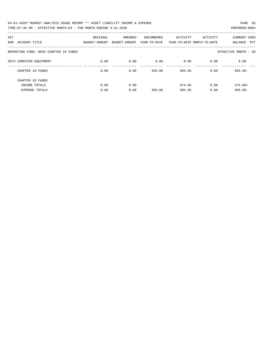| 04-01-2020**BUDGET ANALYSIS USAGE REPORT ** ASSET LIABILITY INCOME & EXPENSE | PAGE 85        |
|------------------------------------------------------------------------------|----------------|
| TIME: 07:36 AM - EFFECTIVE MONTH: 03 - FOR MONTH ENDING 3-31-2020            | PREPARER: 0004 |

| ACT |                                       | ORIGINAL      | AMENDED       | ENCUMBERED   | ACTIVITY | ACTIVITY                   | <b>CURRENT USED</b>   |
|-----|---------------------------------------|---------------|---------------|--------------|----------|----------------------------|-----------------------|
| NUM | ACCOUNT-TITLE                         | BUDGET-AMOUNT | BUDGET-AMOUNT | YEAR-TO-DATE |          | YEAR-TO-DATE MONTH-TO-DATE | <b>PCT</b><br>BALANCE |
|     | REPORTING FUND: 0045 CHAPTER 19 FUNDS |               |               |              |          |                            | EFFECTIVE MONTH - 03  |
|     | 0574 COMPUTER EQUIPMENT               | 0.00          | 0.00          | 0.00         | 0.00     | 0.00                       | 0.00                  |
|     | CHAPTER 19 FUNDS                      | 0.00          | 0.00          | 350.00       | 505.96   | 0.00                       | $855.96 -$            |
|     | CHAPTER 19 FUNDS                      |               |               |              |          |                            |                       |
|     | INCOME TOTALS                         | 0.00          | 0.00          |              | 574.86   | 0.00                       | $574.86+$             |
|     | <b>EXPENSE TOTALS</b>                 | 0.00          | 0.00          | 350.00       | 505.96   | 0.00                       | $855.96 -$            |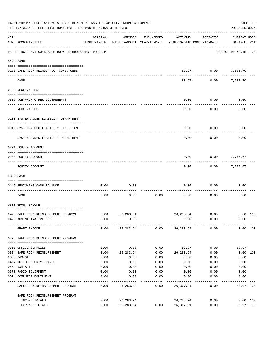|     | 04-01-2020**BUDGET ANALYSIS USAGE REPORT ** ASSET LIABILITY INCOME & EXPENSE<br>TIME: 07:36 AM - EFFECTIVE MONTH: 03 - FOR MONTH ENDING 3-31-2020 |                                                      |                          |            |                                        |                                     |                                    |  |  |  |  |
|-----|---------------------------------------------------------------------------------------------------------------------------------------------------|------------------------------------------------------|--------------------------|------------|----------------------------------------|-------------------------------------|------------------------------------|--|--|--|--|
| ACT | NUM ACCOUNT-TITLE                                                                                                                                 | ORIGINAL<br>BUDGET-AMOUNT BUDGET-AMOUNT YEAR-TO-DATE | AMENDED                  | ENCUMBERED | ACTIVITY<br>YEAR-TO-DATE MONTH-TO-DATE | ACTIVITY                            | <b>CURRENT USED</b><br>BALANCE PCT |  |  |  |  |
|     | REPORTING FUND: 0046 SAFE ROOM REIMBURSEMENT PROGRAM                                                                                              |                                                      |                          |            |                                        |                                     | EFFECTIVE MONTH - 03               |  |  |  |  |
|     | 0103 CASH                                                                                                                                         |                                                      |                          |            |                                        |                                     |                                    |  |  |  |  |
|     | 0100 SAFE ROOM REIMB. PROG. - COMB. FUNDS                                                                                                         |                                                      |                          |            |                                        | 83.97- 0.00 7,681.70<br>----------- |                                    |  |  |  |  |
|     | CASH                                                                                                                                              |                                                      |                          |            | $83.97 -$                              | 0.00                                | 7,681.70                           |  |  |  |  |
|     | 0120 RECEIVABLES                                                                                                                                  |                                                      |                          |            |                                        |                                     |                                    |  |  |  |  |
|     | 0312 DUE FROM OTHER GOVERNMENTS                                                                                                                   |                                                      |                          |            | 0.00                                   | 0.00                                | 0.00                               |  |  |  |  |
|     | RECEIVABLES                                                                                                                                       |                                                      |                          |            | 0.00                                   | 0.00                                | 0.00                               |  |  |  |  |
|     | 0200 SYSTEM ADDED LIABILITY DEPARTMENT                                                                                                            |                                                      |                          |            |                                        |                                     |                                    |  |  |  |  |
|     | 0910 SYSTEM ADDED LIABILITY LINE-ITEM                                                                                                             |                                                      |                          |            | 0.00                                   | 0.00                                | 0.00                               |  |  |  |  |
|     | SYSTEM ADDED LIABILITY DEPARTMENT                                                                                                                 |                                                      |                          |            | 0.00                                   | 0.00                                | 0.00                               |  |  |  |  |
|     | 0271 EQUITY ACCOUNT                                                                                                                               |                                                      |                          |            |                                        |                                     |                                    |  |  |  |  |
|     | 0200 EQUITY ACCOUNT                                                                                                                               |                                                      |                          |            | 0.00                                   | 0.00                                | 7,765.67                           |  |  |  |  |
|     | EQUITY ACCOUNT                                                                                                                                    |                                                      |                          |            | 0.00                                   |                                     | $0.00$ 7,765.67                    |  |  |  |  |
|     | 0300 CASH                                                                                                                                         |                                                      |                          |            |                                        |                                     |                                    |  |  |  |  |
|     | 0146 BEGINNING CASH BALANCE                                                                                                                       | 0.00                                                 | 0.00                     |            | 0.00                                   | 0.00                                | 0.00                               |  |  |  |  |
|     | CASH                                                                                                                                              | 0.00                                                 | 0.00                     | 0.00       | 0.00                                   | 0.00                                | 0.00                               |  |  |  |  |
|     | 0330 GRANT INCOME                                                                                                                                 |                                                      |                          |            |                                        |                                     |                                    |  |  |  |  |
|     | 0475 SAFE ROOM REIMBURSEMENT DR-4029                                                                                                              |                                                      | $0.00$ 26,283.94         |            | 26,283.94 0.00 0.00 100                |                                     |                                    |  |  |  |  |
|     | 0476 ADMINISTRATIVE FEE                                                                                                                           | 0.00                                                 | 0.00                     |            | 0.00                                   | 0.00                                | 0.00                               |  |  |  |  |
|     | GRANT INCOME                                                                                                                                      | 0.00                                                 | 26,283.94                | 0.00       | 26,283.94                              | 0.00                                | 0.00 100                           |  |  |  |  |
|     | 0475 SAFE ROOM REIMBURSEMENT PROGRAM                                                                                                              |                                                      |                          |            |                                        |                                     |                                    |  |  |  |  |
|     | 0310 OFFICE SUPPLIES                                                                                                                              | 0.00                                                 | 0.00                     | 0.00       | 83.97                                  | 0.00                                | $83.97 -$                          |  |  |  |  |
|     | 0314 SAFE ROOM REIMBURSEMENT                                                                                                                      | 0.00                                                 | 26, 283.94               | 0.00       | 26,283.94                              | 0.00                                | 0.00 100                           |  |  |  |  |
|     | 0330 GAS/OIL                                                                                                                                      | 0.00                                                 | 0.00                     | 0.00       | 0.00                                   | 0.00                                | 0.00                               |  |  |  |  |
|     | 0427 OUT OF COUNTY TRAVEL                                                                                                                         | 0.00                                                 | 0.00                     | 0.00       | 0.00                                   | 0.00                                | 0.00                               |  |  |  |  |
|     | 0454 R&M AUTO                                                                                                                                     | 0.00                                                 | 0.00                     | 0.00       | 0.00                                   | 0.00                                | 0.00                               |  |  |  |  |
|     | 0573 RADIO EQUIPMENT                                                                                                                              | 0.00                                                 | 0.00                     | 0.00       | 0.00                                   | 0.00                                | 0.00                               |  |  |  |  |
|     | 0574 COMPUTER EQUIPMENT                                                                                                                           | 0.00                                                 | 0.00                     | 0.00       | 0.00                                   | 0.00                                | 0.00                               |  |  |  |  |
|     | SAFE ROOM REIMBURSEMENT PROGRAM                                                                                                                   | 0.00                                                 | 26,283.94                | 0.00       | 26,367.91                              | 0.00                                | 83.97-100                          |  |  |  |  |
|     | SAFE ROOM REIMBURSEMENT PROGRAM                                                                                                                   |                                                      |                          |            |                                        |                                     |                                    |  |  |  |  |
|     | INCOME TOTALS<br>EXPENSE TOTALS                                                                                                                   | 0.00<br>0.00                                         | 26, 283.94<br>26, 283.94 | 0.00       | 26,283.94<br>26,367.91                 | 0.00<br>0.00                        | $0.00$ 100<br>$83.97 - 100$        |  |  |  |  |
|     |                                                                                                                                                   |                                                      |                          |            |                                        |                                     |                                    |  |  |  |  |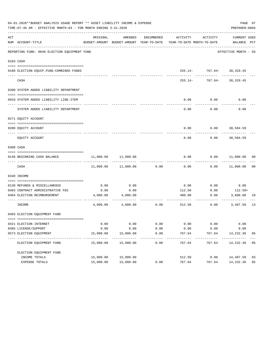| 04-01-2020**BUDGET ANALYSIS USAGE REPORT ** ASSET LIABILITY INCOME & EXPENSE<br>PAGE 87<br>TIME: 07:36 AM - EFFECTIVE MONTH: 03 - FOR MONTH ENDING 3-31-2020<br>PREPARER: 0004 |                                              |           |                     |            |                                                                                 |                               |                              |    |  |  |  |
|--------------------------------------------------------------------------------------------------------------------------------------------------------------------------------|----------------------------------------------|-----------|---------------------|------------|---------------------------------------------------------------------------------|-------------------------------|------------------------------|----|--|--|--|
| ACT                                                                                                                                                                            | NUM ACCOUNT-TITLE                            | ORIGINAL  | AMENDED             | ENCUMBERED | ACTIVITY<br>BUDGET-AMOUNT BUDGET-AMOUNT YEAR-TO-DATE YEAR-TO-DATE MONTH-TO-DATE | ACTIVITY                      | CURRENT USED<br>BALANCE PCT  |    |  |  |  |
|                                                                                                                                                                                | REPORTING FUND: 0048 ELECTION EQUIPMENT FUND |           |                     |            |                                                                                 |                               | EFFECTIVE MONTH - 03         |    |  |  |  |
|                                                                                                                                                                                | 0103 CASH                                    |           |                     |            |                                                                                 |                               |                              |    |  |  |  |
|                                                                                                                                                                                | 0100 ELECTION EQUIP. FUND-COMBINED FUNDS     |           |                     |            |                                                                                 | $255.14 - 767.64 - 38,329.45$ |                              |    |  |  |  |
|                                                                                                                                                                                | CASH                                         |           |                     |            | $255.14-$                                                                       |                               | -------<br>767.64- 38,329.45 |    |  |  |  |
|                                                                                                                                                                                | 0200 SYSTEM ADDED LIABILITY DEPARTMENT       |           |                     |            |                                                                                 |                               |                              |    |  |  |  |
|                                                                                                                                                                                | 0910 SYSTEM ADDED LIABILITY LINE-ITEM        |           |                     |            | 0.00                                                                            | 0.00                          | 0.00                         |    |  |  |  |
|                                                                                                                                                                                | SYSTEM ADDED LIABILITY DEPARTMENT            |           |                     |            | 0.00                                                                            | 0.00                          | 0.00                         |    |  |  |  |
|                                                                                                                                                                                | 0271 EQUITY ACCOUNT                          |           |                     |            |                                                                                 |                               |                              |    |  |  |  |
|                                                                                                                                                                                |                                              |           |                     |            |                                                                                 |                               |                              |    |  |  |  |
|                                                                                                                                                                                | 0200 EOUITY ACCOUNT                          |           |                     |            | 0.00                                                                            | $0.00$ 38,584.59              |                              |    |  |  |  |
|                                                                                                                                                                                | EQUITY ACCOUNT                               |           |                     |            | 0.00                                                                            | 0.00                          | 38,584.59                    |    |  |  |  |
|                                                                                                                                                                                | 0300 CASH                                    |           |                     |            |                                                                                 |                               |                              |    |  |  |  |
|                                                                                                                                                                                | 0148 BEGINNING CASH BALANCE                  | 11,000.00 | 11,000.00           |            | 0.00                                                                            |                               | $0.00$ 11,000.00 00          |    |  |  |  |
|                                                                                                                                                                                | CASH                                         |           | 11,000.00 11,000.00 | 0.00       | 0.00                                                                            | 0.00                          | 11,000.00                    | 00 |  |  |  |
|                                                                                                                                                                                | 0340 INCOME                                  |           |                     |            |                                                                                 |                               |                              |    |  |  |  |
|                                                                                                                                                                                | 0130 REFUNDS & MISCELLANEOUS                 | 0.00      | 0.00                |            | 0.00                                                                            | 0.00                          | 0.00                         |    |  |  |  |
|                                                                                                                                                                                | 0403 CONTRACT ADMINISTRATIVE FEE             | 0.00      | 0.00                |            | 112.50                                                                          | 0.00                          | $112.50+$                    |    |  |  |  |
|                                                                                                                                                                                | 0484 ELECTION REIMBURSEMENT                  | 4,000.00  | 4,000.00            |            | 400.00                                                                          | 0.00                          | 3,600.00                     | 10 |  |  |  |
|                                                                                                                                                                                | INCOME                                       | 4,000.00  | 4,000.00            | 0.00       | 512.50                                                                          | 0.00                          | 3,487.50                     | 13 |  |  |  |
|                                                                                                                                                                                | 0403 ELECTION EQUIPMENT FUND                 |           |                     |            |                                                                                 |                               |                              |    |  |  |  |
|                                                                                                                                                                                | 0421 ELECTION INTERNET                       | 0.00      | 0.00                | 0.00       | 0.00                                                                            | 0.00                          | 0.00                         |    |  |  |  |
|                                                                                                                                                                                | 0485 LICENSE/SUPPORT                         | 0.00      | 0.00                | 0.00       | 0.00                                                                            | 0.00                          | 0.00                         |    |  |  |  |
|                                                                                                                                                                                | 0573 ELECTION EQUIPMENT                      | 15,000.00 | 15,000.00           | 0.00       | 767.64                                                                          | 767.64                        | 14,232.36                    | 05 |  |  |  |
|                                                                                                                                                                                | ELECTION EQUIPMENT FUND                      | 15,000.00 | 15,000.00           | 0.00       | 767.64                                                                          | 767.64                        | 14,232.36 05                 |    |  |  |  |
|                                                                                                                                                                                | ELECTION EQUIPMENT FUND                      |           |                     |            |                                                                                 |                               |                              |    |  |  |  |
|                                                                                                                                                                                | INCOME TOTALS                                | 15,000.00 | 15,000.00           |            | 512.50                                                                          | 0.00                          | 14,487.50                    | 03 |  |  |  |
|                                                                                                                                                                                | EXPENSE TOTALS                               | 15,000.00 | 15,000.00           | 0.00       | 767.64                                                                          | 767.64                        | 14,232.36 05                 |    |  |  |  |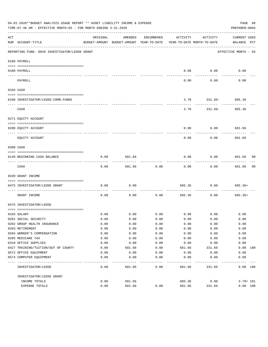| 04-01-2020**BUDGET ANALYSIS USAGE REPORT ** ASSET LIABILITY INCOME & EXPENSE<br>PAGE 88<br>TIME: 07:36 AM - EFFECTIVE MONTH: 03 - FOR MONTH ENDING 3-31-2020<br>PREPARER: 0004                                                                                                                                                                                                                                                                                             |                                                |          |                                                                                |                    |          |                    |                                    |  |  |  |
|----------------------------------------------------------------------------------------------------------------------------------------------------------------------------------------------------------------------------------------------------------------------------------------------------------------------------------------------------------------------------------------------------------------------------------------------------------------------------|------------------------------------------------|----------|--------------------------------------------------------------------------------|--------------------|----------|--------------------|------------------------------------|--|--|--|
| ACT                                                                                                                                                                                                                                                                                                                                                                                                                                                                        | NUM ACCOUNT-TITLE                              | ORIGINAL | AMENDED<br>BUDGET-AMOUNT BUDGET-AMOUNT YEAR-TO-DATE YEAR-TO-DATE MONTH-TO-DATE | ENCUMBERED         | ACTIVITY | ACTIVITY           | <b>CURRENT USED</b><br>BALANCE PCT |  |  |  |
|                                                                                                                                                                                                                                                                                                                                                                                                                                                                            | REPORTING FUND: 0049 INVESTIGATOR/LEOSE GRANT  |          |                                                                                |                    |          |                    | EFFECTIVE MONTH - 03               |  |  |  |
|                                                                                                                                                                                                                                                                                                                                                                                                                                                                            | 0100 PAYROLL                                   |          |                                                                                |                    |          |                    |                                    |  |  |  |
|                                                                                                                                                                                                                                                                                                                                                                                                                                                                            | 0100 PAYROLL                                   |          |                                                                                |                    | 0.00     | 0.00               | 0.00                               |  |  |  |
| $\frac{1}{2} \left( \frac{1}{2} \right) \left( \frac{1}{2} \right) \left( \frac{1}{2} \right) \left( \frac{1}{2} \right) \left( \frac{1}{2} \right) \left( \frac{1}{2} \right) \left( \frac{1}{2} \right) \left( \frac{1}{2} \right) \left( \frac{1}{2} \right) \left( \frac{1}{2} \right) \left( \frac{1}{2} \right) \left( \frac{1}{2} \right) \left( \frac{1}{2} \right) \left( \frac{1}{2} \right) \left( \frac{1}{2} \right) \left( \frac{1}{2} \right) \left( \frac$ | -------------------------- --------<br>PAYROLL |          |                                                                                |                    | 0.00     | 0.00               | 0.00                               |  |  |  |
|                                                                                                                                                                                                                                                                                                                                                                                                                                                                            | 0103 CASH                                      |          |                                                                                |                    |          |                    |                                    |  |  |  |
|                                                                                                                                                                                                                                                                                                                                                                                                                                                                            | 0100 INVESTIGATOR/LEOSE-COMB.FUNDS             |          |                                                                                |                    | 3.70     | $331.66 - 685.36$  |                                    |  |  |  |
|                                                                                                                                                                                                                                                                                                                                                                                                                                                                            | CASH                                           |          |                                                                                |                    | 3.70     |                    | 331.66- 685.36                     |  |  |  |
|                                                                                                                                                                                                                                                                                                                                                                                                                                                                            | 0271 EQUITY ACCOUNT                            |          |                                                                                |                    |          |                    |                                    |  |  |  |
|                                                                                                                                                                                                                                                                                                                                                                                                                                                                            | 0200 EQUITY ACCOUNT                            |          |                                                                                |                    | 0.00     |                    | $0.00$ 681.66                      |  |  |  |
|                                                                                                                                                                                                                                                                                                                                                                                                                                                                            | EQUITY ACCOUNT                                 |          |                                                                                |                    | 0.00     | ---------<br>0.00  | 681.66                             |  |  |  |
|                                                                                                                                                                                                                                                                                                                                                                                                                                                                            | 0300 CASH                                      |          |                                                                                |                    |          |                    |                                    |  |  |  |
|                                                                                                                                                                                                                                                                                                                                                                                                                                                                            |                                                |          |                                                                                |                    |          |                    |                                    |  |  |  |
|                                                                                                                                                                                                                                                                                                                                                                                                                                                                            | 0149 BEGINNING CASH BALANCE                    | 0.00     | 681.66                                                                         |                    | 0.00     | 0.00               | 681.66 00<br>----------            |  |  |  |
|                                                                                                                                                                                                                                                                                                                                                                                                                                                                            | CASH                                           | 0.00     | 681.66                                                                         | 0.00               | 0.00     | 0.00               | 0 <sub>0</sub><br>681.66           |  |  |  |
|                                                                                                                                                                                                                                                                                                                                                                                                                                                                            | 0330 GRANT INCOME                              |          |                                                                                |                    |          |                    |                                    |  |  |  |
|                                                                                                                                                                                                                                                                                                                                                                                                                                                                            | 0475 INVESTIGATOR/LEOSE GRANT                  | 0.00     | 0.00                                                                           |                    | 685.36   | 0.00               | 685.36+                            |  |  |  |
|                                                                                                                                                                                                                                                                                                                                                                                                                                                                            | GRANT INCOME                                   | 0.00     | 0.00                                                                           | ----------<br>0.00 | 685.36   | ----------<br>0.00 | $685.36+$                          |  |  |  |
|                                                                                                                                                                                                                                                                                                                                                                                                                                                                            | 0475 INVESTIGATOR/LEOSE                        |          |                                                                                |                    |          |                    |                                    |  |  |  |
|                                                                                                                                                                                                                                                                                                                                                                                                                                                                            | 0103 SALARY                                    | 0.00     |                                                                                | $0.00$ 0.00        |          | $0.00$ 0.00        | 0.00                               |  |  |  |
|                                                                                                                                                                                                                                                                                                                                                                                                                                                                            | 0201 SOCIAL SECURITY                           | 0.00     | 0.00                                                                           | 0.00               | 0.00     | 0.00               | 0.00                               |  |  |  |
|                                                                                                                                                                                                                                                                                                                                                                                                                                                                            | 0202 GROUP HEALTH INSURANCE                    | 0.00     | 0.00                                                                           | 0.00               | 0.00     | 0.00               | 0.00                               |  |  |  |
|                                                                                                                                                                                                                                                                                                                                                                                                                                                                            | 0203 RETIREMENT                                | 0.00     | 0.00                                                                           | 0.00               | 0.00     | 0.00               | 0.00                               |  |  |  |
|                                                                                                                                                                                                                                                                                                                                                                                                                                                                            | 0204 WORKER'S COMPENSATION                     | 0.00     | 0.00                                                                           | 0.00               | 0.00     | 0.00               | 0.00                               |  |  |  |
|                                                                                                                                                                                                                                                                                                                                                                                                                                                                            | 0205 MEDICARE TAX                              | 0.00     | 0.00                                                                           | 0.00               | 0.00     | 0.00               | 0.00                               |  |  |  |
|                                                                                                                                                                                                                                                                                                                                                                                                                                                                            | 0310 OFFICE SUPPLIES                           | 0.00     | 0.00                                                                           | 0.00               | 0.00     | 0.00               | 0.00                               |  |  |  |
|                                                                                                                                                                                                                                                                                                                                                                                                                                                                            | 0427 TRAINING/TUITION/OUT OF COUNTY            | 0.00     | 681.66                                                                         | 0.00               | 681.66   | 331.66             | 0.00 100                           |  |  |  |
|                                                                                                                                                                                                                                                                                                                                                                                                                                                                            | 0572 OFFICE EQUIPMENT                          | 0.00     | 0.00                                                                           | 0.00               | 0.00     | 0.00               | 0.00                               |  |  |  |
|                                                                                                                                                                                                                                                                                                                                                                                                                                                                            | 0574 COMPUTER EQUIPMENT                        | 0.00     | 0.00                                                                           | 0.00               | 0.00     | 0.00               | 0.00                               |  |  |  |
|                                                                                                                                                                                                                                                                                                                                                                                                                                                                            | INVESTIGATOR/LEOSE                             | 0.00     | 681.66                                                                         | 0.00               | 681.66   | 331.66             | 0.00 100                           |  |  |  |
|                                                                                                                                                                                                                                                                                                                                                                                                                                                                            | INVESTIGATOR/LEOSE GRANT                       |          |                                                                                |                    |          |                    |                                    |  |  |  |
|                                                                                                                                                                                                                                                                                                                                                                                                                                                                            | INCOME TOTALS                                  | 0.00     | 681.66                                                                         |                    | 685.36   | 0.00               | $3.70 + 101$                       |  |  |  |
|                                                                                                                                                                                                                                                                                                                                                                                                                                                                            | EXPENSE TOTALS                                 | 0.00     | 681.66                                                                         | 0.00               | 681.66   | 331.66             | 0.00 100                           |  |  |  |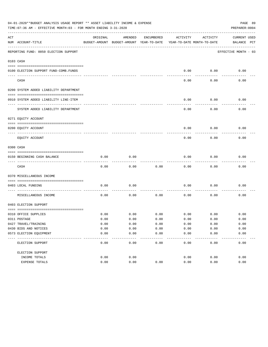|     | 04-01-2020**BUDGET ANALYSIS USAGE REPORT ** ASSET LIABILITY INCOME & EXPENSE<br>PAGE 89<br>TIME: 07:36 AM - EFFECTIVE MONTH: 03 - FOR MONTH ENDING 3-31-2020<br>PREPARER: 0004 |          |                                                     |            |                                        |          |                                    |  |  |  |  |  |
|-----|--------------------------------------------------------------------------------------------------------------------------------------------------------------------------------|----------|-----------------------------------------------------|------------|----------------------------------------|----------|------------------------------------|--|--|--|--|--|
| ACT | NUM ACCOUNT-TITLE                                                                                                                                                              | ORIGINAL | AMENDED<br>BUDGET-AMOUNT BUDGET-AMOUNT YEAR-TO-DATE | ENCUMBERED | ACTIVITY<br>YEAR-TO-DATE MONTH-TO-DATE | ACTIVITY | <b>CURRENT USED</b><br>BALANCE PCT |  |  |  |  |  |
|     | REPORTING FUND: 0050 ELECTION SUPPORT                                                                                                                                          |          |                                                     |            |                                        |          | EFFECTIVE MONTH - 03               |  |  |  |  |  |
|     | 0103 CASH                                                                                                                                                                      |          |                                                     |            |                                        |          |                                    |  |  |  |  |  |
|     | 0100 ELECTION SUPPORT FUND-COMB.FUNDS                                                                                                                                          |          |                                                     |            | 0.00                                   | 0.00     | 0.00                               |  |  |  |  |  |
|     | CASH                                                                                                                                                                           |          |                                                     |            | 0.00                                   | 0.00     | 0.00                               |  |  |  |  |  |
|     | 0200 SYSTEM ADDED LIABILITY DEPARTMENT                                                                                                                                         |          |                                                     |            |                                        |          |                                    |  |  |  |  |  |
|     | 0910 SYSTEM ADDED LIABILITY LINE-ITEM                                                                                                                                          |          |                                                     |            | 0.00                                   | 0.00     | 0.00                               |  |  |  |  |  |
|     | SYSTEM ADDED LIABILITY DEPARTMENT                                                                                                                                              |          |                                                     |            | 0.00                                   | 0.00     | 0.00                               |  |  |  |  |  |
|     | 0271 EQUITY ACCOUNT                                                                                                                                                            |          |                                                     |            |                                        |          |                                    |  |  |  |  |  |
|     | 0200 EQUITY ACCOUNT                                                                                                                                                            |          |                                                     |            | 0.00                                   | 0.00     | 0.00                               |  |  |  |  |  |
|     | EQUITY ACCOUNT                                                                                                                                                                 |          |                                                     |            | 0.00                                   | 0.00     | 0.00                               |  |  |  |  |  |
|     | 0300 CASH                                                                                                                                                                      |          |                                                     |            |                                        |          |                                    |  |  |  |  |  |
|     | 0150 BEGINNING CASH BALANCE                                                                                                                                                    | 0.00     | 0.00                                                |            | 0.00                                   | 0.00     | 0.00                               |  |  |  |  |  |
|     | CASH                                                                                                                                                                           | 0.00     | 0.00                                                | 0.00       | 0.00                                   | 0.00     | 0.00                               |  |  |  |  |  |
|     | 0370 MISCELLANEOUS INCOME                                                                                                                                                      |          |                                                     |            |                                        |          |                                    |  |  |  |  |  |
|     | 0403 LOCAL FUNDING                                                                                                                                                             | 0.00     | 0.00                                                |            | 0.00                                   | 0.00     | 0.00                               |  |  |  |  |  |
|     | MISCELLANEOUS INCOME                                                                                                                                                           | 0.00     | 0.00                                                | 0.00       | 0.00                                   | 0.00     | 0.00                               |  |  |  |  |  |
|     | 0403 ELECTION SUPPORT                                                                                                                                                          |          |                                                     |            |                                        |          |                                    |  |  |  |  |  |
|     | 0310 OFFICE SUPPLIES                                                                                                                                                           | 0.00     | 0.00                                                | 0.00       | 0.00                                   | 0.00     | 0.00                               |  |  |  |  |  |
|     | 0311 POSTAGE                                                                                                                                                                   | 0.00     | 0.00                                                | 0.00       | 0.00                                   | 0.00     | 0.00                               |  |  |  |  |  |
|     | 0427 TRAVEL/TRAINING                                                                                                                                                           | 0.00     | 0.00                                                | 0.00       | 0.00                                   | 0.00     | 0.00                               |  |  |  |  |  |
|     | 0430 BIDS AND NOTICES                                                                                                                                                          | 0.00     | 0.00                                                | 0.00       | 0.00                                   | 0.00     | 0.00                               |  |  |  |  |  |
|     | 0573 ELECTION EQUIPMENT                                                                                                                                                        | 0.00     | 0.00                                                | 0.00       | 0.00                                   | 0.00     | 0.00                               |  |  |  |  |  |
|     | ELECTION SUPPORT                                                                                                                                                               | 0.00     | 0.00                                                | 0.00       | 0.00                                   | 0.00     | 0.00                               |  |  |  |  |  |
|     | ELECTION SUPPORT                                                                                                                                                               |          |                                                     |            |                                        |          |                                    |  |  |  |  |  |
|     | INCOME TOTALS                                                                                                                                                                  | 0.00     | 0.00                                                |            | 0.00                                   | 0.00     | 0.00                               |  |  |  |  |  |
|     | EXPENSE TOTALS                                                                                                                                                                 | 0.00     | 0.00                                                | 0.00       | 0.00                                   | 0.00     | 0.00                               |  |  |  |  |  |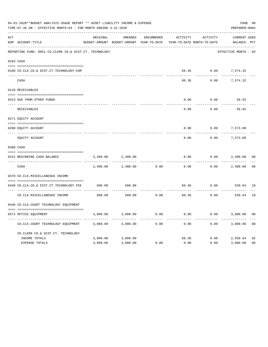|     | 04-01-2020**BUDGET ANALYSIS USAGE REPORT ** ASSET LIABILITY INCOME & EXPENSE<br>TIME: 07:36 AM - EFFECTIVE MONTH: 03 - FOR MONTH ENDING 3-31-2020<br>PREPARER: 0004 |          |                                                     |                   |          |                                        |                             |                |  |  |  |
|-----|---------------------------------------------------------------------------------------------------------------------------------------------------------------------|----------|-----------------------------------------------------|-------------------|----------|----------------------------------------|-----------------------------|----------------|--|--|--|
| ACT | NUM ACCOUNT-TITLE                                                                                                                                                   | ORIGINAL | AMENDED<br>BUDGET-AMOUNT BUDGET-AMOUNT YEAR-TO-DATE | <b>ENCUMBERED</b> | ACTIVITY | ACTIVITY<br>YEAR-TO-DATE MONTH-TO-DATE | CURRENT USED<br>BALANCE PCT |                |  |  |  |
|     | REPORTING FUND: 0051 CO.CLERK CO.& DIST.CT. TECHNOLOGY                                                                                                              |          |                                                     |                   |          |                                        | EFFECTIVE MONTH - 03        |                |  |  |  |
|     | 0103 CASH                                                                                                                                                           |          |                                                     |                   |          |                                        |                             |                |  |  |  |
|     | 0100 CO.CLK.CO.& DIST.CT.TECHNOLOGY-COM                                                                                                                             |          |                                                     |                   |          | 60.36 0.00                             | 7,574.32                    |                |  |  |  |
|     | CASH                                                                                                                                                                |          |                                                     |                   | 60.36    | 0.00                                   | 7,574.32                    |                |  |  |  |
|     | 0120 RECEIVABLES                                                                                                                                                    |          |                                                     |                   |          |                                        |                             |                |  |  |  |
|     | 0313 DUE FROM OTHER FUNDS                                                                                                                                           |          |                                                     |                   | 0.00     | 0.00                                   | 59.92                       |                |  |  |  |
|     | RECEIVABLES                                                                                                                                                         |          |                                                     |                   | 0.00     | 0.00                                   | 59.92                       |                |  |  |  |
|     | 0271 EQUITY ACCOUNT                                                                                                                                                 |          |                                                     |                   |          |                                        |                             |                |  |  |  |
|     | 0200 EQUITY ACCOUNT                                                                                                                                                 |          |                                                     |                   | 0.00     | 0.00                                   | 7,573.88                    |                |  |  |  |
|     | ---- -----------------------<br>EQUITY ACCOUNT                                                                                                                      |          |                                                     |                   | 0.00     | 0.00                                   | .<br>7,573.88               |                |  |  |  |
|     | 0300 CASH                                                                                                                                                           |          |                                                     |                   |          |                                        |                             |                |  |  |  |
|     | 0151 BEGINNING CASH BALANCE                                                                                                                                         | 2,400.00 | 2,400.00                                            |                   | 0.00     | 0.00                                   | 2,400.00                    | 0 <sub>0</sub> |  |  |  |
|     | CASH                                                                                                                                                                | 2,400.00 | 2,400.00                                            | 0.00              | 0.00     | 0.00                                   | 2,400.00                    | 0 <sub>0</sub> |  |  |  |
|     | 0370 CO.CLK.MISCELLANEOUS INCOME                                                                                                                                    |          |                                                     |                   |          |                                        |                             |                |  |  |  |
|     | 0440 CO.CLK.CO.& DIST.CT.TECHNOLOGY FEE                                                                                                                             | 600.00   | 600.00                                              |                   | 60.36    | 0.00                                   | 539.64 10                   |                |  |  |  |
|     | CO. CLK. MISCELLANEOUS INCOME                                                                                                                                       | 600.00   | 600.00                                              | 0.00              | 60.36    | 0.00                                   | 539.64                      | 10             |  |  |  |
|     | 0440 CO.CLK.COURT TECHNOLOGY EQUIPMENT                                                                                                                              |          |                                                     |                   |          |                                        |                             |                |  |  |  |
|     | 0572 OFFICE EOUIPMENT                                                                                                                                               | 3,000.00 | 3,000.00                                            | 0.00              | 0.00     | 0.00                                   | 3,000.00                    | 0 <sub>0</sub> |  |  |  |
|     | CO.CLK.COURT TECHNOLOGY EQUIPMENT                                                                                                                                   | 3,000.00 | 3,000.00                                            | 0.00              | 0.00     | 0.00                                   | 3,000.00                    | 0 <sub>0</sub> |  |  |  |
|     | CO.CLERK CO.& DIST.CT. TECHNOLOGY                                                                                                                                   |          |                                                     |                   |          |                                        |                             |                |  |  |  |
|     | INCOME TOTALS                                                                                                                                                       | 3,000.00 | 3,000.00                                            |                   | 60.36    | 0.00                                   | 2,939.64                    | 02             |  |  |  |
|     | <b>EXPENSE TOTALS</b>                                                                                                                                               | 3,000.00 | 3,000.00                                            | 0.00              | 0.00     | 0.00                                   | 3,000.00                    | 0 <sub>0</sub> |  |  |  |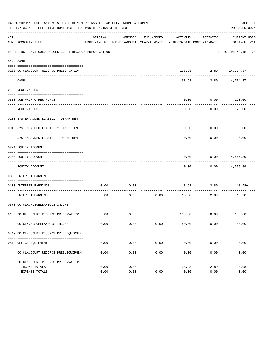|     | 04-01-2020**BUDGET ANALYSIS USAGE REPORT ** ASSET LIABILITY INCOME & EXPENSE<br>PAGE 91<br>TIME: 07:36 AM - EFFECTIVE MONTH: 03 - FOR MONTH ENDING 3-31-2020<br>PREPARER: 0004 |          |                     |                     |                                                                                 |                           |                                     |  |  |  |  |
|-----|--------------------------------------------------------------------------------------------------------------------------------------------------------------------------------|----------|---------------------|---------------------|---------------------------------------------------------------------------------|---------------------------|-------------------------------------|--|--|--|--|
| ACT | NUM ACCOUNT-TITLE                                                                                                                                                              | ORIGINAL | AMENDED             | ENCUMBERED          | ACTIVITY<br>BUDGET-AMOUNT BUDGET-AMOUNT YEAR-TO-DATE YEAR-TO-DATE MONTH-TO-DATE | ACTIVITY                  | CURRENT USED<br>BALANCE PCT         |  |  |  |  |
|     | REPORTING FUND: 0052 CO.CLK.COURT RECORDS PRESERVATION                                                                                                                         |          |                     |                     |                                                                                 |                           | EFFECTIVE MONTH - 03                |  |  |  |  |
|     | 0103 CASH                                                                                                                                                                      |          |                     |                     |                                                                                 |                           |                                     |  |  |  |  |
|     | 0100 CO.CLK.COURT RECORDS PRESERVATION-                                                                                                                                        |          |                     |                     |                                                                                 | $198.98$ 2.89 $14,734.87$ |                                     |  |  |  |  |
|     | CASH                                                                                                                                                                           |          |                     |                     | 198.98                                                                          | ------------              | $- - - - - - - -$<br>2.89 14,734.87 |  |  |  |  |
|     | 0120 RECEIVABLES                                                                                                                                                               |          |                     |                     |                                                                                 |                           |                                     |  |  |  |  |
|     | 0313 DUE FROM OTHER FUNDS                                                                                                                                                      |          |                     |                     | 0.00                                                                            | 0.00                      | 120.00                              |  |  |  |  |
|     |                                                                                                                                                                                |          |                     |                     |                                                                                 |                           | ----------                          |  |  |  |  |
|     | RECEIVABLES                                                                                                                                                                    |          |                     |                     | 0.00                                                                            | 0.00                      | 120.00                              |  |  |  |  |
|     | 0200 SYSTEM ADDED LIABILITY DEPARTMENT                                                                                                                                         |          |                     |                     |                                                                                 |                           |                                     |  |  |  |  |
|     | 0910 SYSTEM ADDED LIABILITY LINE-ITEM                                                                                                                                          |          |                     |                     | 0.00                                                                            | 0.00                      | 0.00                                |  |  |  |  |
|     | SYSTEM ADDED LIABILITY DEPARTMENT                                                                                                                                              |          |                     |                     | 0.00                                                                            | 0.00                      | 0.00                                |  |  |  |  |
|     | 0271 EQUITY ACCOUNT                                                                                                                                                            |          |                     |                     |                                                                                 |                           |                                     |  |  |  |  |
|     | 0200 EQUITY ACCOUNT                                                                                                                                                            |          |                     |                     | 0.00                                                                            |                           | $0.00$ 14,655.89                    |  |  |  |  |
|     | EQUITY ACCOUNT                                                                                                                                                                 |          |                     |                     | 0.00                                                                            |                           | $0.00$ 14,655.89                    |  |  |  |  |
|     | 0360 INTEREST EARNINGS                                                                                                                                                         |          |                     |                     |                                                                                 |                           |                                     |  |  |  |  |
|     | 0100 INTEREST EARNINGS                                                                                                                                                         | 0.00     | 0.00                |                     |                                                                                 |                           | 18.98 2.89 18.98+                   |  |  |  |  |
|     | ------------------- ---<br>INTEREST EARNINGS                                                                                                                                   | 0.00     | 0.00                | ----------<br>0.00  | 18.98                                                                           | -----------<br>2.89       | 18.98+                              |  |  |  |  |
|     | 0370 CO.CLK.MISCELLANEOUS INCOME                                                                                                                                               |          |                     |                     |                                                                                 |                           |                                     |  |  |  |  |
|     | 0133 CO.CLK.COURT RECORDS PRESERVATION                                                                                                                                         | 0.00     | $\overline{0.00}$   |                     |                                                                                 |                           | $180.00$ $0.00$ $180.00+$           |  |  |  |  |
|     | CO. CLK. MISCELLANEOUS INCOME                                                                                                                                                  | 0.00     | 0.00                | 0.00                | 180.00                                                                          | 0.00                      | $180.00+$                           |  |  |  |  |
|     | 0449 CO.CLK.COURT RECORDS PRES.EQUIPMEN                                                                                                                                        |          |                     |                     |                                                                                 |                           |                                     |  |  |  |  |
|     |                                                                                                                                                                                |          |                     |                     |                                                                                 |                           |                                     |  |  |  |  |
|     | 0572 OFFICE EQUIPMENT                                                                                                                                                          | 0.00     | 0.00<br>----------- | 0.00<br>----------- | 0.00                                                                            | 0.00                      | 0.00<br>-------------               |  |  |  |  |
|     | CO. CLK. COURT RECORDS PRES. EQUIPMEN                                                                                                                                          | 0.00     | 0.00                | 0.00                | 0.00                                                                            | 0.00                      | 0.00                                |  |  |  |  |
|     | CO. CLK. COURT RECORDS PRESERVATION                                                                                                                                            |          |                     |                     |                                                                                 |                           |                                     |  |  |  |  |
|     | INCOME TOTALS                                                                                                                                                                  | 0.00     | 0.00                |                     | 198.98                                                                          | 2.89                      | 198.98+                             |  |  |  |  |
|     | EXPENSE TOTALS                                                                                                                                                                 | 0.00     | 0.00                | 0.00                | 0.00                                                                            | 0.00                      | 0.00                                |  |  |  |  |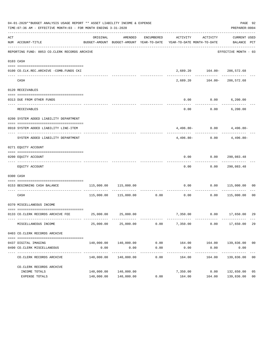|     | 04-01-2020**BUDGET ANALYSIS USAGE REPORT ** ASSET LIABILITY INCOME & EXPENSE<br>PAGE 92<br>TIME: 07:36 AM - EFFECTIVE MONTH: 03 - FOR MONTH ENDING 3-31-2020<br>PREPARER: 0004 |            |                                  |                      |                                                                                 |                                   |                                   |                |  |  |  |  |
|-----|--------------------------------------------------------------------------------------------------------------------------------------------------------------------------------|------------|----------------------------------|----------------------|---------------------------------------------------------------------------------|-----------------------------------|-----------------------------------|----------------|--|--|--|--|
| ACT | NUM ACCOUNT-TITLE                                                                                                                                                              | ORIGINAL   | AMENDED                          | ENCUMBERED           | ACTIVITY<br>BUDGET-AMOUNT BUDGET-AMOUNT YEAR-TO-DATE YEAR-TO-DATE MONTH-TO-DATE | ACTIVITY                          | CURRENT USED<br>BALANCE PCT       |                |  |  |  |  |
|     | REPORTING FUND: 0053 CO.CLERK RECORDS ARCHIVE                                                                                                                                  |            |                                  |                      |                                                                                 |                                   | EFFECTIVE MONTH - 03              |                |  |  |  |  |
|     | 0103 CASH                                                                                                                                                                      |            |                                  |                      |                                                                                 |                                   |                                   |                |  |  |  |  |
|     | 0100 CO.CLK.REC.ARCHIVE -COMB.FUNDS CKI                                                                                                                                        |            |                                  |                      |                                                                                 | 2,689.20    164.00-    286,572.68 |                                   |                |  |  |  |  |
|     | CASH                                                                                                                                                                           |            |                                  |                      | 2,689.20                                                                        |                                   | 164.00-286,572.68                 |                |  |  |  |  |
|     | 0120 RECEIVABLES                                                                                                                                                               |            |                                  |                      |                                                                                 |                                   |                                   |                |  |  |  |  |
|     | 0313 DUE FROM OTHER FUNDS                                                                                                                                                      |            |                                  |                      | 0.00                                                                            | $0.00$ 6,200.00                   |                                   |                |  |  |  |  |
|     | RECEIVABLES                                                                                                                                                                    |            |                                  |                      | 0.00                                                                            |                                   | $0.00$ 6,200.00                   |                |  |  |  |  |
|     | 0200 SYSTEM ADDED LIABILITY DEPARTMENT                                                                                                                                         |            |                                  |                      |                                                                                 |                                   |                                   |                |  |  |  |  |
|     | 0910 SYSTEM ADDED LIABILITY LINE-ITEM                                                                                                                                          |            |                                  |                      |                                                                                 |                                   | $4,496.80 - 0.00$ $4,496.80 -$    |                |  |  |  |  |
|     | SYSTEM ADDED LIABILITY DEPARTMENT                                                                                                                                              |            |                                  |                      | $4.496.80-$                                                                     |                                   | -------------<br>$0.00$ 4,496.80- |                |  |  |  |  |
|     | 0271 EQUITY ACCOUNT                                                                                                                                                            |            |                                  |                      |                                                                                 |                                   |                                   |                |  |  |  |  |
|     | 0200 EQUITY ACCOUNT                                                                                                                                                            |            |                                  |                      |                                                                                 | $0.00$ $0.00$ $290,083.48$        |                                   |                |  |  |  |  |
|     | EQUITY ACCOUNT                                                                                                                                                                 |            |                                  |                      | ---------<br>0.00                                                               | ----------                        | -------------<br>0.00 290,083.48  |                |  |  |  |  |
|     | 0300 CASH                                                                                                                                                                      |            |                                  |                      |                                                                                 |                                   |                                   |                |  |  |  |  |
|     | 0153 BEGINNING CASH BALANCE                                                                                                                                                    |            | 115,000.00 115,000.00            |                      |                                                                                 |                                   | $0.00$ $0.00$ $115,000.00$ 00     |                |  |  |  |  |
|     | CASH                                                                                                                                                                           |            | 115,000.00    115,000.00    0.00 |                      | 0.00                                                                            | -----------<br>0.00               | 115,000.00 00                     |                |  |  |  |  |
|     | 0370 MISCELLANEOUS INCOME                                                                                                                                                      |            |                                  |                      |                                                                                 |                                   |                                   |                |  |  |  |  |
|     | 0133 CO.CLERK RECORDS ARCHIVE FEE 25,000.00 25,000.00                                                                                                                          |            |                                  |                      |                                                                                 |                                   | 7,350.00   0.00   17,650.00       | 29             |  |  |  |  |
|     | MISCELLANEOUS INCOME                                                                                                                                                           | 25,000.00  | 25,000.00                        | 0.00                 | 7,350.00                                                                        | 0.00                              | 17,650.00                         | 29             |  |  |  |  |
|     | 0403 CO. CLERK RECORDS ARCHIVE                                                                                                                                                 |            |                                  |                      |                                                                                 |                                   |                                   |                |  |  |  |  |
|     |                                                                                                                                                                                |            |                                  |                      |                                                                                 |                                   |                                   |                |  |  |  |  |
|     | 0437 DIGITAL IMAGING<br>0490 CO. CLERK MISCELLANEOUS                                                                                                                           | 0.00       | 140,000.00 140,000.00<br>0.00    | 0.00                 | $0.00$ $164.00$ $164.00$ $139,836.00$ 00<br>0.00                                | 0.00                              | 0.00                              |                |  |  |  |  |
|     | CO. CLERK RECORDS ARCHIVE                                                                                                                                                      | 140,000.00 | -------------<br>140,000.00      | ------------<br>0.00 | -------------<br>164.00                                                         | ------------<br>164.00            | -------------<br>139,836.00       | 0 <sub>0</sub> |  |  |  |  |
|     | CO. CLERK RECORDS ARCHIVE                                                                                                                                                      |            |                                  |                      |                                                                                 |                                   |                                   |                |  |  |  |  |
|     | INCOME TOTALS                                                                                                                                                                  | 140,000.00 | 140,000.00                       |                      | 7,350.00                                                                        | 0.00                              | 132,650.00                        | 05             |  |  |  |  |
|     | EXPENSE TOTALS                                                                                                                                                                 |            | 140,000.00 140,000.00            | 0.00                 | 164.00                                                                          | 164.00                            | 139,836.00                        | 0 <sub>0</sub> |  |  |  |  |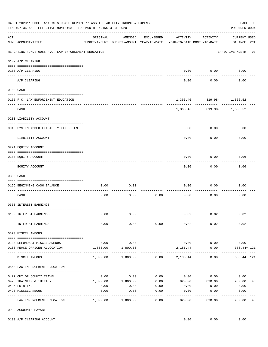|     | 04-01-2020**BUDGET ANALYSIS USAGE REPORT ** ASSET LIABILITY INCOME & EXPENSE<br>PAGE 93<br>TIME: 07:36 AM - EFFECTIVE MONTH: 03 - FOR MONTH ENDING 3-31-2020<br>PREPARER: 0004 |                                     |                                                     |               |                                        |                   |                                    |  |  |  |
|-----|--------------------------------------------------------------------------------------------------------------------------------------------------------------------------------|-------------------------------------|-----------------------------------------------------|---------------|----------------------------------------|-------------------|------------------------------------|--|--|--|
| ACT | NUM ACCOUNT-TITLE                                                                                                                                                              | ORIGINAL                            | AMENDED<br>BUDGET-AMOUNT BUDGET-AMOUNT YEAR-TO-DATE | ENCUMBERED    | ACTIVITY<br>YEAR-TO-DATE MONTH-TO-DATE | ACTIVITY          | <b>CURRENT USED</b><br>BALANCE PCT |  |  |  |
|     | REPORTING FUND: 0055 F.C. LAW ENFORCEMENT EDUCATION                                                                                                                            |                                     |                                                     |               |                                        |                   | EFFECTIVE MONTH - 03               |  |  |  |
|     | 0102 A/P CLEARING                                                                                                                                                              |                                     |                                                     |               |                                        |                   |                                    |  |  |  |
|     | 0100 A/P CLEARING<br>--- ----------<br>------------------------ --------                                                                                                       |                                     |                                                     |               | 0.00                                   | 0.00              | 0.00                               |  |  |  |
|     | A/P CLEARING                                                                                                                                                                   |                                     |                                                     |               | 0.00                                   | 0.00              | 0.00                               |  |  |  |
|     | 0103 CASH                                                                                                                                                                      |                                     |                                                     |               |                                        |                   |                                    |  |  |  |
|     | 0155 F.C. LAW ENFORCEMENT EDUCATION                                                                                                                                            |                                     |                                                     |               |                                        | .                 | 1,366.46 819.98- 1,366.52          |  |  |  |
|     | CASH                                                                                                                                                                           |                                     |                                                     |               |                                        |                   | 1,366.46 819.98- 1,366.52          |  |  |  |
|     | 0200 LIABILITY ACCOUNT                                                                                                                                                         |                                     |                                                     |               |                                        |                   |                                    |  |  |  |
|     | 0910 SYSTEM ADDED LIABILITY LINE-ITEM                                                                                                                                          |                                     |                                                     |               | 0.00                                   | 0.00              | 0.00                               |  |  |  |
|     | LIABILITY ACCOUNT                                                                                                                                                              |                                     |                                                     |               | 0.00                                   | 0.00              | 0.00                               |  |  |  |
|     | 0271 EQUITY ACCOUNT                                                                                                                                                            |                                     |                                                     |               |                                        |                   |                                    |  |  |  |
|     | 0200 EQUITY ACCOUNT                                                                                                                                                            |                                     |                                                     |               | 0.00                                   | 0.00              | 0.06                               |  |  |  |
|     | EQUITY ACCOUNT                                                                                                                                                                 |                                     |                                                     |               | 0.00                                   | 0.00              | 0.06                               |  |  |  |
|     | 0300 CASH                                                                                                                                                                      |                                     |                                                     |               |                                        |                   |                                    |  |  |  |
|     | 0156 BEGINNING CASH BALANCE                                                                                                                                                    | 0.00                                | 0.00                                                |               | 0.00                                   | 0.00              | 0.00                               |  |  |  |
|     | CASH                                                                                                                                                                           | 0.00                                | 0.00                                                | 0.00          | 0.00                                   | 0.00              | 0.00                               |  |  |  |
|     | 0360 INTEREST EARNINGS                                                                                                                                                         |                                     |                                                     |               |                                        |                   |                                    |  |  |  |
|     | 0100 INTEREST EARNINGS                                                                                                                                                         | 0.00                                | 0.00                                                |               |                                        | $0.02$ $0.02$     | $0.02+$                            |  |  |  |
|     | INTEREST EARNINGS                                                                                                                                                              | 0.00                                | 0.00                                                | 0.00          | 0.02                                   | 0.02              | $0.02+$                            |  |  |  |
|     | 0370 MISCELLANEOUS                                                                                                                                                             |                                     |                                                     |               |                                        |                   |                                    |  |  |  |
|     | 0130 REFUNDS & MISCELLANEOUS                                                                                                                                                   | 0.00                                | 0.00                                                |               | 0.00                                   | 0.00              | 0.00                               |  |  |  |
|     | 0160 PEACE OFFICER ALLOCATION                                                                                                                                                  | 1,800.00<br>--------- ------------- | 1,800.00<br>-----------                             |               | 2,186.44<br>-----------                | 0.00<br>--------- | 386.44+ 121                        |  |  |  |
|     | MISCELLANEOUS                                                                                                                                                                  | 1,800.00                            | 1,800.00                                            |               | $0.00$ 2,186.44                        | 0.00              | 386.44+ 121                        |  |  |  |
|     | 0560 LAW ENFORCEMENT EDUCATION                                                                                                                                                 |                                     |                                                     |               |                                        |                   |                                    |  |  |  |
|     | 0427 OUT OF COUNTY TRAVEL                                                                                                                                                      | 0.00                                | 0.00                                                | 0.00          |                                        | $0.00$ $0.00$     | 0.00                               |  |  |  |
|     | 0428 TRAINING & TUITION                                                                                                                                                        | 1,800.00                            | 1,800.00                                            | 0.00          | 820.00                                 | 820.00            | 980.00<br>46                       |  |  |  |
|     | 0435 PRINTING                                                                                                                                                                  | 0.00                                | 0.00                                                | 0.00          | 0.00                                   | 0.00              | 0.00                               |  |  |  |
|     | 0490 MISCELLANEOUS                                                                                                                                                             | 0.00                                | 0.00                                                | 0.00<br>----- | 0.00                                   | 0.00              | 0.00<br>$- - - - - - -$            |  |  |  |
|     | LAW ENFORCEMENT EDUCATION                                                                                                                                                      | 1,800.00                            | 1,800.00                                            | 0.00          | 820.00                                 | 820.00            | 980.00<br>46                       |  |  |  |
|     | 0999 ACCOUNTS PAYABLE                                                                                                                                                          |                                     |                                                     |               |                                        |                   |                                    |  |  |  |
|     | 0100 A/P CLEARING ACCOUNT                                                                                                                                                      |                                     |                                                     |               | 0.00                                   | 0.00              | 0.00                               |  |  |  |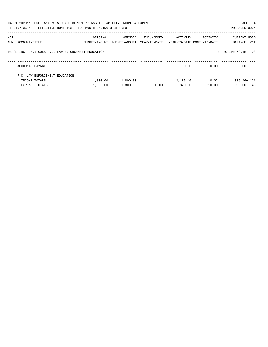|     | 04-01-2020**BUDGET ANALYSIS USAGE REPORT ** ASSET LIABILITY INCOME & EXPENSE<br>TIME: 07:36 AM - EFFECTIVE MONTH: 03 - FOR MONTH ENDING 3-31-2020 |                                         |          |            |                                                     |          | PAGE 94<br>PREPARER: 0004      |
|-----|---------------------------------------------------------------------------------------------------------------------------------------------------|-----------------------------------------|----------|------------|-----------------------------------------------------|----------|--------------------------------|
| ACT | NUM ACCOUNT-TITLE                                                                                                                                 | ORIGINAL<br>BUDGET-AMOUNT BUDGET-AMOUNT | AMENDED  | ENCUMBERED | ACTIVITY<br>YEAR-TO-DATE YEAR-TO-DATE MONTH-TO-DATE | ACTIVITY | CURRENT USED<br>PCT<br>BALANCE |
|     | REPORTING FUND: 0055 F.C. LAW ENFORCEMENT EDUCATION                                                                                               |                                         |          |            |                                                     |          | EFFECTIVE MONTH - 03           |
|     | ACCOUNTS PAYABLE                                                                                                                                  |                                         |          |            | 0.00                                                | 0.00     | 0.00                           |
|     | F.C. LAW ENFORCEMENT EDUCATION                                                                                                                    |                                         |          |            |                                                     |          |                                |
|     | INCOME TOTALS                                                                                                                                     | 1,800.00                                | 1,800.00 |            | 2,186.46                                            | 0.02     | 386.46+ 121                    |
|     | EXPENSE TOTALS                                                                                                                                    | 1,800.00                                | 1,800.00 | 0.00       | 820.00                                              | 820.00   | 980.00<br>46                   |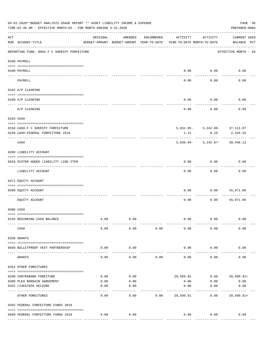|           | 04-01-2020**BUDGET ANALYSIS USAGE REPORT ** ASSET LIABILITY INCOME & EXPENSE<br>TIME: 07:36 AM - EFFECTIVE MONTH: 03 - FOR MONTH ENDING 3-31-2020 |                       |                                                     |            |                                        |          | PAGE 95<br>PREPARER: 0004          |  |
|-----------|---------------------------------------------------------------------------------------------------------------------------------------------------|-----------------------|-----------------------------------------------------|------------|----------------------------------------|----------|------------------------------------|--|
| ACT       | NUM ACCOUNT-TITLE                                                                                                                                 | ORIGINAL              | AMENDED<br>BUDGET-AMOUNT BUDGET-AMOUNT YEAR-TO-DATE | ENCUMBERED | ACTIVITY<br>YEAR-TO-DATE MONTH-TO-DATE | ACTIVITY | <b>CURRENT USED</b><br>BALANCE PCT |  |
|           | REPORTING FUND: 0056 F C SHERIFF FORFEITURE                                                                                                       |                       |                                                     |            |                                        |          | EFFECTIVE MONTH - 03               |  |
|           | 0100 PAYROLL                                                                                                                                      |                       |                                                     |            |                                        |          |                                    |  |
|           | 0100 PAYROLL                                                                                                                                      |                       |                                                     |            | 0.00                                   | 0.00     | 0.00                               |  |
| ---- ---- | ------------------------- --------<br>PAYROLL                                                                                                     |                       |                                                     |            | 0.00                                   | 0.00     | 0.00                               |  |
|           | 0102 A/P CLEARING                                                                                                                                 |                       |                                                     |            |                                        |          |                                    |  |
|           |                                                                                                                                                   |                       |                                                     |            | 0.00                                   | 0.00     | 0.00                               |  |
|           | 0100 A/P CLEARING                                                                                                                                 |                       |                                                     |            |                                        |          |                                    |  |
|           | A/P CLEARING                                                                                                                                      |                       |                                                     |            | 0.00                                   | 0.00     | 0.00                               |  |
|           | 0103 CASH                                                                                                                                         |                       |                                                     |            |                                        |          |                                    |  |
|           | 0156 CASH-F C SHERIFF FORFEITURE                                                                                                                  |                       |                                                     |            |                                        |          | 5,632.05- 5,242.86- 37,113.87      |  |
|           | 0159 CASH-FEDERAL FORFEITURE 2018                                                                                                                 |                       |                                                     |            | 1.11                                   | 0.19     | 2,326.25                           |  |
|           | CASH                                                                                                                                              |                       |                                                     |            |                                        |          | $5,630.94 - 5,242.67 - 39,440.12$  |  |
|           | 0200 LIABILITY ACCOUNT                                                                                                                            |                       |                                                     |            |                                        |          |                                    |  |
|           | 0910 SYSTEM ADDED LIABILITY LINE-ITEM                                                                                                             |                       |                                                     |            | 0.00                                   | 0.00     | 0.00                               |  |
|           | LIABILITY ACCOUNT                                                                                                                                 |                       |                                                     |            | 0.00                                   | 0.00     | 0.00                               |  |
|           | 0271 EQUITY ACCOUNT                                                                                                                               |                       |                                                     |            |                                        |          |                                    |  |
|           | 0200 EQUITY ACCOUNT                                                                                                                               |                       |                                                     |            | 0.00                                   | 0.00     | 45,071.06                          |  |
|           | EQUITY ACCOUNT                                                                                                                                    |                       |                                                     |            | 0.00                                   | 0.00     | 45,071.06                          |  |
|           | 0300 CASH                                                                                                                                         |                       |                                                     |            |                                        |          |                                    |  |
|           | 0156 BEGINNING CASH BALANCE                                                                                                                       | 0.00                  | 0.00                                                |            | 0.00                                   | 0.00     | 0.00                               |  |
|           | CASH                                                                                                                                              | 0.00                  | 0.00                                                | 0.00       | 0.00                                   | 0.00     | 0.00                               |  |
|           | 0330 GRANTS                                                                                                                                       |                       |                                                     |            |                                        |          |                                    |  |
|           | 0560 BULLETPROOF VEST PARTNERSHIP                                                                                                                 | 0.00                  | 0.00                                                |            | 0.00                                   | 0.00     | 0.00                               |  |
|           | GRANTS                                                                                                                                            | 0.00                  | 0.00                                                | 0.00       | 0.00                                   | 0.00     | 0.00                               |  |
|           | 0352 OTHER FOREITURES                                                                                                                             |                       |                                                     |            |                                        |          |                                    |  |
|           | 0200 CONTRABAND FOREITURE                                                                                                                         | 0.00                  | 0.00                                                |            |                                        |          | 20,589.91   0.00   20,589.91+      |  |
|           | 0300 PLEA BARGAIN AGREEMENT                                                                                                                       | 0.00                  | 0.00                                                |            | 0.00                                   | 0.00     | 0.00                               |  |
|           | 0432 LIVESTOCK SEIZURE                                                                                                                            | 0.00                  | 0.00                                                |            | 0.00                                   | 0.00     | 0.00                               |  |
|           | OTHER FOREITURES                                                                                                                                  | 0.00                  | 0.00                                                | 0.00       | 20,589.91                              | 0.00     | 20,589.91+                         |  |
|           | 0355 FEDERAL FORFEITURE FUNDS 2018                                                                                                                |                       |                                                     |            |                                        |          |                                    |  |
|           | 0560 FEDERAL FORFEITURE FUNDS 2018                                                                                                                | 0.00                  | 0.00                                                |            | 0.00                                   | 0.00     | 0.00                               |  |
|           |                                                                                                                                                   | ------ -------------- |                                                     |            |                                        |          |                                    |  |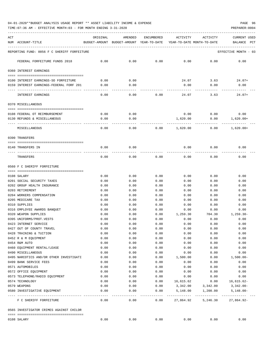04-01-2020\*\*BUDGET ANALYSIS USAGE REPORT \*\* ASSET LIABILITY INCOME & EXPENSE PAGE 96

TIME:07:36 AM - EFFECTIVE MONTH:03 - FOR MONTH ENDING 3-31-2020

| ACT | NUM ACCOUNT-TITLE                                  | ORIGINAL            | AMENDED<br>BUDGET-AMOUNT BUDGET-AMOUNT YEAR-TO-DATE | ENCUMBERED        | ACTIVITY<br>YEAR-TO-DATE MONTH-TO-DATE | ACTIVITY                 | <b>CURRENT USED</b><br>BALANCE<br>$_{\rm PCT}$ |
|-----|----------------------------------------------------|---------------------|-----------------------------------------------------|-------------------|----------------------------------------|--------------------------|------------------------------------------------|
|     | REPORTING FUND: 0056 F C SHERIFF FORFEITURE        |                     |                                                     |                   |                                        |                          | EFFECTIVE MONTH - 03                           |
|     | FEDERAL FORFEITURE FUNDS 2018                      | 0.00                | 0.00                                                | 0.00              | 0.00                                   | 0.00                     | 0.00                                           |
|     | 0360 INTEREST EARNINGS                             |                     |                                                     |                   |                                        |                          |                                                |
|     | 0100 INTEREST EARNINGS-SO FORFEITURE               | 0.00                | 0.00                                                |                   | 24.07                                  | 3.63                     | $24.07+$                                       |
|     | 0159 INTEREST EARNINGS-FEDERAL FORF 201            | 0.00                | 0.00                                                |                   | 0.00                                   | 0.00                     | 0.00                                           |
|     | INTEREST EARNINGS                                  | 0.00                | 0.00                                                | 0.00              | 24.07                                  | 3.63                     | $24.07+$                                       |
|     | 0370 MISCELLANEOUS                                 |                     |                                                     |                   |                                        |                          |                                                |
|     | 0108 FEDERAL OT REIMBURSEMENT                      | 0.00                | 0.00                                                |                   | 0.00                                   | $0.00$ 0.00              |                                                |
|     | 0130 REFUNDS & MISCELLANEOUS                       | 0.00                | 0.00                                                |                   | 1,620.00                               | 0.00                     | $1,620.00+$                                    |
|     | MISCELLANEOUS                                      | 0.00                | 0.00                                                | 0.00              | 1,620.00                               | 0.00                     | $1,620.00+$                                    |
|     | 0390 TRANSFERS                                     |                     |                                                     |                   |                                        |                          |                                                |
|     |                                                    |                     | 0.00                                                |                   | 0.00                                   |                          |                                                |
|     | 0140 TRANSFERS IN                                  | 0.00                |                                                     |                   |                                        | 0.00                     | 0.00                                           |
|     | TRANSFERS                                          | 0.00                | 0.00                                                | 0.00              | 0.00                                   | 0.00                     | 0.00                                           |
|     | 0560 F C SHERIFF FORFEITURE                        |                     |                                                     |                   |                                        |                          |                                                |
|     | 0108 SALARY                                        | 0.00                | 0.00                                                | 0.00              | 0.00                                   | 0.00                     | 0.00                                           |
|     | 0201 SOCIAL SECURITY TAXES                         | 0.00                | 0.00                                                | 0.00              | 0.00                                   | 0.00                     | 0.00                                           |
|     | 0202 GROUP HEALTH INSURANCE                        | 0.00                | 0.00                                                | 0.00              | 0.00                                   | 0.00                     | 0.00                                           |
|     | 0203 RETIREMENT                                    | 0.00                | 0.00                                                | 0.00              | 0.00                                   | 0.00                     | 0.00                                           |
|     | 0204 WORKERS COMPENSATION                          | 0.00                | 0.00                                                | 0.00              | 0.00                                   | 0.00                     | 0.00                                           |
|     | 0205 MEDICARE TAX                                  | 0.00                | 0.00                                                | 0.00              | 0.00                                   | 0.00                     | 0.00                                           |
|     | 0310 SUPPLIES                                      | 0.00                | 0.00                                                | 0.00              | 0.00                                   | 0.00                     | 0.00                                           |
|     | 0316 EMPLOYEE AWARDS BANOUET                       | 0.00                | 0.00                                                | 0.00              | 0.00                                   | 0.00                     | 0.00                                           |
|     | 0320 WEAPON SUPPLIES                               | 0.00                | 0.00                                                | 0.00              | 1,259.30                               | 704.30                   | $1, 259.30 -$                                  |
|     | 0395 UNIFORMS/PROT. VESTS                          | 0.00                | 0.00                                                | 0.00              | 0.00                                   | 0.00                     | 0.00                                           |
|     | 0423 INTERNET SERVICE                              | 0.00                | 0.00                                                | 0.00              | 0.00                                   | 0.00                     | 0.00                                           |
|     | 0427 OUT OF COUNTY TRAVEL                          | 0.00                | 0.00                                                | 0.00              | 0.00                                   | 0.00                     | 0.00                                           |
|     | 0428 TRAINING & TUITION                            | 0.00                | 0.00                                                | 0.00              | 0.00                                   | 0.00                     | 0.00                                           |
|     | 0452 R & M EQUIPMENT                               | 0.00                | 0.00                                                | 0.00              | 0.00                                   | 0.00                     | 0.00                                           |
|     | 0454 R&M AUTO                                      | 0.00                | 0.00                                                | 0.00              | 0.00                                   | 0.00                     | 0.00                                           |
|     | 0460 EQUIPMENT RENTAL/LEASE                        | 0.00                | 0.00                                                | 0.00              | 0.00                                   | 0.00                     | 0.00                                           |
|     | 0490 MISCELLANEOUS                                 | 0.00                | 0.00                                                | 0.00              | 0.00                                   | 0.00                     | 0.00                                           |
|     | 0495 NARCOTICS AND/OR OTHER INVESTIGATI            | 0.00                | 0.00                                                | 0.00              | 1,500.00                               | 0.00                     | $1,500.00-$                                    |
|     | 0499 BANK SERVICE FEES                             | 0.00                | 0.00                                                | 0.00              | 0.00                                   | 0.00                     | 0.00                                           |
|     | 0571 AUTOMOBILES                                   | 0.00                | 0.00                                                | 0.00              | 0.00                                   | 0.00                     | 0.00                                           |
|     | 0572 OFFICE EQUIPMENT                              | 0.00                | 0.00                                                | 0.00              | 0.00                                   | 0.00                     | 0.00                                           |
|     | 0573 TELEPHONE/RADIO EQUIPMENT                     | 0.00                | 0.00                                                | 0.00              | 0.00                                   | 0.00                     | 0.00                                           |
|     | 0574 TECHNOLOGY                                    | 0.00                | 0.00                                                | 0.00              | 16,615.62                              | 0.00                     | $16,615.62-$                                   |
|     | 0579 WEAPONS<br>0580 INVESTIGATIVE EQUIPMENT       | 0.00<br>0.00        | 0.00<br>0.00                                        | 0.00<br>0.00      | 3,342.00<br>5,148.00                   | 3,342.00<br>1,200.00     | $3,342.00-$<br>$5,148.00 -$                    |
|     | ---- -------------------<br>F C SHERIFF FORFEITURE | $- - - - -$<br>0.00 | $---$<br>0.00                                       | $- - - -$<br>0.00 | -----------<br>27,864.92               | ____________<br>5,246.30 | -------------<br>$27,864.92-$                  |
|     | 0565 INVESTIGATOR CRIMES AGAINST CHILDR            |                     |                                                     |                   |                                        |                          |                                                |
|     |                                                    |                     |                                                     |                   |                                        |                          |                                                |
|     | 0108 SALARY                                        | 0.00                | 0.00                                                | 0.00              | 0.00                                   | 0.00                     | 0.00                                           |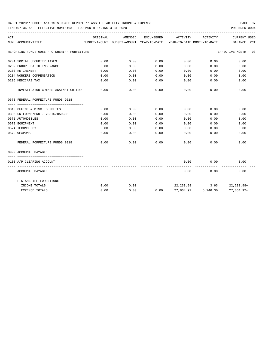## 04-01-2020\*\*BUDGET ANALYSIS USAGE REPORT \*\* ASSET LIABILITY INCOME & EXPENSE PAGE 97

TIME:07:36 AM - EFFECTIVE MONTH:03 - FOR MONTH ENDING 3-31-2020

| ACT |                                             | ORIGINAL | AMENDED                                  | ENCUMBERED | ACTIVITY                             | ACTIVITY                    | CURRENT USED         |
|-----|---------------------------------------------|----------|------------------------------------------|------------|--------------------------------------|-----------------------------|----------------------|
|     | NUM ACCOUNT-TITLE                           |          | BUDGET-AMOUNT BUDGET-AMOUNT YEAR-TO-DATE |            | YEAR-TO-DATE MONTH-TO-DATE           |                             | BALANCE PCT          |
|     | REPORTING FUND: 0056 F C SHERIFF FORFEITURE |          |                                          |            |                                      |                             | EFFECTIVE MONTH - 03 |
|     | 0201 SOCIAL SECURITY TAXES                  | 0.00     | 0.00                                     | 0.00       | 0.00                                 | 0.00                        | 0.00                 |
|     | 0202 GROUP HEALTH INSURANCE                 | 0.00     | 0.00                                     | 0.00       | 0.00                                 | 0.00                        | 0.00                 |
|     | 0203 RETIREMENT                             | 0.00     | 0.00                                     | 0.00       | 0.00                                 | 0.00                        | 0.00                 |
|     | 0204 WORKERS COMPENSATION                   | 0.00     | 0.00                                     | 0.00       |                                      | 0.00<br>0.00                | 0.00                 |
|     | 0205 MEDICARE TAX                           | 0.00     | 0.00                                     | 0.00       | 0.00                                 | 0.00                        | 0.00                 |
|     | INVESTIGATOR CRIMES AGAINST CHILDR          | 0.00     | 0.00                                     | 0.00       | 0.00                                 | 0.00                        | 0.00                 |
|     | 0570 FEDERAL FORFEITURE FUNDS 2018          |          |                                          |            |                                      |                             |                      |
|     |                                             |          |                                          |            |                                      |                             |                      |
|     | 0310 OFFICE & MISC. SUPPLIES                | 0.00     | 0.00                                     | 0.00       | 0.00                                 | 0.00                        | 0.00                 |
|     | 0395 UNIFORMS/PROT. VESTS/BADGES            | 0.00     | 0.00                                     | 0.00       | 0.00                                 | 0.00                        | 0.00                 |
|     | 0571 AUTOMOBILES                            | 0.00     | 0.00                                     | 0.00       | 0.00                                 | 0.00                        | 0.00                 |
|     | 0572 EOUIPMENT                              | 0.00     | 0.00                                     | 0.00       | 0.00                                 | 0.00                        | 0.00                 |
|     | 0574 TECHNOLOGY                             | 0.00     | 0.00                                     | 0.00       | 0.00                                 | 0.00                        | 0.00                 |
|     | 0579 WEAPONS                                | 0.00     | 0.00                                     | 0.00       | 0.00                                 | 0.00                        | 0.00                 |
|     | FEDERAL FORFEITURE FUNDS 2018               | 0.00     | 0.00                                     | 0.00       | 0.00                                 | 0.00                        | 0.00                 |
|     | 0999 ACCOUNTS PAYABLE                       |          |                                          |            |                                      |                             |                      |
|     |                                             |          |                                          |            |                                      |                             |                      |
|     | 0100 A/P CLEARING ACCOUNT                   |          |                                          |            | 0.00                                 | 0.00                        | 0.00                 |
|     | ACCOUNTS PAYABLE                            |          |                                          |            | 0.00                                 | 0.00                        | 0.00                 |
|     | F C SHERIFF FORFEITURE                      |          |                                          |            |                                      |                             |                      |
|     | INCOME TOTALS                               | 0.00     | 0.00                                     |            |                                      | 22, 233.98 3.63 22, 233.98+ |                      |
|     | <b>EXPENSE TOTALS</b>                       | 0.00     | 0.00                                     |            | $0.00$ 27,864.92 5,246.30 27,864.92- |                             |                      |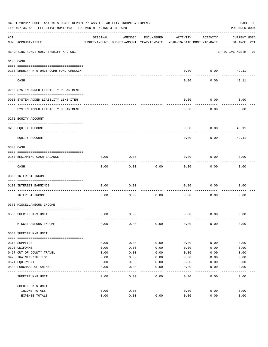|     | 04-01-2020**BUDGET ANALYSIS USAGE REPORT ** ASSET LIABILITY INCOME & EXPENSE<br>TIME: 07:36 AM - EFFECTIVE MONTH: 03 - FOR MONTH ENDING 3-31-2020 |              |                                                     |              |                                        |              | PAGE 98<br>PREPARER: 0004   |
|-----|---------------------------------------------------------------------------------------------------------------------------------------------------|--------------|-----------------------------------------------------|--------------|----------------------------------------|--------------|-----------------------------|
| ACT | NUM ACCOUNT-TITLE                                                                                                                                 | ORIGINAL     | AMENDED<br>BUDGET-AMOUNT BUDGET-AMOUNT YEAR-TO-DATE | ENCUMBERED   | ACTIVITY<br>YEAR-TO-DATE MONTH-TO-DATE | ACTIVITY     | CURRENT USED<br>BALANCE PCT |
|     | REPORTING FUND: 0057 SHERIFF K-9 UNIT                                                                                                             |              |                                                     |              |                                        |              | EFFECTIVE MONTH - 03        |
|     | 0103 CASH                                                                                                                                         |              |                                                     |              |                                        |              |                             |
|     |                                                                                                                                                   |              |                                                     |              |                                        |              |                             |
|     | 0100 SHERIFF K-9 UNIT-COMB. FUND CHECKIN                                                                                                          |              |                                                     |              | 0.00                                   | 0.00         | 49.11                       |
|     | CASH                                                                                                                                              |              |                                                     |              | 0.00                                   | 0.00         | 49.11                       |
|     | 0200 SYSTEM ADDED LIABILITY DEPARTMENT                                                                                                            |              |                                                     |              |                                        |              |                             |
|     | 0910 SYSTEM ADDED LIABILITY LINE-ITEM                                                                                                             |              |                                                     |              | 0.00                                   | 0.00         | 0.00                        |
|     | SYSTEM ADDED LIABILITY DEPARTMENT                                                                                                                 |              |                                                     |              | 0.00                                   | 0.00         | 0.00                        |
|     | 0271 EQUITY ACCOUNT                                                                                                                               |              |                                                     |              |                                        |              |                             |
|     | 0200 EQUITY ACCOUNT                                                                                                                               |              |                                                     |              | 0.00                                   | 0.00         | 49.11                       |
|     | EQUITY ACCOUNT                                                                                                                                    |              |                                                     |              | 0.00                                   | 0.00         | 49.11                       |
|     | 0300 CASH                                                                                                                                         |              |                                                     |              |                                        |              |                             |
|     | 0157 BEGINNING CASH BALANCE                                                                                                                       | 0.00         | 0.00                                                |              | 0.00                                   | 0.00         | 0.00                        |
|     | CASH                                                                                                                                              | 0.00         | 0.00                                                | 0.00         | 0.00                                   | 0.00         | 0.00                        |
|     | 0360 INTEREST INCOME                                                                                                                              |              |                                                     |              |                                        |              |                             |
|     |                                                                                                                                                   |              |                                                     |              |                                        |              |                             |
|     | 0100 INTEREST EARNINGS<br>-----------------                                                                                                       | 0.00         | 0.00                                                |              | 0.00                                   | 0.00         | 0.00                        |
|     | INTEREST INCOME                                                                                                                                   | 0.00         | 0.00                                                | 0.00         | 0.00                                   | 0.00         | 0.00                        |
|     | 0370 MISCELLANEOUS INCOME                                                                                                                         |              |                                                     |              |                                        |              |                             |
|     | 0560 SHERIFF K-9 UNIT                                                                                                                             | 0.00         | 0.00                                                |              | 0.00                                   | 0.00         | 0.00                        |
|     | MISCELLANEOUS INCOME                                                                                                                              | 0.00         | 0.00                                                | 0.00         | 0.00                                   | 0.00         | 0.00                        |
|     | 0560 SHERIFF K-9 UNIT                                                                                                                             |              |                                                     |              |                                        |              |                             |
|     |                                                                                                                                                   |              |                                                     |              |                                        |              |                             |
|     | 0310 SUPPLIES                                                                                                                                     | 0.00         | 0.00                                                | 0.00         | 0.00                                   | 0.00         | 0.00                        |
|     | 0395 UNIFORMS<br>0427 OUT OF COUNTY TRAVEL                                                                                                        | 0.00<br>0.00 | 0.00<br>0.00                                        | 0.00<br>0.00 | 0.00<br>0.00                           | 0.00<br>0.00 | 0.00<br>0.00                |
|     | 0428 TRAINING/TUITION                                                                                                                             | 0.00         | 0.00                                                | 0.00         | 0.00                                   | 0.00         | 0.00                        |
|     | 0571 EQUIPMENT                                                                                                                                    | 0.00         | 0.00                                                | 0.00         | 0.00                                   | 0.00         | 0.00                        |
|     | 0580 PURCHASE OF ANIMAL                                                                                                                           | 0.00         | 0.00                                                | 0.00         | 0.00                                   | 0.00         | 0.00                        |
|     | SHERIFF K-9 UNIT                                                                                                                                  | 0.00         | ----<br>0.00                                        | ----<br>0.00 | 0.00                                   | 0.00         | 0.00                        |
|     | SHERIFF K-9 UNIT                                                                                                                                  |              |                                                     |              |                                        |              |                             |
|     | INCOME TOTALS                                                                                                                                     | 0.00         | 0.00                                                |              | 0.00                                   | 0.00         | 0.00                        |
|     | <b>EXPENSE TOTALS</b>                                                                                                                             | 0.00         | 0.00                                                | 0.00         | 0.00                                   | 0.00         | 0.00                        |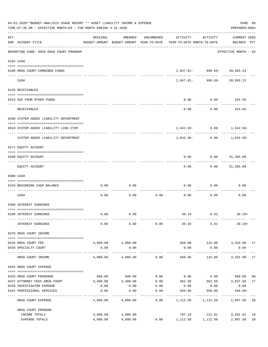| 04-01-2020**BUDGET ANALYSIS USAGE REPORT ** ASSET LIABILITY INCOME & EXPENSE<br>TIME: 07:36 AM - EFFECTIVE MONTH: 03 - FOR MONTH ENDING 3-31-2020 |                                         |                       |                   |                 |                                                                                 |                                 |                                    |       |
|---------------------------------------------------------------------------------------------------------------------------------------------------|-----------------------------------------|-----------------------|-------------------|-----------------|---------------------------------------------------------------------------------|---------------------------------|------------------------------------|-------|
| ACT                                                                                                                                               | NUM ACCOUNT-TITLE                       | ORIGINAL              | AMENDED           | ENCUMBERED      | ACTIVITY<br>BUDGET-AMOUNT BUDGET-AMOUNT YEAR-TO-DATE YEAR-TO-DATE MONTH-TO-DATE | ACTIVITY                        | <b>CURRENT USED</b><br>BALANCE PCT |       |
|                                                                                                                                                   | REPORTING FUND: 0059 DRUG COURT PROGRAM |                       |                   |                 |                                                                                 |                                 | EFFECTIVE MONTH - 03               |       |
|                                                                                                                                                   | 0103 CASH                               |                       |                   |                 |                                                                                 |                                 |                                    |       |
|                                                                                                                                                   | 0100 DRUG COURT-COMBINED FUNDS          |                       |                   |                 |                                                                                 | 2,047.81-990.69-28,993.23       | ---------                          |       |
|                                                                                                                                                   | CASH                                    |                       |                   |                 | 2,047.81-                                                                       | -------------                   | 990.69-28,993.23                   |       |
|                                                                                                                                                   | 0120 RECEIVABLES                        |                       |                   |                 |                                                                                 |                                 |                                    |       |
|                                                                                                                                                   | 0313 DUE FROM OTHER FUNDS               |                       |                   |                 | 0.00                                                                            | 0.00                            | 324.05                             |       |
|                                                                                                                                                   | RECEIVABLES                             |                       |                   |                 | 0.00                                                                            | 0.00                            | 324.05                             |       |
|                                                                                                                                                   | 0200 SYSTEM ADDED LIABILITY DEPARTMENT  |                       |                   |                 |                                                                                 |                                 |                                    |       |
|                                                                                                                                                   | 0910 SYSTEM ADDED LIABILITY LINE-ITEM   |                       |                   |                 |                                                                                 | $1,642.50 - 0.00$ $1,642.50 -$  |                                    |       |
|                                                                                                                                                   | SYSTEM ADDED LIABILITY DEPARTMENT       |                       |                   |                 | 1,642.50-                                                                       | 0.00                            | 1,642.50-                          |       |
|                                                                                                                                                   | 0271 EQUITY ACCOUNT                     |                       |                   |                 |                                                                                 |                                 |                                    |       |
|                                                                                                                                                   | 0200 EQUITY ACCOUNT                     |                       |                   |                 | 0.00                                                                            | $0.00$ $31,365.09$              |                                    |       |
|                                                                                                                                                   | EQUITY ACCOUNT                          |                       |                   |                 | 0.00                                                                            |                                 | $0.00$ 31,365.09                   |       |
|                                                                                                                                                   | 0300 CASH                               |                       |                   |                 |                                                                                 |                                 |                                    |       |
|                                                                                                                                                   | 0159 BEGINNING CASH BALANCE             | 0.00                  | 0.00              |                 | 0.00                                                                            | 0.00                            | 0.00                               |       |
|                                                                                                                                                   | CASH                                    | 0.00                  | 0.00              | 0.00            | 0.00                                                                            | 0.00                            | 0.00                               |       |
|                                                                                                                                                   | 0360 INTEREST EARNINGS                  |                       |                   |                 |                                                                                 |                                 |                                    |       |
|                                                                                                                                                   | 0100 INTEREST EARNINGS                  | 0.00                  | 0.00              |                 |                                                                                 | 39.19 6.01                      | $39.19+$                           |       |
|                                                                                                                                                   | INTEREST EARNINGS                       | 0.00                  | 0.00              | 0.00            | 39.19                                                                           | 6.01                            | 39.19+                             |       |
|                                                                                                                                                   | 0370 DRUG COURT INCOME                  |                       |                   |                 |                                                                                 |                                 |                                    |       |
|                                                                                                                                                   | 0425 DRUG COURT FEE                     |                       | 4,000.00 4,000.00 |                 |                                                                                 | 668.00   115.80   3,332.00   17 |                                    |       |
|                                                                                                                                                   | 0426 SPECIALTY COURT                    | 0.00                  | 0.00              |                 | 0.00<br>.                                                                       | 0.00<br>____________            | 0.00<br>-------------              | $---$ |
|                                                                                                                                                   | DRUG COURT INCOME                       | 4,000.00              | 4,000.00          | 0.00            | 668.00                                                                          | 115.80                          | 3,332.00 17                        |       |
|                                                                                                                                                   | 0425 DRUG COURT EXPENSE                 |                       |                   |                 |                                                                                 |                                 |                                    |       |
|                                                                                                                                                   | 0433 DRUG COURT PROGRAMS                |                       | 600.00 600.00     |                 | $0.00$ 0.00                                                                     | $0.00$ 600.00                   |                                    | 00    |
|                                                                                                                                                   | 0437 ATTORNEY FEES DRUG COURT           |                       | 3,400.00 3,400.00 | 0.00            | 562.50                                                                          | 562.50 2,837.50                 |                                    | 17    |
|                                                                                                                                                   | 0439 INVESTIGATOR EXPENSE               | 0.00                  | 0.00              | 0.00            | 0.00                                                                            | 0.00                            | 0.00                               |       |
|                                                                                                                                                   | 0442 PROFESSIONAL SERVICES              | 0.00<br>------------- | 0.00              | 0.00<br>------- | 550.00                                                                          | 550.00<br>---------             | $550.00 -$                         |       |
|                                                                                                                                                   | DRUG COURT EXPENSE                      | 4,000.00              | 4,000.00          | 0.00            |                                                                                 | 1, 112.50 1, 112.50             | 2,887.50 28                        |       |
|                                                                                                                                                   | DRUG COURT PROGRAM                      |                       |                   |                 |                                                                                 |                                 |                                    |       |
|                                                                                                                                                   | INCOME TOTALS                           |                       | 4,000.00 4,000.00 |                 |                                                                                 |                                 |                                    | 18    |
|                                                                                                                                                   | EXPENSE TOTALS                          | 4,000.00              | 4,000.00          | 0.00            | 1, 112.50 1, 112.50                                                             |                                 | 2,887.50                           | 28    |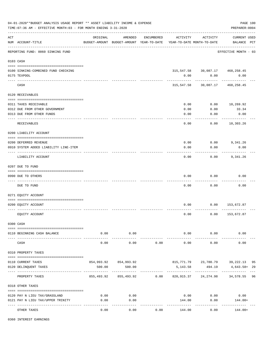|     | 04-01-2020**BUDGET ANALYSIS USAGE REPORT ** ASSET LIABILITY INCOME & EXPENSE<br>PAGE 100<br>TIME: 07:36 AM - EFFECTIVE MONTH: 03 - FOR MONTH ENDING 3-31-2020<br>PREPARER: 0004 |                |                                                     |            |              |                                                           |                                    |    |  |  |  |
|-----|---------------------------------------------------------------------------------------------------------------------------------------------------------------------------------|----------------|-----------------------------------------------------|------------|--------------|-----------------------------------------------------------|------------------------------------|----|--|--|--|
| ACT | NUM ACCOUNT-TITLE                                                                                                                                                               | ORIGINAL       | AMENDED<br>BUDGET-AMOUNT BUDGET-AMOUNT YEAR-TO-DATE | ENCUMBERED | ACTIVITY     | ACTIVITY<br>YEAR-TO-DATE MONTH-TO-DATE                    | <b>CURRENT USED</b><br>BALANCE PCT |    |  |  |  |
|     | ------------------------------------<br>REPORTING FUND: 0060 SINKING FUND                                                                                                       |                |                                                     |            |              |                                                           | EFFECTIVE MONTH - 03               |    |  |  |  |
|     | 0103 CASH                                                                                                                                                                       |                |                                                     |            |              |                                                           |                                    |    |  |  |  |
|     | 0100 SINKING-COMBINED FUND CHECKING                                                                                                                                             |                |                                                     |            |              | 315, 547.58 30, 087.17 468, 258.45                        |                                    |    |  |  |  |
|     | 0175 TEXPOOL                                                                                                                                                                    |                |                                                     |            | 0.00         | 0.00                                                      | 0.00                               |    |  |  |  |
|     | CASH                                                                                                                                                                            |                |                                                     |            | 315,547.58   | 30,087.17                                                 | 468,258.45                         |    |  |  |  |
|     | 0120 RECEIVABLES                                                                                                                                                                |                |                                                     |            |              |                                                           |                                    |    |  |  |  |
|     |                                                                                                                                                                                 |                |                                                     |            |              |                                                           |                                    |    |  |  |  |
|     | 0311 TAXES RECEIVABLE                                                                                                                                                           |                |                                                     |            | 0.00         | 0.00                                                      | 10,269.92                          |    |  |  |  |
|     | 0312 DUE FROM OTHER GOVERNMENT<br>0313 DUE FROM OTHER FUNDS                                                                                                                     |                |                                                     |            | 0.00<br>0.00 | 0.00<br>0.00                                              | 33.34<br>0.00                      |    |  |  |  |
|     |                                                                                                                                                                                 |                |                                                     |            |              |                                                           | ----------                         |    |  |  |  |
|     | <b>RECEIVABLES</b>                                                                                                                                                              |                |                                                     |            | 0.00         | 0.00                                                      | 10,303.26                          |    |  |  |  |
|     | 0200 LIABILITY ACCOUNT                                                                                                                                                          |                |                                                     |            |              |                                                           |                                    |    |  |  |  |
|     |                                                                                                                                                                                 |                |                                                     |            |              |                                                           |                                    |    |  |  |  |
|     | 0200 DEFERRED REVENUE                                                                                                                                                           |                |                                                     |            | 0.00         | $0.00$ 9,341.26                                           |                                    |    |  |  |  |
|     | 0910 SYSTEM ADDED LIABILITY LINE-ITEM                                                                                                                                           |                |                                                     |            | 0.00         | 0.00                                                      | 0.00<br>--------                   |    |  |  |  |
|     | LIABILITY ACCOUNT                                                                                                                                                               |                |                                                     |            | 0.00         | 0.00                                                      | 9,341.26                           |    |  |  |  |
|     | 0207 DUE TO FUND                                                                                                                                                                |                |                                                     |            |              |                                                           |                                    |    |  |  |  |
|     | 0990 DUE TO OTHERS                                                                                                                                                              |                |                                                     |            | 0.00         | 0.00                                                      | 0.00                               |    |  |  |  |
|     | DUE TO FUND                                                                                                                                                                     |                |                                                     |            | 0.00         | 0.00                                                      | 0.00                               |    |  |  |  |
|     | 0271 EQUITY ACCOUNT                                                                                                                                                             |                |                                                     |            |              |                                                           |                                    |    |  |  |  |
|     |                                                                                                                                                                                 |                |                                                     |            |              |                                                           |                                    |    |  |  |  |
|     | 0200 EQUITY ACCOUNT                                                                                                                                                             |                |                                                     |            | 0.00         |                                                           | $0.00$ 153,672.87                  |    |  |  |  |
|     | EQUITY ACCOUNT                                                                                                                                                                  |                |                                                     |            | 0.00         | 0.00                                                      | 153,672.87                         |    |  |  |  |
|     | 0300 CASH                                                                                                                                                                       |                |                                                     |            |              |                                                           |                                    |    |  |  |  |
|     |                                                                                                                                                                                 |                |                                                     |            |              |                                                           |                                    |    |  |  |  |
|     | 0110 BEGINNING CASH BALANCE                                                                                                                                                     | 0.00<br>------ | 0.00<br>. <u>.</u> .                                |            | ------------ | $0.00$ 0.00<br>----------                                 | 0.00                               |    |  |  |  |
|     | CASH                                                                                                                                                                            | 0.00           | 0.00                                                | 0.00       | 0.00         | 0.00                                                      | 0.00                               |    |  |  |  |
|     | 0310 PROPERTY TAXES                                                                                                                                                             |                |                                                     |            |              |                                                           |                                    |    |  |  |  |
|     |                                                                                                                                                                                 |                |                                                     |            |              |                                                           |                                    |    |  |  |  |
|     | 0110 CURRENT TAXES                                                                                                                                                              |                | 854,993.92 854,993.92                               |            |              | 815,771.79 23,780.79 39,222.13                            |                                    | 95 |  |  |  |
|     | 0120 DELINQUENT TAXES                                                                                                                                                           | 500.00         | 500.00                                              |            | 5,143.58     | 494.19<br>-----------                                     | 4,643.58+29                        |    |  |  |  |
|     | PROPERTY TAXES                                                                                                                                                                  |                |                                                     |            |              | 855,493.92 855,493.92 0.00 820,915.37 24,274.98 34,578.55 |                                    | 96 |  |  |  |
|     | 0318 OTHER TAXES                                                                                                                                                                |                |                                                     |            |              |                                                           |                                    |    |  |  |  |
|     | 0120 PAY N LIEU TAX/GRASSLAND                                                                                                                                                   | 0.00           | 0.00                                                |            |              | 0.00<br>0.00                                              | 0.00                               |    |  |  |  |
|     | 0121 PAY N LIEU TAX/UPPER TRINITY                                                                                                                                               | 0.00           | 0.00                                                |            | 144.00       | 0.00                                                      | 144.00+                            |    |  |  |  |
|     | OTHER TAXES                                                                                                                                                                     | 0.00           | -----<br>0.00                                       | 0.00       | 144.00       | 0.00                                                      | 144.00+                            |    |  |  |  |
|     |                                                                                                                                                                                 |                |                                                     |            |              |                                                           |                                    |    |  |  |  |

0360 INTEREST EARNINGS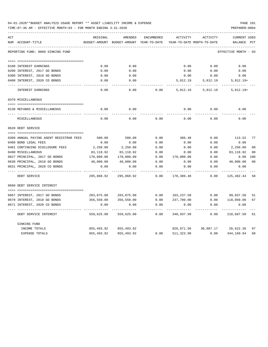| 04-01-2020**BUDGET ANALYSIS USAGE REPORT ** ASSET LIABILITY INCOME & EXPENSE | PAGE 101       |
|------------------------------------------------------------------------------|----------------|
| TIME:07:36 AM - EFFECTIVE MONTH:03 - FOR MONTH ENDING 3-31-2020              | PREPARER: 0004 |

| ACT |                                         | ORIGINAL      | AMENDED                    | ENCUMBERED | ACTIVITY   | ACTIVITY                       | CURRENT USED         |     |
|-----|-----------------------------------------|---------------|----------------------------|------------|------------|--------------------------------|----------------------|-----|
|     | NUM ACCOUNT-TITLE                       | BUDGET-AMOUNT | BUDGET-AMOUNT YEAR-TO-DATE |            |            | YEAR-TO-DATE MONTH-TO-DATE     | BALANCE              | PCT |
|     | REPORTING FUND: 0060 SINKING FUND       |               |                            |            |            |                                | EFFECTIVE MONTH - 03 |     |
|     |                                         |               |                            |            |            |                                |                      |     |
|     | 0100 INTEREST EARNINGS                  | 0.00          | 0.00                       |            | 0.00       | 0.00                           | 0.00                 |     |
|     | 0200 INTEREST, 2017 GO BONDS            | 0.00          | 0.00                       |            | 0.00       | 0.00                           | 0.00                 |     |
|     | 0300 INTEREST, 2018 GO BONDS            | 0.00          | 0.00                       |            | 0.00       | 0.00                           | 0.00                 |     |
|     | 0400 INTEREST, 2020 CO BONDS            | 0.00          | 0.00                       |            | 5,812.19   | 5,812.19                       | $5,812.19+$          |     |
|     | INTEREST EARNINGS                       | 0.00          | 0.00                       | 0.00       | 5,812.19   | 5,812.19                       | $5,812.19+$          |     |
|     | 0370 MISCELLANEOUS                      |               |                            |            |            |                                |                      |     |
|     |                                         |               |                            |            |            |                                |                      |     |
|     | 0130 REFUNDS & MISCELLANEOUS            | 0.00          | 0.00                       |            | 0.00       | 0.00                           | 0.00                 |     |
|     | MISCELLANEOUS                           | 0.00          | 0.00                       | 0.00       | 0.00       | 0.00                           | 0.00                 |     |
|     | 0620 DEBT SERVICE                       |               |                            |            |            |                                |                      |     |
|     |                                         |               |                            |            |            |                                |                      |     |
|     | 0309 ANNUAL PAYING AGENT REGISTRAR FEES | 500.00        | 500.00                     | 0.00       | 386.48     | 0.00                           | 113.52 77            |     |
|     | 0400 BOND LEGAL FEES                    | 0.00          | 0.00                       | 0.00       | 0.00       | 0.00                           | 0.00                 |     |
|     | 0401 CONTINUING DISCLOSURE FEES         | 2,250.00      | 2,250.00                   | 0.00       | 0.00       | 0.00                           | 2,250.00             | 00  |
|     | 0490 MISCELLANEOUS                      | 83,118.92     | 83,118.92                  | 0.00       | 0.00       | 0.00                           | 83,118.92            | 00  |
|     | 0627 PRINCIPAL, 2017 GO BONDS           | 170,000.00    | 170,000.00                 | 0.00       | 170,000.00 | 0.00                           | 0.00                 | 100 |
|     | 0630 PRINCIPAL, 2018 GO BONDS           | 40,000.00     | 40,000.00                  | 0.00       | 0.00       | 0.00                           | 40,000.00            | 00  |
|     | 0631 PRINCIPAL, 2020 CO BONDS           | 0.00          | 0.00                       | 0.00       | 0.00       | 0.00                           | 0.00                 |     |
|     | DEBT SERVICE                            | 295,868.92    | 295,868.92                 | 0.00       | 170,386.48 | 0.00                           | 125,482.44 58        |     |
|     | 0660 DEBT SERVICE INTEREST              |               |                            |            |            |                                |                      |     |
|     |                                         |               |                            |            |            |                                |                      |     |
|     | 0667 INTEREST, 2017 GO BONDS            | 203,075.00    | 203,075.00                 | 0.00       | 103,237.50 | 0.00                           | 99,837.50 51         |     |
|     | 0670 INTEREST, 2018 GO BONDS            | 356,550.00    | 356,550.00                 | 0.00       | 237,700.00 | 0.00                           | 118,850.00           | 67  |
|     | 0671 INTEREST, 2020 CO BONDS            | 0.00          | 0.00                       | 0.00       | 0.00       | 0.00                           | 0.00                 |     |
|     | DEBT SERVICE INTEREST                   | 559,625.00    | 559,625.00                 | 0.00       | 340,937.50 | 0.00                           | 218,687.50 61        |     |
|     | SINKING FUND                            |               |                            |            |            |                                |                      |     |
|     | INCOME TOTALS                           |               | 855,493.92 855,493.92      |            |            | 826,871.56 30,087.17 28,622.36 |                      | 97  |
|     | <b>EXPENSE TOTALS</b>                   | 855,493.92    | 855, 493.92                | 0.00       | 511,323.98 | 0.00                           | 344,169.94           | 60  |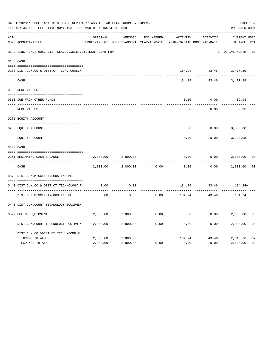|     | 04-01-2020**BUDGET ANALYSIS USAGE REPORT ** ASSET LIABILITY INCOME & EXPENSE<br>TIME: 07:36 AM - EFFECTIVE MONTH: 03 - FOR MONTH ENDING 3-31-2020 |          |                                                     |            |          |                                        |                                    |                |  |  |
|-----|---------------------------------------------------------------------------------------------------------------------------------------------------|----------|-----------------------------------------------------|------------|----------|----------------------------------------|------------------------------------|----------------|--|--|
| ACT | NUM ACCOUNT-TITLE                                                                                                                                 | ORIGINAL | AMENDED<br>BUDGET-AMOUNT BUDGET-AMOUNT YEAR-TO-DATE | ENCUMBERED | ACTIVITY | ACTIVITY<br>YEAR-TO-DATE MONTH-TO-DATE | <b>CURRENT USED</b><br>BALANCE PCT |                |  |  |
|     | REPORTING FUND: 0061 DIST.CLK.CO.&DIST.CT.TECH.-COMB.FUN                                                                                          |          |                                                     |            |          |                                        | EFFECTIVE MONTH - 03               |                |  |  |
|     | 0103 CASH                                                                                                                                         |          |                                                     |            |          |                                        |                                    |                |  |  |
|     | 0100 DIST.CLK.CO.& DIST.CT.TECH.-COMBIN                                                                                                           |          |                                                     |            |          |                                        | 184.24 43.46 3,477.39              |                |  |  |
|     | CASH                                                                                                                                              |          |                                                     |            | 184.24   | 43.46                                  | 3,477.39                           |                |  |  |
|     | 0120 RECEIVABLES                                                                                                                                  |          |                                                     |            |          |                                        |                                    |                |  |  |
|     | 0313 DUE FROM OTHER FUNDS                                                                                                                         |          |                                                     |            | 0.00     | 0.00                                   | 39.93                              |                |  |  |
|     | RECEIVABLES                                                                                                                                       |          |                                                     |            | 0.00     | 0.00                                   | 39.93                              |                |  |  |
|     | 0271 EQUITY ACCOUNT                                                                                                                               |          |                                                     |            |          |                                        |                                    |                |  |  |
|     | 0200 EQUITY ACCOUNT                                                                                                                               |          |                                                     |            | 0.00     | 0.00                                   | 3,333.08                           |                |  |  |
|     | ---- ------------<br>EQUITY ACCOUNT                                                                                                               |          |                                                     |            | 0.00     | 0.00                                   | 3,333.08                           |                |  |  |
|     | 0300 CASH                                                                                                                                         |          |                                                     |            |          |                                        |                                    |                |  |  |
|     | 0161 BEGINNING CASH BALANCE                                                                                                                       | 2,800.00 | 2,800.00                                            |            | 0.00     | 0.00                                   | 2,800.00                           | 0 <sub>0</sub> |  |  |
|     | CASH                                                                                                                                              | 2,800.00 | 2,800.00                                            | 0.00       | 0.00     | 0.00                                   | 2,800.00                           | 0 <sup>0</sup> |  |  |
|     | 0370 DIST.CLK.MISCELLANEOUS INCOME                                                                                                                |          |                                                     |            |          |                                        |                                    |                |  |  |
|     | 0440 DIST.CLK.CO.& DIST.CT.TECHNOLOGY F                                                                                                           | 0.00     | 0.00                                                |            |          | 184.24 43.46                           | $184.24+$                          |                |  |  |
|     | DIST.CLK.MISCELLANEOUS INCOME                                                                                                                     | 0.00     | -------<br>0.00                                     | 0.00       | 184.24   | ----------<br>43.46                    | 184.24+                            |                |  |  |
|     | 0440 DIST.CLK.COURT TECHNOLOGY EQUIPMEN                                                                                                           |          |                                                     |            |          |                                        |                                    |                |  |  |
|     | 0572 OFFICE EOUIPMENT                                                                                                                             | 2,800.00 | 2,800.00                                            | 0.00       | 0.00     |                                        | 0.00<br>2,800.00                   | 0 <sub>0</sub> |  |  |
|     | DIST.CLK.COURT TECHNOLOGY EQUIPMEN                                                                                                                | 2,800.00 | 2,800.00                                            | 0.00       | 0.00     | 0.00                                   | 2,800.00                           | 0 <sub>0</sub> |  |  |
|     | DIST.CLK.CO.&DIST.CT.TECH.-COMB.FU                                                                                                                |          |                                                     |            |          |                                        |                                    |                |  |  |
|     | INCOME TOTALS                                                                                                                                     | 2,800.00 | 2,800.00                                            |            |          | 184.24 43.46                           | 2,615.76                           | 07             |  |  |
|     | <b>EXPENSE TOTALS</b>                                                                                                                             | 2,800.00 | 2,800.00                                            | 0.00       | 0.00     | 0.00                                   | 2,800.00                           | 0 <sub>0</sub> |  |  |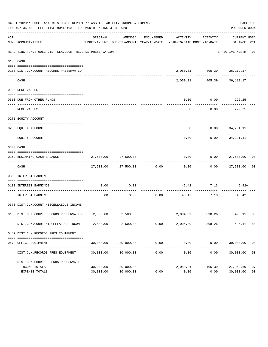|     | 04-01-2020**BUDGET ANALYSIS USAGE REPORT ** ASSET LIABILITY INCOME & EXPENSE<br>PAGE 103<br>TIME: 07:36 AM - EFFECTIVE MONTH: 03 - FOR MONTH ENDING 3-31-2020<br>PREPARER: 0004 |                        |                          |                       |                                                                                 |                              |                                     |                      |  |  |  |
|-----|---------------------------------------------------------------------------------------------------------------------------------------------------------------------------------|------------------------|--------------------------|-----------------------|---------------------------------------------------------------------------------|------------------------------|-------------------------------------|----------------------|--|--|--|
| ACT | NUM ACCOUNT-TITLE                                                                                                                                                               | ORIGINAL               | AMENDED                  | ENCUMBERED            | ACTIVITY<br>BUDGET-AMOUNT BUDGET-AMOUNT YEAR-TO-DATE YEAR-TO-DATE MONTH-TO-DATE | ACTIVITY                     | CURRENT USED<br>BALANCE PCT         |                      |  |  |  |
|     | REPORTING FUND: 0062 DIST.CLK.COURT RECORDS PRESERVATION                                                                                                                        |                        |                          |                       |                                                                                 |                              | EFFECTIVE MONTH - 03                |                      |  |  |  |
|     | 0103 CASH                                                                                                                                                                       |                        |                          |                       |                                                                                 |                              |                                     |                      |  |  |  |
|     | 0100 DIST.CLK.COURT RECORDS PRESERVATIO                                                                                                                                         |                        |                          |                       |                                                                                 | 2,050.31 405.39 36,119.17    |                                     |                      |  |  |  |
|     | CASH                                                                                                                                                                            |                        |                          |                       |                                                                                 | 2,050.31 405.39 36,119.17    |                                     |                      |  |  |  |
|     | 0120 RECEIVABLES                                                                                                                                                                |                        |                          |                       |                                                                                 |                              |                                     |                      |  |  |  |
|     | 0313 DUE FROM OTHER FUNDS                                                                                                                                                       |                        |                          |                       | 0.00                                                                            | $0.00$ 222.25                |                                     |                      |  |  |  |
|     | RECEIVABLES                                                                                                                                                                     |                        |                          |                       | 0.00                                                                            | ----------                   | -----------<br>$0.00$ 222.25        |                      |  |  |  |
|     | 0271 EQUITY ACCOUNT                                                                                                                                                             |                        |                          |                       |                                                                                 |                              |                                     |                      |  |  |  |
|     | 0200 EQUITY ACCOUNT                                                                                                                                                             |                        |                          |                       |                                                                                 | $0.00$ $0.00$ $34,291.11$    |                                     |                      |  |  |  |
|     | EQUITY ACCOUNT                                                                                                                                                                  |                        |                          |                       | $- - - - -$<br>0.00                                                             | . <u>.</u> .                 | -------------<br>$0.00$ $34,291.11$ |                      |  |  |  |
|     | 0300 CASH                                                                                                                                                                       |                        |                          |                       |                                                                                 |                              |                                     |                      |  |  |  |
|     | 0162 BEGINNING CASH BALANCE                                                                                                                                                     |                        | 27,500.00 27,500.00      |                       |                                                                                 | $0.00$ $0.00$ $27,500.00$ 00 |                                     |                      |  |  |  |
|     | CASH                                                                                                                                                                            |                        | 27,500.00 27,500.00 0.00 |                       | ------------                                                                    | $0.00$ $0.00$ $27,500.00$ 00 |                                     |                      |  |  |  |
|     | 0360 INTEREST EARNINGS                                                                                                                                                          |                        |                          |                       |                                                                                 |                              |                                     |                      |  |  |  |
|     | 0100 INTEREST EARNINGS                                                                                                                                                          | 0.00                   | 0.00                     |                       |                                                                                 | $45.42$ $7.13$ $45.42+$      |                                     |                      |  |  |  |
|     | INTEREST EARNINGS                                                                                                                                                               | 0.00                   | 0.00                     | ----------<br>0.00    | -------------                                                                   | .<br>45.42 7.13              | $45.42+$                            |                      |  |  |  |
|     | 0370 DIST.CLK.COURT MISCELLAEOUS INCOME                                                                                                                                         |                        |                          |                       |                                                                                 |                              |                                     |                      |  |  |  |
|     | 0133 DIST.CLK.COURT RECORDS PRESERVATIO 2,500.00 2,500.00                                                                                                                       |                        |                          |                       |                                                                                 | 2,004.89 398.26 495.11 80    |                                     |                      |  |  |  |
|     | DIST.CLK.COURT MISCELLAEOUS INCOME                                                                                                                                              | 2,500.00               | 2,500.00                 | 0.00                  | 2,004.89                                                                        | 398.26                       | 495.11                              | 80                   |  |  |  |
|     | 0449 DIST.CLK.RECORDS PRES.EQUIPMENT                                                                                                                                            |                        |                          |                       |                                                                                 |                              |                                     |                      |  |  |  |
|     | 0572 OFFICE EQUIPMENT                                                                                                                                                           | 30,000.00              | 30,000.00                | 0.00                  | 0.00                                                                            | 0.00                         | 30,000.00 00                        |                      |  |  |  |
|     | DIST.CLK.RECORDS PRES.EQUIPMENT                                                                                                                                                 | 30,000.00              | 30,000.00                | -------------<br>0.00 | . <u>.</u> .<br>0.00                                                            | ------------<br>0.00         | 30,000.00                           | 0 <sub>0</sub>       |  |  |  |
|     | DIST.CLK.COURT RECORDS PRESERVATIO                                                                                                                                              |                        |                          |                       |                                                                                 |                              |                                     |                      |  |  |  |
|     | INCOME TOTALS<br>EXPENSE TOTALS                                                                                                                                                 | 30,000.00<br>30,000.00 | 30,000.00<br>30,000.00   | 0.00                  | 2,050.31<br>0.00                                                                | 405.39<br>0.00               | 27,949.69<br>30,000.00              | 07<br>0 <sub>0</sub> |  |  |  |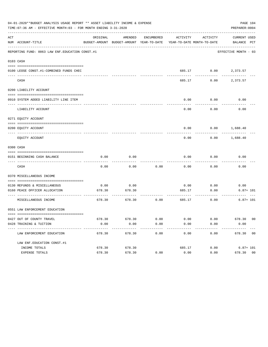|     | 04-01-2020**BUDGET ANALYSIS USAGE REPORT ** ASSET LIABILITY INCOME & EXPENSE<br>PAGE 104<br>TIME: 07:36 AM - EFFECTIVE MONTH: 03 - FOR MONTH ENDING 3-31-2020<br>PREPARER: 0004 |          |                                                     |            |                            |                      |                             |  |  |  |  |  |
|-----|---------------------------------------------------------------------------------------------------------------------------------------------------------------------------------|----------|-----------------------------------------------------|------------|----------------------------|----------------------|-----------------------------|--|--|--|--|--|
| ACT | NUM ACCOUNT-TITLE                                                                                                                                                               | ORIGINAL | AMENDED<br>BUDGET-AMOUNT BUDGET-AMOUNT YEAR-TO-DATE | ENCUMBERED | YEAR-TO-DATE MONTH-TO-DATE | ACTIVITY ACTIVITY    | CURRENT USED<br>BALANCE PCT |  |  |  |  |  |
|     | REPORTING FUND: 0063 LAW ENF. EDUCATION CONST.#1                                                                                                                                |          |                                                     |            |                            |                      | EFFECTIVE MONTH - 03        |  |  |  |  |  |
|     | 0103 CASH                                                                                                                                                                       |          |                                                     |            |                            |                      |                             |  |  |  |  |  |
|     | 0100 LEOSE CONST.#1-COMBINED FUNDS CHEC                                                                                                                                         |          |                                                     |            |                            | 685.17 0.00 2,373.57 |                             |  |  |  |  |  |
|     | CASH                                                                                                                                                                            |          |                                                     |            | 685.17                     | 0.00                 | 2,373.57                    |  |  |  |  |  |
|     | 0200 LIABILITY ACCOUNT                                                                                                                                                          |          |                                                     |            |                            |                      |                             |  |  |  |  |  |
|     | 0910 SYSTEM ADDED LIABILITY LINE ITEM                                                                                                                                           |          |                                                     |            | 0.00                       | 0.00                 | 0.00                        |  |  |  |  |  |
|     | LIABILITY ACCOUNT                                                                                                                                                               |          |                                                     |            | 0.00                       | 0.00                 | 0.00                        |  |  |  |  |  |
|     | 0271 EQUITY ACCOUNT                                                                                                                                                             |          |                                                     |            |                            |                      |                             |  |  |  |  |  |
|     | 0200 EQUITY ACCOUNT                                                                                                                                                             |          |                                                     |            | 0.00                       | 0.00                 | 1,688.40                    |  |  |  |  |  |
|     | EQUITY ACCOUNT                                                                                                                                                                  |          |                                                     |            | 0.00                       | 0.00                 | 1,688.40                    |  |  |  |  |  |
|     | 0300 CASH                                                                                                                                                                       |          |                                                     |            |                            |                      |                             |  |  |  |  |  |
|     | 0151 BEGINNING CASH BALANCE                                                                                                                                                     | 0.00     | 0.00                                                |            | 0.00                       | 0.00                 | 0.00                        |  |  |  |  |  |
|     | CASH                                                                                                                                                                            | 0.00     | 0.00                                                | 0.00       | 0.00                       | 0.00                 | 0.00                        |  |  |  |  |  |
|     | 0370 MISCELLANEOUS INCOME                                                                                                                                                       |          |                                                     |            |                            |                      |                             |  |  |  |  |  |
|     | 0130 REFUNDS & MISCELLANEOUS                                                                                                                                                    | 0.00     | 0.00                                                |            | 0.00                       | 0.00                 | 0.00                        |  |  |  |  |  |
|     | 0160 PEACE OFFICER ALLOCATION                                                                                                                                                   | 678.30   | 678.30                                              |            | 685.17                     | 0.00                 | $6.87 + 101$                |  |  |  |  |  |
|     | MISCELLANEOUS INCOME                                                                                                                                                            | 678.30   | 678.30                                              | 0.00       | 685.17                     | 0.00                 | $6.87 + 101$                |  |  |  |  |  |
|     | 0551 LAW ENFORCEMENT EDUCATION                                                                                                                                                  |          |                                                     |            |                            |                      |                             |  |  |  |  |  |
|     | 0427 OUT OF COUNTY TRAVEL                                                                                                                                                       |          | 678.30 678.30                                       | 0.00       | 0.00                       | 0.00                 | 678.30 00                   |  |  |  |  |  |
|     | 0428 TRAINING & TUITION                                                                                                                                                         | 0.00     | 0.00                                                | 0.00       | 0.00                       | 0.00                 | 0.00                        |  |  |  |  |  |
|     | ----------------------------------<br>LAW ENFORCEMENT EDUCATION                                                                                                                 | 678.30   | 678.30                                              | 0.00       | 0.00                       | 0.00                 | 678.30 00                   |  |  |  |  |  |
|     | LAW ENF. EDUCATION CONST. #1                                                                                                                                                    |          |                                                     |            |                            |                      |                             |  |  |  |  |  |
|     | INCOME TOTALS                                                                                                                                                                   | 678.30   | 678.30                                              |            | 685.17                     | 0.00                 | $6.87 + 101$                |  |  |  |  |  |
|     | EXPENSE TOTALS                                                                                                                                                                  | 678.30   | 678.30                                              | 0.00       | 0.00                       | 0.00                 | 678.30 00                   |  |  |  |  |  |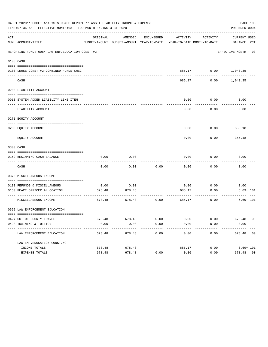|     | 04-01-2020**BUDGET ANALYSIS USAGE REPORT ** ASSET LIABILITY INCOME & EXPENSE<br>PAGE 105<br>TIME:07:36 AM - EFFECTIVE MONTH:03 - FOR MONTH ENDING 3-31-2020<br>PREPARER: 0004 |            |                                                                                |                      |                       |                              |                             |  |  |
|-----|-------------------------------------------------------------------------------------------------------------------------------------------------------------------------------|------------|--------------------------------------------------------------------------------|----------------------|-----------------------|------------------------------|-----------------------------|--|--|
| ACT | NUM ACCOUNT-TITLE                                                                                                                                                             | ORIGINAL   | AMENDED<br>BUDGET-AMOUNT BUDGET-AMOUNT YEAR-TO-DATE YEAR-TO-DATE MONTH-TO-DATE |                      |                       | ENCUMBERED ACTIVITY ACTIVITY | CURRENT USED<br>BALANCE PCT |  |  |
|     | REPORTING FUND: 0064 LAW ENF. EDUCATION CONST. #2                                                                                                                             |            |                                                                                |                      |                       |                              | EFFECTIVE MONTH - 03        |  |  |
|     | 0103 CASH                                                                                                                                                                     |            |                                                                                |                      |                       |                              |                             |  |  |
|     | 0100 LEOSE CONST.#2-COMBINED FUNDS CHEC                                                                                                                                       |            |                                                                                |                      |                       |                              | 685.17 0.00 1,040.35        |  |  |
|     | CASH                                                                                                                                                                          |            |                                                                                |                      | 685.17                | 0.00                         | 1,040.35                    |  |  |
|     | 0200 LIABILITY ACCOUNT                                                                                                                                                        |            |                                                                                |                      |                       |                              |                             |  |  |
|     | 0910 SYSTEM ADDED LIABILITY LINE ITEM                                                                                                                                         |            |                                                                                |                      | 0.00                  | 0.00                         | 0.00                        |  |  |
|     | LIABILITY ACCOUNT                                                                                                                                                             |            |                                                                                |                      | 0.00                  | 0.00                         | 0.00                        |  |  |
|     | 0271 EQUITY ACCOUNT                                                                                                                                                           |            |                                                                                |                      |                       |                              |                             |  |  |
|     | 0200 EQUITY ACCOUNT                                                                                                                                                           |            |                                                                                |                      | 0.00                  |                              | $0.00$ 355.18               |  |  |
|     | EQUITY ACCOUNT                                                                                                                                                                |            |                                                                                |                      | 0.00                  | 0.00                         | 355.18                      |  |  |
|     | 0300 CASH                                                                                                                                                                     |            |                                                                                |                      |                       |                              |                             |  |  |
|     | 0152 BEGINNING CASH BALANCE                                                                                                                                                   | 0.00       | 0.00                                                                           |                      | 0.00                  | 0.00                         | 0.00                        |  |  |
|     | CASH                                                                                                                                                                          | 0.00       | 0.00                                                                           | 0.00                 | 0.00                  | 0.00                         | 0.00                        |  |  |
|     | 0370 MISCELLANEOUS INCOME                                                                                                                                                     |            |                                                                                |                      |                       |                              |                             |  |  |
|     | 0130 REFUNDS & MISCELLANEOUS                                                                                                                                                  | 0.00       | 0.00                                                                           |                      |                       | $0.00$ 0.00                  | 0.00                        |  |  |
|     | 0160 PEACE OFFICER ALLOCATION<br>--------------------------------- --                                                                                                         | ---------- | 678.48 678.48                                                                  |                      | 685.17                | 0.00<br>----------           | $6.69 + 101$<br>----------  |  |  |
|     | MISCELLANEOUS INCOME                                                                                                                                                          | 678.48     | 678.48                                                                         | 0.00                 | 685.17                | 0.00                         | $6.69 + 101$                |  |  |
|     | 0552 LAW ENFORCEMENT EDUCATION                                                                                                                                                |            |                                                                                |                      |                       |                              |                             |  |  |
|     | 0427 OUT OF COUNTY TRAVEL                                                                                                                                                     |            | 678.48 678.48                                                                  | 0.00                 | 0.00                  |                              | $0.00$ 678.48 00            |  |  |
|     | 0428 TRAINING & TUITION                                                                                                                                                       | 0.00       | 0.00<br>-------------                                                          | 0.00<br>------------ | 0.00<br>------------- | 0.00<br>------------         | 0.00<br>-------------       |  |  |
|     | LAW ENFORCEMENT EDUCATION                                                                                                                                                     | 678.48     | 678.48                                                                         | 0.00                 | 0.00                  | 0.00                         | 678.48 00                   |  |  |
|     | LAW ENF. EDUCATION CONST. #2                                                                                                                                                  |            |                                                                                |                      |                       |                              |                             |  |  |
|     | INCOME TOTALS                                                                                                                                                                 | 678.48     | 678.48                                                                         |                      | 685.17                |                              | $0.00$ 6.69+ 101            |  |  |
|     | EXPENSE TOTALS                                                                                                                                                                | 678.48     | 678.48                                                                         | 0.00                 | 0.00                  | 0.00                         | 678.48 00                   |  |  |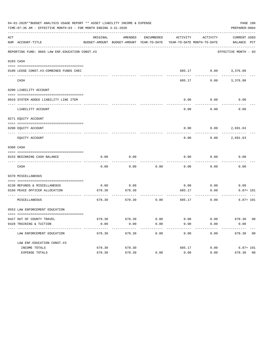| 04-01-2020**BUDGET ANALYSIS USAGE REPORT ** ASSET LIABILITY INCOME & EXPENSE<br>PAGE 106<br>TIME: 07:36 AM - EFFECTIVE MONTH: 03 - FOR MONTH ENDING 3-31-2020<br>PREPARER: 0004 |                                                           |                |                                                                                            |              |                                        |                              |                          |  |
|---------------------------------------------------------------------------------------------------------------------------------------------------------------------------------|-----------------------------------------------------------|----------------|--------------------------------------------------------------------------------------------|--------------|----------------------------------------|------------------------------|--------------------------|--|
| ACT                                                                                                                                                                             | NUM ACCOUNT-TITLE                                         | ORIGINAL       | AMENDED<br>BUDGET-AMOUNT BUDGET-AMOUNT YEAR-TO-DATE YEAR-TO-DATE MONTH-TO-DATE BALANCE PCT |              |                                        | ENCUMBERED ACTIVITY ACTIVITY | CURRENT USED             |  |
|                                                                                                                                                                                 | REPORTING FUND: 0065 LAW ENF. EDUCATION CONST.#3          |                |                                                                                            |              |                                        |                              | EFFECTIVE MONTH - 03     |  |
|                                                                                                                                                                                 | 0103 CASH                                                 |                |                                                                                            |              |                                        |                              |                          |  |
|                                                                                                                                                                                 | 0100 LEOSE CONST.#3-COMBINED FUNDS CHEC                   |                |                                                                                            |              |                                        |                              | 685.17 0.00 3,376.80     |  |
|                                                                                                                                                                                 | ______________________________<br>CASH                    |                |                                                                                            |              | 685.17                                 |                              | $0.00$ 3,376.80          |  |
|                                                                                                                                                                                 | 0200 LIABILITY ACCOUNT                                    |                |                                                                                            |              |                                        |                              |                          |  |
|                                                                                                                                                                                 | 0910 SYSTEM ADDED LIABILITY LINE ITEM                     |                |                                                                                            |              | 0.00                                   | 0.00                         | 0.00                     |  |
|                                                                                                                                                                                 | LIABILITY ACCOUNT                                         |                |                                                                                            |              | 0.00                                   | 0.00                         | 0.00                     |  |
|                                                                                                                                                                                 | 0271 EQUITY ACCOUNT                                       |                |                                                                                            |              |                                        |                              |                          |  |
|                                                                                                                                                                                 | 0200 EQUITY ACCOUNT                                       |                |                                                                                            |              |                                        |                              | $0.00$ $0.00$ $2,691.63$ |  |
|                                                                                                                                                                                 | EQUITY ACCOUNT                                            |                |                                                                                            |              | 0.00                                   | 0.00                         | 2,691.63                 |  |
|                                                                                                                                                                                 | 0300 CASH                                                 |                |                                                                                            |              |                                        |                              |                          |  |
|                                                                                                                                                                                 | 0153 BEGINNING CASH BALANCE                               | 0.00           | 0.00                                                                                       |              | 0.00                                   | 0.00                         | 0.00                     |  |
|                                                                                                                                                                                 | CASH                                                      | 0.00           | 0.00                                                                                       | 0.00         | 0.00                                   | 0.00                         | 0.00                     |  |
|                                                                                                                                                                                 | 0370 MISCELLANEOUS                                        |                |                                                                                            |              |                                        |                              |                          |  |
|                                                                                                                                                                                 | 0130 REFUNDS & MISCELLANEOUS                              | 0.00           | 0.00                                                                                       |              | 0.00                                   | 0.00                         | 0.00                     |  |
|                                                                                                                                                                                 | 0160 PEACE OFFICER ALLOCATION                             | 678.30         | 678.30                                                                                     |              | 685.17<br>------------- -------------- | 0.00<br>---------            | $6.87 + 101$             |  |
|                                                                                                                                                                                 | MISCELLANEOUS                                             | 678.30         | 678.30                                                                                     | 0.00         | 685.17                                 | 0.00                         | $6.87 + 101$             |  |
|                                                                                                                                                                                 | 0553 LAW ENFORCEMENT EDUCATION                            |                |                                                                                            |              |                                        |                              |                          |  |
|                                                                                                                                                                                 |                                                           |                |                                                                                            |              |                                        |                              |                          |  |
|                                                                                                                                                                                 | 0427 OUT OF COUNTY TRAVEL<br>0428 TRAINING & TUITION      | 678.30<br>0.00 | 678.30<br>0.00                                                                             | 0.00<br>0.00 | 0.00<br>0.00                           | 0.00<br>0.00                 | 678.30 00<br>0.00        |  |
|                                                                                                                                                                                 | ----------------------------<br>LAW ENFORCEMENT EDUCATION | 678.30         | 678.30                                                                                     | 0.00         | 0.00                                   | 0.00                         | 678.30 00                |  |
|                                                                                                                                                                                 | LAW ENF. EDUCATION CONST. #3                              |                |                                                                                            |              |                                        |                              |                          |  |
|                                                                                                                                                                                 | INCOME TOTALS                                             | 678.30         | 678.30                                                                                     |              | 685.17                                 | 0.00                         | $6.87 + 101$             |  |
|                                                                                                                                                                                 | EXPENSE TOTALS                                            | 678.30         | 678.30                                                                                     | 0.00         | 0.00                                   | 0.00                         | 678.30 00                |  |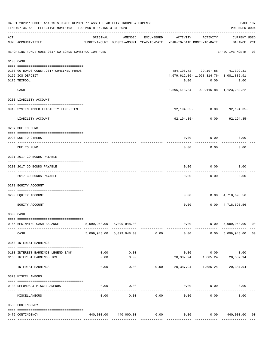|           | 04-01-2020**BUDGET ANALYSIS USAGE REPORT ** ASSET LIABILITY INCOME & EXPENSE<br>PAGE 107<br>TIME: 07:36 AM - EFFECTIVE MONTH: 03 - FOR MONTH ENDING 3-31-2020<br>PREPARER: 0004 |          |                                                                                |            |                                      |                                                                                |                                    |                |  |
|-----------|---------------------------------------------------------------------------------------------------------------------------------------------------------------------------------|----------|--------------------------------------------------------------------------------|------------|--------------------------------------|--------------------------------------------------------------------------------|------------------------------------|----------------|--|
| ACT       | NUM ACCOUNT-TITLE                                                                                                                                                               | ORIGINAL | AMENDED<br>BUDGET-AMOUNT BUDGET-AMOUNT YEAR-TO-DATE YEAR-TO-DATE MONTH-TO-DATE | ENCUMBERED |                                      | ACTIVITY ACTIVITY                                                              | <b>CURRENT USED</b><br>BALANCE PCT |                |  |
|           | REPORTING FUND: 0066 2017 GO BONDS-CONSTRUCTION FUND                                                                                                                            |          |                                                                                |            |                                      |                                                                                | EFFECTIVE MONTH - 03               |                |  |
| 0103 CASH |                                                                                                                                                                                 |          |                                                                                |            |                                      |                                                                                |                                    |                |  |
|           | 0100 GO BONDS CONST.2017-COMBINED FUNDS<br>0166 ICS DEPOSIT                                                                                                                     |          |                                                                                |            |                                      | 484, 198, 72 99, 197, 88 41, 399, 31<br>4,079,612.06-1,098,314.76-1,081,882.91 |                                    |                |  |
|           | 0175 TEXPOOL                                                                                                                                                                    |          |                                                                                |            |                                      | $0.00$ $0.00$                                                                  | 0.00                               |                |  |
|           | CASH                                                                                                                                                                            |          |                                                                                |            |                                      | 3,595,413.34-999,116.88-1,123,282.22                                           |                                    |                |  |
|           | 0200 LIABILITY ACCOUNT                                                                                                                                                          |          |                                                                                |            |                                      |                                                                                |                                    |                |  |
|           | 0910 SYSTEM ADDED LIABILITY LINE-ITEM                                                                                                                                           |          |                                                                                |            |                                      | $92,194,35-$ 0.00                                                              | 92,194.35-                         |                |  |
|           | LIABILITY ACCOUNT                                                                                                                                                               |          |                                                                                |            |                                      | 92,194.35- 0.00                                                                | 92,194.35-                         |                |  |
|           | 0207 DUE TO FUND                                                                                                                                                                |          |                                                                                |            |                                      |                                                                                |                                    |                |  |
|           | 0990 DUE TO OTHERS                                                                                                                                                              |          |                                                                                |            | 0.00                                 | 0.00                                                                           | 0.00                               |                |  |
|           | DUE TO FUND                                                                                                                                                                     |          |                                                                                |            | 0.00                                 | 0.00                                                                           | 0.00                               |                |  |
|           | 0231 2017 GO BONDS PAYABLE                                                                                                                                                      |          |                                                                                |            |                                      |                                                                                |                                    |                |  |
|           | 0200 2017 GO BONDS PAYABLE<br>---- ----------------                                                                                                                             |          |                                                                                |            | 0.00                                 | 0.00                                                                           | 0.00                               |                |  |
|           | 2017 GO BONDS PAYABLE                                                                                                                                                           |          |                                                                                |            | 0.00                                 | 0.00                                                                           | 0.00                               |                |  |
|           | 0271 EQUITY ACCOUNT                                                                                                                                                             |          |                                                                                |            |                                      |                                                                                |                                    |                |  |
|           | 0200 EQUITY ACCOUNT                                                                                                                                                             |          |                                                                                |            |                                      | $0.00$ $0.00$ $4,718,695.56$                                                   |                                    |                |  |
|           | EQUITY ACCOUNT                                                                                                                                                                  |          |                                                                                |            | 0.00                                 |                                                                                | $0.00 \quad 4,718,695.56$          |                |  |
|           | 0300 CASH                                                                                                                                                                       |          |                                                                                |            |                                      |                                                                                |                                    |                |  |
|           | 0166 BEGINNING CASH BALANCE                                                                                                                                                     |          | 5,099,948.00 5,099,948.00                                                      |            |                                      |                                                                                | $0.00$ 0.00 5,099,948.00 00        |                |  |
|           | CASH                                                                                                                                                                            |          | 5,099,948.00 5,099,948.00 0.00                                                 |            | 0.00                                 |                                                                                | 0.00 5,099,948.00                  | 0 <sub>0</sub> |  |
|           | 0360 INTEREST EARNINGS                                                                                                                                                          |          |                                                                                |            |                                      |                                                                                |                                    |                |  |
|           | 0100 INTEREST EARNINGS LEGEND BANK                                                                                                                                              | 0.00     | 0.00                                                                           |            |                                      | $0.00$ $0.00$ $0.00$ $0.00$                                                    |                                    |                |  |
|           | 0166 INTEREST EARNINGS ICS                                                                                                                                                      | 0.00     | 0.00                                                                           |            |                                      |                                                                                | 20,387.94 1,685.24 20,387.94+      |                |  |
|           | ------------------- ------<br>INTEREST EARNINGS                                                                                                                                 | 0.00     | ----------<br>0.00                                                             |            | $0.00$ 20,387.94 1,685.24 20,387.94+ | . <u>.</u> .                                                                   |                                    |                |  |
|           | 0370 MISCELLANEOUS                                                                                                                                                              |          |                                                                                |            |                                      |                                                                                |                                    |                |  |
|           | 0130 REFUNDS & MISCELLANEOUS                                                                                                                                                    | 0.00     | 0.00                                                                           |            |                                      | $0.00$ 0.00                                                                    | 0.00                               |                |  |
|           | MISCELLANEOUS                                                                                                                                                                   | 0.00     | 0.00                                                                           | 0.00       | 0.00                                 | 0.00                                                                           | 0.00                               |                |  |
|           | 0509 CONTINGENCY                                                                                                                                                                |          |                                                                                |            |                                      |                                                                                |                                    |                |  |
|           | 0475 CONTINGENCY                                                                                                                                                                |          | 440,000.00 440,000.00                                                          | 0.00       | 0.00                                 |                                                                                | 0.00 440,000.00                    | 00             |  |
|           |                                                                                                                                                                                 |          |                                                                                |            |                                      |                                                                                |                                    |                |  |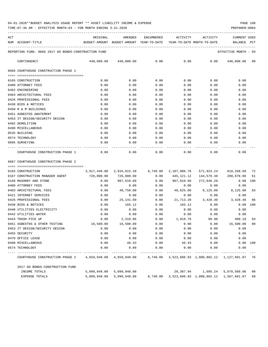| ACT | NUM ACCOUNT-TITLE                                                                  |      |      |      |      | ORIGINAL AMENDED ENCUMBERED ACTIVITY ACTIVITY | <b>CURRENT USED</b><br>BUDGET-AMOUNT BUDGET-AMOUNT YEAR-TO-DATE YEAR-TO-DATE MONTH-TO-DATE     BALANCE PCT |
|-----|------------------------------------------------------------------------------------|------|------|------|------|-----------------------------------------------|------------------------------------------------------------------------------------------------------------|
|     | REPORTING FUND: 0066 2017 GO BONDS-CONSTRUCTION FUND                               |      |      |      |      |                                               | EFFECTIVE MONTH - 03                                                                                       |
|     | CONTINGENCY                                                                        |      |      |      |      |                                               | $440,000.00$ $440,000.00$ 0.00 0.00 0.00 0.00 0.00 0.00 00                                                 |
|     | 0666 COURTHOUSE CONSTRUCTION PHASE 1                                               |      |      |      |      |                                               |                                                                                                            |
|     |                                                                                    |      |      |      |      |                                               |                                                                                                            |
|     | 0165 CONSTRUCTION                                                                  | 0.00 | 0.00 | 0.00 | 0.00 | 0.00                                          | 0.00                                                                                                       |
|     | 0400 ATTORNEY FEES                                                                 | 0.00 | 0.00 | 0.00 | 0.00 | 0.00                                          | 0.00                                                                                                       |
|     | 0402 ENGINEERING                                                                   | 0.00 | 0.00 | 0.00 | 0.00 | 0.00                                          | 0.00                                                                                                       |
|     | 0403 ARCHITECTURAL FEES                                                            | 0.00 | 0.00 | 0.00 |      | 0.00<br>0.00                                  | 0.00                                                                                                       |
|     | 0426 PROFESSIONAL FEES                                                             | 0.00 | 0.00 | 0.00 |      | 0.00<br>0.00                                  | 0.00                                                                                                       |
|     | 0430 BIDS & NOTICES                                                                | 0.00 | 0.00 | 0.00 | 0.00 | 0.00                                          | 0.00                                                                                                       |
|     | 0450 R & M BUILDINGS                                                               | 0.00 | 0.00 | 0.00 | 0.00 | 0.00                                          | 0.00                                                                                                       |
|     | 0451 ASBESTOS ABATEMENT                                                            | 0.00 | 0.00 | 0.00 | 0.00 | 0.00                                          | 0.00                                                                                                       |
|     | 0453 IT DESIGN/SECURITY DESIGN                                                     | 0.00 | 0.00 | 0.00 | 0.00 | 0.00                                          | 0.00                                                                                                       |
|     | 0482 DEMOLITION                                                                    | 0.00 | 0.00 | 0.00 | 0.00 | 0.00                                          | 0.00                                                                                                       |
|     | 0490 MISCELLANEOUS                                                                 | 0.00 | 0.00 | 0.00 |      | 0.00<br>0.00                                  | 0.00                                                                                                       |
|     | 0535 BUILDING                                                                      | 0.00 | 0.00 | 0.00 |      | 0.00<br>0.00                                  | 0.00                                                                                                       |
|     | 0574 TECHNOLOGY                                                                    | 0.00 | 0.00 | 0.00 | 0.00 |                                               | 0.00<br>0.00                                                                                               |
|     | 0695 SURVEYING                                                                     | 0.00 | 0.00 | 0.00 |      | $0.00$ 0.00                                   | 0.00                                                                                                       |
|     | COURTHOUSE CONSTRUCTION PHASE $1$ $0.00$ $0.00$ $0.00$ $0.00$ $0.00$ $0.00$ $0.00$ |      |      |      |      |                                               | 0.00                                                                                                       |
|     | 0667 COURTHOUSE CONSTRUCTION PHASE 2                                               |      |      |      |      |                                               |                                                                                                            |
|     |                                                                                    |      |      |      |      |                                               |                                                                                                            |
|     | 0165 CONSTRUCTION                                                                  |      |      |      |      |                                               | 3,917,448.00 2,934,015.39 8,740.00 2,107,006.70 571,923.24 818,268.69 72                                   |

| ATAS COMPTIGOTTOM               |                                                                                                                                                                                                                                                                                                                                                                                                                     |                         | 0,110.00                     | 4,40,000.70 |       | 010, 400. 02 |                                                                                                                                                                                                                                                            |
|---------------------------------|---------------------------------------------------------------------------------------------------------------------------------------------------------------------------------------------------------------------------------------------------------------------------------------------------------------------------------------------------------------------------------------------------------------------|-------------------------|------------------------------|-------------|-------|--------------|------------------------------------------------------------------------------------------------------------------------------------------------------------------------------------------------------------------------------------------------------------|
|                                 |                                                                                                                                                                                                                                                                                                                                                                                                                     | 726,000.00              | 0.00                         | 445,121.12  |       | 280,878.88   | 61                                                                                                                                                                                                                                                         |
|                                 | 0.00                                                                                                                                                                                                                                                                                                                                                                                                                | 907,010.60              | 0.00                         |             |       | 0.00         | 100                                                                                                                                                                                                                                                        |
|                                 | 0.00                                                                                                                                                                                                                                                                                                                                                                                                                | 0.00                    | 0.00                         | 0.00        | 0.00  | 0.00         |                                                                                                                                                                                                                                                            |
|                                 | 0.00                                                                                                                                                                                                                                                                                                                                                                                                                | 48,750.00               | 0.00                         |             |       |              |                                                                                                                                                                                                                                                            |
|                                 | 0.00                                                                                                                                                                                                                                                                                                                                                                                                                | 0.00                    | 0.00                         | 0.00        | 0.00  | 0.00         |                                                                                                                                                                                                                                                            |
|                                 | 0.00                                                                                                                                                                                                                                                                                                                                                                                                                | 25,141.60               | 0.00                         | 21,713.20   |       | 3,428.40     | 86                                                                                                                                                                                                                                                         |
|                                 | 0.00                                                                                                                                                                                                                                                                                                                                                                                                                | 165.12                  | 0.00                         | 165.12      | 0.00  | 0.00 100     |                                                                                                                                                                                                                                                            |
|                                 | 0.00                                                                                                                                                                                                                                                                                                                                                                                                                | 0.00                    | 0.00                         | 0.00        | 0.00  | 0.00         |                                                                                                                                                                                                                                                            |
|                                 | 0.00                                                                                                                                                                                                                                                                                                                                                                                                                | 0.00                    | 0.00                         | 0.00        | 0.00  | 0.00         |                                                                                                                                                                                                                                                            |
|                                 | 0.00                                                                                                                                                                                                                                                                                                                                                                                                                | 2,318.86                | 0.00                         | 1,918.76    | 99.90 | 400.10       | 83                                                                                                                                                                                                                                                         |
|                                 |                                                                                                                                                                                                                                                                                                                                                                                                                     | 16,500.00               | 0.00                         | 0.00        | 0.00  | 16,500.00    | 00                                                                                                                                                                                                                                                         |
|                                 | 0.00                                                                                                                                                                                                                                                                                                                                                                                                                | 0.00                    | 0.00                         | 0.00        | 0.00  | 0.00         |                                                                                                                                                                                                                                                            |
|                                 | 0.00                                                                                                                                                                                                                                                                                                                                                                                                                | 0.00                    | 0.00                         | 0.00        | 0.00  | 0.00         |                                                                                                                                                                                                                                                            |
|                                 | 0.00                                                                                                                                                                                                                                                                                                                                                                                                                | 0.00                    | 0.00                         | 0.00        | 0.00  | 0.00         |                                                                                                                                                                                                                                                            |
|                                 | 0.00                                                                                                                                                                                                                                                                                                                                                                                                                | 46.43                   | 0.00                         | 46.43       | 0.00  | 0.00         | 100                                                                                                                                                                                                                                                        |
|                                 | 0.00                                                                                                                                                                                                                                                                                                                                                                                                                | 0.00                    | 0.00                         | 0.00        | 0.00  | 0.00         |                                                                                                                                                                                                                                                            |
|                                 |                                                                                                                                                                                                                                                                                                                                                                                                                     |                         |                              |             |       |              |                                                                                                                                                                                                                                                            |
| 2017 GO BONDS-CONSTRUCTION FUND |                                                                                                                                                                                                                                                                                                                                                                                                                     |                         |                              |             |       |              |                                                                                                                                                                                                                                                            |
| INCOME TOTALS                   |                                                                                                                                                                                                                                                                                                                                                                                                                     |                         |                              |             |       |              |                                                                                                                                                                                                                                                            |
| EXPENSE TOTALS                  |                                                                                                                                                                                                                                                                                                                                                                                                                     |                         |                              |             |       |              | 69                                                                                                                                                                                                                                                         |
|                                 | 0167 CONSTRUCTION MANAGER AGENT<br>0168 MASONRY AND STONE<br>0400 ATTORNEY FEES<br>0403 ARCHITECTURAL FEES<br>0421 INTERNET SERVICES<br>0426 PROFESSIONAL FEES<br>0430 BIDS & NOTICES<br>0440 UTILITIES ELECTRICITY<br>0442 UTILITIES WATER<br>0443 TRASH PICK UP<br>0451 ASBESTOS & OTHER TESTING<br>0453 IT DESIGN/SECURITY DESIGN<br>0455 SECURITY<br>0470 OFFICE LEASE<br>0490 MISCELLANEOUS<br>0574 TECHNOLOGY | 726,000.00<br>16,500.00 | 5,099,948.00<br>5,099,948.00 |             |       | 907,010.60   | 144,579.38<br>272,646.20<br>40,625.00 8,125.00 8,125.00 83<br>3,428.40<br>COURTHOUSE CONSTRUCTION PHASE 2 4,659,948.00 4,659,948.00 8,740.00 3,523,606.93 1,000,802.12 1,127,601.07 76<br>5,099,948.00  8,740.00  3,523,606.93  1,000,802.12  1,567,601.07 |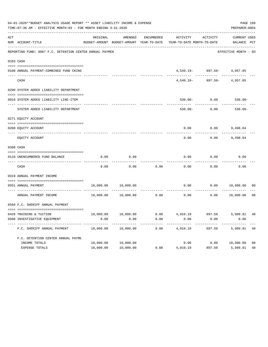|     | 04-01-2020**BUDGET ANALYSIS USAGE REPORT ** ASSET LIABILITY INCOME & EXPENSE<br>TIME: 07:36 AM - EFFECTIVE MONTH: 03 - FOR MONTH ENDING 3-31-2020 |           |                                          |                   |                            |                            | PAGE 109<br>PREPARER: 0004 |                |
|-----|---------------------------------------------------------------------------------------------------------------------------------------------------|-----------|------------------------------------------|-------------------|----------------------------|----------------------------|----------------------------|----------------|
| ACT |                                                                                                                                                   | ORIGINAL  | AMENDED                                  | <b>ENCUMBERED</b> | <b>ACTIVITY</b>            | ACTIVITY                   | <b>CURRENT USED</b>        |                |
|     | NUM ACCOUNT-TITLE                                                                                                                                 |           | BUDGET-AMOUNT BUDGET-AMOUNT YEAR-TO-DATE |                   | YEAR-TO-DATE MONTH-TO-DATE |                            | BALANCE PCT                |                |
|     | REPORTING FUND: 0067 F.C. DETENTION CENTER ANNUAL PAYMEN                                                                                          |           |                                          |                   |                            |                            | EFFECTIVE MONTH - 03       |                |
|     | 0103 CASH                                                                                                                                         |           |                                          |                   |                            |                            |                            |                |
|     | 0100 ANNUAL PAYMENT-COMBINED FUND CKING                                                                                                           |           |                                          |                   |                            | 4,540.19- 897.50- 4,957.85 |                            |                |
|     | CASH                                                                                                                                              |           |                                          |                   | $4,540.19-$                | $897.50 -$                 | 4,957.85                   |                |
|     | 0200 SYSTEM ADDED LIABILITY DEPARTMENT                                                                                                            |           |                                          |                   |                            |                            |                            |                |
|     | 0910 SYSTEM ADDED LIABILITY LINE-ITEM                                                                                                             |           |                                          |                   | $530.00 -$                 | 0.00                       | $530.00 -$                 |                |
|     | ---- ---------------------------<br>SYSTEM ADDED LIABILITY DEPARTMENT                                                                             |           |                                          |                   | $530.00 -$                 | 0.00                       | $530.00 -$                 |                |
|     | 0271 EQUITY ACCOUNT                                                                                                                               |           |                                          |                   |                            |                            |                            |                |
|     | 0200 EQUITY ACCOUNT                                                                                                                               |           |                                          |                   | 0.00                       | 0.00                       | 9,498.04                   |                |
|     | EQUITY ACCOUNT                                                                                                                                    |           |                                          |                   | 0.00                       | 0.00                       | 9,498.04                   |                |
|     | 0300 CASH                                                                                                                                         |           |                                          |                   |                            |                            |                            |                |
|     |                                                                                                                                                   |           |                                          |                   |                            |                            |                            |                |
|     | 0110 UNENCUMBERED FUND BALANCE                                                                                                                    | 0.00      | 0.00                                     |                   | 0.00                       | 0.00                       | 0.00                       |                |
|     | CASH                                                                                                                                              | 0.00      | 0.00                                     | 0.00              | 0.00                       | 0.00                       | 0.00                       |                |
|     | 0319 ANNUAL PAYMENT INCOME                                                                                                                        |           |                                          |                   |                            |                            |                            |                |
|     |                                                                                                                                                   |           |                                          |                   |                            |                            |                            |                |
|     | 0551 ANNUAL PAYMENT<br>---- ----------------                                                                                                      | 10,000.00 | 10,000.00                                |                   | 0.00                       | 0.00                       | 10,000.00                  | 00             |
|     | ANNUAL PAYMENT INCOME                                                                                                                             | 10,000.00 | 10,000.00                                | 0.00              | 0.00                       | 0.00                       | 10,000.00                  | 0 <sub>0</sub> |
|     | 0560 F.C. SHERIFF ANNUAL PAYMENT                                                                                                                  |           |                                          |                   |                            |                            |                            |                |
|     |                                                                                                                                                   |           |                                          |                   |                            |                            |                            |                |
|     | 0428 TRAINING & TUITION                                                                                                                           | 10,000.00 | 10,000.00                                | 0.00              | 4,010.19                   | 897.50                     | 5,989.81                   | 40             |
|     | 0580 INVESTIGATIVE EQUIPMENT                                                                                                                      | 0.00      | 0.00                                     | 0.00              | 0.00                       | 0.00                       | 0.00                       |                |
|     | F.C. SHERIFF ANNUAL PAYMENT                                                                                                                       | 10,000.00 | 10,000.00                                | 0.00              | 4,010.19                   | 897.50                     | 5,989.81                   | 40             |
|     | F.C. DETENTION CENTER ANNUAL PAYME                                                                                                                |           |                                          |                   |                            |                            |                            |                |
|     | INCOME TOTALS                                                                                                                                     | 10,000.00 | 10,000.00                                |                   |                            | $0.00$ $0.00$ $10,000.00$  |                            | 0 <sub>0</sub> |
|     | EXPENSE TOTALS                                                                                                                                    | 10,000.00 | 10,000.00                                | 0.00              | 4,010.19                   | 897.50                     | 5,989.81                   | 40             |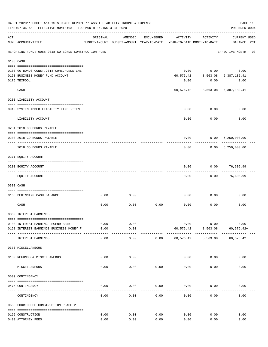|     | 04-01-2020**BUDGET ANALYSIS USAGE REPORT ** ASSET LIABILITY INCOME & EXPENSE<br>PAGE 110<br>TIME: 07:36 AM - EFFECTIVE MONTH: 03 - FOR MONTH ENDING 3-31-2020<br>PREPARER: 0004 |               |                                                     |            |           |                                        |                                    |  |  |  |
|-----|---------------------------------------------------------------------------------------------------------------------------------------------------------------------------------|---------------|-----------------------------------------------------|------------|-----------|----------------------------------------|------------------------------------|--|--|--|
| ACT | NUM ACCOUNT-TITLE                                                                                                                                                               | ORIGINAL      | AMENDED<br>BUDGET-AMOUNT BUDGET-AMOUNT YEAR-TO-DATE | ENCUMBERED | ACTIVITY  | ACTIVITY<br>YEAR-TO-DATE MONTH-TO-DATE | <b>CURRENT USED</b><br>BALANCE PCT |  |  |  |
|     | REPORTING FUND: 0068 2018 GO BONDS-CONSTRUCTION FUND                                                                                                                            |               |                                                     |            |           |                                        | EFFECTIVE MONTH - 03               |  |  |  |
|     | 0103 CASH                                                                                                                                                                       |               |                                                     |            |           |                                        |                                    |  |  |  |
|     |                                                                                                                                                                                 |               |                                                     |            |           |                                        |                                    |  |  |  |
|     | 0100 GO BONDS CONST. 2018-COMB. FUNDS CHE                                                                                                                                       |               |                                                     |            | 0.00      |                                        | 0.00<br>0.00                       |  |  |  |
|     | 0168 BUSINESS MONEY FUND ACCOUNT                                                                                                                                                |               |                                                     |            | 60,576.42 | 8,563.08                               | 6,387,182.41                       |  |  |  |
|     | 0175 TEXPOOL                                                                                                                                                                    |               |                                                     |            | 0.00      | 0.00                                   | 0.00                               |  |  |  |
|     | CASH                                                                                                                                                                            |               |                                                     |            |           |                                        | 60,576.42 8,563.08 6,387,182.41    |  |  |  |
|     | 0200 LIABILITY ACCOUNT                                                                                                                                                          |               |                                                     |            |           |                                        |                                    |  |  |  |
|     |                                                                                                                                                                                 |               |                                                     |            |           |                                        |                                    |  |  |  |
|     | 0910 SYSTEM ADDED LIABILITY LINE -ITEM                                                                                                                                          |               |                                                     |            | 0.00      | 0.00                                   | 0.00                               |  |  |  |
|     | LIABILITY ACCOUNT                                                                                                                                                               |               |                                                     |            | 0.00      | 0.00                                   | 0.00                               |  |  |  |
|     | 0231 2018 GO BONDS PAYABLE                                                                                                                                                      |               |                                                     |            |           |                                        |                                    |  |  |  |
|     | 0200 2018 GO BONDS PAYABLE                                                                                                                                                      |               |                                                     |            | 0.00      |                                        | 0.00 6,250,000.00                  |  |  |  |
|     | 2018 GO BONDS PAYABLE                                                                                                                                                           |               |                                                     |            | 0.00      | . <u>.</u>                             | 0.00 6,250,000.00                  |  |  |  |
|     | 0271 EQUITY ACCOUNT                                                                                                                                                             |               |                                                     |            |           |                                        |                                    |  |  |  |
|     |                                                                                                                                                                                 |               |                                                     |            |           |                                        |                                    |  |  |  |
|     | 0200 EQUITY ACCOUNT<br>------------------- -------                                                                                                                              |               |                                                     |            | 0.00      | 0.00                                   | 76,605.99                          |  |  |  |
|     | EQUITY ACCOUNT                                                                                                                                                                  |               |                                                     |            | 0.00      | 0.00                                   | 76,605.99                          |  |  |  |
|     | 0300 CASH                                                                                                                                                                       |               |                                                     |            |           |                                        |                                    |  |  |  |
|     |                                                                                                                                                                                 |               |                                                     |            |           |                                        |                                    |  |  |  |
|     | 0168 BEGINNING CASH BALANCE                                                                                                                                                     | 0.00          | 0.00                                                |            | 0.00      | 0.00                                   | 0.00                               |  |  |  |
|     | CASH                                                                                                                                                                            | 0.00          | 0.00                                                | 0.00       | 0.00      | 0.00                                   | 0.00                               |  |  |  |
|     | 0360 INTEREST EARNINGS                                                                                                                                                          |               |                                                     |            |           |                                        |                                    |  |  |  |
|     |                                                                                                                                                                                 |               |                                                     |            |           |                                        |                                    |  |  |  |
|     | 0100 INTEREST EARNING LEGEND BANK                                                                                                                                               | 0.00          | 0.00                                                |            | 0.00      | 0.00                                   | 0.00                               |  |  |  |
|     | 0168 INTEREST EARNINGS BUSINESS MONEY F                                                                                                                                         | 0.00<br>----- | 0.00<br>-----                                       |            | 60,576.42 | 8,563.08<br>----------                 | $60, 576.42+$                      |  |  |  |
|     | INTEREST EARNINGS                                                                                                                                                               | 0.00          | 0.00                                                | 0.00       | 60,576.42 | 8,563.08                               | $60, 576.42+$                      |  |  |  |
|     | 0370 MISCELLANEOUS                                                                                                                                                              |               |                                                     |            |           |                                        |                                    |  |  |  |
|     | 0130 REFUNDS & MISCELLANEOUS                                                                                                                                                    | 0.00          | 0.00                                                |            | 0.00      | 0.00                                   | 0.00                               |  |  |  |
|     | MISCELLANEOUS                                                                                                                                                                   | 0.00          | 0.00                                                | 0.00       | 0.00      | 0.00                                   | 0.00                               |  |  |  |
|     | 0509 CONTINGENCY                                                                                                                                                                |               |                                                     |            |           |                                        |                                    |  |  |  |
|     |                                                                                                                                                                                 |               |                                                     |            |           |                                        |                                    |  |  |  |
|     | 0475 CONTINGENCY                                                                                                                                                                | 0.00          | 0.00                                                | 0.00       | 0.00      | 0.00                                   | 0.00                               |  |  |  |
|     | CONTINGENCY                                                                                                                                                                     | 0.00          | 0.00                                                | 0.00       | 0.00      | 0.00                                   | 0.00                               |  |  |  |
|     | 0668 COURTHOUSE CONSTRUCTION PHASE 2                                                                                                                                            |               |                                                     |            |           |                                        |                                    |  |  |  |
|     | 0165 CONSTRUCTION                                                                                                                                                               | 0.00          | 0.00                                                | 0.00       | 0.00      | 0.00                                   | 0.00                               |  |  |  |
|     | 0400 ATTORNEY FEES                                                                                                                                                              | 0.00          | 0.00                                                | 0.00       | 0.00      | 0.00                                   | 0.00                               |  |  |  |
|     |                                                                                                                                                                                 |               |                                                     |            |           |                                        |                                    |  |  |  |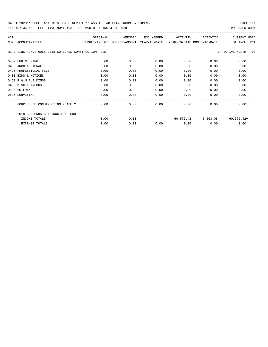| ACT                                                  | ORIGINAL      | AMENDED | ENCUMBERED                                            | ACTIVITY | ACTIVITY           | <b>CURRENT USED</b>   |
|------------------------------------------------------|---------------|---------|-------------------------------------------------------|----------|--------------------|-----------------------|
| ACCOUNT-TITLE<br><b>NUM</b>                          | BUDGET-AMOUNT |         | BUDGET-AMOUNT YEAR-TO-DATE YEAR-TO-DATE MONTH-TO-DATE |          |                    | PCT<br><b>BALANCE</b> |
| REPORTING FUND: 0068 2018 GO BONDS-CONSTRUCTION FUND |               |         |                                                       |          |                    | EFFECTIVE MONTH - 03  |
| 0402 ENGINEERING                                     | 0.00          | 0.00    | 0.00                                                  | 0.00     | 0.00               | 0.00                  |
| 0403 ARCHITECTURAL FEES                              | 0.00          | 0.00    | 0.00                                                  | 0.00     | 0.00               | 0.00                  |
| 0426 PROFESSIONAL FEES                               | 0.00          | 0.00    | 0.00                                                  | 0.00     | 0.00               | 0.00                  |
| 0430 BIDS & NOTICES                                  | 0.00          | 0.00    | 0.00                                                  | 0.00     | 0.00               | 0.00                  |
| 0450 R & M BUILDINGS                                 | 0.00          | 0.00    | 0.00                                                  | 0.00     | 0.00               | 0.00                  |
| 0490 MISCELLANEOUS                                   | 0.00          | 0.00    | 0.00                                                  | 0.00     | 0.00               | 0.00                  |
| 0535 BUILDING                                        | 0.00          | 0.00    | 0.00                                                  | 0.00     | 0.00               | 0.00                  |
| 0695 SURVEYING                                       | 0.00          | 0.00    | 0.00                                                  | 0.00     | 0.00               | 0.00                  |
| COURTHOUSE CONSTRUCTION PHASE 2                      | 0.00          | 0.00    | 0.00                                                  | 0.00     | 0.00               | 0.00                  |
| 2018 GO BONDS-CONSTRUCTION FUND                      |               |         |                                                       |          |                    |                       |
| INCOME TOTALS                                        | 0.00          | 0.00    |                                                       |          | 60,576.42 8,563.08 | $60, 576.42+$         |
| <b>EXPENSE TOTALS</b>                                | 0.00          | 0.00    | 0.00                                                  | 0.00     | 0.00               | 0.00                  |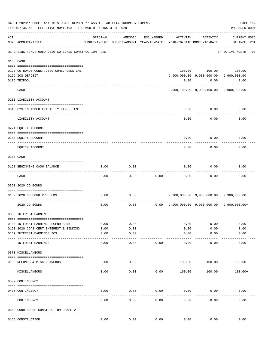|     | 04-01-2020**BUDGET ANALYSIS USAGE REPORT ** ASSET LIABILITY INCOME & EXPENSE<br>PAGE 112<br>TIME: 07:36 AM - EFFECTIVE MONTH: 03 - FOR MONTH ENDING 3-31-2020<br>PREPARER: 0004 |          |                                                     |            |          |                                        |                                              |  |  |  |
|-----|---------------------------------------------------------------------------------------------------------------------------------------------------------------------------------|----------|-----------------------------------------------------|------------|----------|----------------------------------------|----------------------------------------------|--|--|--|
| ACT | NUM ACCOUNT-TITLE                                                                                                                                                               | ORIGINAL | AMENDED<br>BUDGET-AMOUNT BUDGET-AMOUNT YEAR-TO-DATE | ENCUMBERED | ACTIVITY | ACTIVITY<br>YEAR-TO-DATE MONTH-TO-DATE | <b>CURRENT USED</b><br>BALANCE PCT           |  |  |  |
|     | REPORTING FUND: 0069 2020 CO BONDS-CONSTRUCTION FUND                                                                                                                            |          |                                                     |            |          |                                        | EFFECTIVE MONTH - 03                         |  |  |  |
|     | 0103 CASH                                                                                                                                                                       |          |                                                     |            |          |                                        |                                              |  |  |  |
|     |                                                                                                                                                                                 |          |                                                     |            |          |                                        |                                              |  |  |  |
|     | 0120 CO BONDS CONST. 2020-COMB. FUNDS CHE                                                                                                                                       |          |                                                     |            |          |                                        | 100.00 100.00 100.00                         |  |  |  |
|     | 0169 ICS DEPOSIT                                                                                                                                                                |          |                                                     |            |          |                                        | 9,900,000.00 9,900,000.00 9,900,000.00       |  |  |  |
|     | 0175 TEXPOOL                                                                                                                                                                    |          |                                                     |            | 0.00     | 0.00                                   | 0.00                                         |  |  |  |
|     | CASH                                                                                                                                                                            |          |                                                     |            |          | ----------                             | 9,900,100.00 9,900,100.00 9,900,100.00       |  |  |  |
|     | 0200 LIABILITY ACCOUNT                                                                                                                                                          |          |                                                     |            |          |                                        |                                              |  |  |  |
|     |                                                                                                                                                                                 |          |                                                     |            |          |                                        |                                              |  |  |  |
|     | 0910 SYSTEM ADDED LIABILITY LINE-ITEM                                                                                                                                           |          |                                                     |            | 0.00     | 0.00                                   | 0.00                                         |  |  |  |
|     | LIABILITY ACCOUNT                                                                                                                                                               |          |                                                     |            | 0.00     | 0.00                                   | 0.00                                         |  |  |  |
|     | 0271 EQUITY ACCOUNT                                                                                                                                                             |          |                                                     |            |          |                                        |                                              |  |  |  |
|     | 0200 EQUITY ACCOUNT                                                                                                                                                             |          |                                                     |            | 0.00     | 0.00                                   | 0.00                                         |  |  |  |
|     | EQUITY ACCOUNT                                                                                                                                                                  |          |                                                     |            | 0.00     | 0.00                                   | 0.00                                         |  |  |  |
|     | 0300 CASH                                                                                                                                                                       |          |                                                     |            |          |                                        |                                              |  |  |  |
|     |                                                                                                                                                                                 |          |                                                     |            |          |                                        |                                              |  |  |  |
|     | 0168 BEGINNING CASH BALANCE                                                                                                                                                     | 0.00     | 0.00                                                |            | 0.00     | 0.00                                   | 0.00                                         |  |  |  |
|     | CASH                                                                                                                                                                            | 0.00     | 0.00                                                | 0.00       | 0.00     | 0.00                                   | 0.00                                         |  |  |  |
|     | 0350 2020 CO BONDS                                                                                                                                                              |          |                                                     |            |          |                                        |                                              |  |  |  |
|     | 0169 2020 CO BOND PROCEEDS                                                                                                                                                      | 0.00     | 0.00                                                |            |          |                                        | 9,900,000.00 9,900,000.00 9,900,000.00+      |  |  |  |
|     | 2020 CO BONDS                                                                                                                                                                   | 0.00     | 0.00                                                |            |          |                                        | 0.00 9,900,000.00 9,900,000.00 9,900,000.00+ |  |  |  |
|     | 0360 INTEREST EARNINGS                                                                                                                                                          |          |                                                     |            |          |                                        |                                              |  |  |  |
|     |                                                                                                                                                                                 |          |                                                     |            |          |                                        |                                              |  |  |  |
|     | 0100 INTEREST EARNING LEGEND BANK                                                                                                                                               | 0.00     | 0.00                                                |            | 0.00     | 0.00                                   | 0.00                                         |  |  |  |
|     | 0160 2020 CO'S CERT. INTEREST & SINKING                                                                                                                                         | 0.00     | 0.00                                                |            | 0.00     | 0.00                                   | 0.00                                         |  |  |  |
|     | 0169 INTEREST EARNINGS ICS                                                                                                                                                      | 0.00     | 0.00<br>----                                        |            | 0.00     | 0.00                                   | 0.00                                         |  |  |  |
|     | INTEREST EARNINGS                                                                                                                                                               | 0.00     | 0.00                                                | 0.00       | 0.00     | 0.00                                   | 0.00                                         |  |  |  |
|     | 0370 MISCELLANEOUS                                                                                                                                                              |          |                                                     |            |          |                                        |                                              |  |  |  |
|     | 0130 REFUNDS & MISCELLANEOUS                                                                                                                                                    | 0.00     | 0.00                                                |            | 100.00   | 100.00                                 | $100.00+$                                    |  |  |  |
|     | MISCELLANEOUS                                                                                                                                                                   | 0.00     | 0.00                                                | 0.00       | 100.00   | 100.00                                 | $100.00+$                                    |  |  |  |
|     | 0509 CONTINGENCY                                                                                                                                                                |          |                                                     |            |          |                                        |                                              |  |  |  |
|     |                                                                                                                                                                                 |          |                                                     |            |          |                                        |                                              |  |  |  |
|     | 0475 CONTINGENCY                                                                                                                                                                | 0.00     | 0.00                                                | 0.00       | 0.00     | 0.00                                   | 0.00                                         |  |  |  |
|     | CONTINGENCY                                                                                                                                                                     | 0.00     | 0.00                                                | 0.00       | 0.00     | 0.00                                   | 0.00                                         |  |  |  |
|     | 0669 COURTHOUSE CONSTRUCTION PHASE 2                                                                                                                                            |          |                                                     |            |          |                                        |                                              |  |  |  |
|     | 0165 CONSTRUCTION                                                                                                                                                               | 0.00     | 0.00                                                | 0.00       | 0.00     | 0.00                                   | 0.00                                         |  |  |  |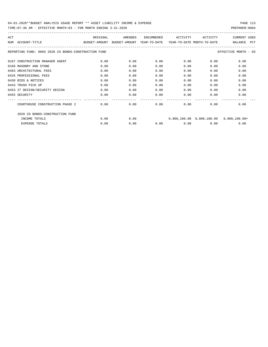| ACT                                                  | ORIGINAL      | AMENDED                    | ENCUMBERED | ACTIVITY                   | ACTIVITY | <b>CURRENT USED</b>                     |
|------------------------------------------------------|---------------|----------------------------|------------|----------------------------|----------|-----------------------------------------|
| NUM<br>ACCOUNT-TITLE                                 | BUDGET-AMOUNT | BUDGET-AMOUNT YEAR-TO-DATE |            | YEAR-TO-DATE MONTH-TO-DATE |          | <b>PCT</b><br><b>BALANCE</b>            |
| REPORTING FUND: 0069 2020 CO BONDS-CONSTRUCTION FUND |               |                            |            |                            |          | EFFECTIVE MONTH - 03                    |
| 0167 CONSTRUCTION MANAGER AGENT                      | 0.00          | 0.00                       | 0.00       | 0.00                       | 0.00     | 0.00                                    |
| 0168 MASONRY AND STONE                               | 0.00          | 0.00                       | 0.00       | 0.00                       | 0.00     | 0.00                                    |
| 0403 ARCHITECTURAL FEES                              | 0.00          | 0.00                       | 0.00       | 0.00                       | 0.00     | 0.00                                    |
| 0426 PROFESSIONAL FEES                               | 0.00          | 0.00                       | 0.00       | 0.00                       | 0.00     | 0.00                                    |
| 0430 BIDS & NOTICES                                  | 0.00          | 0.00                       | 0.00       | 0.00                       | 0.00     | 0.00                                    |
| 0443 TRASH PICK UP                                   | 0.00          | 0.00                       | 0.00       | 0.00                       | 0.00     | 0.00                                    |
| 0453 IT DESIGN/SECURITY DESIGN                       | 0.00          | 0.00                       | 0.00       | 0.00                       | 0.00     | 0.00                                    |
| 0455 SECURITY                                        | 0.00          | 0.00                       | 0.00       | 0.00                       | 0.00     | 0.00                                    |
| COURTHOUSE CONSTRUCTION PHASE 2                      | 0.00          | 0.00                       | 0.00       | 0.00                       | 0.00     | 0.00                                    |
| 2020 CO BONDS-CONSTRUCTION FUND                      |               |                            |            |                            |          |                                         |
| INCOME TOTALS                                        | 0.00          | 0.00                       |            |                            |          | 9,900,100.00 9,900,100.00 9,900,100.00+ |
| <b>EXPENSE TOTALS</b>                                | 0.00          | 0.00                       | 0.00       | 0.00                       | 0.00     | 0.00                                    |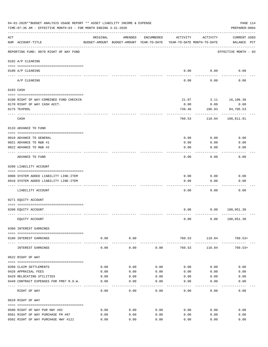|     | 04-01-2020**BUDGET ANALYSIS USAGE REPORT ** ASSET LIABILITY INCOME & EXPENSE<br>TIME: 07:36 AM - EFFECTIVE MONTH: 03 - FOR MONTH ENDING 3-31-2020 |          |                      |            |                                                                                 |                                 | PAGE 114<br>PREPARER: 0004         |
|-----|---------------------------------------------------------------------------------------------------------------------------------------------------|----------|----------------------|------------|---------------------------------------------------------------------------------|---------------------------------|------------------------------------|
| ACT | NUM ACCOUNT-TITLE                                                                                                                                 | ORIGINAL | AMENDED              | ENCUMBERED | ACTIVITY<br>BUDGET-AMOUNT BUDGET-AMOUNT YEAR-TO-DATE YEAR-TO-DATE MONTH-TO-DATE | ACTIVITY                        | <b>CURRENT USED</b><br>BALANCE PCT |
|     | REPORTING FUND: 0070 RIGHT OF WAY FUND                                                                                                            |          |                      |            |                                                                                 |                                 | EFFECTIVE MONTH - 03               |
|     | 0102 A/P CLEARING                                                                                                                                 |          |                      |            |                                                                                 |                                 |                                    |
|     | 0100 A/P CLEARING<br>---- --------                                                                                                                |          |                      |            | 0.00                                                                            | 0.00                            | 0.00                               |
|     | A/P CLEARING                                                                                                                                      |          |                      |            | 0.00                                                                            | 0.00                            | 0.00                               |
|     | 0103 CASH                                                                                                                                         |          |                      |            |                                                                                 |                                 |                                    |
|     | 0100 RIGHT OF WAY-COMBINED FUND CHECKIN                                                                                                           |          |                      |            | 21.07                                                                           |                                 | 3.11 16,106.38                     |
|     | 0170 RIGHT OF WAY CASH ACCT.                                                                                                                      |          |                      |            | 0.00                                                                            | 0.00                            | 0.00                               |
|     | 0175 TEXPOOL                                                                                                                                      |          |                      |            | 739.46                                                                          | 106.93                          | 84,705.53                          |
|     | CASH                                                                                                                                              |          |                      |            | 760.53                                                                          | 110.04                          | 100,811.91                         |
|     | 0133 ADVANCE TO FUND                                                                                                                              |          |                      |            |                                                                                 |                                 |                                    |
|     | 0010 ADVANCE TO GENERAL                                                                                                                           |          |                      |            | 0.00                                                                            | 0.00                            | 0.00                               |
|     | 0021 ADVANCE TO R&B #1                                                                                                                            |          |                      |            | 0.00                                                                            | 0.00                            | 0.00                               |
|     | 0022 ADVANCE TO R&B #2                                                                                                                            |          |                      |            | 0.00                                                                            | 0.00                            | 0.00                               |
|     | ADVANCE TO FUND                                                                                                                                   |          |                      |            | 0.00                                                                            | 0.00                            | 0.00                               |
|     | 0200 LIABILITY ACCOUNT                                                                                                                            |          |                      |            |                                                                                 |                                 |                                    |
|     | 0900 SYSTEM ADDED LIABILITY LINE-ITEM                                                                                                             |          |                      |            | 0.00                                                                            | 0.00                            | 0.00                               |
|     | 0910 SYSTEM ADDED LIABILITY LINE-ITEM                                                                                                             |          |                      |            | 0.00                                                                            | 0.00                            | 0.00                               |
|     |                                                                                                                                                   |          |                      |            |                                                                                 |                                 |                                    |
|     | LIABILITY ACCOUNT                                                                                                                                 |          |                      |            | 0.00                                                                            | 0.00                            | 0.00                               |
|     | 0271 EQUITY ACCOUNT                                                                                                                               |          |                      |            |                                                                                 |                                 |                                    |
|     |                                                                                                                                                   |          |                      |            |                                                                                 |                                 |                                    |
|     | 0200 EQUITY ACCOUNT                                                                                                                               |          |                      |            | 0.00                                                                            |                                 | 0.00 100,051.38                    |
|     | EQUITY ACCOUNT                                                                                                                                    |          |                      |            | 0.00                                                                            |                                 | 0.00 100, 051.38                   |
|     | 0360 INTEREST EARNINGS                                                                                                                            |          |                      |            |                                                                                 |                                 |                                    |
|     | 0100 INTEREST EARNINGS                                                                                                                            | 0.00     | 0.00<br>------------ |            | ---------------                                                                 | 760.53 110.04<br>-------------- | $760.53+$                          |
|     | INTEREST EARNINGS                                                                                                                                 | 0.00     | 0.00                 | 0.00       | 760.53                                                                          | 110.04                          | $760.53+$                          |
|     | 0622 RIGHT OF WAY                                                                                                                                 |          |                      |            |                                                                                 |                                 |                                    |
|     | 0399 CLAIM SETTLEMENTS                                                                                                                            | 0.00     | 0.00                 | 0.00       | 0.00                                                                            | 0.00                            | 0.00                               |
|     | 0426 APPRAISAL FEES                                                                                                                               | 0.00     | 0.00                 | 0.00       | 0.00                                                                            | 0.00                            | 0.00                               |
|     | 0429 RELOCATING UTILITIES                                                                                                                         | 0.00     | 0.00                 | 0.00       | 0.00                                                                            | 0.00                            | 0.00                               |
|     | 0449 CONTRACT EXPENSES FOR FM87 R.O.W.                                                                                                            | 0.00     | 0.00                 | 0.00       | 0.00                                                                            | 0.00                            | 0.00                               |
|     | RIGHT OF WAY                                                                                                                                      | 0.00     | 0.00                 | 0.00       | 0.00                                                                            | 0.00                            | 0.00                               |
|     | 0629 RIGHT OF WAY                                                                                                                                 |          |                      |            |                                                                                 |                                 |                                    |
|     | 0500 RIGHT OF WAY PUR HWY #82                                                                                                                     | 0.00     | 0.00                 | 0.00       | 0.00                                                                            | 0.00                            | 0.00                               |
|     | 0501 RIGHT OF WAY PURCHASE FM #87                                                                                                                 | 0.00     | 0.00                 | 0.00       | 0.00                                                                            | 0.00                            | 0.00                               |
|     | 0502 RIGHT OF WAY PURCHASE HWY #121                                                                                                               | 0.00     | 0.00                 | 0.00       | 0.00                                                                            | 0.00                            | 0.00                               |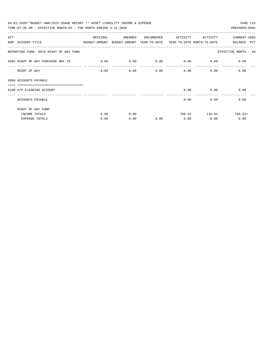| 04-01-2020**BUDGET ANALYSIS USAGE REPORT ** ASSET LIABILITY INCOME & EXPENSE             |          |         |            |          |                           | PAGE 115             |
|------------------------------------------------------------------------------------------|----------|---------|------------|----------|---------------------------|----------------------|
| TIME: 07:36 AM - EFFECTIVE MONTH: 03 - FOR MONTH ENDING 3-31-2020                        |          |         |            |          |                           | PREPARER: 0004       |
| ACT                                                                                      | ORIGINAL | AMENDED | ENCUMBERED | ACTIVITY | ACTIVITY                  | <b>CURRENT USED</b>  |
| NUM ACCOUNT-TITLE<br>BUDGET-AMOUNT BUDGET-AMOUNT YEAR-TO-DATE YEAR-TO-DATE MONTH-TO-DATE |          |         |            |          |                           | BALANCE PCT          |
| REPORTING FUND: 0070 RIGHT OF WAY FUND                                                   |          |         |            |          |                           | EFFECTIVE MONTH - 03 |
| 0503 RIGHT OF WAY PURCHASE HWY.78 0.00                                                   |          | 0.00    | 0.00       | 0.00     | 0.00                      | 0.00                 |
| RIGHT OF WAY                                                                             | 0.00     | 0.00    | 0.00       |          | $0.00$ and $0.00$<br>0.00 | 0.00                 |
| 0999 ACCOUNTS PAYABLE                                                                    |          |         |            |          |                           |                      |
| -------------------------------<br>0100 A/P CLEARING ACCOUNT                             |          |         |            | 0.00     | 0.00                      | 0.00                 |
| ACCOUNTS PAYABLE                                                                         |          |         |            | 0.00     | 0.00                      | 0.00                 |
| RIGHT OF WAY FUND                                                                        |          |         |            |          |                           |                      |
| INCOME TOTALS                                                                            | 0.00     | 0.00    |            | 760.53   | 110.04                    | $760.53+$            |
| EXPENSE TOTALS                                                                           | 0.00     | 0.00    | 0.00       | 0.00     | 0.00                      | 0.00                 |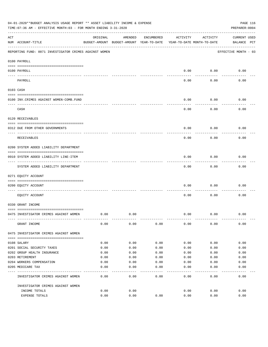|     | 04-01-2020**BUDGET ANALYSIS USAGE REPORT ** ASSET LIABILITY INCOME & EXPENSE<br>TIME: 07:36 AM - EFFECTIVE MONTH: 03 - FOR MONTH ENDING 3-31-2020 |          |                                                     |            |          |                                        | PAGE 116<br>PREPARER: 0004         |
|-----|---------------------------------------------------------------------------------------------------------------------------------------------------|----------|-----------------------------------------------------|------------|----------|----------------------------------------|------------------------------------|
| ACT | NUM ACCOUNT-TITLE                                                                                                                                 | ORIGINAL | AMENDED<br>BUDGET-AMOUNT BUDGET-AMOUNT YEAR-TO-DATE | ENCUMBERED | ACTIVITY | ACTIVITY<br>YEAR-TO-DATE MONTH-TO-DATE | <b>CURRENT USED</b><br>BALANCE PCT |
|     | REPORTING FUND: 0071 INVESTIGATOR CRIMES AGAINST WOMEN                                                                                            |          |                                                     |            |          |                                        | EFFECTIVE MONTH - 03               |
|     | 0100 PAYROLL                                                                                                                                      |          |                                                     |            |          |                                        |                                    |
|     | 0100 PAYROLL<br>---- ----                                                                                                                         |          |                                                     |            | 0.00     | 0.00                                   | 0.00                               |
|     | PAYROLL                                                                                                                                           |          |                                                     |            | 0.00     | 0.00                                   | 0.00                               |
|     | 0103 CASH                                                                                                                                         |          |                                                     |            |          |                                        |                                    |
|     | 0100 INV. CRIMES AGAINST WOMEN-COMB. FUND                                                                                                         |          |                                                     |            | 0.00     | 0.00                                   | 0.00                               |
|     | CASH                                                                                                                                              |          |                                                     |            | 0.00     | 0.00                                   | 0.00                               |
|     | 0120 RECEIVABLES                                                                                                                                  |          |                                                     |            |          |                                        |                                    |
|     | 0312 DUE FROM OTHER GOVERNMENTS                                                                                                                   |          |                                                     |            | 0.00     | 0.00                                   | 0.00                               |
|     | RECEIVABLES                                                                                                                                       |          |                                                     |            | 0.00     | 0.00                                   | 0.00                               |
|     | 0200 SYSTEM ADDED LIABILITY DEPARTMENT                                                                                                            |          |                                                     |            |          |                                        |                                    |
|     | 0910 SYSTEM ADDED LIABILITY LINE-ITEM                                                                                                             |          |                                                     |            | 0.00     | 0.00                                   | 0.00                               |
|     | SYSTEM ADDED LIABILITY DEPARTMENT                                                                                                                 |          |                                                     |            | 0.00     | 0.00                                   | 0.00                               |
|     | 0271 EQUITY ACCOUNT                                                                                                                               |          |                                                     |            |          |                                        |                                    |
|     | 0200 EQUITY ACCOUNT                                                                                                                               |          |                                                     |            | 0.00     | 0.00                                   | 0.00                               |
|     | EQUITY ACCOUNT                                                                                                                                    |          |                                                     |            | 0.00     | 0.00                                   | 0.00                               |
|     | 0330 GRANT INCOME                                                                                                                                 |          |                                                     |            |          |                                        |                                    |
|     | 0475 INVESTIGATOR CRIMES AGAINST WOMEN                                                                                                            | 0.00     | 0.00                                                |            | 0.00     | 0.00                                   | 0.00                               |
|     | GRANT INCOME                                                                                                                                      | 0.00     | 0.00                                                | 0.00       | 0.00     | 0.00                                   | 0.00                               |
|     | 0475 INVESTIGATOR CRIMES AGAINST WOMEN                                                                                                            |          |                                                     |            |          |                                        |                                    |
|     | 0108 SALARY                                                                                                                                       | 0.00     | 0.00                                                | 0.00       | 0.00     | 0.00                                   | 0.00                               |
|     | 0201 SOCIAL SECURITY TAXES                                                                                                                        | 0.00     | 0.00                                                | 0.00       | 0.00     | 0.00                                   | 0.00                               |
|     | 0202 GROUP HEALTH INSURANCE                                                                                                                       | 0.00     | 0.00                                                | 0.00       | 0.00     | 0.00                                   | 0.00                               |
|     | 0203 RETIREMENT                                                                                                                                   | 0.00     | 0.00                                                | 0.00       | 0.00     | 0.00                                   | 0.00                               |
|     | 0204 WORKERS COMPENSATION                                                                                                                         | 0.00     | 0.00                                                | 0.00       | 0.00     | 0.00                                   | 0.00                               |
|     | 0205 MEDICARE TAX                                                                                                                                 | 0.00     | 0.00                                                | 0.00       | 0.00     | 0.00                                   | 0.00                               |
|     | INVESTIGATOR CRIMES AGAINST WOMEN                                                                                                                 | 0.00     | 0.00                                                | 0.00       | 0.00     | 0.00                                   | 0.00                               |
|     | INVESTIGATOR CRIMES AGAINST WOMEN                                                                                                                 |          |                                                     |            |          |                                        |                                    |
|     | INCOME TOTALS                                                                                                                                     | 0.00     | 0.00                                                |            | 0.00     | 0.00                                   | 0.00                               |
|     | EXPENSE TOTALS                                                                                                                                    | 0.00     | 0.00                                                | 0.00       | 0.00     | 0.00                                   | 0.00                               |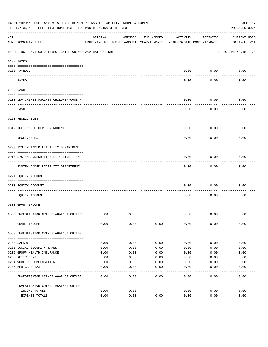|     | 04-01-2020**BUDGET ANALYSIS USAGE REPORT ** ASSET LIABILITY INCOME & EXPENSE<br>TIME: 07:36 AM - EFFECTIVE MONTH: 03 - FOR MONTH ENDING 3-31-2020 |          |                                                     |            |          |                                        | PAGE 117<br>PREPARER: 0004         |
|-----|---------------------------------------------------------------------------------------------------------------------------------------------------|----------|-----------------------------------------------------|------------|----------|----------------------------------------|------------------------------------|
| ACT | NUM ACCOUNT-TITLE                                                                                                                                 | ORIGINAL | AMENDED<br>BUDGET-AMOUNT BUDGET-AMOUNT YEAR-TO-DATE | ENCUMBERED | ACTIVITY | ACTIVITY<br>YEAR-TO-DATE MONTH-TO-DATE | <b>CURRENT USED</b><br>BALANCE PCT |
|     | REPORTING FUND: 0072 INVESTIGATOR CRIMES AGAINST CHILDRE                                                                                          |          |                                                     |            |          |                                        | EFFECTIVE MONTH - 03               |
|     | 0100 PAYROLL                                                                                                                                      |          |                                                     |            |          |                                        |                                    |
|     | 0100 PAYROLL                                                                                                                                      |          |                                                     |            | 0.00     | 0.00                                   | 0.00                               |
|     | ---- ----<br>PAYROLL                                                                                                                              |          |                                                     |            | 0.00     | 0.00                                   | 0.00                               |
|     | 0103 CASH                                                                                                                                         |          |                                                     |            |          |                                        |                                    |
|     | 0100 INV. CRIMES AGAINST CHILDREN-COMB.F                                                                                                          |          |                                                     |            | 0.00     | 0.00                                   | 0.00                               |
|     | CASH                                                                                                                                              |          |                                                     |            | 0.00     | 0.00                                   | 0.00                               |
|     | 0120 RECEIVABLES                                                                                                                                  |          |                                                     |            |          |                                        |                                    |
|     | 0312 DUE FROM OTHER GOVERNMENTS                                                                                                                   |          |                                                     |            | 0.00     | 0.00                                   | 0.00                               |
|     | RECEIVABLES                                                                                                                                       |          |                                                     |            | 0.00     | 0.00                                   | 0.00                               |
|     | 0200 SYSTEM ADDED LIABILITY DEPARTMENT                                                                                                            |          |                                                     |            |          |                                        |                                    |
|     | 0910 SYSTEM ADDEND LIABILITY LINE-ITEM                                                                                                            |          |                                                     |            | 0.00     | 0.00                                   | 0.00                               |
|     | SYSTEM ADDED LIABILITY DEPARTMENT                                                                                                                 |          |                                                     |            | 0.00     | 0.00                                   | 0.00                               |
|     | 0271 EQUITY ACCOUNT                                                                                                                               |          |                                                     |            |          |                                        |                                    |
|     | 0200 EQUITY ACCOUNT                                                                                                                               |          |                                                     |            | 0.00     | 0.00                                   | 0.00                               |
|     | EQUITY ACCOUNT                                                                                                                                    |          |                                                     |            | 0.00     | 0.00                                   | 0.00                               |
|     | 0330 GRANT INCOME                                                                                                                                 |          |                                                     |            |          |                                        |                                    |
|     | 0560 INVESTIGATOR CRIMES AGAINST CHILDR                                                                                                           | 0.00     | 0.00                                                |            | 0.00     | 0.00                                   | 0.00                               |
|     | GRANT INCOME                                                                                                                                      | 0.00     | 0.00                                                | 0.00       | 0.00     | 0.00                                   | 0.00                               |
|     | 0560 INVESTIGATOR CRIMES AGAINST CHILDR                                                                                                           |          |                                                     |            |          |                                        |                                    |
|     | 0108 SALARY                                                                                                                                       | 0.00     | 0.00                                                | 0.00       | 0.00     | 0.00                                   | 0.00                               |
|     | 0201 SOCIAL SECURITY TAXES                                                                                                                        | 0.00     | 0.00                                                | 0.00       | 0.00     | 0.00                                   | 0.00                               |
|     | 0202 GROUP HEALTH INSURANCE                                                                                                                       | 0.00     | 0.00                                                | 0.00       | 0.00     | 0.00                                   | 0.00                               |
|     | 0203 RETIREMENT                                                                                                                                   | 0.00     | 0.00                                                | 0.00       | 0.00     | 0.00                                   | 0.00                               |
|     | 0204 WORKERS COMPENSATION                                                                                                                         | 0.00     | 0.00                                                | 0.00       | 0.00     | 0.00                                   | 0.00                               |
|     | 0205 MEDICARE TAX                                                                                                                                 | 0.00     | 0.00<br>----                                        | 0.00       | 0.00     | 0.00                                   | 0.00                               |
|     | INVESTIGATOR CRIMES AGAINST CHILDR                                                                                                                | 0.00     | 0.00                                                | 0.00       | 0.00     | 0.00                                   | 0.00                               |
|     | INVESTIGATOR CRIMES AGAINST CHILDR                                                                                                                |          |                                                     |            |          |                                        |                                    |
|     | INCOME TOTALS                                                                                                                                     | 0.00     | 0.00                                                |            | 0.00     | 0.00                                   | 0.00                               |
|     | EXPENSE TOTALS                                                                                                                                    | 0.00     | 0.00                                                | 0.00       | 0.00     | 0.00                                   | 0.00                               |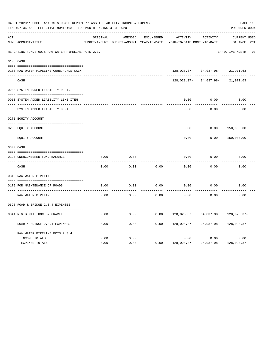| 04-01-2020**BUDGET ANALYSIS USAGE REPORT ** ASSET LIABILITY INCOME & EXPENSE<br>TIME: 07:36 AM - EFFECTIVE MONTH: 03 - FOR MONTH ENDING 3-31-2020 |                                                       |          |                                                     |                   |                                        |                       |                                    |  |  |
|---------------------------------------------------------------------------------------------------------------------------------------------------|-------------------------------------------------------|----------|-----------------------------------------------------|-------------------|----------------------------------------|-----------------------|------------------------------------|--|--|
| ACT                                                                                                                                               | NUM ACCOUNT-TITLE                                     | ORIGINAL | AMENDED<br>BUDGET-AMOUNT BUDGET-AMOUNT YEAR-TO-DATE | <b>ENCUMBERED</b> | ACTIVITY<br>YEAR-TO-DATE MONTH-TO-DATE | <b>ACTIVITY</b>       | <b>CURRENT USED</b><br>BALANCE PCT |  |  |
|                                                                                                                                                   | REPORTING FUND: 0078 RAW WATER PIPELINE PCTS. 2, 3, 4 |          |                                                     |                   |                                        |                       | EFFECTIVE MONTH - 03               |  |  |
|                                                                                                                                                   | 0103 CASH                                             |          |                                                     |                   |                                        |                       |                                    |  |  |
|                                                                                                                                                   | 0100 RAW WATER PIPELINE-COMB.FUNDS CKIN               |          |                                                     |                   |                                        | 128,028.37-34,037.98- | 21,971.63                          |  |  |
|                                                                                                                                                   | CASH                                                  |          |                                                     |                   | 128,028.37-                            | 34,037.98-            | 21,971.63                          |  |  |
|                                                                                                                                                   | 0200 SYSTEM ADDED LIABILITY DEPT.                     |          |                                                     |                   |                                        |                       |                                    |  |  |
|                                                                                                                                                   | 0910 SYSTEM ADDED LIABILITY LINE ITEM                 |          |                                                     |                   | 0.00                                   | 0.00                  | 0.00                               |  |  |
|                                                                                                                                                   | SYSTEM ADDED LIABILITY DEPT.                          |          |                                                     |                   | 0.00                                   | 0.00                  | 0.00                               |  |  |
|                                                                                                                                                   | 0271 EQUITY ACCOUNT                                   |          |                                                     |                   |                                        |                       |                                    |  |  |
|                                                                                                                                                   | 0200 EQUITY ACCOUNT                                   |          |                                                     |                   | 0.00                                   | 0.00                  | 150,000.00                         |  |  |
|                                                                                                                                                   | ---- -----------<br>EQUITY ACCOUNT                    |          |                                                     |                   | 0.00                                   | 0.00                  | 150,000.00                         |  |  |
|                                                                                                                                                   | 0300 CASH                                             |          |                                                     |                   |                                        |                       |                                    |  |  |
|                                                                                                                                                   | 0120 UNENCUMBERED FUND BALANCE                        | 0.00     | 0.00                                                |                   | 0.00                                   | 0.00                  | 0.00                               |  |  |
|                                                                                                                                                   | CASH                                                  | 0.00     | 0.00                                                | 0.00              | 0.00                                   | 0.00                  | 0.00                               |  |  |
|                                                                                                                                                   | 0319 RAW WATER PIPELINE                               |          |                                                     |                   |                                        |                       |                                    |  |  |
|                                                                                                                                                   | 0179 FOR MAINTENANCE OF ROADS                         | 0.00     | 0.00                                                | 0.00              | 0.00                                   | 0.00                  | 0.00                               |  |  |
|                                                                                                                                                   | RAW WATER PIPELINE                                    | 0.00     | 0.00                                                | 0.00              | 0.00                                   | 0.00                  | 0.00                               |  |  |
|                                                                                                                                                   | 0628 ROAD & BRIDGE 2,3,4 EXPENSES                     |          |                                                     |                   |                                        |                       |                                    |  |  |
|                                                                                                                                                   | 0341 R & B MAT. ROCK & GRAVEL                         | 0.00     | 0.00                                                | 0.00              | 128,028.37                             | 34,037.98             | 128,028.37-                        |  |  |
|                                                                                                                                                   | ROAD & BRIDGE 2, 3, 4 EXPENSES                        | 0.00     | 0.00                                                | 0.00              | 128,028.37                             | 34,037.98             | 128,028.37-                        |  |  |
|                                                                                                                                                   | RAW WATER PIPELINE PCTS. 2, 3, 4                      |          |                                                     |                   |                                        |                       |                                    |  |  |
|                                                                                                                                                   | INCOME TOTALS                                         | 0.00     | 0.00                                                |                   | 0.00                                   | 0.00                  | 0.00                               |  |  |
|                                                                                                                                                   | <b>EXPENSE TOTALS</b>                                 | 0.00     | 0.00                                                | 0.00              | 128,028.37                             | 34,037.98             | 128,028.37-                        |  |  |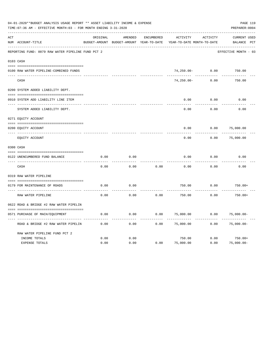|     | 04-01-2020**BUDGET ANALYSIS USAGE REPORT ** ASSET LIABILITY INCOME & EXPENSE<br>TIME: 07:36 AM - EFFECTIVE MONTH: 03 - FOR MONTH ENDING 3-31-2020 |          |                                                     |                   |                                               |          | PAGE 119<br>PREPARER: 0004            |
|-----|---------------------------------------------------------------------------------------------------------------------------------------------------|----------|-----------------------------------------------------|-------------------|-----------------------------------------------|----------|---------------------------------------|
| ACT | NUM ACCOUNT-TITLE                                                                                                                                 | ORIGINAL | AMENDED<br>BUDGET-AMOUNT BUDGET-AMOUNT YEAR-TO-DATE | <b>ENCUMBERED</b> | <b>ACTIVITY</b><br>YEAR-TO-DATE MONTH-TO-DATE | ACTIVITY | <b>CURRENT USED</b><br>PCT<br>BALANCE |
|     | REPORTING FUND: 0079 RAW WATER PIPELINE FUND PCT 2                                                                                                |          |                                                     |                   |                                               |          | EFFECTIVE MONTH - 03                  |
|     | 0103 CASH                                                                                                                                         |          |                                                     |                   |                                               |          |                                       |
|     | 0100 RAW WATER PIPELINE-COMBINED FUNDS                                                                                                            |          |                                                     |                   | $74,250.00 -$                                 | 0.00     | 750.00                                |
|     | CASH                                                                                                                                              |          |                                                     |                   | $74,250.00 -$                                 | 0.00     | 750.00                                |
|     | 0200 SYSTEM ADDED LIABILITY DEPT.                                                                                                                 |          |                                                     |                   |                                               |          |                                       |
|     | 0910 SYSTEM ADD LIABILITY LINE ITEM                                                                                                               |          |                                                     |                   | 0.00                                          | 0.00     | 0.00                                  |
|     | SYSTEM ADDED LIABILITY DEPT.                                                                                                                      |          |                                                     |                   | 0.00                                          | 0.00     | 0.00                                  |
|     | 0271 EQUITY ACCOUNT                                                                                                                               |          |                                                     |                   |                                               |          |                                       |
|     | 0200 EQUITY ACCOUNT                                                                                                                               |          |                                                     |                   | 0.00                                          | 0.00     | 75,000.00                             |
|     | EQUITY ACCOUNT                                                                                                                                    |          |                                                     |                   | 0.00                                          | 0.00     | 75,000.00                             |
|     | 0300 CASH                                                                                                                                         |          |                                                     |                   |                                               |          |                                       |
|     | 0122 UNENCUMBERED FUND BALANCE                                                                                                                    | 0.00     | 0.00                                                |                   | 0.00                                          | 0.00     | 0.00                                  |
|     | CASH                                                                                                                                              | 0.00     | 0.00                                                | 0.00              | 0.00                                          | 0.00     | 0.00                                  |
|     | 0319 RAW WATER PIPELINE                                                                                                                           |          |                                                     |                   |                                               |          |                                       |
|     | 0179 FOR MAINTENANCE OF ROADS                                                                                                                     | 0.00     | 0.00                                                |                   | 750.00                                        | 0.00     | $750.00+$                             |
|     | RAW WATER PIPELINE                                                                                                                                | 0.00     | 0.00                                                | 0.00              | 750.00                                        | 0.00     | $750.00+$                             |
|     | 0622 ROAD & BRIDGE #2 RAW WATER PIPELIN                                                                                                           |          |                                                     |                   |                                               |          |                                       |
|     | 0571 PURCHASE OF MACH/EQUIPMENT                                                                                                                   | 0.00     | 0.00                                                | 0.00              | 75,000.00                                     | 0.00     | $75,000.00-$                          |
|     | ROAD & BRIDGE #2 RAW WATER PIPELIN                                                                                                                | 0.00     | 0.00                                                | 0.00              | 75,000.00                                     | 0.00     | $75,000.00-$                          |
|     | RAW WATER PIPELINE FUND PCT 2                                                                                                                     |          |                                                     |                   |                                               |          |                                       |
|     | INCOME TOTALS                                                                                                                                     | 0.00     | 0.00                                                |                   | 750.00                                        | 0.00     | $750.00+$                             |
|     | <b>EXPENSE TOTALS</b>                                                                                                                             | 0.00     | 0.00                                                | 0.00              | 75,000.00                                     | 0.00     | $75,000.00-$                          |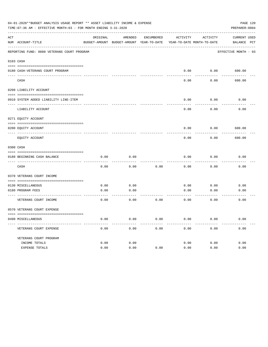|     | 04-01-2020**BUDGET ANALYSIS USAGE REPORT ** ASSET LIABILITY INCOME & EXPENSE<br>TIME: 07:36 AM - EFFECTIVE MONTH: 03 - FOR MONTH ENDING 3-31-2020 |          |                                                                     |            |          |          | PAGE 120<br>PREPARER: 0004 |
|-----|---------------------------------------------------------------------------------------------------------------------------------------------------|----------|---------------------------------------------------------------------|------------|----------|----------|----------------------------|
| ACT |                                                                                                                                                   | ORIGINAL | AMENDED                                                             | ENCUMBERED | ACTIVITY | ACTIVITY | CURRENT USED               |
|     | NUM ACCOUNT-TITLE                                                                                                                                 |          | BUDGET-AMOUNT BUDGET-AMOUNT YEAR-TO-DATE YEAR-TO-DATE MONTH-TO-DATE |            |          |          | BALANCE PCT                |
|     | REPORTING FUND: 0080 VETERANS COURT PROGRAM                                                                                                       |          |                                                                     |            |          |          | EFFECTIVE MONTH - 03       |
|     | 0103 CASH                                                                                                                                         |          |                                                                     |            |          |          |                            |
|     | 0180 CASH-VETERANS COURT PROGRAM                                                                                                                  |          |                                                                     |            | 0.00     |          | $0.00$ 600.00              |
|     | CASH                                                                                                                                              |          |                                                                     |            | 0.00     | 0.00     | 600.00                     |
|     | 0200 LIABILITY ACCOUNT                                                                                                                            |          |                                                                     |            |          |          |                            |
|     | 0910 SYSTEM ADDED LIABILITY LINE-ITEM                                                                                                             |          |                                                                     |            | 0.00     | 0.00     | 0.00                       |
|     | LIABILITY ACCOUNT                                                                                                                                 |          |                                                                     |            | 0.00     | 0.00     | 0.00                       |
|     | 0271 EQUITY ACCOUNT                                                                                                                               |          |                                                                     |            |          |          |                            |
|     | 0200 EQUITY ACCOUNT                                                                                                                               |          |                                                                     |            | 0.00     | 0.00     | 600.00                     |
|     | EOUITY ACCOUNT                                                                                                                                    |          |                                                                     |            | 0.00     | 0.00     | 600.00                     |
|     | 0300 CASH                                                                                                                                         |          |                                                                     |            |          |          |                            |
|     | 0180 BEGINNING CASH BALANCE                                                                                                                       | 0.00     | 0.00                                                                |            | 0.00     | 0.00     | 0.00                       |
|     | CASH                                                                                                                                              | 0.00     | 0.00                                                                | 0.00       | 0.00     | 0.00     | 0.00                       |
|     | 0370 VETERANS COURT INCOME                                                                                                                        |          |                                                                     |            |          |          |                            |
|     | 0130 MISCELLANEOUS                                                                                                                                | 0.00     | 0.00                                                                |            | 0.00     | 0.00     | 0.00                       |
|     | 0180 PROGRAM FEES<br>------------------------ -----                                                                                               | 0.00     | 0.00<br>-------                                                     |            | 0.00     | 0.00     | 0.00                       |
|     | VETERANS COURT INCOME                                                                                                                             | 0.00     | 0.00                                                                | 0.00       | 0.00     | 0.00     | 0.00                       |
|     | 0570 VETERANS COURT EXPENSE                                                                                                                       |          |                                                                     |            |          |          |                            |
|     | 0490 MISCELLANEOUS                                                                                                                                | 0.00     | 0.00                                                                | 0.00       | 0.00     | 0.00     | 0.00                       |
|     | VETERANS COURT EXPENSE                                                                                                                            | 0.00     | 0.00                                                                | 0.00       | 0.00     | 0.00     | 0.00                       |
|     | VETERANS COURT PROGRAM                                                                                                                            |          |                                                                     |            |          |          |                            |
|     | INCOME TOTALS                                                                                                                                     | 0.00     | 0.00                                                                |            | 0.00     | 0.00     | 0.00                       |
|     | EXPENSE TOTALS                                                                                                                                    | 0.00     | 0.00                                                                | 0.00       | 0.00     | 0.00     | 0.00                       |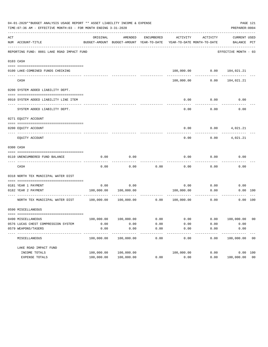|                               | 04-01-2020**BUDGET ANALYSIS USAGE REPORT ** ASSET LIABILITY INCOME & EXPENSE<br>TIME: 07:36 AM - EFFECTIVE MONTH: 03 - FOR MONTH ENDING 3-31-2020 |            |                                                     |                   |                                        |          | PREPARER: 0004                 | PAGE 121       |
|-------------------------------|---------------------------------------------------------------------------------------------------------------------------------------------------|------------|-----------------------------------------------------|-------------------|----------------------------------------|----------|--------------------------------|----------------|
|                               | NUM ACCOUNT-TITLE                                                                                                                                 | ORIGINAL   | AMENDED<br>BUDGET-AMOUNT BUDGET-AMOUNT YEAR-TO-DATE | ENCUMBERED        | ACTIVITY<br>YEAR-TO-DATE MONTH-TO-DATE | ACTIVITY | CURRENT USED<br>BALANCE PCT    |                |
|                               | REPORTING FUND: 0081 LAKE ROAD IMPACT FUND                                                                                                        |            |                                                     |                   |                                        |          | EFFECTIVE MONTH - 03           |                |
|                               |                                                                                                                                                   |            |                                                     |                   |                                        |          |                                |                |
|                               |                                                                                                                                                   |            |                                                     |                   |                                        |          |                                |                |
|                               | 0100 LAKE-COMBINED FUNDS CHECKING                                                                                                                 |            |                                                     |                   |                                        |          | 100,000.00   0.00   104,021.21 |                |
|                               | CASH                                                                                                                                              |            |                                                     |                   | 100,000.00                             | 0.00     | 104,021.21                     |                |
|                               | 0200 SYSTEM ADDED LIABILITY DEPT.                                                                                                                 |            |                                                     |                   |                                        |          |                                |                |
|                               |                                                                                                                                                   |            |                                                     |                   |                                        |          |                                |                |
|                               | 0910 SYSTEM ADDED LIABILITY LINE ITEM                                                                                                             |            |                                                     |                   | 0.00                                   | 0.00     | 0.00                           |                |
|                               | SYSTEM ADDED LIABILITY DEPT.                                                                                                                      |            |                                                     |                   | 0.00                                   | 0.00     | 0.00                           |                |
|                               | 0271 EQUITY ACCOUNT                                                                                                                               |            |                                                     |                   |                                        |          |                                |                |
|                               | 0200 EQUITY ACCOUNT                                                                                                                               |            |                                                     |                   | 0.00                                   |          | $0.00$ 4,021.21                |                |
|                               | EOUITY ACCOUNT                                                                                                                                    |            |                                                     |                   | 0.00                                   | 0.00     | 4,021.21                       |                |
|                               |                                                                                                                                                   |            |                                                     |                   |                                        |          |                                |                |
| ACT<br>0103 CASH<br>0300 CASH |                                                                                                                                                   |            |                                                     |                   |                                        |          |                                |                |
|                               | 0110 UNENCUMBERED FUND BALANCE                                                                                                                    | 0.00       | 0.00                                                |                   | 0.00                                   | 0.00     | 0.00                           |                |
|                               | CASH                                                                                                                                              | 0.00       | 0.00                                                | 0.00              | 0.00                                   | 0.00     | 0.00                           |                |
|                               | 0318 NORTH TEX MUNICIPAL WATER DIST                                                                                                               |            |                                                     |                   |                                        |          |                                |                |
|                               |                                                                                                                                                   |            |                                                     |                   |                                        |          |                                |                |
|                               | 0181 YEAR 1 PAYMENT                                                                                                                               | 0.00       | 0.00                                                |                   | 0.00                                   | 0.00     | 0.00                           |                |
|                               | 0182 YEAR 2 PAYMENT                                                                                                                               |            | 100,000.00 100,000.00                               |                   | 100,000.00                             | 0.00     | 0.00 100                       |                |
|                               | NORTH TEX MUNICIPAL WATER DIST 100,000.00                                                                                                         |            | $100,000.00$ 0.00                                   |                   | 100,000.00                             | 0.00     |                                | 0.00 100       |
|                               | 0590 MISCELLANEOUS                                                                                                                                |            |                                                     |                   |                                        |          |                                |                |
|                               |                                                                                                                                                   |            |                                                     |                   |                                        |          |                                |                |
|                               | 0490 MISCELLANEOUS                                                                                                                                | 100,000.00 | 100,000.00                                          | 0.00              | 0.00                                   | 0.00     | 100,000.00                     | 0 <sub>0</sub> |
|                               | 0576 LUCAS CHEST COMPRESSION SYSTEM                                                                                                               | 0.00       | 0.00                                                | 0.00              | 0.00                                   | 0.00     | 0.00                           |                |
|                               | 0579 WEAPONS/TASERS<br>----------                                                                                                                 | 0.00       | 0.00                                                | 0.00<br>$- - - -$ | 0.00                                   | 0.00     | 0.00                           |                |
|                               | MISCELLANEOUS                                                                                                                                     | 100,000.00 | 100,000.00                                          | 0.00              | 0.00                                   | 0.00     | 100,000.00                     | 0 <sub>0</sub> |
|                               | LAKE ROAD IMPACT FUND                                                                                                                             |            |                                                     |                   |                                        |          |                                |                |
|                               | INCOME TOTALS                                                                                                                                     | 100,000.00 | 100,000.00                                          |                   | 100,000.00                             | 0.00     | 0.00 100                       |                |
|                               | EXPENSE TOTALS                                                                                                                                    | 100,000.00 | 100,000.00                                          | 0.00              | 0.00                                   | 0.00     | 100,000.00 00                  |                |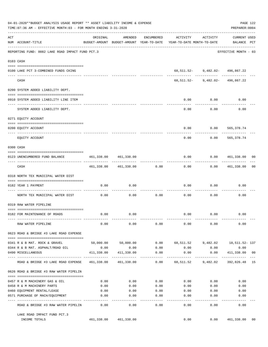|     | 04-01-2020**BUDGET ANALYSIS USAGE REPORT ** ASSET LIABILITY INCOME & EXPENSE<br>TIME: 07:36 AM - EFFECTIVE MONTH: 03 - FOR MONTH ENDING 3-31-2020 |                                              |                            |                     |                                                                                 |                                                                   | PREPARER: 0004                    | PAGE 122 |
|-----|---------------------------------------------------------------------------------------------------------------------------------------------------|----------------------------------------------|----------------------------|---------------------|---------------------------------------------------------------------------------|-------------------------------------------------------------------|-----------------------------------|----------|
| ACT | NUM ACCOUNT-TITLE                                                                                                                                 | ORIGINAL                                     | AMENDED                    | ENCUMBERED          | ACTIVITY<br>BUDGET-AMOUNT BUDGET-AMOUNT YEAR-TO-DATE YEAR-TO-DATE MONTH-TO-DATE | ACTIVITY                                                          | CURRENT USED<br>BALANCE PCT       |          |
|     | REPORTING FUND: 0082 LAKE ROAD IMPACT FUND PCT.3                                                                                                  |                                              |                            |                     |                                                                                 |                                                                   | EFFECTIVE MONTH - 03              |          |
|     | 0103 CASH                                                                                                                                         |                                              |                            |                     |                                                                                 |                                                                   |                                   |          |
|     |                                                                                                                                                   |                                              |                            |                     |                                                                                 |                                                                   |                                   |          |
|     | 0100 LAKE PCT 3-COMBINED FUNDS CKING                                                                                                              |                                              |                            |                     |                                                                                 | 68,511.52-9,482.02-496,867.22<br>-------- ------------ ---------- |                                   |          |
|     | CASH                                                                                                                                              |                                              |                            |                     |                                                                                 | 68,511.52- 9,482.02- 496,867.22                                   |                                   |          |
|     | 0200 SYSTEM ADDED LIABILITY DEPT.                                                                                                                 |                                              |                            |                     |                                                                                 |                                                                   |                                   |          |
|     | 0910 SYSTEM ADDED LIABILITY LINE ITEM                                                                                                             |                                              |                            |                     | 0.00                                                                            | 0.00                                                              | 0.00                              |          |
|     | SYSTEM ADDED LIABILITY DEPT.                                                                                                                      |                                              |                            |                     | 0.00                                                                            | .<br>0.00                                                         | 0.00                              |          |
|     | 0271 EQUITY ACCOUNT                                                                                                                               |                                              |                            |                     |                                                                                 |                                                                   |                                   |          |
|     |                                                                                                                                                   |                                              |                            |                     |                                                                                 |                                                                   |                                   |          |
|     | 0200 EQUITY ACCOUNT                                                                                                                               |                                              |                            |                     | 0.00                                                                            | $0.00$ 565,378.74                                                 |                                   |          |
|     | EQUITY ACCOUNT                                                                                                                                    |                                              |                            |                     | 0.00                                                                            | 0.00                                                              | -------------<br>565,378.74       |          |
|     | 0300 CASH                                                                                                                                         |                                              |                            |                     |                                                                                 |                                                                   |                                   |          |
|     | 0123 UNENCUMBERED FUND BALANCE                                                                                                                    | 461,338.00 461,338.00                        |                            |                     | 0.00                                                                            | 0.0000461,338.00000                                               |                                   |          |
|     | CASH                                                                                                                                              |                                              | 461,338.00 461,338.00 0.00 |                     | -----------<br>0.00                                                             | . <u>.</u> .                                                      | --------------<br>0.00 461,338.00 | 00       |
|     | 0318 NORTH TEX MUNICIPAL WATER DIST                                                                                                               |                                              |                            |                     |                                                                                 |                                                                   |                                   |          |
|     |                                                                                                                                                   |                                              |                            |                     |                                                                                 |                                                                   |                                   |          |
|     | 0182 YEAR 1 PAYMENT                                                                                                                               | 0.00                                         | 0.00                       |                     | 0.00                                                                            | 0.00                                                              | 0.00                              |          |
|     | NORTH TEX MUNICIPAL WATER DIST                                                                                                                    | 0.00                                         | 0.00                       | 0.00                | 0.00                                                                            | 0.00                                                              | 0.00                              |          |
|     | 0319 RAW WATER PIPELINE                                                                                                                           |                                              |                            |                     |                                                                                 |                                                                   |                                   |          |
|     | 0182 FOR MAINTENANCE OF ROADS                                                                                                                     | 0.00                                         | 0.00                       |                     |                                                                                 | $0.00$ $0.00$                                                     | 0.00                              |          |
|     | RAW WATER PIPELINE                                                                                                                                | 0.00                                         | 0.00                       | 0.00                | 0.00                                                                            | 0.00                                                              | 0.00                              |          |
|     | 0623 ROAD & BRIDGE #3 LAKE ROAD EXPENSE                                                                                                           |                                              |                            |                     |                                                                                 |                                                                   |                                   |          |
|     | 0341 R & B MAT. ROCK & GRAVEL                                                                                                                     |                                              | 50,000.00 50,000.00        |                     | $0.00$ 68,511.52 9,482.02 18,511.52-137                                         |                                                                   |                                   |          |
|     | 0344 R & B MAT. ASPHALT/ROAD OIL                                                                                                                  | 0.00                                         | 0.00                       | 0.00                | 0.00                                                                            | 0.00                                                              | 0.00                              |          |
|     | 0490 MISCELLANEOUS                                                                                                                                | 411,338.00<br>-- ------------- ------------- | 411,338.00                 | 0.00                | 0.00                                                                            | 0.00<br>----------                                                | 411,338.00 00<br>. <u>.</u>       |          |
|     | ROAD & BRIDGE #3 LAKE ROAD EXPENSE                                                                                                                |                                              | 461,338.00 461,338.00      | $--- - - -$<br>0.00 |                                                                                 | 68,511.52 9,482.02                                                | 392,826.48 15                     |          |
|     | 0626 ROAD & BRIDGE #3 RAW WATER PIPELIN                                                                                                           |                                              |                            |                     |                                                                                 |                                                                   |                                   |          |
|     | 0457 R & M MACHINERY GAS & OIL                                                                                                                    | 0.00                                         | 0.00                       | 0.00                | 0.00                                                                            | 0.00                                                              | 0.00                              |          |
|     | 0458 R & M MACHINERY PARTS                                                                                                                        | 0.00                                         | 0.00                       | 0.00                | 0.00                                                                            | 0.00                                                              | 0.00                              |          |
|     | 0460 EQUIPMENT RENTAL/LEASE                                                                                                                       | 0.00                                         | 0.00                       | 0.00                | 0.00                                                                            | 0.00                                                              | 0.00                              |          |
|     | 0571 PURCHASE OF MACH/EQUIPMENT                                                                                                                   | 0.00                                         | 0.00                       | 0.00                | 0.00                                                                            | 0.00                                                              | 0.00                              |          |
|     | ROAD & BRIDGE #3 RAW WATER PIPELIN                                                                                                                | 0.00                                         | $- - - -$<br>0.00          | $- - - -$<br>0.00   | -----<br>0.00                                                                   | -----<br>0.00                                                     | 0.00                              |          |
|     | LAKE ROAD IMPACT FUND PCT.3                                                                                                                       |                                              |                            |                     |                                                                                 |                                                                   |                                   |          |
|     | INCOME TOTALS                                                                                                                                     |                                              | 461,338.00 461,338.00      |                     | 0.00                                                                            | 0.00                                                              | 461,338.00                        | 00       |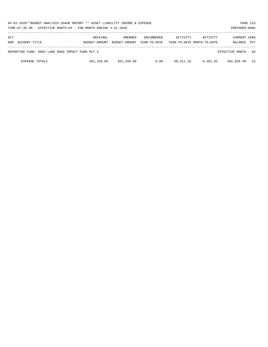| 04-01-2020**BUDGET ANALYSIS USAGE REPORT ** ASSET LIABILITY INCOME & EXPENSE<br>PAGE 123<br>TIME:07:36 AM - EFFECTIVE MONTH:03 - FOR MONTH ENDING 3-31-2020<br>PREPARER: 0004 |                           |                          |                                   |           |                                        |                         |            |  |  |  |
|-------------------------------------------------------------------------------------------------------------------------------------------------------------------------------|---------------------------|--------------------------|-----------------------------------|-----------|----------------------------------------|-------------------------|------------|--|--|--|
| ACT<br>NUM ACCOUNT-TITLE                                                                                                                                                      | ORIGINAL<br>BUDGET-AMOUNT | AMENDED<br>BUDGET-AMOUNT | <b>ENCUMBERED</b><br>YEAR-TO-DATE | ACTIVITY  | ACTIVITY<br>YEAR-TO-DATE MONTH-TO-DATE | CURRENT USED<br>BALANCE | <b>PCT</b> |  |  |  |
| REPORTING FUND: 0082 LAKE ROAD IMPACT FUND PCT.3                                                                                                                              |                           |                          |                                   |           |                                        | EFFECTIVE MONTH - 03    |            |  |  |  |
| <b>EXPENSE TOTALS</b>                                                                                                                                                         | 461,338.00                | 461,338.00               | 0.00                              | 68,511.52 | 9,482.02                               | 392,826.48 15           |            |  |  |  |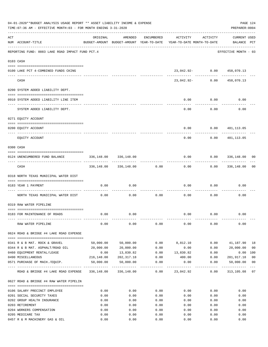|     | 04-01-2020**BUDGET ANALYSIS USAGE REPORT ** ASSET LIABILITY INCOME & EXPENSE<br>TIME: 07:36 AM - EFFECTIVE MONTH: 03 - FOR MONTH ENDING 3-31-2020 |            |                       |                     |                                                                                 |          | PAGE 124<br>PREPARER: 0004         |                |
|-----|---------------------------------------------------------------------------------------------------------------------------------------------------|------------|-----------------------|---------------------|---------------------------------------------------------------------------------|----------|------------------------------------|----------------|
| ACT | NUM ACCOUNT-TITLE                                                                                                                                 | ORIGINAL   | AMENDED               | ENCUMBERED          | ACTIVITY<br>BUDGET-AMOUNT BUDGET-AMOUNT YEAR-TO-DATE YEAR-TO-DATE MONTH-TO-DATE | ACTIVITY | <b>CURRENT USED</b><br>BALANCE PCT |                |
|     | REPORTING FUND: 0083 LAKE ROAD IMPACT FUND PCT.4                                                                                                  |            |                       |                     |                                                                                 |          | EFFECTIVE MONTH - 03               |                |
|     | 0103 CASH                                                                                                                                         |            |                       |                     |                                                                                 |          |                                    |                |
|     | 0100 LAKE PCT 4-COMBINED FUNDS CKING                                                                                                              |            |                       |                     | 23,042.92- 0.00                                                                 |          | 458,070.13                         |                |
|     | CASH                                                                                                                                              |            |                       |                     | 23,042.92-                                                                      | 0.00     | 458,070.13                         |                |
|     | 0200 SYSTEM ADDED LIABILITY DEPT.                                                                                                                 |            |                       |                     |                                                                                 |          |                                    |                |
|     | 0910 SYSTEM ADDED LIABILITY LINE ITEM                                                                                                             |            |                       |                     | 0.00                                                                            | 0.00     | 0.00                               |                |
|     | SYSTEM ADDED LIABILITY DEPT.                                                                                                                      |            |                       |                     | 0.00                                                                            | 0.00     | 0.00                               |                |
|     | 0271 EQUITY ACCOUNT                                                                                                                               |            |                       |                     |                                                                                 |          |                                    |                |
|     | 0200 EQUITY ACCOUNT                                                                                                                               |            |                       |                     | 0.00                                                                            | 0.00     | 481,113.05                         |                |
|     | EQUITY ACCOUNT                                                                                                                                    |            |                       |                     | 0.00                                                                            | 0.00     | 481,113.05                         |                |
|     | 0300 CASH                                                                                                                                         |            |                       |                     |                                                                                 |          |                                    |                |
|     | 0124 UNENCUMBERED FUND BALANCE                                                                                                                    | 336,148.00 | 336,148.00            |                     | 0.00                                                                            | 0.00     | 336,148.00                         | 00             |
|     | CASH                                                                                                                                              |            | 336,148.00 336,148.00 | 0.00                | 0.00                                                                            | 0.00     | 336,148.00                         | 00             |
|     | 0318 NORTH TEXAS MUNICIPAL WATER DIST                                                                                                             |            |                       |                     |                                                                                 |          |                                    |                |
|     | 0183 YEAR 1 PAYMENT                                                                                                                               | 0.00       | 0.00                  |                     | 0.00                                                                            | 0.00     | 0.00                               |                |
|     | NORTH TEXAS MUNICIPAL WATER DIST                                                                                                                  | 0.00       | 0.00                  | 0.00                | 0.00                                                                            | 0.00     | 0.00                               |                |
|     | 0319 RAW WATER PIPELINE                                                                                                                           |            |                       |                     |                                                                                 |          |                                    |                |
|     | 0183 FOR MAINTENANCE OF ROADS                                                                                                                     | 0.00       | 0.00                  |                     | 0.00                                                                            | 0.00     | 0.00                               |                |
|     |                                                                                                                                                   |            |                       |                     |                                                                                 |          |                                    |                |
|     | RAW WATER PIPELINE                                                                                                                                | 0.00       | 0.00                  | 0.00                | 0.00                                                                            | 0.00     | 0.00                               |                |
|     | 0624 ROAD & BRIDGE #4 LAKE ROAD EXPENSE                                                                                                           |            |                       |                     |                                                                                 |          |                                    |                |
|     | 0341 R & B MAT. ROCK & GRAVEL                                                                                                                     | 50,000.00  | 50,000.00             | 0.00                | 8,812.10                                                                        | 0.00     | 41,187.90                          | 18             |
|     | 0344 R & B MAT. ASPHALT/ROAD OIL                                                                                                                  | 20,000.00  | 20,000.00             | 0.00                | 0.00                                                                            | 0.00     | 20,000.00                          | 0 <sub>0</sub> |
|     | 0460 EQUIPMENT RENTAL/LEASE                                                                                                                       | 0.00       | 13,830.82             | 0.00                | 13,830.82                                                                       | 0.00     | 0.00                               | 100            |
|     | 0490 MISCELLANEOUS                                                                                                                                | 216,148.00 | 202, 317.18           | 0.00                | 400.00                                                                          | 0.00     | 201,917.18                         | 0 <sub>0</sub> |
|     | 0571 PURCHASE OF MACH./EQUIP.                                                                                                                     | 50,000.00  | 50,000.00             | 0.00<br>----------- | 0.00                                                                            | 0.00     | 50,000.00<br>. <u>.</u> .          | 0 <sub>0</sub> |
|     | ROAD & BRIDGE #4 LAKE ROAD EXPENSE 336,148.00 336,148.00                                                                                          |            |                       | 0.00                | 23,042.92                                                                       | 0.00     | 313,105.08                         | 07             |
|     | 0627 ROAD & BRIDGE #4 RAW WATER PIPELIN                                                                                                           |            |                       |                     |                                                                                 |          |                                    |                |
|     | 0106 SALARY PRECINCT EMPLOYEE                                                                                                                     | 0.00       | 0.00                  | 0.00                | 0.00                                                                            | 0.00     | 0.00                               |                |
|     | 0201 SOCIAL SECURITY TAXES                                                                                                                        | 0.00       | 0.00                  | 0.00                | 0.00                                                                            | 0.00     | 0.00                               |                |
|     | 0202 GROUP HEALTH INSURANCE                                                                                                                       | 0.00       | 0.00                  | 0.00                | 0.00                                                                            | 0.00     | 0.00                               |                |
|     | 0203 RETIREMENT                                                                                                                                   | 0.00       | 0.00                  | 0.00                | 0.00                                                                            | 0.00     | 0.00                               |                |
|     | 0204 WORKERS COMPENSATION                                                                                                                         | 0.00       | 0.00                  | 0.00                | 0.00                                                                            | 0.00     | 0.00                               |                |
|     | 0205 MEDICARE TAX                                                                                                                                 | 0.00       | 0.00                  | 0.00                | 0.00                                                                            | 0.00     | 0.00                               |                |
|     | 0457 R & M MACHINERY GAS & OIL                                                                                                                    | 0.00       | 0.00                  | 0.00                | 0.00                                                                            | 0.00     | 0.00                               |                |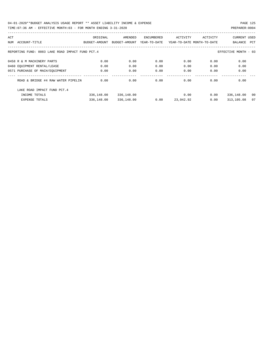| ACT |                                                  | ORIGINAL      | AMENDED       | ENCUMBERED   | ACTIVITY                   | ACTIVITY | <b>CURRENT USED</b>  |     |
|-----|--------------------------------------------------|---------------|---------------|--------------|----------------------------|----------|----------------------|-----|
| NUM | ACCOUNT-TITLE                                    | BUDGET-AMOUNT | BUDGET-AMOUNT | YEAR-TO-DATE | YEAR-TO-DATE MONTH-TO-DATE |          | BALANCE              | PCT |
|     |                                                  |               |               |              |                            |          |                      |     |
|     | REPORTING FUND: 0083 LAKE ROAD IMPACT FUND PCT.4 |               |               |              |                            |          | EFFECTIVE MONTH - 03 |     |
|     | 0458 R & M MACHINERY PARTS                       | 0.00          | 0.00          | 0.00         | 0.00                       | 0.00     | 0.00                 |     |
|     | 0460 EQUIPMENT RENTAL/LEASE                      | 0.00          | 0.00          | 0.00         | 0.00                       | 0.00     | 0.00                 |     |
|     | 0571 PURCHASE OF MACH/EOUIPMENT                  | 0.00          | 0.00          | 0.00         | 0.00                       | 0.00     | 0.00                 |     |
|     |                                                  |               |               |              |                            |          |                      |     |
|     | ROAD & BRIDGE #4 RAW WATER PIPELIN               | 0.00          | 0.00          | 0.00         | 0.00                       | 0.00     | 0.00                 |     |
|     | LAKE ROAD IMPACT FUND PCT. 4                     |               |               |              |                            |          |                      |     |
|     | INCOME TOTALS                                    | 336,148.00    | 336,148.00    |              | 0.00                       | 0.00     | 336,148.00           | 00  |
|     | <b>EXPENSE TOTALS</b>                            | 336,148.00    | 336,148.00    | 0.00         | 23,042.92                  | 0.00     | 313,105.08           | 07  |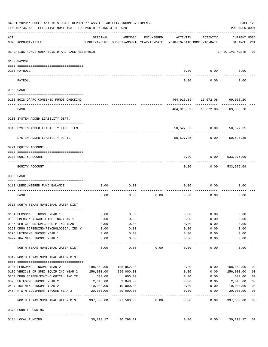|     | 04-01-2020**BUDGET ANALYSIS USAGE REPORT ** ASSET LIABILITY INCOME & EXPENSE<br>TIME:07:36 AM - EFFECTIVE MONTH:03 - FOR MONTH ENDING 3-31-2020 |                        |                                                     |            |                                        |                                          | PAGE 126<br>PREPARER: 0004         |                          |
|-----|-------------------------------------------------------------------------------------------------------------------------------------------------|------------------------|-----------------------------------------------------|------------|----------------------------------------|------------------------------------------|------------------------------------|--------------------------|
| ACT | NUM ACCOUNT-TITLE                                                                                                                               | ORIGINAL               | AMENDED<br>BUDGET-AMOUNT BUDGET-AMOUNT YEAR-TO-DATE | ENCUMBERED | ACTIVITY<br>YEAR-TO-DATE MONTH-TO-DATE | ACTIVITY                                 | <b>CURRENT USED</b><br>BALANCE PCT |                          |
|     | REPORTING FUND: 0084 BOIS D'ARC LAKE RESERVOIR                                                                                                  |                        |                                                     |            |                                        |                                          | EFFECTIVE MONTH - 03               |                          |
|     | 0100 PAYROLL                                                                                                                                    |                        |                                                     |            |                                        |                                          |                                    |                          |
|     | 0100 PAYROLL                                                                                                                                    |                        |                                                     |            | 0.00                                   | 0.00                                     | 0.00                               |                          |
|     | PAYROLL                                                                                                                                         |                        |                                                     |            | 0.00                                   | 0.00                                     | 0.00                               |                          |
|     | 0103 CASH                                                                                                                                       |                        |                                                     |            |                                        |                                          |                                    |                          |
|     | 0100 BOIS D'ARC-COMBINED FUNDS CHECKING                                                                                                         |                        |                                                     |            |                                        | $464,916.89 - 16,672.08 - 69,058.20$     |                                    |                          |
|     | CASH                                                                                                                                            |                        |                                                     |            |                                        | 464,916.89- 16,672.08- 69,058.20         |                                    |                          |
|     | 0200 SYSTEM ADDED LIABILITY DEPT.                                                                                                               |                        |                                                     |            |                                        |                                          |                                    |                          |
|     | 0910 SYSTEM ADDED LIABILITY LINE ITEM                                                                                                           |                        |                                                     |            |                                        | 50,527.35- 0.00 50,527.35-               |                                    |                          |
|     | SYSTEM ADDED LIABILITY DEPT.                                                                                                                    |                        |                                                     |            | 50,527.35-                             | 0.00                                     | -----------<br>$50.527.35 -$       |                          |
|     | 0271 EQUITY ACCOUNT                                                                                                                             |                        |                                                     |            |                                        |                                          |                                    |                          |
|     | 0200 EQUITY ACCOUNT                                                                                                                             |                        |                                                     |            | 0.00                                   | 0.00                                     | 533,975.09                         |                          |
|     | EQUITY ACCOUNT                                                                                                                                  |                        |                                                     |            | 0.00                                   |                                          | $0.00$ 533,975.09                  |                          |
|     | 0300 CASH                                                                                                                                       |                        |                                                     |            |                                        |                                          |                                    |                          |
|     | 0110 UNENCUMBERED FUND BALANCE                                                                                                                  | 0.00                   | 0.00                                                |            | 0.00                                   | 0.00                                     | 0.00                               |                          |
|     | CASH                                                                                                                                            | 0.00                   | 0.00                                                | 0.00       | 0.00                                   | 0.00                                     | 0.00                               |                          |
|     | 0318 NORTH TEXAS MUNICIPAL WATER DIST                                                                                                           |                        |                                                     |            |                                        |                                          |                                    |                          |
|     | 0184 PERSONNEL INCOME YEAR 1                                                                                                                    | 0.00                   | 0.00                                                |            | 0.00                                   | 0.00                                     | 0.00                               |                          |
|     | 0185 EMERGENCY RADIO IMP. INC. YEAR 1                                                                                                           | 0.00                   | 0.00                                                |            | 0.00                                   | 0.00                                     | 0.00                               |                          |
|     | 0186 VEHICLE OR SPEC EQUIP INC YEAR 1                                                                                                           | 0.00                   | 0.00                                                |            | 0.00                                   | 0.00                                     | 0.00                               |                          |
|     | 0.00 0250 DRUG SCREENING/PSYCHOLOGICAL INC Y                                                                                                    |                        | 0.00                                                |            | 0.00                                   | 0.00                                     | 0.00                               |                          |
|     | 0395 UNIFORMS INCOME YEAR 1                                                                                                                     | 0.00                   | 0.00                                                |            | 0.00                                   | 0.00                                     | 0.00                               |                          |
|     | 0427 TRAINING INCOME YEAR 1                                                                                                                     | 0.00                   | 0.00<br>--------                                    |            | 0.00<br>----------                     | 0.00<br>$\cdots\cdots\cdots\cdots\cdots$ | 0.00<br>---------                  |                          |
|     | NORTH TEXAS MUNICIPAL WATER DIST                                                                                                                | 0.00                   | 0.00                                                | 0.00       | 0.00                                   | 0.00                                     | 0.00                               |                          |
|     | 0319 NORTH TEXAS MUNICIPAL WATER DIST                                                                                                           |                        |                                                     |            |                                        |                                          |                                    |                          |
|     | 0184 PERSONNEL INCOME YEAR 2                                                                                                                    |                        |                                                     |            | 0.00                                   | 0.00                                     | 108,852.00                         | 00                       |
|     | 0186 VEHICLE OR SPEC EQUIP INC YEAR 2                                                                                                           | 256,000.00             | 256,000.00                                          |            | 0.00                                   | 0.00                                     | 256,000.00                         | 0 <sub>0</sub>           |
|     | 0250 DRUG SCREEN/PSYCHOLOGICAL INC YE                                                                                                           | 600.00                 | 600.00                                              |            | 0.00                                   | 0.00                                     | 600.00                             | 0 <sub>0</sub>           |
|     | 0395 UNIFORMS INCOME YEAR 2                                                                                                                     |                        | 2,048.00 2,048.00                                   |            | 0.00                                   | 0.00                                     | 2,048.00                           | 0 <sub>0</sub>           |
|     | 0427 TRAINING INCOME YEAR 2                                                                                                                     | 10,000.00    10,000.00 |                                                     |            | 0.00                                   | 0.00                                     | 10,000.00                          | 0 <sub>0</sub>           |
|     | 0454 R & M EQUIPMENT INCOME YEAR 2                                                                                                              | 20,000.00              | 20,000.00                                           |            | 0.00                                   | 0.00                                     | 20,000.00                          | 0 <sub>0</sub>           |
|     | NORTH TEXAS MUNICIPAL WATER DIST 397,500.00 397,500.00                                                                                          |                        |                                                     | 0.00       | ----------<br>0.00                     | .<br>0.00                                | ----------<br>397,500.00           | $---$<br>$\overline{00}$ |
|     | 0370 COUNTY FUNDING                                                                                                                             |                        |                                                     |            |                                        |                                          |                                    |                          |
|     | 0184 LOCAL FUNDING                                                                                                                              |                        | 30, 298.17 30, 298.17                               |            | 0.00                                   | 0.00                                     | 30,298.17 00                       |                          |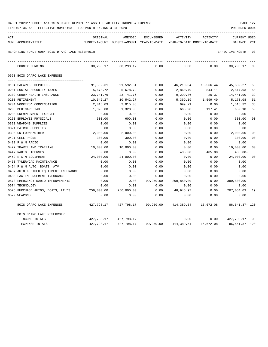| 04-01-2020**BUDGET ANALYSIS USAGE REPORT ** ASSET LIABILITY INCOME & EXPENSE |  |  |  |  | PAGE 127 |
|------------------------------------------------------------------------------|--|--|--|--|----------|
|                                                                              |  |  |  |  |          |

| ACT |                                                | ORIGINAL   | AMENDED                                  | ENCUMBERED | ACTIVITY                        | ACTIVITY                                                         | <b>CURRENT USED</b>  | $_{\rm PCT}$   |
|-----|------------------------------------------------|------------|------------------------------------------|------------|---------------------------------|------------------------------------------------------------------|----------------------|----------------|
|     | NUM ACCOUNT-TITLE                              |            | BUDGET-AMOUNT BUDGET-AMOUNT YEAR-TO-DATE |            | YEAR-TO-DATE MONTH-TO-DATE      |                                                                  | BALANCE              |                |
|     | REPORTING FUND: 0084 BOIS D'ARC LAKE RESERVOIR |            |                                          |            |                                 |                                                                  | EFFECTIVE MONTH - 03 |                |
|     | COUNTY FUNDING                                 | 30,298.17  | 30,298.17                                | 0.00       | 0.00                            | 0.00                                                             | 30,298.17            | 00             |
|     | 0560 BOIS D'ARC LAKE EXPENSES                  |            |                                          |            |                                 |                                                                  |                      |                |
|     |                                                |            |                                          |            |                                 |                                                                  |                      |                |
|     | 0104 SALARIES DEPUTIES                         | 91,592.31  | 91,592.31                                | 0.00       | 46,210.04                       |                                                                  | 13,566.44 45,382.27  | 50             |
|     | 0201 SOCIAL SECURITY TAXES                     | 5,678.72   | 5,678.72                                 | 0.00       | 2,860.79                        | 844.11                                                           | 2,817.93             | 50             |
|     | 0202 GROUP HEALTH INSURANCE                    | 23,741.76  | 23,741.76                                | 0.00       | 9,299.86                        | $20.37-$                                                         | 14,441.90            | 39             |
|     | 0203 RETIREMENT                                | 10,542.27  | 10,542.27                                | 0.00       | 5,369.19                        | 1,599.49                                                         | 5,173.08             | 51             |
|     | 0204 WORKERS' COMPENSATION                     | 2,015.03   | 2,015.03                                 | 0.00       | 699.71                          | 0.00                                                             | 1,315.32             | 35             |
|     | 0205 MEDICARE TAX                              | 1,328.08   | 1,328.08                                 | 0.00       | 668.98                          | 197.41                                                           | 659.10               | 50             |
|     | 0206 UNEMPLOYMENT EXPENSE                      | 0.00       | 0.00                                     | 0.00       | 0.00                            | 0.00                                                             | 0.00                 |                |
|     | 0250 EMPLOYEE PHYSICALS                        | 600.00     | 600.00                                   | 0.00       | 0.00                            | 0.00                                                             | 600.00               | 0 <sub>0</sub> |
|     | 0320 WEAPONS SUPPLIES                          | 0.00       | 0.00                                     | 0.00       | 0.00                            | 0.00                                                             | 0.00                 |                |
|     | 0321 PATROL SUPPLIES                           | 0.00       | 0.00                                     | 0.00       | 0.00                            | 0.00                                                             | 0.00                 |                |
|     | 0395 UNIFORMS/OTHER                            | 2,000.00   | 2,000.00                                 | 0.00       | 0.00                            | 0.00                                                             | 2,000.00             | 0 <sub>0</sub> |
|     | 0421 CELL PHONE                                | 300.00     | 300.00                                   | 0.00       | 0.00                            | 0.00                                                             | 300.00               | 00             |
|     | 0422 R & M RADIO                               | 0.00       | 0.00                                     | 0.00       | 0.00                            | 0.00                                                             | 0.00                 |                |
|     | 0427 TRAVEL AND TRAINING                       | 10,000.00  | 10,000.00                                | 0.00       | 0.00                            | 0.00                                                             | 10,000.00            | 0 <sub>0</sub> |
|     | 0447 RADIO LICENSES                            | 0.00       | 0.00                                     | 0.00       | 485.00                          | 485.00                                                           | 485.00-              |                |
|     | 0452 R & M EOUIPMENT                           | 24,000.00  | 24,000.00                                | 0.00       | 0.00                            | 0.00                                                             | 24,000.00            | 0 <sub>0</sub> |
|     | 0453 TYLER/CAD MAINTENANCE                     | 0.00       | 0.00                                     | 0.00       | 0.00                            | 0.00                                                             | 0.00                 |                |
|     | 0454 R & M AUTO, BOATS, ATV                    | 0.00       | 0.00                                     | 0.00       | 0.00                            | 0.00                                                             | 0.00                 |                |
|     | 0487 AUTO & OTHER EQUIPMENT INSURANCE          | 0.00       | 0.00                                     | 0.00       | 0.00                            | 0.00                                                             | 0.00                 |                |
|     | 0488 LAW ENFORCEMENT INSURANCE                 | 0.00       | 0.00                                     | 0.00       | 0.00                            | 0.00                                                             | 0.00                 |                |
|     | 0573 EMERGENCY RADIO IMPROVEMENTS              | 0.00       | 0.00                                     | 99,950.00  | 299,850.00                      | 0.00                                                             | $399,800.00 -$       |                |
|     | 0574 TECHNOLOGY                                | 0.00       | 0.00                                     | 0.00       | 0.00                            | 0.00                                                             | 0.00                 |                |
|     | 0575 PURCHASE AUTOS, BOATS, ATV'S 256,000.00   |            | 256,000.00                               | 0.00       | 48,945.97                       | 0.00                                                             | 207,054.03 19        |                |
|     | 0579 WEAPONS                                   | 0.00       | 0.00                                     | 0.00       | 0.00                            | 0.00                                                             | 0.00                 |                |
|     | BOIS D'ARC LAKE EXPENSES                       |            |                                          |            |                                 | 427,798.17    427,798.17    99,950.00    414,389.54    16,672.08 | 86,541.37- 120       |                |
|     | BOIS D'ARC LAKE RESERVOIR                      |            |                                          |            |                                 |                                                                  |                      |                |
|     | INCOME TOTALS                                  |            | 427,798.17 427,798.17                    |            |                                 | $0.00$ $0.00$ $427,798.17$ 00                                    |                      |                |
|     | EXPENSE TOTALS                                 | 427,798.17 |                                          |            | 427,798.17 99,950.00 414,389.54 | 16,672.08                                                        | 86,541.37- 120       |                |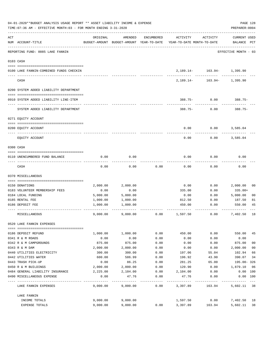|     | 04-01-2020**BUDGET ANALYSIS USAGE REPORT ** ASSET LIABILITY INCOME & EXPENSE<br>TIME: 07:36 AM - EFFECTIVE MONTH: 03 - FOR MONTH ENDING 3-31-2020 |          |          |            |                                                                                 |                                               | PAGE 128<br>PREPARER: 0004         |                |
|-----|---------------------------------------------------------------------------------------------------------------------------------------------------|----------|----------|------------|---------------------------------------------------------------------------------|-----------------------------------------------|------------------------------------|----------------|
| ACT | NUM ACCOUNT-TITLE                                                                                                                                 | ORIGINAL | AMENDED  | ENCUMBERED | ACTIVITY<br>BUDGET-AMOUNT BUDGET-AMOUNT YEAR-TO-DATE YEAR-TO-DATE MONTH-TO-DATE | ACTIVITY                                      | <b>CURRENT USED</b><br>BALANCE PCT |                |
|     | REPORTING FUND: 0085 LAKE FANNIN                                                                                                                  |          |          |            |                                                                                 |                                               | EFFECTIVE MONTH - 03               |                |
|     | 0103 CASH                                                                                                                                         |          |          |            |                                                                                 |                                               |                                    |                |
|     | 0100 LAKE FANNIN-COMBINED FUNDS CHECKIN                                                                                                           |          |          |            |                                                                                 | 2, 189.14- 163.94- 1, 395.90<br>------------- |                                    |                |
|     | CASH                                                                                                                                              |          |          |            |                                                                                 | 2, 189. 14 - 163. 94 - 1, 395. 90             |                                    |                |
|     | 0200 SYSTEM ADDED LIABILITY DEPARTMENT                                                                                                            |          |          |            |                                                                                 |                                               |                                    |                |
|     | 0910 SYSTEM ADDED LIABILITY LINE-ITEM                                                                                                             |          |          |            |                                                                                 | 388.75- 0.00 388.75-                          |                                    |                |
|     | SYSTEM ADDED LIABILITY DEPARTMENT                                                                                                                 |          |          |            |                                                                                 | $388.75 - 0.00$                               | $388.75-$                          |                |
|     | 0271 EQUITY ACCOUNT                                                                                                                               |          |          |            |                                                                                 |                                               |                                    |                |
|     | 0200 EQUITY ACCOUNT                                                                                                                               |          |          |            | 0.00                                                                            | 0.00                                          | 3,585.04                           |                |
|     | EQUITY ACCOUNT                                                                                                                                    |          |          |            | 0.00                                                                            | 0.00                                          | 3,585.04                           |                |
|     | 0300 CASH                                                                                                                                         |          |          |            |                                                                                 |                                               |                                    |                |
|     | 0110 UNENCUMBERED FUND BALANCE                                                                                                                    | 0.00     | 0.00     |            | 0.00                                                                            | 0.00                                          | 0.00                               |                |
|     | CASH                                                                                                                                              | 0.00     | 0.00     | 0.00       | 0.00                                                                            | 0.00                                          | 0.00                               |                |
|     | 0370 MISCELLANEOUS                                                                                                                                |          |          |            |                                                                                 |                                               |                                    |                |
|     | 0150 DONATIONS                                                                                                                                    | 2,000.00 | 2,000.00 |            | 0.00                                                                            | 0.00                                          | 2,000.00                           | 00             |
|     | 0183 VOLUNTEER MEMBERSHIP FEES                                                                                                                    | 0.00     | 0.00     |            | 335.00                                                                          | 0.00                                          | 335.00+                            |                |
|     | 0184 LOCAL FUNDING                                                                                                                                | 5,000.00 | 5,000.00 |            | 0.00                                                                            | 0.00                                          | 5,000.00                           | 0 <sub>0</sub> |
|     | 0185 RENTAL FEE                                                                                                                                   | 1,000.00 | 1,000.00 |            | 812.50                                                                          | 0.00                                          | 187.50                             | 81             |
|     | 0186 DEPOSIT FEE                                                                                                                                  | 1,000.00 | 1,000.00 |            | 450.00                                                                          | 0.00                                          | 550.00                             | 45             |
|     | MISCELLANEOUS                                                                                                                                     | 9,000.00 | 9,000.00 | 0.00       | 1,597.50                                                                        | 0.00                                          | 7,402.50                           | 18             |
|     | 0520 LAKE FANNIN EXPENSES                                                                                                                         |          |          |            |                                                                                 |                                               |                                    |                |
|     | 0186 DEPOSIT REFUND                                                                                                                               | 1,000.00 | 1,000.00 | 0.00       | 450.00                                                                          | 0.00                                          | 550.00                             | 45             |
|     | 0341 R & M ROADS                                                                                                                                  | 0.00     | 0.00     | 0.00       | 0.00                                                                            | 0.00                                          | 0.00                               |                |
|     | 0342 R & M CAMPGROUNDS                                                                                                                            | 875.00   | 875.00   | 0.00       | 0.00                                                                            | 0.00                                          | 875.00                             | 0 <sub>0</sub> |
|     | 0343 R & M DAM                                                                                                                                    | 2,000.00 | 2,000.00 | 0.00       | 0.00                                                                            | 0.00                                          | 2,000.00                           | 0 <sub>0</sub> |
|     | 0440 UTILITIES ELECTRICITY                                                                                                                        | 300.00   | 300.00   | 0.00       | 197.06                                                                          | 55.04                                         | 102.94                             | 66             |
|     | 0442 UTILITIES WATER                                                                                                                              | 600.00   | 586.99   | 0.00       | 196.92                                                                          | 43.90                                         | 390.07                             | 34             |
|     | 0443 TRASH PICK-UP                                                                                                                                | 0.00     | 86.25    | 0.00       | 281.25                                                                          | 65.00                                         | 195.00-326                         |                |
|     | 0450 R & M BUILDINGS                                                                                                                              | 2,000.00 | 2,000.00 | 0.00       | 120.90                                                                          | 0.00                                          | 1,879.10                           | 06             |
|     | 0484 GENERAL LIABILITY INSURANCE                                                                                                                  | 2,225.00 | 2,104.00 | 0.00       | 2,104.00                                                                        | 0.00                                          | 0.00 100                           |                |
|     | 0490 MISCELLANEOUS EXPENSE                                                                                                                        | 0.00     | 47.76    | 0.00       | 47.76                                                                           | 0.00                                          | 0.00 100                           | $---$          |
|     | LAKE FANNIN EXPENSES                                                                                                                              | 9,000.00 | 9,000.00 | 0.00       | 3,397.89                                                                        | 163.94                                        | 5,602.11 38                        |                |
|     | LAKE FANNIN                                                                                                                                       |          |          |            |                                                                                 |                                               |                                    |                |
|     | INCOME TOTALS                                                                                                                                     | 9,000.00 | 9,000.00 |            | 1,597.50                                                                        | 0.00                                          | 7,402.50 18                        |                |
|     | EXPENSE TOTALS                                                                                                                                    | 9,000.00 | 9,000.00 | 0.00       | 3,397.89                                                                        | 163.94                                        | 5,602.11                           | 38             |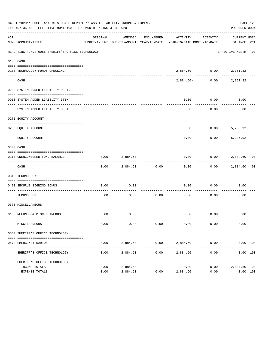|           | 04-01-2020**BUDGET ANALYSIS USAGE REPORT ** ASSET LIABILITY INCOME & EXPENSE<br>TIME: 07:36 AM - EFFECTIVE MONTH: 03 - FOR MONTH ENDING 3-31-2020 |              |                        |                      |                                                                                 |                             | PAGE 129<br>PREPARER: 0004  |  |
|-----------|---------------------------------------------------------------------------------------------------------------------------------------------------|--------------|------------------------|----------------------|---------------------------------------------------------------------------------|-----------------------------|-----------------------------|--|
| ACT       | NUM ACCOUNT-TITLE                                                                                                                                 | ORIGINAL     | AMENDED                | ENCUMBERED           | ACTIVITY<br>BUDGET-AMOUNT BUDGET-AMOUNT YEAR-TO-DATE YEAR-TO-DATE MONTH-TO-DATE | ACTIVITY                    | CURRENT USED<br>BALANCE PCT |  |
|           | REPORTING FUND: 0086 SHERIFF'S OFFICE TECHNOLOGY                                                                                                  |              |                        |                      |                                                                                 |                             | EFFECTIVE MONTH - 03        |  |
| 0103 CASH |                                                                                                                                                   |              |                        |                      |                                                                                 |                             |                             |  |
|           | 0100 TECHNOLOGY FUNDS CHECKING                                                                                                                    |              |                        |                      |                                                                                 | $2,884.60 - 0.00 2,351.32$  |                             |  |
|           | CASH                                                                                                                                              |              |                        |                      | 2,884.60-                                                                       |                             | $0.00$ 2,351.32             |  |
|           | 0200 SYSTEM ADDED LIABILITY DEPT.                                                                                                                 |              |                        |                      |                                                                                 |                             |                             |  |
|           | 0910 SYSTEM ADDED LIABILITY ITEM                                                                                                                  |              |                        |                      | 0.00                                                                            | 0.00                        | 0.00                        |  |
|           | SYSTEM ADDED LIABILITY DEPT.                                                                                                                      |              |                        |                      | 0.00                                                                            | 0.00                        | 0.00                        |  |
|           | 0271 EQUITY ACCOUNT                                                                                                                               |              |                        |                      |                                                                                 |                             |                             |  |
|           | 0200 EQUITY ACCOUNT                                                                                                                               |              |                        |                      | 0.00                                                                            | $0.00$ 5, 235.92            |                             |  |
|           | EOUITY ACCOUNT                                                                                                                                    |              |                        |                      | -----<br>0.00                                                                   |                             | $0.00$ 5,235.92             |  |
| 0300 CASH |                                                                                                                                                   |              |                        |                      |                                                                                 |                             |                             |  |
|           | 0110 UNENCUMBERED FUND BALANCE                                                                                                                    | 0.00         | 2,884.60               |                      | 0.00                                                                            | $0.00$ 2,884.60 00          |                             |  |
|           | CASH                                                                                                                                              | 0.00         |                        | 2,884.60 0.00        | 0.00                                                                            |                             | $0.00$ 2,884.60 00          |  |
|           | 0319 TECHNOLOGY                                                                                                                                   |              |                        |                      |                                                                                 |                             |                             |  |
|           | 0420 SECURUS SIGNING BONUS                                                                                                                        | 0.00         | 0.00                   |                      | 0.00                                                                            | $0.00$ 0.00                 |                             |  |
|           | TECHNOLOGY                                                                                                                                        | 0.00         | 0.00                   | 0.00                 | _____________________________<br>0.00                                           | 0.00                        | 0.00                        |  |
|           | 0370 MISCELLANEOUS                                                                                                                                |              |                        |                      |                                                                                 |                             |                             |  |
|           | 0130 REFUNDS & MISCELLANEOUS                                                                                                                      | 0.00         | 0.00                   |                      |                                                                                 | $0.00$ $0.00$ $0.00$ $0.00$ |                             |  |
|           | MISCELLANEOUS                                                                                                                                     | 0.00         | 0.00                   | 0.00                 | 0.00                                                                            | 0.00                        | 0.00                        |  |
|           | 0560 SHERIFF'S OFFICE TECHNOLOGY                                                                                                                  |              |                        |                      |                                                                                 |                             |                             |  |
|           | 0573 EMERGENCY RADIOS                                                                                                                             | 0.00         | 2,884.60<br>---------- | 0.00<br>------------ | ------------- ------------                                                      | 2,884.60 0.00               | 0.00 100<br>. <u>.</u>      |  |
|           | SHERIFF'S OFFICE TECHNOLOGY                                                                                                                       | 0.00         | 2,884.60               | 0.00                 | 2,884.60                                                                        | 0.00                        | 0.00 100                    |  |
|           | SHERIFF'S OFFICE TECHNOLOGY                                                                                                                       |              |                        |                      |                                                                                 |                             |                             |  |
|           | INCOME TOTALS<br>EXPENSE TOTALS                                                                                                                   | 0.00<br>0.00 | 2,884.60<br>2,884.60   | 0.00                 | 0.00<br>2,884.60                                                                | 0.00<br>0.00                | 2,884.60 00<br>0.00 100     |  |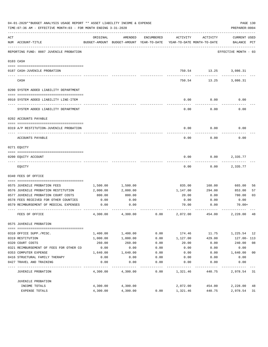|     | 04-01-2020**BUDGET ANALYSIS USAGE REPORT ** ASSET LIABILITY INCOME & EXPENSE<br>TIME: 07:36 AM - EFFECTIVE MONTH: 03 - FOR MONTH ENDING 3-31-2020 |                      |                                                     |              |                                        |                                     | PAGE 130<br>PREPARER: 0004         |                |
|-----|---------------------------------------------------------------------------------------------------------------------------------------------------|----------------------|-----------------------------------------------------|--------------|----------------------------------------|-------------------------------------|------------------------------------|----------------|
| ACT | NUM ACCOUNT-TITLE                                                                                                                                 | ORIGINAL             | AMENDED<br>BUDGET-AMOUNT BUDGET-AMOUNT YEAR-TO-DATE | ENCUMBERED   | ACTIVITY<br>YEAR-TO-DATE MONTH-TO-DATE | ACTIVITY                            | <b>CURRENT USED</b><br>BALANCE PCT |                |
|     | ---------------------------<br>REPORTING FUND: 0087 JUVENILE PROBATION                                                                            |                      |                                                     |              |                                        |                                     | EFFECTIVE MONTH - 03               |                |
|     | 0103 CASH                                                                                                                                         |                      |                                                     |              |                                        |                                     |                                    |                |
|     |                                                                                                                                                   |                      |                                                     |              |                                        |                                     |                                    |                |
|     | 0187 CASH-JUVENILE PROBATION                                                                                                                      |                      |                                                     |              |                                        | 750.54 13.25 3,086.31<br>---------- |                                    |                |
|     | CASH                                                                                                                                              |                      |                                                     |              | 750.54                                 | 13.25                               | 3,086.31                           |                |
|     | 0200 SYSTEM ADDED LIABILITY DEPARTMENT                                                                                                            |                      |                                                     |              |                                        |                                     |                                    |                |
|     |                                                                                                                                                   |                      |                                                     |              |                                        |                                     |                                    |                |
|     | 0910 SYSTEM ADDED LIABILITY LINE-ITEM                                                                                                             |                      |                                                     |              | 0.00                                   | 0.00                                | 0.00                               |                |
|     | SYSTEM ADDED LIABILITY DEPARTMENT                                                                                                                 |                      |                                                     |              | 0.00                                   | 0.00                                | 0.00                               |                |
|     | 0202 ACCOUNTS PAYABLE                                                                                                                             |                      |                                                     |              |                                        |                                     |                                    |                |
|     |                                                                                                                                                   |                      |                                                     |              |                                        |                                     |                                    |                |
|     | 0319 A/P RESTITUTION-JUVENILE PROBATION                                                                                                           |                      |                                                     |              | 0.00                                   | 0.00                                | 0.00                               |                |
|     | ACCOUNTS PAYABLE                                                                                                                                  |                      |                                                     |              | 0.00                                   | 0.00                                | 0.00                               |                |
|     | 0271 EQUITY                                                                                                                                       |                      |                                                     |              |                                        |                                     |                                    |                |
|     |                                                                                                                                                   |                      |                                                     |              |                                        |                                     |                                    |                |
|     | 0200 EQUITY ACCOUNT                                                                                                                               |                      |                                                     |              | 0.00                                   | 0.00                                | 2,335.77                           |                |
|     | EQUITY                                                                                                                                            |                      |                                                     |              | 0.00                                   | 0.00                                | 2,335.77                           |                |
|     | 0340 FEES OF OFFICE                                                                                                                               |                      |                                                     |              |                                        |                                     |                                    |                |
|     |                                                                                                                                                   |                      |                                                     |              |                                        |                                     |                                    |                |
|     | 0575 JUVENILE PROBATION FEES                                                                                                                      | 1,500.00             | 1,500.00                                            |              | 835.00                                 | 160.00                              | 665.00                             | 56             |
|     | 0576 JUVENILE PROBATION RESTITUTION                                                                                                               | 2,000.00             | 2,000.00                                            |              | 1,147.00                               | 294.00                              | 853.00                             | 57             |
|     | 0577 JUVENILE PROBATION COURT COSTS                                                                                                               | 800.00               | 800.00<br>0.00                                      |              | 20.00                                  | 0.00                                | 780.00                             | 03             |
|     | 0578 FEES RECEIVED FOR OTHER COUNTIES<br>0579 REIMBURSEMENT OF MEDICAL EXPENSES                                                                   | 0.00                 | 0.00                                                |              | 0.00                                   | 0.00                                | 0.00                               |                |
|     |                                                                                                                                                   | 0.00                 |                                                     |              | 70.00                                  | 0.00                                | $70.00+$                           |                |
|     | FEES OF OFFICE                                                                                                                                    | 4,300.00             | 4,300.00                                            | 0.00         | 2,072.00                               | 454.00                              | 2,228.00                           | 48             |
|     | 0575 JUVENILE PROBATION                                                                                                                           |                      |                                                     |              |                                        |                                     |                                    |                |
|     |                                                                                                                                                   |                      |                                                     |              |                                        |                                     |                                    |                |
|     | 0310 OFFICE SUPP./MISC.                                                                                                                           | 1,400.00             | 1,400.00                                            | 0.00         | 174.46                                 | 11.75                               | 1,225.54                           | 12             |
|     | 0319 RESTITUTION                                                                                                                                  | 1,000.00             | 1,000.00                                            | 0.00         | 1,127.00                               | 429.00                              | 127.00- 113                        |                |
|     | 0320 COURT COSTS                                                                                                                                  | 260.00               | 260.00                                              | 0.00         | 20.00                                  | 0.00                                | 240.00                             | 08             |
|     | 0321 REIMBURSEMENT OF FEES FOR OTHER CO                                                                                                           | 0.00                 | 0.00                                                | 0.00         | 0.00                                   | 0.00                                | 0.00                               |                |
|     | 0353 COMPUTER EXPENSE                                                                                                                             | 1,640.00             | 1,640.00                                            | 0.00         | 0.00                                   | 0.00                                | 1,640.00                           | 0 <sub>0</sub> |
|     | 0416 STRUCTURAL FAMILY THERAPY<br>0427 TRAVEL AND TRAINING                                                                                        | 0.00<br>0.00         | 0.00<br>0.00                                        | 0.00<br>0.00 | 0.00<br>0.00                           | 0.00<br>0.00                        | 0.00<br>0.00                       |                |
|     | <b>JUVENILE PROBATION</b>                                                                                                                         | 4,300.00             | 4,300.00                                            | ----<br>0.00 | 1,321.46                               | 440.75                              | 2,978.54 31                        |                |
|     |                                                                                                                                                   |                      |                                                     |              |                                        |                                     |                                    |                |
|     | JUVENILE PROBATION                                                                                                                                |                      |                                                     |              |                                        |                                     |                                    |                |
|     | INCOME TOTALS<br>EXPENSE TOTALS                                                                                                                   | 4,300.00<br>4,300.00 | 4,300.00<br>4,300.00                                | 0.00         | 2,072.00<br>1,321.46                   | 454.00<br>440.75                    | 2,228.00<br>2,978.54               | 48<br>31       |
|     |                                                                                                                                                   |                      |                                                     |              |                                        |                                     |                                    |                |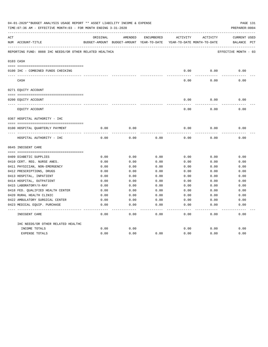|     | 04-01-2020**BUDGET ANALYSIS USAGE REPORT ** ASSET LIABILITY INCOME & EXPENSE<br>TIME: 07:36 AM - EFFECTIVE MONTH: 03 - FOR MONTH ENDING 3-31-2020 |          |                                                                                |            |          |          | PAGE 131<br>PREPARER: 0004         |
|-----|---------------------------------------------------------------------------------------------------------------------------------------------------|----------|--------------------------------------------------------------------------------|------------|----------|----------|------------------------------------|
| ACT | NUM ACCOUNT-TITLE                                                                                                                                 | ORIGINAL | AMENDED<br>BUDGET-AMOUNT BUDGET-AMOUNT YEAR-TO-DATE YEAR-TO-DATE MONTH-TO-DATE | ENCUMBERED | ACTIVITY | ACTIVITY | <b>CURRENT USED</b><br>BALANCE PCT |
|     | REPORTING FUND: 0088 IHC NEEDS/OR OTHER RELATED HEALTHCA                                                                                          |          |                                                                                |            |          |          | EFFECTIVE MONTH - 03               |
|     | 0103 CASH                                                                                                                                         |          |                                                                                |            |          |          |                                    |
|     | 0100 IHC - COMBINED FUNDS CHECKING                                                                                                                |          |                                                                                |            | 0.00     | 0.00     | 0.00                               |
|     | CASH                                                                                                                                              |          |                                                                                |            | 0.00     | 0.00     | 0.00                               |
|     | 0271 EQUITY ACCOUNT                                                                                                                               |          |                                                                                |            |          |          |                                    |
|     |                                                                                                                                                   |          |                                                                                |            |          |          |                                    |
|     | 0200 EQUITY ACCOUNT<br>---- ----------------------------                                                                                          |          |                                                                                |            | 0.00     | 0.00     | 0.00                               |
|     | EQUITY ACCOUNT                                                                                                                                    |          |                                                                                |            | 0.00     | 0.00     | 0.00                               |
|     | 0367 HOSPITAL AUTHORITY - IHC                                                                                                                     |          |                                                                                |            |          |          |                                    |
|     |                                                                                                                                                   |          |                                                                                |            |          |          |                                    |
|     | 0100 HOSPITAL QUARTERLY PAYMENT                                                                                                                   | 0.00     | 0.00                                                                           |            | 0.00     | 0.00     | 0.00                               |
|     | HOSPITAL AUTHORITY - IHC                                                                                                                          | 0.00     | 0.00                                                                           | 0.00       | 0.00     | 0.00     | 0.00                               |
|     | 0645 INDIGENT CARE                                                                                                                                |          |                                                                                |            |          |          |                                    |
|     |                                                                                                                                                   |          |                                                                                |            |          |          |                                    |
|     | 0409 DIABETIC SUPPLIES                                                                                                                            | 0.00     | 0.00                                                                           | 0.00       | 0.00     | 0.00     | 0.00                               |
|     | 0410 CERT. REG. NURSE ANES.                                                                                                                       | 0.00     | 0.00                                                                           | 0.00       | 0.00     | 0.00     | 0.00                               |
|     |                                                                                                                                                   | 0.00     | 0.00                                                                           | 0.00       | 0.00     | 0.00     | 0.00                               |
|     | 0411 PHYSICIAN, NON-EMERGENCY<br>0412 PRESCRIPTIONS, DRUGS                                                                                        | 0.00     | 0.00                                                                           | 0.00       | 0.00     | 0.00     | 0.00                               |
|     | 0413 HOSPITAL, INPATIENT                                                                                                                          | 0.00     | 0.00                                                                           | 0.00       | 0.00     | 0.00     | 0.00                               |
|     | 0414 HOSPITAL, OUTPATIENT                                                                                                                         | 0.00     | 0.00                                                                           | 0.00       | 0.00     | 0.00     | 0.00                               |
|     | 0415 LABORATORY/X-RAY                                                                                                                             | 0.00     | 0.00                                                                           | 0.00       | 0.00     | 0.00     | 0.00                               |
|     | 0418 FED. QUALIFIED HEALTH CENTER                                                                                                                 | 0.00     | 0.00                                                                           | 0.00       | 0.00     | 0.00     | 0.00                               |
|     | 0420 RURAL HEALTH CLINIC                                                                                                                          | 0.00     | 0.00                                                                           | 0.00       | 0.00     | 0.00     | 0.00                               |
|     | 0422 AMBULATORY SURGICAL CENTER                                                                                                                   | 0.00     | 0.00                                                                           | 0.00       | 0.00     | 0.00     | 0.00                               |
|     |                                                                                                                                                   | 0.00     |                                                                                |            |          |          |                                    |
|     | 0423 MEDICAL EQUIP. PURCHASE                                                                                                                      |          | 0.00                                                                           | 0.00       | 0.00     | 0.00     | 0.00                               |
|     | INDIGENT CARE                                                                                                                                     | 0.00     | 0.00                                                                           | 0.00       | 0.00     | 0.00     | 0.00                               |
|     | IHC NEEDS/OR OTHER RELATED HEALTHC                                                                                                                |          |                                                                                |            |          |          |                                    |
|     | INCOME TOTALS                                                                                                                                     | 0.00     | 0.00                                                                           |            | 0.00     | 0.00     | 0.00                               |
|     | <b>EXPENSE TOTALS</b>                                                                                                                             | 0.00     | 0.00                                                                           | 0.00       | 0.00     | 0.00     | 0.00                               |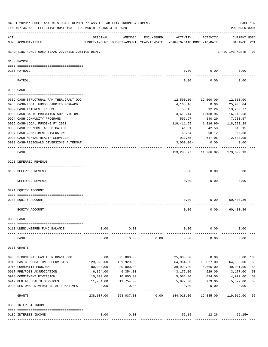|     | 04-01-2020**BUDGET ANALYSIS USAGE REPORT ** ASSET LIABILITY INCOME & EXPENSE<br>TIME: 07:36 AM - EFFECTIVE MONTH: 03 - FOR MONTH ENDING 3-31-2020 |                 |                                                     |            |                                        |                                                       | PREPARER: 0004                     | PAGE 132 |
|-----|---------------------------------------------------------------------------------------------------------------------------------------------------|-----------------|-----------------------------------------------------|------------|----------------------------------------|-------------------------------------------------------|------------------------------------|----------|
| ACT | NUM ACCOUNT-TITLE                                                                                                                                 | ORIGINAL        | AMENDED<br>BUDGET-AMOUNT BUDGET-AMOUNT YEAR-TO-DATE | ENCUMBERED | ACTIVITY<br>YEAR-TO-DATE MONTH-TO-DATE | ACTIVITY                                              | <b>CURRENT USED</b><br>BALANCE PCT |          |
|     | REPORTING FUND: 0089 TEXAS JUVENILE JUSTICE DEPT.                                                                                                 |                 |                                                     |            |                                        |                                                       | EFFECTIVE MONTH - 03               |          |
|     | 0100 PAYROLL                                                                                                                                      |                 |                                                     |            |                                        |                                                       |                                    |          |
|     | 0100 PAYROLL<br>---- ------<br>-------------------------- --------                                                                                |                 |                                                     |            | 0.00                                   | 0.00                                                  | 0.00                               |          |
|     | PAYROLL                                                                                                                                           |                 |                                                     |            | 0.00                                   | 0.00                                                  | 0.00                               |          |
|     | 0103 CASH                                                                                                                                         |                 |                                                     |            |                                        |                                                       |                                    |          |
|     | 0689 CASH-STRUCTURAL FAM.THER.GRANT OOG                                                                                                           |                 |                                                     |            | $12,500.00 -$                          | 12,500.00-                                            | 12,500.00-                         |          |
|     | 0988 CASH-LOCAL FUNDS CARRIED FORWARD                                                                                                             |                 |                                                     |            | 4,168.16                               | 0.00                                                  | 25,906.04                          |          |
|     | 0992 CASH-INTEREST INCOME                                                                                                                         |                 |                                                     |            | 55.15                                  | 12.26                                                 | 13,269.77                          |          |
|     | 0993 CASH-BASIC PROBATION SUPERVISION                                                                                                             |                 |                                                     |            | 3,619.44                               | 1,138.96                                              | 16,310.58                          |          |
|     | 0994 CASH-COMMUNITY PROGRAMS                                                                                                                      |                 |                                                     |            | 507.97                                 | 540.20                                                | 7,730.57                           |          |
|     | 0995 CASH-LOCAL FUNDING FY 2020                                                                                                                   |                 |                                                     |            | 119,411.55                             | 1,216.90-                                             | 118,720.29                         |          |
|     | 0996 CASH-PRE/POST ADJUDICATION                                                                                                                   |                 |                                                     |            | 41.31                                  | 42.58                                                 | 615.15                             |          |
|     | 0997 CASH-COMMITMENT DIVERSION                                                                                                                    |                 |                                                     |            | 63.64                                  | 68.12                                                 | 966.68                             |          |
|     | 0998 CASH-MENTAL HEALTH SERVICES                                                                                                                  |                 |                                                     |            | 931.55                                 | 647.96                                                | 2,680.05                           |          |
|     | 0999 CASH-REGIONALS DIVERSIONS ALTERNAT                                                                                                           |                 |                                                     |            | $3,000.00-$                            | 0.00                                                  | 0.00                               |          |
|     | CASH                                                                                                                                              |                 |                                                     |            |                                        | ------------<br>$113, 298.77$ 11, 266.82- 173, 699.13 |                                    |          |
|     | 0220 DEFERRED REVENUE                                                                                                                             |                 |                                                     |            |                                        |                                                       |                                    |          |
|     | 0189 DEFERRED REVENUE                                                                                                                             |                 |                                                     |            | 0.00                                   | 0.00                                                  | 0.00                               |          |
|     | ----- ------------<br>DEFERRED REVENUE                                                                                                            |                 |                                                     |            | 0.00                                   | 0.00                                                  | 0.00                               |          |
|     | 0271 EQUITY ACCOUNT                                                                                                                               |                 |                                                     |            |                                        |                                                       |                                    |          |
|     | 0200 EQUITY ACCOUNT                                                                                                                               |                 |                                                     |            | 0.00                                   | 0.00                                                  | 60,400.36                          |          |
|     | EQUITY ACCOUNT                                                                                                                                    |                 |                                                     |            | 0.00                                   | 0.00                                                  | 60,400.36                          |          |
|     | 0300 CASH                                                                                                                                         |                 |                                                     |            |                                        |                                                       |                                    |          |
|     | 0110 UNENCUMBERED FUND BALANCE                                                                                                                    | 0.00            | 0.00                                                |            | 0.00                                   | 0.00                                                  | 0.00                               |          |
|     | CASH                                                                                                                                              | 0.00            | 0.00                                                | 0.00       | 0.00                                   | 0.00                                                  | 0.00                               |          |
|     | 0330 GRANTS                                                                                                                                       |                 |                                                     |            |                                        |                                                       |                                    |          |
|     | 0908 STRUCTURAL FAM. THER. GRANT OOG                                                                                                              | 0.00            | 25,000.00                                           |            | 25,000.00                              | 0.00                                                  | 0.00 100                           |          |
|     | 0915 BASIC PROBATION SUPERVISION                                                                                                                  | 129,929.00      | 129,929.00                                          |            | 64,964.00                              | 10,827.00                                             | 64,965.00                          | 50       |
|     | 0916 COMMUNITY PROGRAMS                                                                                                                           | 80,000.00       | 80,000.00                                           |            | 39,999.00                              | 6,666.00                                              | 40,001.00                          | 50       |
|     | 0917 PRE/POST ADJUDICATION                                                                                                                        | 6,354.00        | 6,354.00                                            |            | 3,177.00                               | 529.00                                                | 3,177.00                           | 50       |
|     | 0918 COMMITMENT DIVERSION                                                                                                                         | 10,000.00       | 10,000.00                                           |            | 5,001.00                               | 834.00                                                | 4,999.00                           | 50       |
|     | 0919 MENTAL HEALTH SERVICES                                                                                                                       | 11,754.00       | 11,754.00                                           |            | 5,877.00                               | 979.00                                                | 5,877.00                           | 50       |
|     | 0920 REGIONAL DIVERSIONS ALTERNATIVES                                                                                                             | 0.00            | 0.00                                                |            | 0.00                                   | 0.00                                                  | 0.00                               |          |
|     | GRANTS                                                                                                                                            | .<br>238,037.00 | 263,037.00                                          |            | 0.00 144,018.00                        | 19,835.00                                             | 119,019.00                         | 55       |
|     | 0360 INTEREST INCOME                                                                                                                              |                 |                                                     |            |                                        |                                                       |                                    |          |
|     |                                                                                                                                                   |                 |                                                     |            |                                        |                                                       |                                    |          |
|     | 0189 INTEREST INCOME                                                                                                                              | 0.00            | 0.00                                                |            |                                        | 55.15 12.26                                           | $55.15+$                           |          |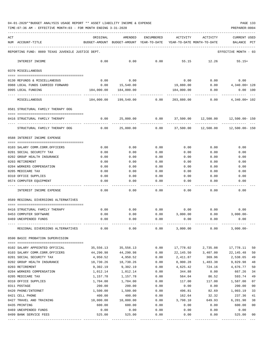TIME:07:36 AM - EFFECTIVE MONTH:03 - FOR MONTH ENDING 3-31-2020

| ACT |                                                   | ORIGINAL                                 | AMENDED         | <b>ENCUMBERED</b> | ACTIVITY                   | ACTIVITY        | CURRENT USED                  |                |
|-----|---------------------------------------------------|------------------------------------------|-----------------|-------------------|----------------------------|-----------------|-------------------------------|----------------|
|     | NUM ACCOUNT-TITLE                                 | BUDGET-AMOUNT BUDGET-AMOUNT YEAR-TO-DATE |                 |                   | YEAR-TO-DATE MONTH-TO-DATE |                 | BALANCE<br>PCT                |                |
|     | REPORTING FUND: 0089 TEXAS JUVENILE JUSTICE DEPT. |                                          |                 |                   |                            |                 | EFFECTIVE MONTH - 03          |                |
|     | INTEREST INCOME                                   | 0.00                                     | 0.00            | 0.00              | 55.15                      | 12.26           | $55.15+$                      |                |
|     | 0370 MISCELLANEOUS                                |                                          |                 |                   |                            |                 |                               |                |
|     | 0130 REFUNDS & MISCELLANEOUS                      | 0.00                                     | 0.00            |                   | 0.00                       | 0.00            | 0.00                          |                |
|     | 0988 LOCAL FUNDS CARRIED FORWARD                  | 0.00                                     | 15,540.00       |                   | 19,880.00                  | 0.00            | 4,340.00+ 128                 |                |
|     | 0995 LOCAL FUNDING                                | 184,000.00                               | 184,000.00      |                   | 184,000.00                 | 0.00            | $0.00$ 100                    |                |
|     | MISCELLANEOUS                                     | 184,000.00                               | 199,540.00 0.00 |                   |                            | 203,880.00 0.00 | 4,340.00+ 102                 |                |
|     | 0581 STRUCTURAL FAMILY THERAPY OOG                |                                          |                 |                   |                            |                 |                               |                |
|     | 0416 STRUCTURAL FAMILY THERAPY                    | 0.00                                     | 25,000.00       | 0.00              | 37,500.00                  |                 | 12,500.00  12,500.00 - 150    |                |
|     | STRUCTURAL FAMILY THERAPY OOG                     | 0.00                                     | 25,000.00       | 0.00              | 37,500.00                  |                 | 12,500.00    12,500.00    150 |                |
|     | 0588 INTEREST INCOME EXPENSE                      |                                          |                 |                   |                            |                 |                               |                |
|     | 0103 SALARY COMM.CORR.OFFICERS                    | 0.00                                     | 0.00            | 0.00              | 0.00                       | 0.00            | 0.00                          |                |
|     | 0201 SOCIAL SECURITY TAX                          | 0.00                                     | 0.00            | 0.00              | 0.00                       | 0.00            | 0.00                          |                |
|     | 0202 GROUP HEALTH INSURANCE                       | 0.00                                     | 0.00            | 0.00              | 0.00                       | 0.00            | 0.00                          |                |
|     | 0203 RETIREMENT                                   | 0.00                                     | 0.00            | 0.00              | 0.00                       | 0.00            | 0.00                          |                |
|     | 0204 WORKERS COMPENSATION                         | 0.00                                     | 0.00            | 0.00              | 0.00                       | 0.00            | 0.00                          |                |
|     | 0205 MEDICARE TAX                                 | 0.00                                     | 0.00            | 0.00              | 0.00                       | 0.00            | 0.00                          |                |
|     | 0310 OFFICE SUPPLIES                              | 0.00                                     | 0.00            | 0.00              | 0.00                       | 0.00            | 0.00                          |                |
|     | 0574 COMPUTER EQUIPMENT                           | 0.00                                     | 0.00            | 0.00              | 0.00                       | 0.00            | 0.00                          |                |
|     | INTEREST INCOME EXPENSE                           | 0.00                                     | 0.00            | 0.00              | 0.00                       | 0.00            | 0.00                          |                |
|     | 0589 REGIONAL DIVERSIONS ALTERNATIVES             |                                          |                 |                   |                            |                 |                               |                |
|     |                                                   |                                          |                 |                   |                            |                 |                               |                |
|     | 0416 STRUCTURAL FAMILY THERAPY                    | 0.00                                     | 0.00            | 0.00              | 0.00<br>3,000.00           | 0.00            | 0.00                          |                |
|     | 0453 COMPUTER SOFTWARE<br>0469 UNEXPENDED FUNDS   | 0.00<br>0.00                             | 0.00<br>0.00    | 0.00<br>0.00      | 0.00                       | 0.00<br>0.00    | $3,000.00-$<br>0.00           |                |
|     |                                                   |                                          |                 |                   |                            |                 |                               |                |
|     | REGIONAL DIVERSIONS ALTERNATIVES                  | 0.00                                     | 0.00            | 0.00              | 3,000.00                   | 0.00            | $3,000.00-$                   |                |
|     | 0590 BASIC PROBATION SUPERVISION                  |                                          |                 |                   |                            |                 |                               |                |
|     | 0102 SALARY APPOINTED OFFICIAL                    | 35,556.13                                | 35,556.13       | 0.00              | 17,778.02                  | 2,735.08        | 17,778.11                     | 50             |
|     | 0103 SALARY COMM.CORR.OFFICERS                    | 44,290.98                                | 44,290.98       | 0.00              | 22,145.50                  | 3,407.00        | 22, 145.48                    | 50             |
|     | 0201 SOCIAL SECURITY TAX                          | 4,950.52                                 | 4,950.52        | 0.00              | 2,411.87                   | 369.96          | 2,538.65                      | 49             |
|     | 0202 GROUP HEALTH INSURANCE                       | 18,730.26                                | 18,730.26       | 0.00              | 8,900.28                   | 1,483.38        | 9,829.98                      | 48             |
|     | 0203 RETIREMENT                                   | 9,302.19                                 | 9,302.19        | 0.00              | 4,625.42                   | 724.16          | 4,676.77                      | 50             |
|     | 0204 WORKERS COMPENSATION                         | 1,012.14                                 | 1,012.14        | 0.00              | 344.88                     | 0.00            | 667.26                        | 34             |
|     | 0205 MEDICARE TAX                                 | 1,157.78                                 | 1,157.78        | 0.00              | 564.04                     | 86.52           | 593.74                        | 49             |
|     | 0310 OFFICE SUPPLIES                              | 1,704.00                                 | 1,704.00        | 0.00              | 117.00                     | 117.00          | 1,587.00                      | 07             |
|     | 0311 POSTAGE                                      | 200.00                                   | 200.00          | 0.00              | 0.00                       | 0.00            | 200.00                        | 0 <sub>0</sub> |
|     | 0420 PHONE/INTERNET                               | 1,500.00                                 | 1,500.00        | 0.00              | 496.81                     | 82.69           | 1,003.19                      | 33             |
|     | 0421 CELL PHONE                                   | 400.00                                   | 400.00          | 0.00              | 162.64                     | 32.32           | 237.36                        | 41             |
|     | 0427 TRAVEL AND TRAINING                          | 10,000.00                                | 10,000.00       | 0.00              | 3,798.10                   | 649.93          | 6,201.90                      | 38             |
|     | 0435 PRINTING                                     | 600.00                                   | 600.00          | 0.00              | 0.00                       | 0.00            | 600.00                        | 0 <sub>0</sub> |
|     | 0469 UNEXPENDED FUNDS                             | 0.00                                     | 0.00            | 0.00              | 0.00                       | 0.00            | 0.00                          |                |
|     | 0499 BANK SERVICE FEES                            | 525.00                                   | 525.00          | 0.00              | 0.00                       | 0.00            | 525.00                        | 00             |

---- ---------------------------------- ------------- ------------- ------------ ------------- ------------ ------------- ---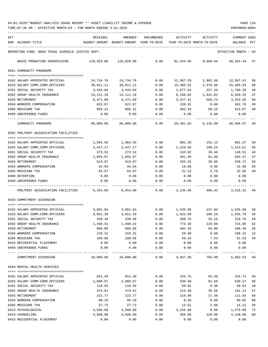TIME:07:36 AM - EFFECTIVE MONTH:03 - FOR MONTH ENDING 3-31-2020

| ACT |                                                                  | ORIGINAL              | AMENDED                                  | ENCUMBERED   | ACTIVITY                   | ACTIVITY         | CURRENT USED         |              |
|-----|------------------------------------------------------------------|-----------------------|------------------------------------------|--------------|----------------------------|------------------|----------------------|--------------|
|     | NUM ACCOUNT-TITLE                                                |                       | BUDGET-AMOUNT BUDGET-AMOUNT YEAR-TO-DATE |              | YEAR-TO-DATE MONTH-TO-DATE |                  | BALANCE              | $_{\rm PCT}$ |
|     | REPORTING FUND: 0089 TEXAS JUVENILE JUSTICE DEPT.                |                       |                                          |              |                            |                  | EFFECTIVE MONTH - 03 |              |
|     | BASIC PROBATION SUPERVISION                                      | 129,929.00            | 129,929.00                               | 0.00         | 61,344.56                  | 9,688.04         | 68,584.44 47         |              |
|     | 0591 COMMUNITY PROGRAMS                                          |                       |                                          |              |                            |                  |                      |              |
|     |                                                                  |                       |                                          |              |                            |                  |                      |              |
|     | 0102 SALARY APPOINTED OFFICIAL                                   | 24,734.70             | 24,734.70                                | 0.00         | 12,367.29                  | 1,902.66         | 12,367.41            | 50           |
|     | 0103 SALARY COMM.CORR.OFFICERS                                   | 30,811.11             | 30,811.11                                | 0.00         | 15,405.52                  | 2,370.08         | 15,405.59            | 50           |
|     | 0201 SOCIAL SECURITY TAX                                         | 3,443.84              | 3,443.84                                 | 0.00         | 1,677.64                   | 257.34           | 1,766.20             | 49           |
|     | 0202 GROUP HEALTH INSURANCE                                      | 13,111.18<br>6,471.09 | 13,111.18                                | 0.00         | 6,190.92<br>3,217.41       | 1,031.82         | 6,920.26             | 47           |
|     | 0203 RETIREMENT<br>0204 WORKERS COMPENSATION                     |                       | 6,471.09<br>622.67                       | 0.00<br>0.00 | 239.91                     | 503.72<br>0.00   | 3,253.68             | 50<br>39     |
|     | 0205 MEDICARE TAX                                                | 622.67<br>805.41      | 805.41                                   | 0.00         | 392.34                     | 60.18            | 382.76<br>413.07     | 49           |
|     | 0469 UNEXPENDED FUNDS                                            | 0.00                  | 0.00                                     | 0.00         | 0.00                       | 0.00             | 0.00                 |              |
|     |                                                                  |                       |                                          |              |                            |                  |                      |              |
|     | COMMUNITY PROGRAMS                                               | 80,000.00             | 80,000.00                                | 0.00         | 39,491.03                  | 6,125.80         | 40,508.97            | 49           |
|     | 0592 PRE/POST ADJUDICATION FACILITIES                            |                       |                                          |              |                            |                  |                      |              |
|     |                                                                  |                       |                                          |              |                            |                  |                      |              |
|     | 0102 SALARY APPOINTED OFFICIAL<br>0103 SALARY COMM.CORR.OFFICERS | 1,964.55<br>2,447.17  | 1,964.55<br>2,447.17                     | 0.00<br>0.00 | 982.28<br>1,223.56         | 151.12<br>188.24 | 982.27<br>1,223.61   | 50<br>50     |
|     | 0201 SOCIAL SECURITY TAX                                         | 273.53                | 273.53                                   | 0.00         | 133.02                     | 20.40            | 140.51               | 49           |
|     | 0202 GROUP HEALTH INSURANCE                                      | 1,055.87              | 1,055.87                                 | 0.00         | 491.40                     | 81.90            | 564.47               | 47           |
|     | 0203 RETIREMENT                                                  | 513.97                | 513.97                                   | 0.00         | 255.25                     | 39.98            | 258.72               | 50           |
|     | 0204 WORKERS COMPENSATION                                        | 34.94                 | 34.94                                    | 0.00         | 19.06                      | 0.00             | 15.88                | 55           |
|     | 0205 MEDICARE TAX                                                | 63.97                 | 63.97                                    | 0.00         | 31.12                      | 4.78             | 32.85                | 49           |
|     | 0408 DETENTION                                                   | 0.00                  | 0.00                                     | 0.00         | 0.00                       | 0.00             | 0.00                 |              |
|     | 0469 UNEXPENDED FUNDS                                            | 0.00                  | 0.00                                     | 0.00         | 0.00                       | 0.00             | 0.00                 |              |
|     | PRE/POST ADJUDICATION FACILITIES                                 | 6,354.00              | 6,354.00                                 | 0.00         | 3,135.69                   | 486.42           | 3, 218.31 49         |              |
|     | 0593 COMMITMENT DIVERSION                                        |                       |                                          |              |                            |                  |                      |              |
|     |                                                                  |                       |                                          |              |                            |                  |                      |              |
|     | 0102 SALARY APPOINTED OFFICIAL                                   | 3,091.84              | 3,091.84                                 | 0.00         | 1,545.96                   | 237.84           | 1,545.88             | 50           |
|     | 0103 SALARY COMM.CORR.OFFICERS                                   | 3,851.39              | 3,851.39                                 | 0.00         | 1,925.69                   | 296.26           | 1,925.70             | 50           |
|     | 0201 SOCIAL SECURITY TAX                                         | 430.48                | 430.48                                   | 0.00         | 209.78                     | 32.18            | 220.70               | 49           |
|     | 0202 GROUP HEALTH INSURANCE                                      | 1,498.41              | 1,498.41                                 | 0.00         | 774.36                     | 129.06           | 724.05               | 52           |
|     | 0203 RETIREMENT<br>0204 WORKERS COMPENSATION                     | 808.89<br>218.31      | 808.89<br>218.31                         | 0.00<br>0.00 | 402.43<br>29.99            | 63.00<br>0.00    | 406.46<br>188.32     | 50<br>14     |
|     | 0205 MEDICARE TAX                                                | 100.68                | 100.68                                   | 0.00         | 49.15                      | 7.54             | 51.53                | 49           |
|     | 0415 RESIDENTIAL PLACEMENT                                       | 0.00                  | 0.00                                     | 0.00         | 0.00                       | 0.00             | 0.00                 |              |
|     | 0469 UNEXPENDED FUNDS                                            | 0.00                  | 0.00                                     | 0.00         | 0.00                       | 0.00             | 0.00                 |              |
|     |                                                                  |                       |                                          | $---$        | --------                   |                  |                      |              |
|     | COMMITMENT DIVERSION                                             | 10,000.00             | 10,000.00                                | 0.00         | 4,937.36                   | 765.88           | 5,062.64 49          |              |
|     | 0594 MENTAL HEALTH SERVICES                                      |                       |                                          |              |                            |                  |                      |              |
|     | 0102 SALARY APPOINTED OFFICIAL                                   | 851.49                | 851.49                                   | 0.00         | 425.75                     | 65.50            | 425.74               | 50           |
|     | 0103 SALARY COMM.CORR.OFFICERS                                   | 1,060.67              | 1,060.67                                 | 0.00         | 530.40                     | 81.60            | 530.27               | 50           |
|     | 0201 SOCIAL SECURITY TAX                                         | 118.55                | 118.55                                   | 0.00         | 58.01                      | 8.90             | 60.54                | 49           |
|     | 0202 GROUP HEALTH INSURANCE                                      | 374.61                | 374.61                                   | 0.00         | 213.48                     | 35.58            | 161.13               | 57           |
|     | 0203 RETIREMENT                                                  | 222.77                | 222.77                                   | 0.00         | 110.94                     | 17.38            | 111.83               | 50           |
|     | 0204 WORKERS COMPENSATION                                        | 98.18                 | 98.18                                    | 0.00         | 8.26                       | 0.00             | 89.92                | 08           |
|     | 0205 MEDICARE TAX                                                | 27.73                 | 27.73                                    | 0.00         | 13.61                      | 2.08             | 14.12                | 49           |
|     | 0413 PSYCHOLOGICAL                                               | 4,500.00              | 4,500.00                                 | 0.00         | 3,225.00                   | 0.00             | 1,275.00             | 72           |
|     | 0414 COUNSELING                                                  | 4,500.00              | 4,500.00                                 | 0.00         | 360.00                     | 120.00           | 4,140.00             | 08           |

0415 RESIDENTIAL PLACEMENT 0.00 0.00 0.00 0.00 0.00 0.00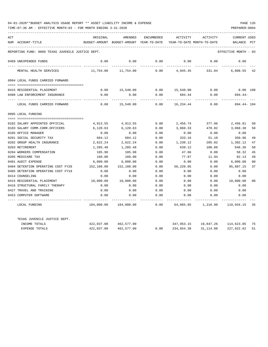| ACT |                                                   | ORIGINAL   | AMENDED                                  | ENCUMBERED | ACTIVITY                   | ACTIVITY             | <b>CURRENT USED</b>  |                |
|-----|---------------------------------------------------|------------|------------------------------------------|------------|----------------------------|----------------------|----------------------|----------------|
|     | NUM ACCOUNT-TITLE                                 |            | BUDGET-AMOUNT BUDGET-AMOUNT YEAR-TO-DATE |            | YEAR-TO-DATE MONTH-TO-DATE |                      | BALANCE              | PCT            |
|     | REPORTING FUND: 0089 TEXAS JUVENILE JUSTICE DEPT. |            |                                          |            |                            |                      | EFFECTIVE MONTH - 03 |                |
|     |                                                   |            |                                          |            |                            |                      |                      |                |
|     | 0469 UNEXPENDED FUNDS                             | 0.00       | 0.00                                     | 0.00       | 0.00                       | 0.00                 | 0.00                 |                |
|     | MENTAL HEALTH SERVICES                            | 11,754.00  | 11,754.00                                | 0.00       | 4,945.45                   | 331.04               | 6,808.55 42          |                |
|     | 0994 LOCAL FUNDS CARRIED FORWARD                  |            |                                          |            |                            |                      |                      |                |
|     |                                                   |            |                                          |            |                            |                      |                      |                |
|     | 0415 RESIDENTIAL PLACEMENT                        | 0.00       | 15,540.00                                |            | $0.00$ 15,540.00           | 0.00                 | $0.00$ 100           |                |
|     | 0488 LAW ENFORCEMENT INSURANCE                    | 0.00       | 0.00                                     | 0.00       | 694.44                     | 0.00                 | $694.44-$            |                |
|     | LOCAL FUNDS CARRIED FORWARD                       | 0.00       | 15,540.00                                | 0.00       | 16,234.44                  | 0.00                 | 694.44- 104          |                |
|     | 0995 LOCAL FUNDING                                |            |                                          |            |                            |                      |                      |                |
|     |                                                   |            |                                          |            |                            |                      |                      |                |
|     | 0102 SALARY APPOINTED OFFICIAL                    | 4,913.55   | 4,913.55                                 | 0.00       | 2,456.74                   | 377.96               | 2,456.81             | 50             |
|     | 0103 SALARY COMM.CORR.OFFICERS                    | 6,120.63   | 6,120.63                                 | 0.00       | 3,060.33                   | 470.82               | 3,060.30             | 50             |
|     | 0105 OFFICE MANAGER                               | 0.00       | 0.00                                     | 0.00       | 0.00                       | 0.00                 | 0.00                 |                |
|     | 0201 SOCIAL SECURITY TAX                          | 684.12     | 684.12                                   | 0.00       | 333.16                     | 51.10                | 350.96               | 49             |
|     | 0202 GROUP HEALTH INSURANCE                       | 2,622.24   | 2,622.24                                 | 0.00       | 1,230.12                   | 205.02               | 1,392.12             | 47             |
|     | 0203 RETIREMENT                                   | 1,285.48   | 1,285.48                                 | 0.00       | 639.12                     | 100.06               | 646.36               | 50             |
|     | 0204 WORKERS COMPENSATION                         | 105.98     | 105.98                                   | 0.00       | 47.66                      | 0.00                 | 58.32                | 45             |
|     | 0205 MEDICARE TAX                                 | 160.00     | 160.00                                   | 0.00       | 77.87                      | 11.94                | 82.13                | 49             |
|     | 0401 AUDIT EXPENSE                                | 6,000.00   | 6,000.00                                 | 0.00       | 0.00                       | 0.00                 | 6,000.00             | 0 <sup>0</sup> |
|     | 0404 DETENTION OPERATING COST FY20                | 152,108.00 | 152,108.00                               | 0.00       | 56,220.85                  | 0.00                 | 95,887.15            | 37             |
|     | 0405 DETENTION OPERATING COST FY19                | 0.00       | 0.00                                     | 0.00       | 0.00                       | 0.00                 | 0.00                 |                |
|     | 0414 COUNSELING                                   | 0.00       | 0.00                                     | 0.00       | 0.00                       | 0.00                 | 0.00                 |                |
|     | 0415 RESIDENTIAL PLACEMENT                        | 10,000.00  | 10,000.00                                | 0.00       | 0.00                       | 0.00                 | 10,000.00            | 00             |
|     | 0416 STRUCTURAL FAMILY THERAPY                    | 0.00       | 0.00                                     | 0.00       | 0.00                       | 0.00                 | 0.00                 |                |
|     | 0427 TRAVEL AND TRAINING                          | 0.00       | 0.00                                     | 0.00       | 0.00                       | 0.00                 | 0.00                 |                |
|     | 0453 COMPUTER SOFTWARE                            | 0.00       | 0.00                                     | 0.00       | 0.00                       | 0.00                 | 0.00                 |                |
|     | LOCAL FUNDING                                     | 184,000.00 | 184,000.00                               | 0.00       | 64,065.85                  | 1,216.90             | 119,934.15           | 35             |
|     | TEXAS JUVENILE JUSTICE DEPT.                      |            |                                          |            |                            |                      |                      |                |
|     | INCOME TOTALS                                     | 422,037.00 | 462,577.00                               |            |                            | 347,953.15 19,847.26 | 114,623.85           | 75             |
|     | <b>EXPENSE TOTALS</b>                             | 422,037.00 | 462,577.00                               | 0.00       | 234,654.38                 | 31, 114, 08          | 227, 922, 62         | 51             |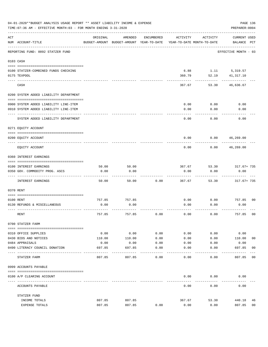|     | 04-01-2020**BUDGET ANALYSIS USAGE REPORT ** ASSET LIABILITY INCOME & EXPENSE<br>TIME: 07:36 AM - EFFECTIVE MONTH: 03 - FOR MONTH ENDING 3-31-2020 |                |                                                     |               |                                        |              | PAGE 136<br>PREPARER: 0004         |                |
|-----|---------------------------------------------------------------------------------------------------------------------------------------------------|----------------|-----------------------------------------------------|---------------|----------------------------------------|--------------|------------------------------------|----------------|
| ACT | NUM ACCOUNT-TITLE                                                                                                                                 | ORIGINAL       | AMENDED<br>BUDGET-AMOUNT BUDGET-AMOUNT YEAR-TO-DATE | ENCUMBERED    | ACTIVITY<br>YEAR-TO-DATE MONTH-TO-DATE | ACTIVITY     | <b>CURRENT USED</b><br>BALANCE PCT |                |
|     | REPORTING FUND: 0092 STATZER FUND                                                                                                                 |                |                                                     |               |                                        |              | EFFECTIVE MONTH - 03               |                |
|     | 0103 CASH                                                                                                                                         |                |                                                     |               |                                        |              |                                    |                |
|     | 0100 STATZER-COMBINED FUNDS CHECKING                                                                                                              |                |                                                     |               | 6.88                                   |              | 1.11 5,319.57                      |                |
|     | 0175 TEXPOOL                                                                                                                                      |                |                                                     |               | 360.79                                 | 52.19        | 41,317.10                          |                |
|     | CASH                                                                                                                                              |                |                                                     |               | 367.67                                 | 53.30        | 46,636.67                          |                |
|     | 0200 SYSTEM ADDED LIABILITY DEPARTMENT                                                                                                            |                |                                                     |               |                                        |              |                                    |                |
|     | 0900 SYSTEM ADDED LIABILITY LINE-ITEM                                                                                                             |                |                                                     |               | 0.00                                   | 0.00         | 0.00                               |                |
|     | 0910 SYSTEM ADDED LIABILITY LINE-ITEM                                                                                                             |                |                                                     |               | 0.00                                   | 0.00         | 0.00                               |                |
|     | SYSTEM ADDED LIABILITY DEPARTMENT                                                                                                                 |                |                                                     |               | 0.00                                   | 0.00         | 0.00                               |                |
|     | 0271 EQUITY ACCOUNT                                                                                                                               |                |                                                     |               |                                        |              |                                    |                |
|     | 0200 EQUITY ACCOUNT                                                                                                                               |                |                                                     |               | 0.00                                   | 0.00         | 46,269.00                          |                |
|     | EQUITY ACCOUNT                                                                                                                                    |                |                                                     |               | 0.00                                   | 0.00         | 46,269.00                          |                |
|     | 0360 INTEREST EARNINGS                                                                                                                            |                |                                                     |               |                                        |              |                                    |                |
|     | 0100 INTEREST EARNINGS                                                                                                                            | 50.00          | 50.00                                               |               | 367.67                                 | 53.30        | 317.67+ 735                        |                |
|     | 0350 GOV. COMMODITY PROG. ASCS                                                                                                                    | 0.00           | 0.00                                                |               | 0.00                                   | 0.00         | 0.00                               |                |
|     | INTEREST EARNINGS                                                                                                                                 | 50.00          | 50.00                                               | 0.00          | 367.67                                 | 53.30        | 317.67+ 735                        |                |
|     | 0370 RENT                                                                                                                                         |                |                                                     |               |                                        |              |                                    |                |
|     |                                                                                                                                                   |                |                                                     |               |                                        |              |                                    |                |
|     | 0100 RENT<br>0130 REFUNDS & MISCELLANEOUS                                                                                                         | 757.85<br>0.00 | 757.85<br>0.00                                      |               | 0.00<br>0.00                           | 0.00<br>0.00 | 757.85<br>0.00                     | 0 <sub>0</sub> |
|     |                                                                                                                                                   |                |                                                     |               |                                        |              |                                    |                |
|     | RENT                                                                                                                                              | 757.85         | 757.85                                              | 0.00          | 0.00                                   | 0.00         | 757.85                             | 0 <sub>0</sub> |
|     | 0700 STATZER FARM                                                                                                                                 |                |                                                     |               |                                        |              |                                    |                |
|     | 0310 OFFICE SUPPLIES                                                                                                                              | 0.00           | 0.00                                                | 0.00          | 0.00                                   | 0.00         | 0.00                               |                |
|     | 0430 BIDS AND NOTICES                                                                                                                             | 110.00         | 110.00                                              | 0.00          | 0.00                                   | 0.00         | 110.00                             | 00             |
|     | 0484 APPRAISALS                                                                                                                                   | 0.00           | 0.00                                                | 0.00          | 0.00                                   | 0.00         | 0.00                               |                |
|     | 0490 LITERACY COUNCIL DONATION                                                                                                                    | 697.85         | 697.85                                              | 0.00<br>$---$ | 0.00                                   | 0.00         | 697.85<br>------                   | 0 <sub>0</sub> |
|     | STATZER FARM                                                                                                                                      | 807.85         | 807.85                                              | 0.00          | 0.00                                   | 0.00         | 807.85                             | 00             |
|     | 0999 ACCOUNTS PAYABLE                                                                                                                             |                |                                                     |               |                                        |              |                                    |                |
|     | 0100 A/P CLEARING ACCOUNT                                                                                                                         |                |                                                     |               | 0.00                                   | 0.00         | 0.00                               |                |
|     | ACCOUNTS PAYABLE                                                                                                                                  |                |                                                     |               | 0.00                                   | 0.00         | 0.00                               |                |
|     | STATZER FUND                                                                                                                                      |                |                                                     |               |                                        |              |                                    |                |
|     | INCOME TOTALS                                                                                                                                     | 807.85         | 807.85                                              |               | 367.67                                 | 53.30        | 440.18                             | 46             |
|     | EXPENSE TOTALS                                                                                                                                    | 807.85         | 807.85                                              | 0.00          | 0.00                                   | 0.00         | 807.85                             | 0 <sub>0</sub> |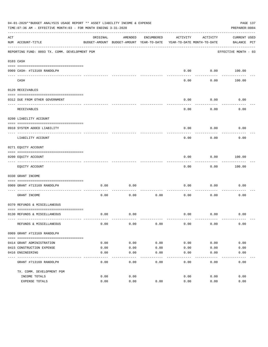|     | 04-01-2020**BUDGET ANALYSIS USAGE REPORT ** ASSET LIABILITY INCOME & EXPENSE<br>PAGE 137<br>TIME: 07:36 AM - EFFECTIVE MONTH: 03 - FOR MONTH ENDING 3-31-2020<br>PREPARER: 0004 |              |                                                     |              |                                        |                   |                             |  |  |  |
|-----|---------------------------------------------------------------------------------------------------------------------------------------------------------------------------------|--------------|-----------------------------------------------------|--------------|----------------------------------------|-------------------|-----------------------------|--|--|--|
| ACT | NUM ACCOUNT-TITLE                                                                                                                                                               | ORIGINAL     | AMENDED<br>BUDGET-AMOUNT BUDGET-AMOUNT YEAR-TO-DATE | ENCUMBERED   | ACTIVITY<br>YEAR-TO-DATE MONTH-TO-DATE | ACTIVITY          | CURRENT USED<br>BALANCE PCT |  |  |  |
|     | REPORTING FUND: 0093 TX. COMM. DEVELOPMENT PGM                                                                                                                                  |              |                                                     |              |                                        |                   | EFFECTIVE MONTH - 03        |  |  |  |
|     | 0103 CASH                                                                                                                                                                       |              |                                                     |              |                                        |                   |                             |  |  |  |
|     | 0909 CASH- #713169 RANDOLPH                                                                                                                                                     |              |                                                     |              | 0.00                                   |                   | $0.00$ 100.00               |  |  |  |
|     | CASH                                                                                                                                                                            |              |                                                     |              | $- - - -$<br>0.00                      | ---------<br>0.00 | 100.00                      |  |  |  |
|     | 0120 RECEIVABLES                                                                                                                                                                |              |                                                     |              |                                        |                   |                             |  |  |  |
|     | 0312 DUE FROM OTHER GOVERNMENT                                                                                                                                                  |              |                                                     |              | 0.00                                   | 0.00              | 0.00                        |  |  |  |
|     | RECEIVABLES                                                                                                                                                                     |              |                                                     |              | 0.00                                   | 0.00              | 0.00                        |  |  |  |
|     | 0200 LIABILITY ACCOUNT                                                                                                                                                          |              |                                                     |              |                                        |                   |                             |  |  |  |
|     | 0910 SYSTEM ADDED LIABILITY<br>---- ---------------                                                                                                                             |              |                                                     |              | 0.00                                   | 0.00              | 0.00                        |  |  |  |
|     | LIABILITY ACCOUNT                                                                                                                                                               |              |                                                     |              | 0.00                                   | 0.00              | 0.00                        |  |  |  |
|     | 0271 EQUITY ACCOUNT                                                                                                                                                             |              |                                                     |              |                                        |                   |                             |  |  |  |
|     | 0200 EQUITY ACCOUNT<br>-------------------------------                                                                                                                          |              |                                                     |              | 0.00                                   | 0.00<br>.         | 100.00<br>. <u>.</u>        |  |  |  |
|     | EQUITY ACCOUNT                                                                                                                                                                  |              |                                                     |              | 0.00                                   | 0.00              | 100.00                      |  |  |  |
|     | 0330 GRANT INCOME                                                                                                                                                               |              |                                                     |              |                                        |                   |                             |  |  |  |
|     | 0909 GRANT #713169 RANDOLPH                                                                                                                                                     | 0.00         | 0.00                                                |              | 0.00                                   | 0.00              | 0.00                        |  |  |  |
|     | GRANT INCOME                                                                                                                                                                    | 0.00         | 0.00                                                | 0.00         | 0.00                                   | 0.00              | 0.00                        |  |  |  |
|     | 0370 REFUNDS & MISCELLANEOUS                                                                                                                                                    |              |                                                     |              |                                        |                   |                             |  |  |  |
|     | 0130 REFUNDS & MISCELLANEOUS                                                                                                                                                    | 0.00         | 0.00                                                |              | 0.00                                   | 0.00              | 0.00                        |  |  |  |
|     | REFUNDS & MISCELLANEOUS                                                                                                                                                         | 0.00         | 0.00                                                | 0.00         | 0.00                                   | 0.00              | 0.00                        |  |  |  |
|     | 0909 GRANT #713169 RANDOLPH                                                                                                                                                     |              |                                                     |              |                                        |                   |                             |  |  |  |
|     |                                                                                                                                                                                 |              |                                                     |              |                                        |                   |                             |  |  |  |
|     | 0414 GRANT ADMINISTRATION                                                                                                                                                       | 0.00         | 0.00                                                | 0.00         | 0.00                                   | 0.00              | 0.00                        |  |  |  |
|     | 0415 CONSTRUCTION EXPENSE<br>0416 ENGINEERING                                                                                                                                   | 0.00<br>0.00 | 0.00<br>0.00                                        | 0.00<br>0.00 | 0.00<br>0.00                           | 0.00<br>0.00      | 0.00<br>0.00                |  |  |  |
|     | GRANT #713169 RANDOLPH                                                                                                                                                          | 0.00         | 0.00                                                | 0.00         | -----<br>0.00                          | 0.00              | 0.00                        |  |  |  |
|     |                                                                                                                                                                                 |              |                                                     |              |                                        |                   |                             |  |  |  |
|     | TX. COMM. DEVELOPMENT PGM<br>INCOME TOTALS                                                                                                                                      | 0.00         | 0.00                                                |              | 0.00                                   | 0.00              | 0.00                        |  |  |  |
|     | EXPENSE TOTALS                                                                                                                                                                  | 0.00         | 0.00                                                | 0.00         | 0.00                                   | 0.00              | 0.00                        |  |  |  |
|     |                                                                                                                                                                                 |              |                                                     |              |                                        |                   |                             |  |  |  |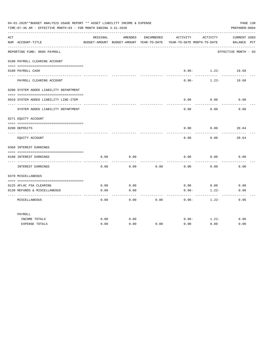|     | 04-01-2020**BUDGET ANALYSIS USAGE REPORT ** ASSET LIABILITY INCOME & EXPENSE<br>TIME: 07:36 AM - EFFECTIVE MONTH: 03 - FOR MONTH ENDING 3-31-2020 |          |         |            |                                                                                 |                                    | PAGE 138<br>PREPARER: 0004  |
|-----|---------------------------------------------------------------------------------------------------------------------------------------------------|----------|---------|------------|---------------------------------------------------------------------------------|------------------------------------|-----------------------------|
| ACT | NUM ACCOUNT-TITLE                                                                                                                                 | ORIGINAL | AMENDED | ENCUMBERED | ACTIVITY<br>BUDGET-AMOUNT BUDGET-AMOUNT YEAR-TO-DATE YEAR-TO-DATE MONTH-TO-DATE | ACTIVITY                           | CURRENT USED<br>BALANCE PCT |
|     | REPORTING FUND: 0095 PAYROLL                                                                                                                      |          |         |            |                                                                                 |                                    | EFFECTIVE MONTH - 03        |
|     | 0100 PAYROLL CLEARING ACCOUNT                                                                                                                     |          |         |            |                                                                                 |                                    |                             |
|     | 0100 PAYROLL CASH<br>-------------------                                                                                                          |          |         |            | $- - - - -$                                                                     | $0.96 - 1.22 - 19.68$<br>--------- |                             |
|     | PAYROLL CLEARING ACCOUNT                                                                                                                          |          |         |            | $0.96 -$                                                                        | $1.22-$                            | 19.68                       |
|     | 0200 SYSTEM ADDED LIABILITY DEPARTMENT                                                                                                            |          |         |            |                                                                                 |                                    |                             |
|     | 0910 SYSTEM ADDED LIABILITY LINE-ITEM                                                                                                             |          |         |            | 0.00                                                                            | 0.00                               | 0.00                        |
|     | SYSTEM ADDED LIABILITY DEPARTMENT                                                                                                                 |          |         |            | 0.00                                                                            | 0.00                               | 0.00                        |
|     | 0271 EQUITY ACCOUNT                                                                                                                               |          |         |            |                                                                                 |                                    |                             |
|     | 0200 DEPOSITS                                                                                                                                     |          |         |            |                                                                                 | $0.00$ $0.00$                      | 20.64                       |
|     | EQUITY ACCOUNT                                                                                                                                    |          |         |            | 0.00                                                                            | 0.00                               | 20.64                       |
|     | 0360 INTEREST EARNINGS                                                                                                                            |          |         |            |                                                                                 |                                    |                             |
|     | 0100 INTEREST EARNINGS                                                                                                                            | 0.00     | 0.00    |            | 0.00                                                                            | 0.00                               | 0.00                        |
|     | INTEREST EARNINGS                                                                                                                                 | 0.00     | 0.00    | 0.00       | 0.00                                                                            | 0.00                               | 0.00                        |
|     | 0370 MISCELLANEOUS                                                                                                                                |          |         |            |                                                                                 |                                    |                             |
|     | 0125 AFLAC FSA CLEARING                                                                                                                           | 0.00     | 0.00    |            | 0.00                                                                            | 0.00                               | 0.00                        |
|     | 0130 REFUNDS & MISCELLANEOUS                                                                                                                      | 0.00     | 0.00    |            | $0.96 -$                                                                        | $1.22 -$                           | 0.96                        |
|     | MISCELLANEOUS                                                                                                                                     | 0.00     | 0.00    | 0.00       | $0.96 -$                                                                        | $1.22-$                            | 0.96                        |
|     | PAYROLL                                                                                                                                           |          |         |            |                                                                                 |                                    |                             |
|     | INCOME TOTALS                                                                                                                                     | 0.00     | 0.00    |            | $0.96 -$                                                                        | $1.22 -$                           | 0.96                        |
|     | <b>EXPENSE TOTALS</b>                                                                                                                             | 0.00     | 0.00    | 0.00       | 0.00                                                                            | 0.00                               | 0.00                        |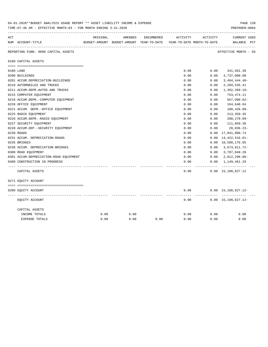|     | 04-01-2020**BUDGET ANALYSIS USAGE REPORT ** ASSET LIABILITY INCOME & EXPENSE<br>TIME: 07:36 AM - EFFECTIVE MONTH: 03 - FOR MONTH ENDING 3-31-2020 |          |                                                                     |            |          |          | PAGE 139<br>PREPARER: 0004                     |
|-----|---------------------------------------------------------------------------------------------------------------------------------------------------|----------|---------------------------------------------------------------------|------------|----------|----------|------------------------------------------------|
| ACT |                                                                                                                                                   | ORIGINAL | AMENDED                                                             | ENCUMBERED | ACTIVITY | ACTIVITY | <b>CURRENT USED</b>                            |
|     | NUM ACCOUNT-TITLE                                                                                                                                 |          | BUDGET-AMOUNT BUDGET-AMOUNT YEAR-TO-DATE YEAR-TO-DATE MONTH-TO-DATE |            |          |          | BALANCE PCT                                    |
|     | REPORTING FUND: 0098 CAPITAL ASSETS                                                                                                               |          |                                                                     |            |          |          | ----------------------<br>EFFECTIVE MONTH - 03 |
|     | 0160 CAPITAL ASSETS                                                                                                                               |          |                                                                     |            |          |          |                                                |
|     |                                                                                                                                                   |          |                                                                     |            |          |          |                                                |
|     | 0100 LAND                                                                                                                                         |          |                                                                     |            | 0.00     | 0.00     | 341,561.30                                     |
|     | 0200 BUILDINGS                                                                                                                                    |          |                                                                     |            | 0.00     | 0.00     | 4,737,000.00                                   |
|     | 0201 ACCUM.DEPRECIATION-BUILDINGS                                                                                                                 |          |                                                                     |            | 0.00     | 0.00     | $3,494,444.40-$                                |
|     | 0210 AUTOMOBILES AND TRUCKS                                                                                                                       |          |                                                                     |            | 0.00     | 0.00     | 2,289,535.41                                   |
|     | 0211 ACCUM.DEPR.AUTOS AND TRUCKS                                                                                                                  |          |                                                                     |            | 0.00     | 0.00     | $1,392,369.10-$                                |
|     | 0215 COMPUTER EQUIPMENT                                                                                                                           |          |                                                                     |            | 0.00     | 0.00     | 753,474.11                                     |
|     | 0216 ACCUM.DEPR.-COMPUTER EQUIPMENT                                                                                                               |          |                                                                     |            | 0.00     | 0.00     | 657,090.62-                                    |
|     | 0220 OFFICE EQUIPMENT                                                                                                                             |          |                                                                     |            | 0.00     | 0.00     | 164,640.04                                     |
|     | 0221 ACCUM. DEPR. - OFFICE EQUIPMENT                                                                                                              |          |                                                                     |            | 0.00     | 0.00     | $100, 426.88 -$                                |
|     | 0225 RADIO EQUIPMENT                                                                                                                              |          |                                                                     |            | 0.00     | 0.00     | 213, 359.45                                    |
|     | 0226 ACCUM.DEPR.-RADIO EQUIPMENT                                                                                                                  |          |                                                                     |            | 0.00     | 0.00     | 208,278.09-                                    |
|     | 0227 SECURITY EQUIPMENT                                                                                                                           |          |                                                                     |            | 0.00     | 0.00     | 111,850.36                                     |
|     | 0228 ACCUM.DEP. - SECURITY EQUIPMENT                                                                                                              |          |                                                                     |            | 0.00     | 0.00     | $20,036.23-$                                   |
|     | 0230 ROADS                                                                                                                                        |          |                                                                     |            | 0.00     | 0.00     | 17,841,000.74                                  |
|     | 0231 ACCUM. DEPRECIATION-ROADS                                                                                                                    |          |                                                                     |            | 0.00     | 0.00     | 14, 422, 516.81-                               |
|     | 0235 BRIDGES                                                                                                                                      |          |                                                                     |            | 0.00     |          | 0.00 10,580,176.85                             |
|     | 0236 ACCUM. DEPRECIATION-BRIDGES                                                                                                                  |          |                                                                     |            | 0.00     | 0.00     | 3,673,811.72-                                  |
|     | 0300 ROAD EQUIPMENT                                                                                                                               |          |                                                                     |            | 0.00     | 0.00     | 3,707,840.28                                   |
|     | 0301 ACCUM.DEPRECIATION-ROAD EQUIPMENT                                                                                                            |          |                                                                     |            | 0.00     | 0.00     | 2,812,298.86-                                  |
|     | 0400 CONSTRUCTION IN PROGRESS                                                                                                                     |          |                                                                     |            | 0.00     | 0.00     | 1,149,461.29                                   |
|     |                                                                                                                                                   |          |                                                                     |            |          |          |                                                |
|     | CAPITAL ASSETS                                                                                                                                    |          |                                                                     |            | 0.00     |          | $0.00 \quad 15,108,627.12$                     |
|     | 0271 EQUITY ACCOUNT                                                                                                                               |          |                                                                     |            |          |          |                                                |
|     |                                                                                                                                                   |          |                                                                     |            |          |          |                                                |
|     | 0200 EQUITY ACCOUNT                                                                                                                               |          |                                                                     |            | 0.00     |          | $0.00 \quad 15,108,627.12 -$                   |
|     | EQUITY ACCOUNT                                                                                                                                    |          |                                                                     |            | 0.00     |          | ----------<br>$0.00 \quad 15,108,627.12 -$     |
|     | CAPITAL ASSETS                                                                                                                                    |          |                                                                     |            |          |          |                                                |
|     | INCOME TOTALS                                                                                                                                     | 0.00     | 0.00                                                                |            | 0.00     | 0.00     | 0.00                                           |
|     | <b>EXPENSE TOTALS</b>                                                                                                                             | 0.00     | 0.00                                                                | 0.00       | 0.00     | 0.00     | 0.00                                           |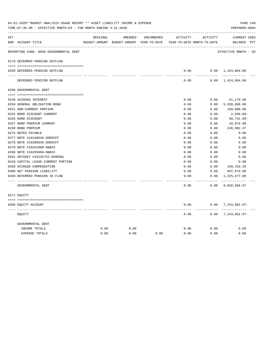|     | 04-01-2020**BUDGET ANALYSIS USAGE REPORT ** ASSET LIABILITY INCOME & EXPENSE<br>TIME: 07:36 AM - EFFECTIVE MONTH: 03 - FOR MONTH ENDING 3-31-2020 |          |         |            |                                                                     |                 | PAGE 140<br>PREPARER: 0004    |
|-----|---------------------------------------------------------------------------------------------------------------------------------------------------|----------|---------|------------|---------------------------------------------------------------------|-----------------|-------------------------------|
| ACT |                                                                                                                                                   | ORIGINAL | AMENDED | ENCUMBERED | ACTIVITY                                                            | ACTIVITY        | <b>CURRENT USED</b>           |
|     | NUM ACCOUNT-TITLE                                                                                                                                 |          |         |            | BUDGET-AMOUNT BUDGET-AMOUNT YEAR-TO-DATE YEAR-TO-DATE MONTH-TO-DATE |                 | BALANCE PCT                   |
|     | REPORTING FUND: 0099 GOVERNMENTAL DEBT                                                                                                            |          |         |            |                                                                     |                 | EFFECTIVE MONTH - 03          |
|     | 0170 DEFERRED PENSION OUTFLOW                                                                                                                     |          |         |            |                                                                     |                 |                               |
|     |                                                                                                                                                   |          |         |            |                                                                     |                 |                               |
|     | 0200 DEFERRED PENSION OUTFLOW                                                                                                                     |          |         |            | 0.00<br>-----                                                       | . <u>.</u>      | $0.00 \quad 1,424,804.00$     |
|     | DEFERRED PENSION OUTFLOW                                                                                                                          |          |         |            | 0.00                                                                |                 | $0.00 \quad 1,424,804.00$     |
|     | 0200 GOVERNMENTAL DEBT                                                                                                                            |          |         |            |                                                                     |                 |                               |
|     |                                                                                                                                                   |          |         |            |                                                                     |                 |                               |
|     | 0240 ACCRUED INTEREST                                                                                                                             |          |         |            | 0.00                                                                | 0.00            | 61,179.00                     |
|     | 0250 GENERAL OBLIGATION BOND                                                                                                                      |          |         |            | 0.00                                                                | 0.00            | 5,930,000.00                  |
|     | 0251 GOB-CURRENT PORTION                                                                                                                          |          |         |            | 0.00                                                                | 0.00            | 160,000.00                    |
|     | 0255 BOND DISCOUNT CURRENT                                                                                                                        |          |         |            | 0.00                                                                | 0.00            | 2,699.60-                     |
|     | 0256 BOND DISCOUNT                                                                                                                                |          |         |            | 0.00                                                                | 0.00            | $60,741.09 -$                 |
|     | 0257 BOND PREMIUM CURRENT                                                                                                                         |          |         |            | 0.00                                                                | 0.00            | 10,976.99                     |
|     | 0258 BOND PREMIUM                                                                                                                                 |          |         |            | 0.00                                                                | 0.00            | 246,982.37                    |
|     | 0275 NOTES PAYABLE                                                                                                                                |          |         |            | 0.00                                                                | 0.00            | 0.00                          |
|     | 0277 NOTE #16240648-SHERIFF                                                                                                                       |          |         |            | 0.00                                                                | 0.00            | 0.00                          |
|     | 0278 NOTE #16308936-SHERIFF                                                                                                                       |          |         |            | 0.00                                                                | 0.00            | 0.00                          |
|     | 0279 NOTE #16291000-R&B#3                                                                                                                         |          |         |            | 0.00                                                                | 0.00            | 0.00                          |
|     | 0280 NOTE #16295968-R&B#3                                                                                                                         |          |         |            | 0.00                                                                | 0.00            | 0.00                          |
|     | 0281 ODYSSEY #16235752-GENERAL                                                                                                                    |          |         |            | 0.00                                                                | 0.00            | 0.00                          |
|     | 0310 CAPITAL LEASE-CURRENT PORTION                                                                                                                |          |         |            | 0.00                                                                | 0.00            | 0.00                          |
|     | 0350 ACCRUED COMPENSATION                                                                                                                         |          |         |            | 0.00                                                                | 0.00            | 199,433.20                    |
|     | 0400 NET PENSION LIABILITY                                                                                                                        |          |         |            | 0.00                                                                | 0.00            | 897,879.00                    |
|     | 0450 DEFERRED PENSION IN FLOW                                                                                                                     |          |         |            | 0.00                                                                | 0.00            | 1,225,677.00                  |
|     | GOVERNMENTAL DEBT                                                                                                                                 |          |         |            | -----<br>0.00                                                       | -------<br>0.00 | -------------<br>8,668,686.87 |
|     | 0271 EOUITY                                                                                                                                       |          |         |            |                                                                     |                 |                               |
|     |                                                                                                                                                   |          |         |            |                                                                     |                 |                               |
|     | 0200 EQUITY ACCOUNT                                                                                                                               |          |         |            | 0.00                                                                | .               | $0.00$ 7, 243, 882.87-        |
|     | EQUITY                                                                                                                                            |          |         |            | 0.00                                                                |                 | $0.00$ 7, 243, 882.87-        |
|     | GOVERNMENTAL DEBT                                                                                                                                 |          |         |            |                                                                     |                 |                               |
|     | INCOME TOTALS                                                                                                                                     | 0.00     | 0.00    |            | 0.00                                                                | 0.00            | 0.00                          |
|     | <b>EXPENSE TOTALS</b>                                                                                                                             | 0.00     | 0.00    | 0.00       | 0.00                                                                | 0.00            | 0.00                          |